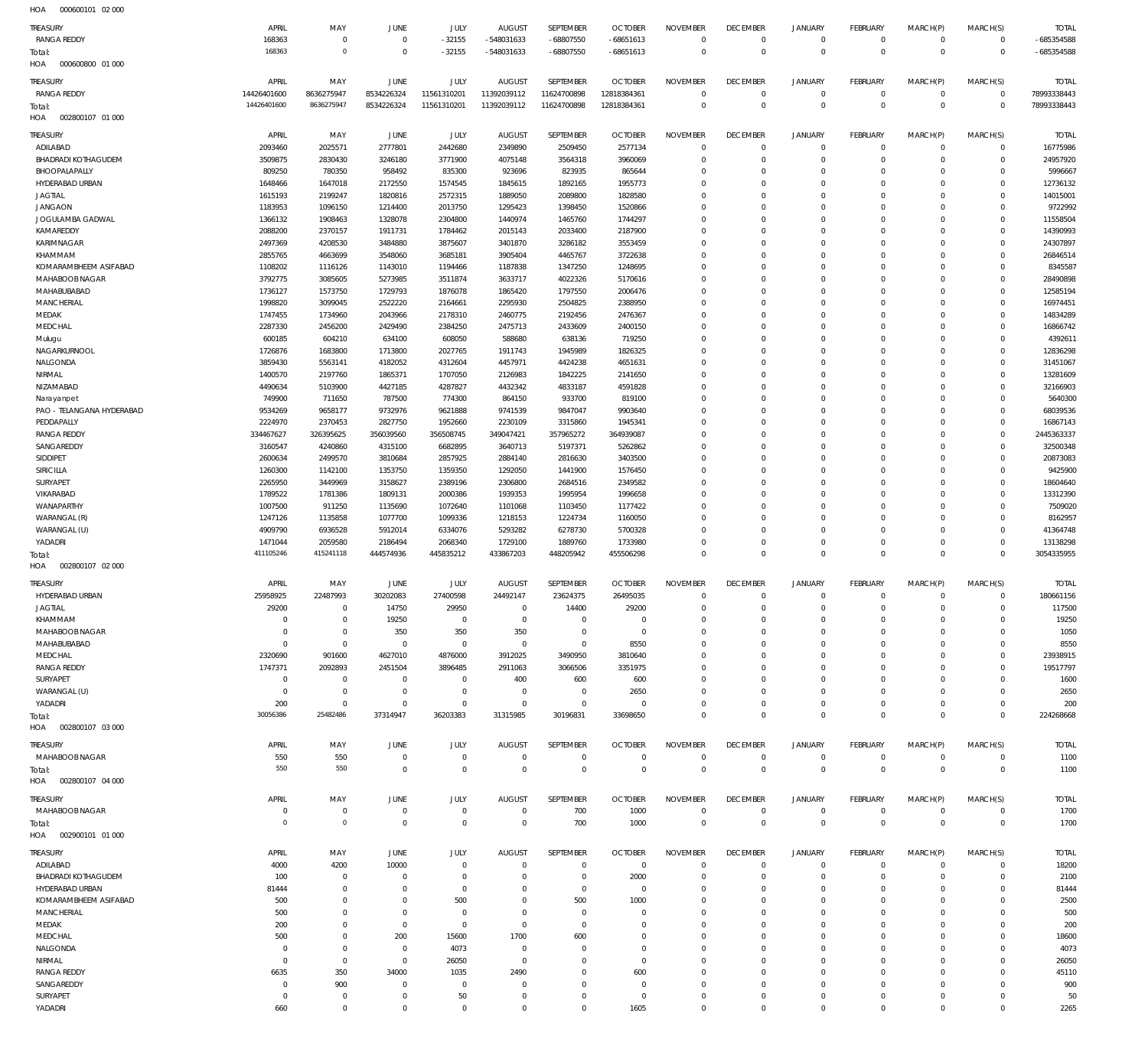000600800 01 000 HOA 002800107 01 000 HOA 002800107 02 000 HOA 002800107 03 000 HOA 002800107 04 000 HOA 002900101 01 000 HOA  $\Omega$   $\Omega$ -32155 -548031633  $\Omega$ -68807550 -68651613  $\Omega$   $\overline{0}$  $\overline{0}$   $\Omega$   $\Omega$   $\Omega$   $\Omega$   $\Omega$ -685354588 RANGA REDDY RANGA REDDY ADILABAD BHADRADI KOTHAGUDEM BHOOPALAPALLY HYDERABAD URBAN JAGTIAL JANGAON JOGULAMBA GADWAL KAMAREDDY KARIMNAGAR KHAMMAM KOMARAMBHEEM ASIFABAD MAHABOOB NAGAR MAHABUBABAD **MANCHERIAL** MEDAK MEDCHAL Mulugu NAGARKURNOOL NALGONDA NIRMAL NIZAMABAD Narayanpet PAO - TELANGANA HYDERABAD **PEDDAPALLY** RANGA REDDY SANGAREDDY SIDDIPET SIRICILLA **SURYAPET** VIKARABAD WANAPARTHY WARANGAL (R) WARANGAL (U) YADADRI HYDERABAD URBAN JAGTIAL KHAMMAM MAHABOOB NAGAR MAHABUBABAD MEDCHAL RANGA REDDY SURYAPET WARANGAL (U) YADADRI MAHABOOB NAGAR MAHABOOB NAGAR ADILABAD BHADRADI KOTHAGUDEM HYDERABAD URBAN KOMARAMBHEEM ASIFABAD **MANCHERIAL** MEDAK MEDCHAL NALGONDA NIRMAL RANGA REDDY SANGAREDDY SURYAPET YADADRI TREASURY TREASURY **TREASURY TREASURY TREASURY** TREASURY TREASURY  $\Omega$   $\Omega$   $\Omega$  APRIL APRIL APRIL APRIL APRIL APRIL APRIL  $\Omega$   $\,$  0  $\,$   $\Omega$   $\Omega$   $\Omega$  MAY MAY MAY MAY MAY MAY MAY  $\sqrt{0}$   $\Omega$   $\Omega$   $\sqrt{0}$  JUNE JUNE JUNE **JUNE JUNE** JUNE JUNE -32155  $\Omega$   $\Omega$   $\Omega$   $\Omega$  JULY JULY JULY JULY JULY JULY JULY -548031633  $\Omega$   $\Omega$   $\Omega$   $\Omega$   $\Omega$   $\Omega$   $\Omega$   $\Omega$ AUGUST AUGUST AUGUST **AUGUST AUGUST** AUGUST AUGUST -68807550  $\Omega$   $\Omega$   $\Omega$   $\Omega$   $\Omega$   $\Omega$   $\Omega$   $\Omega$ SEPTEMBER SEPTEMBER SEPTEMBER **SEPTEMBER SEPTEMBER** SEPTEMBER SEPTEMBER -68651613  $\Omega$   $\Omega$   $\Omega$   $\Omega$   $\Omega$  OCTOBER **OCTOBER OCTOBER OCTOBER OCTOBER** OCTOBER OCTOBER  $\Omega$   $\Omega$   $\Omega$   $\Omega$   $\Omega$   $\Omega$  $\Omega$   $\Omega$   $\Omega$   $\Omega$   $\Omega$   $\Omega$   $\Omega$   $\Omega$   $\Omega$   $\Omega$  $\Omega$   $\Omega$   $\Omega$   $\Omega$   $\Omega$   $\Omega$ NOVEMBER NOVEMBER NOVEMBER NOVEMBER NOVEMBER NOVEMBER NOVEMBER  $\Omega$   $\Omega$  $\overline{0}$   $\Omega$   $\Omega$  $\overline{0}$   $\Omega$  $\overline{0}$  $\Omega$   $\Omega$   $\Omega$  $\overline{0}$  $\Omega$  $\overline{0}$   $\Omega$   $\Omega$   $\Omega$  $\overline{0}$   $\Omega$  $\overline{0}$   $\Omega$  $\overline{0}$  $\Omega$   $\Omega$   $\overline{0}$  DECEMBER DECEMBER **DECEMBER DECEMBER DECEMBER** DECEMBER DECEMBER  $\Omega$   $\Omega$   $\Omega$   $\Omega$   $\Omega$   $\Omega$   $\Omega$   $\Omega$   $\Omega$   $\Omega$   $\Omega$   $\Omega$   $\Omega$   $\Omega$   $\Omega$  JANUARY JANUARY JANUARY JANUARY JANUARY JANUARY JANUARY  $\Omega$   $\Omega$   $\overline{0}$   $\Omega$   $\Omega$   $\Omega$   $\Omega$   $\Omega$  $\overline{0}$   $\Omega$   $\Omega$  $\overline{0}$   $\Omega$   $\Omega$   $\Omega$  FEBRUARY FEBRUARY **FFRRUARY FFRRUARY FFBRUARY** FEBRUARY FEBRUARY  $\Omega$   $\Omega$   $\Omega$   $\Omega$  $\Omega$   $\Omega$   $\Omega$   $\Omega$   $\Omega$   $\Omega$   $\Omega$   $\Omega$   $\Omega$  $\Omega$   $\Omega$   $\Omega$   $\Omega$  MARCH(P) MARCH(P) MARCH(P) MARCH(P) MARCH(P) MARCH(P) MARCH(P)  $\Omega$   $\Omega$  $\Omega$   $\Omega$   $\Omega$   $\Omega$  $\Omega$   $\Omega$   $\Omega$  $\Omega$   $\Omega$   $\Omega$   $\Omega$   $\Omega$   $\Omega$   $\Omega$   $\Omega$  $\Omega$   $\Omega$   $\Omega$   $\Omega$   $\Omega$   $\Omega$ MARCH(S) MARCH(S) MARCH(S) MARCH(S) MARCH(S) MARCH(S) MARCH(S) -685354588 TOTAL TOTAL TOTAL TOTAL TOTAL TOTAL TOTAL Total: Total: Total: Total: Total: Total:

000600101 02 000 HOA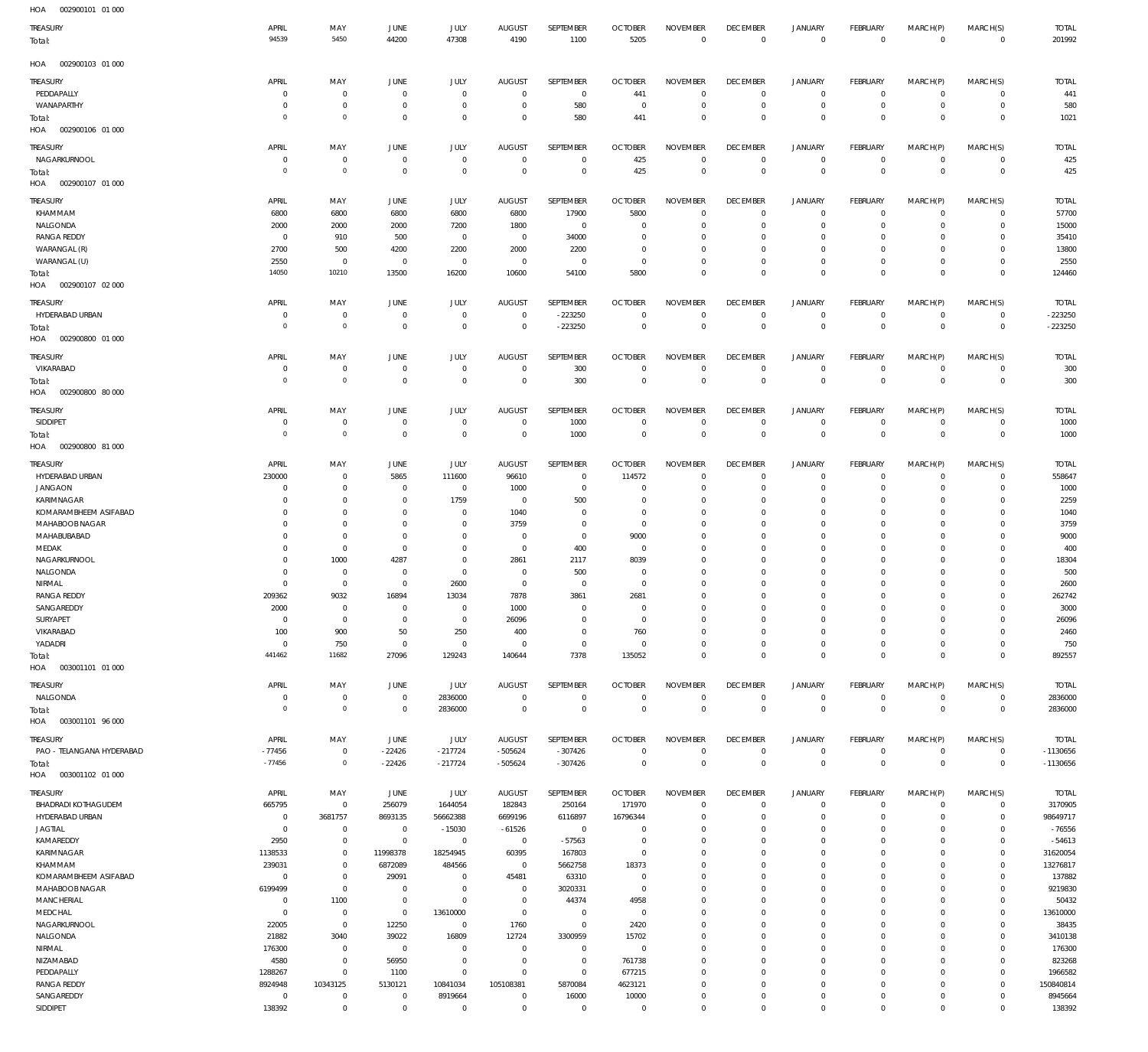| HOA<br>002900101 01 000                |                              |                            |                               |                            |                                 |                                  |                                  |                                   |                                   |                                    |                                |                            |                            |                         |
|----------------------------------------|------------------------------|----------------------------|-------------------------------|----------------------------|---------------------------------|----------------------------------|----------------------------------|-----------------------------------|-----------------------------------|------------------------------------|--------------------------------|----------------------------|----------------------------|-------------------------|
| TREASURY                               | APRIL                        | MAY                        | JUNE                          | JULY                       | <b>AUGUST</b>                   | SEPTEMBER                        | <b>OCTOBER</b>                   | <b>NOVEMBER</b>                   | <b>DECEMBER</b>                   | <b>JANUARY</b>                     | <b>FEBRUARY</b>                | MARCH(P)                   | MARCH(S)                   | <b>TOTAL</b>            |
| Total:                                 | 94539                        | 5450                       | 44200                         | 47308                      | 4190                            | 1100                             | 5205                             | $\mathbf 0$                       | $\overline{0}$                    | $\mathbf 0$                        | $\overline{0}$                 | $\mathbf 0$                | $\mathbf 0$                | 201992                  |
|                                        |                              |                            |                               |                            |                                 |                                  |                                  |                                   |                                   |                                    |                                |                            |                            |                         |
| 002900103 01 000<br>HOA                |                              |                            |                               |                            |                                 |                                  |                                  |                                   |                                   |                                    |                                |                            |                            |                         |
| Treasury                               | APRIL                        | MAY                        | JUNE                          | <b>JULY</b>                | <b>AUGUST</b>                   | SEPTEMBER                        | <b>OCTOBER</b>                   | <b>NOVEMBER</b>                   | <b>DECEMBER</b>                   | <b>JANUARY</b>                     | <b>FEBRUARY</b>                | MARCH(P)                   | MARCH(S)                   | <b>TOTAL</b>            |
| PEDDAPALLY                             | $\circ$                      | 0                          | $\overline{0}$                | $\circ$                    | $^{\circ}$                      | $\overline{0}$                   | 441                              | $\overline{0}$                    | $\overline{0}$                    | $\mathbf 0$                        | $\mathbf 0$                    | $\mathbf 0$                | $\mathbf 0$                | 441                     |
| WANAPARTHY                             | $\circ$<br>$\circ$           | 0<br>$\Omega$              | $\mathbf 0$<br>$\mathbf 0$    | $\circ$<br>$\Omega$        | $^{\circ}$<br>$^{\circ}$        | 580<br>580                       | $\overline{0}$<br>441            | $\mathbf 0$<br>$\mathbf 0$        | $\overline{0}$<br>$\overline{0}$  | $\overline{0}$<br>$\bf 0$          | $\mathbf 0$<br>$^{\circ}$      | 0<br>$\mathbf 0$           | $\mathbf 0$<br>$^{\circ}$  | 580<br>1021             |
| Total:<br>002900106 01 000<br>HOA      |                              |                            |                               |                            |                                 |                                  |                                  |                                   |                                   |                                    |                                |                            |                            |                         |
|                                        |                              |                            |                               |                            |                                 |                                  |                                  |                                   |                                   |                                    |                                |                            |                            |                         |
| TREASURY                               | APRIL                        | MAY                        | JUNE                          | JULY<br>$^{\circ}$         | <b>AUGUST</b><br>$^{\circ}$     | SEPTEMBER                        | <b>OCTOBER</b>                   | <b>NOVEMBER</b><br>$\overline{0}$ | <b>DECEMBER</b><br>$\overline{0}$ | <b>JANUARY</b><br>$\circ$          | <b>FEBRUARY</b><br>$\mathbf 0$ | MARCH(P)<br>$\mathbf 0$    | MARCH(S)                   | <b>TOTAL</b><br>425     |
| NAGARKURNOOL<br>Total:                 | $\circ$<br>$\circ$           | 0<br>$\overline{0}$        | $\overline{0}$<br>$\mathbf 0$ | $\overline{0}$             | $\Omega$                        | $\overline{0}$<br>$\mathbf 0$    | 425<br>425                       | $\overline{0}$                    | $\overline{0}$                    | $\mathbf 0$                        | $\mathbf{0}$                   | $\mathbf 0$                | $\mathbf 0$<br>$\mathbf 0$ | 425                     |
| HOA<br>002900107 01 000                |                              |                            |                               |                            |                                 |                                  |                                  |                                   |                                   |                                    |                                |                            |                            |                         |
|                                        |                              |                            |                               |                            |                                 |                                  |                                  |                                   |                                   |                                    |                                |                            |                            |                         |
| Treasury<br>KHAMMAM                    | APRIL<br>6800                | MAY<br>6800                | JUNE<br>6800                  | <b>JULY</b><br>6800        | <b>AUGUST</b><br>6800           | SEPTEMBER<br>17900               | <b>OCTOBER</b><br>5800           | <b>NOVEMBER</b><br>$\overline{0}$ | <b>DECEMBER</b><br>$\overline{0}$ | <b>JANUARY</b><br>$\mathbf 0$      | <b>FEBRUARY</b><br>$\mathbf 0$ | MARCH(P)<br>$\mathbf 0$    | MARCH(S)<br>$\mathbf 0$    | <b>TOTAL</b><br>57700   |
| NALGONDA                               | 2000                         | 2000                       | 2000                          | 7200                       | 1800                            | $\overline{0}$                   | $\overline{0}$                   | $^{\circ}$                        | $\overline{0}$                    | 0                                  | $^{\circ}$                     | 0                          | 0                          | 15000                   |
| <b>RANGA REDDY</b>                     | $^{\circ}$                   | 910                        | 500                           | $\circ$                    | $\mathbf 0$                     | 34000                            | $\overline{0}$                   | 0                                 | $^{\circ}$                        | $\mathbf 0$                        | 0                              | 0                          | 0                          | 35410                   |
| WARANGAL (R)                           | 2700                         | 500                        | 4200                          | 2200                       | 2000                            | 2200                             | $\overline{0}$                   | $\mathbf 0$                       | $\mathbf 0$                       | $\mathbf 0$                        | 0                              | 0                          | 0                          | 13800                   |
| WARANGAL (U)                           | 2550                         | $^{\circ}$                 | $\overline{0}$                | $\circ$                    | $\overline{0}$                  | $\overline{0}$                   | $\overline{0}$                   | $^{\circ}$                        | $\overline{0}$                    | $\mathbf 0$                        | $^{\circ}$                     | $\mathbf 0$                | $^{\circ}$                 | 2550                    |
| Total:                                 | 14050                        | 10210                      | 13500                         | 16200                      | 10600                           | 54100                            | 5800                             | $^{\circ}$                        | $\overline{0}$                    | $\mathbf 0$                        | $\mathbf{0}$                   | $\mathbf 0$                | $\mathbf{0}$               | 124460                  |
| HOA<br>002900107 02 000                |                              |                            |                               |                            |                                 |                                  |                                  |                                   |                                   |                                    |                                |                            |                            |                         |
| TREASURY                               | APRIL                        | MAY                        | JUNE                          | JULY                       | <b>AUGUST</b>                   | SEPTEMBER                        | <b>OCTOBER</b>                   | <b>NOVEMBER</b>                   | <b>DECEMBER</b>                   | <b>JANUARY</b>                     | <b>FEBRUARY</b>                | MARCH(P)                   | MARCH(S)                   | <b>TOTAL</b>            |
| HYDERABAD URBAN                        | $\circ$                      | 0                          | $\mathbf{0}$                  | $\circ$                    | $^{\circ}$                      | $-223250$                        | $\overline{0}$                   | $\overline{0}$                    | $\overline{0}$                    | $\mathbf 0$                        | $^{\circ}$                     | 0                          | 0                          | $-223250$               |
| Total:                                 | $\circ$                      | $\overline{0}$             | $\mathbf 0$                   | $^{\circ}$                 | $\mathbf 0$                     | $-223250$                        | $\overline{0}$                   | $\overline{0}$                    | $\overline{0}$                    | $\mathbf 0$                        | $\mathbf{0}$                   | $\mathbf 0$                | $\mathbf 0$                | $-223250$               |
| HOA   002900800   01   000             |                              |                            |                               |                            |                                 |                                  |                                  |                                   |                                   |                                    |                                |                            |                            |                         |
| TREASURY                               | APRIL                        | MAY                        | JUNE                          | JULY                       | <b>AUGUST</b>                   | SEPTEMBER                        | <b>OCTOBER</b>                   | <b>NOVEMBER</b>                   | <b>DECEMBER</b>                   | <b>JANUARY</b>                     | <b>FEBRUARY</b>                | MARCH(P)                   | MARCH(S)                   | <b>TOTAL</b>            |
| VIKARABAD                              | $\mathbf{0}$                 | $^{\circ}$                 | $\overline{0}$                | $^{\circ}$                 | $^{\circ}$                      | 300                              | $\overline{0}$                   | $\overline{0}$                    | $\overline{0}$                    | $\mathbf 0$                        | $\mathbf 0$                    | $\mathbf 0$                | $\mathbf 0$                | 300                     |
| Total:                                 | $\circ$                      | $\overline{0}$             | $\mathbf 0$                   | $^{\circ}$                 | $\overline{0}$                  | 300                              | $\overline{0}$                   | $\overline{0}$                    | $\overline{0}$                    | $\bf 0$                            | $\mathbf{0}$                   | $\mathbf 0$                | $\mathbf 0$                | 300                     |
| HOA<br>002900800 80 000                |                              |                            |                               |                            |                                 |                                  |                                  |                                   |                                   |                                    |                                |                            |                            |                         |
| <b>TREASURY</b>                        | APRIL                        | MAY                        | JUNE                          | JULY                       | <b>AUGUST</b>                   | SEPTEMBER                        | <b>OCTOBER</b>                   | <b>NOVEMBER</b>                   | <b>DECEMBER</b>                   | <b>JANUARY</b>                     | <b>FEBRUARY</b>                | MARCH(P)                   | MARCH(S)                   | <b>TOTAL</b>            |
| SIDDIPET                               | 0                            | $^{\circ}$                 | $\overline{0}$                | $^{\circ}$                 | $^{\circ}$                      | 1000                             | $\overline{0}$                   | $\mathbf 0$                       | $\mathbf 0$                       | $\mathbf 0$                        | $\mathbf 0$                    | $\mathbf 0$                | $\mathbf 0$                | 1000                    |
| rotal:                                 | $\mathbf 0$                  | $\overline{0}$             | $\mathbf 0$                   | $\overline{0}$             | $\mathbf 0$                     | 1000                             | $\overline{0}$                   | $\overline{0}$                    | $\overline{0}$                    | $\mathbb O$                        | $\overline{0}$                 | $\mathbf 0$                | $\mathbf{0}$               | 1000                    |
| HOA<br>002900800 81 000                |                              |                            |                               |                            |                                 |                                  |                                  |                                   |                                   |                                    |                                |                            |                            |                         |
| TREASURY                               | APRIL                        | MAY                        | JUNE                          | JULY                       | <b>AUGUST</b>                   | SEPTEMBER                        | <b>OCTOBER</b>                   | <b>NOVEMBER</b>                   | <b>DECEMBER</b>                   | <b>JANUARY</b>                     | <b>FEBRUARY</b>                | MARCH(P)                   | MARCH(S)                   | <b>TOTAL</b>            |
| HYDERABAD URBAN                        | 230000                       | $\Omega$                   | 5865                          | 111600                     | 96610                           | $\overline{0}$                   | 114572                           | $\overline{0}$                    | $\overline{0}$                    | $\mathbf 0$                        | $\mathbf 0$                    | $\mathbf 0$                | $\mathbf 0$                | 558647                  |
| <b>JANGAON</b>                         | $\circ$                      | 0                          | $\overline{0}$                | $\overline{0}$             | 1000                            | $\overline{0}$                   | $\overline{0}$                   | 0                                 | $\mathbf 0$                       | 0                                  | 0                              | 0                          | 0                          | 1000                    |
| KARIMNAGAR                             | $\Omega$                     | $\Omega$                   | $\mathbf 0$                   | 1759                       | $^{\circ}$                      | 500                              | $\overline{0}$                   | $\Omega$                          | $^{\circ}$                        | $\mathbf 0$                        | 0                              | 0                          | 0                          | 2259                    |
| KOMARAMBHEEM ASIFABAD                  | $^{\circ}$                   | $\Omega$                   | $\overline{0}$                | $\circ$                    | 1040                            | $\overline{0}$                   | $\overline{0}$                   | 0                                 | $\mathbf 0$                       | $\mathbf 0$                        | 0                              | 0                          | 0                          | 1040                    |
| MAHABOOB NAGAR<br>MAHABUBABAD          | $\mathbf 0$<br>$^{\circ}$    | $\Omega$<br>$\overline{0}$ | $\mathbf 0$<br>$\mathbf 0$    | $\circ$<br>$\Omega$        | 3759<br>- 0                     | $\overline{0}$<br>$\overline{0}$ | $\overline{0}$<br>9000           | $\mathbf 0$<br>$\mathbf 0$        | $\mathbf 0$<br>$\mathbf 0$        | $\mathbf 0$<br>$\mathbf 0$         | 0<br>0                         | 0<br>0                     | 0<br>0                     | 3759<br>9000            |
| MEDAK                                  | $\Omega$                     | $\overline{0}$             | $\mathbf 0$                   | $\Omega$                   | $\overline{0}$                  | 400                              | $\overline{0}$                   | $\Omega$                          | $\mathbf 0$                       | $\mathbf 0$                        | $^{\circ}$                     | 0                          | $\mathbf 0$                | 400                     |
| NAGARKURNOOL                           | $^{\circ}$                   | 1000                       | 4287                          | $\circ$                    | 2861                            | 2117                             | 8039                             | 0                                 | $\mathbf 0$                       | $\mathbf 0$                        | 0                              | 0                          | 0                          | 18304                   |
| NALGONDA                               | $\Omega$                     | $^{\circ}$                 | $\overline{0}$                | $\Omega$                   | $^{\circ}$                      | 500                              | $\overline{0}$                   | $\Omega$                          | $^{\circ}$                        | $\mathbf 0$                        | 0                              | 0                          | $\Omega$                   | 500                     |
| NIRMAL                                 | $\overline{0}$               | $\overline{0}$             | $\overline{0}$                | 2600                       | $^{\circ}$                      | $\overline{0}$                   | $\overline{0}$                   | $\mathbf 0$                       | $^{\circ}$                        | $\mathbf 0$                        | 0                              | $\circ$                    | 0                          | 2600                    |
| <b>RANGA REDDY</b>                     | 209362                       | 9032                       | 16894                         | 13034                      | 7878                            | 3861                             | 2681                             | $\Omega$                          | $\mathbf 0$                       | $\mathbf 0$                        | $\mathbf 0$                    | $\mathbf 0$                | $\mathbf 0$                | 262742                  |
| SANGAREDDY                             | 2000                         | $\Omega$                   | $\mathbf 0$                   | $\Omega$                   | 1000                            | 0                                | $\mathbf 0$                      | $\mathbf 0$                       | 0                                 | 0                                  | 0                              | 0                          | 0                          | 3000                    |
| SURYAPET                               | $\mathbf 0$                  | $\mathbf 0$                | $\overline{0}$                | $\overline{0}$             | 26096                           | $\mathbf 0$                      | $\overline{0}$                   | $\mathbf 0$                       | $\overline{0}$                    | $\mathbf 0$                        | $^{\circ}$                     | $\mathbf 0$                | $\mathbf 0$                | 26096                   |
| VIKARABAD<br>YADADRI                   | 100<br>$\mathbf 0$           | 900<br>750                 | 50<br>$\,0\,$                 | 250<br>$\overline{0}$      | 400<br>$\mathbf 0$              | $\overline{0}$<br>$\mathbf 0$    | 760<br>$\overline{0}$            | $\mathbf 0$<br>$\mathbf 0$        | $\overline{0}$<br>$\overline{0}$  | $\mathsf{O}\xspace$<br>$\mathbf 0$ | $^{\circ}$<br>$^{\circ}$       | $\mathbf 0$<br>$\mathbf 0$ | $\mathbf 0$<br>$\mathbf 0$ | 2460<br>750             |
| rotal:                                 | 441462                       | 11682                      | 27096                         | 129243                     | 140644                          | 7378                             | 135052                           | $\mathbf 0$                       | $\overline{0}$                    | $\mathsf{O}\xspace$                | $\mathbf 0$                    | $\mathbf 0$                | $\mathbf 0$                | 892557                  |
| HOA<br>003001101 01 000                |                              |                            |                               |                            |                                 |                                  |                                  |                                   |                                   |                                    |                                |                            |                            |                         |
|                                        | APRIL                        |                            |                               |                            |                                 |                                  |                                  | <b>NOVEMBER</b>                   |                                   |                                    |                                |                            |                            |                         |
| TREASURY<br>NALGONDA                   | $\overline{0}$               | MAY<br>$\overline{0}$      | JUNE<br>$\,0\,$               | JULY<br>2836000            | <b>AUGUST</b><br>$\overline{0}$ | SEPTEMBER<br>$\,0\,$             | <b>OCTOBER</b><br>$\overline{0}$ | $\overline{0}$                    | <b>DECEMBER</b><br>$\overline{0}$ | <b>JANUARY</b><br>$\overline{0}$   | <b>FEBRUARY</b><br>$\mathbf 0$ | MARCH(P)<br>$\mathbf 0$    | MARCH(S)<br>$\mathbf 0$    | <b>TOTAL</b><br>2836000 |
| Total:                                 | $^{\circ}$                   | $\overline{0}$             | $\mathbf 0$                   | 2836000                    | $\mathbf 0$                     | $\mathbf 0$                      | $\overline{0}$                   | $\overline{0}$                    | $\mathbf 0$                       | $\bf 0$                            | $\mathbf 0$                    | $\mathbf 0$                | $\mathbf 0$                | 2836000                 |
| HOA<br>003001101 96 000                |                              |                            |                               |                            |                                 |                                  |                                  |                                   |                                   |                                    |                                |                            |                            |                         |
| TREASURY                               | APRIL                        | MAY                        | JUNE                          | JULY                       |                                 | SEPTEMBER                        | <b>OCTOBER</b>                   | <b>NOVEMBER</b>                   | <b>DECEMBER</b>                   | <b>JANUARY</b>                     | <b>FEBRUARY</b>                | MARCH(P)                   | MARCH(S)                   | <b>TOTAL</b>            |
| PAO - TELANGANA HYDERABAD              | $-77456$                     | $^{\circ}$                 | -22426                        | $-217724$                  | AUGUST<br>$-505624$             | $-307426$                        | $\overline{0}$                   | $\overline{0}$                    | $\overline{0}$                    | $\overline{0}$                     | $\mathbf 0$                    | 0                          | $\mathbf 0$                | $-1130656$              |
| Total:                                 | $-77456$                     | $\overline{0}$             | $-22426$                      | $-217724$                  | -505624                         | $-307426$                        | $\mathbf 0$                      | $\overline{0}$                    | $\overline{0}$                    | $\mathbf 0$                        | $\overline{0}$                 | $\mathbf 0$                | $\mathbf 0$                | $-1130656$              |
| HOA<br>003001102 01 000                |                              |                            |                               |                            |                                 |                                  |                                  |                                   |                                   |                                    |                                |                            |                            |                         |
|                                        |                              |                            |                               | JULY                       |                                 |                                  |                                  | <b>NOVEMBER</b>                   | <b>DECEMBER</b>                   | <b>JANUARY</b>                     | FEBRUARY                       | MARCH(P)                   | MARCH(S)                   |                         |
| TREASURY<br><b>BHADRADI KOTHAGUDEM</b> | APRIL<br>665795              | MAY<br>$\mathbf 0$         | JUNE<br>256079                | 1644054                    | <b>AUGUST</b><br>182843         | SEPTEMBER<br>250164              | <b>OCTOBER</b><br>171970         | $\overline{0}$                    | $\overline{0}$                    | $\overline{0}$                     | $\mathbf 0$                    | $\mathbf 0$                | $\mathbf 0$                | <b>TOTAL</b><br>3170905 |
| HYDERABAD URBAN                        | $\mathbf 0$                  | 3681757                    | 8693135                       | 56662388                   | 6699196                         | 6116897                          | 16796344                         | $\mathbf 0$                       | $\mathbf 0$                       | $\mathbf 0$                        | $^{\circ}$                     | $\mathbf 0$                | $\mathbf 0$                | 98649717                |
| <b>JAGTIAL</b>                         | $\mathbf 0$                  | $\overline{0}$             | $\overline{0}$                | $-15030$                   | $-61526$                        | $\,0\,$                          | $\overline{0}$                   | $\mathbf 0$                       | $^{\circ}$                        | $\mathsf{O}\xspace$                | $^{\circ}$                     | $\Omega$                   | $\circ$                    | $-76556$                |
| KAMAREDDY                              | 2950                         | $\overline{0}$             | $\mathbf 0$                   | $\circ$                    | $\overline{0}$                  | $-57563$                         | $\overline{0}$                   | $^{\circ}$                        | $\mathbf 0$                       | $\mathbf 0$                        | $^{\circ}$                     | $\mathbf 0$                | $\mathbf 0$                | $-54613$                |
| KARIMNAGAR                             | 1138533                      | $\overline{0}$             | 11998378                      | 18254945                   | 60395                           | 167803                           | $\overline{0}$                   | $\Omega$                          | $\mathbf 0$                       | $\mathbf 0$                        | 0                              | $\Omega$                   | 0                          | 31620054                |
| KHAMMAM                                | 239031                       | $\overline{0}$             | 6872089                       | 484566                     | $\overline{0}$                  | 5662758                          | 18373                            | $\mathbf 0$                       | $\mathbf 0$                       | $\mathbf 0$                        | $^{\circ}$                     | $\mathbf 0$                | $\mathbf 0$                | 13276817                |
| KOMARAMBHEEM ASIFABAD                  | $\overline{0}$               | $\overline{0}$             | 29091                         | $\Omega$                   | 45481                           | 63310                            | $\overline{0}$                   | $\mathbf 0$                       | $\mathbf 0$                       | $\mathbf 0$                        | $^{\circ}$                     | $\mathbf 0$                | 0                          | 137882                  |
| MAHABOOB NAGAR                         | 6199499                      | $\overline{0}$             | $\overline{0}$                | $\Omega$                   | $\mathbf 0$                     | 3020331                          | $\overline{0}$                   | $\mathbf 0$                       | $\mathbf 0$                       | $\mathbf 0$                        | $^{\circ}$                     | $\Omega$                   | $^{\circ}$                 | 9219830                 |
| <b>MANCHERIAL</b><br>MEDCHAL           | $\overline{0}$<br>$^{\circ}$ | 1100<br>$\overline{0}$     | $\mathbf 0$<br>$\mathbf 0$    | $\overline{0}$<br>13610000 | $\overline{0}$<br>$\mathbf 0$   | 44374<br>$\overline{0}$          | 4958<br>$\overline{0}$           | $\mathbf 0$<br>$\mathbf 0$        | $\mathbf 0$<br>$\mathbf 0$        | $\mathbf 0$<br>$\mathbf 0$         | $^{\circ}$<br>$^{\circ}$       | $\mathbf 0$<br>$\mathbf 0$ | 0<br>$\mathbf 0$           | 50432<br>13610000       |
| NAGARKURNOOL                           | 22005                        | $\overline{0}$             | 12250                         | $\overline{0}$             | 1760                            | $\mathbf 0$                      | 2420                             | $\Omega$                          | $\mathbf 0$                       | $\mathbf 0$                        | $^{\circ}$                     | $\Omega$                   | 0                          | 38435                   |
| NALGONDA                               | 21882                        | 3040                       | 39022                         | 16809                      | 12724                           | 3300959                          | 15702                            | $\mathbf 0$                       | $\mathbf 0$                       | $\mathbf 0$                        | $^{\circ}$                     | $\mathbf 0$                | $\mathbf 0$                | 3410138                 |
| NIRMAL                                 | 176300                       | $\overline{0}$             | $\overline{0}$                | $\Omega$                   | $\overline{0}$                  | $\overline{0}$                   | $\overline{0}$                   | $\mathbf 0$                       | $\mathbf 0$                       | $\mathbf 0$                        | 0                              | $\mathbf 0$                | 0                          | 176300                  |
| NIZAMABAD                              | 4580                         | $\overline{0}$             | 56950                         | $\Omega$                   | $\overline{0}$                  | $\mathbf 0$                      | 761738                           | $\mathbf 0$                       | $\mathbf 0$                       | $\mathbf 0$                        | $^{\circ}$                     | $\Omega$                   | 0                          | 823268                  |
| PEDDAPALLY                             | 1288267                      | $\mathbf 0$                | 1100                          | $\Omega$                   | $\mathbf 0$                     | $\mathbf 0$                      | 677215                           | $\mathbf 0$                       | $\mathbf 0$                       | $\mathbf 0$                        | $^{\circ}$                     | $\Omega$                   | $\circ$                    | 1966582                 |
| <b>RANGA REDDY</b>                     | 8924948                      | 10343125                   | 5130121                       | 10841034                   | 105108381                       | 5870084                          | 4623121                          | $\mathbf 0$                       | $\mathbf 0$                       | $\mathbf 0$                        | $^{\circ}$                     | $\mathbf 0$                | $\mathbf 0$                | 150840814               |
| SANGAREDDY                             | $\,0\,$                      | $\mathbf 0$                | $\mathbf 0$                   | 8919664                    | $\overline{0}$                  | 16000                            | 10000                            | $\mathbf 0$                       | $\mathbf 0$                       | $\mathsf{O}\xspace$                | $\mathbf 0$                    | $\mathbf 0$                | $\mathbf 0$                | 8945664                 |
| SIDDIPET                               | 138392                       | $\overline{0}$             | $\overline{0}$                | $\overline{0}$             | $\overline{0}$                  | $\,0\,$                          | $\overline{0}$                   | $\,0\,$                           | $\overline{0}$                    | $\mathbf 0$                        | $\mathbf 0$                    | $\mathbf 0$                | $\mathsf{O}$               | 138392                  |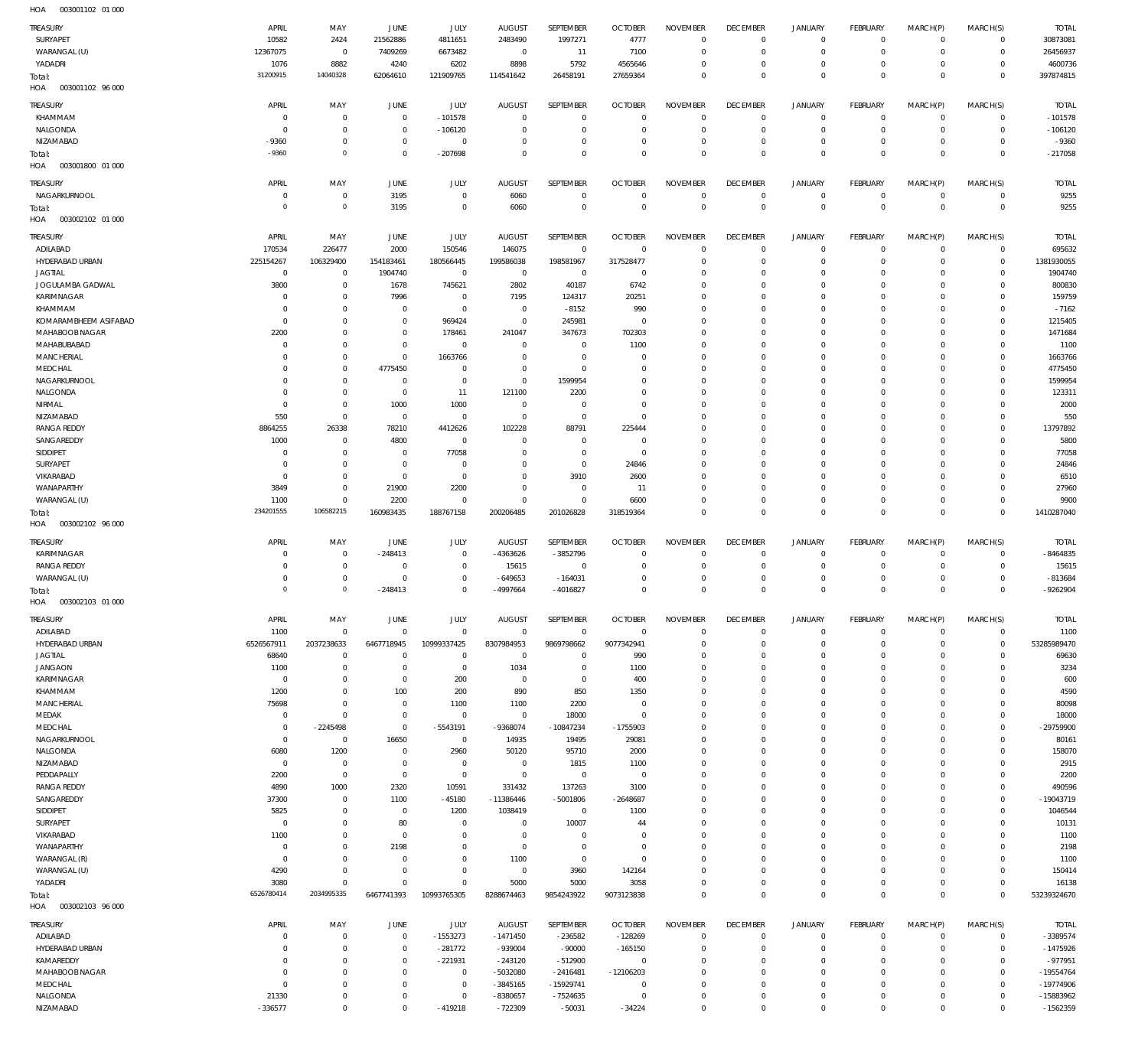| <b>TREASURY</b><br>SURYAPET       | APRIL<br>10582         | MAY<br>2424                   | JUNE<br>21562886             | JULY<br>4811651               | <b>AUGUST</b><br>2483490         | SEPTEMBER<br>1997271             | <b>OCTOBER</b><br>4777         | <b>NOVEMBER</b><br>$\mathbf{0}$  | <b>DECEMBER</b><br>$^{\circ}$     | <b>JANUARY</b><br>0           | FEBRUARY<br>$^{\circ}$        | MARCH(P)<br>$\mathbf 0$    | MARCH(S)<br>$\mathbf 0$    | <b>TOTAL</b><br>30873081   |
|-----------------------------------|------------------------|-------------------------------|------------------------------|-------------------------------|----------------------------------|----------------------------------|--------------------------------|----------------------------------|-----------------------------------|-------------------------------|-------------------------------|----------------------------|----------------------------|----------------------------|
| WARANGAL (U)                      | 12367075               | $\mathbf 0$<br>8882           | 7409269                      | 6673482                       | $\overline{0}$<br>8898           | 11                               | 7100                           | $\mathbf{0}$<br>$^{\circ}$       | $\overline{0}$<br>$\overline{0}$  | $\mathbf 0$<br>$\mathbf 0$    | $^{\circ}$<br>$^{\circ}$      | $\mathbf 0$<br>$\mathbf 0$ | 0<br>$\mathbf 0$           | 26456937<br>4600736        |
| YADADRI<br>Total:                 | 1076<br>31200915       | 14040328                      | 4240<br>62064610             | 6202<br>121909765             | 114541642                        | 5792<br>26458191                 | 4565646<br>27659364            | $\mathbf 0$                      | $^{\circ}$                        | $\mathbf 0$                   | $\mathbf 0$                   | $\mathbf 0$                | $\mathbf 0$                | 397874815                  |
| 003001102 96 000<br>HOA           |                        |                               |                              |                               |                                  |                                  |                                |                                  |                                   |                               |                               |                            |                            |                            |
| <b>TREASURY</b>                   | APRIL                  | MAY                           | JUNE                         | JULY                          | <b>AUGUST</b>                    | <b>SEPTEMBER</b>                 | <b>OCTOBER</b>                 | <b>NOVEMBER</b>                  | <b>DECEMBER</b>                   | <b>JANUARY</b>                | <b>FEBRUARY</b>               | MARCH(P)                   | MARCH(S)                   | <b>TOTAL</b>               |
| KHAMMAM<br>NALGONDA               | $\Omega$<br>$\Omega$   | $\overline{0}$<br>$\mathbf 0$ | $\Omega$<br>$^{\circ}$       | $-101578$<br>$-106120$        | $^{\circ}$<br>0                  | $\overline{0}$<br>$\mathbb O$    | $\mathbf{0}$<br>$^{\circ}$     | $\mathbf 0$<br>$\mathbf{0}$      | $^{\circ}$<br>$^{\circ}$          | $\mathbf 0$<br>$\mathbf 0$    | $^{\circ}$<br>$^{\circ}$      | $\mathbf 0$<br>$\mathbf 0$ | $\mathbf 0$<br>$\mathbf 0$ | $-101578$<br>$-106120$     |
| NIZAMABAD                         | -9360                  | $\mathbf 0$                   | $\mathbf{0}$                 | $\mathbf 0$                   | $\Omega$                         | $\overline{0}$                   | $\mathbf 0$                    | $\mathbf{0}$                     | $\overline{0}$                    | $\mathbf 0$                   | $^{\circ}$                    | $\mathbf 0$                | $\mathbf 0$                | $-9360$                    |
| Total:                            | $-9360$                | $\circ$                       | $\mathbf{0}$                 | $-207698$                     | $\Omega$                         | $\mathbb O$                      | $\Omega$                       | $\mathbb O$                      | $\mathbf{0}$                      | $\mathsf 0$                   | $\mathbf 0$                   | $\mathbf 0$                | $\mathbf 0$                | $-217058$                  |
| HOA<br>003001800 01 000           |                        |                               |                              |                               |                                  |                                  |                                |                                  |                                   |                               |                               |                            |                            |                            |
| TREASURY                          | APRIL                  | MAY                           | JUNE                         | JULY                          | <b>AUGUST</b>                    | SEPTEMBER                        | <b>OCTOBER</b>                 | <b>NOVEMBER</b>                  | <b>DECEMBER</b>                   | <b>JANUARY</b>                | <b>FEBRUARY</b>               | MARCH(P)                   | MARCH(S)                   | <b>TOTAL</b>               |
| NAGARKURNOOL<br>Total:            | $\circ$<br>$\Omega$    | $\overline{0}$<br>$\circ$     | 3195<br>3195                 | $\mathbf 0$<br>$\mathbf 0$    | 6060<br>6060                     | $\mathbb O$<br>$\mathbb O$       | $\mathbf{0}$<br>$\mathbf{0}$   | $\mathbf 0$<br>$\mathbb O$       | $\mathbf 0$<br>$\mathbf{0}$       | $\mathbf 0$<br>$\mathsf 0$    | $\circ$<br>$\overline{0}$     | $\mathbf 0$<br>$\mathbf 0$ | $\mathbf 0$<br>$\mathbf 0$ | 9255<br>9255               |
| HOA<br>003002102 01 000           |                        |                               |                              |                               |                                  |                                  |                                |                                  |                                   |                               |                               |                            |                            |                            |
| <b>TREASURY</b>                   | APRIL                  | MAY                           | JUNE                         | JULY                          | <b>AUGUST</b>                    | SEPTEMBER                        | <b>OCTOBER</b>                 | <b>NOVEMBER</b>                  | <b>DECEMBER</b>                   | <b>JANUARY</b>                | <b>FEBRUARY</b>               | MARCH(P)                   | MARCH(S)                   | <b>TOTAL</b>               |
| ADILABAD                          | 170534                 | 226477                        | 2000                         | 150546                        | 146075                           | $\overline{0}$                   | $\mathbf{0}$                   | $^{\circ}$                       | $^{\circ}$                        | $\mathbf 0$                   | $^{\circ}$                    | $\mathbf 0$                | $\mathbf 0$                | 695632                     |
| HYDERABAD URBAN<br><b>JAGTIAL</b> | 225154267              | 106329400                     | 154183461                    | 180566445                     | 199586038                        | 198581967                        | 317528477<br>$^{\circ}$        | $\mathbf{0}$                     | $\overline{0}$                    | $\mathbf 0$<br>$\mathbf 0$    | $^{\circ}$                    | $\mathbf 0$<br>$\mathbf 0$ | $\mathbf 0$<br>$\mathbf 0$ | 1381930055<br>1904740      |
| JOGULAMBA GADWAL                  | $\overline{0}$<br>3800 | $\overline{0}$<br>$\mathbf 0$ | 1904740<br>1678              | $\overline{0}$<br>745621      | $\overline{0}$<br>2802           | $\mathbf 0$<br>40187             | 6742                           | $\overline{0}$<br>$\mathbf 0$    | 0<br>0                            | $\mathbf 0$                   | $^{\circ}$<br>$^{\circ}$      | $\mathbf 0$                | $^{\circ}$                 | 800830                     |
| KARIMNAGAR                        | $\circ$                | $\mathbf 0$                   | 7996                         | $\overline{0}$                | 7195                             | 124317                           | 20251                          | $\overline{0}$                   | 0                                 | $\mathbf 0$                   | $^{\circ}$                    | $\mathbf 0$                | $\mathbf 0$                | 159759                     |
| KHAMMAM                           | $\circ$                | $\mathbf{0}$                  | $^{\circ}$                   | $\overline{0}$                | $\overline{0}$                   | $-8152$                          | 990                            | $\mathbf 0$                      | 0                                 | $\mathbf 0$                   | $^{\circ}$                    | $\mathbf 0$                | $^{\circ}$                 | $-7162$                    |
| KOMARAMBHEEM ASIFABAD             | $\circ$                | $\mathbf{0}$                  | $\mathbf{0}$                 | 969424                        | $\overline{0}$                   | 245981                           | $\overline{0}$                 | $\overline{0}$                   | 0                                 | $\mathbf 0$                   | $^{\circ}$                    | $\mathbf 0$                | $\mathbf 0$                | 1215405                    |
| MAHABOOB NAGAR                    | 2200                   | $\mathbf{0}$                  | $^{\circ}$                   | 178461                        | 241047                           | 347673                           | 702303                         | $\overline{0}$                   | 0                                 | $\mathbf 0$                   | $^{\circ}$                    | $\mathbf 0$                | $^{\circ}$                 | 1471684                    |
| MAHABUBABAD<br>MANCHERIAL         | $\Omega$<br>$\circ$    | $\mathbf{0}$<br>$\mathbf{0}$  | $\Omega$<br>$\mathbf{0}$     | $\overline{0}$<br>1663766     | $^{\circ}$<br>0                  | $\overline{0}$<br>$\overline{0}$ | 1100<br>$\overline{0}$         | $\overline{0}$<br>$\overline{0}$ | 0<br>0                            | $\mathbf 0$<br>$\mathbf 0$    | $^{\circ}$<br>$^{\circ}$      | $\mathbf 0$<br>$\mathbf 0$ | $\mathbf 0$<br>$^{\circ}$  | 1100<br>1663766            |
| MEDCHAL                           | $\Omega$               | $\mathbf{0}$                  | 4775450                      | $\mathbf 0$                   | 0                                | $\mathbf 0$                      | 0                              | $\overline{0}$                   | 0                                 | $\mathbf 0$                   | $^{\circ}$                    | $\mathbf 0$                | $^{\circ}$                 | 4775450                    |
| NAGARKURNOOL                      | $\circ$                | $\mathbf 0$                   | $\Omega$                     | $\overline{0}$                | $\overline{0}$                   | 1599954                          | $\mathbf 0$                    | $\mathbf 0$                      | 0                                 | $\mathbf 0$                   | $^{\circ}$                    | $\mathbf 0$                | $\mathbf 0$                | 1599954                    |
| NALGONDA                          | $\circ$                | $\mathbf 0$                   | $\overline{0}$               | 11                            | 121100                           | 2200                             | 0                              | $\overline{0}$                   | 0                                 | $\mathbf 0$                   | $^{\circ}$                    | $\mathbf 0$                | $\mathbf 0$                | 123311                     |
| NIRMAL                            | $^{\circ}$             | $\mathbf 0$                   | 1000                         | 1000                          | $\overline{0}$                   | $\overline{0}$                   | $\mathbf 0$                    | $\overline{0}$                   | 0                                 | $\mathbf 0$                   | $^{\circ}$                    | $\mathbf 0$                | $\mathbf 0$                | 2000                       |
| NIZAMABAD                         | 550                    | $\mathbf 0$                   | $\overline{0}$               | $\overline{0}$                | $\overline{0}$                   | $\mathbb O$                      | $\overline{0}$                 | $\overline{0}$                   | 0                                 | $\mathbf 0$                   | $^{\circ}$                    | $\mathbf 0$                | $\mathbf 0$                | 550                        |
| <b>RANGA REDDY</b><br>SANGAREDDY  | 8864255<br>1000        | 26338<br>$\overline{0}$       | 78210<br>4800                | 4412626<br>$\overline{0}$     | 102228<br>$\Omega$               | 88791<br>$\overline{0}$          | 225444<br>$^{\circ}$           | $\mathbf 0$<br>$\overline{0}$    | 0<br>0                            | $\mathbf 0$<br>$\mathbf 0$    | $^{\circ}$<br>$^{\circ}$      | $\mathbf 0$<br>$\mathbf 0$ | $\mathbf 0$<br>$\mathbf 0$ | 13797892<br>5800           |
| SIDDIPET                          | $\circ$                | $^{\circ}$                    | $\mathbf{0}$                 | 77058                         | 0                                | $\overline{0}$                   | $^{\circ}$                     | $^{\circ}$                       | 0                                 | $\mathbf 0$                   | $^{\circ}$                    | $\mathbf 0$                | $^{\circ}$                 | 77058                      |
| SURYAPET                          | $\Omega$               | $\mathbf 0$                   | $\overline{0}$               | $\overline{0}$                | 0                                | $\mathbb O$                      | 24846                          | $\overline{0}$                   | 0                                 | $\mathbf 0$                   | $^{\circ}$                    | $\mathbf 0$                | $\mathbf 0$                | 24846                      |
| VIKARABAD                         | $\circ$                | $\mathbf 0$                   | $\overline{0}$               | $\mathbf 0$                   | 0                                | 3910                             | 2600                           | $\mathbf 0$                      | 0                                 | $\mathbf 0$                   | 0                             | $\mathbf 0$                | $^{\circ}$                 | 6510                       |
| WANAPARTHY                        | 3849                   | $\mathbf 0$                   | 21900                        | 2200                          | $\Omega$                         | $\mathbb O$                      | 11                             | $\overline{0}$                   | $\mathbf 0$                       | $\mathbf 0$                   | $^{\circ}$                    | $\mathbf 0$                | $\mathbf 0$                | 27960                      |
| WARANGAL (U)                      | 1100<br>234201555      | $\mathbf 0$<br>106582215      | 2200                         | $\overline{0}$                | $\mathbf 0$                      | $\mathbb O$                      | 6600                           | $\overline{0}$                   | $^{\circ}$<br>$\mathbf{0}$        | $\mathbf 0$<br>$\mathsf 0$    | $^{\circ}$<br>$\mathbf 0$     | $\mathbf 0$<br>$\mathbf 0$ | $\mathbf 0$<br>$\mathbf 0$ | 9900                       |
| Total:                            |                        |                               | 160983435                    | 188767158                     | 200206485                        | 201026828                        | 318519364                      | $\mathbf 0$                      |                                   |                               |                               |                            |                            | 1410287040                 |
| HOA<br>003002102 96 000           |                        |                               |                              |                               |                                  |                                  |                                |                                  |                                   |                               |                               |                            |                            |                            |
| <b>TREASURY</b>                   | APRIL                  | MAY                           | JUNE                         | JULY                          | <b>AUGUST</b>                    | SEPTEMBER                        | <b>OCTOBER</b>                 | <b>NOVEMBER</b>                  | <b>DECEMBER</b>                   | <b>JANUARY</b>                | <b>FEBRUARY</b>               | MARCH(P)                   | MARCH(S)                   | <b>TOTAL</b>               |
| KARIMNAGAR                        | - 0                    | $\overline{0}$                | $-248413$                    | $\overline{0}$                | -4363626                         | $-3852796$                       | $\overline{0}$                 | $^{\circ}$                       | 0                                 | $\mathbf 0$                   | $^{\circ}$                    | $^{\circ}$                 | $\mathbf 0$                | -8464835                   |
| <b>RANGA REDDY</b>                | $\Omega$               | $\mathbf 0$                   | $\Omega$                     | $\mathbf 0$                   | 15615                            | $\overline{0}$                   | C                              | $^{\circ}$                       | 0                                 | $\mathbf 0$                   | 0                             | $\mathbf 0$                | $^{\circ}$                 | 15615                      |
| WARANGAL (U)                      | $\Omega$               | $\mathbf 0$                   | 0                            | $\mathbf 0$                   | $-649653$                        | $-164031$                        | 0                              | $^{\circ}$                       | 0                                 | $\mathbf 0$                   | $^{\circ}$                    | $\mathbf 0$                | $^{\circ}$                 | $-813684$                  |
| Total:<br>HOA<br>003002103 01 000 | $\Omega$               | $\circ$                       | $-248413$                    | $\mathbf 0$                   | -4997664                         | $-4016827$                       | $\mathbf 0$                    | $\mathbf 0$                      | $\mathbf{0}$                      | $\mathsf 0$                   | $\mathbf 0$                   | $\mathbf 0$                | $\mathbf 0$                | -9262904                   |
|                                   |                        |                               |                              |                               |                                  |                                  |                                |                                  |                                   |                               |                               |                            |                            |                            |
| <b>TREASURY</b><br>ADILABAD       | APRIL<br>1100          | MAY<br>$\mathbf 0$            | JUNE<br>$\Omega$             | <b>JULY</b><br>$\mathbf 0$    | <b>AUGUST</b><br>$\mathbf 0$     | SEPTEMBER<br>$\mathbf 0$         | <b>OCTOBER</b><br>$\mathbf{0}$ | <b>NOVEMBER</b><br>$\mathbf 0$   | <b>DECEMBER</b><br>$\mathbf{0}$   | <b>JANUARY</b><br>0           | FEBRUARY<br>$^{\circ}$        | MARCH(P)<br>$\mathbf 0$    | MARCH(S)<br>$\mathbf 0$    | <b>TOTAL</b><br>1100       |
| HYDERABAD URBAN                   | 6526567911             | 2037238633                    | 6467718945                   | 10999337425                   | 8307984953                       | 9869798662                       | 9077342941                     | $\mathbf{0}$                     | $\overline{0}$                    | $\mathbf 0$                   | $^{\circ}$                    | $\mathbf 0$                | $\mathbf 0$                | 53285989470                |
| <b>JAGTIAL</b>                    | 68640                  | $\overline{0}$                | $\Omega$                     | $\mathbf 0$                   | $\overline{0}$                   | $\overline{0}$                   | 990                            | $^{\circ}$                       | 0                                 | $\mathbf 0$                   | $^{\circ}$                    | $\mathbf 0$                | $\mathbf 0$                | 69630                      |
| <b>JANGAON</b>                    | 1100                   | $\overline{0}$                | $^{\circ}$                   | $\overline{0}$                | 1034                             | $\overline{0}$                   | 1100                           | $\mathbf 0$                      | $\circ$                           | $\mathbf 0$                   | $^{\circ}$                    | $\mathbf 0$                | $\mathbf 0$                | 3234                       |
| KARIMNAGAR                        | $\Omega$               | $\mathbf 0$                   | $^{\circ}$                   | 200                           | $^{\circ}$                       | $\mathbb O$                      | 400                            | $\overline{0}$                   | 0                                 | $\mathbf 0$                   | 0                             | $\mathbf 0$                | $\mathbf 0$                | 600                        |
| KHAMMAM<br><b>MANCHERIAL</b>      | 1200<br>75698          | $\mathbf 0$<br>$\mathbf 0$    | 100<br>$\mathbf{0}$          | 200<br>1100                   | 890<br>1100                      | 850<br>2200                      | 1350<br>$^{\circ}$             | $\mathbb O$<br>$\overline{0}$    | 0<br>0                            | $\mathbf 0$<br>$\mathbf 0$    | $^{\circ}$<br>$^{\circ}$      | $\mathbf 0$<br>$\mathbf 0$ | $\mathbf 0$<br>$\mathbf 0$ | 4590<br>80098              |
| MEDAK                             | $\circ$                | $\mathbf 0$                   | $\Omega$                     | $\mathbf 0$                   | $\overline{0}$                   | 18000                            | $\mathbf{0}$                   | $\mathbb O$                      | 0                                 | $\mathbf 0$                   | $^{\circ}$                    | $\mathbf 0$                | $\mathbf 0$                | 18000                      |
| MEDCHAL                           | $^{\circ}$             | $-2245498$                    | $\Omega$                     | $-5543191$                    | -9368074                         | $-10847234$                      | $-1755903$                     | $\overline{0}$                   | 0                                 | $\mathbf 0$                   | $^{\circ}$                    | $\mathbf 0$                | $\mathbf 0$                | $-29759900$                |
| NAGARKURNOOL                      | $^{\circ}$             | $\mathbf 0$                   | 16650                        | $\overline{0}$                | 14935                            | 19495                            | 29081                          | $\mathbf 0$                      | 0                                 | $\mathbf 0$                   | $^{\circ}$                    | $\mathbf 0$                | $\mathbf 0$                | 80161                      |
| NALGONDA                          | 6080<br>$^{\circ}$     | 1200                          | $\overline{0}$<br>$^{\circ}$ | 2960                          | 50120                            | 95710                            | 2000                           | $\mathbf 0$                      | $^{\circ}$<br>0                   | $\mathbf 0$<br>$\mathbf 0$    | $^{\circ}$<br>$^{\circ}$      | $\mathbf 0$<br>$\mathbf 0$ | $\mathbf 0$<br>$\mathbf 0$ | 158070                     |
| NIZAMABAD<br>PEDDAPALLY           | 2200                   | $\overline{0}$<br>$\mathbf 0$ | $\overline{0}$               | $\overline{0}$<br>$\mathbf 0$ | $\overline{0}$<br>$\overline{0}$ | 1815<br>$\mathbf 0$              | 1100<br>$^{\circ}$             | $\overline{0}$<br>$\mathbf 0$    | 0                                 | $\mathbf 0$                   | $^{\circ}$                    | $\mathbf 0$                | $\mathbf 0$                | 2915<br>2200               |
| <b>RANGA REDDY</b>                | 4890                   | 1000                          | 2320                         | 10591                         | 331432                           | 137263                           | 3100                           | $\overline{0}$                   | 0                                 | $\mathbf 0$                   | $^{\circ}$                    | $\mathbf 0$                | $\mathbf 0$                | 490596                     |
| SANGAREDDY                        | 37300                  | $\mathbf 0$                   | 1100                         | $-45180$                      | $-11386446$                      | $-5001806$                       | $-2648687$                     | $\mathbf 0$                      | $\mathbf 0$                       | $\mathbf 0$                   | $^{\circ}$                    | $\mathbf 0$                | $\mathbf 0$                | $-19043719$                |
| SIDDIPET                          | 5825                   | $\mathbf 0$                   | $\overline{0}$               | 1200                          | 1038419                          | $\mathbf 0$                      | 1100                           | $\overline{0}$                   | 0                                 | $\mathbf 0$                   | $^{\circ}$                    | $\mathbf 0$                | $\mathbf 0$                | 1046544                    |
| SURYAPET                          | $\circ$                | $\mathbf{0}$                  | 80                           | $\mathbf 0$                   | $\overline{0}$                   | 10007                            | 44                             | $\overline{0}$                   | 0                                 | $\mathbf 0$                   | $^{\circ}$                    | $\mathbf 0$                | $\mathbf 0$                | 10131                      |
| VIKARABAD                         | 1100<br>$^{\circ}$     | $\mathbf{0}$<br>$\mathbf{0}$  | $\mathbf{0}$                 | $\mathbf 0$<br>$\mathbf 0$    | 0<br>$\mathbf 0$                 | $\overline{0}$                   | $^{\circ}$<br>$^{\circ}$       | $\mathbb O$                      | 0<br>0                            | $\mathbf 0$<br>$\mathbf 0$    | $^{\circ}$<br>$^{\circ}$      | $\mathbf 0$<br>$\mathbf 0$ | $\mathbf 0$<br>$\mathbf 0$ | 1100                       |
| WANAPARTHY<br>WARANGAL (R)        | $\mathbf{0}$           | $\mathbf{0}$                  | 2198<br>$\Omega$             | $\mathbf 0$                   | 1100                             | $\mathbb O$<br>$\mathbb O$       | $\overline{0}$                 | $\overline{0}$<br>$\mathbb O$    | 0                                 | $\mathbf 0$                   | $^{\circ}$                    | $\mathbf 0$                | $\mathbf 0$                | 2198<br>1100               |
| WARANGAL (U)                      | 4290                   | $\mathbf{0}$                  | $\Omega$                     | $\mathbf 0$                   | $\overline{0}$                   | 3960                             | 142164                         | $\overline{0}$                   | $^{\circ}$                        | $\mathbf 0$                   | 0                             | $\mathbf 0$                | $\mathbf 0$                | 150414                     |
| YADADRI                           | 3080                   | $\overline{0}$                | $\Omega$                     | $\Omega$                      | 5000                             | 5000                             | 3058                           | $\mathbb O$                      | $^{\circ}$                        | $\mathbf 0$                   | $^{\circ}$                    | $\mathbf 0$                | $\mathbf 0$                | 16138                      |
| Total:<br>HOA<br>003002103 96 000 | 6526780414             | 2034995335                    | 6467741393                   | 10993765305                   | 8288674463                       | 9854243922                       | 9073123838                     | $\mathbb O$                      | $\mathbf 0$                       | $\mathsf 0$                   | $\mathbf 0$                   | $\mathbf 0$                | $\mathbf 0$                | 53239324670                |
|                                   | APRIL                  |                               |                              |                               |                                  |                                  |                                |                                  |                                   |                               |                               |                            |                            |                            |
| <b>TREASURY</b><br>ADILABAD       | - 0                    | MAY<br>$^{\circ}$             | JUNE<br>$^{\circ}$           | JULY<br>$-1553273$            | AUGUST<br>$-1471450$             | SEPTEMBER<br>$-236582$           | <b>OCTOBER</b><br>$-128269$    | <b>NOVEMBER</b><br>$\mathbf{0}$  | <b>DECEMBER</b><br>$\overline{0}$ | <b>JANUARY</b><br>$\mathbf 0$ | <b>FEBRUARY</b><br>$^{\circ}$ | MARCH(P)<br>0              | MARCH(S)<br>0              | <b>TOTAL</b><br>$-3389574$ |
| HYDERABAD URBAN                   | $\Omega$               | $\mathbf{0}$                  | $^{\circ}$                   | $-281772$                     | $-939004$                        | $-90000$                         | $-165150$                      | $^{\circ}$                       | 0                                 | $\mathbf 0$                   | $^{\circ}$                    | $\mathbf 0$                | $\mathbf 0$                | $-1475926$                 |
| KAMAREDDY                         |                        | $\mathbf{0}$                  | $\Omega$                     | $-221931$                     | $-243120$                        | $-512900$                        | $\overline{0}$                 | $^{\circ}$                       | 0                                 | $\mathbf 0$                   | 0                             | $\mathbf 0$                | $\mathbf 0$                | $-977951$                  |
| MAHABOOB NAGAR                    | $\Omega$               | $\mathbf{0}$                  | $\Omega$                     | $\mathbf 0$                   | $-5032080$                       | $-2416481$                       | $-12106203$                    | $\overline{0}$                   | 0                                 | $\mathbf 0$                   | $^{\circ}$                    | $\mathbf 0$                | $\mathbf 0$                | $-19554764$                |
| MEDCHAL                           | $\circ$                | $\mathbf{0}$                  | $\Omega$                     | $\mathbf 0$                   | $-3845165$                       | $-15929741$                      | $\overline{0}$                 | $\overline{0}$                   | 0                                 | $\mathbf 0$                   | $^{\circ}$                    | $\mathbf 0$                | $\mathbf 0$                | $-19774906$                |
| NALGONDA<br>NIZAMABAD             | 21330<br>$-336577$     | $^{\circ}$<br>$\mathbf{0}$    | $\Omega$                     | $\mathbf 0$<br>$-419218$      | $-8380657$<br>$-722309$          | $-7524635$<br>$-50031$           | C<br>$-34224$                  | $\overline{0}$<br>$\mathbf 0$    | 0<br>$\mathbf{0}$                 | $\mathbf 0$<br>$\mathbf 0$    | 0<br>$\mathbf 0$              | $\mathbf 0$<br>$\mathbf 0$ | $\mathbf 0$<br>$\mathbf 0$ | $-15883962$<br>$-1562359$  |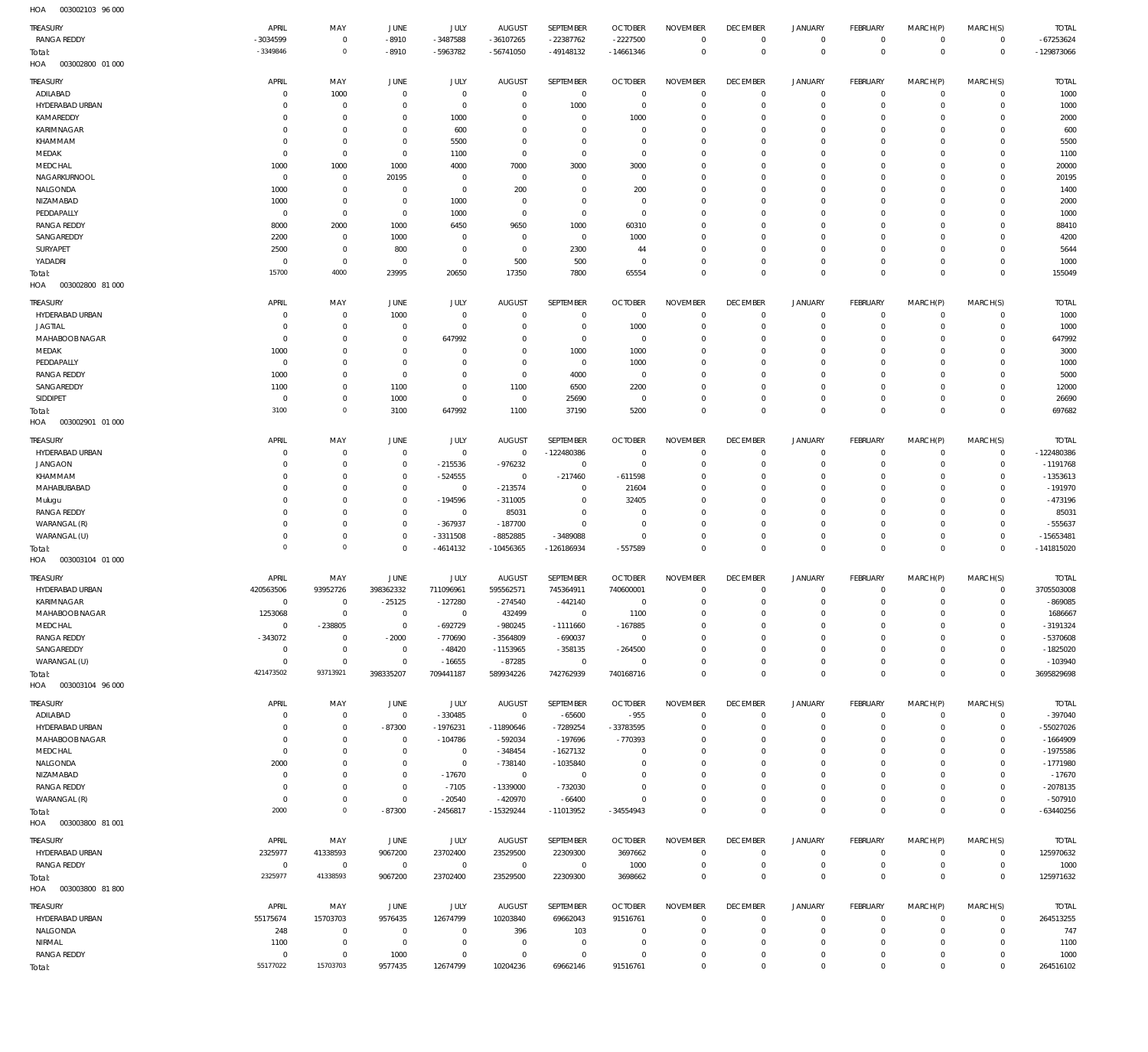003002103 96 000 HOA

| 11271                      |                |                     |                |             |                |                |                |                 |                     |                     |                 |             |                |              |
|----------------------------|----------------|---------------------|----------------|-------------|----------------|----------------|----------------|-----------------|---------------------|---------------------|-----------------|-------------|----------------|--------------|
| TREASURY                   | APRIL          | MAY                 | JUNE           | <b>JULY</b> | <b>AUGUST</b>  | SEPTEMBER      | <b>OCTOBER</b> | <b>NOVEMBER</b> | <b>DECEMBER</b>     | <b>JANUARY</b>      | <b>FEBRUARY</b> | MARCH(P)    | MARCH(S)       | <b>TOTAL</b> |
| <b>RANGA REDDY</b>         | -3034599       | $\mathbf 0$         | $-8910$        | $-3487588$  | $-36107265$    | $-22387762$    | $-2227500$     | $\mathbf 0$     | $\mathbf 0$         | $\mathbf 0$         | $\overline{0}$  | $\mathbf 0$ | $\overline{0}$ | $-67253624$  |
| Total:                     | $-3349846$     | $\mathbf 0$         | $-8910$        | -5963782    | $-56741050$    | $-49148132$    | $-14661346$    | $\overline{0}$  | $\mathbf 0$         | $\mathbf 0$         | $\overline{0}$  | $\mathbf 0$ | $\,0\,$        | -129873066   |
| HOA<br>003002800 01 000    |                |                     |                |             |                |                |                |                 |                     |                     |                 |             |                |              |
|                            |                |                     |                |             |                |                |                |                 |                     |                     |                 |             |                |              |
| TREASURY                   | APRIL          | MAY                 | JUNE           | JULY        | <b>AUGUST</b>  | SEPTEMBER      | <b>OCTOBER</b> | <b>NOVEMBER</b> | <b>DECEMBER</b>     | <b>JANUARY</b>      | FEBRUARY        | MARCH(P)    | MARCH(S)       | <b>TOTAL</b> |
| ADILABAD                   | C              | 1000                | $\overline{0}$ | $\mathbb O$ | 0              | $\mathbf 0$    | $\overline{0}$ | $^{\circ}$      | 0                   | 0                   | $\overline{0}$  | $\circ$     | $\circ$        | 1000         |
| HYDERABAD URBAN            | C              | $\mathbf 0$         | $\overline{0}$ | $\mathbb O$ | 0              | 1000           | $\overline{0}$ | $^{\circ}$      | $\mathbf 0$         | $\mathbf 0$         | $\overline{0}$  | $\circ$     | $\mathbf{0}$   | 1000         |
| KAMAREDDY                  | 0              | $\mathbf 0$         | $\overline{0}$ | 1000        | 0              | $\mathbf 0$    | 1000           | 0               | 0                   | $\mathbf 0$         | $\mathbf 0$     | 0           | $\mathbf{0}$   | 2000         |
| KARIMNAGAR                 | -C             | $\mathbf 0$         | $\overline{0}$ | 600         | 0              | $\mathbf 0$    | $^{\circ}$     | $^{\circ}$      | 0                   | $\mathbf 0$         | $^{\circ}$      | $\Omega$    | $\mathbf 0$    | 600          |
| KHAMMAM                    | $\Omega$       | $\mathbf 0$         | $\overline{0}$ | 5500        | $^{\circ}$     | $\mathbf 0$    | $^{\circ}$     | $\mathbf{0}$    | $\mathbf 0$         | $\mathbf 0$         | $^{\circ}$      | $\Omega$    | $\mathbf 0$    | 5500         |
| MEDAK                      | 0              | $\mathbf 0$         | $\overline{0}$ | 1100        | $^{\circ}$     | $\mathbb O$    | $\overline{0}$ | $\mathbf{0}$    | 0                   | $\mathbf 0$         | $\mathbf 0$     | $\Omega$    | $\mathbf 0$    | 1100         |
| MEDCHAL                    | 1000           | 1000                | 1000           | 4000        | 7000           | 3000           | 3000           | $^{\circ}$      | $\mathbf 0$         | $\mathbf 0$         | $\mathbf 0$     | 0           | $\mathbf 0$    | 20000        |
| NAGARKURNOOL               | 0              | $\mathbf 0$         | 20195          | $\mathbf 0$ | $\mathbf 0$    | $\mathbf 0$    | $\overline{0}$ | $\mathbf{0}$    | 0                   | $\mathbf 0$         | $\mathbf 0$     | $\circ$     | $\mathbf 0$    | 20195        |
|                            |                |                     |                |             |                |                |                |                 |                     |                     |                 |             |                |              |
| NALGONDA                   | 1000           | $\mathbf 0$         | 0              | $\mathbf 0$ | 200            | $\mathbb O$    | 200            | $^{\circ}$      | $\mathbf 0$         | $\mathbf 0$         | $\mathbf 0$     | 0           | $\mathbf 0$    | 1400         |
| NIZAMABAD                  | 1000           | $\mathbf 0$         | $^{\circ}$     | 1000        | $\mathbf 0$    | $\mathbf 0$    | $^{\circ}$     | $\mathbf{0}$    | 0                   | $\mathbf 0$         | $\mathbf 0$     | $\Omega$    | $\mathbf 0$    | 2000         |
| PEDDAPALLY                 | $\overline{0}$ | $\mathbf 0$         | $\overline{0}$ | 1000        | $\mathbf 0$    | $\mathbf 0$    | $\overline{0}$ | $^{\circ}$      | 0                   | $\mathbf 0$         | $\mathbf 0$     | 0           | $\mathbf 0$    | 1000         |
| <b>RANGA REDDY</b>         | 8000           | 2000                | 1000           | 6450        | 9650           | 1000           | 60310          | $\mathbf{0}$    | $\mathbf 0$         | $\mathbf 0$         | $\mathbf 0$     | $\Omega$    | $\mathbf 0$    | 88410        |
| SANGAREDDY                 | 2200           | $\mathbf 0$         | 1000           | $\mathbf 0$ | 0              | $\mathbf 0$    | 1000           | 0               | $\mathbf 0$         | $\mathbf 0$         | $^{\circ}$      | 0           | $\mathbf 0$    | 4200         |
| SURYAPET                   | 2500           | $\mathbf 0$         | 800            | $\mathbb O$ | $^{\circ}$     | 2300           | 44             | $^{\circ}$      | $\mathbf 0$         | $\mathbf 0$         | $\mathbf 0$     | $\Omega$    | $\mathbf 0$    | 5644         |
| YADADRI                    | $\mathbf 0$    | $\mathbf 0$         | $\overline{0}$ | $\mathbf 0$ | 500            | 500            | $^{\circ}$     | $\mathbf{0}$    | $\mathbf 0$         | $\mathbf 0$         | $\mathbf 0$     | $\circ$     | $\mathbf{0}$   | 1000         |
| Total:                     | 15700          | 4000                | 23995          | 20650       | 17350          | 7800           | 65554          | $\mathbf 0$     | $\mathbf 0$         | $\mathbf 0$         | $\mathbf 0$     | $\mathbf 0$ | $\mathbf 0$    | 155049       |
| HOA<br>003002800 81 000    |                |                     |                |             |                |                |                |                 |                     |                     |                 |             |                |              |
|                            |                |                     |                |             |                |                |                |                 |                     |                     |                 |             |                |              |
| <b>TREASURY</b>            | APRIL          | MAY                 | JUNE           | JULY        | <b>AUGUST</b>  | SEPTEMBER      | <b>OCTOBER</b> | <b>NOVEMBER</b> | <b>DECEMBER</b>     | <b>JANUARY</b>      | FEBRUARY        | MARCH(P)    | MARCH(S)       | <b>TOTAL</b> |
| HYDERABAD URBAN            | C              | $\mathbf 0$         | 1000           | $\mathbf 0$ | $^{\circ}$     | $^{\circ}$     | $\overline{0}$ | $\Omega$        | $\mathbf 0$         | $\mathbf 0$         | $\overline{0}$  | $\circ$     | $^{\circ}$     | 1000         |
| <b>JAGTIAL</b>             | C              | $\mathbf 0$         | $\mathbf 0$    | $\mathbf 0$ | 0              | $\mathbb O$    | 1000           | $^{\circ}$      | $\mathbf 0$         | $\mathbf 0$         | $^{\circ}$      | $\circ$     | $\mathbf 0$    | 1000         |
| MAHABOOB NAGAR             | 0              | $\mathbf{0}$        | $\overline{0}$ | 647992      | 0              | $\mathbf 0$    | $\overline{0}$ | $\Omega$        | 0                   | $\mathbf 0$         | $\mathbf 0$     | $\Omega$    | $\mathbf 0$    | 647992       |
| MEDAK                      | 1000           | $\mathbf 0$         | 0              | 0           | 0              | 1000           | 1000           | $\mathbf{0}$    | 0                   | $\mathbf 0$         | $\Omega$        | $\Omega$    | $\mathbf 0$    | 3000         |
|                            |                |                     |                |             |                |                |                |                 |                     |                     |                 |             |                |              |
| PEDDAPALLY                 | 0              | $^{\circ}$          | 0              | $\mathbf 0$ | 0              | $\mathbf 0$    | 1000           | $\Omega$        | 0                   | $\mathbf 0$         | $\mathbf 0$     | 0           | $\circ$        | 1000         |
| <b>RANGA REDDY</b>         | 1000           | $\mathbf 0$         | $\overline{0}$ | $\mathbf 0$ | $\mathbf 0$    | 4000           | $^{\circ}$     | $\mathbf{0}$    | $\mathbf 0$         | $\mathbf 0$         | $\Omega$        | $\Omega$    | $\mathbf 0$    | 5000         |
| SANGAREDDY                 | 1100           | $\mathbf{0}$        | 1100           | $\mathbf 0$ | 1100           | 6500           | 2200           | $\Omega$        | 0                   | $\mathbf 0$         | $\mathbf 0$     | $\Omega$    | $\circ$        | 12000        |
| SIDDIPET                   | C              | $\mathbf 0$         | 1000           | $\mathbf 0$ | $\mathbf 0$    | 25690          | $\overline{0}$ | $^{\circ}$      | $\mathbf 0$         | $\mathbf 0$         | $\mathbf 0$     | $\circ$     | $\mathbf 0$    | 26690        |
| Total:                     | 3100           | $\mathbf 0$         | 3100           | 647992      | 1100           | 37190          | 5200           | $\mathbf 0$     | $\mathbf 0$         | $\mathbf 0$         | $\mathbf 0$     | $\mathbf 0$ | $\mathbf 0$    | 697682       |
| HOA<br>003002901 01 000    |                |                     |                |             |                |                |                |                 |                     |                     |                 |             |                |              |
|                            |                |                     |                |             |                |                |                |                 |                     |                     |                 |             |                |              |
| <b>TREASURY</b>            | APRIL          | MAY                 | JUNE           | <b>JULY</b> | <b>AUGUST</b>  | SEPTEMBER      | <b>OCTOBER</b> | <b>NOVEMBER</b> | <b>DECEMBER</b>     | <b>JANUARY</b>      | FEBRUARY        | MARCH(P)    | MARCH(S)       | <b>TOTAL</b> |
| HYDERABAD URBAN            | C              | $\mathbf 0$         | $\overline{0}$ | $\mathbb O$ | $\mathbf 0$    | -122480386     | $\overline{0}$ | $^{\circ}$      | 0                   | 0                   | $\overline{0}$  | $\mathbf 0$ | $\circ$        | -122480386   |
| <b>JANGAON</b>             | $\Omega$       | $\mathbf 0$         | $\mathbf 0$    | $-215536$   | $-976232$      | $\mathbf 0$    | $\overline{0}$ | $^{\circ}$      | $\mathbf 0$         | $\mathbf 0$         | $\overline{0}$  | $\circ$     | $\circ$        | $-1191768$   |
| KHAMMAM                    | 0              | $\mathbf 0$         | $\overline{0}$ | $-524555$   | $\mathbf 0$    | $-217460$      | $-611598$      | $^{\circ}$      | $\mathbf 0$         | 0                   | $\mathbf 0$     | $\Omega$    | $\mathbf 0$    | $-1353613$   |
| MAHABUBABAD                | $\Omega$       | $\mathbf 0$         | $^{\circ}$     | $\mathbf 0$ | $-213574$      | $^{\circ}$     | 21604          | $^{\circ}$      | 0                   | $\mathbf 0$         | $^{\circ}$      | $\Omega$    | $\mathbf{0}$   | $-191970$    |
| Mulugu                     | $\Omega$       | $\mathbf 0$         | $\overline{0}$ | $-194596$   | $-311005$      | $\mathbf 0$    | 32405          | 0               | 0                   | $\mathbf 0$         | $^{\circ}$      | 0           | $\mathbf 0$    | $-473196$    |
| <b>RANGA REDDY</b>         | 0              | $\mathbf 0$         | $^{\circ}$     | $\mathbb O$ | 85031          | $\mathbb O$    | $^{\circ}$     | $\mathbf{0}$    | 0                   | $\mathbf 0$         | $\mathbf 0$     | $\Omega$    | $\mathbf{0}$   | 85031        |
|                            |                |                     |                |             |                |                |                |                 |                     | $\mathbf 0$         | $\mathbf 0$     |             | $\mathbf{0}$   |              |
| WARANGAL (R)               | 0              | $\mathbf 0$         | $\overline{0}$ | $-367937$   | $-187700$      | $\mathbb O$    | $^{\circ}$     | $\mathbf{0}$    | $\mathbf 0$         |                     |                 | $\circ$     |                | $-555637$    |
| WARANGAL (U)               | $\Omega$       | $\mathbf 0$         | $\overline{0}$ | $-3311508$  | $-8852885$     | -3489088       | $\overline{0}$ | $^{\circ}$      | $\mathbf 0$         | $\mathbf 0$         | $\mathbf 0$     | $\circ$     | $\mathbf{0}$   | $-15653481$  |
| Total:                     | $\circ$        | $\circ$             | $\overline{0}$ | $-4614132$  | $-10456365$    | -126186934     | -557589        | $\mathbf 0$     | $\mathbf 0$         | $\mathbf 0$         | $\overline{0}$  | $\mathbf 0$ | $\overline{0}$ | $-141815020$ |
| HOA<br>003003104 01 000    |                |                     |                |             |                |                |                |                 |                     |                     |                 |             |                |              |
| TREASURY                   | APRIL          | MAY                 | JUNE           | JULY        | <b>AUGUST</b>  | SEPTEMBER      | <b>OCTOBER</b> | <b>NOVEMBER</b> | <b>DECEMBER</b>     | <b>JANUARY</b>      | <b>FEBRUARY</b> | MARCH(P)    | MARCH(S)       | <b>TOTAL</b> |
| HYDERABAD URBAN            |                |                     |                |             |                |                |                |                 |                     |                     |                 |             | $\mathbf{0}$   |              |
|                            | 420563506      | 93952726            | 398362332      | 711096961   | 595562571      | 745364911      | 740600001      | $^{\circ}$      | $\mathbf 0$         | $\mathbf 0$         | $^{\circ}$      | $\circ$     |                | 3705503008   |
| KARIMNAGAR                 | $\mathbf 0$    | $^{\circ}$          | $-25125$       | $-127280$   | $-274540$      | $-442140$      | $\Omega$       | $\Omega$        | $\mathbf 0$         | $\mathbf 0$         | $\overline{0}$  | $\mathbf 0$ | $\mathbf{0}$   | $-869085$    |
| MAHABOOB NAGAR             | 1253068        | $\mathbf 0$         | $\mathbf 0$    | $\mathbf 0$ | 432499         | $\mathbb O$    | 1100           | $\mathbf 0$     | 0                   | $\mathbf 0$         | $\mathbf 0$     | $\mathbf 0$ | $\circ$        | 1686667      |
| MEDCHAL                    | $\mathbf 0$    | -238805             | $\mathbf 0$    | $-692729$   | $-980245$      | $-1111660$     | $-167885$      | $\mathbf 0$     | $\mathbf 0$         | $\mathbf 0$         | $\mathbf 0$     | $\Omega$    | $\mathbf 0$    | $-3191324$   |
| <b>RANGA REDDY</b>         | $-343072$      | $\mathbf 0$         | $-2000$        | $-770690$   | $-3564809$     | $-690037$      | $^{\circ}$     | $\mathbf 0$     | $\mathbf 0$         | $\mathbf 0$         | $\mathbf 0$     | $\mathbf 0$ | $\mathbf 0$    | $-5370608$   |
| SANGAREDDY                 | $\mathbf 0$    | $\mathbf 0$         | $\mathbf 0$    | $-48420$    | $-1153965$     | $-358135$      | $-264500$      | $\Omega$        | $\mathbf 0$         | $\mathbf 0$         | $\mathbf 0$     | $\Omega$    | $\mathbf 0$    | $-1825020$   |
| WARANGAL (U)               | $\mathbf{0}$   | $\mathbf 0$         | $\mathbf{0}$   | $-16655$    | $-87285$       | $\mathbf 0$    | $\mathbf 0$    | $\mathbf 0$     | $\mathbf 0$         | $\mathbf 0$         | $\mathbf 0$     | $\mathbf 0$ | $\mathbf{0}$   | $-103940$    |
| Total:                     | 421473502      | 93713921            | 398335207      | 709441187   | 589934226      | 742762939      | 740168716      | $\mathbf 0$     | $\mathbf 0$         | $\mathbf 0$         | $\overline{0}$  | $\mathbf 0$ | $\mathbf 0$    | 3695829698   |
| HOA   003003104   96   000 |                |                     |                |             |                |                |                |                 |                     |                     |                 |             |                |              |
|                            |                |                     |                |             |                |                |                |                 |                     |                     |                 |             |                |              |
| TREASURY                   | APRIL          | MAY                 | JUNE           | JULY        | AUGUST         | SEPTEMBER      | <b>OCTOBER</b> | <b>NOVEMBER</b> | <b>DECEMBER</b>     | JANUARY             | FEBRUARY        | MARCH(P)    | MARCH(S)       | <b>TOTAL</b> |
| ADILABAD                   | $^{\circ}$     | $\mathbf 0$         | $\mathbf 0$    | $-330485$   | $\overline{0}$ | $-65600$       | $-955$         | $\mathbf 0$     | $\bf 0$             | $\overline{0}$      | $\overline{0}$  | $\mathbf 0$ | $\overline{0}$ | $-397040$    |
| HYDERABAD URBAN            | 0              | $\mathbf 0$         | $-87300$       | $-1976231$  | $-11890646$    | $-7289254$     | -33783595      | $\mathbf 0$     | $\mathbf 0$         | $\mathbf 0$         | $\overline{0}$  | $\mathbf 0$ | $\overline{0}$ | $-55027026$  |
| MAHABOOB NAGAR             | $\circ$        | $\mathbf 0$         | $\mathbf 0$    | $-104786$   | $-592034$      | $-197696$      | $-770393$      | $\mathbf{0}$    | $\mathbf 0$         | $\mathsf{O}\xspace$ | $\overline{0}$  | $\circ$     | $\circ$        | $-1664909$   |
| MEDCHAL                    | $\mathbf 0$    | $\mathbf 0$         | $\mathbf 0$    | $\mathbf 0$ | $-348454$      | $-1627132$     | $\overline{0}$ | $\mathbf 0$     | $\mathbf 0$         | $\mathbf 0$         | $\mathbf 0$     | $\circ$     | $\mathbf{0}$   | $-1975586$   |
| NALGONDA                   | 2000           | $\mathbf 0$         | $\mathbf 0$    | $\mathbf 0$ | $-738140$      | $-1035840$     | $^{\circ}$     | $\mathbf 0$     | 0                   | $\mathbf 0$         | $\mathbf 0$     | $\Omega$    | $\mathbf{0}$   | $-1771980$   |
| NIZAMABAD                  | $\mathbf 0$    | $\mathbf 0$         | $\mathbf 0$    | $-17670$    | $\overline{0}$ |                | $^{\circ}$     | $\mathbf 0$     | $\mathbf 0$         | $\mathbf 0$         | $\mathbf 0$     | $\circ$     | $\mathbf{0}$   | $-17670$     |
| <b>RANGA REDDY</b>         | $\mathbf 0$    | $\mathbf 0$         | $\mathbf 0$    |             |                | $\overline{0}$ | $^{\circ}$     | $\mathbf 0$     | $\bf 0$             | $\mathbf 0$         | $\mathbf 0$     | $\circ$     | $\circ$        | $-2078135$   |
|                            |                |                     |                | $-7105$     | $-1339000$     | $-732030$      |                |                 |                     |                     |                 |             |                |              |
| WARANGAL (R)               | $\mathbf 0$    | $\mathbf 0$         | $\mathbf 0$    | $-20540$    | $-420970$      | $-66400$       | $\overline{0}$ | $\mathbf 0$     | $\bf 0$             | $\mathsf{O}\xspace$ | $\overline{0}$  | $\mathbf 0$ | $\mathbf{0}$   | $-507910$    |
| Total:                     | 2000           | $\mathsf{O}\xspace$ | $-87300$       | $-2456817$  | -15329244      | -11013952      | $-34554943$    | $\mathbf 0$     | $\mathbf 0$         | $\mathsf{O}\xspace$ | $\overline{0}$  | $\mathbf 0$ | $\overline{0}$ | $-63440256$  |
| HOA   003003800   81   001 |                |                     |                |             |                |                |                |                 |                     |                     |                 |             |                |              |
| TREASURY                   | APRIL          | MAY                 | JUNE           | JULY        | AUGUST         | SEPTEMBER      | <b>OCTOBER</b> | <b>NOVEMBER</b> | <b>DECEMBER</b>     | JANUARY             | FEBRUARY        | MARCH(P)    | MARCH(S)       | <b>TOTAL</b> |
|                            |                |                     |                |             |                |                |                | $\overline{0}$  |                     |                     | $\overline{0}$  | $\mathbf 0$ |                |              |
| HYDERABAD URBAN            | 2325977        | 41338593            | 9067200        | 23702400    | 23529500       | 22309300       | 3697662        |                 | $\,0\,$             | $\overline{0}$      |                 |             | $\overline{0}$ | 125970632    |
| <b>RANGA REDDY</b>         | $\mathbf 0$    | $\mathbf 0$         | $\mathbf 0$    | $\mathbf 0$ | $\mathbf 0$    | $\mathbf 0$    | 1000           | $\overline{0}$  | $\bf 0$             | $\mathsf{O}\xspace$ | $\overline{0}$  | $\mathbf 0$ | $\overline{0}$ | 1000         |
| Total:                     | 2325977        | 41338593            | 9067200        | 23702400    | 23529500       | 22309300       | 3698662        | $\mathbf 0$     | $\mathbf 0$         | $\mathbf 0$         | $\overline{0}$  | $\mathbf 0$ | $\,0\,$        | 125971632    |
| HOA<br>003003800 81800     |                |                     |                |             |                |                |                |                 |                     |                     |                 |             |                |              |
| TREASURY                   | APRIL          | MAY                 | JUNE           | JULY        | AUGUST         | SEPTEMBER      | <b>OCTOBER</b> | <b>NOVEMBER</b> | <b>DECEMBER</b>     | JANUARY             | FEBRUARY        | MARCH(P)    | MARCH(S)       | <b>TOTAL</b> |
|                            |                |                     |                |             |                |                |                |                 |                     |                     |                 |             |                |              |
| HYDERABAD URBAN            | 55175674       | 15703703            | 9576435        | 12674799    | 10203840       | 69662043       | 91516761       | $\mathbf 0$     | $\bf 0$             | $\overline{0}$      | $\overline{0}$  | $\circ$     | $\overline{0}$ | 264513255    |
| NALGONDA                   | 248            | $\mathbf 0$         | $\mathbf 0$    | $\mathbb O$ | 396            | 103            | $\overline{0}$ | $\overline{0}$  | $\mathbf 0$         | $\mathbf 0$         | $\overline{0}$  | $\mathbf 0$ | $\overline{0}$ | 747          |
| NIRMAL                     | 1100           | $\mathbf 0$         | $\overline{0}$ | $\mathbf 0$ | $\overline{0}$ | $\overline{0}$ | $\overline{0}$ | $\mathbf 0$     | $\mathbf 0$         | $\mathsf{O}\xspace$ | $\overline{0}$  | $\mathbf 0$ | $\overline{0}$ | 1100         |
| <b>RANGA REDDY</b>         | $\mathbf 0$    | $\mathbf 0$         | 1000           | $\mathbf 0$ | $\mathbb O$    | $\mathbf 0$    | $^{\circ}$     | $\mathbb O$     | $\bf 0$             | $\mathsf{O}\xspace$ | $\overline{0}$  | $\mathbf 0$ | $\circ$        | 1000         |
| Total:                     | 55177022       | 15703703            | 9577435        | 12674799    | 10204236       | 69662146       | 91516761       | $\mathbf 0$     | $\mathsf{O}\xspace$ | $\mathsf 0$         | $\mathbf{0}$    | $\mathbf 0$ | $\,0\,$        | 264516102    |
|                            |                |                     |                |             |                |                |                |                 |                     |                     |                 |             |                |              |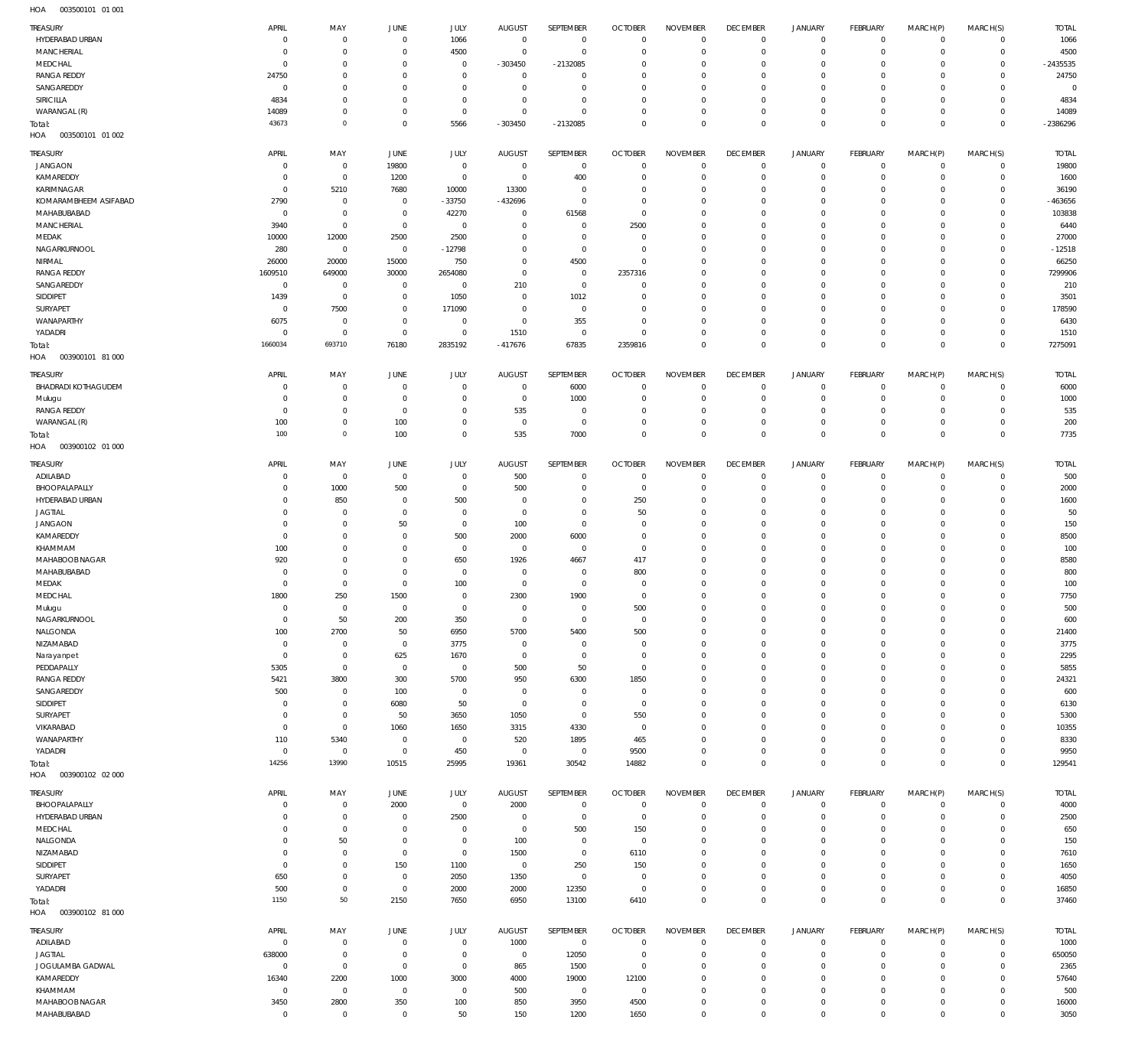003500101 01 001 HOA

| TREASURY                      | APRIL                       | MAY                    | JUNE           | JULY           | <b>AUGUST</b>  | SEPTEMBER        | <b>OCTOBER</b> | <b>NOVEMBER</b>             | <b>DECEMBER</b>            | <b>JANUARY</b>             | <b>FEBRUARY</b>        | MARCH(P)         | MARCH(S)                   | <b>TOTAL</b>  |
|-------------------------------|-----------------------------|------------------------|----------------|----------------|----------------|------------------|----------------|-----------------------------|----------------------------|----------------------------|------------------------|------------------|----------------------------|---------------|
| HYDERABAD URBAN               | $\mathbf 0$                 | $\overline{0}$         | $\mathbf 0$    | 1066           | $^{\circ}$     | $\overline{0}$   | $\overline{0}$ | $\overline{0}$              | $^{\circ}$                 | $\mathbf 0$                | $\mathbf{0}$           | $^{\circ}$       | $^{\circ}$                 | 1066          |
| MANCHERIAL                    | $\mathbf 0$                 | $\overline{0}$         | $\mathbf 0$    | 4500           | $^{\circ}$     | $\mathbf 0$      | $\overline{0}$ | $\overline{0}$              | $^{\circ}$                 | $\mathbf 0$                | $\mathbf{0}$           | 0                | $\mathbf 0$                | 4500          |
|                               |                             |                        |                |                |                |                  |                |                             |                            |                            |                        |                  |                            |               |
| MEDCHAL                       | $\mathbf 0$                 | $^{\circ}$             | 0              | $^{\circ}$     | $-303450$      | $-2132085$       | -C             | $\overline{0}$              | $^{\circ}$                 | $\mathbf 0$                | $\mathbf 0$            | 0                | $\mathbf{0}$               | $-2435535$    |
| <b>RANGA REDDY</b>            | 24750                       | $^{\circ}$             | $\mathbf 0$    | $^{\circ}$     | $^{\circ}$     | $\mathbf 0$      | $\Omega$       | $\overline{0}$              | $^{\circ}$                 | $\mathbf 0$                | $\mathbf 0$            | 0                | $^{\circ}$                 | 24750         |
| SANGAREDDY                    | $\mathbf 0$                 | $^{\circ}$             | $\Omega$       | $^{\circ}$     | $\Omega$       | $\mathbf 0$      | $\Omega$       | $\overline{0}$              | $^{\circ}$                 | $\mathbf 0$                | $\mathbf 0$            | 0                | $\Omega$                   | $\circ$       |
| SIRICILLA                     | 4834                        | $\overline{0}$         | $\mathbf 0$    | $^{\circ}$     | $\circ$        | $\mathbf 0$      | $\Omega$       | $\overline{0}$              | $^{\circ}$                 | $\mathbf 0$                | $^{\circ}$             | $\Omega$         | $^{\circ}$                 | 4834          |
| WARANGAL (R)                  | 14089                       | $\mathbf 0$            | $\mathbf 0$    | $\overline{0}$ | $\Omega$       | $\Omega$         | $\Omega$       | $\overline{0}$              | $^{\circ}$                 | $\mathbf 0$                | $^{\circ}$             | $\Omega$         | $\mathbf{0}$               | 14089         |
|                               |                             | $\overline{0}$         |                |                |                |                  |                |                             |                            |                            |                        |                  |                            |               |
| Total:                        | 43673                       |                        | $\mathbf 0$    | 5566           | $-303450$      | $-2132085$       | $^{\circ}$     | $^{\circ}$                  | $^{\circ}$                 | $\mathbf 0$                | $\overline{0}$         | $\mathbf 0$      | $\mathbf 0$                | -2386296      |
| HOA<br>003500101 01 002       |                             |                        |                |                |                |                  |                |                             |                            |                            |                        |                  |                            |               |
|                               |                             |                        |                |                |                |                  |                |                             |                            |                            |                        |                  |                            |               |
| TREASURY                      | APRIL                       | MAY                    | JUNE           | JULY           | <b>AUGUST</b>  | <b>SEPTEMBER</b> | <b>OCTOBER</b> | <b>NOVEMBER</b>             | <b>DECEMBER</b>            | <b>JANUARY</b>             | <b>FEBRUARY</b>        | MARCH(P)         | MARCH(S)                   | <b>TOTAL</b>  |
| <b>JANGAON</b>                | $\mathbf 0$                 | $\overline{0}$         | 19800          | $\mathbf 0$    | $^{\circ}$     | $\overline{0}$   | $\overline{0}$ | $^{\circ}$                  | $^{\circ}$                 | $^{\circ}$                 | $\mathbf 0$            | $^{\circ}$       | $^{\circ}$                 | 19800         |
| KAMAREDDY                     | $\mathbf 0$                 | $\overline{0}$         | 1200           | $\mathbf 0$    | $^{\circ}$     | 400              | $\overline{0}$ | $\overline{0}$              | $^{\circ}$                 | $\mathbf 0$                | $\mathbf{0}$           | $\mathbf 0$      | $\mathbf 0$                | 1600          |
| KARIMNAGAR                    | $\mathbf 0$                 | 5210                   | 7680           | 10000          | 13300          | $\overline{0}$   | $^{\circ}$     | $^{\circ}$                  | $^{\circ}$                 | $\mathbf 0$                | $\mathbf{0}$           | $\Omega$         | $\mathbf{0}$               | 36190         |
| KOMARAMBHEEM ASIFABAD         | 2790                        | $\overline{0}$         | $\mathbf 0$    | $-33750$       | $-432696$      | $\mathbf 0$      | $\overline{0}$ | $^{\circ}$                  | $^{\circ}$                 | $\mathbf 0$                | $^{\circ}$             | $\Omega$         | $\mathbf{0}$               | -463656       |
|                               |                             |                        |                |                |                |                  |                |                             |                            |                            |                        |                  |                            |               |
| MAHABUBABAD                   | $\mathbf 0$                 | $\overline{0}$         | $\mathbf 0$    | 42270          | $^{\circ}$     | 61568            | $^{\circ}$     | $^{\circ}$                  | $^{\circ}$                 | $\mathbf 0$                | $^{\circ}$             | $\Omega$         | $\mathbf{0}$               | 103838        |
| MANCHERIAL                    | 3940                        | $\overline{0}$         | $\mathbf 0$    | $\overline{0}$ | $^{\circ}$     | $\overline{0}$   | 2500           | $^{\circ}$                  | $^{\circ}$                 | $\mathbf 0$                | $\mathbf 0$            | $\Omega$         | $\mathbf{0}$               | 6440          |
| MEDAK                         | 10000                       | 12000                  | 2500           | 2500           | $^{\circ}$     | $\mathbf 0$      | $\overline{0}$ | $^{\circ}$                  | $^{\circ}$                 | $\mathbf 0$                | $^{\circ}$             | $\Omega$         | $\mathbf{0}$               | 27000         |
| NAGARKURNOOL                  | 280                         | $\overline{0}$         | $\mathbf 0$    | $-12798$       | $^{\circ}$     | $\mathbf 0$      | $\overline{0}$ | $^{\circ}$                  | $^{\circ}$                 | $\mathbf 0$                | $^{\circ}$             | $\Omega$         | $\mathbf{0}$               | $-12518$      |
|                               |                             |                        |                |                |                |                  |                |                             |                            |                            |                        |                  |                            |               |
| NIRMAL                        | 26000                       | 20000                  | 15000          | 750            | $^{\circ}$     | 4500             | $\overline{0}$ | $^{\circ}$                  | $^{\circ}$                 | $\mathbf 0$                | $^{\circ}$             | $\Omega$         | $\mathbf{0}$               | 66250         |
| <b>RANGA REDDY</b>            | 1609510                     | 649000                 | 30000          | 2654080        | $^{\circ}$     | $\overline{0}$   | 2357316        | $^{\circ}$                  | $^{\circ}$                 | $\mathbf 0$                | $^{\circ}$             | $\Omega$         | $\mathbf{0}$               | 7299906       |
| SANGAREDDY                    | $\mathbf 0$                 | $\overline{0}$         | $\mathbf 0$    | $\overline{0}$ | 210            | $\mathbf 0$      | $\mathsf{C}$   | $^{\circ}$                  | $^{\circ}$                 | $\mathbf 0$                | $\mathbf{0}$           | $\Omega$         | $\mathbf{0}$               | 210           |
| SIDDIPET                      | 1439                        | $\overline{0}$         | $\mathbf 0$    | 1050           | $\overline{0}$ | 1012             | $\overline{0}$ | $^{\circ}$                  | $^{\circ}$                 | $\mathbf 0$                | $^{\circ}$             | $\Omega$         | $\mathbf{0}$               | 3501          |
| <b>SURYAPET</b>               | $\mathbf 0$                 | 7500                   | $\mathbf 0$    | 171090         | $^{\circ}$     | $\mathbf 0$      | $\Omega$       | $^{\circ}$                  | $^{\circ}$                 | $\mathbf 0$                | $^{\circ}$             | $\Omega$         | $\mathbf{0}$               | 178590        |
|                               |                             |                        |                |                |                |                  |                |                             |                            |                            |                        |                  |                            |               |
| WANAPARTHY                    | 6075                        | $\overline{0}$         | $\mathbf 0$    | $\mathbf 0$    | $^{\circ}$     | 355              | $\overline{0}$ | $^{\circ}$                  | $^{\circ}$                 | $\mathbf 0$                | $^{\circ}$             | $\mathbf 0$      | $\mathbf{0}$               | 6430          |
| YADADRI                       | $\mathbf 0$                 | $\overline{0}$         | $\mathbf 0$    | $\mathbf 0$    | 1510           | $\overline{0}$   | $\Omega$       | $^{\circ}$                  | $^{\circ}$                 | $\mathbf 0$                | $\mathbf{0}$           | $\Omega$         | $\mathbf 0$                | 1510          |
| Total:                        | 1660034                     | 693710                 | 76180          | 2835192        | $-417676$      | 67835            | 2359816        | $\mathbf 0$                 | $\mathbf 0$                | $\mathbf 0$                | $\overline{0}$         | $\mathbf 0$      | $\mathbb O$                | 7275091       |
| 003900101 81 000<br>HOA       |                             |                        |                |                |                |                  |                |                             |                            |                            |                        |                  |                            |               |
|                               |                             |                        |                |                |                |                  |                |                             |                            |                            |                        |                  |                            |               |
| TREASURY                      | APRIL                       | MAY                    | <b>JUNE</b>    | JULY           | <b>AUGUST</b>  | SEPTEMBER        | <b>OCTOBER</b> | <b>NOVEMBER</b>             | <b>DECEMBER</b>            | <b>JANUARY</b>             | FEBRUARY               | MARCH(P)         | MARCH(S)                   | <b>TOTAL</b>  |
| <b>BHADRADI KOTHAGUDEM</b>    | 0                           | $^{\circ}$             | $\mathbf 0$    | $\overline{0}$ | $\overline{0}$ | 6000             | $^{\circ}$     | $\overline{0}$              | $^{\circ}$                 | $\mathbf 0$                | $^{\circ}$             | $\mathbf 0$      | $^{\circ}$                 | 6000          |
|                               | $\mathbf 0$                 | $\mathbf 0$            | $\mathbf 0$    | $^{\circ}$     | $^{\circ}$     | 1000             | C              | 0                           | $^{\circ}$                 | $\mathbf 0$                | $^{\circ}$             | 0                | $^{\circ}$                 | 1000          |
| Mulugu                        |                             |                        |                |                |                |                  |                |                             |                            |                            |                        |                  |                            |               |
| <b>RANGA REDDY</b>            | $\mathbf 0$                 | $\overline{0}$         | $\mathbf 0$    | $^{\circ}$     | 535            | $\overline{0}$   | $^{\circ}$     | $\overline{0}$              | $^{\circ}$                 | $\mathbf 0$                | $^{\circ}$             | $\mathbf 0$      | $\mathbf{0}$               | 535           |
| WARANGAL (R)                  | 100                         | $\overline{0}$         | 100            | $\overline{0}$ | $^{\circ}$     | $\mathbf 0$      | $\Omega$       | $\overline{0}$              | $^{\circ}$                 | $\mathbf 0$                | $\mathbf{0}$           | 0                | $\mathbf{0}$               | 200           |
| Total:                        | 100                         | $\overline{0}$         | 100            | $\mathbf 0$    | 535            | 7000             | $^{\circ}$     | $\mathbf{0}$                | $\mathbf 0$                | $\mathbf 0$                | $\overline{0}$         | $\mathbf 0$      | $\mathbf 0$                | 7735          |
| HOA<br>003900102 01 000       |                             |                        |                |                |                |                  |                |                             |                            |                            |                        |                  |                            |               |
|                               |                             |                        |                |                |                |                  |                |                             |                            |                            |                        |                  |                            |               |
| TREASURY                      | APRIL                       | MAY                    | <b>JUNE</b>    | JULY           | <b>AUGUST</b>  | SEPTEMBER        | <b>OCTOBER</b> | <b>NOVEMBER</b>             | <b>DECEMBER</b>            | <b>JANUARY</b>             | <b>FEBRUARY</b>        | MARCH(P)         | MARCH(S)                   | <b>TOTAL</b>  |
| ADILABAD                      | $\mathbf 0$                 | $\overline{0}$         | $^{\circ}$     | $\mathbf 0$    | 500            | $\overline{0}$   | C              | $\overline{0}$              | $^{\circ}$                 | $\mathbf 0$                | $^{\circ}$             | $\mathbf 0$      | $^{\circ}$                 | 500           |
|                               |                             |                        |                |                |                |                  |                |                             |                            |                            |                        |                  |                            |               |
| BHOOPALAPALLY                 | $\mathbf 0$                 | 1000                   | 500            | $\mathbf 0$    | 500            | $\overline{0}$   | $\overline{0}$ | $^{\circ}$                  | $^{\circ}$                 | $\mathbf 0$                | $\mathbf{0}$           | $\mathbf 0$      | $\mathbf{0}$               | 2000          |
| HYDERABAD URBAN               | $\mathbf 0$                 | 850                    | $\mathbf 0$    | 500            | $^{\circ}$     | $\overline{0}$   | 250            | $^{\circ}$                  | $^{\circ}$                 | $\mathbf 0$                | $^{\circ}$             | $\Omega$         | $\mathbf{0}$               | 1600          |
| <b>JAGTIAL</b>                | $\mathbf 0$                 | $\overline{0}$         | $\mathbf 0$    | $^{\circ}$     | $^{\circ}$     | $\mathbf 0$      | 50             | $^{\circ}$                  | $^{\circ}$                 | $\mathbf 0$                | $^{\circ}$             | $\mathbf 0$      | $\mathbf{0}$               | 50            |
| <b>JANGAON</b>                | $\mathbf 0$                 | $\overline{0}$         | 50             | $\mathbf 0$    | 100            | $\mathbf 0$      | C              | $^{\circ}$                  | $^{\circ}$                 | $\mathbf 0$                | $\mathbf{0}$           | $\Omega$         | $\mathbf{0}$               | 150           |
| KAMAREDDY                     | $\mathbf 0$                 | $\overline{0}$         | $\mathbf 0$    | 500            | 2000           | 6000             | $\overline{0}$ | $^{\circ}$                  | $^{\circ}$                 | $\mathbf 0$                | $^{\circ}$             | $\Omega$         | $\mathbf{0}$               | 8500          |
|                               |                             |                        |                |                |                |                  |                |                             |                            |                            |                        |                  |                            |               |
| KHAMMAM                       | 100                         | $\overline{0}$         | $\mathbf 0$    | $\mathbf 0$    | $\overline{0}$ | $\overline{0}$   | $^{\circ}$     | $^{\circ}$                  | $^{\circ}$                 | $\mathbf 0$                | $^{\circ}$             | $\Omega$         | $\mathbf{0}$               | 100           |
| MAHABOOB NAGAR                | 920                         | $^{\circ}$             | $\mathbf 0$    | 650            | 1926           | 4667             | 417            | $^{\circ}$                  | $^{\circ}$                 | $\mathbf 0$                | $\mathbf 0$            | $\mathbf 0$      | $^{\circ}$                 | 8580          |
| MAHABUBABAD                   | $\mathbf 0$                 | $^{\circ}$             | $\mathbf 0$    | $^{\circ}$     | $\circ$        | $\overline{0}$   | 800            | $^{\circ}$                  | $^{\circ}$                 | $\mathbf 0$                | $^{\circ}$             | $\Omega$         | $^{\circ}$                 | 800           |
| MEDAK                         | $\mathbf 0$                 | $\overline{0}$         | $\mathbf 0$    | 100            | $^{\circ}$     | $\mathbf 0$      | $\overline{0}$ | $^{\circ}$                  | $^{\circ}$                 | $\mathbf 0$                | $\mathbf 0$            | $\mathbf 0$      | $\mathbf{0}$               | 100           |
| MEDCHAL                       | 1800                        | 250                    | 1500           | $\mathbf 0$    | 2300           | 1900             | $\Omega$       | $\mathbf 0$                 | $\mathbf 0$                | $\mathbf 0$                | $\mathbf{0}$           | $\Omega$         | $\mathbf 0$                | 7750          |
|                               |                             |                        |                |                |                |                  |                |                             |                            |                            |                        |                  |                            |               |
| Mulugu                        | $\Omega$                    | $\Omega$               | $\Omega$       | $\overline{0}$ | $\Omega$       | $\overline{0}$   | 500            | $\mathbf{0}$                | $\Omega$                   | $\Omega$                   | $\Omega$               | $\Omega$         | $\circ$                    | 500           |
| NAGARKURNOOL                  | $\mathbf 0$                 | 50                     | 200            | 350            | $\overline{0}$ | $\mathbf 0$      | $\mathbf{0}$   | $^{\circ}$                  | $^{\circ}$                 | $\mathbf 0$                | $\mathbf{0}$           | $\mathbf 0$      | $\mathbf{0}$               | 600           |
| NALGONDA                      | 100                         | 2700                   | 50             | 6950           | 5700           | 5400             | 500            | $^{\circ}$                  | $^{\circ}$                 | $\mathbf 0$                | $\mathbf 0$            | 0                | $\mathbf{0}$               | 21400         |
| NIZAMABAD                     | $\mathbf 0$                 | $\overline{0}$         | $^{\circ}$     | 3775           | $\overline{0}$ | $\overline{0}$   | $\overline{0}$ | $^{\circ}$                  | $^{\circ}$                 | $\mathbf 0$                | $\mathbf{0}$           | $\Omega$         | $\mathbf{0}$               | 3775          |
|                               | $\mathbf 0$                 | $\overline{0}$         | 625            | 1670           | $\overline{0}$ | $\mathbf 0$      | $^{\circ}$     | $^{\circ}$                  | $^{\circ}$                 | $\mathbf 0$                | $^{\circ}$             | $\mathbf 0$      | $\mathbf{0}$               | 2295          |
| Narayanpet                    |                             |                        |                |                |                |                  |                |                             |                            |                            |                        |                  |                            |               |
| PEDDAPALLY                    | 5305                        | $\overline{0}$         | $\mathbf{0}$   | $\mathbf 0$    | 500            | 50               | $^{\circ}$     | $^{\circ}$                  | $\mathbf 0$                | $\mathbf 0$                | $^{\circ}$             | $\Omega$         | $\mathbf{0}$               | 5855          |
| <b>RANGA REDDY</b>            | 5421                        | 3800                   | 300            | 5700           | 950            | 6300             | 1850           | $^{\circ}$                  | $\mathbf 0$                | $\mathbf 0$                | $\mathbf 0$            | $\mathbf 0$      | $\mathbf{0}$               | 24321         |
| SANGAREDDY                    | 500                         | $\overline{0}$         | 100            | $^{\circ}$     | $\overline{0}$ | $\overline{0}$   | $^{\circ}$     | $^{\circ}$                  | $\mathbf 0$                | $\mathbf 0$                | $\mathbf{0}$           | $\Omega$         | $\mathbf{0}$               | 600           |
| SIDDIPET                      | $\mathbf 0$                 | $\overline{0}$         | 6080           | 50             | $\overline{0}$ | $\mathbf 0$      | $^{\circ}$     | $^{\circ}$                  | $\mathbf 0$                | $\mathbf 0$                | $\mathbf{0}$           | $\mathbf 0$      | $\mathbf{0}$               | 6130          |
| SURYAPET                      | $\mathbf 0$                 | $\overline{0}$         | 50             | 3650           | 1050           | $\mathbf 0$      | 550            | $^{\circ}$                  | $\mathbf 0$                | $\mathbf 0$                | $^{\circ}$             | $\Omega$         | $\mathbf{0}$               | 5300          |
|                               |                             |                        |                |                |                |                  |                |                             |                            |                            |                        |                  |                            |               |
| VIKARABAD                     | $\mathbf 0$                 | $\overline{0}$         | 1060           | 1650           | 3315           | 4330             | $^{\circ}$     | $^{\circ}$                  | $\mathbf 0$                | $\mathbf 0$                | $\mathbf 0$            | $\mathbf 0$      | $\mathbf{0}$               | 10355         |
| WANAPARTHY                    | 110                         | 5340                   | $\mathbf 0$    | $\overline{0}$ | 520            | 1895             | 465            | $^{\circ}$                  | $\mathbf 0$                | $\mathbf 0$                | $^{\circ}$             | $\Omega$         | $\mathbf{0}$               | 8330          |
| YADADRI                       | $\mathbf 0$                 | $\overline{0}$         | $\mathbf 0$    | 450            | $\overline{0}$ | $\mathbf 0$      | 9500           | $^{\circ}$                  | $\mathbf 0$                | $\mathbf 0$                | $\circ$                | 0                | $\mathbf 0$                | 9950          |
| Total:                        | 14256                       | 13990                  | 10515          | 25995          | 19361          | 30542            | 14882          | $\mathbf 0$                 | $\mathbf 0$                | $\mathbf 0$                | $\overline{0}$         | $\mathbf 0$      | $\mathbb O$                | 129541        |
| 003900102 02 000<br>HOA       |                             |                        |                |                |                |                  |                |                             |                            |                            |                        |                  |                            |               |
|                               |                             |                        |                |                |                |                  |                |                             |                            |                            |                        |                  |                            |               |
| TREASURY                      | APRIL                       | MAY                    | JUNE           | JULY           | <b>AUGUST</b>  | SEPTEMBER        | <b>OCTOBER</b> | <b>NOVEMBER</b>             | <b>DECEMBER</b>            | <b>JANUARY</b>             | FEBRUARY               | MARCH(P)         | MARCH(S)                   | <b>TOTAL</b>  |
| BHOOPALAPALLY                 | $\mathbf 0$                 | $\overline{0}$         | 2000           | $\mathbf 0$    | 2000           | $\overline{0}$   | $\overline{0}$ | $\overline{0}$              | $\mathbf 0$                | $\mathbf 0$                | $\circ$                | $\mathbf 0$      | $^{\circ}$                 | 4000          |
| HYDERABAD URBAN               | $\mathbf 0$                 | $\overline{0}$         | $\mathbf 0$    |                |                | $\mathbf 0$      | $^{\circ}$     | $\overline{0}$              | $^{\circ}$                 | $\mathbf 0$                | $\mathbf{0}$           | 0                | $^{\circ}$                 |               |
|                               |                             |                        |                | 2500           | $\overline{0}$ |                  |                |                             |                            |                            |                        |                  |                            | 2500          |
| MEDCHAL                       | $\mathbf 0$                 | $\overline{0}$         | $\mathbf 0$    | $^{\circ}$     | $\overline{0}$ | 500              | 150            | $\overline{0}$              | $^{\circ}$                 | $\mathbf 0$                | $\mathbf 0$            | 0                | $^{\circ}$                 | 650           |
| NALGONDA                      | 0                           | 50                     | $\mathbf 0$    | $\overline{0}$ | 100            | $\overline{0}$   | $^{\circ}$     | $\overline{0}$              | $\mathbf 0$                | $\mathbf 0$                | $^{\circ}$             | 0                | $^{\circ}$                 | 150           |
| NIZAMABAD                     | $\mathbf 0$                 | $\overline{0}$         | $\mathbf 0$    | $\mathbf 0$    | 1500           | $\mathbf 0$      | 6110           | $\overline{0}$              | $^{\circ}$                 | $\mathbf 0$                | $\mathbf 0$            | 0                | $\mathbf{0}$               | 7610          |
| SIDDIPET                      | $\mathbf 0$                 | $\overline{0}$         | 150            | 1100           | $\overline{0}$ | 250              | 150            | $\overline{0}$              | $^{\circ}$                 | $\mathbf 0$                | $\mathbf 0$            | 0                | $^{\circ}$                 | 1650          |
|                               |                             |                        |                |                |                |                  |                |                             |                            |                            |                        |                  |                            |               |
| SURYAPET                      | 650                         | $\overline{0}$         | $\mathbf 0$    | 2050           | 1350           | $\mathbf 0$      | $^{\circ}$     | $^{\circ}$                  | $\mathbf 0$                | $\mathbf 0$                | $^{\circ}$             | 0                | $\mathbf{0}$               | 4050          |
| YADADRI                       | 500                         | $\overline{0}$         | $\mathbf 0$    | 2000           | 2000           | 12350            | $\overline{0}$ | $^{\circ}$                  | $\mathbf 0$                | $\mathbf 0$                | $\mathbf{0}$           | 0                | $\mathbf 0$                | 16850         |
| Total:                        | 1150                        | $50\,$                 | 2150           | 7650           | 6950           | 13100            | 6410           | $\mathbf 0$                 | $\mathbf 0$                | $\mathbf 0$                | $\overline{0}$         | $\mathbf 0$      | $\mathbb O$                | 37460         |
| 003900102 81 000<br>HOA       |                             |                        |                |                |                |                  |                |                             |                            |                            |                        |                  |                            |               |
|                               |                             |                        |                |                |                |                  |                |                             |                            |                            |                        |                  |                            |               |
| TREASURY                      | APRIL                       | MAY                    | <b>JUNE</b>    | JULY           | <b>AUGUST</b>  | SEPTEMBER        | <b>OCTOBER</b> | <b>NOVEMBER</b>             | <b>DECEMBER</b>            | <b>JANUARY</b>             | <b>FEBRUARY</b>        | MARCH(P)         | MARCH(S)                   | <b>TOTAL</b>  |
| ADILABAD                      | 0                           | $\overline{0}$         | $^{\circ}$     | $\mathbf 0$    | 1000           | $\overline{0}$   | $^{\circ}$     | $^{\circ}$                  | $^{\circ}$                 | $\mathbf 0$                | $\circ$                | $\mathbf 0$      | $\mathbf 0$                | 1000          |
| <b>JAGTIAL</b>                | 638000                      | $\overline{0}$         | $^{\circ}$     | $\mathbf 0$    | $\overline{0}$ | 12050            | $\overline{0}$ | $^{\circ}$                  | $^{\circ}$                 | $\mathbf 0$                | $\circ$                | $\mathbf 0$      | $\mathbf 0$                | 650050        |
|                               |                             |                        |                |                |                |                  |                |                             |                            |                            |                        |                  |                            |               |
| JOGULAMBA GADWAL              | $\mathbf 0$                 | $\overline{0}$         | $\mathbf{0}$   | $\mathbf 0$    | 865            | 1500             | $^{\circ}$     | $^{\circ}$                  | $^{\circ}$                 | $\mathbf 0$                | $^{\circ}$             | $\mathbf 0$      | $\mathbf{0}$               | 2365          |
| KAMAREDDY                     |                             |                        |                | 3000           | 4000           | 19000            | 12100          | $^{\circ}$                  | $\mathbf 0$                | $\mathbf 0$                | $^{\circ}$             | $\Omega$         | $\mathbf{0}$               | 57640         |
|                               | 16340                       | 2200                   | 1000           |                |                |                  |                |                             |                            |                            |                        |                  |                            |               |
| KHAMMAM                       | $\mathbf 0$                 | $\overline{0}$         | $\mathbf 0$    | $\overline{0}$ | 500            | $\overline{0}$   | $^{\circ}$     | $^{\circ}$                  | $\mathbf 0$                | $\mathbf 0$                | $^{\circ}$             | $\mathbf 0$      | $\mathbf{0}$               | 500           |
|                               |                             |                        |                |                |                |                  |                |                             |                            |                            |                        |                  |                            |               |
| MAHABOOB NAGAR<br>MAHABUBABAD | 3450<br>$\mathsf{O}\xspace$ | 2800<br>$\overline{0}$ | 350<br>$\bf 0$ | 100<br>50      | 850<br>150     | 3950<br>1200     | 4500<br>1650   | $\mathbf{0}$<br>$\mathbf 0$ | $\mathbf 0$<br>$\mathbf 0$ | $\mathbf 0$<br>$\mathbf 0$ | $\circ$<br>$\mathbf 0$ | 0<br>$\mathbf 0$ | $\mathbf 0$<br>$\mathbb O$ | 16000<br>3050 |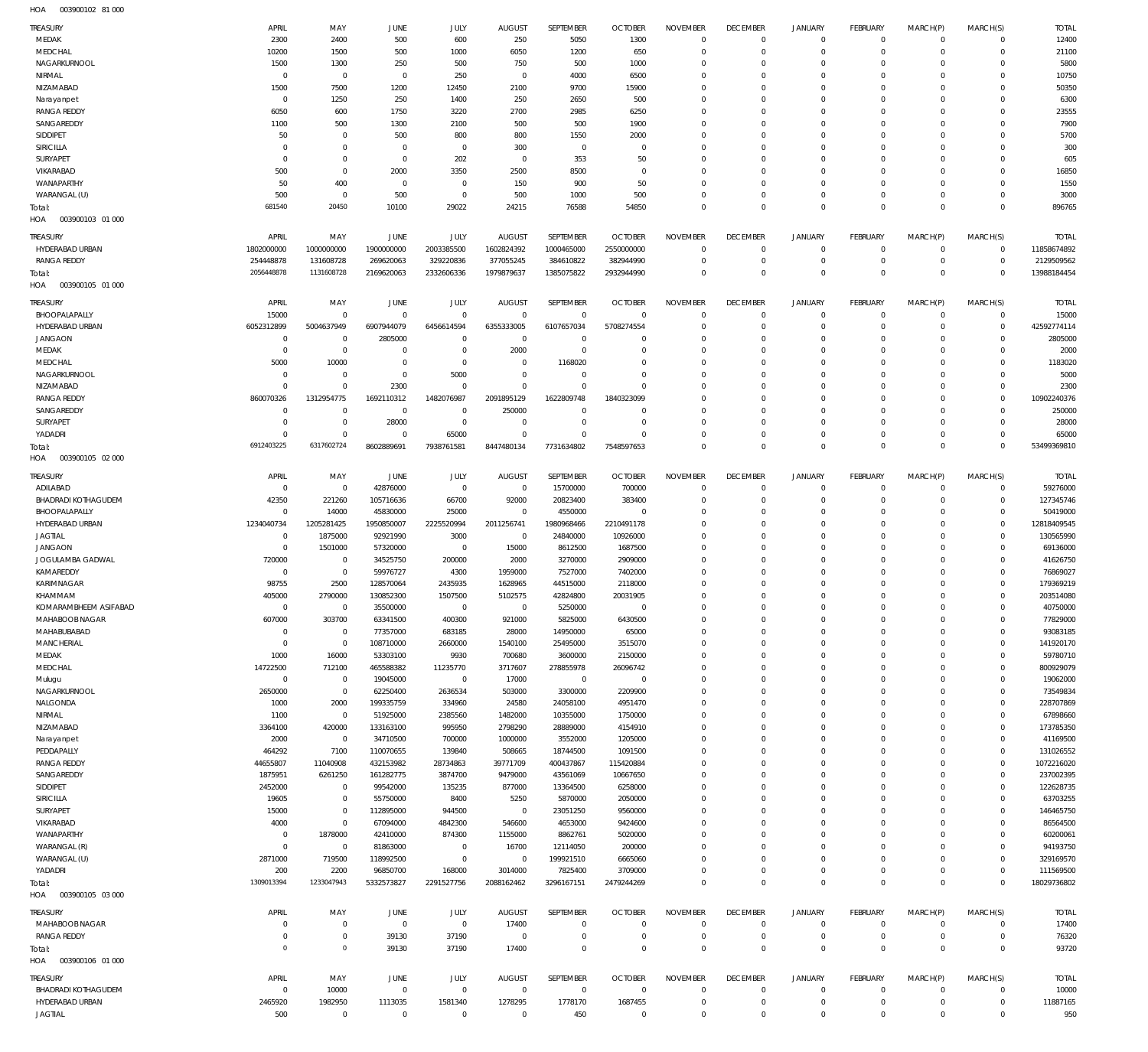003900102 81 000 HOA

| TREASURY                          | APRIL                    | MAY                       | JUNE                         | <b>JULY</b>           | <b>AUGUST</b>        | SEPTEMBER                 | <b>OCTOBER</b>      | <b>NOVEMBER</b>            | <b>DECEMBER</b>            | <b>JANUARY</b> | FEBRUARY                  | MARCH(P)             | MARCH(S)                     | <b>TOTAL</b>          |
|-----------------------------------|--------------------------|---------------------------|------------------------------|-----------------------|----------------------|---------------------------|---------------------|----------------------------|----------------------------|----------------|---------------------------|----------------------|------------------------------|-----------------------|
| MEDAK                             | 2300                     | 2400                      | 500                          | 600                   | 250                  | 5050                      | 1300                | $\Omega$                   | $^{\circ}$                 | $\mathbf 0$    | $\mathbf{0}$              | $\mathbf 0$          | $^{\circ}$                   | 12400                 |
| MEDCHAL                           | 10200                    | 1500                      | 500                          | 1000                  | 6050                 | 1200                      | 650                 | $\Omega$                   | $\mathbf 0$                | 0              | $^{\circ}$                | $\Omega$             | $\mathbf 0$                  | 21100                 |
| NAGARKURNOOL                      | 1500                     | 1300                      | 250                          | 500                   | 750                  | 500                       | 1000                | $\Omega$                   | $\Omega$                   | 0              | $^{\circ}$                | $\Omega$             | $\Omega$                     | 5800                  |
| NIRMAL<br>NIZAMABAD               | $^{\circ}$<br>1500       | $^{\circ}$<br>7500        | $\overline{0}$<br>1200       | 250<br>12450          | $^{\circ}$<br>2100   | 4000<br>9700              | 6500<br>15900       | 0<br>$\Omega$              | $\mathbf 0$<br>0           | 0<br>0         | $^{\circ}$<br>0           | 0                    | $\mathbf 0$<br>$\Omega$      | 10750<br>50350        |
| Narayanpet                        | $^{\circ}$               | 1250                      | 250                          | 1400                  | 250                  | 2650                      | 500                 | $\Omega$                   | $\mathbf 0$                | 0              | $^{\circ}$                | 0                    | $\Omega$                     | 6300                  |
| <b>RANGA REDDY</b>                | 6050                     | 600                       | 1750                         | 3220                  | 2700                 | 2985                      | 6250                | $\Omega$                   | 0                          | 0              | $^{\circ}$                | 0                    | 0                            | 23555                 |
| SANGAREDDY                        | 1100                     | 500                       | 1300                         | 2100                  | 500                  | 500                       | 1900                | $\Omega$                   | 0                          | 0              | $\Omega$                  | $\Omega$             | $\Omega$                     | 7900                  |
| SIDDIPET                          | 50                       | $\mathbf 0$               | 500                          | 800                   | 800                  | 1550                      | 2000                | $\Omega$                   | $\mathbf 0$                | 0              | $^{\circ}$                | $\Omega$             | 0                            | 5700                  |
| SIRICILLA                         | $\Omega$                 | $\mathbf 0$               | $^{\circ}$                   | $\mathbf 0$           | 300                  | $^{\circ}$                | $\circ$             | $\Omega$                   | 0                          | 0              | 0                         | 0                    | 0                            | 300                   |
| SURYAPET                          | 0                        | $\mathbf 0$               | $\overline{0}$               | 202                   | $^{\circ}$           | 353                       | 50                  | $\Omega$                   | $\Omega$                   | 0              | $\Omega$                  | $\Omega$             | $\Omega$                     | 605                   |
| VIKARABAD                         | 500                      | $\mathbf 0$               | 2000                         | 3350                  | 2500                 | 8500                      | $\circ$             | $\Omega$                   | $\mathbf 0$                | 0              | $^{\circ}$                | 0                    | $\mathbf 0$                  | 16850                 |
| WANAPARTHY                        | 50                       | 400<br>$^{\circ}$         | $\overline{0}$<br>500        | 0<br>$\mathbf 0$      | 150<br>500           | 900                       | 50<br>500           | $\Omega$<br>0              | 0<br>$\mathbf 0$           | 0<br>0         | $^{\circ}$<br>$^{\circ}$  | $\Omega$<br>$\Omega$ | $\Omega$<br>$\mathbf 0$      | 1550                  |
| WARANGAL (U)                      | 500<br>681540            | 20450                     | 10100                        | 29022                 | 24215                | 1000<br>76588             | 54850               | $\Omega$                   | $\mathbf 0$                | $\mathbf 0$    | $\circ$                   | $\Omega$             | $\mathbf 0$                  | 3000<br>896765        |
| Total:<br>HOA<br>003900103 01 000 |                          |                           |                              |                       |                      |                           |                     |                            |                            |                |                           |                      |                              |                       |
| <b>TREASURY</b>                   | APRIL                    | MAY                       | <b>JUNE</b>                  | JULY                  | <b>AUGUST</b>        | SEPTEMBER                 | <b>OCTOBER</b>      | <b>NOVEMBER</b>            | <b>DECEMBER</b>            | <b>JANUARY</b> | <b>FEBRUARY</b>           | MARCH(P)             | MARCH(S)                     | <b>TOTAL</b>          |
| HYDERABAD URBAN                   | 1802000000               | 1000000000                | 1900000000                   | 2003385500            | 1602824392           | 1000465000                | 2550000000          | $\Omega$                   | $\overline{0}$             | $\mathbf 0$    | $\overline{0}$            | 0                    | $\overline{0}$               | 11858674892           |
| <b>RANGA REDDY</b>                | 254448878                | 131608728                 | 269620063                    | 329220836             | 377055245            | 384610822                 | 382944990           | 0                          | $\mathbf 0$                | $\mathbf 0$    | $\overline{0}$            | 0                    | $\overline{0}$               | 2129509562            |
| Total:                            | 2056448878               | 1131608728                | 2169620063                   | 2332606336            | 1979879637           | 1385075822                | 2932944990          | $\mathbf 0$                | $\overline{0}$             | $\mathbf 0$    | $\overline{0}$            | $\Omega$             | $\overline{0}$               | 13988184454           |
| HOA<br>003900105 01 000           |                          |                           |                              |                       |                      |                           |                     |                            |                            |                |                           |                      |                              |                       |
| TREASURY                          | APRIL                    | MAY                       | <b>JUNE</b>                  | JULY                  | <b>AUGUST</b>        | SEPTEMBER                 | <b>OCTOBER</b>      | <b>NOVEMBER</b>            | <b>DECEMBER</b>            | <b>JANUARY</b> | <b>FEBRUARY</b>           | MARCH(P)             | MARCH(S)                     | <b>TOTAL</b>          |
| BHOOPALAPALLY                     | 15000                    | $\mathbf 0$               | $\overline{0}$               | $\mathbf 0$           | $\mathbf 0$          | $\mathbf 0$               | $\circ$             | 0                          | $\mathbf 0$                | $\mathbf 0$    | $^{\circ}$                | 0                    | $^{\circ}$                   | 15000                 |
| HYDERABAD URBAN                   | 6052312899               | 5004637949                | 6907944079                   | 6456614594            | 6355333005           | 6107657034                | 5708274554          | $\Omega$                   | 0                          | 0              | $\mathbf 0$               | $\Omega$             | $\mathbf{0}$                 | 42592774114           |
| <b>JANGAON</b>                    | $\mathbf 0$              | $\mathbf 0$               | 2805000                      | 0                     | $\mathbf 0$          | $\mathbf 0$               | 0                   | $\Omega$                   | $\mathbf 0$                | 0              | $^{\circ}$                | 0                    | $\mathbf 0$                  | 2805000               |
| MEDAK                             | $\circ$                  | $\mathbf 0$               | $^{\circ}$                   | $\Omega$              | 2000                 | $\mathbf 0$               | 0                   | 0                          | 0                          | 0              | $^{\circ}$                | 0                    | $\Omega$                     | 2000                  |
| MEDCHAL                           | 5000                     | 10000                     | $\circ$                      | $\mathbf 0$           | $\mathbf 0$          | 1168020                   | 0                   | $\Omega$                   | 0                          | 0              | $\Omega$                  | 0                    | $\Omega$                     | 1183020               |
| NAGARKURNOOL                      | 0                        | $\mathbf 0$               | $^{\circ}$                   | 5000                  | $\mathbf 0$          | $\mathbf 0$               | 0                   | $\Omega$                   | $\mathbf 0$                | 0              | $^{\circ}$                | 0                    | $\Omega$                     | 5000                  |
| NIZAMABAD                         | $\Omega$                 | $\Omega$                  | 2300                         | $\Omega$              | $\Omega$             | $\mathbf 0$               | $\Omega$            | $\Omega$                   | 0                          | 0              | $^{\circ}$                | 0                    | $\mathbf 0$                  | 2300                  |
| <b>RANGA REDDY</b><br>SANGAREDDY  | 860070326<br>$\mathbf 0$ | 1312954775<br>$\mathbf 0$ | 1692110312<br>$\overline{0}$ | 1482076987<br>0       | 2091895129<br>250000 | 1622809748<br>$\mathbf 0$ | 1840323099<br>0     | $\Omega$<br>0              | $\Omega$<br>$\mathbf 0$    | 0<br>0         | $\Omega$<br>$^{\circ}$    | $\Omega$<br>0        | $\mathbf 0$<br>$\mathbf 0$   | 10902240376<br>250000 |
| SURYAPET                          | $\mathbf 0$              | $\mathbf 0$               | 28000                        | $\mathbf 0$           | $\mathbf 0$          | $\mathbf 0$               | $^{\circ}$          | $\Omega$                   | 0                          | 0              | $^{\circ}$                | $\Omega$             | $\Omega$                     | 28000                 |
| YADADRI                           | $\Omega$                 | $\mathbf 0$               | $^{\circ}$                   | 65000                 | $\Omega$             | $\mathbf 0$               | $^{\circ}$          | 0                          | $\mathbf 0$                | 0              | $^{\circ}$                | $\Omega$             | $\mathbf 0$                  | 65000                 |
| Total:                            | 6912403225               | 6317602724                | 8602889691                   | 7938761581            | 8447480134           | 7731634802                | 7548597653          | $\Omega$                   | $\mathbf 0$                | $\mathbf 0$    | $\mathbf 0$               | $\Omega$             | $\Omega$                     | 53499369810           |
| HOA<br>003900105 02 000           |                          |                           |                              |                       |                      |                           |                     |                            |                            |                |                           |                      |                              |                       |
| TREASURY                          | APRIL                    | MAY                       | <b>JUNE</b>                  | JULY                  | <b>AUGUST</b>        | SEPTEMBER                 | <b>OCTOBER</b>      | <b>NOVEMBER</b>            | <b>DECEMBER</b>            | <b>JANUARY</b> | <b>FEBRUARY</b>           | MARCH(P)             | MARCH(S)                     | <b>TOTAL</b>          |
| ADILABAD                          | $\overline{0}$           | $^{\circ}$                | 42876000                     | $\mathbf 0$           | $\overline{0}$       | 15700000                  | 700000              | $\Omega$                   | $^{\circ}$                 | $\mathbf 0$    | $\overline{0}$            | 0                    | $\mathbf{0}$                 | 59276000              |
| <b>BHADRADI KOTHAGUDEM</b>        | 42350                    | 221260                    | 105716636                    | 66700                 | 92000                | 20823400                  | 383400              | 0                          | $^{\circ}$                 | 0              | $^{\circ}$                | 0                    | $\mathbf{0}$                 | 127345746             |
| BHOOPALAPALLY                     | $\Omega$                 | 14000                     | 45830000                     | 25000                 | $\mathbf 0$          | 4550000                   | $\circ$             | $\Omega$                   | 0                          | 0              | $^{\circ}$                | $\Omega$             | $\mathbf{0}$                 | 50419000              |
| HYDERABAD URBAN                   | 1234040734               | 1205281425                | 1950850007                   | 2225520994            | 2011256741           | 1980968466                | 2210491178          | $\Omega$                   | $\mathbf 0$                | 0              | $^{\circ}$                | $\Omega$             | $\mathbf{0}$                 | 12818409545           |
| JAGTIAL                           | $\mathbf 0$              | 1875000                   | 92921990                     | 3000                  | $\overline{0}$       | 24840000                  | 10926000            | $\Omega$                   | $\mathbf 0$                | 0              | $^{\circ}$                | $\Omega$             | $\mathbf{0}$                 | 130565990             |
| <b>JANGAON</b>                    | $\overline{0}$           | 1501000                   | 57320000                     | $\mathbf 0$           | 15000                | 8612500                   | 1687500             | $\Omega$                   | $\mathbf 0$                | 0              | $^{\circ}$                | $\Omega$             | $\mathbf{0}$                 | 69136000              |
| JOGULAMBA GADWAL                  | 720000                   | $\mathbf 0$               | 34525750                     | 200000                | 2000                 | 3270000                   | 2909000             | $\Omega$                   | $\mathbf 0$                | 0              | $^{\circ}$                | $\Omega$             | $\mathbf 0$                  | 41626750              |
| KAMAREDDY                         | $\mathbf 0$              | $\mathbf 0$               | 59976727                     | 4300                  | 1959000              | 7527000                   | 7402000             | $\Omega$                   | $\mathbf 0$                | $\Omega$       | $\Omega$                  | $\Omega$             | $\mathbf{0}$                 | 76869027              |
| KARIMNAGAR<br>KHAMMAM             | 98755<br>405000          | 2500<br>2790000           | 128570064<br>130852300       | 2435935<br>1507500    | 1628965              | 44515000                  | 2118000<br>20031905 | $\Omega$<br>$\Omega$       | $\mathbf 0$<br>$\Omega$    | 0<br>$\Omega$  | $^{\circ}$<br>$\Omega$    | 0<br>$\Omega$        | $\mathbf 0$<br>$\mathbf 0$   | 179369219             |
| KOMARAMBHEEM ASIFABAD             | $\Omega$                 | $\Omega$                  | 35500000                     | $\Omega$              | 5102575<br>$\Omega$  | 42824800<br>5250000       | $\Omega$            | $\Omega$                   | $\Omega$                   | $\Omega$       | $\Omega$                  | $\Omega$             | $\Omega$                     | 203514080<br>40750000 |
| MAHABOOB NAGAR                    | 607000                   | 303700                    | 63341500                     | 400300                | 921000               | 5825000                   | 6430500             | $\mathbf 0$                | $\mathbf 0$                | $\mathbf 0$    | $^{\circ}$                | 0                    | $\mathbf{0}$                 | 77829000              |
| MAHABUBABAD                       | $\overline{0}$           | $\overline{0}$            | 77357000                     | 683185                | 28000                | 14950000                  | 65000               | $\mathbf 0$                | $\mathbf 0$                | $\mathbf 0$    | $\mathbf{0}$              | 0                    | $\mathbf{0}$                 | 93083185              |
| <b>MANCHERIAL</b>                 | $\overline{0}$           | $\overline{0}$            | 108710000                    | 2660000               | 1540100              | 25495000                  | 3515070             | $\mathbf 0$                | $\mathbf 0$                | 0              | $\mathbf 0$               | 0                    | $\mathbf{0}$                 | 141920170             |
| MEDAK                             | 1000                     | 16000                     | 53303100                     | 9930                  | 700680               | 3600000                   | 2150000             | 0                          | $\mathbf 0$                | 0              | $^{\circ}$                | $\Omega$             | $\mathbf{0}$                 | 59780710              |
| MEDCHAL                           | 14722500                 | 712100                    | 465588382                    | 11235770              | 3717607              | 278855978                 | 26096742            | $\mathbf 0$                | $\mathbf 0$                | 0              | $^{\circ}$                | $\Omega$             | $\mathbf{0}$                 | 800929079             |
| Mulugu                            | $\overline{0}$           | $\overline{0}$            | 19045000                     | $\mathbf 0$           | 17000                | $\overline{0}$            | - 0                 | 0                          | $\mathbf 0$                | 0              | $^{\circ}$                | $\Omega$             | $\mathbf{0}$                 | 19062000              |
| NAGARKURNOOL                      | 2650000                  | $\overline{0}$            | 62250400                     | 2636534               | 503000               | 3300000                   | 2209900             | $\mathbf 0$                | $\mathbf 0$                | 0              | $\mathbf 0$               | $\Omega$             | $\mathbf{0}$                 | 73549834              |
| NALGONDA                          | 1000                     | 2000                      | 199335759                    | 334960                | 24580                | 24058100                  | 4951470             | $\mathbf 0$                | $\mathbf 0$<br>$\mathbf 0$ | 0              | $^{\circ}$                | $\Omega$<br>$\Omega$ | $\circ$<br>$\mathbf{0}$      | 228707869             |
| NIRMAL<br>NIZAMABAD               | 1100<br>3364100          | $\overline{0}$<br>420000  | 51925000<br>133163100        | 2385560<br>995950     | 1482000<br>2798290   | 10355000<br>28889000      | 1750000<br>4154910  | $\mathbf 0$<br>$\mathbf 0$ | $\mathbf 0$                | 0<br>0         | $^{\circ}$<br>$\mathbf 0$ | $\Omega$             | $\mathbf{0}$                 | 67898660<br>173785350 |
| Narayanpet                        | 2000                     | $\overline{0}$            | 34710500                     | 700000                | 1000000              | 3552000                   | 1205000             | $\mathbf 0$                | $\mathbf 0$                | 0              | $^{\circ}$                | 0                    | $\mathbf{0}$                 | 41169500              |
| PEDDAPALLY                        | 464292                   | 7100                      | 110070655                    | 139840                | 508665               | 18744500                  | 1091500             | 0                          | $\mathbf 0$                | 0              | $^{\circ}$                | $\Omega$             | $\circ$                      | 131026552             |
| <b>RANGA REDDY</b>                | 44655807                 | 11040908                  | 432153982                    | 28734863              | 39771709             | 400437867                 | 115420884           | $\mathbf 0$                | $\mathbf 0$                | 0              | $^{\circ}$                | 0                    | $\overline{0}$               | 1072216020            |
| SANGAREDDY                        | 1875951                  | 6261250                   | 161282775                    | 3874700               | 9479000              | 43561069                  | 10667650            | 0                          | $\mathbf 0$                | 0              | $^{\circ}$                | $\Omega$             | $\circ$                      | 237002395             |
| SIDDIPET                          | 2452000                  | $\overline{0}$            | 99542000                     | 135235                | 877000               | 13364500                  | 6258000             | $\mathbf 0$                | $\mathbf 0$                | 0              | $\mathbf 0$               | $\Omega$             | $\mathbf{0}$                 | 122628735             |
| SIRICILLA                         | 19605                    | $\overline{0}$            | 55750000                     | 8400                  | 5250                 | 5870000                   | 2050000             | 0                          | $\mathbf 0$                | 0              | $^{\circ}$                | $\Omega$             | $\circ$                      | 63703255              |
| SURYAPET                          | 15000                    | $\mathbf 0$               | 112895000                    | 944500                | $\overline{0}$       | 23051250                  | 9560000             | $\mathbf 0$                | $\mathbf 0$                | 0              | $^{\circ}$                | $\Omega$             | $\mathbf{0}$                 | 146465750             |
| VIKARABAD                         | 4000<br>$\overline{0}$   | $\mathbf 0$               | 67094000                     | 4842300               | 546600               | 4653000                   | 9424600             | 0                          | $\mathbf 0$<br>$\mathbf 0$ | 0              | $^{\circ}$                | $\Omega$             | $\mathbf{0}$<br>$\mathbf{0}$ | 86564500              |
| WANAPARTHY<br>WARANGAL (R)        | $\overline{0}$           | 1878000<br>$\overline{0}$ | 42410000<br>81863000         | 874300<br>$\mathbf 0$ | 1155000<br>16700     | 8862761<br>12114050       | 5020000<br>200000   | $\mathbf 0$<br>0           | $\mathbf 0$                | 0<br>0         | $^{\circ}$<br>$^{\circ}$  | 0<br>$\Omega$        | $\mathbf{0}$                 | 60200061<br>94193750  |
| WARANGAL (U)                      | 2871000                  | 719500                    | 118992500                    | $\mathbf 0$           | $\overline{0}$       | 199921510                 | 6665060             | $\mathbf 0$                | $\mathbf 0$                | 0              | $^{\circ}$                | 0                    | $\mathbf{0}$                 | 329169570             |
| YADADRI                           | 200                      | 2200                      | 96850700                     | 168000                | 3014000              | 7825400                   | 3709000             | $\mathbf 0$                | $\mathbf 0$                | $\mathbf 0$    | $\mathbf{0}$              | 0                    | $\circ$                      | 111569500             |
| Total:                            | 1309013394               | 1233047943                | 5332573827                   | 2291527756            | 2088162462           | 3296167151                | 2479244269          | $\mathbf 0$                | $\overline{0}$             | $\mathbf 0$    | $\overline{0}$            | $\mathbf 0$          | $\overline{0}$               | 18029736802           |
| 003900105 03 000<br>HOA           |                          |                           |                              |                       |                      |                           |                     |                            |                            |                |                           |                      |                              |                       |
| <b>TREASURY</b>                   | APRIL                    | MAY                       | <b>JUNE</b>                  | JULY                  | <b>AUGUST</b>        | SEPTEMBER                 | <b>OCTOBER</b>      | <b>NOVEMBER</b>            | <b>DECEMBER</b>            | <b>JANUARY</b> | FEBRUARY                  | MARCH(P)             | MARCH(S)                     | <b>TOTAL</b>          |
| MAHABOOB NAGAR                    | 0                        | $\mathbf 0$               | $\overline{0}$               | $\mathbf 0$           | 17400                | $\mathbf 0$               | $\overline{0}$      | $\mathbf 0$                | $\mathbf 0$                | $\mathbf 0$    | $\mathbf{0}$              | $\mathbf 0$          | $\mathbf{0}$                 | 17400                 |
| RANGA REDDY                       | 0                        | $\mathbf 0$               | 39130                        | 37190                 | $\overline{0}$       | $\mathbf 0$               | $\mathbf 0$         | $\mathbf 0$                | $\mathbf 0$                | $\mathbf 0$    | $\mathbf{0}$              | 0                    | $\mathbf{0}$                 | 76320                 |
| Total:                            | $\mathbf 0$              | $\mathbf 0$               | 39130                        | 37190                 | 17400                | $\mathbf 0$               | $\overline{0}$      | $\mathbf 0$                | $\overline{0}$             | $\mathbf 0$    | $\overline{0}$            | $\mathbf 0$          | $\overline{0}$               | 93720                 |
| HOA   003900106   01   000        |                          |                           |                              |                       |                      |                           |                     |                            |                            |                |                           |                      |                              |                       |
| <b>TREASURY</b>                   | APRIL                    | MAY                       | <b>JUNE</b>                  | JULY                  | <b>AUGUST</b>        | SEPTEMBER                 | <b>OCTOBER</b>      | <b>NOVEMBER</b>            | <b>DECEMBER</b>            | <b>JANUARY</b> | <b>FEBRUARY</b>           | MARCH(P)             | MARCH(S)                     | <b>TOTAL</b>          |
| <b>BHADRADI KOTHAGUDEM</b>        | $\mathbf 0$              | 10000                     | $\overline{0}$               | $\mathbf 0$           | $\overline{0}$       | $\mathbf 0$               | $\overline{0}$      | $\mathbf 0$                | $\overline{0}$             | $\mathbf 0$    | $\mathbf{0}$              | $\mathbf 0$          | $^{\circ}$                   | 10000                 |
| HYDERABAD URBAN                   | 2465920                  | 1982950                   | 1113035                      | 1581340               | 1278295              | 1778170                   | 1687455             | $\mathbf 0$                | $\overline{0}$             | $\mathbf 0$    | $\mathbf 0$               | $\mathbf 0$          | $\overline{0}$               | 11887165              |
| JAGTIAL                           | 500                      | $\,0\,$                   | $\overline{0}$               | $\mathbb O$           | $\overline{0}$       | 450                       | $\overline{0}$      | $\mathbf 0$                | $\overline{0}$             | $\mathbf 0$    | $\mathbf 0$               | $\mathbf 0$          | $\mathbf 0$                  | 950                   |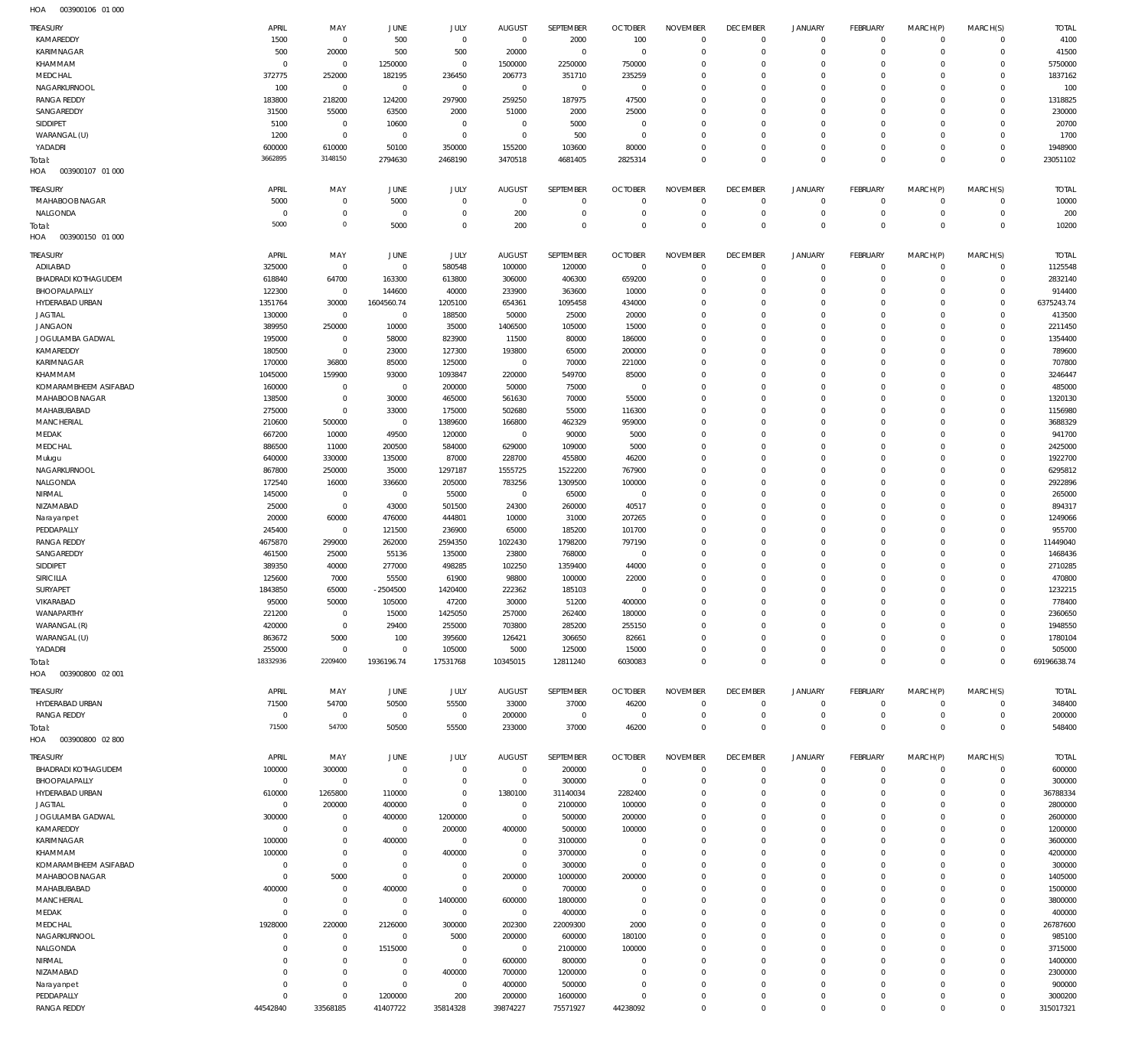| <b>TREASURY</b>            | APRIL          | MAY            | JUNE           | JULY        | <b>AUGUST</b>  | SEPTEMBER        | <b>OCTOBER</b> | <b>NOVEMBER</b> | <b>DECEMBER</b> | <b>JANUARY</b> | <b>FEBRUARY</b> | MARCH(P)   | MARCH(S)     | <b>TOTAL</b> |
|----------------------------|----------------|----------------|----------------|-------------|----------------|------------------|----------------|-----------------|-----------------|----------------|-----------------|------------|--------------|--------------|
| KAMAREDDY                  | 1500           | $\mathbf 0$    | 500            | $\mathbf 0$ | $\mathbf 0$    | 2000             | 100            | $\mathbf 0$     | $\overline{0}$  | $\overline{0}$ | $\mathbf 0$     | $\Omega$   | $\Omega$     | 4100         |
|                            |                |                |                |             |                |                  |                |                 |                 |                |                 |            |              |              |
| KARIMNAGAR                 | 500            | 20000          | 500            | 500         | 20000          | $\mathbf 0$      | $\overline{0}$ | $\Omega$        | $\overline{0}$  | $\mathbf 0$    | $\mathbf{0}$    | $\Omega$   | $\mathbf 0$  | 41500        |
| KHAMMAM                    | $\Omega$       | $\mathbf 0$    | 1250000        | $\mathbf 0$ | 1500000        | 2250000          | 750000         | $\Omega$        | $\Omega$        | $\Omega$       | $\Omega$        | $\Omega$   | $\Omega$     | 5750000      |
| MEDCHAL                    | 372775         | 252000         | 182195         | 236450      | 206773         | 351710           | 235259         | $\Omega$        | $\mathbf 0$     | $\Omega$       | $\Omega$        | $\Omega$   | $\Omega$     | 1837162      |
|                            |                |                |                |             |                |                  |                |                 |                 |                |                 |            |              |              |
| NAGARKURNOOL               | 100            | $\mathbf 0$    | $^{\circ}$     | $\mathbf 0$ | $\mathbf 0$    | $\mathbf{0}$     | $\overline{0}$ | $\Omega$        | $\Omega$        | $\Omega$       | $\Omega$        | $\Omega$   | $\Omega$     | 100          |
| <b>RANGA REDDY</b>         | 183800         | 218200         | 124200         | 297900      | 259250         | 187975           | 47500          | $\Omega$        | $\mathbf 0$     | $\Omega$       | $\Omega$        | $\Omega$   | $\Omega$     | 1318825      |
| SANGAREDDY                 | 31500          | 55000          | 63500          | 2000        | 51000          | 2000             | 25000          | $\Omega$        | $\Omega$        | $\Omega$       | $\Omega$        | $\Omega$   | $\Omega$     | 230000       |
|                            |                |                |                |             |                |                  |                |                 |                 |                |                 |            |              |              |
| SIDDIPET                   | 5100           | $\overline{0}$ | 10600          | $\mathbf 0$ | $^{\circ}$     | 5000             | $\overline{0}$ | $\Omega$        | $\Omega$        | $\Omega$       | $\Omega$        | $\Omega$   | $\Omega$     | 20700        |
| WARANGAL (U)               | 1200           | $\mathbf 0$    | $^{\circ}$     | $\mathbf 0$ | $\mathbf 0$    | 500              | $\overline{0}$ | $\Omega$        | $\mathbf 0$     | $\Omega$       | $\Omega$        | $\Omega$   | $\Omega$     | 1700         |
| YADADRI                    | 600000         | 610000         | 50100          | 350000      | 155200         | 103600           | 80000          | $\Omega$        | $\overline{0}$  | $\mathbf 0$    | $\mathbf{0}$    | $\Omega$   | $\Omega$     | 1948900      |
|                            |                |                |                |             |                |                  |                |                 |                 |                |                 |            |              |              |
| Total:                     | 3662895        | 3148150        | 2794630        | 2468190     | 3470518        | 4681405          | 2825314        | $\Omega$        | $\Omega$        | $\mathbf 0$    | $\Omega$        | $\Omega$   | $\Omega$     | 23051102     |
| 003900107 01 000<br>HOA    |                |                |                |             |                |                  |                |                 |                 |                |                 |            |              |              |
|                            |                |                |                |             |                |                  |                |                 |                 |                |                 |            |              |              |
| TREASURY                   | APRIL          | MAY            | JUNE           | JULY        | <b>AUGUST</b>  | <b>SEPTEMBER</b> | <b>OCTOBER</b> | <b>NOVEMBER</b> | <b>DECEMBER</b> | <b>JANUARY</b> | <b>FEBRUARY</b> | MARCH(P)   | MARCH(S)     | <b>TOTAL</b> |
| MAHABOOB NAGAR             | 5000           | $\,0\,$        | 5000           | $\mathbf 0$ | $\overline{0}$ | $\mathbf 0$      | $\overline{0}$ | $\mathbf 0$     | $\overline{0}$  | $\overline{0}$ | $\mathbf 0$     | $^{\circ}$ | $\mathbf 0$  | 10000        |
|                            |                |                |                |             |                |                  |                |                 |                 |                |                 |            |              |              |
| NALGONDA                   | 0              | $\,0\,$        | $\mathbf 0$    | $\mathbf 0$ | 200            | $\bf 0$          | $\overline{0}$ | $\mathbf 0$     | $\mathbf 0$     | $\mathbf 0$    | $\mathbf 0$     | $^{\circ}$ | $\mathbf 0$  | 200          |
| Total:                     | 5000           | $\mathbb O$    | 5000           | $\mathbf 0$ | 200            | $\mathbf 0$      | $\overline{0}$ | $\mathbf 0$     | $\overline{0}$  | $\mathbf 0$    | $\overline{0}$  | $\Omega$   | $\mathbf{0}$ | 10200        |
| HOA<br>003900150 01 000    |                |                |                |             |                |                  |                |                 |                 |                |                 |            |              |              |
|                            |                |                |                |             |                |                  |                |                 |                 |                |                 |            |              |              |
| <b>TREASURY</b>            | APRIL          | MAY            | JUNE           | <b>JULY</b> | <b>AUGUST</b>  | SEPTEMBER        | <b>OCTOBER</b> | <b>NOVEMBER</b> | <b>DECEMBER</b> | <b>JANUARY</b> | <b>FEBRUARY</b> | MARCH(P)   | MARCH(S)     | <b>TOTAL</b> |
|                            |                |                |                |             |                |                  |                |                 |                 |                |                 |            |              |              |
| ADILABAD                   | 325000         | $\mathbf 0$    | $^{\circ}$     | 580548      | 100000         | 120000           | $\overline{0}$ | $\Omega$        | $\overline{0}$  | $\mathbf 0$    | $\Omega$        | $\Omega$   | $\mathbf 0$  | 1125548      |
| <b>BHADRADI KOTHAGUDEM</b> | 618840         | 64700          | 163300         | 613800      | 306000         | 406300           | 659200         | $\mathbf 0$     | $\overline{0}$  | $\mathbf 0$    | $\mathbf 0$     | $\Omega$   | $\circ$      | 2832140      |
| BHOOPALAPALLY              | 122300         | $\mathbf 0$    | 144600         | 40000       | 233900         | 363600           | 10000          | $\Omega$        | $\mathbf 0$     | $\Omega$       | $\Omega$        | $\Omega$   | $\Omega$     | 914400       |
|                            |                |                |                |             |                |                  |                |                 |                 |                |                 |            |              |              |
| HYDERABAD URBAN            | 1351764        | 30000          | 1604560.74     | 1205100     | 654361         | 1095458          | 434000         | $\Omega$        | $\mathbf 0$     | $\Omega$       | $\Omega$        | $\Omega$   | $\circ$      | 6375243.74   |
| <b>JAGTIAL</b>             | 130000         | $\mathbf 0$    | $\overline{0}$ | 188500      | 50000          | 25000            | 20000          | $\Omega$        | $\Omega$        | $\Omega$       | $\Omega$        | $\Omega$   | $\Omega$     | 413500       |
|                            |                |                |                |             |                |                  |                | $\Omega$        | $\Omega$        | $\Omega$       | $\Omega$        | $\Omega$   | $\Omega$     |              |
| <b>JANGAON</b>             | 389950         | 250000         | 10000          | 35000       | 1406500        | 105000           | 15000          |                 |                 |                |                 |            |              | 2211450      |
| JOGULAMBA GADWAL           | 195000         | $\mathbf 0$    | 58000          | 823900      | 11500          | 80000            | 186000         | $\Omega$        | $\mathbf 0$     | $\Omega$       | $\Omega$        | $\Omega$   | $\Omega$     | 1354400      |
| KAMAREDDY                  | 180500         | $\mathbf 0$    | 23000          | 127300      | 193800         | 65000            | 200000         | $\Omega$        | $\Omega$        | $\Omega$       | $\Omega$        | $\Omega$   | $\Omega$     | 789600       |
|                            |                |                |                |             |                |                  |                |                 |                 |                |                 |            |              |              |
| <b>KARIMNAGAR</b>          | 170000         | 36800          | 85000          | 125000      | $\mathbf 0$    | 70000            | 221000         | $\Omega$        | $\mathbf 0$     | $\Omega$       | $\Omega$        | $\Omega$   | $\Omega$     | 707800       |
| KHAMMAM                    | 1045000        | 159900         | 93000          | 1093847     | 220000         | 549700           | 85000          | $\Omega$        | $\Omega$        | $\Omega$       | $\Omega$        | $\Omega$   | $\Omega$     | 3246447      |
| KOMARAMBHEEM ASIFABAD      | 160000         | $\overline{0}$ | $^{\circ}$     | 200000      | 50000          | 75000            | $\overline{0}$ | $\Omega$        | $\mathbf 0$     | $\Omega$       | $\Omega$        | $\Omega$   | $\Omega$     | 485000       |
|                            |                |                |                |             |                |                  |                |                 |                 |                |                 |            |              |              |
| MAHABOOB NAGAR             | 138500         | $\mathbf 0$    | 30000          | 465000      | 561630         | 70000            | 55000          | $\Omega$        | $\Omega$        | $\Omega$       | $\Omega$        | $\Omega$   | $\Omega$     | 1320130      |
| MAHABUBABAD                | 275000         | $\mathbf 0$    | 33000          | 175000      | 502680         | 55000            | 116300         | $\Omega$        | $\Omega$        | $\Omega$       | $\Omega$        | $\Omega$   | $\Omega$     | 1156980      |
|                            |                |                |                |             |                |                  |                |                 |                 |                |                 |            |              |              |
| <b>MANCHERIAL</b>          | 210600         | 500000         | $^{\circ}$     | 1389600     | 166800         | 462329           | 959000         | $\Omega$        | $\Omega$        | $\Omega$       | $\Omega$        | $\Omega$   | $\Omega$     | 3688329      |
| MEDAK                      | 667200         | 10000          | 49500          | 120000      | $\mathbf 0$    | 90000            | 5000           | $\Omega$        | $\Omega$        | $\Omega$       | $\Omega$        | $\Omega$   | $\Omega$     | 941700       |
| MEDCHAL                    | 886500         | 11000          | 200500         | 584000      | 629000         | 109000           | 5000           | $\Omega$        | $\Omega$        | $\Omega$       | $\Omega$        | $\Omega$   | $\Omega$     | 2425000      |
|                            |                |                |                |             |                |                  |                |                 |                 |                |                 |            |              |              |
| Mulugu                     | 640000         | 330000         | 135000         | 87000       | 228700         | 455800           | 46200          | $\Omega$        | $\Omega$        | $\Omega$       | $\Omega$        | $\Omega$   | $\Omega$     | 1922700      |
| NAGARKURNOOL               | 867800         | 250000         | 35000          | 1297187     | 1555725        | 1522200          | 767900         | $\Omega$        | $\mathbf 0$     | $\Omega$       | $\Omega$        | $\Omega$   | $\Omega$     | 6295812      |
| NALGONDA                   | 172540         | 16000          | 336600         | 205000      | 783256         | 1309500          | 100000         | $\Omega$        | $\Omega$        | $\Omega$       | $\Omega$        | $\Omega$   | $\Omega$     | 2922896      |
|                            |                |                |                |             |                |                  |                |                 |                 |                |                 |            |              |              |
| NIRMAL                     | 145000         | $\overline{0}$ | $^{\circ}$     | 55000       | $\overline{0}$ | 65000            | $\overline{0}$ | $\Omega$        | $\mathbf 0$     | $\Omega$       | $\Omega$        | $\Omega$   | $\Omega$     | 265000       |
| NIZAMABAD                  | 25000          | $\mathbf 0$    | 43000          | 501500      | 24300          | 260000           | 40517          | $\Omega$        | $\Omega$        | $\Omega$       | $\Omega$        | $\Omega$   | $\Omega$     | 894317       |
|                            |                |                |                |             |                |                  |                |                 |                 |                |                 |            |              |              |
| Narayanpet                 | 20000          | 60000          | 476000         | 444801      | 10000          | 31000            | 207265         | $\Omega$        | $\mathbf 0$     | $\Omega$       | $\Omega$        | $\Omega$   | $\Omega$     | 1249066      |
| PEDDAPALLY                 | 245400         | $\mathbf 0$    | 121500         | 236900      | 65000          | 185200           | 101700         | $\Omega$        | $\Omega$        | $\Omega$       | $\Omega$        | $\Omega$   | $\Omega$     | 955700       |
| <b>RANGA REDDY</b>         | 4675870        | 299000         | 262000         | 2594350     | 1022430        | 1798200          | 797190         | $\Omega$        | $\mathbf 0$     | $\Omega$       | $\Omega$        | $\Omega$   | $\circ$      | 11449040     |
|                            |                |                |                |             |                |                  |                |                 |                 |                |                 |            |              |              |
| SANGAREDDY                 | 461500         | 25000          | 55136          | 135000      | 23800          | 768000           | $\overline{0}$ | $\Omega$        | $\Omega$        | $\Omega$       | $\Omega$        | $\Omega$   | $\Omega$     | 1468436      |
| SIDDIPET                   | 389350         | 40000          | 277000         | 498285      | 102250         | 1359400          | 44000          | $\Omega$        | $\mathbf 0$     | $\Omega$       | $\Omega$        | $\Omega$   | $\Omega$     | 2710285      |
| SIRICILLA                  | 125600         | 7000           | 55500          | 61900       | 98800          | 100000           | 22000          | $\Omega$        | $\Omega$        | $\Omega$       | $\Omega$        | $\Omega$   | $\Omega$     | 470800       |
|                            |                |                |                |             |                |                  |                |                 |                 |                |                 |            |              |              |
| SURYAPET                   | 1843850        | 65000          | $-2504500$     | 1420400     | 222362         | 185103           | $^{\circ}$     | $\Omega$        | $\Omega$        | $\Omega$       | $\Omega$        | $\Omega$   | $\Omega$     | 1232215      |
| VIKARABAD                  | 95000          | 50000          | 105000         | 47200       | 30000          | 51200            | 400000         | $\Omega$        | $\Omega$        | $\Omega$       | $\Omega$        | $\Omega$   | $\Omega$     | 778400       |
| WANAPARTHY                 | 221200         | $\mathbf 0$    | 15000          | 1425050     | 257000         | 262400           | 180000         | $\mathbf 0$     | $\overline{0}$  | 0              | $\circ$         | $\Omega$   | $\circ$      | 2360650      |
|                            |                |                |                |             |                |                  |                |                 |                 |                |                 |            |              |              |
| WARANGAL (R)               | 420000         | $\mathbf 0$    | 29400          | 255000      | 703800         | 285200           | 255150         | $\Omega$        | $\mathbf 0$     | 0              | $^{\circ}$      | $\Omega$   | $\Omega$     | 1948550      |
| WARANGAL (U)               | 863672         | 5000           | 100            | 395600      | 126421         | 306650           | 82661          | $\Omega$        | $\overline{0}$  | 0              | $\circ$         | $\Omega$   | $\Omega$     | 1780104      |
|                            |                |                | $\overline{0}$ |             |                |                  |                | $\Omega$        | $\overline{0}$  | $\mathbf 0$    | $\mathbf{0}$    | $\Omega$   | $\Omega$     |              |
| YADADRI                    | 255000         | $\overline{0}$ |                | 105000      | 5000           | 125000           | 15000          |                 |                 |                |                 |            |              | 505000       |
| Total:                     | 18332936       | 2209400        | 1936196.74     | 17531768    | 10345015       | 12811240         | 6030083        | $\Omega$        | $\Omega$        | $\Omega$       | $\overline{0}$  | $\Omega$   | $\Omega$     | 69196638.74  |
| 003900800 02 001<br>HOA    |                |                |                |             |                |                  |                |                 |                 |                |                 |            |              |              |
|                            |                |                |                |             |                |                  |                |                 |                 |                |                 |            |              |              |
| <b>TREASURY</b>            | APRIL          | MAY            | JUNE           | JULY        | <b>AUGUST</b>  | SEPTEMBER        | <b>OCTOBER</b> | <b>NOVEMBER</b> | <b>DECEMBER</b> | <b>JANUARY</b> | <b>FEBRUARY</b> | MARCH(P)   | MARCH(S)     | <b>TOTAL</b> |
|                            |                |                |                |             |                |                  |                |                 |                 |                |                 |            |              |              |
| HYDERABAD URBAN            | 71500          | 54700          | 50500          | 55500       | 33000          | 37000            | 46200          | $\mathbf 0$     | $\overline{0}$  | $\overline{0}$ | $\mathbf{0}$    | $^{\circ}$ | $\mathbf 0$  | 348400       |
| <b>RANGA REDDY</b>         | $^{\circ}$     | $\,0\,$        | $\mathbf 0$    | $\mathbf 0$ | 200000         | $\overline{0}$   | $\overline{0}$ | $\mathbf 0$     | $\overline{0}$  | $\mathbf 0$    | $\mathbf 0$     | $^{\circ}$ | $\mathbf 0$  | 200000       |
| Total:                     | 71500          | 54700          | 50500          | 55500       | 233000         | 37000            | 46200          | $\mathbf 0$     | $\overline{0}$  | $\mathbf 0$    | $\overline{0}$  | $^{\circ}$ | $\mathbf 0$  | 548400       |
| 003900800 02800            |                |                |                |             |                |                  |                |                 |                 |                |                 |            |              |              |
| HOA                        |                |                |                |             |                |                  |                |                 |                 |                |                 |            |              |              |
|                            | APRIL          | MAY            |                |             |                |                  |                |                 |                 |                |                 |            |              | <b>TOTAL</b> |
| <b>TREASURY</b>            |                |                | JUNE           | JULY        | <b>AUGUST</b>  | SEPTEMBER        | <b>OCTOBER</b> | <b>NOVEMBER</b> | <b>DECEMBER</b> | <b>JANUARY</b> | <b>FEBRUARY</b> | MARCH(P)   | MARCH(S)     |              |
| <b>BHADRADI KOTHAGUDEM</b> | 100000         | 300000         | $^{\circ}$     | $\mathbf 0$ | $\mathbf 0$    | 200000           | $\overline{0}$ | $\Omega$        | $\overline{0}$  | $\mathbf 0$    | $^{\circ}$      | $\Omega$   | $\mathbf 0$  | 600000       |
| BHOOPALAPALLY              | $\overline{0}$ | $\mathbf 0$    | $\overline{0}$ | $\mathbf 0$ | $\mathbf 0$    | 300000           | $\overline{0}$ | $\Omega$        | $\mathbf 0$     | 0              | $\mathbf{0}$    | $\Omega$   | $\mathbf 0$  | 300000       |
|                            |                |                |                |             |                |                  |                |                 |                 |                |                 |            |              |              |
| HYDERABAD URBAN            | 610000         | 1265800        | 110000         | $\mathbf 0$ | 1380100        | 31140034         | 2282400        | $\Omega$        | $\Omega$        | $\Omega$       | $^{\circ}$      | $\Omega$   | $\Omega$     | 36788334     |
| <b>JAGTIAL</b>             | $\Omega$       | 200000         | 400000         | $\mathbf 0$ | $\overline{0}$ | 2100000          | 100000         | $\Omega$        | $\mathbf 0$     | 0              | $\Omega$        | $\Omega$   | $\Omega$     | 2800000      |
| JOGULAMBA GADWAL           | 300000         | $\overline{0}$ | 400000         | 1200000     | $\mathbf 0$    | 500000           | 200000         | $\Omega$        | $\Omega$        | $\Omega$       | $\Omega$        | $\Omega$   | $\Omega$     | 2600000      |
|                            |                |                |                |             |                |                  |                |                 |                 |                |                 |            |              |              |
| KAMAREDDY                  | $\Omega$       | $\mathbf 0$    | $^{\circ}$     | 200000      | 400000         | 500000           | 100000         | $\Omega$        | $\mathbf 0$     | 0              | $\Omega$        | $\Omega$   | $\Omega$     | 1200000      |
| KARIMNAGAR                 | 100000         | $\mathbf 0$    | 400000         | $\mathbf 0$ | $\mathbf 0$    | 3100000          | $\Omega$       | $\Omega$        | $\Omega$        | $\Omega$       | $\Omega$        | $\Omega$   | $\Omega$     | 3600000      |
| KHAMMAM                    | 100000         | $\mathbf 0$    | $^{\circ}$     | 400000      | $\mathbf 0$    | 3700000          | $^{\circ}$     | $\Omega$        | $\mathbf 0$     | $\Omega$       | $\Omega$        | $\Omega$   | $\Omega$     | 4200000      |
|                            |                |                |                |             |                |                  |                |                 |                 |                |                 |            |              |              |
| KOMARAMBHEEM ASIFABAD      | $\Omega$       | $\mathbf 0$    | $\Omega$       | $\mathbf 0$ | $\mathbf 0$    | 300000           | $\overline{0}$ | $\Omega$        | $\Omega$        | $\Omega$       | $\Omega$        | $\Omega$   | $\Omega$     | 300000       |
| MAHABOOB NAGAR             | $\Omega$       | 5000           | $\Omega$       | $\mathbf 0$ | 200000         | 1000000          | 200000         | $\Omega$        | $\mathbf 0$     | $\Omega$       | $\Omega$        | $\Omega$   | $\Omega$     | 1405000      |
|                            |                |                |                |             |                |                  |                |                 |                 |                |                 |            |              |              |
| MAHABUBABAD                | 400000         | $\overline{0}$ | 400000         | $\mathbf 0$ | $\mathbf 0$    | 700000           | $\Omega$       | $\Omega$        | $\mathbf 0$     | $\Omega$       | $\Omega$        | $\Omega$   | $\Omega$     | 1500000      |
| <b>MANCHERIAL</b>          | $\Omega$       | $\mathbf 0$    | $^{\circ}$     | 1400000     | 600000         | 1800000          | $\Omega$       | $\Omega$        | $\mathbf 0$     | $\Omega$       | $\Omega$        | $\Omega$   | $\Omega$     | 3800000      |
| MEDAK                      |                |                | $\Omega$       | $\mathbf 0$ | $\mathbf 0$    | 400000           | $\overline{0}$ | $\Omega$        | $\Omega$        | $\Omega$       | $\Omega$        | $\Omega$   | $\Omega$     | 400000       |
|                            |                |                |                |             |                |                  |                |                 |                 |                |                 |            |              |              |
|                            | $\Omega$       | $\mathbf 0$    |                |             | 202300         | 22009300         | 2000           | $\Omega$        | $\mathbf 0$     | $\Omega$       | $\Omega$        | $\Omega$   | $\Omega$     | 26787600     |
| MEDCHAL                    | 1928000        | 220000         | 2126000        | 300000      |                |                  |                |                 |                 |                |                 |            |              |              |
| NAGARKURNOOL               | $\Omega$       | $\overline{0}$ | $^{\circ}$     | 5000        | 200000         | 600000           | 180100         | $\Omega$        | $\mathbf 0$     | $\Omega$       | $\Omega$        | $\Omega$   | $\Omega$     | 985100       |
|                            |                |                |                |             |                |                  |                |                 |                 |                |                 |            |              |              |
| NALGONDA                   | $\Omega$       | $\mathbf 0$    | 1515000        | $\mathbf 0$ | $\overline{0}$ | 2100000          | 100000         | $\Omega$        | $\Omega$        | $\Omega$       | $\Omega$        | $\Omega$   | $\Omega$     | 3715000      |
| NIRMAL                     | $\Omega$       | $\mathbf 0$    | $\Omega$       | $\mathbf 0$ | 600000         | 800000           | $\Omega$       | $\Omega$        | $\mathbf 0$     | $\Omega$       | $\Omega$        | $\Omega$   | $\Omega$     | 1400000      |
| NIZAMABAD                  | $\Omega$       | $\mathbf 0$    | $^{\circ}$     | 400000      | 700000         | 1200000          | $\Omega$       | $\Omega$        | $\Omega$        | $\Omega$       | $\Omega$        | $\Omega$   | $\Omega$     | 2300000      |
|                            |                |                |                |             |                |                  |                |                 |                 |                |                 |            |              |              |
| Narayanpet                 | $\Omega$       | $\mathbf 0$    | $^{\circ}$     | $\mathbf 0$ | 400000         | 500000           | $\mathbf 0$    | $\Omega$        | $\mathbf 0$     | $\Omega$       | $^{\circ}$      | $\Omega$   | $\Omega$     | 900000       |
| PEDDAPALLY                 | $\Omega$       | $\mathbf 0$    | 1200000        | 200         | 200000         | 1600000          | $\Omega$       | $\Omega$        | $\mathbf 0$     | 0              | $^{\circ}$      | $\Omega$   | $\Omega$     | 3000200      |
| <b>RANGA REDDY</b>         | 44542840       | 33568185       | 41407722       | 35814328    | 39874227       | 75571927         | 44238092       | $\Omega$        | $\mathbf 0$     | $\Omega$       | $\Omega$        | $\Omega$   | $\Omega$     | 315017321    |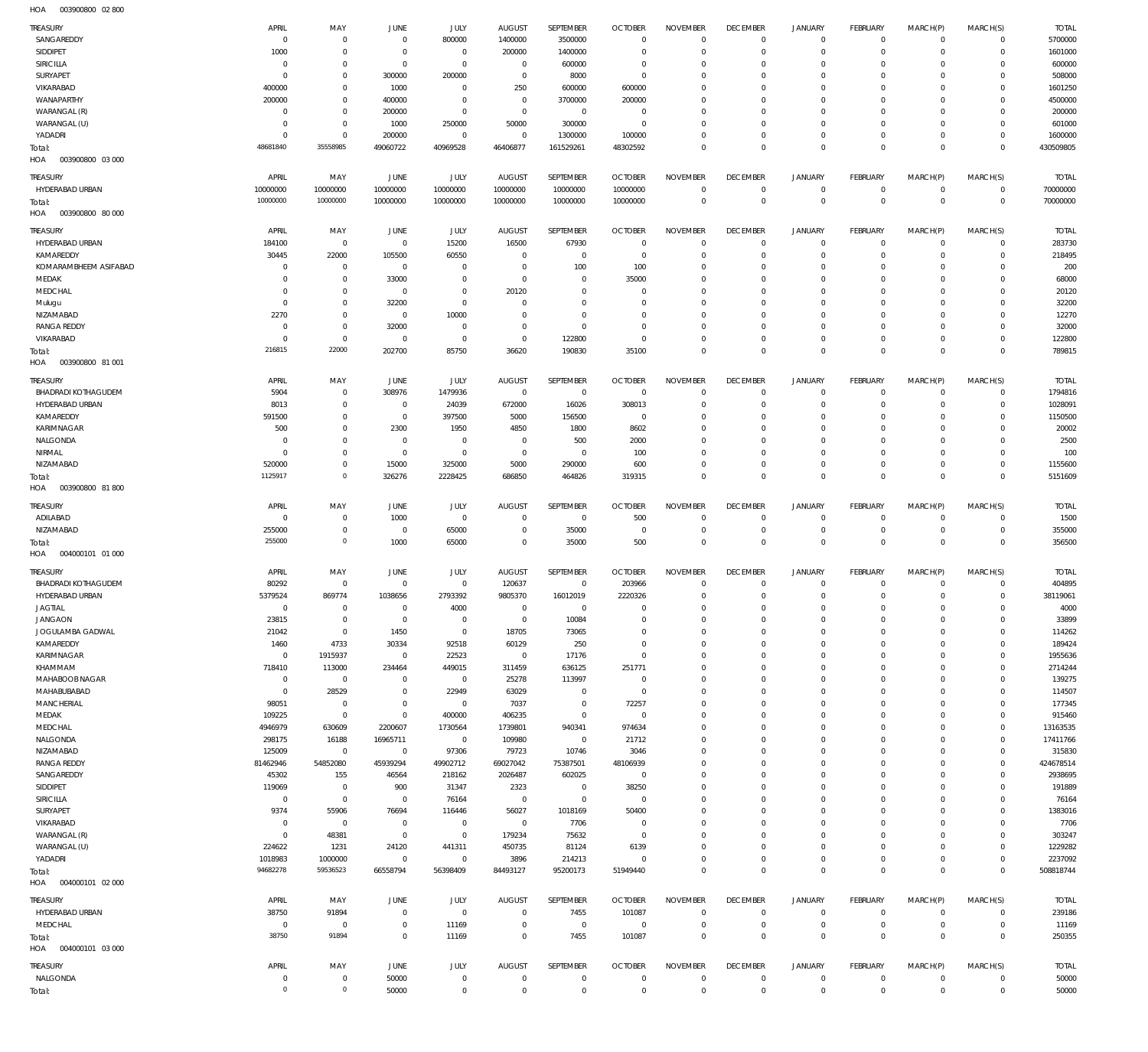003900800 02 800 HOA

| TREASURY                               | APRIL                 | MAY                    | JUNE                          | JULY                    | <b>AUGUST</b>                   | SEPTEMBER                   | <b>OCTOBER</b>                   | <b>NOVEMBER</b>                | <b>DECEMBER</b>                   | <b>JANUARY</b>             | FEBRUARY                     | MARCH(P)                 | MARCH(S)                       | <b>TOTAL</b>             |
|----------------------------------------|-----------------------|------------------------|-------------------------------|-------------------------|---------------------------------|-----------------------------|----------------------------------|--------------------------------|-----------------------------------|----------------------------|------------------------------|--------------------------|--------------------------------|--------------------------|
| SANGAREDDY                             | $\mathbf 0$           | $\mathbf 0$            | $\overline{0}$                | 800000                  | 1400000                         | 3500000                     | $\overline{0}$                   | $\Omega$                       | $\mathbf 0$                       | $\mathbf 0$                | $\circ$                      | $\mathbf 0$              | $\mathbf{0}$                   | 5700000                  |
| SIDDIPET                               | 1000                  | $\mathbf 0$            | $\overline{0}$                | $\overline{0}$          | 200000                          | 1400000                     | $\overline{0}$                   | $\mathbf 0$                    | $\mathbf 0$                       | $\mathbf 0$                | $\mathbf{0}$                 | $\Omega$                 | $\mathbf{0}$                   | 1601000                  |
| SIRICILLA                              | $\mathbf 0$           | $\mathbf 0$            | $\overline{0}$                | $\mathbf 0$             | $\overline{0}$                  | 600000                      | $^{\circ}$                       | $\Omega$                       | $\mathbf 0$<br>$\mathbf 0$        | 0<br>$\mathbf 0$           | $\mathbf 0$                  | $\Omega$<br>$\Omega$     | $\mathbf 0$<br>$\mathbf{0}$    | 600000                   |
| SURYAPET<br>VIKARABAD                  | $\mathbf 0$<br>400000 | $\bf 0$<br>$\mathbf 0$ | 300000<br>1000                | 200000<br>$\mathbf 0$   | $\overline{0}$<br>250           | 8000<br>600000              | $^{\circ}$<br>600000             | $\mathbf 0$<br>$\Omega$        | $\mathbf 0$                       | 0                          | $\mathbf 0$<br>$^{\circ}$    | $\Omega$                 | $\mathbf 0$                    | 508000<br>1601250        |
| WANAPARTHY                             | 200000                | $\mathbf 0$            | 400000                        | $\mathbf 0$             | $\overline{0}$                  | 3700000                     | 200000                           | $\mathbf 0$                    | $\mathbf 0$                       | $\mathbf 0$                | $\Omega$                     | $\Omega$                 | $\mathbf 0$                    | 4500000                  |
| WARANGAL (R)                           | $\mathbf 0$           | $\mathbf 0$            | 200000                        | $\mathbf 0$             | $\overline{0}$                  | $\overline{0}$              | $\overline{0}$                   | $\Omega$                       | $\mathbf 0$                       | 0                          | $\mathbf 0$                  | $\Omega$                 | $\mathbf 0$                    | 200000                   |
| WARANGAL (U)                           | $\mathbf 0$           | $\mathbf 0$            | 1000                          | 250000                  | 50000                           | 300000                      | $\overline{0}$                   | $\mathbf 0$                    | $\mathbf 0$                       | $\mathbf 0$                | $\mathbf 0$                  | $\Omega$                 | $\mathbf 0$                    | 601000                   |
| YADADRI                                | $\mathbf 0$           | $\mathbf 0$            | 200000                        | $\mathbf 0$             | $\,0\,$                         | 1300000                     | 100000                           | $\mathbf 0$                    | $\mathbf 0$                       | $\mathbf 0$                | $\circ$                      | $\mathbf 0$              | $\circ$                        | 1600000                  |
| Total:<br>HOA<br>003900800 03 000      | 48681840              | 35558985               | 49060722                      | 40969528                | 46406877                        | 161529261                   | 48302592                         | $\mathbf 0$                    | $\mathbf 0$                       | $\mathbf 0$                | $\overline{0}$               | $\mathbf 0$              | $\mathbf 0$                    | 430509805                |
|                                        |                       |                        |                               |                         |                                 |                             |                                  |                                |                                   |                            |                              |                          |                                |                          |
| TREASURY<br>HYDERABAD URBAN            | APRIL<br>10000000     | MAY<br>10000000        | <b>JUNE</b><br>10000000       | JULY<br>10000000        | <b>AUGUST</b><br>10000000       | SEPTEMBER<br>10000000       | <b>OCTOBER</b><br>10000000       | <b>NOVEMBER</b><br>$\mathbf 0$ | <b>DECEMBER</b><br>$\overline{0}$ | <b>JANUARY</b><br>$\circ$  | FEBRUARY<br>$\overline{0}$   | MARCH(P)<br>$\mathbf 0$  | MARCH(S)<br>$\overline{0}$     | <b>TOTAL</b><br>70000000 |
| Total:                                 | 10000000              | 10000000               | 10000000                      | 10000000                | 10000000                        | 10000000                    | 10000000                         | $\mathbf 0$                    | $\overline{0}$                    | $\mathbf 0$                | $\overline{0}$               | $\mathbf 0$              | $\overline{0}$                 | 70000000                 |
| HOA<br>003900800 80 000                |                       |                        |                               |                         |                                 |                             |                                  |                                |                                   |                            |                              |                          |                                |                          |
| TREASURY                               | APRIL                 | MAY                    | JUNE                          | JULY                    | <b>AUGUST</b>                   | SEPTEMBER                   | <b>OCTOBER</b>                   | <b>NOVEMBER</b>                | <b>DECEMBER</b>                   | <b>JANUARY</b>             | FEBRUARY                     | MARCH(P)                 | MARCH(S)                       | <b>TOTAL</b>             |
| HYDERABAD URBAN                        | 184100                | $\mathbf 0$            | $\mathbf 0$                   | 15200                   | 16500                           | 67930                       | $\overline{0}$                   | $\mathbf 0$                    | $\mathbf 0$                       | $\mathbf 0$                | $\circ$                      | $\mathbf 0$              | $\circ$                        | 283730                   |
| KAMAREDDY                              | 30445                 | 22000                  | 105500                        | 60550                   | $^{\circ}$                      | $\overline{0}$              | $\overline{0}$                   | $\Omega$                       | $\mathbf 0$                       | $\mathbf 0$                | $\mathbf{0}$                 | $\Omega$                 | $\circ$                        | 218495                   |
| KOMARAMBHEEM ASIFABAD                  | $\mathbf 0$           | $\mathbf 0$            | $\overline{0}$                | $\mathbf 0$             | $\mathbf 0$                     | 100                         | 100                              | $\mathbf 0$                    | $\mathbf 0$                       | 0                          | $\mathbf 0$                  | $\Omega$                 | $\mathbf 0$                    | 200                      |
| MEDAK                                  | 0                     | $\mathbf 0$            | 33000                         | $\mathbf 0$             | $\overline{0}$                  | $\mathbf 0$                 | 35000                            | $\Omega$                       | $\mathbf 0$                       | 0                          | $\mathbf 0$                  | $\Omega$                 | $\mathbf 0$                    | 68000                    |
| MEDCHAL                                | $\mathbf 0$           | $\bf 0$                | $\overline{0}$                | $\mathbf 0$             | 20120                           | $\mathbf 0$                 | $^{\circ}$                       | $\mathbf 0$                    | $\mathbf 0$                       | 0                          | $\mathbf 0$                  | $\Omega$                 | $\mathbf 0$                    | 20120                    |
| Mulugu                                 | $\mathbf 0$           | $\mathbf 0$            | 32200                         | $\mathbf 0$             | $\mathbf 0$                     | $\mathbf 0$                 | $^{\circ}$                       | $\Omega$                       | $\mathbf 0$                       | 0                          | $^{\circ}$                   | $\Omega$                 | $\mathbf 0$                    | 32200                    |
| NIZAMABAD                              | 2270                  | $\mathbf 0$            | $\overline{0}$                | 10000                   | $\mathbf 0$                     | $\mathbf 0$                 | $\mathbf 0$                      | $\mathbf 0$                    | $\mathbf 0$                       | $\mathbf 0$                | $\mathbf 0$                  | $\Omega$                 | $\mathbf{0}$                   | 12270                    |
| <b>RANGA REDDY</b>                     | $\mathbf 0$           | $\mathbf 0$            | 32000                         | $\mathbf 0$             | $\mathbf 0$                     | $\mathbf 0$                 | $\mathbf 0$                      | $\Omega$                       | $\mathbf 0$                       | 0                          | $\mathbf 0$                  | $\Omega$                 | $\mathbf 0$                    | 32000                    |
| VIKARABAD                              | $\mathbf 0$           | $\mathbf 0$            | $\mathbf 0$                   | $\mathbf 0$             | $\mathbf 0$                     | 122800                      | $\overline{0}$                   | $\mathbf 0$                    | $\mathbf 0$                       | $\mathbf 0$                | $\mathbf{0}$                 | $\mathbf 0$              | $\mathbf{0}$                   | 122800                   |
| Total:<br>HOA<br>003900800 81 001      | 216815                | 22000                  | 202700                        | 85750                   | 36620                           | 190830                      | 35100                            | $\mathbf 0$                    | $\mathbf 0$                       | $\mathbf 0$                | $\overline{0}$               | $\mathbf 0$              | $\overline{0}$                 | 789815                   |
|                                        |                       |                        |                               |                         |                                 |                             |                                  |                                |                                   |                            |                              |                          |                                |                          |
| TREASURY<br><b>BHADRADI KOTHAGUDEM</b> | APRIL<br>5904         | MAY<br>$\mathbf 0$     | <b>JUNE</b><br>308976         | JULY<br>1479936         | <b>AUGUST</b><br>$\overline{0}$ | SEPTEMBER<br>$\overline{0}$ | <b>OCTOBER</b><br>$\overline{0}$ | <b>NOVEMBER</b><br>0           | <b>DECEMBER</b><br>$\mathbf 0$    | <b>JANUARY</b><br>0        | FEBRUARY<br>$\circ$          | MARCH(P)<br>0            | MARCH(S)<br>$\circ$            | <b>TOTAL</b><br>1794816  |
| HYDERABAD URBAN                        | 8013                  | $\mathbf 0$            | $\overline{0}$                | 24039                   | 672000                          | 16026                       | 308013                           | $\mathbf 0$                    | $\overline{0}$                    | 0                          | $\circ$                      | 0                        | $\circ$                        | 1028091                  |
| KAMAREDDY                              | 591500                | $\mathbf 0$            | $\overline{0}$                | 397500                  | 5000                            | 156500                      | $\overline{0}$                   | $\mathbf 0$                    | $\mathbf 0$                       | 0                          | $\mathbf{0}$                 | 0                        | $\mathbf{0}$                   | 1150500                  |
| KARIMNAGAR                             | 500                   | $\mathbf 0$            | 2300                          | 1950                    | 4850                            | 1800                        | 8602                             | $\mathbf 0$                    | $\mathbf 0$                       | 0                          | $\mathbf 0$                  | $\Omega$                 | $\mathbf 0$                    | 20002                    |
| NALGONDA                               | $^{\circ}$            | $\mathbf 0$            | $\overline{0}$                | $\mathbf 0$             | $\overline{0}$                  | 500                         | 2000                             | 0                              | $\mathbf 0$                       | 0                          | $\mathbf{0}$                 | 0                        | $\mathbf{0}$                   | 2500                     |
| NIRMAL                                 | $\overline{0}$        | $\mathbf 0$            | $\overline{0}$                | $\mathbf 0$             | $\overline{0}$                  | $\overline{0}$              | 100                              | $\mathbf 0$                    | $\mathbf 0$                       | $\mathbf 0$                | $\mathbf{0}$                 | 0                        | $\mathbf{0}$                   | 100                      |
| NIZAMABAD                              | 520000                | $\mathbf 0$            | 15000                         | 325000                  | 5000                            | 290000                      | 600                              | $\mathbf 0$                    | $\overline{0}$                    | $\mathbf 0$                | $\circ$                      | 0                        | $\circ$                        | 1155600                  |
| Total:                                 | 1125917               | $\mathbf 0$            | 326276                        | 2228425                 | 686850                          | 464826                      | 319315                           | $\mathbf 0$                    | $\overline{0}$                    | $\mathbf 0$                | $\overline{0}$               | $\mathbf 0$              | $\overline{0}$                 | 5151609                  |
| HOA<br>003900800 81 800                |                       |                        |                               |                         |                                 |                             |                                  |                                |                                   |                            |                              |                          |                                |                          |
| TREASURY                               | APRIL                 | MAY                    | <b>JUNE</b>                   | JULY                    | <b>AUGUST</b>                   | SEPTEMBER                   | <b>OCTOBER</b>                   | <b>NOVEMBER</b>                | <b>DECEMBER</b>                   | <b>JANUARY</b>             | FEBRUARY                     | MARCH(P)                 | MARCH(S)                       | <b>TOTAL</b>             |
| ADILABAD                               | $\mathbf 0$           | $\mathbf 0$            | 1000                          | $\mathbf 0$             | $\mathbf 0$                     | $\overline{0}$              | 500                              | $\mathbf 0$                    | $\mathbf 0$                       | $\circ$                    | $\circ$                      | $\mathbf 0$              | $\circ$                        | 1500                     |
| NIZAMABAD                              | 255000                | $\mathbf 0$            | $\overline{0}$                | 65000                   | $\mathbf 0$                     | 35000                       | $\overline{0}$                   | $\mathbf 0$                    | $\overline{0}$                    | $\mathbf 0$                | $\overline{0}$               | $\mathbf 0$              | $\overline{0}$                 | 355000                   |
| Total:                                 | 255000                | $\mathbf 0$            | 1000                          | 65000                   | $\mathbf 0$                     | 35000                       | 500                              | $\mathbf 0$                    | $\mathbf 0$                       | $\mathbf 0$                | $\overline{0}$               | $\mathbf 0$              | $\overline{0}$                 | 356500                   |
| HOA<br>004000101 01 000                |                       |                        |                               |                         |                                 |                             |                                  |                                |                                   |                            |                              |                          |                                |                          |
| TREASURY                               | APRIL                 | MAY                    | <b>JUNE</b>                   | JULY                    | <b>AUGUST</b>                   | SEPTEMBER                   | <b>OCTOBER</b>                   | <b>NOVEMBER</b>                | <b>DECEMBER</b>                   | <b>JANUARY</b>             | FEBRUARY                     | MARCH(P)                 | MARCH(S)                       | <b>TOTAL</b>             |
| <b>BHADRADI KOTHAGUDEM</b>             | 80292                 | $\overline{0}$         | $\overline{0}$                | $\mathbf 0$             | 120637                          | $\overline{0}$              | 203966                           | $\mathbf 0$                    | $\overline{0}$                    | $\mathbf 0$                | $\overline{0}$               | $\mathbf 0$              | $\circ$                        | 404895                   |
| HYDERABAD URBAN<br><b>JAGTIAL</b>      | 5379524<br>$\Omega$   | 869774<br>$\Omega$     | 1038656<br>$\Omega$           | 2793392<br>4000         | 9805370<br>$\Omega$             | 16012019<br>$\Omega$        | 2220326<br>$\Omega$              | $\mathbf 0$<br>$\Omega$        | $\overline{0}$<br>$\Omega$        | $\mathbf 0$<br>$\Omega$    | $\mathbf{0}$<br>$\Omega$     | $\mathbf 0$<br>$\Omega$  | $\overline{0}$<br>$\Omega$     | 38119061<br>4000         |
| <b>JANGAON</b>                         | 23815                 | $\,0\,$                | $\overline{0}$                | $\mathbf 0$             | $\overline{0}$                  | 10084                       | $\overline{0}$                   | $\mathbf 0$                    | $\overline{0}$                    | $\mathbf 0$                | $\overline{0}$               | $\mathbf 0$              | $\circ$                        | 33899                    |
| JOGULAMBA GADWAL                       | 21042                 | $\mathbf 0$            | 1450                          | $\mathbf 0$             | 18705                           | 73065                       | $\overline{0}$                   | $\mathbf 0$                    | $\mathbf 0$                       | 0                          | $\circ$                      | 0                        | $\mathbf{0}$                   | 114262                   |
| KAMAREDDY                              | 1460                  | 4733                   | 30334                         | 92518                   | 60129                           | 250                         | $\overline{0}$                   | $\mathbf 0$                    | $\mathbf 0$                       | $\mathbf 0$                | $\mathbf{0}$                 | 0                        | $\mathbf{0}$                   | 189424                   |
| KARIMNAGAR                             | $\overline{0}$        | 1915937                | $\overline{0}$                | 22523                   | $\overline{0}$                  | 17176                       | $\overline{0}$                   | $\mathbf 0$                    | $\mathbf 0$                       | 0                          | $\mathbf{0}$                 | $\Omega$                 | $\mathbf 0$                    | 1955636                  |
| KHAMMAM                                | 718410                | 113000                 | 234464                        | 449015                  | 311459                          | 636125                      | 251771                           | $\mathbf 0$                    | $\mathbf 0$                       | $\mathbf 0$                | $\mathbf{0}$                 | $\Omega$                 | $\mathbf 0$                    | 2714244                  |
| MAHABOOB NAGAR                         | $\overline{0}$        | $\overline{0}$         | $\overline{0}$                | $\,0\,$                 | 25278                           | 113997                      | $\overline{0}$                   | $\mathbf 0$                    | $\mathbf 0$                       | 0                          | $\mathbf{0}$                 | 0                        | $\mathbf{0}$                   | 139275                   |
| MAHABUBABAD                            | $\overline{0}$        | 28529                  | $\overline{0}$                | 22949                   | 63029                           | $\overline{0}$              | $\overline{0}$                   | $\mathbf 0$                    | $\mathbf 0$                       | $\mathbf 0$                | $\mathbf 0$                  | $\Omega$                 | $\mathbf 0$                    | 114507                   |
| <b>MANCHERIAL</b>                      | 98051                 | $\overline{0}$         | $\overline{0}$                | $\,0\,$                 | 7037                            | $\mathbf 0$                 | 72257                            | $\mathbf 0$                    | $\mathbf 0$                       | 0                          | $\mathbf{0}$                 | $\Omega$                 | $\mathbf{0}$                   | 177345                   |
| MEDAK                                  | 109225                | $\mathbf 0$            | $\overline{0}$                | 400000                  | 406235                          | $\mathbf 0$                 | $\overline{0}$                   | $\mathbf 0$                    | $\mathbf 0$                       | $\mathbf 0$                | $\mathbf 0$                  | $\Omega$                 | $\mathbf{0}$                   | 915460                   |
| MEDCHAL<br>NALGONDA                    | 4946979<br>298175     | 630609<br>16188        | 2200607<br>16965711           | 1730564<br>$\,0\,$      | 1739801<br>109980               | 940341<br>$\overline{0}$    | 974634<br>21712                  | $\mathbf 0$<br>$\mathbf 0$     | $\mathbf 0$<br>$\mathbf 0$        | 0<br>$\mathbf 0$           | $\mathbf{0}$<br>$\mathbf{0}$ | $\Omega$<br>0            | $\mathbf{0}$<br>$\mathbf{0}$   | 13163535<br>17411766     |
| NIZAMABAD                              | 125009                | $\overline{0}$         | $\overline{0}$                | 97306                   | 79723                           | 10746                       | 3046                             | $\mathbf 0$                    | $\mathbf 0$                       | 0                          | $\mathbf{0}$                 | $\Omega$                 | $\mathbf{0}$                   | 315830                   |
| <b>RANGA REDDY</b>                     | 81462946              | 54852080               | 45939294                      | 49902712                | 69027042                        | 75387501                    | 48106939                         | $\mathbf 0$                    | $\mathbf 0$                       | $\mathbf 0$                | $\mathbf{0}$                 | 0                        | $\mathbf{0}$                   | 424678514                |
| SANGAREDDY                             | 45302                 | 155                    | 46564                         | 218162                  | 2026487                         | 602025                      | $\overline{0}$                   | $\mathbf 0$                    | $\mathbf 0$                       | 0                          | $\mathbf{0}$                 | $\Omega$                 | $\mathbf{0}$                   | 2938695                  |
| SIDDIPET                               | 119069                | $\overline{0}$         | 900                           | 31347                   | 2323                            | $\overline{0}$              | 38250                            | $\mathbf 0$                    | $\mathbf 0$                       | $\mathbf 0$                | $\mathbf{0}$                 | $\Omega$                 | $\mathbf{0}$                   | 191889                   |
| SIRICILLA                              | $\overline{0}$        | $\,0\,$                | $\overline{0}$                | 76164                   | $\overline{0}$                  | $\overline{0}$              | $\overline{0}$                   | $\mathbf 0$                    | $\mathbf 0$                       | 0                          | $\mathbf{0}$                 | 0                        | $\mathbf{0}$                   | 76164                    |
| SURYAPET                               | 9374                  | 55906                  | 76694                         | 116446                  | 56027                           | 1018169                     | 50400                            | $\mathbf 0$                    | $\mathbf 0$                       | $\mathbf 0$                | $\mathbf 0$                  | $\Omega$                 | $\mathbf 0$                    | 1383016                  |
| VIKARABAD                              | $\overline{0}$        | $\overline{0}$         | $\overline{0}$                | $\mathbf 0$             | $\overline{0}$                  | 7706                        | $\overline{0}$                   | $\mathbf 0$                    | $\mathbf 0$                       | 0                          | $\mathbf{0}$                 | $\Omega$                 | $\mathbf{0}$                   | 7706                     |
| WARANGAL (R)                           | $\overline{0}$        | 48381                  | $\overline{0}$                | $\mathbb O$             | 179234                          | 75632                       | $\overline{0}$                   | $\mathbf 0$                    | $\mathbf 0$                       | $\mathbf 0$                | $\mathbf 0$                  | $\Omega$                 | $\mathbf{0}$                   | 303247                   |
| WARANGAL (U)                           | 224622                | 1231                   | 24120                         | 441311                  | 450735                          | 81124                       | 6139                             | $\mathbf 0$                    | $\mathbf 0$                       | 0                          | $\mathbf{0}$                 | $\Omega$                 | $\mathbf{0}$                   | 1229282                  |
| YADADRI                                | 1018983<br>94682278   | 1000000<br>59536523    | $\overline{0}$<br>66558794    | $\mathbf 0$<br>56398409 | 3896<br>84493127                | 214213                      | $\overline{0}$<br>51949440       | $\mathbf 0$<br>$\mathbf 0$     | $\overline{0}$<br>$\overline{0}$  | $\mathbf 0$<br>$\mathbf 0$ | $\circ$<br>$\overline{0}$    | 0<br>$\mathbf 0$         | $\mathbf{0}$<br>$\overline{0}$ | 2237092<br>508818744     |
| Total:<br>HOA<br>004000101 02 000      |                       |                        |                               |                         |                                 | 95200173                    |                                  |                                |                                   |                            |                              |                          |                                |                          |
|                                        | APRIL                 |                        |                               |                         |                                 |                             |                                  |                                |                                   |                            |                              |                          |                                | <b>TOTAL</b>             |
| <b>TREASURY</b><br>HYDERABAD URBAN     | 38750                 | MAY<br>91894           | <b>JUNE</b><br>$\overline{0}$ | JULY<br>$\mathbf 0$     | <b>AUGUST</b><br>$\overline{0}$ | SEPTEMBER<br>7455           | <b>OCTOBER</b><br>101087         | <b>NOVEMBER</b><br>$\mathbf 0$ | <b>DECEMBER</b><br>$\overline{0}$ | <b>JANUARY</b><br>$\circ$  | FEBRUARY<br>$\overline{0}$   | MARCH(P)<br>$\mathbf{0}$ | MARCH(S)<br>$\overline{0}$     | 239186                   |
| MEDCHAL                                | $\overline{0}$        | $\overline{0}$         | $\overline{0}$                | 11169                   | $\mathbf 0$                     | $\,0\,$                     | $\overline{0}$                   | $\mathbf 0$                    | $\overline{0}$                    | $\mathbf 0$                | $\overline{0}$               | $\mathbf 0$              | $\circ$                        | 11169                    |
| Total:                                 | 38750                 | 91894                  | $\overline{0}$                | 11169                   | $\mathbf 0$                     | 7455                        | 101087                           | $\mathbf 0$                    | $\overline{0}$                    | $\mathbf 0$                | $\overline{0}$               | $\mathbf 0$              | $\overline{0}$                 | 250355                   |
| 004000101 03 000<br>HOA                |                       |                        |                               |                         |                                 |                             |                                  |                                |                                   |                            |                              |                          |                                |                          |
| <b>TREASURY</b>                        | APRIL                 | MAY                    | <b>JUNE</b>                   | JULY                    | <b>AUGUST</b>                   | SEPTEMBER                   | <b>OCTOBER</b>                   | <b>NOVEMBER</b>                | <b>DECEMBER</b>                   | <b>JANUARY</b>             | FEBRUARY                     | MARCH(P)                 | MARCH(S)                       | <b>TOTAL</b>             |
| NALGONDA                               | $\overline{0}$        | $\mathbf 0$            | 50000                         | $\mathbf 0$             | $\overline{0}$                  | $\mathbf 0$                 | $\overline{0}$                   | $\mathbf 0$                    | $\overline{0}$                    | $\circ$                    | $\overline{0}$               | $\circ$                  | $\overline{0}$                 | 50000                    |
| Total:                                 | $\mathbf 0$           | $\mathbf 0$            | 50000                         | $\mathbb O$             | $\overline{0}$                  | $\mathbb O$                 | $\overline{0}$                   | $\mathbb O$                    | $\overline{0}$                    | $\mathbb O$                | $\overline{0}$               | $\mathbf 0$              | $\,0\,$                        | 50000                    |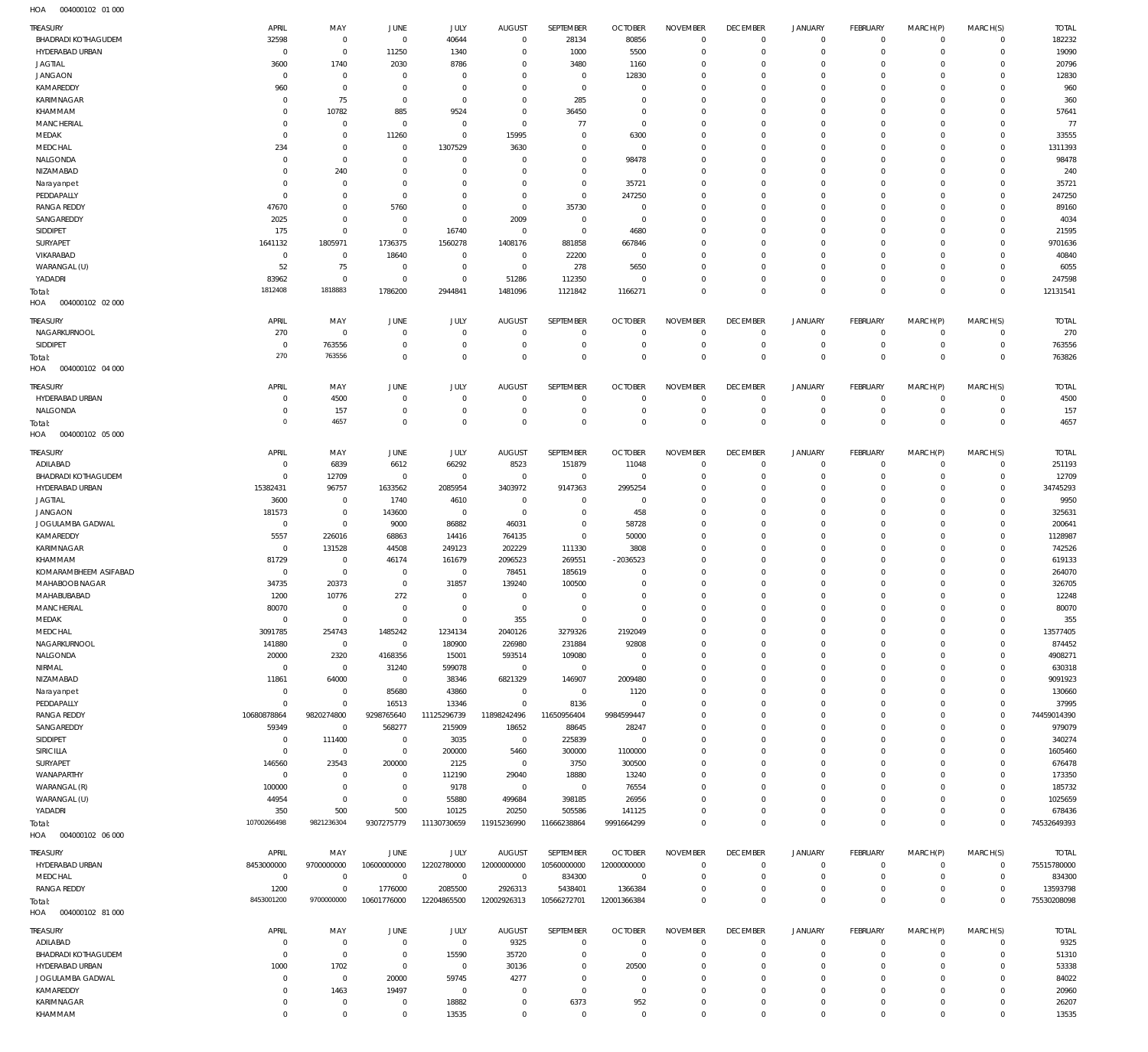| <b>TREASURY</b>                        | APRIL                   | MAY                      | JUNE                     | <b>JULY</b>                | <b>AUGUST</b>            | SEPTEMBER                  | <b>OCTOBER</b>           | <b>NOVEMBER</b>              | <b>DECEMBER</b>            | <b>JANUARY</b>             | FEBRUARY                         | MARCH(P)                   | MARCH(S)                     | <b>TOTAL</b>      |
|----------------------------------------|-------------------------|--------------------------|--------------------------|----------------------------|--------------------------|----------------------------|--------------------------|------------------------------|----------------------------|----------------------------|----------------------------------|----------------------------|------------------------------|-------------------|
| <b>BHADRADI KOTHAGUDEM</b>             | 32598                   | $^{\circ}$               | $^{\circ}$               | 40644                      | $\mathbf 0$              | 28134                      | 80856                    | $\mathbf{0}$                 | $\mathbf 0$                | $\mathbf 0$                | $\mathbf 0$                      | $\mathbf 0$                | $^{\circ}$                   | 182232            |
| HYDERABAD URBAN                        | C                       | $\mathbf 0$              | 11250                    | 1340                       | 0                        | 1000                       | 5500                     | $^{\circ}$                   | $\mathbf 0$                | $\mathbf 0$                | $\mathbf 0$                      | $\mathbf 0$                | $\mathbf 0$                  | 19090             |
| <b>JAGTIAL</b>                         | 3600                    | 1740                     | 2030                     | 8786                       | $\Omega$                 | 3480                       | 1160                     | $^{\circ}$                   | $\mathbf 0$                | $\mathbf 0$                | $\mathbf 0$                      | $\Omega$                   | $\mathbf 0$                  | 20796             |
| <b>JANGAON</b>                         | $\overline{0}$          | $^{\circ}$               | $\overline{0}$           | $^{\circ}$                 | 0                        | $\mathbf 0$                | 12830                    | $^{\circ}$                   | $\mathbf 0$                | $\mathbf 0$                | $\mathbf 0$                      | 0                          | $\mathbf 0$                  | 12830             |
| KAMAREDDY                              | 960                     | $\mathbf{0}$             | $\overline{0}$           | $\mathbf 0$                | 0                        | $\mathbf 0$                | $^{\circ}$               | 0                            | $\mathbf 0$                | 0                          | $\Omega$                         |                            | $\mathbf 0$                  | 960               |
| KARIMNAGAR                             | $\circ$                 | 75                       | $\overline{0}$           | $\mathbf 0$                | $\mathbf 0$              | 285                        | $^{\circ}$               | $\mathbf{0}$                 | $\mathbf 0$                | $\mathbf 0$                | $\mathbf 0$                      | $\Omega$                   | $\mathbf 0$                  | 360               |
| KHAMMAM                                | C                       | 10782                    | 885                      | 9524                       | $^{\circ}$               | 36450                      | $^{\circ}$               | 0                            | $\mathbf 0$                | $\Omega$                   | $\Omega$                         |                            | $\mathbf 0$                  | 57641             |
| <b>MANCHERIAL</b>                      | C                       | $^{\circ}$               | 0                        | $\mathbf 0$                | $\mathbf 0$              | 77                         | $^{\circ}$               | $\mathbf{0}$                 | $\mathbf 0$                | $\mathbf 0$                | $\Omega$                         | $\Omega$                   | $\mathbf 0$                  | 77                |
| MEDAK                                  | 0                       | $^{\circ}$               | 11260                    | $\mathbf 0$                | 15995                    | $\mathbf 0$                | 6300                     | $^{\circ}$                   | $\mathbf 0$                | $\mathbf 0$                | $\mathbf 0$                      | 0                          | $\mathbf 0$                  | 33555             |
| MEDCHAL                                | 234                     | $\mathbf{0}$             | $\overline{0}$           | 1307529                    | 3630                     | $\mathbf 0$                | $\overline{0}$           | $^{\circ}$                   | $\mathbf 0$                | $\mathbf 0$                | $\Omega$                         | $\Omega$                   | $\mathbf 0$                  | 1311393           |
| NALGONDA                               | $\overline{0}$          | $\mathbf{0}$             | 0                        | $\mathbf 0$                | $^{\circ}$               | $\mathbf 0$                | 98478                    | $^{\circ}$                   | 0                          | $\mathbf 0$                | $\mathbf 0$                      | $\Omega$                   | $\mathbf 0$                  | 98478             |
| NIZAMABAD                              | C                       | 240                      | 0                        | $\mathbf 0$                | 0                        | $\mathbf 0$                | $\overline{0}$           | $^{\circ}$                   | $\mathbf 0$                | $\mathbf 0$                | $\Omega$                         | $\Omega$                   | $\mathbf 0$                  | 240               |
| Narayanpet                             | C<br>C                  | $^{\circ}$<br>$^{\circ}$ | 0<br>$\overline{0}$      | $\mathbf 0$<br>$\mathbf 0$ | 0<br>$^{\circ}$          | $\mathbf 0$<br>$\mathbf 0$ | 35721<br>247250          | $\mathbf{0}$<br>$^{\circ}$   | $\mathbf 0$<br>$\mathbf 0$ | $\mathbf 0$<br>$\mathbf 0$ | $\mathbf 0$<br>$\mathbf 0$       | $\Omega$<br>0              | $\mathbf 0$<br>$\mathbf 0$   | 35721<br>247250   |
| PEDDAPALLY<br><b>RANGA REDDY</b>       | 47670                   | $^{\circ}$               | 5760                     | $\mathbf 0$                | $\mathbf 0$              | 35730                      | $\overline{0}$           | 0                            | $\mathbf 0$                | $\Omega$                   | $\Omega$                         | $\Omega$                   | $\Omega$                     | 89160             |
| SANGAREDDY                             | 2025                    | $\mathbf 0$              | 0                        | $\mathbf 0$                | 2009                     | $\mathbf 0$                | $\overline{0}$           | $^{\circ}$                   | $\mathbf 0$                | $\mathbf 0$                | $\mathbf 0$                      | 0                          | $\mathbf 0$                  | 4034              |
| SIDDIPET                               | 175                     | $\mathbf 0$              | $\overline{0}$           | 16740                      | $\mathbf 0$              | $^{\circ}$                 | 4680                     | 0                            | $\mathbf 0$                | $\Omega$                   | $\Omega$                         | 0                          | $\Omega$                     | 21595             |
| <b>SURYAPET</b>                        | 1641132                 | 1805971                  | 1736375                  | 1560278                    | 1408176                  | 881858                     | 667846                   | $^{\circ}$                   | $\mathbf 0$                | $\mathbf 0$                | $\mathbf 0$                      | 0                          | $\mathbf 0$                  | 9701636           |
| VIKARABAD                              | $\overline{0}$          | $\overline{0}$           | 18640                    | $^{\circ}$                 | $^{\circ}$               | 22200                      | $\overline{0}$           | 0                            | $\mathbf 0$                | $\Omega$                   | $\Omega$                         |                            | $\mathbf 0$                  | 40840             |
| WARANGAL (U)                           | 52                      | 75                       | 0                        | $\mathbf 0$                | $^{\circ}$               | 278                        | 5650                     | $^{\circ}$                   | $\mathbf 0$                | $\mathbf 0$                | $\mathbf 0$                      | $\Omega$                   | $\mathbf 0$                  | 6055              |
| YADADRI                                | 83962                   | $\mathbf{0}$             | $\overline{0}$           | $\mathbf 0$                | 51286                    | 112350                     | $^{\circ}$               | $^{\circ}$                   | $\mathbf 0$                | $\mathbf 0$                | $\mathbf 0$                      | $\mathbf 0$                | $\mathbf 0$                  | 247598            |
| Total:                                 | 1812408                 | 1818883                  | 1786200                  | 2944841                    | 1481096                  | 1121842                    | 1166271                  | $\mathbf 0$                  | $\mathbf 0$                | $\mathbf 0$                | $\overline{0}$                   | $\Omega$                   | $\Omega$                     | 12131541          |
| HOA<br>004000102 02 000                |                         |                          |                          |                            |                          |                            |                          |                              |                            |                            |                                  |                            |                              |                   |
|                                        |                         |                          |                          |                            |                          |                            |                          |                              |                            |                            |                                  |                            |                              |                   |
| <b>TREASURY</b>                        | APRIL                   | MAY                      | <b>JUNE</b>              | JULY                       | <b>AUGUST</b>            | SEPTEMBER                  | <b>OCTOBER</b>           | <b>NOVEMBER</b>              | <b>DECEMBER</b>            | JANUARY                    | <b>FEBRUARY</b>                  | MARCH(P)                   | MARCH(S)                     | <b>TOTAL</b>      |
| NAGARKURNOOL                           | 270                     | $^{\circ}$               | $\overline{0}$           | $\mathbf 0$                | $^{\circ}$               | $\mathbf 0$                | $^{\circ}$               | $\mathbf{0}$                 | $\mathbf 0$                | $\mathbf 0$                | $\overline{0}$                   | $\mathbf 0$                | $\mathbf{0}$                 | 270               |
| SIDDIPET                               | $\overline{0}$<br>270   | 763556<br>763556         | 0<br>$\overline{0}$      | $^{\circ}$<br>$\mathbf 0$  | $^{\circ}$<br>$^{\circ}$ | $\mathbf 0$<br>$\mathbf 0$ | $^{\circ}$<br>$^{\circ}$ | $^{\circ}$<br>$\mathbf 0$    | $\mathbf 0$<br>$\mathbf 0$ | $\mathbf 0$<br>$\mathbf 0$ | $\overline{0}$<br>$\overline{0}$ | $\mathbf 0$<br>$\mathbf 0$ | $\mathbf{0}$<br>$\mathbf 0$  | 763556<br>763826  |
| Total:                                 |                         |                          |                          |                            |                          |                            |                          |                              |                            |                            |                                  |                            |                              |                   |
| HOA<br>004000102 04 000                |                         |                          |                          |                            |                          |                            |                          |                              |                            |                            |                                  |                            |                              |                   |
| TREASURY                               | APRIL                   | MAY                      | <b>JUNE</b>              | JULY                       | <b>AUGUST</b>            | <b>SEPTEMBER</b>           | <b>OCTOBER</b>           | <b>NOVEMBER</b>              | <b>DECEMBER</b>            | <b>JANUARY</b>             | FEBRUARY                         | MARCH(P)                   | MARCH(S)                     | <b>TOTAL</b>      |
| HYDERABAD URBAN                        | C                       | 4500                     | 0                        | $^{\circ}$                 | $^{\circ}$               | $^{\circ}$                 | $^{\circ}$               | $^{\circ}$                   | $\mathbf 0$                | $\mathbf 0$                | $\mathbf 0$                      | $\mathbf 0$                | $\mathbf 0$                  | 4500              |
| NALGONDA                               | C                       | 157                      | - 0                      | $^{\circ}$                 | $^{\circ}$               | $\mathbf 0$                | $^{\circ}$               | $^{\circ}$                   | $\mathbf 0$                | $\mathbf 0$                | $\mathbf 0$                      | $\mathbf 0$                | $\mathbf 0$                  | 157               |
| Total:                                 | $^{\circ}$              | 4657                     | $\overline{0}$           | $\mathbf 0$                | $\mathbf 0$              | $\mathbf 0$                | $^{\circ}$               | $\mathbf 0$                  | $\mathbf 0$                | $\mathbf 0$                | $\overline{0}$                   | $\mathbf 0$                | $\mathbf 0$                  | 4657              |
| 004000102 05 000<br>HOA                |                         |                          |                          |                            |                          |                            |                          |                              |                            |                            |                                  |                            |                              |                   |
| TREASURY                               | APRIL                   | MAY                      | <b>JUNE</b>              | <b>JULY</b>                | <b>AUGUST</b>            | SEPTEMBER                  | <b>OCTOBER</b>           | <b>NOVEMBER</b>              | <b>DECEMBER</b>            | <b>JANUARY</b>             | <b>FEBRUARY</b>                  | MARCH(P)                   | MARCH(S)                     | <b>TOTAL</b>      |
| ADILABAD                               | C                       | 6839                     | 6612                     | 66292                      | 8523                     | 151879                     | 11048                    | $^{\circ}$                   | $\mathbf 0$                | $\mathbf 0$                | $\mathbf 0$                      | $\mathbf 0$                | $^{\circ}$                   | 251193            |
| <b>BHADRADI KOTHAGUDEM</b>             | $\mathbf 0$             | 12709                    | 0                        | $\mathbf 0$                | $\mathbf 0$              | $\mathbf 0$                | $^{\circ}$               | $^{\circ}$                   | $\mathbf 0$                | $\mathbf 0$                | $\mathbf 0$                      | $\mathbf 0$                | $\mathbf{0}$                 | 12709             |
| HYDERABAD URBAN                        | 15382431                | 96757                    | 1633562                  | 2085954                    | 3403972                  | 9147363                    | 2995254                  | $^{\circ}$                   | $\mathbf 0$                | $\mathbf 0$                | $\circ$                          | $\Omega$                   | $\mathbf 0$                  | 34745293          |
| <b>JAGTIAL</b>                         | 3600                    | $\mathbf{0}$             | 1740                     | 4610                       | $\mathbf 0$              | $\mathbf 0$                | $\overline{0}$           | $\mathbf{0}$                 | $\mathbf 0$                | $\mathbf 0$                | $\mathbf 0$                      | $\Omega$                   | $\mathbf 0$                  | 9950              |
| <b>JANGAON</b>                         | 181573                  | $\mathbf{0}$             | 143600                   | $\mathbf 0$                | $\mathbf 0$              | $\mathbf 0$                | 458                      | $^{\circ}$                   | $\mathbf 0$                | $\mathbf 0$                | $\circ$                          | $\Omega$                   | $^{\circ}$                   | 325631            |
| JOGULAMBA GADWAL                       | $^{\circ}$              | $\mathbf 0$              | 9000                     | 86882                      | 46031                    | $\mathbf 0$                | 58728                    | $\mathbf{0}$                 | $\mathbf 0$                | $\mathbf 0$                | $^{\circ}$                       | $\Omega$                   | $\mathbf 0$                  | 200641            |
| KAMAREDDY                              | 5557                    | 226016                   | 68863                    | 14416                      | 764135                   | $\mathbf 0$                | 50000                    | $^{\circ}$                   | $\mathbf 0$                | $\mathbf 0$                | $\mathbf 0$                      | $\Omega$                   | $\mathbf 0$                  | 1128987           |
| KARIMNAGAR                             | $\overline{0}$          | 131528                   | 44508                    | 249123                     | 202229                   | 111330                     | 3808                     | $\mathbf{0}$                 | $\mathbf 0$                | $\mathbf 0$                | $^{\circ}$                       | $\Omega$                   | $^{\circ}$                   | 742526            |
| KHAMMAM                                | 81729                   | $^{\circ}$               | 46174                    | 161679                     | 2096523                  | 269551                     | $-2036523$               | $^{\circ}$                   | $\mathbf 0$                | $\mathbf 0$                | $^{\circ}$                       | $\Omega$                   | $^{\circ}$                   | 619133            |
| KOMARAMBHEEM ASIFABAD                  | $\overline{0}$          | $\mathbf 0$              | $\overline{0}$           | $\mathbf 0$                | 78451                    | 185619                     | $^{\circ}$               | $\mathbf{0}$                 | $\mathbf 0$                | $\mathbf 0$                | $\mathbf 0$                      | $\Omega$                   | $\mathbf 0$                  | 264070            |
| MAHABOOB NAGAR                         | 34735                   | 20373                    | $\overline{0}$           | 31857                      | 139240                   | 100500                     | $^{\circ}$               | $\mathbf{0}$                 | $\mathbf 0$                | $\mathbf 0$                | $\circ$                          | $\Omega$                   | $^{\circ}$                   | 326705            |
| MAHABUBABAD                            | 1200                    | 10776                    | 272                      | $\mathbf 0$                | $\mathbf 0$              | $\mathbf 0$                | $^{\circ}$               | $\mathbf{0}$                 | $\mathbf 0$                | $\Omega$                   | $\Omega$                         | $\Omega$                   | $^{\circ}$                   | 12248             |
| <b>MANCHERIAL</b>                      | 80070                   | $\mathbf{0}$             | $\Omega$                 | $\mathbf{0}$               | $\Omega$                 | $\mathbf{0}$               | $\Omega$                 | $\mathbf{0}$                 | $\Omega$                   | $\Omega$                   | $\Omega$                         | $\Omega$                   | $\Omega$                     | 80070             |
| MEDAK                                  | $\mathbf{0}$            | $\mathbf 0$              | $^{\circ}$               | $\mathbf{0}$               | 355                      | $\mathbf{0}$               | $^{\circ}$               | $\mathbf 0$                  | $\mathbf 0$                | $\mathbf 0$                | $^{\circ}$                       | $\mathbf 0$                | $^{\circ}$                   | 355               |
| MEDCHAL                                | 3091785                 | 254743                   | 1485242                  | 1234134                    | 2040126                  | 3279326                    | 2192049                  | $\mathbf 0$                  | $\mathbf 0$                | $\mathbf 0$                | $\mathbf 0$                      | $\Omega$                   | $\mathbf 0$                  | 13577405          |
| NAGARKURNOOL                           | 141880                  | $\mathbf 0$              | $^{\circ}$               | 180900                     | 226980                   | 231884                     | 92808                    | $\mathbf{0}$                 | $\mathbf 0$                | $\mathbf 0$                | $\mathbf 0$                      | $\mathbf 0$                | $\mathbf 0$                  | 874452            |
| NALGONDA                               | 20000                   | 2320                     | 4168356                  | 15001                      | 593514                   | 109080                     | $\overline{0}$           | $\mathbf{0}$                 | $\mathbf 0$                | $\mathbf 0$                | $\mathbf 0$                      | $\Omega$                   | $\mathbf 0$                  | 4908271           |
| NIRMAL                                 | $^{\circ}$              | $\mathbf{0}$             | 31240                    | 599078                     | $\mathbf 0$              | $\mathbf 0$                | $\overline{0}$           | $\mathbf{0}$                 | $\mathbf 0$                | $\mathbf 0$                | $\mathbf 0$                      | $\Omega$                   | $\mathbf 0$                  | 630318            |
| NIZAMABAD                              | 11861<br>$\overline{0}$ | 64000<br>$\mathbf 0$     | $\overline{0}$<br>85680  | 38346<br>43860             | 6821329<br>$\mathbf 0$   | 146907<br>$\mathbf 0$      | 2009480<br>1120          | $\mathbf{0}$<br>$\mathbf{0}$ | $\mathbf 0$<br>$\mathbf 0$ | $\mathbf 0$<br>$\mathbf 0$ | $\circ$<br>$\mathbf 0$           | $\Omega$<br>$\Omega$       | $\mathbf 0$<br>$\mathbf 0$   | 9091923<br>130660 |
| Narayanpet<br>PEDDAPALLY               | $^{\circ}$              | $\mathbb O$              | 16513                    | 13346                      | $\mathbf 0$              | 8136                       | $\overline{0}$           | $\mathbf{0}$                 | $\mathbf 0$                | $\mathbf 0$                | $\mathbf 0$                      | $\Omega$                   | $\mathbf{0}$                 | 37995             |
| <b>RANGA REDDY</b>                     | 10680878864             | 9820274800               | 9298765640               | 11125296739                | 11898242496              | 11650956404                | 9984599447               | $\mathbf{0}$                 | $\mathbf 0$                | $\mathbf 0$                | $\mathbf 0$                      | $\Omega$                   | $\mathbf{0}$                 | 74459014390       |
| SANGAREDDY                             | 59349                   | $\mathbf 0$              | 568277                   | 215909                     | 18652                    | 88645                      | 28247                    | $\mathbf{0}$                 | $\mathbf 0$                | $\mathbf 0$                | $\mathbf 0$                      | $\Omega$                   | $\mathbf{0}$                 | 979079            |
| SIDDIPET                               | $\overline{0}$          | 111400                   | $^{\circ}$               | 3035                       | $\mathbf 0$              | 225839                     | $^{\circ}$               | $\mathbf{0}$                 | $\mathbf 0$                | $\mathbf 0$                | $\mathbf 0$                      | $\Omega$                   | $\mathbf 0$                  | 340274            |
| SIRICILLA                              | $\overline{0}$          | $\mathbf 0$              | $\mathbf{0}$             | 200000                     | 5460                     | 300000                     | 1100000                  | $\mathbf{0}$                 | $\mathbf 0$                | $\mathbf 0$                | $\mathbf 0$                      | $\Omega$                   | $\mathbf 0$                  | 1605460           |
| SURYAPET                               | 146560                  | 23543                    | 200000                   | 2125                       | $\mathbf 0$              | 3750                       | 300500                   | $\mathbf{0}$                 | $\mathbf 0$                | $\mathbf 0$                | $\mathbf 0$                      | $\Omega$                   | $\mathbf 0$                  | 676478            |
| WANAPARTHY                             | $^{\circ}$              | $^{\circ}$               | $\overline{0}$           | 112190                     | 29040                    | 18880                      | 13240                    | $\mathbf{0}$                 | $\mathbf 0$                | $\mathbf 0$                | $\mathbf 0$                      | $\Omega$                   | $\mathbf 0$                  | 173350            |
| WARANGAL (R)                           | 100000                  | $\mathbf 0$              | $^{\circ}$               | 9178                       | $\mathbf 0$              | $\mathbf 0$                | 76554                    | $\mathbf{0}$                 | $\mathbf 0$                | $\mathbf 0$                | $\mathbf 0$                      | $\Omega$                   | $\mathbf 0$                  | 185732            |
| WARANGAL (U)                           | 44954                   | $\mathbf 0$              | $^{\circ}$               | 55880                      | 499684                   | 398185                     | 26956                    | $\mathbf{0}$                 | $\mathbf 0$                | $\mathbf 0$                | $\mathbf 0$                      | $\Omega$                   | $\mathbf 0$                  | 1025659           |
| YADADRI                                | 350                     | 500                      | 500                      | 10125                      | 20250                    | 505586                     | 141125                   | $\mathbf{0}$                 | $\mathbf 0$                | $\mathbf 0$                | $\mathbf 0$                      | $\mathbf 0$                | $\mathbf{0}$                 | 678436            |
| Total:                                 | 10700266498             | 9821236304               | 9307275779               | 11130730659                | 11915236990              | 11666238864                | 9991664299               | $\mathbf 0$                  | $\mathbf 0$                | $\mathbf 0$                | $\overline{0}$                   | $\mathbf 0$                | $\overline{0}$               | 74532649393       |
| 004000102 06 000<br>HOA                |                         |                          |                          |                            |                          |                            |                          |                              |                            |                            |                                  |                            |                              |                   |
| TREASURY                               | APRIL                   | MAY                      | JUNE                     | <b>JULY</b>                | <b>AUGUST</b>            | SEPTEMBER                  | <b>OCTOBER</b>           | <b>NOVEMBER</b>              | <b>DECEMBER</b>            | <b>JANUARY</b>             | <b>FEBRUARY</b>                  | MARCH(P)                   | MARCH(S)                     | <b>TOTAL</b>      |
| HYDERABAD URBAN                        | 8453000000              | 9700000000               | 10600000000              | 12202780000                | 12000000000              | 10560000000                | 12000000000              | $^{\circ}$                   | $\mathbf 0$                | $\mathbf 0$                | $\mathbf 0$                      | $\mathbf 0$                | $^{\circ}$                   | 75515780000       |
| MEDCHAL                                | $\overline{0}$          | $\mathbf{0}$             | $\overline{0}$           | $\mathbf 0$                | $\mathbf 0$              | 834300                     | $\overline{0}$           | $^{\circ}$                   | $\mathbf 0$                | $\mathbf 0$                | $\mathbf 0$                      | $\mathbf 0$                | $\mathbf{0}$                 | 834300            |
| <b>RANGA REDDY</b>                     | 1200                    | $\mathbf 0$              | 1776000                  | 2085500                    | 2926313                  | 5438401                    | 1366384                  | $\mathbf{0}$                 | $\mathbf 0$                | $\mathbf 0$                | $\mathbf 0$                      | $\mathbf 0$                | $\mathbf{0}$                 | 13593798          |
| Total:                                 | 8453001200              | 9700000000               | 10601776000              | 12204865500                | 12002926313              | 10566272701                | 12001366384              | $\mathbf 0$                  | $\mathbf 0$                | $\mathbf 0$                | $\overline{0}$                   | $\mathbf 0$                | $\mathbf 0$                  | 75530208098       |
| HOA   004000102   81 000               |                         |                          |                          |                            |                          |                            |                          |                              |                            |                            |                                  |                            |                              |                   |
|                                        |                         |                          |                          |                            |                          |                            |                          |                              |                            |                            |                                  |                            |                              |                   |
| TREASURY                               | APRIL                   | MAY                      | JUNE                     | JULY                       | <b>AUGUST</b>            | SEPTEMBER                  | <b>OCTOBER</b>           | <b>NOVEMBER</b>              | <b>DECEMBER</b>            | <b>JANUARY</b>             | <b>FEBRUARY</b>                  | MARCH(P)                   | MARCH(S)                     | <b>TOTAL</b>      |
| ADILABAD                               | C                       | $\mathbf 0$              | $\overline{0}$           | $\mathbf 0$                | 9325                     | $\mathbf 0$                | $\overline{0}$           | $^{\circ}$                   | $\mathbf 0$                | $\mathbf 0$<br>$\mathbf 0$ | $\overline{0}$<br>$\overline{0}$ | $\mathbf 0$                | $\mathbf{0}$<br>$\mathbf{0}$ | 9325              |
| BHADRADI KOTHAGUDEM<br>HYDERABAD URBAN | $\overline{0}$<br>1000  | $\mathbf 0$<br>1702      | $^{\circ}$<br>$^{\circ}$ | 15590<br>$\mathbf 0$       | 35720<br>30136           | $\mathbf 0$<br>$\mathbf 0$ | $^{\circ}$<br>20500      | $\mathbf{0}$<br>$^{\circ}$   | $\mathbf 0$<br>$\mathbf 0$ | $\mathbf 0$                | $\mathbf 0$                      | $\mathbf 0$<br>$\Omega$    | $\mathbf 0$                  | 51310<br>53338    |
| JOGULAMBA GADWAL                       | $\overline{0}$          | $\mathbf{0}$             | 20000                    | 59745                      | 4277                     | $\mathbf 0$                | $^{\circ}$               | $\mathbf{0}$                 | $\mathbf 0$                | $\mathbf 0$                | $\mathbf 0$                      | $\Omega$                   | $\mathbf{0}$                 | 84022             |
| KAMAREDDY                              | 0                       | 1463                     | 19497                    | $\mathbf 0$                | $\mathbf 0$              | $\mathbf 0$                | $\overline{0}$           | $\mathbf{0}$                 | $\mathbf 0$                | $\mathbf 0$                | $\mathbf 0$                      | $\Omega$                   | $\mathbf 0$                  | 20960             |
| KARIMNAGAR                             | 0                       | $\mathbf{0}$             | $^{\circ}$               | 18882                      | $^{\circ}$               | 6373                       | 952                      | $\mathbf 0$                  | $\mathbf 0$                | $\mathbf 0$                | $\mathbf 0$                      | $\circ$                    | $\mathbf 0$                  | 26207             |
|                                        | $\Omega$                | $\mathbf 0$              | $\mathbf{0}$             | 13535                      | $\mathbf 0$              | $\mathbf 0$                | $\overline{0}$           | $\mathbf 0$                  | $\mathbf 0$                | $\mathbf 0$                | $\overline{0}$                   | $\mathbf 0$                | $\circ$                      | 13535             |
| KHAMMAM                                |                         |                          |                          |                            |                          |                            |                          |                              |                            |                            |                                  |                            |                              |                   |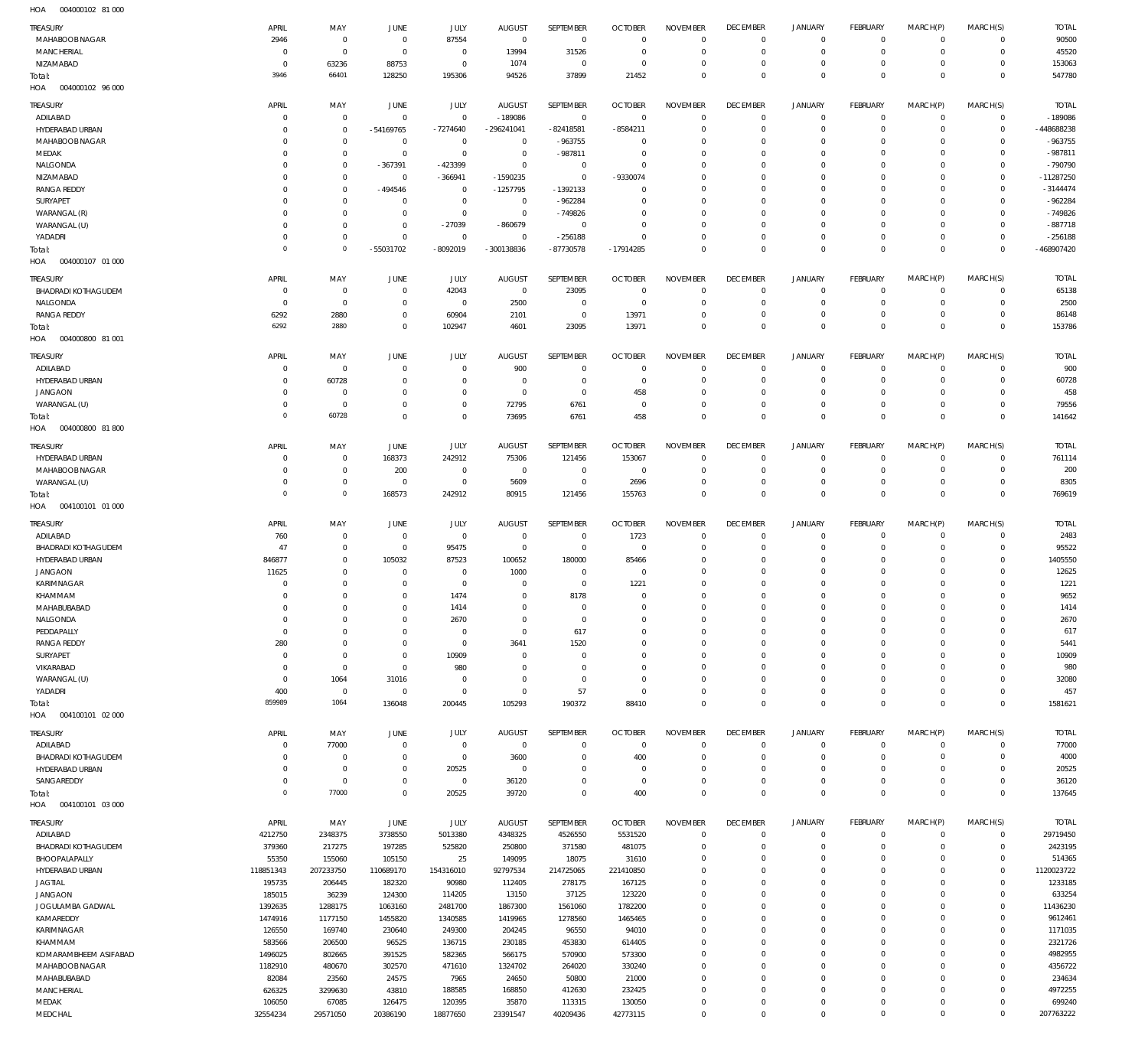004000102 81 000 HOA

| TREASURY                                      | APRIL                         | MAY                         | JUNE                       | <b>JULY</b>                | <b>AUGUST</b>              | SEPTEMBER                   | <b>OCTOBER</b>                   | <b>NOVEMBER</b>                | <b>DECEMBER</b>                   | <b>JANUARY</b>                | <b>FEBRUARY</b>                  | MARCH(P)                   | MARCH(S)                   | <b>TOTAL</b>              |
|-----------------------------------------------|-------------------------------|-----------------------------|----------------------------|----------------------------|----------------------------|-----------------------------|----------------------------------|--------------------------------|-----------------------------------|-------------------------------|----------------------------------|----------------------------|----------------------------|---------------------------|
| MAHABOOB NAGAR                                | 2946                          | $\mathbf 0$                 | $\mathbf 0$                | 87554                      | $\overline{0}$             | $\overline{0}$              | $\overline{0}$<br>$\overline{0}$ | $\Omega$<br>$\mathbf 0$        | $\overline{0}$<br>$\mathbf 0$     | $\mathbf 0$<br>$\mathbf 0$    | $\overline{0}$<br>$\mathbf{0}$   | $\mathbf 0$<br>$\mathbf 0$ | $\mathbf 0$<br>$\mathbf 0$ | 90500                     |
| MANCHERIAL<br>NIZAMABAD                       | $\mathbf 0$<br>$\overline{0}$ | $\mathbf 0$<br>63236        | $\overline{0}$<br>88753    | $\mathbb O$<br>$\mathbb O$ | 13994<br>1074              | 31526<br>$\mathbf 0$        | $\overline{0}$                   | $\Omega$                       | $\mathbf 0$                       | 0                             | $\overline{0}$                   | $\Omega$                   | $\mathbf 0$                | 45520<br>153063           |
| Total:                                        | 3946                          | 66401                       | 128250                     | 195306                     | 94526                      | 37899                       | 21452                            | $\mathbf 0$                    | $\overline{0}$                    | $\mathbf 0$                   | $\overline{0}$                   | $\mathbf 0$                | $\overline{0}$             | 547780                    |
| HOA<br>004000102 96 000                       |                               |                             |                            |                            |                            |                             |                                  |                                |                                   |                               |                                  |                            |                            |                           |
| TREASURY                                      | APRIL                         | MAY                         | JUNE                       | JULY                       | <b>AUGUST</b>              | SEPTEMBER                   | <b>OCTOBER</b>                   | <b>NOVEMBER</b>                | <b>DECEMBER</b>                   | <b>JANUARY</b>                | FEBRUARY                         | MARCH(P)                   | MARCH(S)                   | <b>TOTAL</b>              |
| ADILABAD<br>HYDERABAD URBAN                   | 0<br>$\Omega$                 | $\mathbf 0$<br>$\mathbf 0$  | $\mathbf 0$<br>$-54169765$ | $\mathbf 0$<br>$-7274640$  | $-189086$<br>-296241041    | $\mathbf{0}$<br>$-82418581$ | $\overline{0}$<br>$-8584211$     | $\Omega$<br>$\Omega$           | $\mathbf 0$<br>$\mathbf 0$        | $^{\circ}$<br>0               | $\mathbf{0}$<br>$\mathbf{0}$     | $\Omega$<br>$\Omega$       | $\mathbf 0$<br>$\mathbf 0$ | $-189086$<br>-448688238   |
| MAHABOOB NAGAR                                | $\Omega$                      | $\mathbf 0$                 | $^{\circ}$                 | $\mathbf 0$                | $\mathbf 0$                | $-963755$                   | $\overline{0}$                   | $\Omega$                       | $\Omega$                          | $\Omega$                      | $\mathbf 0$                      | $\Omega$                   | $\Omega$                   | $-963755$                 |
| MEDAK                                         | $\Omega$                      | $\mathbf 0$                 | $\mathbf 0$                | $\mathbf 0$                | $\mathbf 0$                | $-987811$                   | $\overline{0}$                   | $\Omega$                       | $\Omega$                          | 0                             | $^{\circ}$                       | $\Omega$                   | $\Omega$                   | $-987811$                 |
| NALGONDA                                      | $\Omega$                      | $\mathbf 0$                 | $-367391$                  | -423399                    | $\mathbf 0$                | $\mathbb O$                 | $\overline{0}$                   | $\Omega$                       | $\Omega$                          | $\Omega$                      | $\Omega$                         | $\Omega$                   | $\Omega$                   | $-790790$                 |
| NIZAMABAD<br><b>RANGA REDDY</b>               | $\Omega$<br>$\Omega$          | $\mathbf 0$<br>$\mathbf 0$  | $\mathbf 0$<br>$-494546$   | $-366941$<br>$\mathbf 0$   | $-1590235$<br>$-1257795$   | $\mathbf 0$<br>$-1392133$   | -9330074<br>$\Omega$             | $\Omega$<br>$\Omega$           | $\Omega$<br>$\Omega$              | $\Omega$<br>$\Omega$          | $\Omega$<br>$^{\circ}$           | $\Omega$<br>$\Omega$       | $\mathbf 0$<br>$\Omega$    | $-11287250$<br>$-3144474$ |
| SURYAPET                                      | 0                             | $\mathbf 0$                 | $\mathbf 0$                | $\mathbf 0$                | $\mathbf 0$                | $-962284$                   | $\mathbf 0$                      | $\Omega$                       | $\Omega$                          | $\Omega$                      | $\Omega$                         | $\Omega$                   | $\Omega$                   | $-962284$                 |
| WARANGAL (R)                                  | $\Omega$                      | $\mathbf 0$                 | $\mathbf 0$                | $\mathbf 0$                | $\mathbf 0$                | $-749826$                   | $\mathbf 0$                      | $\Omega$                       | $\Omega$                          | $\Omega$                      | $^{\circ}$                       | $\Omega$                   | $\Omega$                   | $-749826$                 |
| WARANGAL (U)                                  | $\circ$                       | $\mathbf 0$                 | $\mathbf 0$                | $-27039$                   | $-860679$                  | $\mathbf 0$                 | $\mathbf 0$<br>$\Omega$          | $\Omega$<br>$\Omega$           | $\Omega$<br>$\Omega$              | $\Omega$<br>$\mathbf 0$       | $\Omega$<br>$\mathbf{0}$         | $\Omega$<br>$\Omega$       | $\Omega$<br>$\mathbf 0$    | $-887718$<br>$-256188$    |
| YADADRI<br>Total:                             | 0<br>$^{\circ}$               | $\mathbf 0$<br>$\mathbf 0$  | $^{\circ}$<br>$-55031702$  | $^{\circ}$<br>$-8092019$   | $\mathbf 0$<br>-300138836  | $-256188$<br>-87730578      | $-17914285$                      | $\Omega$                       | $\mathbf 0$                       | $\mathbf 0$                   | $\overline{0}$                   | $\Omega$                   | $\overline{0}$             | $-468907420$              |
| HOA<br>004000107 01 000                       |                               |                             |                            |                            |                            |                             |                                  |                                |                                   |                               |                                  |                            |                            |                           |
| <b>TREASURY</b>                               | APRIL                         | MAY                         | JUNE                       | JULY                       | <b>AUGUST</b>              | SEPTEMBER                   | <b>OCTOBER</b>                   | <b>NOVEMBER</b>                | <b>DECEMBER</b>                   | <b>JANUARY</b>                | FEBRUARY                         | MARCH(P)                   | MARCH(S)                   | <b>TOTAL</b>              |
| <b>BHADRADI KOTHAGUDEM</b>                    | $\mathbf 0$                   | $\mathbf 0$                 | $\mathbf 0$                | 42043                      | $\overline{0}$             | 23095                       | $\overline{0}$                   | $\mathbf 0$                    | $\overline{0}$                    | $^{\circ}$                    | $\overline{0}$                   | $\mathbf 0$                | $\mathbf 0$                | 65138                     |
| NALGONDA<br><b>RANGA REDDY</b>                | 0<br>6292                     | $\mathbf 0$<br>2880         | $\mathbf 0$<br>$\mathbb O$ | $\mathbf 0$<br>60904       | 2500<br>2101               | 0<br>$\mathbb O$            | $\overline{0}$<br>13971          | $\Omega$<br>$\Omega$           | $\mathbf 0$<br>$\mathbf 0$        | 0<br>$\mathbf 0$              | $\overline{0}$<br>$\mathbf{0}$   | $\mathbf 0$<br>$\mathbf 0$ | $\mathbf 0$<br>$\mathbf 0$ | 2500<br>86148             |
| Total:                                        | 6292                          | 2880                        | $\mathbf 0$                | 102947                     | 4601                       | 23095                       | 13971                            | $\mathbf 0$                    | $\overline{0}$                    | $\mathbf 0$                   | $\overline{0}$                   | $\Omega$                   | $\overline{0}$             | 153786                    |
| HOA<br>004000800 81 001                       |                               |                             |                            |                            |                            |                             |                                  |                                |                                   |                               |                                  |                            |                            |                           |
| TREASURY                                      | APRIL                         | MAY                         | JUNE                       | JULY                       | <b>AUGUST</b>              | SEPTEMBER                   | <b>OCTOBER</b>                   | <b>NOVEMBER</b>                | <b>DECEMBER</b>                   | <b>JANUARY</b>                | <b>FEBRUARY</b>                  | MARCH(P)                   | MARCH(S)                   | <b>TOTAL</b>              |
| ADILABAD                                      | $\circ$                       | $\mathbf 0$                 | $^{\circ}$                 | $\mathbf 0$                | 900                        | $\mathbf 0$                 | $\overline{0}$                   | $\Omega$                       | $\mathbf 0$                       | $\mathbf 0$                   | $^{\circ}$                       | $\Omega$                   | $\mathbf 0$                | 900                       |
| HYDERABAD URBAN<br><b>JANGAON</b>             | $\Omega$<br>$\Omega$          | 60728<br>0                  | $^{\circ}$<br>$\mathbf 0$  | $\mathbf 0$<br>$\mathbf 0$ | $^{\circ}$<br>$\mathbf 0$  | $\mathbf 0$<br>$\mathbf 0$  | $\overline{0}$<br>458            | $\Omega$<br>$\Omega$           | $\Omega$<br>$\mathbf 0$           | $\mathbf 0$<br>0              | $\mathbf{0}$<br>$^{\circ}$       | $\Omega$<br>$\Omega$       | $\mathbf 0$<br>$\mathbf 0$ | 60728<br>458              |
| WARANGAL (U)                                  | 0                             | $\mathbf 0$                 | $\mathbf 0$                | $\mathbf 0$                | 72795                      | 6761                        | $\mathbf 0$                      | $\Omega$                       | $\mathbf 0$                       | $\mathbf 0$                   | $\mathbf{0}$                     | $\Omega$                   | $\mathbf 0$                | 79556                     |
| Total:                                        | $^{\circ}$                    | 60728                       | $\mathbf 0$                | $\mathbf 0$                | 73695                      | 6761                        | 458                              | $\Omega$                       | $\mathbf 0$                       | $\mathbf 0$                   | $\overline{0}$                   | $\Omega$                   | $\mathbf{0}$               | 141642                    |
| HOA<br>004000800 81800                        |                               |                             |                            |                            |                            |                             |                                  |                                |                                   |                               |                                  |                            |                            |                           |
| TREASURY                                      | APRIL                         | MAY                         | JUNE                       | <b>JULY</b>                | <b>AUGUST</b>              | SEPTEMBER                   | <b>OCTOBER</b>                   | <b>NOVEMBER</b>                | <b>DECEMBER</b>                   | <b>JANUARY</b>                | FEBRUARY                         | MARCH(P)                   | MARCH(S)                   | <b>TOTAL</b>              |
| HYDERABAD URBAN<br>MAHABOOB NAGAR             | - 0<br>$\Omega$               | $\mathbf 0$<br>$\mathbf 0$  | 168373<br>200              | 242912<br>$\mathbf 0$      | 75306<br>$\mathbf 0$       | 121456<br>0                 | 153067<br>$\overline{0}$         | $\Omega$<br>$\mathbf 0$        | $\mathbf 0$<br>$\mathbf 0$        | $\mathbf 0$<br>$\mathbf 0$    | $\mathbf{0}$<br>$\overline{0}$   | $\mathbf 0$<br>$\mathbf 0$ | $\mathbf 0$<br>$\mathbf 0$ | 761114<br>200             |
| WARANGAL (U)                                  | $\circ$                       | $\mathbf 0$                 | $\mathbf 0$                | $\mathbf 0$                | 5609                       | 0                           | 2696                             | $\mathbf 0$                    | $\mathbf 0$                       | $\mathbf 0$                   | $\circ$                          | $\mathbf 0$                | $\mathbf 0$                | 8305                      |
| Total:                                        | $\overline{0}$                | $\mathbf 0$                 | 168573                     | 242912                     | 80915                      | 121456                      | 155763                           | $\mathbf 0$                    | $\overline{0}$                    | $\overline{0}$                | $\overline{0}$                   | $\mathbf 0$                | $\overline{0}$             | 769619                    |
| HOA<br>004100101 01 000                       |                               |                             |                            |                            |                            |                             |                                  |                                |                                   |                               |                                  |                            |                            |                           |
| TREASURY                                      | APRIL                         | MAY                         | JUNE                       | <b>JULY</b>                | <b>AUGUST</b>              | SEPTEMBER                   | <b>OCTOBER</b>                   | <b>NOVEMBER</b>                | <b>DECEMBER</b>                   | <b>JANUARY</b>                | <b>FEBRUARY</b>                  | MARCH(P)                   | MARCH(S)                   | <b>TOTAL</b>              |
| ADILABAD                                      | 760                           | $\mathbf 0$                 | $\mathbf 0$                | $\mathbf 0$                | $\overline{0}$             | $\mathbf 0$                 | 1723<br>$\overline{0}$           | $\Omega$<br>$\Omega$           | $\mathbf 0$<br>$\mathbf 0$        | $\mathbf 0$<br>$\mathbf 0$    | $^{\circ}$<br>$\mathbf{0}$       | $\Omega$<br>$\Omega$       | $\mathbf 0$<br>$\mathbf 0$ | 2483<br>95522             |
| <b>BHADRADI KOTHAGUDEM</b><br>HYDERABAD URBAN | 47<br>846877                  | $\mathbf 0$<br>$\mathbf 0$  | $\mathbb O$<br>105032      | 95475<br>87523             | $\mathbf 0$<br>100652      | $\mathbb O$<br>180000       | 85466                            | $\Omega$                       | $\mathbf 0$                       | 0                             | $^{\circ}$                       | $\Omega$                   | $\mathbf 0$                | 1405550                   |
| <b>JANGAON</b>                                | 11625                         | $\mathbf 0$                 | $^{\circ}$                 | $^{\circ}$                 | 1000                       | $\mathbf 0$                 | $^{\circ}$                       | $\Omega$                       | $\Omega$                          | $\Omega$                      | $\Omega$                         | $\Omega$                   | $\Omega$                   | 12625                     |
| KARIMNAGAR                                    | $\Omega$                      | $\mathbf 0$                 | $^{\circ}$                 | $\mathbf 0$                | $^{\circ}$                 | $\mathbf 0$                 | 1221                             | $\Omega$                       | $\Omega$                          | 0                             | $\mathbf 0$                      | $\Omega$                   | $\Omega$                   | 1221                      |
| KHAMMAM<br>MAHABUBABAD                        | $\mathbf{0}$<br>$\Omega$      | $\mathbf 0$<br>$\mathbf{0}$ | $\mathbf 0$<br>$\Omega$    | 1474<br>1414               | $\mathbf 0$<br>$\mathbf 0$ | 8178<br>$\mathbb O$         | $\overline{0}$<br>$\bf 0$        | $\Omega$<br>$\Omega$           | $\Omega$<br>$\Omega$              | $\Omega$<br>$\Omega$          | $\Omega$<br>$\Omega$             | $\Omega$<br>$\Omega$       | $\Omega$<br>$\Omega$       | 9652<br>1414              |
| NALGONDA                                      | $^{\circ}$                    | $\mathbf 0$                 | $\mathbf 0$                | 2670                       | $\mathbf 0$                | $\mathbf 0$                 | $\mathbf 0$                      | $\Omega$                       | $\Omega$                          | 0                             | $^{\circ}$                       | $\Omega$                   | 0                          | 2670                      |
| PEDDAPALLY                                    | $^{\circ}$                    | $\mathbf 0$                 | $^{\circ}$                 | $\mathbf 0$                | $\mathbf 0$                | 617                         | $\mathbf 0$                      | $\Omega$                       | $\mathbf 0$                       | 0                             | $\mathbf{0}$                     | $\Omega$                   | $\Omega$                   | 617                       |
| <b>RANGA REDDY</b>                            | 280                           | $\mathbf 0$                 | $\mathbf 0$                | $\mathbf 0$                | 3641                       | 1520                        | $\mathbf 0$                      | $\Omega$<br>$\Omega$           | $\mathbf 0$<br>$\Omega$           | 0<br>$\Omega$                 | $\mathbf 0$<br>$\Omega$          | $\Omega$<br>$\Omega$       | 0<br>$\Omega$              | 5441                      |
| SURYAPET<br>VIKARABAD                         | $^{\circ}$<br>0               | $\mathbf 0$<br>$\mathbf 0$  | $\mathbf 0$<br>$\mathbf 0$ | 10909<br>980               | $\mathbf 0$<br>$\mathbf 0$ | $\mathbf 0$<br>$\mathbf 0$  | $\mathbf 0$<br>$\mathbf 0$       | $\Omega$                       | $\Omega$                          | 0                             | $\mathbf 0$                      | $\Omega$                   | $\Omega$                   | 10909<br>980              |
| WARANGAL (U)                                  | $^{\circ}$                    | 1064                        | 31016                      | $\mathbf 0$                | $\mathbf 0$                | $\mathbf 0$                 | $\mathbf 0$                      | $\Omega$                       | $\mathbf 0$                       | 0                             | $\Omega$                         | $\Omega$                   | $\Omega$                   | 32080                     |
| YADADRI                                       | 400                           | $\mathbf 0$                 | $\mathbf 0$                | $\mathbb O$                | $\mathbf 0$                | 57                          | $\overline{0}$                   | $\Omega$                       | $\mathbf 0$                       | $\mathbf 0$                   | $\mathbf{0}$                     | $\Omega$                   | $\mathbf 0$                | 457                       |
| Total:<br>HOA<br>004100101 02 000             | 859989                        | 1064                        | 136048                     | 200445                     | 105293                     | 190372                      | 88410                            | $\Omega$                       | $\mathbf 0$                       | $\overline{0}$                | $\overline{0}$                   | $\Omega$                   | $\Omega$                   | 1581621                   |
|                                               |                               |                             |                            |                            |                            | SEPTEMBER                   |                                  |                                |                                   |                               |                                  |                            |                            |                           |
| <b>TREASURY</b><br>ADILABAD                   | APRIL<br>$\overline{0}$       | MAY<br>77000                | JUNE<br>$\mathbf 0$        | <b>JULY</b><br>$\mathbf 0$ | AUGUST<br>$\overline{0}$   | $\mathbb O$                 | <b>OCTOBER</b><br>$\overline{0}$ | <b>NOVEMBER</b><br>$\mathbf 0$ | <b>DECEMBER</b><br>$\overline{0}$ | <b>JANUARY</b><br>$\mathbf 0$ | FEBRUARY<br>$\overline{0}$       | MARCH(P)<br>$\mathbf 0$    | MARCH(S)<br>$\mathbf 0$    | <b>TOTAL</b><br>77000     |
| <b>BHADRADI KOTHAGUDEM</b>                    | 0                             | $\mathbf 0$                 | $\mathbf 0$                | $\mathbf 0$                | 3600                       | $\mathbb O$                 | 400                              | $\mathbf 0$                    | $\mathbf 0$                       | 0                             | $\overline{0}$                   | $\mathbf 0$                | $\mathbf 0$                | 4000                      |
| HYDERABAD URBAN                               | $^{\circ}$                    | $\mathbf 0$                 | $\mathbb O$                | 20525                      | $\overline{0}$             | $\mathbf 0$                 | $\overline{0}$                   | $\mathbf 0$                    | $\mathbf 0$                       | 0                             | $\mathbf{0}$                     | $\Omega$                   | $\mathbf 0$                | 20525                     |
| SANGAREDDY<br>Total:                          | $^{\circ}$<br>$\overline{0}$  | $\mathbf 0$<br>77000        | $\mathbf 0$<br>$\mathbf 0$ | $\mathbb O$<br>20525       | 36120<br>39720             | $\mathbb O$<br>$\mathbf 0$  | $\overline{0}$<br>400            | $\mathbf 0$<br>$\mathbf 0$     | $\overline{0}$<br>$\overline{0}$  | $\mathbf 0$<br>$\overline{0}$ | $\overline{0}$<br>$\overline{0}$ | $\mathbf 0$<br>$\mathbf 0$ | $\mathbf 0$<br>$\mathbf 0$ | 36120<br>137645           |
| HOA<br>004100101 03 000                       |                               |                             |                            |                            |                            |                             |                                  |                                |                                   |                               |                                  |                            |                            |                           |
| TREASURY                                      | APRIL                         | MAY                         | JUNE                       | JULY                       | <b>AUGUST</b>              | SEPTEMBER                   | <b>OCTOBER</b>                   | <b>NOVEMBER</b>                | <b>DECEMBER</b>                   | <b>JANUARY</b>                | FEBRUARY                         | MARCH(P)                   | MARCH(S)                   | <b>TOTAL</b>              |
| ADILABAD                                      | 4212750                       | 2348375                     | 3738550                    | 5013380                    | 4348325                    | 4526550                     | 5531520                          | $\Omega$                       | $\mathbf 0$                       | $^{\circ}$                    | $\overline{0}$                   | $\mathbf 0$                | $\mathbf 0$                | 29719450                  |
| <b>BHADRADI KOTHAGUDEM</b>                    | 379360                        | 217275                      | 197285                     | 525820                     | 250800                     | 371580                      | 481075                           | $\mathbf 0$<br>$\Omega$        | $\mathbf 0$<br>$\Omega$           | $\mathbf 0$<br>$\Omega$       | $\mathbf{0}$<br>$\mathbf{0}$     | $\Omega$<br>$\Omega$       | $\mathbf 0$<br>$\mathbf 0$ | 2423195<br>514365         |
| BHOOPALAPALLY<br>HYDERABAD URBAN              | 55350<br>118851343            | 155060<br>207233750         | 105150<br>110689170        | 25<br>154316010            | 149095<br>92797534         | 18075<br>214725065          | 31610<br>221410850               | $\Omega$                       | $\mathbf 0$                       | 0                             | $^{\circ}$                       | $\Omega$                   | $\mathbf 0$                | 1120023722                |
| <b>JAGTIAL</b>                                | 195735                        | 206445                      | 182320                     | 90980                      | 112405                     | 278175                      | 167125                           | $\Omega$                       | $\Omega$                          | $\Omega$                      | $\Omega$                         | $\Omega$                   | $\Omega$                   | 1233185                   |
| <b>JANGAON</b>                                | 185015                        | 36239                       | 124300                     | 114205                     | 13150                      | 37125                       | 123220                           | $\Omega$                       | $\Omega$                          | 0                             | $\mathbf{0}$                     | $\Omega$                   | $\Omega$                   | 633254                    |
| JOGULAMBA GADWAL<br>KAMAREDDY                 | 1392635<br>1474916            | 1288175<br>1177150          | 1063160<br>1455820         | 2481700<br>1340585         | 1867300<br>1419965         | 1561060<br>1278560          | 1782200<br>1465465               | $\Omega$<br>$\Omega$           | $\Omega$<br>$\Omega$              | $\Omega$<br>$\Omega$          | $\mathbf 0$<br>$\Omega$          | $\Omega$<br>$\Omega$       | $\Omega$<br>$\Omega$       | 11436230<br>9612461       |
| KARIMNAGAR                                    | 126550                        | 169740                      | 230640                     | 249300                     | 204245                     | 96550                       | 94010                            | $\Omega$                       | $\Omega$                          | $\Omega$                      | $\mathbf 0$                      | $\Omega$                   | $\Omega$                   | 1171035                   |
| KHAMMAM                                       | 583566                        | 206500                      | 96525                      | 136715                     | 230185                     | 453830                      | 614405                           | $\Omega$                       | $\Omega$                          | $\Omega$                      | $\Omega$                         | $\Omega$                   | $\Omega$                   | 2321726                   |
| KOMARAMBHEEM ASIFABAD                         | 1496025                       | 802665                      | 391525                     | 582365                     | 566175                     | 570900                      | 573300                           | $\Omega$<br>$\Omega$           | $\Omega$<br>$\Omega$              | 0<br>$\Omega$                 | $\mathbf 0$<br>$\Omega$          | $\Omega$<br>$\Omega$       | $\Omega$<br>$\Omega$       | 4982955                   |
| MAHABOOB NAGAR<br>MAHABUBABAD                 | 1182910<br>82084              | 480670<br>23560             | 302570<br>24575            | 471610<br>7965             | 1324702<br>24650           | 264020<br>50800             | 330240<br>21000                  | $\Omega$                       | $\Omega$                          | $\Omega$                      | $\Omega$                         | $\Omega$                   | $\Omega$                   | 4356722<br>234634         |
| <b>MANCHERIAL</b>                             | 626325                        | 3299630                     | 43810                      | 188585                     | 168850                     | 412630                      | 232425                           | $\Omega$                       | $\mathbf 0$                       | 0                             | $\mathbf 0$                      | $\Omega$                   | $\Omega$                   | 4972255                   |
| MEDAK                                         | 106050                        | 67085                       | 126475                     | 120395                     | 35870                      | 113315                      | 130050                           | $\Omega$                       | $\mathbf 0$                       | $\mathbf 0$                   | $\mathbf{0}$                     | $\Omega$                   | $\mathbf 0$                | 699240                    |
| MEDCHAL                                       | 32554234                      | 29571050                    | 20386190                   | 18877650                   | 23391547                   | 40209436                    | 42773115                         | $\mathbf 0$                    | $\mathbf 0$                       | $\mathbf 0$                   | $\mathbf 0$                      | $\mathbf 0$                | $\mathbf 0$                | 207763222                 |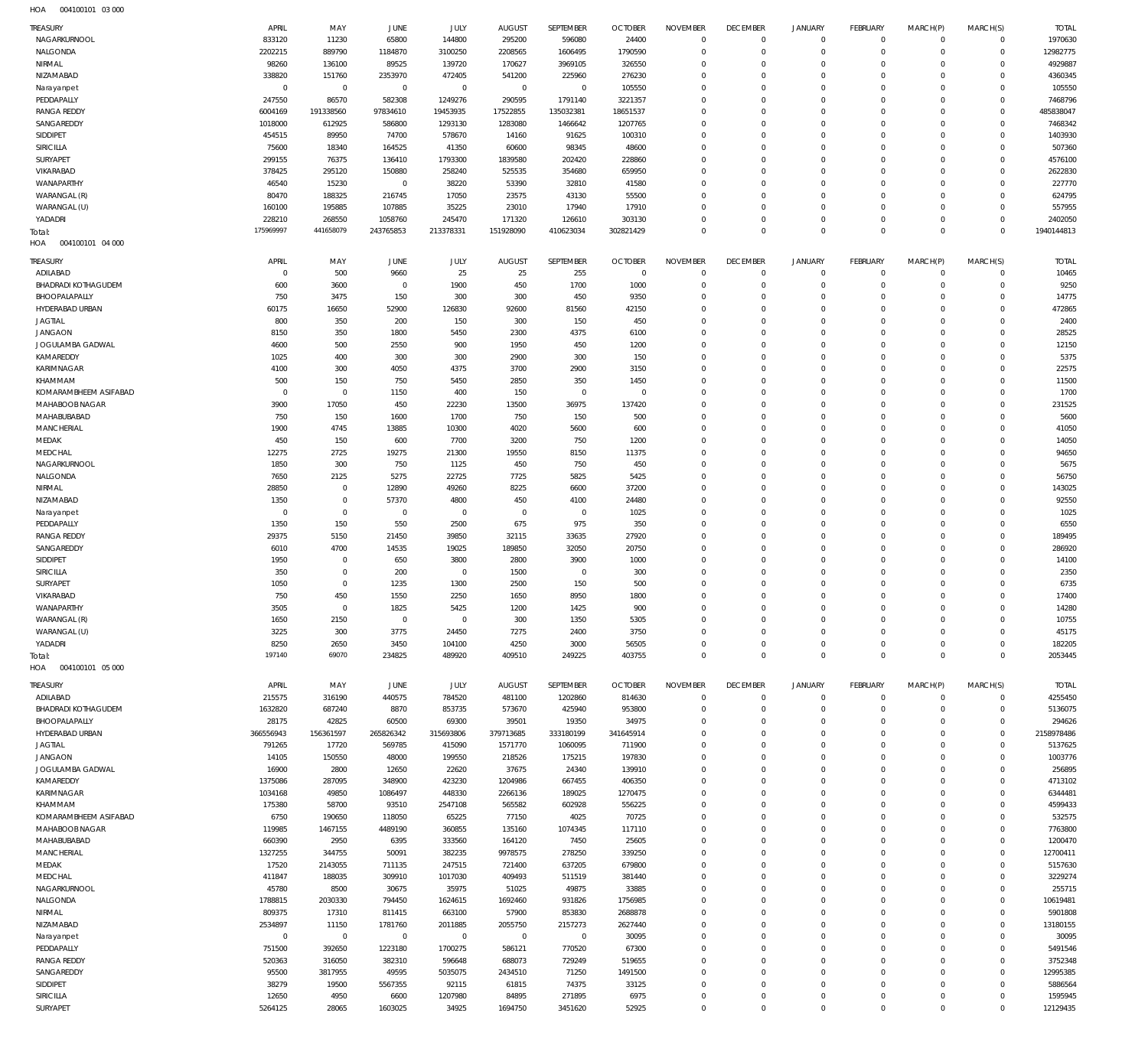| <b>HOA</b> | 004100101 03 000 |  |
|------------|------------------|--|

| <b>TREASURY</b>                  | APRIL                   | MAY                        | <b>JUNE</b>           | JULY                   | <b>AUGUST</b>            | SEPTEMBER              | <b>OCTOBER</b>                 | <b>NOVEMBER</b>             | <b>DECEMBER</b>                | JANUARY                 | <b>FEBRUARY</b>                | MARCH(P)                   | MARCH(S)                   | <b>TOTAL</b>          |
|----------------------------------|-------------------------|----------------------------|-----------------------|------------------------|--------------------------|------------------------|--------------------------------|-----------------------------|--------------------------------|-------------------------|--------------------------------|----------------------------|----------------------------|-----------------------|
| NAGARKURNOOL                     | 833120                  | 11230                      | 65800                 | 144800                 | 295200                   | 596080                 | 24400                          | $\Omega$                    | $\Omega$                       | $\circ$                 | $\mathbf 0$                    | $\mathbf 0$                | $\mathbf 0$                | 1970630               |
| NALGONDA                         | 2202215                 | 889790                     | 1184870               | 3100250                | 2208565                  | 1606495                | 1790590                        | $\Omega$                    | $\Omega$                       | $\mathbf 0$             | $\mathbf 0$                    | $\mathbf 0$                | $\mathbf 0$                | 12982775              |
| NIRMAL                           | 98260                   | 136100                     | 89525                 | 139720                 | 170627                   | 3969105                | 326550                         | $\Omega$                    | $\Omega$                       | $\circ$                 | $\mathbf 0$                    | $\mathbf 0$                | $\mathbf 0$                | 4929887               |
| NIZAMABAD                        | 338820                  | 151760                     | 2353970               | 472405                 | 541200                   | 225960                 | 276230                         | $\Omega$                    | $\Omega$                       | $\Omega$                | $\mathbf 0$                    | $\Omega$                   | $\mathbf 0$                | 4360345               |
| Narayanpet<br>PEDDAPALLY         | $\mathbf 0$<br>247550   | $\overline{0}$<br>86570    | $\mathbf 0$<br>582308 | $\mathbf 0$<br>1249276 | $\overline{0}$<br>290595 | $\mathbf 0$<br>1791140 | 105550<br>3221357              | $\Omega$<br>$\Omega$        | $\Omega$<br>$\Omega$           | $\Omega$<br>$\Omega$    | $\mathbf 0$<br>$\mathbf 0$     | $\Omega$<br>$\Omega$       | $\mathbf 0$<br>$\mathbf 0$ | 105550<br>7468796     |
| <b>RANGA REDDY</b>               | 6004169                 | 191338560                  | 97834610              | 19453935               | 17522855                 | 135032381              | 18651537                       | $\Omega$                    | $\Omega$                       | $\Omega$                | $\mathbf 0$                    | $\Omega$                   | $\mathbf 0$                | 485838047             |
| SANGAREDDY                       | 1018000                 | 612925                     | 586800                | 1293130                | 1283080                  | 1466642                | 1207765                        | $\Omega$                    | $\Omega$                       | $\Omega$                | $\mathbf 0$                    | $\mathbf 0$                | $\mathbf 0$                | 7468342               |
| SIDDIPET                         | 454515                  | 89950                      | 74700                 | 578670                 | 14160                    | 91625                  | 100310                         | $\Omega$                    | $\Omega$                       | $\Omega$                | $\mathbf 0$                    | $\Omega$                   | $\mathbf 0$                | 1403930               |
| SIRICILLA                        | 75600                   | 18340                      | 164525                | 41350                  | 60600                    | 98345                  | 48600                          | $\Omega$                    | $\Omega$                       | $\Omega$                | $\mathbf 0$                    | $\Omega$                   | $\mathbf 0$                | 507360                |
| SURYAPET                         | 299155                  | 76375                      | 136410                | 1793300                | 1839580                  | 202420                 | 228860                         | $\Omega$                    | $\Omega$                       | $\Omega$                | $\mathbf 0$                    | $\Omega$                   | $\mathbf 0$                | 4576100               |
| VIKARABAD                        | 378425                  | 295120                     | 150880                | 258240                 | 525535                   | 354680                 | 659950                         | $\Omega$                    | $\Omega$                       | $\Omega$                | $\mathbf 0$                    | $\Omega$                   | $\mathbf 0$                | 2622830               |
| WANAPARTHY                       | 46540                   | 15230                      | $\mathbf 0$           | 38220                  | 53390                    | 32810                  | 41580                          | $\Omega$                    | $\Omega$                       | $\Omega$                | $\mathbf 0$                    | $\Omega$                   | $\mathbf 0$                | 227770                |
| WARANGAL (R)                     | 80470                   | 188325                     | 216745                | 17050                  | 23575                    | 43130                  | 55500                          | $\Omega$                    | $\Omega$                       | $\Omega$                | $\mathbf 0$                    | $\Omega$                   | $\mathbf 0$                | 624795                |
| WARANGAL (U)<br>YADADRI          | 160100<br>228210        | 195885<br>268550           | 107885<br>1058760     | 35225<br>245470        | 23010<br>171320          | 17940<br>126610        | 17910<br>303130                | $\Omega$<br>$\Omega$        | $\Omega$<br>$\Omega$           | $\Omega$<br>$\Omega$    | $\mathbf 0$<br>$\mathbf 0$     | $\Omega$<br>$\Omega$       | $\mathbf 0$<br>$\mathbf 0$ | 557955<br>2402050     |
| Total:                           | 175969997               | 441658079                  | 243765853             | 213378331              | 151928090                | 410623034              | 302821429                      | $\Omega$                    | $\Omega$                       | $\mathbf 0$             | $\mathbf 0$                    | $\Omega$                   | $\mathbf 0$                | 1940144813            |
| HOA<br>004100101 04 000          |                         |                            |                       |                        |                          |                        |                                |                             |                                |                         |                                |                            |                            |                       |
|                                  |                         |                            |                       |                        |                          |                        |                                |                             |                                |                         |                                |                            |                            |                       |
| TREASURY<br>ADILABAD             | APRIL<br>$\overline{0}$ | MAY<br>500                 | <b>JUNE</b><br>9660   | JULY<br>25             | <b>AUGUST</b><br>25      | SEPTEMBER<br>255       | <b>OCTOBER</b><br>$\mathbf{0}$ | <b>NOVEMBER</b><br>$\Omega$ | <b>DECEMBER</b><br>$\mathbf 0$ | JANUARY<br>$\mathbf 0$  | <b>FEBRUARY</b><br>$\mathbf 0$ | MARCH(P)<br>$^{\circ}$     | MARCH(S)<br>0              | <b>TOTAL</b><br>10465 |
| BHADRADI KOTHAGUDEM              | 600                     | 3600                       | $\overline{0}$        | 1900                   | 450                      | 1700                   | 1000                           | $\Omega$                    | $\mathbf 0$                    | $\mathbf 0$             | $\mathbf 0$                    | $^{\circ}$                 | $\mathbf 0$                | 9250                  |
| BHOOPALAPALLY                    | 750                     | 3475                       | 150                   | 300                    | 300                      | 450                    | 9350                           | $\Omega$                    | $\Omega$                       | $\Omega$                | $\mathbf 0$                    | $\Omega$                   | $\mathbf 0$                | 14775                 |
| HYDERABAD URBAN                  | 60175                   | 16650                      | 52900                 | 126830                 | 92600                    | 81560                  | 42150                          | $\Omega$                    | $\Omega$                       | $\Omega$                | $\mathbf 0$                    | 0                          | $\mathbf 0$                | 472865                |
| <b>JAGTIAL</b>                   | 800                     | 350                        | 200                   | 150                    | 300                      | 150                    | 450                            | $\Omega$                    | $\Omega$                       | $\Omega$                | $\mathbf 0$                    | $\Omega$                   | $\mathbf 0$                | 2400                  |
| <b>JANGAON</b>                   | 8150                    | 350                        | 1800                  | 5450                   | 2300                     | 4375                   | 6100                           | $\Omega$                    | $\Omega$                       | $\Omega$                | $\mathbf 0$                    | $\Omega$                   | $\mathbf 0$                | 28525                 |
| JOGULAMBA GADWAL                 | 4600                    | 500                        | 2550                  | 900                    | 1950                     | 450                    | 1200                           | $\Omega$                    | $\Omega$                       | $\Omega$                | $\mathbf 0$                    | $\Omega$                   | $\mathbf 0$                | 12150                 |
| KAMAREDDY                        | 1025                    | 400                        | 300                   | 300                    | 2900                     | 300                    | 150                            | $\Omega$                    | $\Omega$                       | $\Omega$                | $\mathbf 0$                    | $\Omega$                   | $\mathbf 0$                | 5375                  |
| KARIMNAGAR                       | 4100                    | 300                        | 4050                  | 4375                   | 3700                     | 2900                   | 3150                           | $\Omega$                    | $\Omega$                       | $\Omega$                | $\mathbf 0$                    | $\Omega$                   | $\mathbf 0$                | 22575                 |
| KHAMMAM<br>KOMARAMBHEEM ASIFABAD | 500<br>$\overline{0}$   | 150<br>$\overline{0}$      | 750<br>1150           | 5450<br>400            | 2850<br>150              | 350<br>$\circ$         | 1450<br>$\mathbf{0}$           | $\Omega$<br>$\Omega$        | $\Omega$<br>$\Omega$           | $\Omega$<br>$\Omega$    | $\mathbf 0$<br>$\mathbf 0$     | $\Omega$<br>$\Omega$       | $\mathbf 0$<br>$\mathbf 0$ | 11500<br>1700         |
| MAHABOOB NAGAR                   | 3900                    | 17050                      | 450                   | 22230                  | 13500                    | 36975                  | 137420                         | $\Omega$                    | $\Omega$                       | $\Omega$                | $\mathbf 0$                    | $\Omega$                   | $\mathbf 0$                | 231525                |
| MAHABUBABAD                      | 750                     | 150                        | 1600                  | 1700                   | 750                      | 150                    | 500                            | $\Omega$                    | $\Omega$                       | $\Omega$                | $\mathbf 0$                    | $\Omega$                   | $\mathbf 0$                | 5600                  |
| MANCHERIAL                       | 1900                    | 4745                       | 13885                 | 10300                  | 4020                     | 5600                   | 600                            | $\Omega$                    | $\Omega$                       | $\Omega$                | $\mathbf 0$                    | $\Omega$                   | $\mathbf 0$                | 41050                 |
| MEDAK                            | 450                     | 150                        | 600                   | 7700                   | 3200                     | 750                    | 1200                           | $\Omega$                    | $\Omega$                       | $\Omega$                | $\mathbf 0$                    | $\Omega$                   | $\mathbf 0$                | 14050                 |
| MEDCHAL                          | 12275                   | 2725                       | 19275                 | 21300                  | 19550                    | 8150                   | 11375                          | $\Omega$                    | $\Omega$                       | $\Omega$                | $\mathbf 0$                    | $\Omega$                   | $\mathbf 0$                | 94650                 |
| NAGARKURNOOL                     | 1850                    | 300                        | 750                   | 1125                   | 450                      | 750                    | 450                            | $\Omega$                    | $\Omega$                       | $\Omega$                | $\mathbf 0$                    | $\Omega$                   | $\mathbf 0$                | 5675                  |
| NALGONDA                         | 7650                    | 2125                       | 5275                  | 22725                  | 7725                     | 5825                   | 5425                           | $\Omega$                    | $\Omega$                       | $\Omega$                | $\mathbf 0$                    | $\Omega$                   | $\mathbf 0$                | 56750                 |
| NIRMAL                           | 28850                   | $\mathbf 0$                | 12890                 | 49260                  | 8225                     | 6600                   | 37200                          | $\Omega$                    | $\Omega$                       | $\Omega$                | $\mathbf 0$                    | $\Omega$                   | $\mathbf 0$                | 143025                |
| NIZAMABAD                        | 1350<br>$\overline{0}$  | $\mathbf 0$<br>$\mathbf 0$ | 57370<br>$\mathbf 0$  | 4800<br>$\mathbf 0$    | 450<br>$\overline{0}$    | 4100<br>$\circ$        | 24480<br>1025                  | $\Omega$<br>$\Omega$        | $\Omega$<br>$\Omega$           | $\Omega$<br>$\Omega$    | $\mathbf 0$<br>$\mathbf 0$     | 0<br>$\Omega$              | $\mathbf 0$<br>$\mathbf 0$ | 92550<br>1025         |
| Narayanpet<br>PEDDAPALLY         | 1350                    | 150                        | 550                   | 2500                   | 675                      | 975                    | 350                            | $\Omega$                    | $\Omega$                       | $\Omega$                | $\mathbf 0$                    | $\Omega$                   | $\mathbf 0$                | 6550                  |
| <b>RANGA REDDY</b>               | 29375                   | 5150                       | 21450                 | 39850                  | 32115                    | 33635                  | 27920                          | $\Omega$                    | $\Omega$                       | $\Omega$                | $\mathbf 0$                    | $\Omega$                   | $\mathbf 0$                | 189495                |
| SANGAREDDY                       | 6010                    | 4700                       | 14535                 | 19025                  | 189850                   | 32050                  | 20750                          | $\Omega$                    | $\Omega$                       | $\Omega$                | $\mathbf 0$                    | $\Omega$                   | $\mathbf 0$                | 286920                |
| SIDDIPET                         | 1950                    | $\mathbf 0$                | 650                   | 3800                   | 2800                     | 3900                   | 1000                           | $\Omega$                    | $\Omega$                       | $\Omega$                | $\mathbf 0$                    | $\Omega$                   | $\mathbf 0$                | 14100                 |
| <b>SIRICILLA</b>                 | 350                     | $\mathbf 0$                | 200                   | $\mathbf 0$            | 1500                     | $\circ$                | 300                            | $\Omega$                    | $\Omega$                       | $\Omega$                | $\mathbf 0$                    | $\Omega$                   | $\mathbf 0$                | 2350                  |
| SURYAPET                         | 1050                    | $\mathbf 0$                | 1235                  | 1300                   | 2500                     | 150                    | 500                            | $\Omega$                    | $\Omega$                       | $\Omega$                | $\mathbf 0$                    | $\Omega$                   | 0                          | 6735                  |
| VIKARABAD                        | 750                     | 450                        | 1550                  | 2250                   | 1650                     | 8950                   | 1800                           | $\Omega$                    | $\Omega$                       | $\Omega$                | $\Omega$                       | $\Omega$                   | $\mathbf 0$                | 17400                 |
| WANAPARTHY                       | 3505                    | $\Omega$                   | 1825                  | 5425                   | 1200                     | 1425                   | 900                            | $\Omega$                    | $\Omega$<br>$\Omega$           | $\Omega$                | $\Omega$                       | $\Omega$                   | $\Omega$                   | 14280                 |
| WARANGAL (R)<br>WARANGAL (U)     | 1650<br>3225            | 2150<br>300                | $\mathsf 0$<br>3775   | $\mathbf 0$<br>24450   | 300<br>7275              | 1350<br>2400           | 5305<br>3750                   | $\Omega$<br>$\mathbf 0$     | $\mathbf 0$                    | $\Omega$<br>$\circ$     | $\mathbf 0$<br>$\mathbf 0$     | $\Omega$<br>$\mathbf 0$    | $\mathbf 0$<br>$\mathbf 0$ | 10755<br>45175        |
| YADADRI                          | 8250                    | 2650                       | 3450                  | 104100                 | 4250                     | 3000                   | 56505                          | $\mathbf 0$                 | $\mathbf 0$                    | $\mathbf 0$             | $\mathbf 0$                    | $\mathbf 0$                | $\mathbf 0$                | 182205                |
| Total:                           | 197140                  | 69070                      | 234825                | 489920                 | 409510                   | 249225                 | 403755                         | $\mathbf 0$                 | $\mathbf 0$                    | $\mathbf 0$             | $\mathbb O$                    | $\Omega$                   | $\mathbf 0$                | 2053445               |
| HOA<br>004100101 05 000          |                         |                            |                       |                        |                          |                        |                                |                             |                                |                         |                                |                            |                            |                       |
| TREASURY                         | APRIL                   | MAY                        | JUNE                  | JULY                   | <b>AUGUST</b>            | SEPTEMBER              | <b>OCTOBER</b>                 | <b>NOVEMBER</b>             | <b>DECEMBER</b>                | JANUARY                 | <b>FEBRUARY</b>                | MARCH(P)                   | MARCH(S)                   | <b>TOTAL</b>          |
| ADILABAD                         | 215575                  | 316190                     | 440575                | 784520                 | 481100                   | 1202860                | 814630                         | $\mathbf 0$                 | $\mathbf 0$                    | $\mathbf 0$             | $\mathbf 0$                    | $\mathbf 0$                | $\mathbf 0$                | 4255450               |
| BHADRADI KOTHAGUDEM              | 1632820                 | 687240                     | 8870                  | 853735                 | 573670                   | 425940                 | 953800                         | $\mathbf 0$                 | $\mathbf 0$                    | $\mathbf 0$             | $\mathbf 0$                    | $\mathbf 0$                | $\mathbf 0$                | 5136075               |
| BHOOPALAPALLY                    | 28175                   | 42825                      | 60500                 | 69300                  | 39501                    | 19350                  | 34975                          | $\mathbf 0$                 | $\mathbf 0$                    | $\mathbf 0$             | $\mathbf 0$                    | $\mathbf 0$                | $\mathbf 0$                | 294626                |
| HYDERABAD URBAN                  | 366556943               | 156361597                  | 265826342             | 315693806              | 379713685                | 333180199              | 341645914                      | $\mathbf 0$                 | $\Omega$                       | $\mathbf 0$             | $\mathbf 0$                    | $\mathbf 0$                | $\mathbf 0$                | 2158978486            |
| <b>JAGTIAL</b>                   | 791265                  | 17720                      | 569785                | 415090                 | 1571770                  | 1060095                | 711900                         | $\mathbf 0$                 | $\mathbf 0$                    | $\mathbf 0$             | $\mathbf 0$                    | 0                          | $\mathbf 0$                | 5137625               |
| <b>JANGAON</b>                   | 14105                   | 150550                     | 48000                 | 199550                 | 218526                   | 175215                 | 197830                         | $\Omega$                    | $\Omega$                       | $\Omega$                | $\mathbf 0$                    | $\Omega$                   | $\mathbf 0$                | 1003776               |
| JOGULAMBA GADWAL                 | 16900                   | 2800                       | 12650                 | 22620                  | 37675                    | 24340                  | 139910                         | $\mathbf 0$                 | $\Omega$                       | $\mathbf 0$             | $\mathbf 0$                    | $\mathbf 0$                | $\mathbf 0$                | 256895                |
| KAMAREDDY<br>KARIMNAGAR          | 1375086<br>1034168      | 287095<br>49850            | 348900<br>1086497     | 423230<br>448330       | 1204986<br>2266136       | 667455<br>189025       | 406350<br>1270475              | $\mathbf 0$<br>$\mathbf 0$  | $\mathbf 0$<br>$\Omega$        | $\Omega$<br>$\mathbf 0$ | $\mathbf 0$<br>$\mathbf 0$     | $\mathbf 0$<br>$\mathbf 0$ | $\mathbf 0$<br>$\mathbf 0$ | 4713102<br>6344481    |
| KHAMMAM                          | 175380                  | 58700                      | 93510                 | 2547108                | 565582                   | 602928                 | 556225                         | $\mathbf 0$                 | $\mathbf 0$                    | $\circ$                 | $\mathbf 0$                    | 0                          | $\mathbf 0$                | 4599433               |
| KOMARAMBHEEM ASIFABAD            | 6750                    | 190650                     | 118050                | 65225                  | 77150                    | 4025                   | 70725                          | $\mathbf 0$                 | $\Omega$                       | $\Omega$                | $\mathbf 0$                    | $\Omega$                   | $\mathbf 0$                | 532575                |
| MAHABOOB NAGAR                   | 119985                  | 1467155                    | 4489190               | 360855                 | 135160                   | 1074345                | 117110                         | $\mathbf 0$                 | $\mathbf 0$                    | $\circ$                 | $\mathbf 0$                    | 0                          | $\mathbf 0$                | 7763800               |
| MAHABUBABAD                      | 660390                  | 2950                       | 6395                  | 333560                 | 164120                   | 7450                   | 25605                          | $\mathbf 0$                 | $\Omega$                       | $\Omega$                | $\mathbf 0$                    | $\Omega$                   | $\mathbf 0$                | 1200470               |
| MANCHERIAL                       | 1327255                 | 344755                     | 50091                 | 382235                 | 9978575                  | 278250                 | 339250                         | $\Omega$                    | $\mathbf 0$                    | $\mathbf 0$             | $\mathbf 0$                    | 0                          | $\mathbf 0$                | 12700411              |
| MEDAK                            | 17520                   | 2143055                    | 711135                | 247515                 | 721400                   | 637205                 | 679800                         | $\Omega$                    | $\Omega$                       | $\Omega$                | $\mathbf 0$                    | $\Omega$                   | $\mathbf 0$                | 5157630               |
| MEDCHAL                          | 411847                  | 188035                     | 309910                | 1017030                | 409493                   | 511519                 | 381440                         | $\mathbf 0$                 | $\mathbf 0$                    | $\mathbf 0$             | $\mathbf 0$                    | $\mathbf 0$                | $\mathbf 0$                | 3229274               |
| NAGARKURNOOL                     | 45780                   | 8500                       | 30675                 | 35975                  | 51025                    | 49875                  | 33885                          | $\mathbf 0$                 | $\Omega$<br>$\Omega$           | $\Omega$                | $\mathbf 0$                    | $\Omega$                   | $\mathbf 0$                | 255715                |
| NALGONDA<br>NIRMAL               | 1788815<br>809375       | 2030330<br>17310           | 794450<br>811415      | 1624615<br>663100      | 1692460<br>57900         | 931826<br>853830       | 1756985<br>2688878             | $\Omega$<br>$\mathbf 0$     | $\mathbf 0$                    | $\mathbf 0$<br>$\Omega$ | $\mathbf 0$<br>$\mathbf 0$     | $\mathbf 0$<br>$\mathbf 0$ | $\mathbf 0$<br>$\mathbf 0$ | 10619481<br>5901808   |
| NIZAMABAD                        | 2534897                 | 11150                      | 1781760               | 2011885                | 2055750                  | 2157273                | 2627440                        | $\mathbf 0$                 | $\Omega$                       | $\mathbf 0$             | $\mathbf 0$                    | $\Omega$                   | $\mathbf 0$                | 13180155              |
| Narayanpet                       | $\overline{0}$          | $\overline{0}$             | $\overline{0}$        | $\overline{0}$         | $\mathsf 0$              | $\mathbb O$            | 30095                          | $\mathbf 0$                 | $\mathbf 0$                    | $\mathbf 0$             | $\mathbf 0$                    | 0                          | $\mathbf 0$                | 30095                 |
| PEDDAPALLY                       | 751500                  | 392650                     | 1223180               | 1700275                | 586121                   | 770520                 | 67300                          | $\Omega$                    | $\Omega$                       | $\Omega$                | $\mathbf 0$                    | $\Omega$                   | $\mathbf 0$                | 5491546               |
| <b>RANGA REDDY</b>               | 520363                  | 316050                     | 382310                | 596648                 | 688073                   | 729249                 | 519655                         | $\mathbf 0$                 | $\mathbf 0$                    | $\mathbf 0$             | $\mathbf 0$                    | $\mathbf 0$                | $\mathbf 0$                | 3752348               |
| SANGAREDDY                       | 95500                   | 3817955                    | 49595                 | 5035075                | 2434510                  | 71250                  | 1491500                        | $\Omega$                    | $\Omega$                       | $\Omega$                | $\mathbf 0$                    | $\Omega$                   | $\mathbf 0$                | 12995385              |
| SIDDIPET                         | 38279                   | 19500                      | 5567355               | 92115                  | 61815                    | 74375                  | 33125                          | $\mathbf 0$                 | $\mathbf 0$                    | $\mathbf 0$             | $\mathbf 0$                    | $\mathbf 0$                | $\mathbf 0$                | 5886564               |
| SIRICILLA                        | 12650                   | 4950                       | 6600                  | 1207980                | 84895                    | 271895                 | 6975                           | $\mathbf 0$                 | $\mathbf 0$                    | $\mathbf 0$             | $\mathbf 0$                    | 0                          | $\mathbf 0$                | 1595945               |
| SURYAPET                         | 5264125                 | 28065                      | 1603025               | 34925                  | 1694750                  | 3451620                | 52925                          | $\mathbf 0$                 | $\mathbf 0$                    | $\mathbf 0$             | $\mathbf 0$                    | $\mathbf 0$                | $\mathbf 0$                | 12129435              |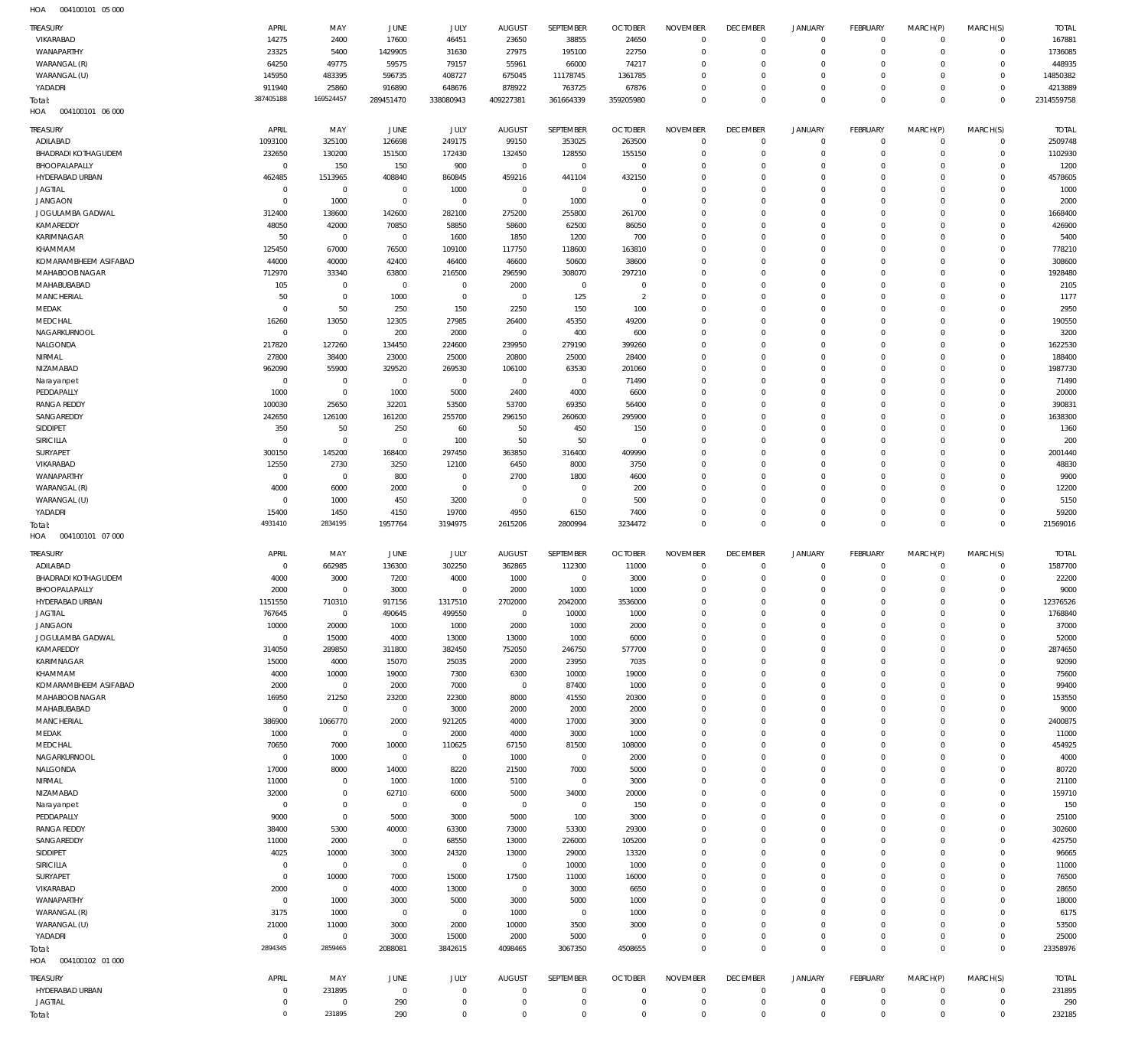004100101 05 000 HOA

| TREASURY<br>VIKARABAD<br>WANAPARTHY         | APRIL<br>14275<br>23325          | MAY<br>2400<br>5400       | JUNE<br>17600<br>1429905 | JULY<br>46451<br>31630     | <b>AUGUST</b><br>23650<br>27975 | SEPTEMBER<br>38855<br>195100 | <b>OCTOBER</b><br>24650<br>22750 | <b>NOVEMBER</b><br>$\mathbf 0$<br>$\mathbf 0$ | <b>DECEMBER</b><br>$\mathbf 0$<br>$^{\circ}$ | <b>JANUARY</b><br>$\mathbf 0$<br>$\mathsf{O}\xspace$ | <b>FEBRUARY</b><br>$\overline{0}$<br>$\overline{0}$ | MARCH(P)<br>$\mathbf 0$<br>$\mathbf 0$ | MARCH(S)<br>$\mathbf{0}$<br>$\overline{0}$ | <b>TOTAL</b><br>167881<br>1736085 |
|---------------------------------------------|----------------------------------|---------------------------|--------------------------|----------------------------|---------------------------------|------------------------------|----------------------------------|-----------------------------------------------|----------------------------------------------|------------------------------------------------------|-----------------------------------------------------|----------------------------------------|--------------------------------------------|-----------------------------------|
| WARANGAL (R)                                | 64250                            | 49775                     | 59575                    | 79157                      | 55961                           | 66000                        | 74217                            | $^{\circ}$                                    | $^{\circ}$                                   | 0<br>$\mathbf 0$                                     | $\mathbf 0$<br>$\mathbf 0$                          | $\Omega$                               | $\mathbf{0}$<br>$\mathbf{0}$               | 448935                            |
| WARANGAL (U)<br>YADADRI                     | 145950<br>911940                 | 483395<br>25860           | 596735<br>916890         | 408727<br>648676           | 675045<br>878922                | 11178745<br>763725           | 1361785<br>67876                 | $\mathbf 0$<br>$\mathbf 0$                    | $^{\circ}$<br>$\mathbf 0$                    | $\mathsf{O}\xspace$                                  | $\mathbf 0$                                         | $\mathbf 0$<br>$\mathbf 0$             | $\circ$                                    | 14850382<br>4213889               |
| Total:                                      | 387405188                        | 169524457                 | 289451470                | 338080943                  | 409227381                       | 361664339                    | 359205980                        | $\mathbf 0$                                   | $\mathbf 0$                                  | $\mathbf 0$                                          | $\overline{0}$                                      | $\mathbf 0$                            | $\overline{0}$                             | 2314559758                        |
| HOA<br>004100101 06 000                     |                                  |                           |                          |                            |                                 |                              |                                  |                                               |                                              |                                                      |                                                     |                                        |                                            |                                   |
| TREASURY                                    | APRIL                            | MAY                       | JUNE                     | JULY                       | <b>AUGUST</b>                   | SEPTEMBER                    | <b>OCTOBER</b>                   | <b>NOVEMBER</b>                               | <b>DECEMBER</b>                              | <b>JANUARY</b>                                       | <b>FEBRUARY</b>                                     | MARCH(P)                               | MARCH(S)                                   | <b>TOTAL</b>                      |
| ADILABAD                                    | 1093100                          | 325100                    | 126698                   | 249175                     | 99150                           | 353025                       | 263500                           | $^{\circ}$                                    | $^{\circ}$                                   | $\mathbf 0$                                          | $\mathbf 0$                                         | $\mathbf 0$                            | $\circ$                                    | 2509748                           |
| <b>BHADRADI KOTHAGUDEM</b><br>BHOOPALAPALLY | 232650<br>$\mathbf 0$            | 130200<br>150             | 151500<br>150            | 172430<br>900              | 132450<br>$\mathbf 0$           | 128550<br>$\,0\,$            | 155150<br>$\overline{0}$         | $^{\circ}$<br>$\mathbf 0$                     | $^{\circ}$<br>0                              | $\mathbf 0$<br>$\mathbf 0$                           | $\overline{0}$<br>$\mathbf 0$                       | $\mathbf 0$<br>$\Omega$                | $\mathbf 0$<br>$\mathbf 0$                 | 1102930<br>1200                   |
| HYDERABAD URBAN                             | 462485                           | 1513965                   | 408840                   | 860845                     | 459216                          | 441104                       | 432150                           | $\mathbf 0$                                   | $^{\circ}$                                   | $\mathbf 0$                                          | $\Omega$                                            | $\Omega$                               | $\mathbf{0}$                               | 4578605                           |
| <b>JAGTIAL</b>                              | $^{\circ}$                       | $\overline{0}$            | $^{\circ}$               | 1000                       | $\mathbf{0}$                    | $\mathbf 0$                  | - 0                              | $\mathbf 0$                                   | 0                                            | $\mathbf 0$                                          | $\mathbf 0$                                         | $\Omega$                               | $\mathbf 0$                                | 1000                              |
| <b>JANGAON</b>                              | $\mathbf 0$                      | 1000                      | $^{\circ}$               | $\overline{0}$             | $\overline{0}$                  | 1000                         | $\overline{0}$                   | $\mathbf 0$                                   | $^{\circ}$                                   | $\mathbf 0$                                          | $\Omega$                                            | $\Omega$                               | $\mathbf{0}$                               | 2000                              |
| JOGULAMBA GADWAL<br>KAMAREDDY               | 312400<br>48050                  | 138600<br>42000           | 142600<br>70850          | 282100<br>58850            | 275200<br>58600                 | 255800<br>62500              | 261700<br>86050                  | $\mathbf 0$<br>$^{\circ}$                     | 0<br>$^{\circ}$                              | $\mathbf 0$<br>$\mathbf 0$                           | $\mathbf 0$<br>$\Omega$                             | $\Omega$<br>$\Omega$                   | $\mathbf 0$<br>$\mathbf 0$                 | 1668400<br>426900                 |
| KARIMNAGAR                                  | 50                               | $\overline{0}$            | $^{\circ}$               | 1600                       | 1850                            | 1200                         | 700                              | $\mathbf 0$                                   | 0                                            | $\mathbf 0$                                          | $\mathbf 0$                                         | $\Omega$                               | $\mathbf 0$                                | 5400                              |
| KHAMMAM                                     | 125450                           | 67000                     | 76500                    | 109100                     | 117750                          | 118600                       | 163810                           | $^{\circ}$                                    | $^{\circ}$                                   | $\mathbf 0$                                          | $\Omega$                                            | $\Omega$                               | $\mathbf 0$                                | 778210                            |
| KOMARAMBHEEM ASIFABAD                       | 44000                            | 40000                     | 42400                    | 46400                      | 46600                           | 50600                        | 38600                            | $\mathbf 0$                                   | 0                                            | $\mathbf 0$                                          | $\mathbf 0$                                         | $\Omega$                               | $\mathbf 0$                                | 308600                            |
| MAHABOOB NAGAR<br>MAHABUBABAD               | 712970<br>105                    | 33340<br>$\overline{0}$   | 63800<br>$^{\circ}$      | 216500<br>$^{\circ}$       | 296590<br>2000                  | 308070<br>$\overline{0}$     | 297210<br>$\overline{0}$         | $\mathbf 0$<br>$^{\circ}$                     | $^{\circ}$<br>$^{\circ}$                     | $\mathbf 0$<br>$\mathbf 0$                           | $\Omega$<br>$\mathbf 0$                             | $\Omega$<br>$\Omega$                   | $\mathbf 0$<br>$\mathbf 0$                 | 1928480<br>2105                   |
| <b>MANCHERIAL</b>                           | 50                               | $\mathbf 0$               | 1000                     | $^{\circ}$                 | $\overline{0}$                  | 125                          | $\overline{2}$                   | $\mathbf 0$                                   | $^{\circ}$                                   | $\mathbf 0$                                          | $\Omega$                                            | $\Omega$                               | $\mathbf 0$                                | 1177                              |
| MEDAK                                       | $\mathbf 0$                      | 50                        | 250                      | 150                        | 2250                            | 150                          | 100                              | $\mathbf 0$                                   | 0                                            | $\mathbf 0$                                          | $\mathbf 0$                                         | $\Omega$                               | $\mathbf 0$                                | 2950                              |
| MEDCHAL                                     | 16260                            | 13050                     | 12305                    | 27985                      | 26400                           | 45350                        | 49200                            | $\mathbf 0$                                   | $\mathbf 0$                                  | $\mathbf 0$                                          | $\Omega$                                            | $\Omega$                               | $\mathbf 0$                                | 190550                            |
| NAGARKURNOOL<br>NALGONDA                    | $^{\circ}$<br>217820             | $\overline{0}$<br>127260  | 200<br>134450            | 2000<br>224600             | $\overline{0}$<br>239950        | 400<br>279190                | 600<br>399260                    | $\Omega$<br>$\mathbf 0$                       | $^{\circ}$<br>$\mathbf 0$                    | $\mathbf 0$<br>$\mathbf 0$                           | $\mathbf 0$<br>$\Omega$                             | $\Omega$<br>$\Omega$                   | $\mathbf 0$<br>$\mathbf{0}$                | 3200<br>1622530                   |
| NIRMAL                                      | 27800                            | 38400                     | 23000                    | 25000                      | 20800                           | 25000                        | 28400                            | $\Omega$                                      | 0                                            | $\mathbf 0$                                          | $\mathbf 0$                                         | $\Omega$                               | $\mathbf 0$                                | 188400                            |
| NIZAMABAD                                   | 962090                           | 55900                     | 329520                   | 269530                     | 106100                          | 63530                        | 201060                           | $\mathbf 0$                                   | $\mathbf 0$                                  | $\mathbf 0$                                          | $\Omega$                                            | $\Omega$                               | $\mathbf{0}$                               | 1987730                           |
| Narayanpet                                  | $\Omega$                         | $\overline{0}$            | $^{\circ}$               | $^{\circ}$                 | $\overline{0}$                  | $\overline{0}$               | 71490                            | $\Omega$                                      | 0                                            | $\mathbf 0$                                          | $\mathbf 0$                                         | $\Omega$                               | $\mathbf 0$                                | 71490                             |
| PEDDAPALLY<br><b>RANGA REDDY</b>            | 1000<br>100030                   | $\overline{0}$<br>25650   | 1000<br>32201            | 5000<br>53500              | 2400<br>53700                   | 4000<br>69350                | 6600<br>56400                    | $\mathbf 0$<br>$\mathbf 0$                    | $\mathbf 0$<br>0                             | $\mathbf 0$<br>$\mathbf 0$                           | $\Omega$<br>$\mathbf 0$                             | $\Omega$<br>$\Omega$                   | $\mathbf{0}$<br>$\mathbf 0$                | 20000<br>390831                   |
| SANGAREDDY                                  | 242650                           | 126100                    | 161200                   | 255700                     | 296150                          | 260600                       | 295900                           | $\mathbf 0$                                   | $\mathbf 0$                                  | $\mathbf 0$                                          | $\mathbf 0$                                         | $\Omega$                               | $\mathbf{0}$                               | 1638300                           |
| SIDDIPET                                    | 350                              | 50                        | 250                      | 60                         | 50                              | 450                          | 150                              | $\Omega$                                      | 0                                            | $\mathbf 0$                                          | $\Omega$                                            | $\Omega$                               | $\mathbf 0$                                | 1360                              |
| SIRICILLA                                   | $^{\circ}$                       | $\overline{0}$            | $^{\circ}$               | 100                        | 50                              | 50                           | $\overline{0}$                   | $\mathbf 0$                                   | $\mathbf 0$                                  | $\mathbf 0$                                          | $\Omega$                                            | $\Omega$                               | $\mathbf{0}$                               | 200                               |
| SURYAPET<br>VIKARABAD                       | 300150<br>12550                  | 145200<br>2730            | 168400<br>3250           | 297450<br>12100            | 363850<br>6450                  | 316400<br>8000               | 409990<br>3750                   | $\mathbf 0$<br>$\mathbf 0$                    | 0<br>$\mathbf 0$                             | $\mathbf 0$<br>$\mathbf 0$                           | $\mathbf 0$<br>$\Omega$                             | $\Omega$<br>$\Omega$                   | $\mathbf 0$<br>$\mathbf{0}$                | 2001440<br>48830                  |
| WANAPARTHY                                  | $^{\circ}$                       | $\overline{0}$            | 800                      | $^{\circ}$                 | 2700                            | 1800                         | 4600                             | $\mathbf 0$                                   | 0                                            | $\mathbf 0$                                          | $\mathbf 0$                                         | $\Omega$                               | $\mathbf 0$                                | 9900                              |
| WARANGAL (R)                                | 4000                             | 6000                      | 2000                     | $\mathbf 0$                | $\Omega$                        | $\,0\,$                      | 200                              | $\mathbf 0$                                   | $\mathbf 0$                                  | $\mathbf 0$                                          | $\Omega$                                            | $\Omega$                               | $\mathbf{0}$                               | 12200                             |
| WARANGAL (U)                                | $^{\circ}$                       | 1000                      | 450                      | 3200                       | $\mathbf 0$                     | $\mathbf 0$                  | 500                              | $\mathbf 0$                                   | $\mathbf 0$                                  | $\mathbf 0$                                          | $\mathbf 0$                                         | $\Omega$                               | $\mathbf{0}$                               | 5150                              |
| YADADRI                                     | 15400                            | 1450                      | 4150                     | 19700                      | 4950                            | 6150                         | 7400                             | $\mathbf 0$                                   | $\mathbf 0$                                  | $\mathbf 0$                                          | $\mathbf 0$                                         | $\mathbf 0$                            | $\mathbf{0}$                               | 59200                             |
|                                             |                                  |                           |                          |                            |                                 |                              |                                  |                                               |                                              |                                                      |                                                     |                                        |                                            |                                   |
| Total:                                      | 4931410                          | 2834195                   | 1957764                  | 3194975                    | 2615206                         | 2800994                      | 3234472                          | $\mathbf 0$                                   | $\mathbf 0$                                  | $\mathbf 0$                                          | $\overline{0}$                                      | $\mathbf 0$                            | $\overline{0}$                             | 21569016                          |
| HOA<br>004100101 07 000                     |                                  |                           |                          |                            |                                 |                              |                                  |                                               |                                              |                                                      |                                                     |                                        |                                            |                                   |
| TREASURY                                    | APRIL<br>$^{\circ}$              | MAY                       | JUNE                     | <b>JULY</b>                | <b>AUGUST</b>                   | SEPTEMBER                    | <b>OCTOBER</b>                   | <b>NOVEMBER</b><br>$\mathbf 0$                | <b>DECEMBER</b>                              | <b>JANUARY</b>                                       | <b>FEBRUARY</b>                                     | MARCH(P)<br>$\mathbf 0$                | MARCH(S)<br>$\mathbf{0}$                   | <b>TOTAL</b>                      |
| ADILABAD<br><b>BHADRADI KOTHAGUDEM</b>      | 4000                             | 662985<br>3000            | 136300<br>7200           | 302250<br>4000             | 362865<br>1000                  | 112300<br>$\,0\,$            | 11000<br>3000                    | $\mathbf 0$                                   | $\mathbf 0$<br>$\mathbf 0$                   | 0<br>$\mathsf{O}\xspace$                             | $\overline{0}$<br>$\overline{0}$                    | $\mathbf 0$                            | $\mathbf 0$                                | 1587700<br>22200                  |
| BHOOPALAPALLY                               | 2000                             | $\overline{0}$            | 3000                     | $\Omega$                   | 2000                            | 1000                         | 1000                             | $\mathbf 0$                                   | $^{\circ}$                                   | $\mathbf 0$                                          | $\overline{0}$                                      | $\Omega$                               | $\mathbf{0}$                               | 9000                              |
| HYDERABAD URBAN                             | 1151550                          | 710310                    | 917156                   | 1317510                    | 2702000                         | 2042000                      | 3536000                          | $\mathbf 0$                                   | $\mathbf 0$                                  | $\mathbf 0$                                          | $\mathbf 0$                                         | $\Omega$                               | $\Omega$                                   | 12376526                          |
| <b>JAGTIAL</b>                              | 767645                           | $\,0\,$                   | 490645                   | 499550                     | $\mathbf 0$                     | 10000                        | 1000                             | $\mathbf{0}$                                  | 0<br>$\mathbf 0$                             | 0                                                    | $\Omega$                                            | $\Omega$<br>$\mathbf 0$                | $\mathbf 0$<br>$\mathbf{0}$                | 1768840                           |
| <b>JANGAON</b><br>JOGULAMBA GADWAL          | 10000<br>$\overline{0}$          | 20000<br>15000            | 1000<br>4000             | 1000<br>13000              | 2000<br>13000                   | 1000<br>1000                 | 2000<br>6000                     | $\mathbb O$<br>$\mathbb O$                    | $\mathbf 0$                                  | $\mathsf{O}\xspace$<br>$\mathsf{O}\xspace$           | $\overline{0}$<br>$\overline{0}$                    | $\mathbf 0$                            | $\circ$                                    | 37000<br>52000                    |
| KAMAREDDY                                   | 314050                           | 289850                    | 311800                   | 382450                     | 752050                          | 246750                       | 577700                           | $\mathbf 0$                                   | $\mathbf 0$                                  | $\mathbf 0$                                          | $\overline{0}$                                      | $\mathbf 0$                            | $\mathbf{0}$                               | 2874650                           |
| KARIMNAGAR                                  | 15000                            | 4000                      | 15070                    | 25035                      | 2000                            | 23950                        | 7035                             | $\mathbf 0$                                   | $\mathbf 0$                                  | $\mathbf 0$                                          | $\mathbf 0$                                         | $\Omega$                               | $\mathbf{0}$                               | 92090                             |
| KHAMMAM                                     | 4000                             | 10000                     | 19000                    | 7300                       | 6300                            | 10000                        | 19000                            | $\mathbf 0$<br>$\mathbf 0$                    | $\mathbf 0$<br>$\mathbf 0$                   | $\mathbf 0$<br>$\mathbf 0$                           | $\mathbf 0$<br>$\mathbf 0$                          | $\mathbf 0$<br>$\Omega$                | $\mathbf{0}$<br>$\mathbf{0}$               | 75600                             |
| KOMARAMBHEEM ASIFABAD<br>MAHABOOB NAGAR     | 2000<br>16950                    | $\overline{0}$<br>21250   | 2000<br>23200            | 7000<br>22300              | $\overline{0}$<br>8000          | 87400<br>41550               | 1000<br>20300                    | $\mathbf 0$                                   | $\mathbf 0$                                  | $\mathbf 0$                                          | $\mathbf 0$                                         | $\mathbf 0$                            | $\mathbf{0}$                               | 99400<br>153550                   |
| MAHABUBABAD                                 | $\mathbf 0$                      | $\overline{0}$            | $\overline{0}$           | 3000                       | 2000                            | 2000                         | 2000                             | $\mathbf 0$                                   | $\mathbf 0$                                  | $\mathbf 0$                                          | $\mathbf 0$                                         | $\Omega$                               | $\mathbf{0}$                               | 9000                              |
| <b>MANCHERIAL</b>                           | 386900                           | 1066770                   | 2000                     | 921205                     | 4000                            | 17000                        | 3000                             | $\mathbf 0$                                   | $\mathbf 0$                                  | $\mathbf 0$                                          | $\mathbf 0$                                         | $\Omega$                               | $\mathbf{0}$                               | 2400875                           |
| MEDAK<br>MEDCHAL                            | 1000<br>70650                    | $\overline{0}$<br>7000    | $\overline{0}$<br>10000  | 2000<br>110625             | 4000<br>67150                   | 3000<br>81500                | 1000<br>108000                   | $\mathbf 0$<br>$\mathbf 0$                    | $\mathbf 0$<br>$\mathbf 0$                   | $\mathbf 0$<br>$\mathbf 0$                           | $\mathbf 0$<br>$\mathbf 0$                          | $\mathbf 0$<br>$\Omega$                | $\mathbf{0}$<br>$\mathbf{0}$               | 11000<br>454925                   |
| NAGARKURNOOL                                | $\overline{0}$                   | 1000                      | $\overline{0}$           | $\,0\,$                    | 1000                            | $\,0\,$                      | 2000                             | $\mathbf 0$                                   | $\mathbf 0$                                  | $\mathbf 0$                                          | $\mathbf 0$                                         | $\mathbf 0$                            | $\mathbf{0}$                               | 4000                              |
| NALGONDA                                    | 17000                            | 8000                      | 14000                    | 8220                       | 21500                           | 7000                         | 5000                             | $\mathbf 0$                                   | $\mathbf 0$                                  | $\mathbf 0$                                          | $\mathbf 0$                                         | $\Omega$                               | $\mathbf{0}$                               | 80720                             |
| NIRMAL                                      | 11000                            | $\overline{0}$            | 1000                     | 1000                       | 5100                            | $\,0\,$                      | 3000                             | $\mathbf 0$                                   | $\mathbf 0$                                  | $\mathbf 0$                                          | $\mathbf 0$                                         | $\mathbf 0$                            | $\mathbf{0}$                               | 21100                             |
| NIZAMABAD                                   | 32000<br>$\overline{0}$          | $\,0\,$                   | 62710<br>$^{\circ}$      | 6000                       | 5000                            | 34000                        | 20000                            | $\mathbf 0$<br>$\mathbf 0$                    | $\mathbf 0$<br>$\mathbf 0$                   | $\mathbf 0$<br>$\mathbf 0$                           | $\mathbf 0$<br>$\mathbf 0$                          | $\Omega$<br>$\mathbf 0$                | $\mathbf{0}$<br>$\mathbf{0}$               | 159710                            |
| Narayanpet<br>PEDDAPALLY                    | 9000                             | $\overline{0}$<br>$\,0\,$ | 5000                     | $\,0\,$<br>3000            | $\overline{0}$<br>5000          | $\,0\,$<br>100               | 150<br>3000                      | $\mathbf 0$                                   | $^{\circ}$                                   | $\mathbf 0$                                          | $\mathbf 0$                                         | $\Omega$                               | $\circ$                                    | 150<br>25100                      |
| <b>RANGA REDDY</b>                          | 38400                            | 5300                      | 40000                    | 63300                      | 73000                           | 53300                        | 29300                            | $\mathbf 0$                                   | $^{\circ}$                                   | $\mathbf 0$                                          | $\mathbf 0$                                         | $\Omega$                               | $\mathbf{0}$                               | 302600                            |
| SANGAREDDY                                  | 11000                            | 2000                      | $\overline{0}$           | 68550                      | 13000                           | 226000                       | 105200                           | $\mathbb O$                                   | $^{\circ}$                                   | $\mathbf 0$                                          | $\mathbf 0$                                         | $\Omega$                               | $\mathbf{0}$                               | 425750                            |
| SIDDIPET                                    | 4025                             | 10000                     | 3000<br>$\mathbf 0$      | 24320                      | 13000                           | 29000                        | 13320                            | $\mathbf 0$<br>$\mathbf 0$                    | $\mathbf 0$<br>$^{\circ}$                    | $\mathbf 0$<br>$\mathbf 0$                           | $\mathbf 0$<br>$\mathbf 0$                          | $\Omega$<br>$\mathbf 0$                | $\mathbf{0}$<br>$\mathbf{0}$               | 96665                             |
| <b>SIRICILLA</b><br>SURYAPET                | $\overline{0}$<br>$\overline{0}$ | $\overline{0}$<br>10000   | 7000                     | $\,0\,$<br>15000           | $\overline{0}$<br>17500         | 10000<br>11000               | 1000<br>16000                    | $\mathbf 0$                                   | $\mathbf 0$                                  | $\mathbf 0$                                          | $\mathbf 0$                                         | $\Omega$                               | $\mathbf{0}$                               | 11000<br>76500                    |
| VIKARABAD                                   | 2000                             | $\overline{0}$            | 4000                     | 13000                      | $\mathbf 0$                     | 3000                         | 6650                             | $\mathbb O$                                   | $\mathbf 0$                                  | $\mathbf 0$                                          | $\mathbf 0$                                         | $\mathbf 0$                            | $\mathbf{0}$                               | 28650                             |
| WANAPARTHY                                  | $\overline{0}$                   | 1000                      | 3000                     | 5000                       | 3000                            | 5000                         | 1000                             | $\mathbf 0$                                   | $\mathbf 0$                                  | $\mathbf 0$                                          | $\mathbf 0$                                         | $\Omega$                               | $\mathbf{0}$                               | 18000                             |
| WARANGAL (R)                                | 3175                             | 1000                      | $\mathbf 0$              | $\mathbf 0$                | 1000                            | $\,0\,$                      | 1000                             | $\mathbf 0$<br>$\mathbf 0$                    | $\mathbf 0$<br>$\mathbf 0$                   | $\mathbf 0$<br>$\mathbf 0$                           | $\mathbf 0$<br>$\mathbf 0$                          | $\mathbf 0$<br>$\Omega$                | $\mathbf{0}$<br>$\mathbf{0}$               | 6175                              |
| WARANGAL (U)<br>YADADRI                     | 21000<br>$\overline{0}$          | 11000<br>$\overline{0}$   | 3000<br>3000             | 2000<br>15000              | 10000<br>2000                   | 3500<br>5000                 | 3000<br>$\mathbf 0$              | $\mathbf 0$                                   | $\mathbb O$                                  | $\mathsf{O}\xspace$                                  | $\overline{0}$                                      | $\mathbf 0$                            | $\mathbf 0$                                | 53500<br>25000                    |
| Total:                                      | 2894345                          | 2859465                   | 2088081                  | 3842615                    | 4098465                         | 3067350                      | 4508655                          | $\mathbf 0$                                   | $\mathbf 0$                                  | $\mathsf 0$                                          | $\overline{0}$                                      | $\mathbf 0$                            | $\Omega$                                   | 23358976                          |
| HOA<br>004100102 01 000                     |                                  |                           |                          |                            |                                 |                              |                                  |                                               |                                              |                                                      |                                                     |                                        |                                            |                                   |
| TREASURY                                    | APRIL                            | MAY                       | JUNE                     | JULY                       | <b>AUGUST</b>                   | SEPTEMBER                    | <b>OCTOBER</b>                   | <b>NOVEMBER</b>                               | <b>DECEMBER</b>                              | <b>JANUARY</b>                                       | <b>FEBRUARY</b>                                     | MARCH(P)                               | MARCH(S)                                   | <b>TOTAL</b>                      |
| HYDERABAD URBAN                             | $\overline{0}$                   | 231895                    | $^{\circ}$               | $\overline{0}$             | $^{\circ}$                      | $\overline{0}$               | $^{\circ}$                       | $\mathbf 0$                                   | $\mathbf 0$                                  | $\mathbf 0$                                          | $\overline{0}$                                      | $\mathbf{0}$                           | $\mathbf 0$                                | 231895                            |
| <b>JAGTIAL</b><br>Total:                    | $\overline{0}$<br>$\mathbf 0$    | $\mathbf 0$<br>231895     | 290<br>290               | $^{\circ}$<br>$\mathbf{0}$ | 0<br>$\Omega$                   | $\,0\,$<br>$\mathbf 0$       | $^{\circ}$<br>$\mathbf{0}$       | $\mathbf 0$<br>$\mathbf 0$                    | $\mathbf 0$<br>$\mathbf 0$                   | $\mathsf{O}\xspace$<br>$\mathbf 0$                   | $\overline{0}$<br>$\overline{0}$                    | $\mathbf 0$<br>$\mathbf 0$             | $\circ$<br>$\overline{0}$                  | 290<br>232185                     |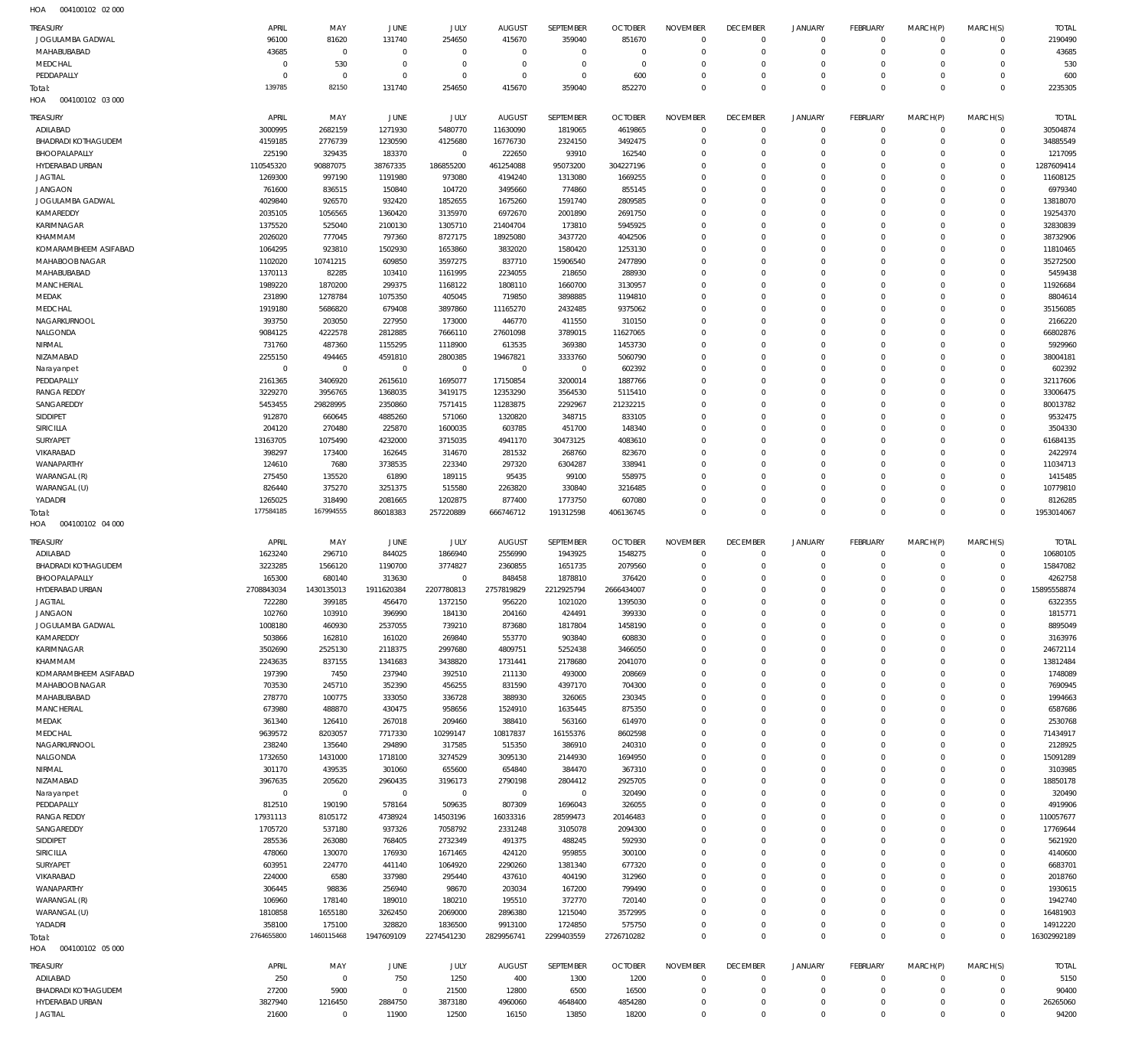004100102 02 000 HOA

| <b>TREASURY</b>                   | APRIL                  | MAY                    | JUNE                  | JULY                   | <b>AUGUST</b>           | SEPTEMBER                 | <b>OCTOBER</b>     | <b>NOVEMBER</b>            | <b>DECEMBER</b>         | <b>JANUARY</b>             | <b>FEBRUARY</b>      | MARCH(P)                | MARCH(S)                | <b>TOTAL</b>         |
|-----------------------------------|------------------------|------------------------|-----------------------|------------------------|-------------------------|---------------------------|--------------------|----------------------------|-------------------------|----------------------------|----------------------|-------------------------|-------------------------|----------------------|
| JOGULAMBA GADWAL                  | 96100                  | 81620                  | 131740                | 254650                 | 415670                  | 359040                    | 851670             | $\mathbf 0$                | $^{\circ}$              | $\mathbf 0$                | $\overline{0}$       | $\mathbf 0$             | $\mathbf 0$             | 2190490              |
| MAHABUBABAD                       | 43685                  | $\,0\,$                | $^{\circ}$            | $\,0\,$                | $^{\circ}$              | $\,0\,$                   | $\overline{0}$     | $\mathbf 0$                | $\Omega$                | $\mathbf 0$                | $\Omega$             | $\mathbf 0$             | $\mathbf 0$             | 43685                |
| MEDCHAL                           | $\Omega$               | 530                    | $\Omega$              | $\mathbf 0$            | $\Omega$                | $\mathbf 0$               | $\Omega$           | $\Omega$                   | $\Omega$                | $\mathbf 0$                | $\Omega$             | $\Omega$                | $\Omega$                | 530                  |
| PEDDAPALLY                        | $\Omega$               | $\mathbf 0$            | $\overline{0}$        | $\mathbf 0$            | $\Omega$                | $\mathbf 0$               | 600                | $\mathbf 0$                | $\mathbf 0$             | $\mathbf 0$                | $\Omega$             | $\mathbf 0$             | $\mathbf 0$             | 600                  |
| Total:                            | 139785                 | 82150                  | 131740                | 254650                 | 415670                  | 359040                    | 852270             | $\Omega$                   | $\Omega$                | $\mathbf 0$                | $\Omega$             | $\Omega$                | $\Omega$                | 2235305              |
| 004100102 03 000<br>HOA           |                        |                        |                       |                        |                         |                           |                    |                            |                         |                            |                      |                         |                         |                      |
| <b>TREASURY</b>                   | APRIL                  | MAY                    | JUNE                  | JULY                   | <b>AUGUST</b>           | SEPTEMBER                 | <b>OCTOBER</b>     | <b>NOVEMBER</b>            | <b>DECEMBER</b>         | <b>JANUARY</b>             | <b>FEBRUARY</b>      | MARCH(P)                | MARCH(S)                | <b>TOTAL</b>         |
| ADILABAD                          | 3000995                | 2682159                | 1271930               | 5480770                | 11630090                | 1819065                   | 4619865            | $\mathbf 0$                | $^{\circ}$              | $^{\circ}$                 | $\Omega$             | $\mathbf 0$             | $\circ$                 | 30504874             |
| <b>BHADRADI KOTHAGUDEM</b>        | 4159185                | 2776739                | 1230590               | 4125680                | 16776730                | 2324150                   | 3492475            | $\Omega$                   | $\Omega$                | $\mathbf 0$                | $\Omega$             | $\Omega$                | $\mathbf 0$             | 34885549             |
| BHOOPALAPALLY                     | 225190                 | 329435                 | 183370                | $\mathbf 0$            | 222650                  | 93910                     | 162540             | $\Omega$                   | $\Omega$                | $\Omega$                   | $\Omega$             | $\Omega$                | $\Omega$                | 1217095              |
| HYDERABAD URBAN                   | 110545320              | 90887075               | 38767335              | 186855200              | 461254088               | 95073200                  | 304227196          | $\Omega$                   | $\Omega$                | $\Omega$                   | $\Omega$             | $\Omega$                | $\Omega$                | 1287609414           |
| <b>JAGTIAL</b>                    | 1269300                | 997190                 | 1191980               | 973080                 | 4194240                 | 1313080                   | 1669255            | $\Omega$                   | $\Omega$                | $\Omega$                   | $\Omega$             | $\Omega$                | $\Omega$                | 11608125             |
| <b>JANGAON</b>                    | 761600                 | 836515                 | 150840                | 104720                 | 3495660                 | 774860                    | 855145             | $\Omega$                   | $\Omega$                | $\Omega$                   | $\Omega$             | $\Omega$                | $\Omega$                | 6979340              |
| JOGULAMBA GADWAL<br>KAMAREDDY     | 4029840<br>2035105     | 926570<br>1056565      | 932420<br>1360420     | 1852655<br>3135970     | 1675260<br>6972670      | 1591740<br>2001890        | 2809585<br>2691750 | $\Omega$<br>$\Omega$       | $\Omega$<br>$\Omega$    | $\Omega$<br>$\Omega$       | $\Omega$<br>$\Omega$ | $\Omega$<br>$\Omega$    | $\Omega$<br>$\Omega$    | 13818070<br>19254370 |
| KARIMNAGAR                        | 1375520                | 525040                 | 2100130               | 1305710                | 21404704                | 173810                    | 5945925            | $\Omega$                   | $\Omega$                | $\Omega$                   | $\Omega$             | $\Omega$                | $\Omega$                | 32830839             |
| KHAMMAM                           | 2026020                | 777045                 | 797360                | 8727175                | 18925080                | 3437720                   | 4042506            | $\Omega$                   | $\Omega$                | $\Omega$                   | $\Omega$             | $\Omega$                | $\Omega$                | 38732906             |
| KOMARAMBHEEM ASIFABAD             | 1064295                | 923810                 | 1502930               | 1653860                | 3832020                 | 1580420                   | 1253130            | $\Omega$                   | $\Omega$                | $\Omega$                   | $\Omega$             | $\Omega$                | $\Omega$                | 11810465             |
| MAHABOOB NAGAR                    | 1102020                | 10741215               | 609850                | 3597275                | 837710                  | 15906540                  | 2477890            | $\Omega$                   | $\Omega$                | $\Omega$                   | $\Omega$             | $\Omega$                | $\Omega$                | 35272500             |
| MAHABUBABAD                       | 1370113                | 82285                  | 103410                | 1161995                | 2234055                 | 218650                    | 288930             | $\Omega$                   | $\Omega$                | $\Omega$                   | $\Omega$             | $\Omega$                | $\Omega$                | 5459438              |
| MANCHERIAL                        | 1989220                | 1870200                | 299375                | 1168122                | 1808110                 | 1660700                   | 3130957            | $\Omega$                   | $\Omega$                | $\Omega$                   | $\Omega$             | $\Omega$                | $\Omega$                | 11926684             |
| MEDAK                             | 231890                 | 1278784                | 1075350               | 405045                 | 719850                  | 3898885                   | 1194810            | $\Omega$                   | $\Omega$                | $\Omega$                   | $\Omega$             | $\Omega$                | $\Omega$                | 8804614              |
| MEDCHAL                           | 1919180                | 5686820                | 679408                | 3897860                | 11165270                | 2432485                   | 9375062            | $\Omega$                   | $\Omega$                | $\Omega$                   | $\Omega$             | $\Omega$                | $\Omega$                | 35156085             |
| NAGARKURNOOL                      | 393750                 | 203050                 | 227950                | 173000                 | 446770                  | 411550                    | 310150             | $\Omega$                   | $\Omega$                | $\Omega$                   | $\Omega$             | $\Omega$                | $\Omega$                | 2166220              |
| NALGONDA                          | 9084125                | 4222578                | 2812885               | 7666110                | 27601098                | 3789015                   | 11627065           | $\Omega$                   | $\Omega$                | $\Omega$                   | $\Omega$             | $\Omega$                | $\Omega$                | 66802876             |
| NIRMAL                            | 731760                 | 487360                 | 1155295               | 1118900                | 613535                  | 369380                    | 1453730            | $\Omega$                   | $\Omega$                | $\Omega$                   | $\Omega$             | $\Omega$                | $\Omega$                | 5929960              |
| NIZAMABAD                         | 2255150                | 494465                 | 4591810               | 2800385                | 19467821                | 3333760                   | 5060790            | $\Omega$                   | $\Omega$                | $\Omega$                   | $\Omega$             | $\Omega$                | $\Omega$                | 38004181             |
| Narayanpet<br>PEDDAPALLY          | $\mathbf 0$<br>2161365 | $\mathbf 0$<br>3406920 | $^{\circ}$<br>2615610 | $\mathbf 0$<br>1695077 | $\mathbf 0$<br>17150854 | $\overline{0}$<br>3200014 | 602392<br>1887766  | $\Omega$<br>$\Omega$       | $\Omega$<br>$\Omega$    | $\Omega$<br>$\Omega$       | $\Omega$<br>$\Omega$ | $\Omega$<br>$\Omega$    | $\Omega$<br>$\Omega$    | 602392<br>32117606   |
| <b>RANGA REDDY</b>                | 3229270                | 3956765                | 1368035               | 3419175                | 12353290                | 3564530                   | 5115410            | $\Omega$                   | $\Omega$                | $\Omega$                   | $\Omega$             | $\Omega$                | $\Omega$                | 33006475             |
| SANGAREDDY                        | 5453455                | 29828995               | 2350860               | 7571415                | 11283875                | 2292967                   | 21232215           | $\Omega$                   | $\Omega$                | $\Omega$                   | $\Omega$             | $\Omega$                | $\Omega$                | 80013782             |
| SIDDIPET                          | 912870                 | 660645                 | 4885260               | 571060                 | 1320820                 | 348715                    | 833105             | $\Omega$                   | $\Omega$                | $\Omega$                   | $\Omega$             | $\Omega$                | $\Omega$                | 9532475              |
| <b>SIRICILLA</b>                  | 204120                 | 270480                 | 225870                | 1600035                | 603785                  | 451700                    | 148340             | $\Omega$                   | $\Omega$                | $\Omega$                   | $\Omega$             | $\Omega$                | $\Omega$                | 3504330              |
| SURYAPET                          | 13163705               | 1075490                | 4232000               | 3715035                | 4941170                 | 30473125                  | 4083610            | $\Omega$                   | $\Omega$                | $\Omega$                   | $\Omega$             | $\Omega$                | $\Omega$                | 61684135             |
| VIKARABAD                         | 398297                 | 173400                 | 162645                | 314670                 | 281532                  | 268760                    | 823670             | $\Omega$                   | $\Omega$                | $\Omega$                   | $\Omega$             | $\Omega$                | $\Omega$                | 2422974              |
| WANAPARTHY                        | 124610                 | 7680                   | 3738535               | 223340                 | 297320                  | 6304287                   | 338941             | $\Omega$                   | $\Omega$                | $\Omega$                   | $\Omega$             | $\Omega$                | $\Omega$                | 11034713             |
| WARANGAL (R)                      | 275450                 | 135520                 | 61890                 | 189115                 | 95435                   | 99100                     | 558975             | $\Omega$                   | $\Omega$                | $\Omega$                   | $\Omega$             | $\Omega$                | $\Omega$                | 1415485              |
| WARANGAL (U)                      | 826440                 | 375270                 | 3251375               | 515580                 | 2263820                 | 330840                    | 3216485            | $\Omega$                   | $\Omega$                | $\Omega$                   | $\Omega$             | $\Omega$                | $\Omega$                | 10779810             |
| YADADRI                           | 1265025                | 318490                 | 2081665               | 1202875                | 877400                  | 1773750                   | 607080             | $\Omega$                   | $\mathbf 0$             | $\mathbf 0$                | $\Omega$             | $\Omega$                | $\Omega$                | 8126285              |
| Total:                            | 177584185              | 167994555              | 86018383              | 257220889              | 666746712               | 191312598                 | 406136745          | $\Omega$                   | $\Omega$                | $\Omega$                   | $\Omega$             | $\Omega$                | $\Omega$                | 1953014067           |
|                                   |                        |                        |                       |                        |                         |                           |                    |                            |                         |                            |                      |                         |                         |                      |
| 004100102 04 000<br>HOA           |                        |                        |                       |                        |                         |                           |                    |                            |                         |                            |                      |                         |                         |                      |
| TREASURY                          | APRIL                  | MAY                    | JUNE                  | JULY                   | <b>AUGUST</b>           | SEPTEMBER                 | <b>OCTOBER</b>     | <b>NOVEMBER</b>            | <b>DECEMBER</b>         | <b>JANUARY</b>             | <b>FEBRUARY</b>      | MARCH(P)                | MARCH(S)                | <b>TOTAL</b>         |
| ADILABAD                          | 1623240                | 296710                 | 844025                | 1866940                | 2556990                 | 1943925                   | 1548275            | $^{\circ}$                 | $\mathbf 0$             | $^{\circ}$                 | $\overline{0}$       | $\mathbf 0$             | $\mathbf 0$             | 10680105             |
| <b>BHADRADI KOTHAGUDEM</b>        | 3223285                | 1566120                | 1190700               | 3774827                | 2360855                 | 1651735                   | 2079560            | $\mathbf 0$                | $\Omega$                | $\mathbf 0$                | $\Omega$             | $\mathbf 0$             | $^{\circ}$              | 15847082             |
| BHOOPALAPALLY                     | 165300                 | 680140                 | 313630                | $\mathbf 0$            | 848458                  | 1878810                   | 376420             | $\Omega$                   | $\Omega$                | $\mathbf 0$                | $\Omega$             | $\Omega$                | $\Omega$                | 4262758              |
| HYDERABAD URBAN                   | 2708843034             | 1430135013             | 1911620384            | 2207780813             | 2757819829              | 2212925794                | 2666434007         | $\mathbf 0$                | $\Omega$                | $\mathbf 0$                | $\Omega$             | $\Omega$                | $^{\circ}$              | 15895558874          |
| <b>JAGTIAL</b>                    | 722280                 | 399185                 | 456470                | 1372150                | 956220                  | 1021020                   | 1395030            | $\Omega$                   | $\Omega$                | $\Omega$                   | $\Omega$             | $\Omega$                | $\Omega$                | 6322355              |
| <b>JANGAON</b>                    | 102760                 | 103910                 | 396990                | 184130                 | 204160                  | 424491                    | 399330             | $\mathbf 0$                | -0                      | $\Omega$                   | 0                    | $\Omega$                | $\Omega$                | 1815771              |
| JOGULAMBA GADWAL                  | 1008180                | 460930                 | 2537055               | 739210                 | 873680                  | 1817804                   | 1458190            | $\mathbf 0$                | $\Omega$                | $\mathbf 0$                | $\Omega$             | $\mathbf 0$             | $\Omega$                | 8895049              |
| KAMAREDDY                         | 503866                 | 162810                 | 161020                | 269840                 | 553770                  | 903840                    | 608830             | $\mathbf 0$<br>$\mathbf 0$ | $\mathbf 0$<br>$\Omega$ | $\mathbf 0$<br>$\mathbf 0$ | $\Omega$<br>$\Omega$ | $\Omega$<br>$\Omega$    | $\Omega$<br>$\Omega$    | 3163976              |
| KARIMNAGAR<br>KHAMMAM             | 3502690<br>2243635     | 2525130<br>837155      | 2118375<br>1341683    | 2997680<br>3438820     | 4809751<br>1731441      | 5252438<br>2178680        | 3466050<br>2041070 | $\mathbf 0$                | $\Omega$                | $\mathbf 0$                | $\Omega$             | $\Omega$                | $\Omega$                | 24672114<br>13812484 |
| KOMARAMBHEEM ASIFABAD             | 197390                 | 7450                   | 237940                | 392510                 | 211130                  | 493000                    | 208669             | $\mathbf 0$                | $\Omega$                | $\mathbf 0$                | $\Omega$             | $\Omega$                | $\Omega$                | 1748089              |
| MAHABOOB NAGAR                    | 703530                 | 245710                 | 352390                | 456255                 | 831590                  | 4397170                   | 704300             | $\mathbf 0$                | $\Omega$                | $\mathbf 0$                | $\Omega$             | $\Omega$                | $\Omega$                | 7690945              |
| MAHABUBABAD                       | 278770                 | 100775                 | 333050                | 336728                 | 388930                  | 326065                    | 230345             | $\mathbf 0$                | $\Omega$                | $\mathbf 0$                | $\Omega$             | $\Omega$                | $\Omega$                | 1994663              |
| MANCHERIAL                        | 673980                 | 488870                 | 430475                | 958656                 | 1524910                 | 1635445                   | 875350             | $\mathbf 0$                | $\Omega$                | $\mathbf 0$                | $\Omega$             | $\Omega$                | $\Omega$                | 6587686              |
| MEDAK                             | 361340                 | 126410                 | 267018                | 209460                 | 388410                  | 563160                    | 614970             | $\mathbf 0$                | $\Omega$                | $\Omega$                   | $\Omega$             | $\Omega$                | $\Omega$                | 2530768              |
| MEDCHAL                           | 9639572                | 8203057                | 7717330               | 10299147               | 10817837                | 16155376                  | 8602598            | $\mathbf 0$                | $\Omega$                | $\mathbf 0$                | $\Omega$             | $\Omega$                | $\Omega$                | 71434917             |
| NAGARKURNOOL                      | 238240                 | 135640                 | 294890                | 317585                 | 515350                  | 386910                    | 240310             | $\mathbf 0$                | $\Omega$                | $\Omega$                   | $\Omega$             | $\Omega$                | $\Omega$                | 2128925              |
| NALGONDA                          | 1732650                | 1431000                | 1718100               | 3274529                | 3095130                 | 2144930                   | 1694950            | $\mathbf 0$                | $\Omega$                | $\mathbf 0$                | $\Omega$             | $\Omega$                | $\Omega$                | 15091289             |
| NIRMAL                            | 301170                 | 439535                 | 301060                | 655600                 | 654840                  | 384470                    | 367310             | $\mathbf 0$                | $\Omega$                | $\mathbf 0$                | $\Omega$             | $\Omega$                | $\Omega$                | 3103985              |
| NIZAMABAD                         | 3967635                | 205620                 | 2960435               | 3196173                | 2790198                 | 2804412                   | 2925705            | $\mathbf 0$                | $\Omega$                | $\mathbf 0$                | $\Omega$             | $\Omega$                | $\Omega$                | 18850178             |
| Narayanpet                        | $\mathbf 0$            | $\,0\,$                | $\mathbf{0}$          | $\,0\,$                | $\,0\,$                 | $\,0\,$                   | 320490             | $\mathbf 0$                | $\Omega$                | $\mathbf 0$                | $\Omega$             | $\Omega$                | $\Omega$                | 320490               |
| PEDDAPALLY<br><b>RANGA REDDY</b>  | 812510<br>17931113     | 190190                 | 578164                | 509635                 | 807309                  | 1696043                   | 326055<br>20146483 | $\mathbf 0$<br>$\mathbf 0$ | $\Omega$<br>$\Omega$    | $\mathbf 0$<br>$\Omega$    | $\Omega$<br>$\Omega$ | $\Omega$<br>$\Omega$    | $\Omega$<br>$\Omega$    | 4919906<br>110057677 |
| SANGAREDDY                        | 1705720                | 8105172<br>537180      | 4738924<br>937326     | 14503196<br>7058792    | 16033316<br>2331248     | 28599473<br>3105078       | 2094300            | $\mathbf 0$                | $\Omega$                | $\mathbf 0$                | $\Omega$             | $\Omega$                | $\Omega$                | 17769644             |
| SIDDIPET                          | 285536                 | 263080                 | 768405                | 2732349                | 491375                  | 488245                    | 592930             | $\mathbf 0$                | $\Omega$                | $\Omega$                   | $\Omega$             | $\Omega$                | $\Omega$                | 5621920              |
| SIRICILLA                         | 478060                 | 130070                 | 176930                | 1671465                | 424120                  | 959855                    | 300100             | $\mathbf 0$                | $\Omega$                | $\mathbf 0$                | $\Omega$             | $\Omega$                | $\Omega$                | 4140600              |
| SURYAPET                          | 603951                 | 224770                 | 441140                | 1064920                | 2290260                 | 1381340                   | 677320             | $\mathbf 0$                | $\Omega$                | $\Omega$                   | $\Omega$             | $\Omega$                | $\Omega$                | 6683701              |
| VIKARABAD                         | 224000                 | 6580                   | 337980                | 295440                 | 437610                  | 404190                    | 312960             | $\mathbf 0$                | $\Omega$                | $\mathbf 0$                | $\Omega$             | $\Omega$                | $\Omega$                | 2018760              |
| WANAPARTHY                        | 306445                 | 98836                  | 256940                | 98670                  | 203034                  | 167200                    | 799490             | $\mathbf 0$                | $\Omega$                | $\mathbf 0$                | $\Omega$             | $\Omega$                | $\Omega$                | 1930615              |
| WARANGAL (R)                      | 106960                 | 178140                 | 189010                | 180210                 | 195510                  | 372770                    | 720140             | $\mathbf 0$                | $\Omega$                | $\Omega$                   | $\Omega$             | $\Omega$                | $\Omega$                | 1942740              |
| WARANGAL (U)                      | 1810858                | 1655180                | 3262450               | 2069000                | 2896380                 | 1215040                   | 3572995            | $\mathbf 0$                | $\Omega$                | $\mathbf 0$                | $\Omega$             | $\Omega$                | $\Omega$                | 16481903             |
| YADADRI                           | 358100                 | 175100                 | 328820                | 1836500                | 9913100                 | 1724850                   | 575750             | $\mathbf 0$                | $\mathbf 0$             | $\mathbf 0$                | $\Omega$             | $\mathbf 0$             | $\mathbf 0$             | 14912220             |
| Total:                            | 2764655800             | 1460115468             | 1947609109            | 2274541230             | 2829956741              | 2299403559                | 2726710282         | $\mathbf 0$                | $\mathbf 0$             | $\mathbf 0$                | $\Omega$             | $\mathbf 0$             | $\Omega$                | 16302992189          |
| 004100102 05 000<br>HOA           |                        |                        |                       |                        |                         |                           |                    |                            |                         |                            |                      |                         |                         |                      |
| TREASURY                          | APRIL                  | MAY                    | JUNE                  | JULY                   | <b>AUGUST</b>           | SEPTEMBER                 | <b>OCTOBER</b>     | <b>NOVEMBER</b>            | <b>DECEMBER</b>         | <b>JANUARY</b>             | <b>FEBRUARY</b>      | MARCH(P)                | MARCH(S)                | <b>TOTAL</b>         |
| ADILABAD                          | 250                    | $\,0\,$                | 750                   | 1250                   | 400                     | 1300                      | 1200               | $\mathbf 0$                | $\mathbf 0$             | $\mathbf 0$                | $\Omega$             | $\Omega$                | $\mathbf 0$             | 5150                 |
| <b>BHADRADI KOTHAGUDEM</b>        | 27200                  | 5900                   | $\mathbf{0}$          | 21500                  | 12800                   | 6500                      | 16500              | $\mathbf 0$                | $\Omega$                | $\mathbf{0}$               | $\Omega$             | $\Omega$                | $\mathbf 0$             | 90400                |
| HYDERABAD URBAN<br><b>JAGTIAL</b> | 3827940<br>21600       | 1216450<br>$\mathbb O$ | 2884750<br>11900      | 3873180<br>12500       | 4960060<br>16150        | 4648400<br>13850          | 4854280<br>18200   | $\mathbf 0$<br>$\mathbf 0$ | 0<br>$\Omega$           | $\mathbf 0$<br>$\mathbf 0$ | 0<br>$\Omega$        | $\mathbf 0$<br>$\Omega$ | $\mathbf 0$<br>$\Omega$ | 26265060<br>94200    |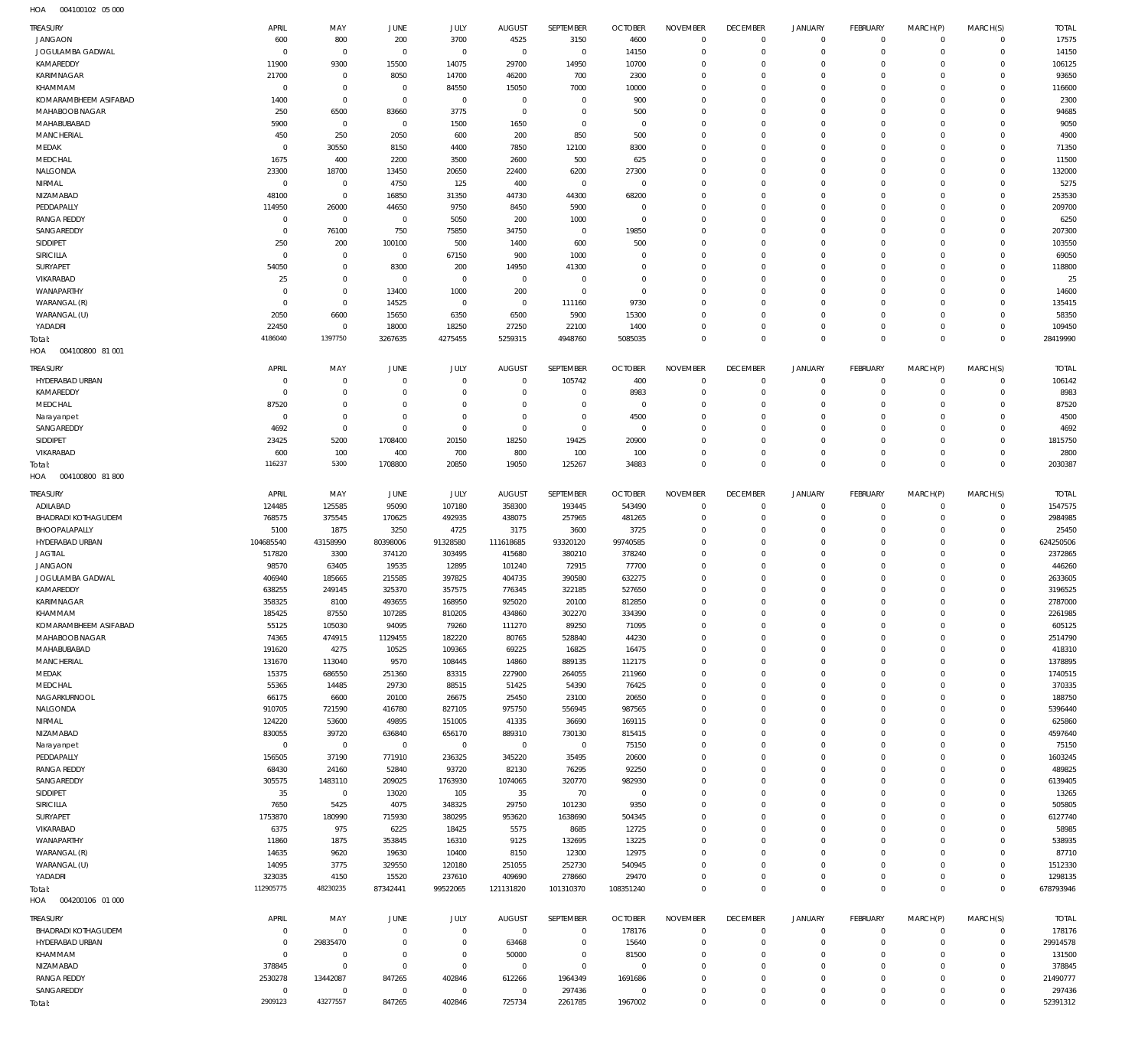004100102 05 000 HOA

| TREASURY                         | APRIL                     | MAY                         | <b>JUNE</b>                  | JULY                       | <b>AUGUST</b>              | SEPTEMBER                  | <b>OCTOBER</b>                   | <b>NOVEMBER</b>               | <b>DECEMBER</b>                  | <b>JANUARY</b>             | FEBRUARY                     | MARCH(P)             | MARCH(S)             | <b>TOTAL</b>       |
|----------------------------------|---------------------------|-----------------------------|------------------------------|----------------------------|----------------------------|----------------------------|----------------------------------|-------------------------------|----------------------------------|----------------------------|------------------------------|----------------------|----------------------|--------------------|
| <b>JANGAON</b>                   | 600                       | 800                         | 200                          | 3700                       | 4525                       | 3150                       | 4600                             | $^{\circ}$                    | $\overline{0}$                   | $\overline{0}$             | $\mathbf 0$                  | $\Omega$             | $\Omega$             | 17575              |
| JOGULAMBA GADWAL                 | $\overline{0}$            | $\overline{0}$              | $\overline{0}$               | $\mathbf 0$                | $\mathbf 0$                | $\mathbf 0$                | 14150                            | $\overline{0}$                | $\overline{0}$                   | $^{\circ}$                 | $\mathbf{0}$                 | $\Omega$             | $\Omega$             | 14150              |
| KAMAREDDY<br>KARIMNAGAR          | 11900<br>21700            | 9300<br>$\mathbf 0$         | 15500<br>8050                | 14075<br>14700             | 29700<br>46200             | 14950<br>700               | 10700<br>2300                    | $^{\circ}$<br>$\Omega$        | $\overline{0}$<br>$\Omega$       | $^{\circ}$<br>$\Omega$     | $\mathbf{0}$<br>$\mathbf{0}$ | $\Omega$             | $\Omega$<br>$\Omega$ | 106125<br>93650    |
| KHAMMAM                          | $\overline{0}$            | $\mathbf 0$                 | $\overline{0}$               | 84550                      | 15050                      | 7000                       | 10000                            | $^{\circ}$                    | $\overline{0}$                   | $^{\circ}$                 | $\mathbf 0$                  |                      | $\Omega$             | 116600             |
| KOMARAMBHEEM ASIFABAD            | 1400                      | $\mathbf 0$                 | $\overline{0}$               | $\mathbf 0$                | $\overline{0}$             | $\overline{0}$             | 900                              | $\Omega$                      | $\Omega$                         | $\Omega$                   | $\mathbf 0$                  |                      | $\Omega$             | 2300               |
| MAHABOOB NAGAR                   | 250                       | 6500                        | 83660                        | 3775                       | $\mathbf 0$                | $\mathbf 0$                | 500                              | $\Omega$                      | $\overline{0}$                   | $^{\circ}$                 | $\mathbf 0$                  | $\Omega$             | $\Omega$             | 94685              |
| MAHABUBABAD                      | 5900                      | $\mathbf 0$                 | $\overline{0}$               | 1500                       | 1650                       | $\overline{0}$             | $\overline{0}$                   | $\Omega$                      | $\Omega$                         | $\Omega$                   | $\Omega$                     |                      | $\Omega$             | 9050               |
| MANCHERIAL                       | 450                       | 250                         | 2050                         | 600                        | 200                        | 850                        | 500                              | $\Omega$                      | $\overline{0}$                   | $^{\circ}$                 | $\mathbf 0$                  | $\Omega$             | $\Omega$             | 4900               |
| MEDAK                            | $\overline{0}$            | 30550                       | 8150                         | 4400                       | 7850                       | 12100                      | 8300                             | $\mathbf 0$                   | $^{\circ}$                       | $\Omega$                   | $\mathbf{0}$                 |                      | $\Omega$             | 71350              |
| MEDCHAL                          | 1675                      | 400                         | 2200                         | 3500                       | 2600                       | 500                        | 625                              | $\Omega$                      | $\overline{0}$                   | $^{\circ}$                 | $\mathbf{0}$                 |                      | $\Omega$             | 11500              |
| NALGONDA<br>NIRMAL               | 23300<br>$\overline{0}$   | 18700<br>$\mathbf 0$        | 13450<br>4750                | 20650<br>125               | 22400<br>400               | 6200<br>$\,0\,$            | 27300<br>$\overline{0}$          | $\Omega$<br>$\Omega$          | $\Omega$<br>$\overline{0}$       | $\Omega$<br>0              | $\mathbf{0}$<br>$\mathbf{0}$ | $\Omega$             | $\Omega$<br>$\Omega$ | 132000<br>5275     |
| NIZAMABAD                        | 48100                     | $\mathbf 0$                 | 16850                        | 31350                      | 44730                      | 44300                      | 68200                            | $\mathbf 0$                   | $^{\circ}$                       | $\Omega$                   | $\mathbf{0}$                 | $\Omega$             | $\Omega$             | 253530             |
| PEDDAPALLY                       | 114950                    | 26000                       | 44650                        | 9750                       | 8450                       | 5900                       | $\overline{0}$                   | $\Omega$                      | $\overline{0}$                   | - 0                        | $\mathbf{0}$                 |                      | $\Omega$             | 209700             |
| <b>RANGA REDDY</b>               | $\overline{0}$            | $\mathbf 0$                 | $\overline{0}$               | 5050                       | 200                        | 1000                       | $\overline{0}$                   | $\Omega$                      | $\Omega$                         | $\Omega$                   | $\Omega$                     | $\Omega$             | $\Omega$             | 6250               |
| SANGAREDDY                       | $\overline{0}$            | 76100                       | 750                          | 75850                      | 34750                      | $\overline{0}$             | 19850                            | $\mathbf 0$                   | $\overline{0}$                   | $^{\circ}$                 | $\mathbf{0}$                 |                      | $\Omega$             | 207300             |
| SIDDIPET                         | 250                       | 200                         | 100100                       | 500                        | 1400                       | 600                        | 500                              | $\Omega$                      | $\Omega$                         | $\Omega$                   | $\Omega$                     |                      | $\Omega$             | 103550             |
| SIRICILLA                        | $\overline{0}$            | $\mathbf 0$                 | $\overline{0}$               | 67150                      | 900                        | 1000                       | $\overline{0}$                   | $\Omega$                      | $\overline{0}$                   | $^{\circ}$                 | $\mathbf{0}$                 | $\Omega$             | $\Omega$             | 69050              |
| SURYAPET<br>VIKARABAD            | 54050<br>25               | $\mathbf 0$<br>$\mathbf 0$  | 8300<br>$\overline{0}$       | 200<br>$\overline{0}$      | 14950<br>$\,0\,$           | 41300<br>$\mathbf 0$       | $\overline{0}$<br>$\overline{0}$ | $\Omega$<br>$\Omega$          | $\Omega$<br>$\overline{0}$       | $\Omega$<br>$^{\circ}$     | $\Omega$<br>$\mathbf{0}$     | $\Omega$             | $\Omega$<br>$\Omega$ | 118800<br>25       |
| WANAPARTHY                       | $\overline{0}$            | $\mathbf 0$                 | 13400                        | 1000                       | 200                        | $\overline{0}$             | $\overline{0}$                   | $\Omega$                      | $^{\circ}$                       | $\Omega$                   | $\mathbf{0}$                 |                      | $\Omega$             | 14600              |
| WARANGAL (R)                     | $\overline{0}$            | $\mathbf 0$                 | 14525                        | $\mathbf 0$                | $\,0\,$                    | 111160                     | 9730                             | $\Omega$                      | $\overline{0}$                   | $^{\circ}$                 | $\mathbf{0}$                 |                      | $\Omega$             | 135415             |
| WARANGAL (U)                     | 2050                      | 6600                        | 15650                        | 6350                       | 6500                       | 5900                       | 15300                            | $\Omega$                      | $^{\circ}$                       | $^{\circ}$                 | $\mathbf{0}$                 | $\Omega$             | $\Omega$             | 58350              |
| YADADRI                          | 22450                     | $\mathbf 0$                 | 18000                        | 18250                      | 27250                      | 22100                      | 1400                             | $\Omega$                      | $\overline{0}$                   | $^{\circ}$                 | $\mathbf{0}$                 | $\Omega$             | $\Omega$             | 109450             |
| Total:                           | 4186040                   | 1397750                     | 3267635                      | 4275455                    | 5259315                    | 4948760                    | 5085035                          | $\Omega$                      | $\overline{0}$                   | $\overline{0}$             | $\mathbf{0}$                 | $\Omega$             | $\Omega$             | 28419990           |
| 004100800 81 001<br>HOA          |                           |                             |                              |                            |                            |                            |                                  |                               |                                  |                            |                              |                      |                      |                    |
| TREASURY                         | APRIL                     | MAY                         | JUNE                         | JULY                       | <b>AUGUST</b>              | SEPTEMBER                  | <b>OCTOBER</b>                   | <b>NOVEMBER</b>               | <b>DECEMBER</b>                  | <b>JANUARY</b>             | FEBRUARY                     | MARCH(P)             | MARCH(S)             | <b>TOTAL</b>       |
| HYDERABAD URBAN                  | $\overline{0}$            | $\mathbf{0}$                | $\mathbf 0$                  | $\mathbf 0$                | $\overline{0}$             | 105742                     | 400                              | $\Omega$                      | $^{\circ}$                       | $^{\circ}$                 | $^{\circ}$                   | $\Omega$             | $\Omega$             | 106142             |
| KAMAREDDY                        | $\overline{0}$            | $\mathbf 0$                 | $\overline{0}$               | $^{\circ}$                 | $\mathbf 0$                | $^{\circ}$                 | 8983                             | $^{\circ}$                    | $\mathbf 0$                      | $^{\circ}$                 | $\mathbf{0}$                 | $\Omega$             | $\Omega$             | 8983               |
| MEDCHAL                          | 87520                     | $\mathbf 0$                 | $\mathbf{0}$                 | $\mathbf 0$                | $\overline{0}$             | $\mathbf 0$                | $^{\circ}$                       | $\Omega$                      | $^{\circ}$                       | $^{\circ}$                 | $^{\circ}$                   |                      | $\Omega$             | 87520              |
| Narayanpet<br>SANGAREDDY         | $\overline{0}$<br>4692    | $\mathbf 0$<br>$\mathbf{0}$ | $\mathbf{0}$<br>$\mathbf{0}$ | $\mathbf 0$<br>$\mathbf 0$ | $\mathbf 0$<br>$\mathbf 0$ | $^{\circ}$<br>$\mathbf{0}$ | 4500<br>$^{\circ}$               | $\Omega$<br>$\Omega$          | $\Omega$<br>$\Omega$             | $\Omega$<br>$\Omega$       | $\Omega$<br>$^{\circ}$       | $\Omega$<br>$\Omega$ | $\Omega$<br>$\Omega$ | 4500<br>4692       |
| SIDDIPET                         | 23425                     | 5200                        | 1708400                      | 20150                      | 18250                      | 19425                      | 20900                            | $\Omega$                      | $\Omega$                         | $\Omega$                   | $\Omega$                     | $\Omega$             | $\Omega$             | 1815750            |
| VIKARABAD                        | 600                       | 100                         | 400                          | 700                        | 800                        | 100                        | 100                              | $\Omega$                      | $\overline{0}$                   | $\overline{0}$             | $\mathbf{0}$                 | $\Omega$             | $\Omega$             | 2800               |
| Total:                           | 116237                    | 5300                        | 1708800                      | 20850                      | 19050                      | 125267                     | 34883                            | $\Omega$                      | $\Omega$                         | $\Omega$                   | $\Omega$                     | $\Omega$             | $\Omega$             | 2030387            |
| 004100800 81 800<br>HOA          |                           |                             |                              |                            |                            |                            |                                  |                               |                                  |                            |                              |                      |                      |                    |
| TREASURY                         | APRIL                     | MAY                         | JUNE                         | JULY                       | <b>AUGUST</b>              | SEPTEMBER                  | <b>OCTOBER</b>                   | <b>NOVEMBER</b>               | <b>DECEMBER</b>                  | JANUARY                    | FEBRUARY                     | MARCH(P)             | MARCH(S)             | <b>TOTAL</b>       |
|                                  |                           |                             |                              |                            |                            |                            |                                  |                               |                                  |                            |                              |                      |                      |                    |
| ADILABAD                         | 124485                    | 125585                      | 95090                        | 107180                     | 358300                     | 193445                     | 543490                           | $\overline{0}$                | $\overline{0}$                   | $^{\circ}$                 | $^{\circ}$                   | $\Omega$             | $\Omega$             | 1547575            |
| <b>BHADRADI KOTHAGUDEM</b>       | 768575                    | 375545                      | 170625                       | 492935                     | 438075                     | 257965                     | 481265                           | $^{\circ}$                    | $\overline{0}$                   | $^{\circ}$                 | $\mathbf{0}$                 | $\Omega$             | $\mathbf 0$          | 2984985            |
| BHOOPALAPALLY                    | 5100                      | 1875                        | 3250                         | 4725                       | 3175                       | 3600                       | 3725                             | $\Omega$                      | $\overline{0}$                   | $\Omega$                   | $\mathbf{0}$                 | $\Omega$             | $\Omega$             | 25450              |
| HYDERABAD URBAN                  | 104685540                 | 43158990                    | 80398006                     | 91328580                   | 111618685                  | 93320120                   | 99740585                         | $\Omega$                      | $\overline{0}$                   | $^{\circ}$                 | $\mathbf{0}$                 |                      | $\Omega$             | 624250506          |
| <b>JAGTIAL</b>                   | 517820                    | 3300                        | 374120                       | 303495                     | 415680                     | 380210                     | 378240                           | $\Omega$                      | $\Omega$                         | $\Omega$                   | $\mathbf{0}$                 |                      | $\Omega$             | 2372865            |
| <b>JANGAON</b>                   | 98570                     | 63405                       | 19535                        | 12895                      | 101240                     | 72915                      | 77700                            | $\Omega$<br>$\Omega$          | $\overline{0}$<br>$\overline{0}$ | $^{\circ}$<br>$\Omega$     | $\mathbf{0}$<br>$\mathbf{0}$ | $\Omega$             | $\Omega$<br>$\Omega$ | 446260             |
| JOGULAMBA GADWAL<br>KAMAREDDY    | 406940<br>638255          | 185665<br>249145            | 215585<br>325370             | 397825<br>357575           | 404735<br>776345           | 390580<br>322185           | 632275<br>527650                 | $\Omega$                      | $\overline{0}$                   | $^{\circ}$                 | $\mathbf 0$                  | $\Omega$             | $\Omega$             | 2633605<br>3196525 |
| KARIMNAGAR                       | 358325                    | 8100                        | 493655                       | 168950                     | 925020                     | 20100                      | 812850                           | $\Omega$                      | $\overline{0}$                   | $\overline{0}$             | $\mathbf 0$                  | $\Omega$             | $\Omega$             | 2787000            |
| KHAMMAM                          | 185425                    | 87550                       | 107285                       | 810205                     | 434860                     | 302270                     | 334390                           | 0                             | - 0                              | 0                          | $\mathbf 0$                  |                      | $\Omega$             | 2261985            |
| KOMARAMBHEEM ASIFABAD            | 55125                     | 105030                      | 94095                        | 79260                      | 111270                     | 89250                      | 71095                            | $\mathbf 0$                   | $\overline{0}$                   | $\overline{0}$             | $\mathbb O$                  | $\Omega$             | $\Omega$             | 605125             |
| MAHABOOB NAGAR                   | 74365                     | 474915                      | 1129455                      | 182220                     | 80765                      | 528840                     | 44230                            | $\overline{0}$                | $\overline{0}$                   | $^{\circ}$                 | $\mathbb O$                  | $\Omega$             | $\Omega$             | 2514790            |
| MAHABUBABAD                      | 191620                    | 4275                        | 10525                        | 109365                     | 69225                      | 16825                      | 16475                            | $\overline{0}$                | $\overline{0}$                   | $^{\circ}$                 | $\mathbf{0}$                 | $\Omega$             | $\Omega$             | 418310             |
| MANCHERIAL                       | 131670                    | 113040                      | 9570                         | 108445                     | 14860                      | 889135                     | 112175                           | $^{\circ}$<br>$\Omega$        | $\overline{0}$<br>$\overline{0}$ | $^{\circ}$<br>$\Omega$     | $\mathbf{0}$<br>$\mathbf{0}$ | $\Omega$<br>$\Omega$ | $\Omega$<br>$\Omega$ | 1378895            |
| MEDAK<br>MEDCHAL                 | 15375<br>55365            | 686550<br>14485             | 251360<br>29730              | 83315<br>88515             | 227900<br>51425            | 264055<br>54390            | 211960<br>76425                  | $^{\circ}$                    | $\overline{0}$                   | $^{\circ}$                 | $\mathbf{0}$                 | $\Omega$             | $\Omega$             | 1740515<br>370335  |
| NAGARKURNOOL                     | 66175                     | 6600                        | 20100                        | 26675                      | 25450                      | 23100                      | 20650                            | $\mathbf 0$                   | $\overline{0}$                   | $\Omega$                   | $\mathbf{0}$                 | $\Omega$             | $\Omega$             | 188750             |
| NALGONDA                         | 910705                    | 721590                      | 416780                       | 827105                     | 975750                     | 556945                     | 987565                           | $\mathbf 0$                   | $\overline{0}$                   | $^{\circ}$                 | $\mathbf{0}$                 | $\Omega$             | $\Omega$             | 5396440            |
| NIRMAL                           | 124220                    | 53600                       | 49895                        | 151005                     | 41335                      | 36690                      | 169115                           | $\Omega$                      | $\Omega$                         | $\Omega$                   | $\mathbf{0}$                 | $\Omega$             | $\Omega$             | 625860             |
| NIZAMABAD                        | 830055                    | 39720                       | 636840                       | 656170                     | 889310                     | 730130                     | 815415                           | $\Omega$                      | $\overline{0}$                   | $^{\circ}$                 | $\mathbf{0}$                 | $\Omega$             | $\Omega$             | 4597640            |
| Narayanpet                       | $\mathbf 0$               | $\overline{0}$              | $\overline{0}$               | $\overline{0}$             | $\,0\,$                    | $\,0\,$                    | 75150                            | $\mathbf 0$                   | $\overline{0}$                   | $^{\circ}$                 | $\mathbf{0}$                 | $\Omega$             | $\Omega$             | 75150              |
| PEDDAPALLY                       | 156505                    | 37190                       | 771910                       | 236325                     | 345220                     | 35495                      | 20600                            | $\Omega$                      | $\overline{0}$                   | $^{\circ}$                 | $\mathbf{0}$                 | $\Omega$<br>$\Omega$ | $\Omega$<br>$\Omega$ | 1603245            |
| <b>RANGA REDDY</b><br>SANGAREDDY | 68430<br>305575           | 24160<br>1483110            | 52840<br>209025              | 93720<br>1763930           | 82130<br>1074065           | 76295<br>320770            | 92250<br>982930                  | $\mathbf 0$<br>$\Omega$       | $\overline{0}$<br>$\overline{0}$ | $^{\circ}$<br>$^{\circ}$   | $\mathbf{0}$<br>$\mathbf{0}$ | $\Omega$             | $\Omega$             | 489825<br>6139405  |
| SIDDIPET                         | 35                        | $\overline{0}$              | 13020                        | 105                        | 35                         | 70                         | $\,0\,$                          | $\overline{0}$                | $\overline{0}$                   | $^{\circ}$                 | $\mathbf{0}$                 | $\Omega$             | $\Omega$             | 13265              |
| SIRICILLA                        | 7650                      | 5425                        | 4075                         | 348325                     | 29750                      | 101230                     | 9350                             | $\Omega$                      | $\overline{0}$                   | $^{\circ}$                 | $\mathbf{0}$                 | $\Omega$             | $\Omega$             | 505805             |
| SURYAPET                         | 1753870                   | 180990                      | 715930                       | 380295                     | 953620                     | 1638690                    | 504345                           | $\Omega$                      | $\Omega$                         | $\Omega$                   | $\mathbf{0}$                 | $\Omega$             | $\Omega$             | 6127740            |
| VIKARABAD                        | 6375                      | 975                         | 6225                         | 18425                      | 5575                       | 8685                       | 12725                            | $\mathbf 0$                   | $\overline{0}$                   | $^{\circ}$                 | $\mathbf{0}$                 | $\Omega$             | $\Omega$             | 58985              |
| WANAPARTHY                       | 11860                     | 1875                        | 353845                       | 16310                      | 9125                       | 132695                     | 13225                            | $\Omega$                      | $\overline{0}$                   | $\Omega$                   | $\mathbf{0}$                 | $\Omega$             | $\Omega$             | 538935             |
| WARANGAL (R)                     | 14635                     | 9620                        | 19630                        | 10400                      | 8150                       | 12300                      | 12975                            | $\Omega$<br>$\Omega$          | $\overline{0}$<br>$\overline{0}$ | $^{\circ}$<br>$^{\circ}$   | $\mathbf{0}$<br>$\mathbf{0}$ | $\Omega$<br>$\Omega$ | $\Omega$<br>$\Omega$ | 87710              |
| WARANGAL (U)<br>YADADRI          | 14095<br>323035           | 3775<br>4150                | 329550<br>15520              | 120180<br>237610           | 251055<br>409690           | 252730<br>278660           | 540945<br>29470                  | $\mathbf 0$                   | $\mathbf 0$                      | $\mathbf 0$                | $\mathbb O$                  | $\Omega$             | $\Omega$             | 1512330<br>1298135 |
| Total:                           | 112905775                 | 48230235                    | 87342441                     | 99522065                   | 121131820                  | 101310370                  | 108351240                        | $\overline{0}$                | $\mathbb O$                      | $\mathbf 0$                | $\overline{0}$               | $\Omega$             | $\overline{0}$       | 678793946          |
| 004200106 01 000<br>HOA          |                           |                             |                              |                            |                            |                            |                                  |                               |                                  |                            |                              |                      |                      |                    |
| <b>TREASURY</b>                  | APRIL                     | MAY                         | JUNE                         | JULY                       | AUGUST                     | SEPTEMBER                  | <b>OCTOBER</b>                   | <b>NOVEMBER</b>               | <b>DECEMBER</b>                  | JANUARY                    | FEBRUARY                     | MARCH(P)             | MARCH(S)             | <b>TOTAL</b>       |
| <b>BHADRADI KOTHAGUDEM</b>       | $\overline{0}$            | $\mathbf 0$                 | $\overline{0}$               | $\mathbf 0$                | $\,0\,$                    | $\overline{0}$             | 178176                           | $\Omega$                      | $\overline{0}$                   | $^{\circ}$                 | $^{\circ}$                   | $\Omega$             | $\mathbf 0$          | 178176             |
| HYDERABAD URBAN                  | $\overline{0}$            | 29835470                    | $\overline{0}$               | $\mathbf{0}$               | 63468                      | $\mathbf 0$                | 15640                            | $\overline{0}$                | $\mathbf 0$                      | $\mathbf 0$                | $\mathbf{0}$                 | $\Omega$             | $\mathbf 0$          | 29914578           |
| KHAMMAM                          | $\mathbf 0$               | $\overline{0}$              | $\overline{0}$               | $\mathbf 0$                | 50000                      | $^{\circ}$                 | 81500                            | $\Omega$                      | $\overline{0}$                   | $^{\circ}$                 | $\mathbf{0}$                 | $\Omega$             | $\Omega$             | 131500             |
| NIZAMABAD                        | 378845                    | $\mathbf{0}$                | $\overline{0}$               | $\mathbf{0}$               | $\overline{0}$             | $\mathbf 0$                | $\overline{0}$                   | $\Omega$                      | $\mathbf 0$                      | $\overline{0}$             | $\mathbf{0}$                 | $\Omega$             | $\Omega$             | 378845             |
| <b>RANGA REDDY</b>               | 2530278                   | 13442087                    | 847265                       | 402846                     | 612266                     | 1964349                    | 1691686                          | $\Omega$                      | $\overline{0}$                   | $^{\circ}$                 | $\mathbf{0}$                 | $\Omega$<br>$\Omega$ | $\Omega$<br>$\Omega$ | 21490777           |
| SANGAREDDY<br>Total:             | $\overline{0}$<br>2909123 | $\mathbf{0}$<br>43277557    | $\overline{0}$<br>847265     | $\mathbf 0$<br>402846      | $\,0\,$<br>725734          | 297436<br>2261785          | $^{\circ}$<br>1967002            | $\overline{0}$<br>$\mathbf 0$ | $\mathbf 0$<br>$\mathbb O$       | $\mathbf 0$<br>$\mathbf 0$ | $\mathbf 0$<br>$\mathbb O$   | $\mathbf 0$          | $\mathbf 0$          | 297436<br>52391312 |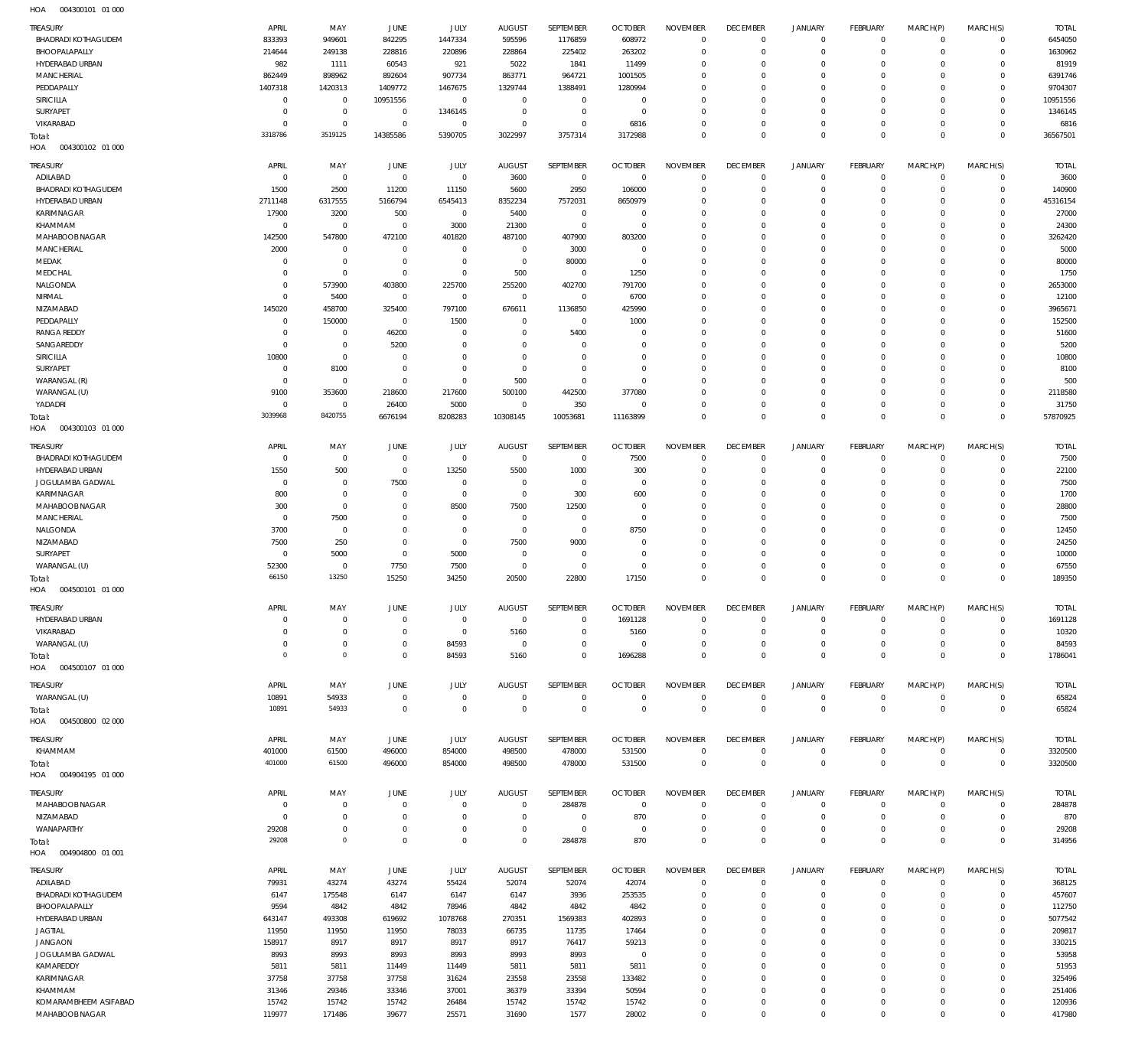| $\cdots$                   |              |                |                |             |                |                  |                |                 |                 |                     |                 |             |             |              |
|----------------------------|--------------|----------------|----------------|-------------|----------------|------------------|----------------|-----------------|-----------------|---------------------|-----------------|-------------|-------------|--------------|
| <b>TREASURY</b>            | APRIL        | MAY            | JUNE           | <b>JULY</b> | <b>AUGUST</b>  | SEPTEMBER        | <b>OCTOBER</b> | <b>NOVEMBER</b> | <b>DECEMBER</b> | <b>JANUARY</b>      | <b>FEBRUARY</b> | MARCH(P)    | MARCH(S)    | <b>TOTAL</b> |
| <b>BHADRADI KOTHAGUDEM</b> | 833393       | 949601         | 842295         | 1447334     | 595596         | 1176859          | 608972         | $\mathbf 0$     | $\overline{0}$  | $\circ$             | $\circ$         | $\Omega$    | $\Omega$    | 6454050      |
| BHOOPALAPALLY              | 214644       | 249138         | 228816         | 220896      | 228864         | 225402           | 263202         | $\Omega$        | $\mathbf 0$     | 0                   | $\mathbf{0}$    | $\Omega$    | $\mathbf 0$ | 1630962      |
|                            |              |                |                |             |                |                  |                |                 |                 |                     |                 |             |             |              |
| HYDERABAD URBAN            | 982          | 1111           | 60543          | 921         | 5022           | 1841             | 11499          | $\Omega$        | $\Omega$        | $\Omega$            | $\Omega$        | $\Omega$    | $\Omega$    | 81919        |
| <b>MANCHERIAL</b>          | 862449       | 898962         | 892604         | 907734      | 863771         | 964721           | 1001505        | $\Omega$        | $\mathbf 0$     | $\Omega$            | $\Omega$        | $\Omega$    | $\Omega$    | 6391746      |
| PEDDAPALLY                 | 1407318      | 1420313        | 1409772        | 1467675     | 1329744        | 1388491          | 1280994        | $\Omega$        | $\Omega$        | $\Omega$            | $\Omega$        | $\Omega$    | $\Omega$    | 9704307      |
| SIRICILLA                  | $\Omega$     | $\overline{0}$ | 10951556       | $\mathbf 0$ | $^{\circ}$     | $\mathbf 0$      | $^{\circ}$     | $\Omega$        | $\mathbf 0$     | $\Omega$            | $\Omega$        | $\Omega$    | $\Omega$    | 10951556     |
|                            |              |                |                |             |                |                  |                |                 |                 |                     |                 |             |             |              |
| SURYAPET                   | $\Omega$     | $\mathbf 0$    | $\overline{0}$ | 1346145     | $^{\circ}$     | $\mathbf 0$      | $\overline{0}$ | $\Omega$        | $\Omega$        | $\Omega$            | $\Omega$        | $\Omega$    | $\Omega$    | 1346145      |
| VIKARABAD                  | $\Omega$     | $\mathbf 0$    | $^{\circ}$     | $\mathbf 0$ | $\mathbf 0$    | $\mathbf 0$      | 6816           | $\Omega$        | $\mathbf 0$     | 0                   | $\mathbf{0}$    | $\Omega$    | $\Omega$    | 6816         |
| Total:                     | 3318786      | 3519125        | 14385586       | 5390705     | 3022997        | 3757314          | 3172988        | $\Omega$        | $\Omega$        | $\Omega$            | $\Omega$        | $\Omega$    | $\Omega$    | 36567501     |
| HOA<br>004300102 01 000    |              |                |                |             |                |                  |                |                 |                 |                     |                 |             |             |              |
|                            |              |                |                |             |                |                  |                |                 |                 |                     |                 |             |             |              |
| TREASURY                   | APRIL        | MAY            | JUNE           | JULY        | <b>AUGUST</b>  | SEPTEMBER        | <b>OCTOBER</b> | <b>NOVEMBER</b> | <b>DECEMBER</b> | <b>JANUARY</b>      | <b>FEBRUARY</b> | MARCH(P)    | MARCH(S)    | <b>TOTAL</b> |
| ADILABAD                   | $^{\circ}$   | $\,0\,$        | $\mathbf 0$    | $\mathbf 0$ | 3600           | $\overline{0}$   | $\overline{0}$ | $\mathbf 0$     | $\overline{0}$  | $\overline{0}$      | $\circ$         | $^{\circ}$  | $\mathbf 0$ | 3600         |
|                            |              |                |                |             |                |                  |                |                 |                 |                     |                 |             |             |              |
| <b>BHADRADI KOTHAGUDEM</b> | 1500         | 2500           | 11200          | 11150       | 5600           | 2950             | 106000         | $\Omega$        | $\mathbf 0$     | $\mathbf 0$         | $\mathbf{0}$    | $\Omega$    | $\circ$     | 140900       |
| HYDERABAD URBAN            | 2711148      | 6317555        | 5166794        | 6545413     | 8352234        | 7572031          | 8650979        | $\Omega$        | $\overline{0}$  | 0                   | $\mathbf{0}$    | $\Omega$    | $\circ$     | 45316154     |
| KARIMNAGAR                 | 17900        | 3200           | 500            | $\mathbf 0$ | 5400           | $\,0\,$          | $\overline{0}$ | $\Omega$        | $\mathbf 0$     | 0                   | $\mathbf{0}$    | $\Omega$    | $\circ$     | 27000        |
| KHAMMAM                    | $^{\circ}$   | $\,0\,$        | 0              | 3000        | 21300          | $\mathbf 0$      | $\overline{0}$ | $\Omega$        | $\mathbf 0$     | $\Omega$            | $\mathbf{0}$    | $\Omega$    | $\Omega$    | 24300        |
|                            |              |                |                |             |                |                  |                |                 |                 |                     |                 |             | $\Omega$    |              |
| MAHABOOB NAGAR             | 142500       | 547800         | 472100         | 401820      | 487100         | 407900           | 803200         | $\Omega$        | $\mathbf 0$     | 0                   | $\mathbf{0}$    | $\Omega$    |             | 3262420      |
| <b>MANCHERIAL</b>          | 2000         | $\mathbf 0$    | $\overline{0}$ | $\mathbf 0$ | $^{\circ}$     | 3000             | $\overline{0}$ | $\Omega$        | $\Omega$        | $\Omega$            | $\Omega$        | $\Omega$    | $\Omega$    | 5000         |
| MEDAK                      | $\Omega$     | $\,0\,$        | $\overline{0}$ | $\mathbb O$ | $\overline{0}$ | 80000            | $\overline{0}$ | $\Omega$        | $\mathbf 0$     | 0                   | $\mathbf{0}$    | $\Omega$    | $\Omega$    | 80000        |
| MEDCHAL                    | $\Omega$     | $\mathbf 0$    | $\overline{0}$ | $\mathbf 0$ | 500            | $\mathbf 0$      | 1250           | $\Omega$        | $\Omega$        | $\Omega$            | $\Omega$        | $\Omega$    | $\Omega$    | 1750         |
|                            | $\Omega$     |                |                |             |                |                  |                | $\Omega$        | $\mathbf 0$     | 0                   | $\mathbf{0}$    | $\Omega$    | $\Omega$    |              |
| NALGONDA                   |              | 573900         | 403800         | 225700      | 255200         | 402700           | 791700         |                 |                 |                     |                 |             |             | 2653000      |
| NIRMAL                     | $\Omega$     | 5400           | $\overline{0}$ | $\mathbf 0$ | $\mathbf 0$    | $\mathbf 0$      | 6700           | $\Omega$        | $\Omega$        | $\Omega$            | $\Omega$        | $\Omega$    | $\Omega$    | 12100        |
| NIZAMABAD                  | 145020       | 458700         | 325400         | 797100      | 676611         | 1136850          | 425990         | $\Omega$        | $^{\circ}$      | 0                   | $\mathbf{0}$    | $\Omega$    | $\Omega$    | 3965671      |
| PEDDAPALLY                 | $\Omega$     | 150000         | $^{\circ}$     | 1500        | $\mathbf 0$    | $\mathbf 0$      | 1000           | $\Omega$        | $\Omega$        | $\Omega$            | $\Omega$        | $\Omega$    | $\Omega$    | 152500       |
| <b>RANGA REDDY</b>         | $\mathsf{C}$ | $\overline{0}$ | 46200          | $\mathbf 0$ | $^{\circ}$     | 5400             | $\overline{0}$ | $\Omega$        | $\mathbf 0$     | 0                   | $\mathbf{0}$    | $\Omega$    | $\Omega$    | 51600        |
|                            |              |                |                |             |                |                  |                |                 | $\Omega$        |                     | $\Omega$        |             | $\Omega$    |              |
| SANGAREDDY                 | $\Omega$     | $\mathbf 0$    | 5200           | $\mathbf 0$ | $\Omega$       | $\mathbf 0$      | $\overline{0}$ | $\Omega$        |                 | $\Omega$            |                 | $\Omega$    |             | 5200         |
| SIRICILLA                  | 10800        | $\,0\,$        | $\overline{0}$ | $\mathbf 0$ | $\Omega$       | $\mathbf 0$      | $\overline{0}$ | $\Omega$        | $\overline{0}$  | 0                   | $\mathbf{0}$    | $\Omega$    | $\Omega$    | 10800        |
| SURYAPET                   | $^{\circ}$   | 8100           | $\overline{0}$ | $\mathbf 0$ | $^{\circ}$     | $\mathbf 0$      | $\overline{0}$ | $\Omega$        | $\mathbf 0$     | $\Omega$            | $\Omega$        | $\Omega$    | $\Omega$    | 8100         |
| WARANGAL (R)               | $\Omega$     | $\,0\,$        | $\Omega$       | $\mathbf 0$ | 500            | $\mathbf 0$      | $\overline{0}$ | $\Omega$        | $\mathbf 0$     | $\Omega$            | $\Omega$        | $\Omega$    | $\Omega$    | 500          |
|                            |              |                |                |             |                |                  |                | $\Omega$        | $\mathbf 0$     |                     | $\Omega$        | $\Omega$    | $\circ$     |              |
| WARANGAL (U)               | 9100         | 353600         | 218600         | 217600      | 500100         | 442500           | 377080         |                 |                 | 0                   |                 |             |             | 2118580      |
| YADADRI                    | $^{\circ}$   | $\mathbf 0$    | 26400          | 5000        | $\mathbf 0$    | 350              | $\overline{0}$ | $\Omega$        | $\overline{0}$  | $\mathbf 0$         | $\mathbf 0$     | $\Omega$    | $\circ$     | 31750        |
| Total:                     | 3039968      | 8420755        | 6676194        | 8208283     | 10308145       | 10053681         | 11163899       | $\mathbf 0$     | $\overline{0}$  | $\mathbf 0$         | $\overline{0}$  | $\mathbf 0$ | $\mathbf 0$ | 57870925     |
| HOA<br>004300103 01 000    |              |                |                |             |                |                  |                |                 |                 |                     |                 |             |             |              |
|                            |              |                |                |             |                |                  |                |                 |                 |                     |                 |             |             |              |
| <b>TREASURY</b>            | APRIL        | MAY            | JUNE           | <b>JULY</b> | <b>AUGUST</b>  | SEPTEMBER        | <b>OCTOBER</b> | <b>NOVEMBER</b> | <b>DECEMBER</b> | <b>JANUARY</b>      | <b>FEBRUARY</b> | MARCH(P)    | MARCH(S)    | <b>TOTAL</b> |
| <b>BHADRADI KOTHAGUDEM</b> | $\Omega$     | $\mathbf 0$    | $^{\circ}$     | $\mathbf 0$ | $\mathbf 0$    | $^{\circ}$       | 7500           | $\Omega$        | $\overline{0}$  | $\mathbf 0$         | $^{\circ}$      | $\Omega$    | $\mathbf 0$ | 7500         |
|                            |              |                |                |             |                |                  |                |                 |                 |                     |                 |             |             |              |
| HYDERABAD URBAN            | 1550         | 500            | $^{\circ}$     | 13250       | 5500           | 1000             | 300            | $\mathbf 0$     | $\mathbf 0$     | 0                   | $\mathbf{0}$    | $\Omega$    | $\Omega$    | 22100        |
| JOGULAMBA GADWAL           | $\Omega$     | $\overline{0}$ | 7500           | $\mathbf 0$ | $\mathbf 0$    | $\mathbf 0$      | $^{\circ}$     | $\Omega$        | $\Omega$        | $\Omega$            | $\Omega$        | $\Omega$    | $\Omega$    | 7500         |
| KARIMNAGAR                 | 800          | $\mathbb O$    | 0              | $\mathbf 0$ | $\mathbf 0$    | 300              | 600            | $\Omega$        | $\mathbf 0$     | $\Omega$            | $\Omega$        | $\Omega$    | $\Omega$    | 1700         |
| MAHABOOB NAGAR             | 300          | $\mathbb O$    | $\Omega$       | 8500        | 7500           | 12500            | $\Omega$       | $\Omega$        | $\Omega$        | $\Omega$            | $\Omega$        | $\Omega$    | $\Omega$    | 28800        |
|                            | $\Omega$     |                | $\Omega$       | $^{\circ}$  | $^{\circ}$     | $\mathbf 0$      | $\overline{0}$ | $\Omega$        | $\mathbf 0$     | $\Omega$            | $\Omega$        | $\Omega$    | $\Omega$    |              |
| <b>MANCHERIAL</b>          |              | 7500           |                |             |                |                  |                |                 |                 |                     |                 |             |             | 7500         |
| NALGONDA                   | 3700         | $\mathbb O$    | $\Omega$       | $\Omega$    | $\mathbf 0$    | $\mathbf 0$      | 8750           | $\Omega$        | $\Omega$        | $\Omega$            | $\Omega$        | $\Omega$    | $\Omega$    | 12450        |
| NIZAMABAD                  | 7500         | 250            | $\Omega$       | $\mathbf 0$ | 7500           | 9000             | $^{\circ}$     | $\Omega$        | $^{\circ}$      | $\Omega$            | $\Omega$        | $\Omega$    | $\Omega$    | 24250        |
| SURYAPET                   | $\Omega$     | 5000           | $\Omega$       | 5000        | $\Omega$       | $\mathbf 0$      | $\Omega$       | $\Omega$        | $\Omega$        | $\Omega$            | $\Omega$        | $\Omega$    | $\Omega$    | 10000        |
| WARANGAL (U)               | 52300        | $\overline{0}$ | 7750           | 7500        | $^{\circ}$     | $\Omega$         | $\Omega$       | $\Omega$        | $\mathbf 0$     | 0                   | $\mathbf 0$     | $\Omega$    | $\Omega$    | 67550        |
|                            |              |                |                |             |                |                  |                |                 |                 |                     |                 |             |             |              |
| Total:                     | 66150        | 13250          | 15250          | 34250       | 20500          | 22800            | 17150          | $\Omega$        | $\Omega$        | $\Omega$            | $\Omega$        | $\Omega$    | $\Omega$    | 189350       |
| 004500101 01 000<br>HOA    |              |                |                |             |                |                  |                |                 |                 |                     |                 |             |             |              |
|                            |              |                |                |             |                |                  |                |                 |                 |                     |                 |             |             |              |
| <b>TREASLIRY</b>           | APRIL        | MAY            | <b>JUNE</b>    | JULY.       | <b>AUGUST</b>  | <b>SFPTFMBFR</b> | <b>OCTORER</b> | <b>NOVEMBER</b> | <b>DECEMBER</b> | <b>JANUARY</b>      | <b>FFRRUARY</b> | MARCH(P)    | MARCH(S)    | <b>TOTAL</b> |
| HYDERABAD URBAN            | $^{\circ}$   | $\mathbf 0$    | $\overline{0}$ | $\mathbf 0$ | $^{\circ}$     | 0                | 1691128        | $\mathbf 0$     | $\overline{0}$  | $\mathbf 0$         | $\circ$         | $\circ$     | $\mathbf 0$ | 1691128      |
| VIKARABAD                  | $\Omega$     | $\,0\,$        | $^{\circ}$     | $\mathbf 0$ | 5160           | $\mathbf 0$      | 5160           | $\mathbf 0$     | $\mathbf 0$     | $\mathsf{O}\xspace$ | $\mathbf 0$     | $\Omega$    | $\mathbf 0$ | 10320        |
| WARANGAL (U)               | $^{\circ}$   | $\,0\,$        | $^{\circ}$     | 84593       | $\overline{0}$ | $\mathbf 0$      | $\overline{0}$ | $\mathbf 0$     | $\overline{0}$  | $\mathbf 0$         | $\mathbb O$     | $\Omega$    | $\mathbf 0$ | 84593        |
|                            |              |                |                |             |                |                  |                |                 |                 |                     |                 |             |             |              |
| Total:                     | $^{\circ}$   | $\mathbb O$    | $^{\circ}$     | 84593       | 5160           | $\mathbf 0$      | 1696288        | $\mathbf 0$     | $\overline{0}$  | $\mathbf 0$         | $\mathbb O$     | $\mathbf 0$ | $\mathbb O$ | 1786041      |
| HOA<br>004500107 01 000    |              |                |                |             |                |                  |                |                 |                 |                     |                 |             |             |              |
|                            |              |                |                |             |                |                  |                |                 |                 |                     |                 |             |             |              |
| TREASURY                   | APRIL        | MAY            |                |             |                |                  |                |                 |                 |                     |                 |             |             |              |
| WARANGAL (U)               |              |                | JUNE           | JULY        | <b>AUGUST</b>  | SEPTEMBER        | <b>OCTOBER</b> | <b>NOVEMBER</b> | <b>DECEMBER</b> | <b>JANUARY</b>      | <b>FEBRUARY</b> | MARCH(P)    | MARCH(S)    | <b>TOTAL</b> |
|                            | 10891        | 54933          | $\mathbf 0$    | $\mathbb O$ | $\mathbf 0$    | $\bf 0$          | $\overline{0}$ | $\mathbf 0$     | $\overline{0}$  | $\mathsf 0$         | $\mathbb O$     | $\mathbf 0$ | $\mathbf 0$ | 65824        |
| Total:                     | 10891        | 54933          | $\mathbf 0$    | $\mathbf 0$ | $\overline{0}$ | $\mathbf 0$      | $\overline{0}$ | $\overline{0}$  | $\overline{0}$  | $\overline{0}$      | $\mathbb O$     | $\mathbf 0$ | $\mathbb O$ | 65824        |
|                            |              |                |                |             |                |                  |                |                 |                 |                     |                 |             |             |              |
| 004500800 02 000<br>HOA    |              |                |                |             |                |                  |                |                 |                 |                     |                 |             |             |              |
| TREASURY                   | APRIL        | MAY            | JUNE           | JULY        | <b>AUGUST</b>  | SEPTEMBER        | <b>OCTOBER</b> | <b>NOVEMBER</b> | <b>DECEMBER</b> | <b>JANUARY</b>      | FEBRUARY        | MARCH(P)    | MARCH(S)    | <b>TOTAL</b> |
|                            |              |                |                |             |                |                  |                |                 |                 |                     |                 |             |             |              |
| KHAMMAM                    | 401000       | 61500          | 496000         | 854000      | 498500         | 478000           | 531500         | $\mathbf 0$     | $\overline{0}$  | $\mathsf 0$         | $\mathbb O$     | 0           | $\circ$     | 3320500      |
| Total:                     | 401000       | 61500          | 496000         | 854000      | 498500         | 478000           | 531500         | $\mathbf 0$     | $\mathbf 0$     | $\mathbf 0$         | $\mathbb O$     | $\mathbf 0$ | $\mathbb O$ | 3320500      |
| 004904195 01 000<br>HOA    |              |                |                |             |                |                  |                |                 |                 |                     |                 |             |             |              |
|                            |              |                |                |             |                |                  |                |                 |                 |                     |                 |             |             |              |
| <b>TREASURY</b>            | APRIL        | MAY            | JUNE           | <b>JULY</b> | <b>AUGUST</b>  | SEPTEMBER        | <b>OCTOBER</b> | <b>NOVEMBER</b> | <b>DECEMBER</b> | <b>JANUARY</b>      | FEBRUARY        | MARCH(P)    | MARCH(S)    | <b>TOTAL</b> |
| MAHABOOB NAGAR             | C            | $\mathbf 0$    | $^{\circ}$     | $\mathbf 0$ | $\mathbf 0$    | 284878           | $\overline{0}$ | $\mathbf 0$     | $\overline{0}$  | $\mathbf 0$         | 0               | $\circ$     | $\mathbf 0$ | 284878       |
| NIZAMABAD                  | $\Omega$     | $\mathbb O$    | $^{\circ}$     | $\mathbf 0$ | $\mathbf 0$    | $\mathbf{0}$     | 870            | $\Omega$        | $\overline{0}$  | $\mathbf 0$         | $\mathbf 0$     | $\Omega$    | $\mathbf 0$ | 870          |
|                            | 29208        | $\mathbb O$    | $^{\circ}$     | $\mathbf 0$ | $\mathbf 0$    | $\bf 0$          | $\overline{0}$ | $\mathbf 0$     | $\overline{0}$  | $\mathsf{O}\xspace$ | $\mathbf 0$     | $^{\circ}$  | $\mathbf 0$ |              |
| WANAPARTHY                 |              |                |                |             |                |                  |                |                 |                 |                     |                 |             |             | 29208        |
| Total:                     | 29208        | $\mathbb O$    | $\Omega$       | $\mathbf 0$ | $\mathbf 0$    | 284878           | 870            | $\mathbf 0$     | $\overline{0}$  | $\mathbf 0$         | $\,0\,$         | $\mathbf 0$ | $\mathbf 0$ | 314956       |
| HOA   004904800   01   001 |              |                |                |             |                |                  |                |                 |                 |                     |                 |             |             |              |
|                            |              |                |                |             |                |                  |                |                 |                 |                     |                 |             |             |              |
| <b>TREASURY</b>            | APRIL        | MAY            | JUNE           | JULY        | <b>AUGUST</b>  | SEPTEMBER        | <b>OCTOBER</b> | <b>NOVEMBER</b> | <b>DECEMBER</b> | <b>JANUARY</b>      | FEBRUARY        | MARCH(P)    | MARCH(S)    | <b>TOTAL</b> |
| ADILABAD                   | 79931        | 43274          | 43274          | 55424       | 52074          | 52074            | 42074          | 0               | $\overline{0}$  | 0                   | $\circ$         | $^{\circ}$  | $\mathbf 0$ | 368125       |
| <b>BHADRADI KOTHAGUDEM</b> | 6147         | 175548         | 6147           | 6147        | 6147           | 3936             | 253535         | $\mathbf 0$     | $\overline{0}$  | $\mathbf 0$         | $\mathbb O$     | $^{\circ}$  | $\mathbf 0$ | 457607       |
| BHOOPALAPALLY              | 9594         |                |                | 78946       | 4842           | 4842             | 4842           | $\mathbf 0$     | $\overline{0}$  | 0                   | $\circ$         | $\Omega$    | $\mathbf 0$ |              |
|                            |              | 4842           | 4842           |             |                |                  |                |                 |                 |                     |                 |             |             | 112750       |
| HYDERABAD URBAN            | 643147       | 493308         | 619692         | 1078768     | 270351         | 1569383          | 402893         | $\mathbf 0$     | $\mathbf 0$     | 0                   | $\mathbf{0}$    | $\Omega$    | $\Omega$    | 5077542      |
| <b>JAGTIAL</b>             | 11950        | 11950          | 11950          | 78033       | 66735          | 11735            | 17464          | $\mathbf 0$     | $\mathbf 0$     | 0                   | $\mathbf 0$     | $\Omega$    | $\Omega$    | 209817       |
| JANGAON                    | 158917       | 8917           | 8917           | 8917        | 8917           | 76417            | 59213          | $\mathbf 0$     | $\mathbf 0$     | 0                   | $\mathbf{0}$    | $\Omega$    | $\Omega$    | 330215       |
| JOGULAMBA GADWAL           | 8993         | 8993           | 8993           | 8993        | 8993           | 8993             | $\overline{0}$ | $\mathbf 0$     | $\overline{0}$  | 0                   | $\mathbf{0}$    | $\Omega$    | $\Omega$    | 53958        |
|                            |              |                |                |             |                |                  |                |                 |                 |                     |                 |             |             |              |
| KAMAREDDY                  | 5811         | 5811           | 11449          | 11449       | 5811           | 5811             | 5811           | $\mathbf 0$     | $\mathbf 0$     | 0                   | $\mathbf{0}$    | $\Omega$    | $\Omega$    | 51953        |
| KARIMNAGAR                 | 37758        | 37758          | 37758          | 31624       | 23558          | 23558            | 133482         | $\mathbf 0$     | $\overline{0}$  | 0                   | $\mathbf 0$     | $\Omega$    | $\mathbf 0$ | 325496       |
| KHAMMAM                    | 31346        | 29346          | 33346          | 37001       | 36379          | 33394            | 50594          | $\mathbf 0$     | $\overline{0}$  | 0                   | $\mathbf{0}$    | $\Omega$    | $\Omega$    | 251406       |
| KOMARAMBHEEM ASIFABAD      | 15742        | 15742          | 15742          | 26484       | 15742          | 15742            | 15742          | 0               | $\overline{0}$  | $\mathbf 0$         | $\mathbb O$     | $^{\circ}$  | $\mathbf 0$ | 120936       |
| MAHABOOB NAGAR             | 119977       | 171486         | 39677          | 25571       | 31690          | 1577             | 28002          | $\mathbf 0$     | $\overline{0}$  | $\mathbf 0$         | $\mathbb O$     | $\mathbf 0$ | $\mathbf 0$ | 417980       |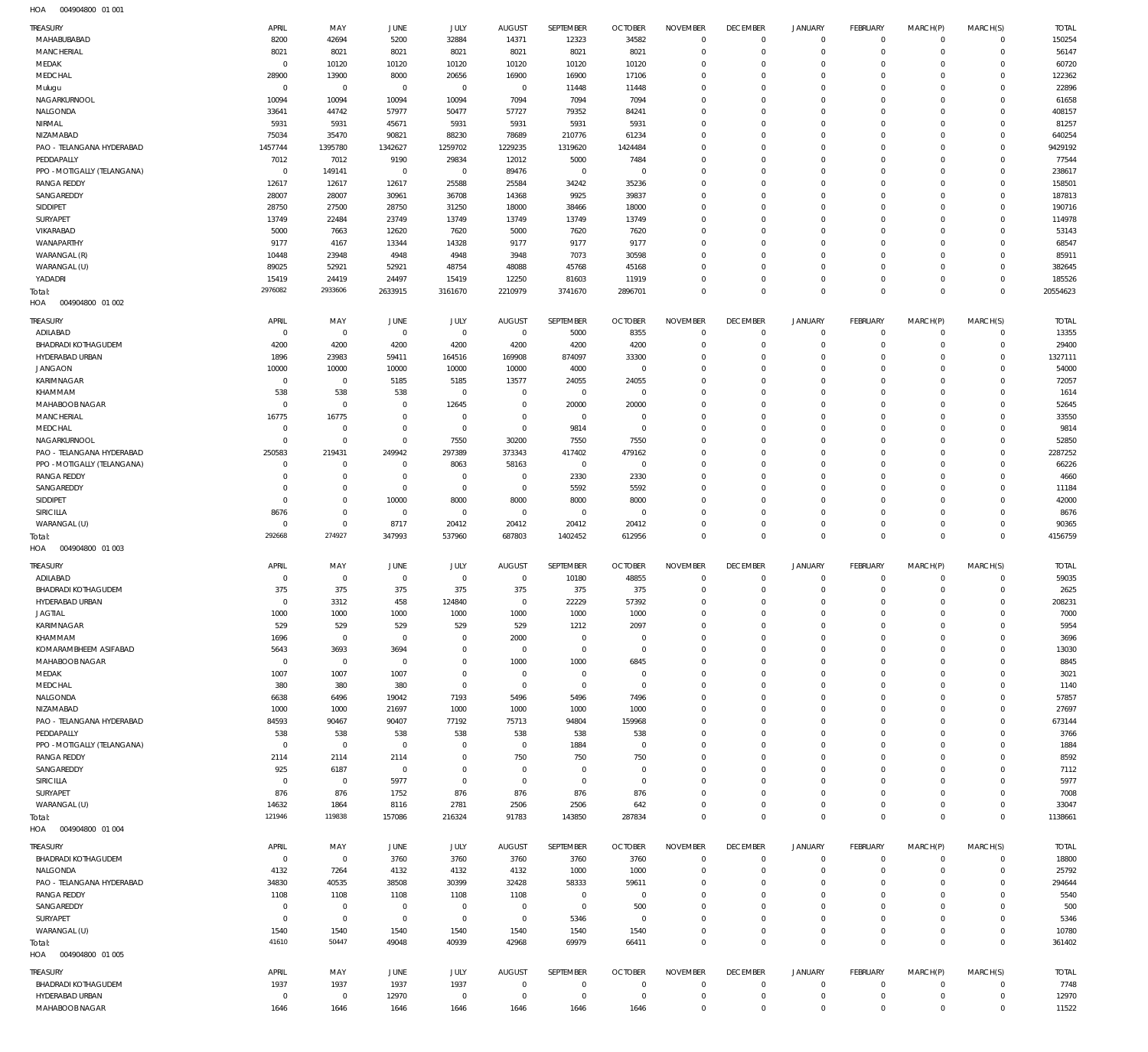004904800 01 001 HOA

| TREASURY                                                 | APRIL                  | MAY                      | JUNE                     | JULY                   | <b>AUGUST</b>       | SEPTEMBER            | <b>OCTOBER</b>       | <b>NOVEMBER</b>               | <b>DECEMBER</b>               | <b>JANUARY</b>                | <b>FEBRUARY</b>                | MARCH(P)               | MARCH(S)                   | <b>TOTAL</b>      |
|----------------------------------------------------------|------------------------|--------------------------|--------------------------|------------------------|---------------------|----------------------|----------------------|-------------------------------|-------------------------------|-------------------------------|--------------------------------|------------------------|----------------------------|-------------------|
| MAHABUBABAD                                              | 8200                   | 42694                    | 5200                     | 32884                  | 14371               | 12323                | 34582                | $^{\circ}$                    | $\mathbf 0$                   | $\mathbf 0$                   | $\overline{0}$                 | $\Omega$               | $\mathbf 0$                | 150254            |
| MANCHERIAL<br>MEDAK                                      | 8021<br>$\overline{0}$ | 8021<br>10120            | 8021<br>10120            | 8021<br>10120          | 8021<br>10120       | 8021<br>10120        | 8021<br>10120        | $\Omega$<br>$\Omega$          | $\mathbf{0}$<br>$\Omega$      | $\Omega$<br>$\Omega$          | $\mathbf 0$<br>$\Omega$        | $\Omega$<br>$\Omega$   | $\mathbf 0$<br>$\Omega$    | 56147<br>60720    |
| MEDCHAL                                                  | 28900                  | 13900                    | 8000                     | 20656                  | 16900               | 16900                | 17106                | $\Omega$                      | $^{\circ}$                    | $\Omega$                      | $\mathbf 0$                    | $\Omega$               | $\Omega$                   | 122362            |
| Mulugu                                                   | $\overline{0}$         | $\overline{0}$           | $\overline{0}$           | $\overline{0}$         | $\overline{0}$      | 11448                | 11448                | $\Omega$                      | $\Omega$                      | $\Omega$                      | $\Omega$                       |                        | $\Omega$                   | 22896             |
| NAGARKURNOOL                                             | 10094                  | 10094                    | 10094                    | 10094                  | 7094                | 7094                 | 7094                 | $\Omega$                      | $\Omega$                      | $\Omega$                      | $\Omega$                       | $\Omega$               | $\Omega$                   | 61658             |
| NALGONDA                                                 | 33641                  | 44742                    | 57977                    | 50477                  | 57727               | 79352                | 84241                | $\Omega$                      | $\Omega$                      | $\Omega$                      | $\Omega$                       | $\Omega$               | $\Omega$                   | 408157            |
| NIRMAL                                                   | 5931                   | 5931                     | 45671                    | 5931                   | 5931                | 5931                 | 5931                 | $\Omega$                      | $\Omega$                      | $\Omega$                      | $\Omega$                       | $\Omega$               | $\Omega$                   | 81257             |
| NIZAMABAD<br>PAO - TELANGANA HYDERABAD                   | 75034<br>1457744       | 35470<br>1395780         | 90821                    | 88230<br>1259702       | 78689               | 210776<br>1319620    | 61234<br>1424484     | $\Omega$<br>$\Omega$          | $\Omega$<br>$\Omega$          | $\Omega$<br>$\Omega$          | $\Omega$<br>$\Omega$           | $\Omega$               | $\Omega$<br>$\Omega$       | 640254<br>9429192 |
| PEDDAPALLY                                               | 7012                   | 7012                     | 1342627<br>9190          | 29834                  | 1229235<br>12012    | 5000                 | 7484                 | $\Omega$                      | $\Omega$                      | $\Omega$                      | $\Omega$                       | $\Omega$               | $\Omega$                   | 77544             |
| PPO - MOTIGALLY (TELANGANA)                              | $\overline{0}$         | 149141                   | $\overline{0}$           | $\overline{0}$         | 89476               | $\mathbf 0$          | $\overline{0}$       | $\Omega$                      | $\Omega$                      | $\Omega$                      | $\Omega$                       |                        | $\Omega$                   | 238617            |
| <b>RANGA REDDY</b>                                       | 12617                  | 12617                    | 12617                    | 25588                  | 25584               | 34242                | 35236                | $\Omega$                      | $\Omega$                      | $\Omega$                      | $\Omega$                       | $\Omega$               | $\Omega$                   | 158501            |
| SANGAREDDY                                               | 28007                  | 28007                    | 30961                    | 36708                  | 14368               | 9925                 | 39837                | $\Omega$                      | $^{\circ}$                    | $\Omega$                      | $\Omega$                       | $\Omega$               | $\Omega$                   | 187813            |
| SIDDIPET                                                 | 28750                  | 27500                    | 28750                    | 31250                  | 18000               | 38466                | 18000                | $\Omega$                      | $\Omega$                      | $\Omega$                      | $\Omega$                       | $\Omega$               | $\Omega$                   | 190716            |
| SURYAPET<br>VIKARABAD                                    | 13749<br>5000          | 22484<br>7663            | 23749<br>12620           | 13749                  | 13749<br>5000       | 13749<br>7620        | 13749<br>7620        | $\Omega$<br>$\Omega$          | $\Omega$<br>$\Omega$          | $\Omega$<br>$\Omega$          | $\Omega$<br>$\Omega$           | $\Omega$               | $\Omega$<br>$\Omega$       | 114978<br>53143   |
| WANAPARTHY                                               | 9177                   | 4167                     | 13344                    | 7620<br>14328          | 9177                | 9177                 | 9177                 | $\Omega$                      | $\Omega$                      | $\Omega$                      | $\Omega$                       | $\Omega$               | $\Omega$                   | 68547             |
| WARANGAL (R)                                             | 10448                  | 23948                    | 4948                     | 4948                   | 3948                | 7073                 | 30598                | $\Omega$                      | $\Omega$                      | $\Omega$                      | $\Omega$                       | $\Omega$               | $\Omega$                   | 85911             |
| WARANGAL (U)                                             | 89025                  | 52921                    | 52921                    | 48754                  | 48088               | 45768                | 45168                | $\Omega$                      | $^{\circ}$                    | $\Omega$                      | $\Omega$                       | $\Omega$               | $\Omega$                   | 382645            |
| YADADRI                                                  | 15419                  | 24419                    | 24497                    | 15419                  | 12250               | 81603                | 11919                | $\Omega$                      | $^{\circ}$                    | $\Omega$                      | $\mathbf 0$                    | $\Omega$               | $\mathbf 0$                | 185526            |
| Total:                                                   | 2976082                | 2933606                  | 2633915                  | 3161670                | 2210979             | 3741670              | 2896701              | $\Omega$                      | $\mathbb O$                   | $\mathbf 0$                   | $\overline{0}$                 | $\Omega$               | $\Omega$                   | 20554623          |
| HOA<br>004904800 01 002                                  |                        |                          |                          |                        |                     |                      |                      |                               |                               |                               |                                |                        |                            |                   |
| TREASURY                                                 | APRIL                  | MAY                      | JUNE                     | <b>JULY</b>            | <b>AUGUST</b>       | SEPTEMBER            | <b>OCTOBER</b>       | <b>NOVEMBER</b>               | <b>DECEMBER</b>               | <b>JANUARY</b>                | <b>FEBRUARY</b>                | MARCH(P)               | MARCH(S)                   | <b>TOTAL</b>      |
| ADILABAD                                                 | $\Omega$               | $\mathbf 0$              | $\overline{0}$           | $\mathbf 0$            | $\overline{0}$      | 5000                 | 8355                 | $\Omega$                      | $\Omega$                      | $\Omega$                      | $\mathbf 0$                    | $\Omega$               | $\Omega$                   | 13355             |
| <b>BHADRADI KOTHAGUDEM</b>                               | 4200                   | 4200                     | 4200                     | 4200                   | 4200                | 4200                 | 4200                 | $\Omega$                      | $^{\circ}$                    | $\Omega$                      | $\mathbf 0$                    | $\Omega$               | $\mathbf 0$                | 29400             |
| HYDERABAD URBAN<br><b>JANGAON</b>                        | 1896<br>10000          | 23983<br>10000           | 59411<br>10000           | 164516<br>10000        | 169908<br>10000     | 874097<br>4000       | 33300<br>$^{\circ}$  | $\Omega$<br>$\Omega$          | $\Omega$<br>$\Omega$          | $\Omega$<br>$\Omega$          | $\Omega$<br>$\Omega$           | $\Omega$<br>$\Omega$   | $\Omega$<br>$\Omega$       | 1327111<br>54000  |
| KARIMNAGAR                                               | $^{\circ}$             | $\mathbf 0$              | 5185                     | 5185                   | 13577               | 24055                | 24055                | $\Omega$                      | $\Omega$                      | $\Omega$                      | $\Omega$                       | $\Omega$               | $\Omega$                   | 72057             |
| KHAMMAM                                                  | 538                    | 538                      | 538                      | $\overline{0}$         | $\overline{0}$      | $\overline{0}$       | $^{\circ}$           | $\Omega$                      | $\Omega$                      | $\Omega$                      | $\Omega$                       | $\Omega$               | $\Omega$                   | 1614              |
| MAHABOOB NAGAR                                           | $\Omega$               | $\overline{0}$           | $\mathbf 0$              | 12645                  | $\overline{0}$      | 20000                | 20000                | $\Omega$                      | $\Omega$                      | $\Omega$                      | $\Omega$                       | $\Omega$               | $\Omega$                   | 52645             |
| MANCHERIAL                                               | 16775                  | 16775                    | $\mathbf 0$              | $\overline{0}$         | $\overline{0}$      | $^{\circ}$           | $\Omega$             | $\Omega$                      | $\Omega$                      | $\Omega$                      | $\Omega$                       |                        | $\Omega$                   | 33550             |
| MEDCHAL                                                  | $\overline{0}$         | $\mathbf 0$              | $\mathbf 0$              | $\mathbf 0$            | $\mathbf 0$         | 9814                 | $\overline{0}$       | $\Omega$                      | $\Omega$                      | $\Omega$                      | $\Omega$                       | $\Omega$               | $\Omega$                   | 9814              |
| NAGARKURNOOL                                             | $\mathbf 0$            | $\overline{0}$           | $\mathbf 0$              | 7550                   | 30200               | 7550                 | 7550                 | $\Omega$<br>$\Omega$          | $\Omega$<br>$\Omega$          | $\Omega$<br>$\Omega$          | $\Omega$<br>$\Omega$           | $\Omega$               | $\Omega$<br>$\Omega$       | 52850             |
| PAO - TELANGANA HYDERABAD<br>PPO - MOTIGALLY (TELANGANA) | 250583<br>$^{\circ}$   | 219431<br>$\overline{0}$ | 249942<br>$\overline{0}$ | 297389<br>8063         | 373343<br>58163     | 417402<br>$^{\circ}$ | 479162<br>$^{\circ}$ | $\Omega$                      | $\Omega$                      | $\Omega$                      | $\Omega$                       | $\Omega$               | $\Omega$                   | 2287252<br>66226  |
| <b>RANGA REDDY</b>                                       | $\Omega$               | $\mathbf 0$              | $\mathbf 0$              | $\overline{0}$         | $\overline{0}$      | 2330                 | 2330                 | $\Omega$                      | $\Omega$                      | $\Omega$                      | $\Omega$                       | $\Omega$               | $\Omega$                   | 4660              |
| SANGAREDDY                                               | $^{\circ}$             | $\overline{0}$           | $\overline{0}$           | $\mathbf 0$            | $\mathbf 0$         | 5592                 | 5592                 | $\Omega$                      | $\Omega$                      | $\Omega$                      | $\Omega$                       | $\Omega$               | $\Omega$                   | 11184             |
| SIDDIPET                                                 | $\Omega$               | $\mathbf 0$              | 10000                    | 8000                   | 8000                | 8000                 | 8000                 | $\Omega$                      | $\Omega$                      | $\Omega$                      | $\Omega$                       | $\Omega$               | $\Omega$                   | 42000             |
| <b>SIRICILLA</b>                                         | 8676                   | $\mathbf 0$              | $\overline{0}$           | $\overline{0}$         | $\mathbf 0$         | $^{\circ}$           | $\Omega$             | $\Omega$                      | $\Omega$                      | $\Omega$                      | $\Omega$                       | $\Omega$               | $\Omega$                   | 8676              |
| WARANGAL (U)                                             | $\Omega$               | $\mathbf 0$              | 8717                     | 20412                  | 20412               | 20412                | 20412                | $\Omega$                      | $\mathbf 0$                   | $\Omega$                      | $\mathbf 0$                    | $\Omega$<br>$\Omega$   | $\Omega$                   | 90365             |
|                                                          |                        |                          |                          |                        |                     |                      |                      | $\Omega$                      | $\Omega$                      |                               |                                |                        | $\Omega$                   |                   |
| Total:                                                   | 292668                 | 274927                   | 347993                   | 537960                 | 687803              | 1402452              | 612956               |                               |                               | $\mathbf 0$                   | $\Omega$                       |                        |                            | 4156759           |
| HOA<br>004904800 01 003                                  |                        |                          |                          |                        |                     |                      |                      |                               |                               |                               |                                |                        |                            |                   |
| TREASURY                                                 | APRIL                  | MAY                      | JUNE                     | <b>JULY</b>            | <b>AUGUST</b>       | SEPTEMBER            | <b>OCTOBER</b>       | <b>NOVEMBER</b>               | <b>DECEMBER</b>               | <b>JANUARY</b>                | <b>FEBRUARY</b>                | MARCH(P)               | MARCH(S)                   | <b>TOTAL</b>      |
| ADILABAD                                                 | $^{\circ}$             | $\mathbf 0$              | $\overline{0}$           | $\overline{0}$         | $\overline{0}$      | 10180                | 48855                | $\Omega$                      | $\circ$                       | $\circ$                       | $\mathbf 0$                    | $\Omega$               | $\mathbf 0$                | 59035             |
| <b>BHADRADI KOTHAGUDEM</b>                               | 375                    | 375                      | 375                      | 375                    | 375                 | 375                  | 375                  | $\circ$<br>$\Omega$           | $\mathbf{0}$                  | $\Omega$<br>$\Omega$          | $\Omega$                       | $\Omega$<br>$\Omega$   | $\mathbf 0$                | 2625              |
| HYDERABAD URBAN<br><b>JAGTIAL</b>                        | $\overline{0}$<br>1000 | 3312<br>1000             | 458<br>1000              | 124840<br>1000         | $\mathbf 0$<br>1000 | 22229<br>1000        | 57392<br>1000        |                               | $\mathbf{0}$<br>$\cap$        |                               | $\mathbf 0$<br>$\cap$          | $\cap$                 | $\mathbf 0$<br>$\Omega$    | 208231<br>7000    |
| KARIMNAGAR                                               | 529                    | 529                      | 529                      | 529                    | 529                 | 1212                 | 2097                 | $\Omega$                      | $\Omega$                      | $\Omega$                      | $\Omega$                       | $\Omega$               | $\Omega$                   | 5954              |
| KHAMMAM                                                  | 1696                   | $\mathbf 0$              | $\overline{0}$           | $\overline{0}$         | 2000                | $^{\circ}$           | $\mathbf{0}$         | $\circ$                       | $^{\circ}$                    | $\Omega$                      | $\mathbf 0$                    | $\Omega$               | $\Omega$                   | 3696              |
| KOMARAMBHEEM ASIFABAD                                    | 5643                   | 3693                     | 3694                     | 0                      | $\overline{0}$      | $\overline{0}$       | $\mathbf{0}$         | $\Omega$                      | $^{\circ}$                    | $\Omega$                      | $\mathbf 0$                    |                        | $\Omega$                   | 13030             |
| MAHABOOB NAGAR                                           | $\overline{0}$         | $\overline{0}$           | $\overline{0}$           | $\overline{0}$         | 1000                | 1000                 | 6845                 | $\Omega$                      | $\Omega$                      | $\Omega$                      | $\Omega$                       | $\Omega$               | $\Omega$                   | 8845              |
| MEDAK                                                    | 1007                   | 1007                     | 1007                     | 0                      | $\overline{0}$      | $\mathbf 0$          | $\mathbf 0$          | $\Omega$                      | $^{\circ}$                    | $\Omega$                      | $\mathbf 0$                    | $\Omega$               | $\Omega$                   | 3021              |
| MEDCHAL                                                  | 380                    | 380                      | 380                      | $\overline{0}$         | $\mathbf 0$         | $^{\circ}$           | $\mathbf{0}$         | $\Omega$<br>$\Omega$          | $\Omega$<br>$^{\circ}$        | $\Omega$<br>$\Omega$          | $\Omega$<br>$\Omega$           | $\Omega$               | $\Omega$<br>$\Omega$       | 1140              |
| NALGONDA<br>NIZAMABAD                                    | 6638<br>1000           | 6496<br>1000             | 19042<br>21697           | 7193<br>1000           | 5496<br>1000        | 5496<br>1000         | 7496<br>1000         | $\Omega$                      | $\Omega$                      | $\Omega$                      | $\Omega$                       |                        | $\Omega$                   | 57857<br>27697    |
| PAO - TELANGANA HYDERABAD                                | 84593                  | 90467                    | 90407                    | 77192                  | 75713               | 94804                | 159968               | $\Omega$                      | $^{\circ}$                    | $\Omega$                      | $\Omega$                       | $\Omega$               | $\Omega$                   | 673144            |
| PEDDAPALLY                                               | 538                    | 538                      | 538                      | 538                    | 538                 | 538                  | 538                  | $\Omega$                      | $\Omega$                      | $\Omega$                      | $\Omega$                       |                        | $\Omega$                   | 3766              |
| PPO - MOTIGALLY (TELANGANA)                              | $\overline{0}$         | $\overline{0}$           | $\overline{0}$           | 0                      | $\overline{0}$      | 1884                 | $\mathbf{0}$         | $\Omega$                      | $^{\circ}$                    | $\Omega$                      | $\Omega$                       |                        | $\Omega$                   | 1884              |
| <b>RANGA REDDY</b>                                       | 2114                   | 2114                     | 2114                     | $\overline{0}$         | 750                 | 750                  | 750                  | $\Omega$                      | $\Omega$                      | $\Omega$                      | $\Omega$                       | $\Omega$               | $\Omega$                   | 8592              |
| SANGAREDDY                                               | 925                    | 6187                     | $\overline{0}$           | 0                      | $\overline{0}$      | $^{\circ}$           | $\mathbf 0$          | $\Omega$                      | $^{\circ}$                    | $\Omega$                      | $\mathbf 0$                    |                        | $\Omega$                   | 7112              |
| <b>SIRICILLA</b>                                         | $\overline{0}$         | $\overline{0}$           | 5977                     | $\overline{0}$         | $\overline{0}$      | $\circ$              | $\mathbf{0}$         | $\Omega$<br>$\Omega$          | $\Omega$<br>$^{\circ}$        | $\Omega$<br>$\Omega$          | $\Omega$<br>$\Omega$           | $\Omega$<br>$\Omega$   | $\Omega$<br>$\Omega$       | 5977              |
| SURYAPET<br>WARANGAL (U)                                 | 876<br>14632           | 876<br>1864              | 1752<br>8116             | 876<br>2781            | 876<br>2506         | 876<br>2506          | 876<br>642           | $\Omega$                      | $\mathbf 0$                   | $\Omega$                      | $\Omega$                       | $\Omega$               | $\Omega$                   | 7008<br>33047     |
| Total:<br>004904800 01 004<br>HOA                        | 121946                 | 119838                   | 157086                   | 216324                 | 91783               | 143850               | 287834               | $\Omega$                      | $\mathbf 0$                   | $\mathbf 0$                   | $\mathbf 0$                    | $\Omega$               | $\Omega$                   | 1138661           |
|                                                          |                        |                          |                          |                        |                     |                      |                      |                               |                               |                               |                                |                        |                            |                   |
| TREASURY                                                 | APRIL<br>$^{\circ}$    | MAY<br>$^{\circ}$        | JUNE                     | JULY                   | <b>AUGUST</b>       | SEPTEMBER            | <b>OCTOBER</b>       | <b>NOVEMBER</b><br>$^{\circ}$ | <b>DECEMBER</b><br>$^{\circ}$ | <b>JANUARY</b><br>$\mathbf 0$ | <b>FEBRUARY</b><br>$\mathbf 0$ | MARCH(P)<br>$\Omega$   | MARCH(S)<br>$\mathbf 0$    | <b>TOTAL</b>      |
| <b>BHADRADI KOTHAGUDEM</b><br>NALGONDA                   | 4132                   | 7264                     | 3760<br>4132             | 3760<br>4132           | 3760<br>4132        | 3760<br>1000         | 3760<br>1000         | $\Omega$                      | $\Omega$                      | $\Omega$                      | $\mathbf 0$                    | $\Omega$               | $\mathbf 0$                | 18800<br>25792    |
| PAO - TELANGANA HYDERABAD                                | 34830                  | 40535                    | 38508                    | 30399                  | 32428               | 58333                | 59611                | $\Omega$                      | $\Omega$                      | $\Omega$                      | $\Omega$                       | $\Omega$               | $\Omega$                   | 294644            |
| <b>RANGA REDDY</b>                                       | 1108                   | 1108                     | 1108                     | 1108                   | 1108                | $\circ$              | $^{\circ}$           | $\Omega$                      | $\Omega$                      | $\Omega$                      | $\Omega$                       |                        | $\Omega$                   | 5540              |
| SANGAREDDY                                               | $^{\circ}$             | $\overline{0}$           | $\overline{0}$           | $\overline{0}$         | $\overline{0}$      | $\overline{0}$       | 500                  | $\Omega$                      | $^{\circ}$                    | $\Omega$                      | $\Omega$                       | $\Omega$               | $\Omega$                   | 500               |
| SURYAPET                                                 | $\overline{0}$         | $\overline{0}$           | $\overline{0}$           | $\overline{0}$         | $\overline{0}$      | 5346                 | $^{\circ}$           | $\Omega$                      | $\Omega$                      | $\Omega$                      | $\Omega$                       |                        | $\Omega$                   | 5346              |
| WARANGAL (U)                                             | 1540                   | 1540                     | 1540                     | 1540                   | 1540                | 1540                 | 1540                 | $\Omega$                      | $\mathbf 0$                   | $\Omega$                      | $\overline{0}$                 | $\Omega$               | $\Omega$                   | 10780             |
| Total:<br>004904800 01 005<br>HOA                        | 41610                  | 50447                    | 49048                    | 40939                  | 42968               | 69979                | 66411                | $\Omega$                      | $\mathbf{0}$                  | $\mathbb O$                   | $\mathbf{0}$                   | $\Omega$               | $\mathbf{0}$               | 361402            |
| TREASURY                                                 | APRIL                  | MAY                      | JUNE                     | JULY                   | <b>AUGUST</b>       | SEPTEMBER            | <b>OCTOBER</b>       | <b>NOVEMBER</b>               | <b>DECEMBER</b>               | <b>JANUARY</b>                | <b>FEBRUARY</b>                | MARCH(P)               | MARCH(S)                   | <b>TOTAL</b>      |
| <b>BHADRADI KOTHAGUDEM</b>                               | 1937                   | 1937                     | 1937                     | 1937                   | $\overline{0}$      | 0                    | $\mathbf 0$          | $\circ$                       | $^{\circ}$                    | $\circ$                       | $\mathbf 0$                    | $\Omega$               | $\Omega$                   | 7748              |
| HYDERABAD URBAN<br>MAHABOOB NAGAR                        | $\overline{0}$<br>1646 | $\mathbf 0$<br>1646      | 12970<br>1646            | $\overline{0}$<br>1646 | $\,0\,$<br>1646     | $^{\circ}$<br>1646   | $\mathbf{0}$<br>1646 | $^{\circ}$<br>$^{\circ}$      | $\mathbf{0}$<br>$\,0\,$       | $\mathbf 0$<br>$\mathbf 0$    | $\mathbf 0$<br>$\mathbf 0$     | $\circ$<br>$\mathbf 0$ | $\mathbf 0$<br>$\mathbf 0$ | 12970<br>11522    |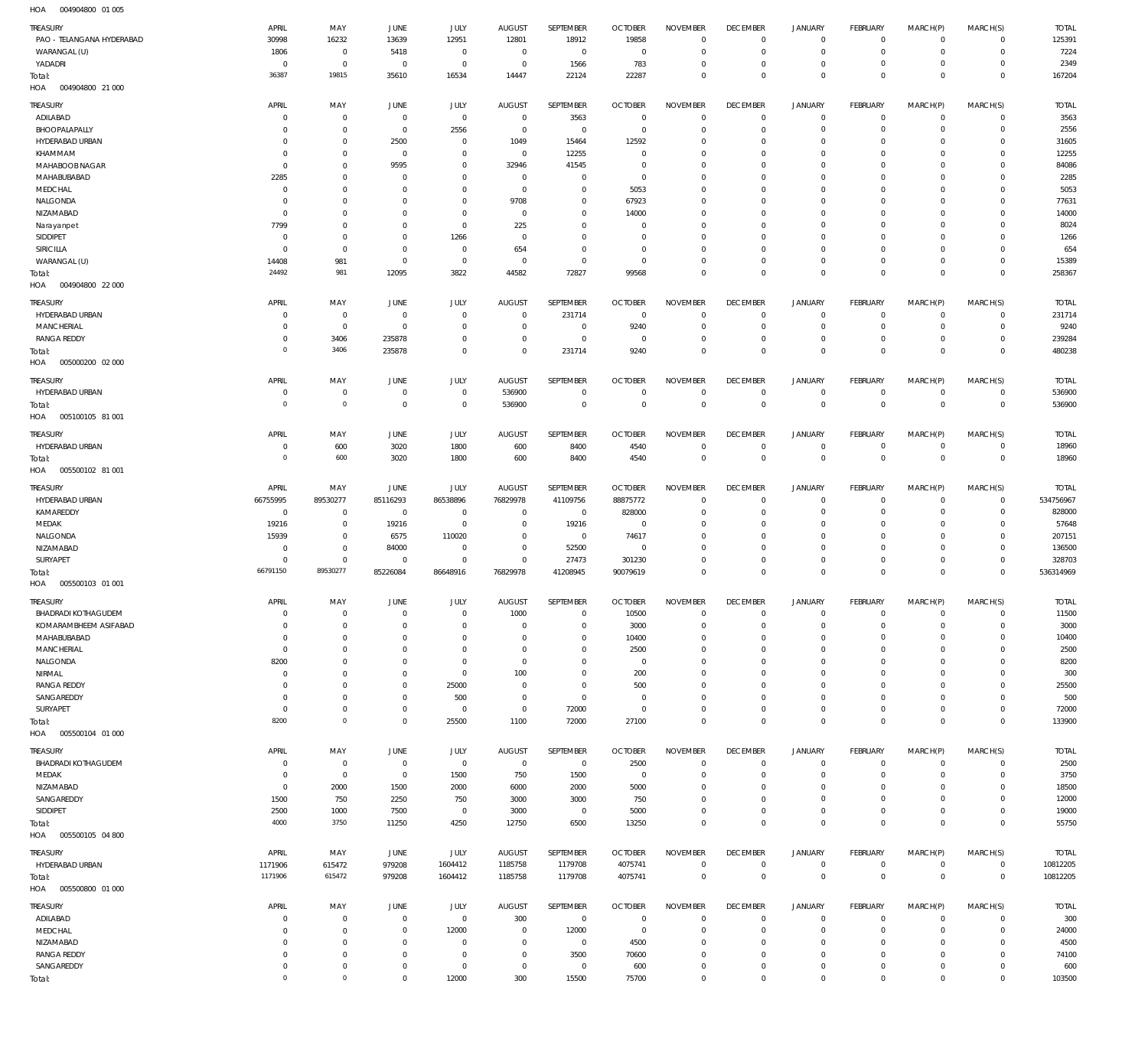004904800 01 005 HOA

| $\cdots$                              |                         |                               |                         |                            |                            |                            |                              |                                |                                   |                           |                             |                        |                               |                        |
|---------------------------------------|-------------------------|-------------------------------|-------------------------|----------------------------|----------------------------|----------------------------|------------------------------|--------------------------------|-----------------------------------|---------------------------|-----------------------------|------------------------|-------------------------------|------------------------|
| TREASURY<br>PAO - TELANGANA HYDERABAD | APRIL<br>30998          | MAY<br>16232                  | JUNE<br>13639           | <b>JULY</b><br>12951       | <b>AUGUST</b><br>12801     | SEPTEMBER<br>18912         | <b>OCTOBER</b><br>19858      | <b>NOVEMBER</b><br>$\mathbf 0$ | <b>DECEMBER</b><br>$\overline{0}$ | <b>JANUARY</b><br>$\circ$ | <b>FEBRUARY</b><br>$\circ$  | MARCH(P)<br>$\Omega$   | MARCH(S)<br>$\circ$           | <b>TOTAL</b><br>125391 |
| WARANGAL (U)                          | 1806                    | $\,0\,$                       | 5418                    | $\mathbf 0$                | $\mathbf 0$                | $^{\circ}$                 | $\overline{0}$               | $\Omega$                       | $\mathbf 0$                       | 0                         | $\circ$                     | $\Omega$               | $\circ$                       | 7224                   |
| YADADRI                               | $\mathsf{C}$            | $\mathbb O$                   | $\overline{0}$          | $\mathbf 0$                | $\mathbf 0$                | 1566                       | 783                          | $\Omega$                       | $\overline{0}$                    | 0                         | $\circ$                     | $\Omega$               | $\Omega$                      | 2349                   |
| Total:                                | 36387                   | 19815                         | 35610                   | 16534                      | 14447                      | 22124                      | 22287                        | $\mathbf 0$                    | $\overline{0}$                    | $\mathbf 0$               | $\mathbf 0$                 | $\Omega$               | $\mathbb O$                   | 167204                 |
| HOA<br>004904800 21 000               |                         |                               |                         |                            |                            |                            |                              |                                |                                   |                           |                             |                        |                               |                        |
| TREASURY                              | APRIL                   | MAY                           | JUNE                    | <b>JULY</b>                | <b>AUGUST</b>              | SEPTEMBER                  | <b>OCTOBER</b>               | <b>NOVEMBER</b>                | <b>DECEMBER</b>                   | <b>JANUARY</b>            | FEBRUARY                    | MARCH(P)               | MARCH(S)                      | <b>TOTAL</b>           |
| ADILABAD                              | -C                      | $\overline{0}$                | $\overline{0}$          | $\mathbb O$                | $\overline{0}$             | 3563                       | $\overline{0}$               | $\Omega$                       | $\overline{0}$                    | $\overline{0}$            | $\mathbf 0$                 | $\Omega$               | $\Omega$                      | 3563                   |
| BHOOPALAPALLY                         | -C                      | $\mathbf 0$                   | $\mathbf 0$             | 2556                       | $\overline{0}$             | $\mathbf 0$                | $\overline{0}$               | 0                              | $\overline{0}$                    | 0                         | $\mathbf{0}$                | $\Omega$               | $\circ$                       | 2556                   |
| HYDERABAD URBAN<br>KHAMMAM            | $\Omega$<br>$\Omega$    | $\mathbf 0$<br>$\mathbf 0$    | 2500<br>$\overline{0}$  | $\mathbf 0$<br>$\mathbf 0$ | 1049<br>$\overline{0}$     | 15464<br>12255             | 12592<br>$\overline{0}$      | $\Omega$<br>$\Omega$           | $\overline{0}$<br>$\overline{0}$  | 0<br>0                    | $\mathbf 0$<br>$^{\circ}$   | $\Omega$<br>$\Omega$   | $\Omega$<br>$\Omega$          | 31605<br>12255         |
| MAHABOOB NAGAR                        | $\Omega$                | $\mathbf 0$                   | 9595                    | $\mathbf 0$                | 32946                      | 41545                      | $\overline{0}$               | $\Omega$                       | $\mathbf 0$                       | 0                         | $\mathbf 0$                 | $\Omega$               | $\circ$                       | 84086                  |
| MAHABUBABAD                           | 2285                    | $\mathbf 0$                   | - 0                     | $\mathbf 0$                | $\mathbf 0$                | $\mathbf 0$                | $\overline{0}$               | $\Omega$                       | $\mathbf 0$                       | 0                         | $^{\circ}$                  | $\Omega$               | $\Omega$                      | 2285                   |
| MEDCHAL                               | $\Omega$                | $\mathbf 0$                   | $\Omega$                | $\mathbf 0$                | $^{\circ}$                 | $\mathbf 0$                | 5053                         | $\Omega$                       | $\mathbf 0$                       | 0                         | $\mathbf 0$                 | $\Omega$               | $\Omega$                      | 5053                   |
| NALGONDA                              | $\Omega$                | $\mathbf 0$                   | $\Omega$                | $\mathbf 0$                | 9708                       | $\mathbf 0$                | 67923                        | $\Omega$                       | $\mathbf 0$                       | $\Omega$                  | $\mathbf{0}$                | $\Omega$               | $\Omega$                      | 77631                  |
| NIZAMABAD                             | $\Omega$                | $\mathbf 0$                   | $\Omega$                | $\mathbf 0$                | $^{\circ}$                 | $\mathbf 0$                | 14000                        | $\Omega$                       | $\mathbf 0$                       | 0                         | $\mathbf{0}$                | $\Omega$               | $\Omega$                      | 14000                  |
| Narayanpet<br>SIDDIPET                | 7799<br>$\mathsf{C}$    | $\overline{0}$<br>$\mathbf 0$ | $\Omega$<br>$\Omega$    | $\mathbf 0$                | 225<br>$^{\circ}$          | $\mathbf 0$<br>$\mathbf 0$ | $^{\circ}$<br>$\overline{0}$ | $\Omega$<br>$\Omega$           | $\overline{0}$<br>$\mathbf 0$     | $\Omega$<br>0             | $^{\circ}$<br>$\mathbf{0}$  | $\Omega$<br>$\Omega$   | $\Omega$<br>$\Omega$          | 8024                   |
| SIRICILLA                             | $\Omega$                | $\mathbf 0$                   | $\Omega$                | 1266<br>$\mathbf 0$        | 654                        | $\mathbf 0$                | $\overline{0}$               | $\Omega$                       | $\overline{0}$                    | 0                         | $\mathbf 0$                 | $\Omega$               | $\circ$                       | 1266<br>654            |
| WARANGAL (U)                          | 14408                   | 981                           | $\overline{0}$          | $\mathbb O$                | $^{\circ}$                 | $\mathbf 0$                | $\overline{0}$               | $\mathbf 0$                    | $\overline{0}$                    | $\mathbf 0$               | $\mathbf 0$                 | $\Omega$               | $\mathbf 0$                   | 15389                  |
| Total:                                | 24492                   | 981                           | 12095                   | 3822                       | 44582                      | 72827                      | 99568                        | $\Omega$                       | $\overline{0}$                    | $\mathbf 0$               | $\mathbf 0$                 | $^{\circ}$             | $\mathbf 0$                   | 258367                 |
| HOA<br>004904800 22 000               |                         |                               |                         |                            |                            |                            |                              |                                |                                   |                           |                             |                        |                               |                        |
| TREASURY                              | APRIL                   | MAY                           | JUNE                    | JULY                       | <b>AUGUST</b>              | <b>SEPTEMBER</b>           | <b>OCTOBER</b>               | <b>NOVEMBER</b>                | <b>DECEMBER</b>                   | <b>JANUARY</b>            | <b>FEBRUARY</b>             | MARCH(P)               | MARCH(S)                      | <b>TOTAL</b>           |
| HYDERABAD URBAN                       | $\Omega$                | $\mathbf 0$                   | $\overline{0}$          | $\mathbf 0$                | $\mathbf 0$                | 231714                     | $\overline{0}$               | $\Omega$                       | $\overline{0}$                    | $\mathbf 0$               | $^{\circ}$                  | $\Omega$               | $\mathbf 0$                   | 231714                 |
| <b>MANCHERIAL</b>                     | $\Omega$                | $\mathbf 0$                   | $\Omega$                | $\Omega$                   | $\mathbf 0$                | $^{\circ}$                 | 9240                         | $\Omega$                       | $\overline{0}$                    | $\mathbf 0$               | $\circ$                     | $\Omega$               | $\circ$                       | 9240                   |
| <b>RANGA REDDY</b>                    | $\Omega$                | 3406                          | 235878                  | $\Omega$                   | $\mathbf 0$                | 0                          | $\overline{0}$               | $\mathbf 0$                    | $\overline{0}$                    | 0                         | $\circ$                     | $^{\circ}$             | $\mathbf 0$                   | 239284                 |
| Total:                                | 0                       | 3406                          | 235878                  | $\mathbf 0$                | $\Omega$                   | 231714                     | 9240                         | $\Omega$                       | $\Omega$                          | $\mathbf 0$               | $\overline{0}$              | $\Omega$               | $\overline{0}$                | 480238                 |
| HOA<br>005000200 02 000               |                         |                               |                         |                            |                            |                            |                              |                                |                                   |                           |                             |                        |                               |                        |
| TREASURY                              | APRIL                   | MAY                           | JUNE                    | JULY                       | <b>AUGUST</b>              | SEPTEMBER                  | <b>OCTOBER</b>               | <b>NOVEMBER</b>                | <b>DECEMBER</b>                   | <b>JANUARY</b>            | <b>FEBRUARY</b>             | MARCH(P)               | MARCH(S)                      | <b>TOTAL</b>           |
| HYDERABAD URBAN                       | $\mathsf{C}$            | $\,0\,$                       | $\overline{0}$          | $\mathbf 0$                | 536900                     | $\bf 0$                    | $\overline{0}$               | $\mathbf 0$                    | $\overline{0}$                    | $\mathbf 0$               | $\mathbf 0$                 | $^{\circ}$             | $\mathbf 0$                   | 536900                 |
| Total:                                | $\circ$                 | $\mathbb O$                   | $^{\circ}$              | $\mathbf 0$                | 536900                     | $\mathsf{O}\xspace$        | $\overline{0}$               | $\overline{0}$                 | $\overline{0}$                    | $\mathbf{0}$              | $\,0\,$                     | $\mathbf 0$            | $\mathbf 0$                   | 536900                 |
| 005100105 81 001<br>HOA               |                         |                               |                         |                            |                            |                            |                              |                                |                                   |                           |                             |                        |                               |                        |
| TREASURY                              | APRIL                   | MAY                           | JUNE                    | JULY                       | <b>AUGUST</b>              | SEPTEMBER                  | <b>OCTOBER</b>               | <b>NOVEMBER</b>                | <b>DECEMBER</b>                   | <b>JANUARY</b>            | <b>FEBRUARY</b>             | MARCH(P)               | MARCH(S)                      | <b>TOTAL</b>           |
| HYDERABAD URBAN                       | $\Omega$                | 600                           | 3020                    | 1800                       | 600                        | 8400                       | 4540                         | $\mathbf 0$                    | $\overline{0}$                    | $\mathbf 0$               | $\circ$                     | $^{\circ}$             | $\mathbf 0$                   | 18960                  |
| Total:<br>HOA<br>005500102 81 001     | $\circ$                 | 600                           | 3020                    | 1800                       | 600                        | 8400                       | 4540                         | $\mathbf 0$                    | $\overline{0}$                    | $\mathbf{0}$              | $\,0\,$                     | $\mathbf 0$            | $\mathbf 0$                   | 18960                  |
|                                       |                         |                               |                         |                            |                            |                            |                              |                                |                                   |                           |                             |                        |                               |                        |
| TREASURY                              | APRIL                   | MAY                           | JUNE                    | JULY                       | <b>AUGUST</b>              | SEPTEMBER                  | <b>OCTOBER</b>               | <b>NOVEMBER</b>                | <b>DECEMBER</b>                   | <b>JANUARY</b>            | <b>FEBRUARY</b>             | MARCH(P)               | MARCH(S)                      | <b>TOTAL</b>           |
| HYDERABAD URBAN                       | 66755995                | 89530277                      | 85116293                | 86538896                   | 76829978                   | 41109756                   | 88875772                     | $\Omega$                       | $\overline{0}$                    | $\mathbf 0$               | $^{\circ}$                  | $\Omega$               | $\circ$                       | 534756967              |
| KAMAREDDY<br>MEDAK                    | $^{\circ}$<br>19216     | $\,0\,$<br>$\,0\,$            | $\overline{0}$<br>19216 | $\mathbf 0$<br>$\mathbb O$ | $\mathbf 0$<br>$\mathbf 0$ | $\mathbf 0$<br>19216       | 828000<br>$\overline{0}$     | $\mathbf 0$<br>$\mathbf 0$     | $\overline{0}$<br>$\overline{0}$  | $\mathbf 0$<br>0          | $\mathbf 0$<br>$\mathbf 0$  | $\Omega$<br>$\Omega$   | $\circ$<br>$\Omega$           | 828000<br>57648        |
| NALGONDA                              | 15939                   | $\mathbf 0$                   | 6575                    | 110020                     | $\mathbf 0$                | $^{\circ}$                 | 74617                        | $\Omega$                       | $\overline{0}$                    | 0                         | $\circ$                     | $\Omega$               | $\Omega$                      | 207151                 |
| NIZAMABAD                             | $\Omega$                | $\,0\,$                       | 84000                   | $\mathbf 0$                | $\mathbf 0$                | 52500                      | $\overline{0}$               | $\Omega$                       | $\mathbf 0$                       | 0                         | $\mathbf 0$                 | $\Omega$               | $\mathbf 0$                   | 136500                 |
| SURYAPET                              | $\Omega$                | $\mathbf 0$                   | $\overline{0}$          | $\mathbf 0$                | $\mathbf 0$                | 27473                      | 301230                       | $\mathbf 0$                    | $\overline{0}$                    | $\mathbf 0$               | $\mathbf 0$                 | $\Omega$               | $\circ$                       | 328703                 |
| Total:                                | 66791150                | 89530277                      | 85226084                | 86648916                   | 76829978                   | 41208945                   | 90079619                     | $\mathbf 0$                    | $\overline{0}$                    | $\mathbf 0$               | $\,0\,$                     | $^{\circ}$             | $\mathbf 0$                   | 536314969              |
| 005500103 01 001<br>HOA               |                         |                               |                         |                            |                            |                            |                              |                                |                                   |                           |                             |                        |                               |                        |
| TREASURY                              | APRIL                   | MAY                           | <b>JUNE</b>             | JULY                       | <b>AUGUST</b>              | <b>SEPTEMBER</b>           | <b>OCTOBER</b>               | <b>NOVEMBER</b>                | <b>DECEMBER</b>                   | <b>JANUARY</b>            | <b>FEBRUARY</b>             | MARCH(P)               | MARCH(S)                      | <b>TOTAL</b>           |
| <b>BHADRADI KOTHAGUDEM</b>            | $\overline{0}$          | $\overline{0}$                | $\Omega$                | $\mathbf 0$                | 1000                       | $\mathbf 0$                | 10500                        | $\mathbf 0$                    | $\overline{0}$                    | $\mathbf 0$               | $\circ$                     | $\mathbf{0}$           | $\circ$                       | 11500                  |
| KOMARAMBHEEM ASIFABAD                 | $\Omega$                | $\mathbf 0$                   | $\Omega$                | $\Omega$                   | $^{\circ}$                 | $\mathbf 0$                | 3000                         | $\mathbf 0$                    | $\mathbf 0$                       | 0                         | $\mathbf 0$                 | $\Omega$               | $\Omega$                      | 3000                   |
| MAHABUBABAD                           | $^{\circ}$              | $\mathbf 0$<br>$\mathbf 0$    | $\Omega$<br>$\Omega$    | $\Omega$<br>$\Omega$       | $\Omega$<br>$\Omega$       | $\mathbf 0$<br>$\mathbf 0$ | 10400                        | $\Omega$<br>$\Omega$           | $\overline{0}$<br>$\mathbf 0$     | 0<br>0                    | $\mathbf 0$<br>$\mathbf 0$  | $\Omega$<br>$\Omega$   | $\circ$<br>$\Omega$           | 10400<br>2500          |
| <b>MANCHERIAL</b><br>NALGONDA         | $\overline{0}$<br>8200  | $\mathbf 0$                   | $\Omega$                | $\Omega$                   | $\Omega$                   | $\mathbf 0$                | 2500<br>$\overline{0}$       | $\Omega$                       | $\mathbf 0$                       | $\Omega$                  | $\circ$                     | $\Omega$               | $\Omega$                      | 8200                   |
| NIRMAL                                | $\Omega$                | $\overline{0}$                | $\Omega$                | $\mathbf 0$                | 100                        | $\mathbf 0$                | 200                          | $\Omega$                       | $\mathbf 0$                       | $\Omega$                  | $^{\circ}$                  | $\Omega$               | $\Omega$                      | 300                    |
| <b>RANGA REDDY</b>                    | $\Omega$                | $\mathbf 0$                   | $\Omega$                | 25000                      | $\Omega$                   | $\Omega$                   | 500                          | $\Omega$                       | $\mathbf 0$                       | $\Omega$                  | $\circ$                     | $\Omega$               | $\circ$                       | 25500                  |
| SANGAREDDY                            | $\Omega$                | $\mathbf 0$                   | $\Omega$                | 500                        | $^{\circ}$                 | $\mathbf 0$                | $^{\circ}$                   | $\Omega$                       | $\mathbf 0$                       | 0                         | $\mathbf 0$                 | $\Omega$               | $\Omega$                      | 500                    |
| SURYAPET                              | $\Omega$                | $\mathbf 0$                   | $^{\circ}$              | $^{\circ}$                 | $^{\circ}$                 | 72000                      | $\overline{0}$               | $\Omega$                       | $\overline{0}$                    | $\mathbf 0$               | $\mathbf 0$                 | $\Omega$               | $\circ$                       | 72000                  |
| Total:                                | 8200                    | $\mathbb O$                   | $\mathbf 0$             | 25500                      | 1100                       | 72000                      | 27100                        | $\Omega$                       | $\overline{0}$                    | $\mathbf 0$               | $\mathbf 0$                 | $\overline{0}$         | $\mathbf 0$                   | 133900                 |
| HOA   005500104   01   000            |                         |                               |                         |                            |                            |                            |                              |                                |                                   |                           |                             |                        |                               |                        |
| TREASURY                              | APRIL                   | MAY                           | JUNE                    | JULY                       | <b>AUGUST</b>              | SEPTEMBER                  | <b>OCTOBER</b>               | <b>NOVEMBER</b>                | <b>DECEMBER</b>                   | <b>JANUARY</b>            | FEBRUARY                    | MARCH(P)               | MARCH(S)                      | <b>TOTAL</b>           |
| <b>BHADRADI KOTHAGUDEM</b>            | $\Omega$                | $\,0\,$                       | $\mathbf 0$             | $\mathbf 0$                | $\overline{0}$             | $\overline{0}$             | 2500                         | $\Omega$                       | $\overline{0}$                    | $\overline{0}$            | $\mathbf 0$                 | $\Omega$               | $\Omega$                      | 2500                   |
| MEDAK<br>NIZAMABAD                    | $\Omega$<br>$\Omega$    | $\,0\,$<br>2000               | $\mathbf 0$<br>1500     | 1500<br>2000               | 750<br>6000                | 1500<br>2000               | $\overline{0}$<br>5000       | $\mathbf 0$<br>$\Omega$        | $\overline{0}$<br>$\overline{0}$  | $\mathbf 0$<br>0          | $\mathbf 0$<br>$\mathbf 0$  | $\Omega$<br>$\Omega$   | $\mathbf 0$<br>$\circ$        | 3750<br>18500          |
| SANGAREDDY                            | 1500                    | 750                           | 2250                    | 750                        | 3000                       | 3000                       | 750                          | $\mathbf 0$                    | $\overline{0}$                    | $\mathbf 0$               | $\mathbf 0$                 | $\Omega$               | $\circ$                       | 12000                  |
| SIDDIPET                              | 2500                    | 1000                          | 7500                    | $\mathbf 0$                | 3000                       | $\overline{0}$             | 5000                         | $\mathbf 0$                    | $\overline{0}$                    | $\mathsf{O}\xspace$       | $\mathbf 0$                 | $\Omega$               | $\mathbf 0$                   | 19000                  |
| Total:                                | 4000                    | 3750                          | 11250                   | 4250                       | 12750                      | 6500                       | 13250                        | $\mathbf 0$                    | $\overline{0}$                    | $\mathbf 0$               | $\,0\,$                     | $\mathbf 0$            | $\mathbf 0$                   | 55750                  |
| HOA   005500105   04   800            |                         |                               |                         |                            |                            |                            |                              |                                |                                   |                           |                             |                        |                               |                        |
| TREASURY                              | APRIL                   | MAY                           | JUNE                    | JULY                       | <b>AUGUST</b>              | SEPTEMBER                  | <b>OCTOBER</b>               | <b>NOVEMBER</b>                | <b>DECEMBER</b>                   | <b>JANUARY</b>            | FEBRUARY                    | MARCH(P)               | MARCH(S)                      | <b>TOTAL</b>           |
| HYDERABAD URBAN                       | 1171906                 | 615472                        | 979208                  | 1604412                    | 1185758                    | 1179708                    | 4075741                      | $\mathbf 0$                    | $\overline{0}$                    | $\overline{0}$            | $\mathbf 0$                 | $\mathbf 0$            | $\circ$                       | 10812205               |
| Total:                                | 1171906                 | 615472                        | 979208                  | 1604412                    | 1185758                    | 1179708                    | 4075741                      | $\overline{0}$                 | $\overline{0}$                    | $\mathbb O$               | $\,0\,$                     | $\mathbf 0$            | $\overline{0}$                | 10812205               |
| HOA<br>005500800 01 000               |                         |                               |                         |                            |                            |                            |                              |                                |                                   |                           |                             |                        |                               |                        |
| TREASURY                              | APRIL                   | MAY                           | JUNE                    | JULY                       | <b>AUGUST</b>              | SEPTEMBER                  | <b>OCTOBER</b>               | <b>NOVEMBER</b>                | <b>DECEMBER</b>                   | <b>JANUARY</b>            | FEBRUARY                    | MARCH(P)               | MARCH(S)                      | <b>TOTAL</b>           |
| ADILABAD                              | $\Omega$                | $\,0\,$                       | $\mathbf{0}$            | $\mathbf 0$                | 300                        | $\overline{0}$             | $\overline{0}$               | $\mathbf 0$                    | $\overline{0}$                    | $\overline{0}$            | $\mathbf 0$                 | $\mathbf 0$            | $\circ$                       | 300                    |
| MEDCHAL                               | -C                      | $\mathbf 0$                   | $^{\circ}$              | 12000                      | $\mathbf 0$                | 12000                      | $\overline{0}$               | $\Omega$                       | $\overline{0}$                    | $\mathbf 0$               | $\mathbf 0$                 | $\Omega$               | $\mathbf 0$                   | 24000                  |
|                                       |                         |                               |                         |                            |                            |                            |                              |                                |                                   |                           |                             |                        |                               |                        |
| NIZAMABAD                             | $\Omega$                | $\mathbf 0$                   | $^{\circ}$              | $\mathbf 0$                | $\mathbf 0$                | $\,0\,$                    | 4500                         | $\mathbf 0$                    | $\overline{0}$                    | 0                         | $\mathbf 0$                 | $\Omega$               | $\circ$                       | 4500                   |
| <b>RANGA REDDY</b>                    | $\Omega$                | $\mathbf 0$                   | $^{\circ}$              | $\mathbf 0$                | $\mathbf 0$                | 3500                       | 70600                        | $\mathbf 0$                    | $\overline{0}$                    | $\mathbf 0$               | $\mathbf 0$                 | $\Omega$               | $\mathbf 0$                   | 74100                  |
| SANGAREDDY<br>Total:                  | $\Omega$<br>$\mathbf 0$ | $\,0\,$<br>$\mathbb O$        | $^{\circ}$<br>$\Omega$  | $\mathbb O$<br>12000       | $\mathbf 0$<br>300         | $\mathbf 0$<br>15500       | 600<br>75700                 | $\mathbf 0$<br>$\mathbf 0$     | $\overline{0}$<br>$\overline{0}$  | $\mathsf{O}\xspace$<br>0  | $\mathbf 0$<br>$\mathbf{0}$ | $^{\circ}$<br>$\Omega$ | $\mathbf 0$<br>$\overline{0}$ | 600<br>103500          |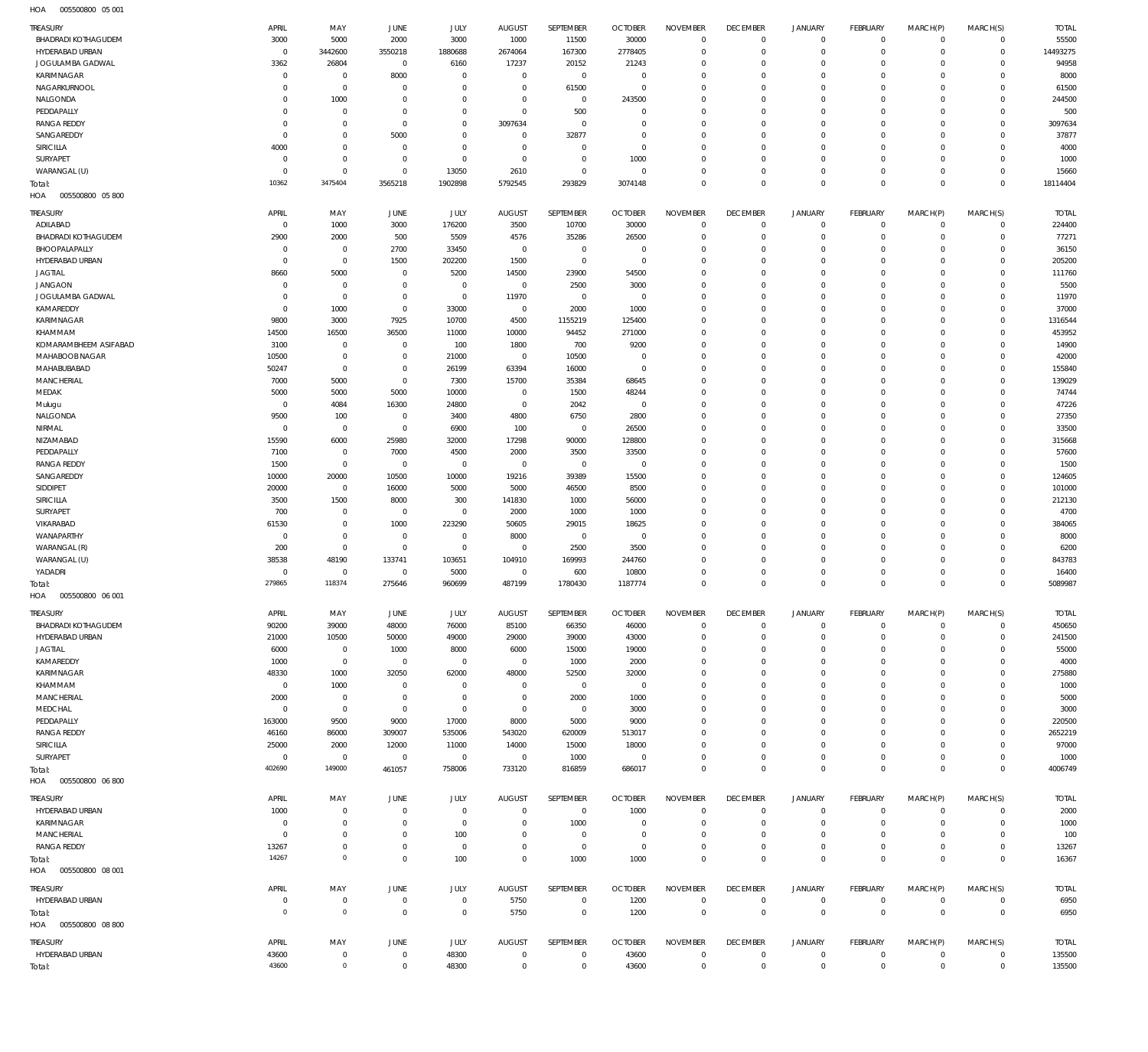| HOA<br>005500800 05 001    |                |                      |                |             |                |                |                |                 |                 |                |                 |                |                |              |
|----------------------------|----------------|----------------------|----------------|-------------|----------------|----------------|----------------|-----------------|-----------------|----------------|-----------------|----------------|----------------|--------------|
| TREASURY                   | APRIL          | MAY                  | JUNE           | <b>JULY</b> | <b>AUGUST</b>  | SEPTEMBER      | <b>OCTOBER</b> | <b>NOVEMBER</b> | <b>DECEMBER</b> | <b>JANUARY</b> | <b>FEBRUARY</b> | MARCH(P)       | MARCH(S)       | <b>TOTAL</b> |
| BHADRADI KOTHAGUDEM        | 3000           | 5000                 | 2000           | 3000        | 1000           | 11500          | 30000          | $\overline{0}$  | $\overline{0}$  | $\circ$        | $\circ$         | $^{\circ}$     | $\circ$        | 55500        |
| HYDERABAD URBAN            | $^{\circ}$     | 3442600              | 3550218        | 1880688     | 2674064        | 167300         | 2778405        | $\mathbf 0$     | $\overline{0}$  | $\overline{0}$ | $\mathbf 0$     | $^{\circ}$     | $\mathbf 0$    | 14493275     |
| JOGULAMBA GADWAL           | 3362           | 26804                | $\mathbf 0$    | 6160        | 17237          | 20152          | 21243          | $\Omega$        | $\mathbf{0}$    | $\mathbf 0$    | $\mathbf{0}$    | $\Omega$       | $\mathbf 0$    | 94958        |
| KARIMNAGAR                 | $^{\circ}$     | $\mathbf 0$          | 8000           | $\mathbf 0$ | $\mathbf 0$    | $\mathbf{0}$   | $\overline{0}$ | $\mathbf 0$     | $\mathbf{0}$    | $\mathbf 0$    | $\mathbf 0$     | $\Omega$       | $\Omega$       | 8000         |
| NAGARKURNOOL               | 0              | $\mathbf 0$          | $^{\circ}$     | $\mathbf 0$ | $\mathbf 0$    | 61500          | $\overline{0}$ | $\Omega$        | $\mathbf 0$     | $\mathbf 0$    | $\mathbf{0}$    | $\Omega$       | $\Omega$       | 61500        |
|                            |                |                      |                |             |                |                |                | $\Omega$        |                 |                |                 |                | $\Omega$       |              |
| NALGONDA                   | 0              | 1000                 | $\mathbf 0$    | $\mathbf 0$ | $\mathbf 0$    | $\mathbf 0$    | 243500         |                 | $\mathbf 0$     | $\mathbf 0$    | $\mathbf 0$     | $\Omega$       |                | 244500       |
| PEDDAPALLY                 | $\Omega$       | $\mathbf 0$          | $^{\circ}$     | $\mathbf 0$ | $\mathbf 0$    | 500            | $^{\circ}$     | $\Omega$        | $\mathbf 0$     | $\mathbf 0$    | $\mathbf{0}$    | $\Omega$       | $\Omega$       | 500          |
| <b>RANGA REDDY</b>         | $^{\circ}$     | $\mathbf 0$          | $^{\circ}$     | $\mathbf 0$ | 3097634        | $\mathbf 0$    | $\overline{0}$ | $\Omega$        | $\mathbf 0$     | $\mathbf 0$    | $\mathbf 0$     | $\Omega$       | $\Omega$       | 3097634      |
| SANGAREDDY                 | $^{\circ}$     | $\mathbf 0$          | 5000           | $\mathbf 0$ | $\mathbf 0$    | 32877          | $\overline{0}$ | $\Omega$        | $\mathbf 0$     | $\mathbf 0$    | $\mathbf{0}$    | $\Omega$       | $\Omega$       | 37877        |
| SIRICILLA                  | 4000           | $\mathbf 0$          | $\mathbf 0$    | $\mathbf 0$ | $\mathbf 0$    | $\mathbf 0$    | $\overline{0}$ | $\Omega$        | $\mathbf 0$     | $\mathbf 0$    | $\mathbf 0$     | $\Omega$       | $\Omega$       | 4000         |
| SURYAPET                   | $^{\circ}$     | $\mathbf 0$          | $\mathbf 0$    | $\mathbf 0$ | $\mathbf 0$    | $\mathbf 0$    | 1000           | $\Omega$        | $\mathbf 0$     | $\mathbf 0$    | $\mathbf 0$     | $\Omega$       | $\Omega$       | 1000         |
| WARANGAL (U)               | $\Omega$       | $\mathbf 0$          | $^{\circ}$     | 13050       | 2610           | $\mathbf 0$    | $^{\circ}$     | $\Omega$        | $\mathbf 0$     | $\mathbf 0$    | $\mathbf 0$     | $\Omega$       | $\Omega$       | 15660        |
| Total:                     | 10362          | 3475404              | 3565218        | 1902898     | 5792545        | 293829         | 3074148        | $\Omega$        | $\overline{0}$  | $\mathbf 0$    | $\mathbf 0$     | $\Omega$       | $\mathbf 0$    | 18114404     |
| HOA<br>005500800 05 800    |                |                      |                |             |                |                |                |                 |                 |                |                 |                |                |              |
|                            |                |                      |                |             |                |                |                |                 |                 |                |                 |                |                |              |
| TREASURY                   | APRIL          | MAY                  | JUNE           | JULY        | <b>AUGUST</b>  | SEPTEMBER      | <b>OCTOBER</b> | <b>NOVEMBER</b> | <b>DECEMBER</b> | <b>JANUARY</b> | <b>FEBRUARY</b> | MARCH(P)       | MARCH(S)       | <b>TOTAL</b> |
| ADILABAD                   | $\overline{0}$ | 1000                 | 3000           | 176200      | 3500           | 10700          | 30000          | $\mathbf 0$     | $\mathbf 0$     | $\mathsf 0$    | $\circ$         | $\circ$        | $\Omega$       | 224400       |
| BHADRADI KOTHAGUDEM        | 2900           | 2000                 | 500            | 5509        | 4576           | 35286          | 26500          | $\mathbf 0$     | $\overline{0}$  | $\overline{0}$ | $\mathbb O$     | $^{\circ}$     | $\mathbf 0$    | 77271        |
| BHOOPALAPALLY              | C              | $\mathbf 0$          | 2700           | 33450       | $\mathbf 0$    | $\overline{0}$ | $\overline{0}$ | $\mathbf 0$     | $\mathbf 0$     | $\mathbf 0$    | $\mathbf 0$     | $\Omega$       | $\Omega$       | 36150        |
| HYDERABAD URBAN            | $^{\circ}$     | $\mathbf 0$          | 1500           | 202200      | 1500           | $\mathbf 0$    | $\overline{0}$ | $\mathbf 0$     | $\mathbf 0$     | $\mathbf 0$    | $\mathbf 0$     | $\Omega$       | $\Omega$       | 205200       |
| <b>JAGTIAL</b>             | 8660           | 5000                 | $\mathbf 0$    | 5200        | 14500          | 23900          | 54500          | $\mathbf 0$     | $\mathbf 0$     | $\mathbf 0$    | $\mathbf{0}$    | $\Omega$       | $\Omega$       | 111760       |
| <b>JANGAON</b>             | $\overline{0}$ | $\mathbf 0$          | $\mathbf 0$    | $\mathbb O$ | $\overline{0}$ | 2500           | 3000           | $\mathbf 0$     | $\mathbf{0}$    | $\mathbf 0$    | $\mathbf 0$     | $\Omega$       | $\Omega$       | 5500         |
| JOGULAMBA GADWAL           | $\overline{0}$ | $\mathbf 0$          | $\mathbf 0$    | $\mathbf 0$ | 11970          | $\,0\,$        | $\overline{0}$ | $\mathbf 0$     | $\mathbf{0}$    | $\mathbf 0$    | $\mathbf 0$     | $\Omega$       | $\Omega$       | 11970        |
| KAMAREDDY                  | $\overline{0}$ | 1000                 | $\mathbf 0$    | 33000       | $\mathbf 0$    | 2000           | 1000           | $\Omega$        | $\mathbf 0$     | $\mathbf 0$    | $\mathbf 0$     | $\Omega$       | $\Omega$       | 37000        |
| KARIMNAGAR                 | 9800           | 3000                 | 7925           | 10700       | 4500           | 1155219        | 125400         | $\mathbf 0$     | $\mathbf{0}$    | $\mathbf 0$    | $\mathbf 0$     | $\Omega$       | $\Omega$       | 1316544      |
|                            |                |                      | 36500          |             |                |                |                | $\mathbf 0$     | $\mathbf 0$     | $\mathbf 0$    | $\mathbf{0}$    | $\Omega$       | $\Omega$       | 453952       |
| KHAMMAM                    | 14500          | 16500<br>$\mathbf 0$ |                | 11000       | 10000          | 94452          | 271000         | $\mathbf 0$     | $\mathbf{0}$    | $\mathbf 0$    | $\mathbf 0$     | $\Omega$       | $\Omega$       | 14900        |
| KOMARAMBHEEM ASIFABAD      | 3100           |                      | 0              | 100         | 1800           | 700            | 9200           |                 |                 |                |                 |                |                |              |
| MAHABOOB NAGAR             | 10500          | $\mathbf 0$          | $\mathbf 0$    | 21000       | $\overline{0}$ | 10500          | $\overline{0}$ | $\mathbf 0$     | $\mathbf 0$     | $\mathbf 0$    | $\mathbf{0}$    | $\Omega$       | $\Omega$       | 42000        |
| MAHABUBABAD                | 50247          | $\mathbf 0$          | $\mathbf 0$    | 26199       | 63394          | 16000          | $\overline{0}$ | $\mathbf 0$     | $\mathbf{0}$    | $\mathbf 0$    | $\mathbf 0$     | $\Omega$       | $\Omega$       | 155840       |
| <b>MANCHERIAL</b>          | 7000           | 5000                 | $\mathbf 0$    | 7300        | 15700          | 35384          | 68645          | $\mathbf 0$     | $\mathbf{0}$    | $\mathbf 0$    | $\mathbf{0}$    | $\Omega$       | $\Omega$       | 139029       |
| MEDAK                      | 5000           | 5000                 | 5000           | 10000       | 0              | 1500           | 48244          | $\Omega$        | $\mathbf 0$     | $\mathbf 0$    | $\mathbf 0$     | $\Omega$       | $\Omega$       | 74744        |
| Mulugu                     | $^{\circ}$     | 4084                 | 16300          | 24800       | $\mathbf 0$    | 2042           | $\overline{0}$ | $\mathbf 0$     | $\mathbf{0}$    | $\mathbf 0$    | $\mathbf 0$     | $\Omega$       | $\Omega$       | 47226        |
| NALGONDA                   | 9500           | 100                  | $\circ$        | 3400        | 4800           | 6750           | 2800           | $\mathbf 0$     | $\mathbf 0$     | $\mathbf 0$    | $\mathbf 0$     | $\Omega$       | $\Omega$       | 27350        |
| NIRMAL                     | $\mathbf 0$    | $\mathbf 0$          | $\overline{0}$ | 6900        | 100            | $\,0\,$        | 26500          | $\mathbf 0$     | $\mathbf 0$     | $\mathbf 0$    | $\mathbf 0$     | $\Omega$       | $\Omega$       | 33500        |
| NIZAMABAD                  | 15590          | 6000                 | 25980          | 32000       | 17298          | 90000          | 128800         | $\mathbf 0$     | $\mathbf 0$     | $\mathbf 0$    | $\mathbf 0$     | $\Omega$       | $\Omega$       | 315668       |
| PEDDAPALLY                 | 7100           | $\mathbf 0$          | 7000           | 4500        | 2000           | 3500           | 33500          | $\mathbf 0$     | $\mathbf 0$     | $\mathbf 0$    | $\mathbf 0$     | $\Omega$       | $\Omega$       | 57600        |
| <b>RANGA REDDY</b>         | 1500           | $\mathbf 0$          | $\mathbf 0$    | $\mathbf 0$ | $\mathbf 0$    | $\,0\,$        | $\overline{0}$ | $\mathbf 0$     | $\mathbf 0$     | $\mathbf 0$    | $\mathbf 0$     | $\Omega$       | $\Omega$       | 1500         |
| SANGAREDDY                 | 10000          | 20000                | 10500          | 10000       | 19216          | 39389          | 15500          | $\mathbf 0$     | $\mathbf{0}$    | $\mathbf 0$    | $\mathbf 0$     | $\Omega$       | $\Omega$       | 124605       |
| SIDDIPET                   | 20000          | $\mathbf 0$          | 16000          | 5000        | 5000           | 46500          | 8500           | $\mathbf 0$     | $\mathbf{0}$    | $\mathbf 0$    | $\mathbf 0$     | $\Omega$       | $\Omega$       | 101000       |
|                            |                |                      |                |             |                |                |                | $\Omega$        | $\mathbf 0$     | $\mathbf 0$    |                 | $\Omega$       | $\Omega$       |              |
| SIRICILLA                  | 3500           | 1500                 | 8000           | 300         | 141830         | 1000           | 56000          |                 |                 |                | $\mathbf 0$     |                |                | 212130       |
| SURYAPET                   | 700            | $\mathbf 0$          | $\overline{0}$ | $\mathbb O$ | 2000           | 1000           | 1000           | $\mathbf 0$     | $\mathbf 0$     | $\mathbf 0$    | $\mathbf 0$     | $\Omega$       | $\Omega$       | 4700         |
| VIKARABAD                  | 61530          | $\mathbf 0$          | 1000           | 223290      | 50605          | 29015          | 18625          | $\mathbf 0$     | $\mathbf 0$     | $\mathbf 0$    | $\mathbf{0}$    | $\Omega$       | $\Omega$       | 384065       |
| WANAPARTHY                 | $\mathbf 0$    | $\mathbf 0$          | $\circ$        | $\mathbf 0$ | 8000           | $\,0\,$        | $\overline{0}$ | $\mathbf 0$     | $\mathbf{0}$    | $\mathbf 0$    | $\mathbf 0$     | $\Omega$       | $\Omega$       | 8000         |
| WARANGAL (R)               | 200            | $\mathbf 0$          | $\mathbf 0$    | $\mathbb O$ | $\mathbf 0$    | 2500           | 3500           | $\Omega$        | $\mathbf 0$     | $\mathbf 0$    | $\mathbf{0}$    | $\Omega$       | $\Omega$       | 6200         |
| WARANGAL (U)               | 38538          | 48190                | 133741         | 103651      | 104910         | 169993         | 244760         | $\mathbf 0$     | $\mathbf{0}$    | $\mathbf 0$    | $\mathbf 0$     | $\Omega$       | $\Omega$       | 843783       |
| YADADRI                    | $\overline{0}$ | $\mathbf 0$          | 0              | 5000        | $\mathbf 0$    | 600            | 10800          | $\mathbf 0$     | $\mathbf 0$     | $\mathbf 0$    | $\mathbf{0}$    | $\Omega$       | $\Omega$       | 16400        |
| Total:                     | 279865         | 118374               | 275646         | 960699      | 487199         | 1780430        | 1187774        | $\mathbf 0$     | $\mathbf{0}$    | $\mathbf 0$    | $\mathbb O$     | $\Omega$       | $\overline{0}$ | 5089987      |
| HOA<br>005500800 06 001    |                |                      |                |             |                |                |                |                 |                 |                |                 |                |                |              |
|                            |                |                      |                |             |                |                |                |                 |                 |                |                 |                |                |              |
| TREASURY                   | APRIL          | MAY                  | JUNE           | JULY        | <b>AUGUST</b>  | SEPTEMBER      | <b>OCTOBER</b> | <b>NOVEMBER</b> | <b>DECEMBER</b> | <b>JANUARY</b> | FEBRUARY        | MARCH(P)       | MARCH(S)       | <b>TOTAL</b> |
| <b>BHADRADI KOTHAGUDEM</b> | 90200          | 39000                | 48000          | 76000       | 85100          | 66350          | 46000          | $\mathbf 0$     | $\mathbf 0$     | $\mathsf 0$    | 0               | $^{\circ}$     | $\mathbf 0$    | 450650       |
| HYDERABAD URBAN            | 21000          | 10500                | 50000          | 49000       | 29000          | 39000          | 43000          | $\Omega$        | $\mathbf 0$     | $\overline{0}$ | $\mathbf 0$     | $\Omega$       | $\mathbf 0$    | 241500       |
| <b>JAGTIAL</b>             | 6000           | $\mathbf 0$          | 1000           | 8000        | 6000           | 15000          | 19000          | $\mathbf 0$     | $\mathbf 0$     | $\mathbf 0$    | $\circ$         | $\Omega$       | $\Omega$       | 55000        |
| KAMAREDDY                  | 1000           | $\mathbf 0$          | $\mathbf 0$    | $^{\circ}$  | $\mathbf 0$    | 1000           | 2000           | $\Omega$        | $\mathbf 0$     | $\mathbf 0$    | $^{\circ}$      | $\Omega$       | $\Omega$       | 4000         |
| KARIMNAGAR                 | 48330          | 1000                 | 32050          | 62000       | 48000          | 52500          | 32000          | $\mathbf 0$     | $\mathbf 0$     | $\mathbf 0$    | $\mathbf 0$     | $\Omega$       | $\Omega$       | 275880       |
| KHAMMAM                    | $\mathbf{0}$   | 1000                 | $\mathbf 0$    | $\mathbf 0$ | 0              | $\overline{0}$ | $\overline{0}$ | $\Omega$        | $\mathbf 0$     | 0              | $^{\circ}$      | $\Omega$       | $\Omega$       | 1000         |
| <b>MANCHERIAL</b>          | 2000           | $\mathbf 0$          | $\overline{0}$ | $\mathbf 0$ | $^{\circ}$     | 2000           | 1000           | $\mathbf 0$     | $\mathbf 0$     | $\mathbf 0$    | $\mathbf 0$     | $\Omega$       | $\Omega$       | 5000         |
| MEDCHAL                    | $^{\circ}$     | $\mathbf 0$          | $\mathbb O$    | $\mathbf 0$ | $\mathbf 0$    | $\mathbf 0$    | 3000           | $\Omega$        | $\mathbf 0$     | 0              | $^{\circ}$      | $\Omega$       | $\Omega$       | 3000         |
| PEDDAPALLY                 | 163000         | 9500                 | 9000           | 17000       | 8000           | 5000           | 9000           | $\Omega$        | $\mathbf{0}$    | $\mathbf 0$    | $\mathbf 0$     | $\Omega$       | $\Omega$       | 220500       |
| <b>RANGA REDDY</b>         | 46160          | 86000                | 309007         | 535006      | 543020         | 620009         | 513017         | $\Omega$        | $\mathbf 0$     | 0              | $^{\circ}$      | $\Omega$       | $\Omega$       | 2652219      |
| SIRICILLA                  | 25000          | 2000                 | 12000          | 11000       | 14000          | 15000          | 18000          | $\Omega$        | $\mathbf{0}$    | $\mathbf 0$    | $\mathbf 0$     | $\Omega$       | $\Omega$       | 97000        |
| SURYAPET                   | $\mathbf{0}$   | $\mathbf 0$          | $\mathbb O$    | $\mathbb O$ | $\overline{0}$ | 1000           | $\overline{0}$ | $\mathbf 0$     | $\mathbf 0$     | $\mathbf 0$    | $\mathbb O$     | $\Omega$       | $\mathbf 0$    | 1000         |
| Total:                     | 402690         | 149000               | 461057         | 758006      | 733120         | 816859         | 686017         | $\mathbf 0$     | $\overline{0}$  | $\overline{0}$ | $\mathbf 0$     | $\Omega$       | $\overline{0}$ | 4006749      |
| HOA<br>005500800 06 800    |                |                      |                |             |                |                |                |                 |                 |                |                 |                |                |              |
|                            |                |                      |                |             |                |                |                |                 |                 |                |                 |                |                |              |
| TREASURY                   | APRIL          | MAY                  | JUNE           | <b>JULY</b> | <b>AUGUST</b>  | SEPTEMBER      | <b>OCTOBER</b> | <b>NOVEMBER</b> | <b>DECEMBER</b> | <b>JANUARY</b> | <b>FEBRUARY</b> | MARCH(P)       | MARCH(S)       | <b>TOTAL</b> |
| HYDERABAD URBAN            | 1000           | $\mathbf 0$          | $\mathbf 0$    | $\mathbb O$ | $\overline{0}$ | $\,0\,$        | 1000           | $\overline{0}$  | $\overline{0}$  | $\overline{0}$ | $\mathbb O$     | $^{\circ}$     | $\mathbf 0$    | 2000         |
| KARIMNAGAR                 | $\overline{0}$ | $\mathbf 0$          | $\mathbf 0$    | $\mathbb O$ | 0              | 1000           | $\overline{0}$ | $\mathbf 0$     | $\mathbf 0$     | $\mathsf 0$    | $\mathbb O$     | $\circ$        | $\mathbf 0$    | 1000         |
| MANCHERIAL                 | $^{\circ}$     | $\mathbf 0$          | $\mathbf 0$    | 100         | 0              | $\mathbf 0$    | $\overline{0}$ | $\mathbf 0$     | $\mathbf 0$     | $\circ$        | $\mathbf 0$     | $\circ$        | $\Omega$       | 100          |
| <b>RANGA REDDY</b>         | 13267          | $\mathbf 0$          | $\mathbf 0$    | $\mathbf 0$ | $\mathbf 0$    | $\mathbf 0$    | $\overline{0}$ | $\mathbf 0$     | $\mathbf 0$     | $\mathbf 0$    | $\mathbb O$     | $\circ$        | $\mathbf 0$    | 13267        |
|                            | 14267          | $\circ$              | $\mathbf 0$    | 100         | $\mathbf 0$    | 1000           | 1000           | $\mathbf 0$     | $\overline{0}$  | $\mathbf 0$    | $\,0\,$         | $\mathbf 0$    | $\mathbf 0$    | 16367        |
| Total:                     |                |                      |                |             |                |                |                |                 |                 |                |                 |                |                |              |
| HOA<br>005500800 08 001    |                |                      |                |             |                |                |                |                 |                 |                |                 |                |                |              |
| TREASURY                   | APRIL          | MAY                  | JUNE           | <b>JULY</b> | <b>AUGUST</b>  | SEPTEMBER      | <b>OCTOBER</b> | <b>NOVEMBER</b> | <b>DECEMBER</b> | JANUARY        | FEBRUARY        | MARCH(P)       | MARCH(S)       | <b>TOTAL</b> |
| HYDERABAD URBAN            | 0              | $\mathbf 0$          | $\mathbf 0$    | $\mathbb O$ | 5750           | $\overline{0}$ | 1200           | $\overline{0}$  | $\overline{0}$  | $\mathsf 0$    | $\mathbf 0$     | $\mathbf 0$    | $\mathbf 0$    | 6950         |
| Total:                     | $^{\circ}$     | $\circ$              | $\mathbf 0$    | $\mathbf 0$ | 5750           | $\mathbf 0$    | 1200           | $\overline{0}$  | $\mathbb O$     | $\mathbb O$    | $\,0\,$         | $\mathbf 0$    | $\mathbf 0$    | 6950         |
| 005500800 08 800<br>HOA    |                |                      |                |             |                |                |                |                 |                 |                |                 |                |                |              |
|                            |                |                      |                |             |                |                |                |                 |                 |                |                 |                |                |              |
| TREASURY                   | APRIL          | MAY                  | JUNE           | JULY        | <b>AUGUST</b>  | SEPTEMBER      | <b>OCTOBER</b> | <b>NOVEMBER</b> | <b>DECEMBER</b> | <b>JANUARY</b> | FEBRUARY        | MARCH(P)       | MARCH(S)       | <b>TOTAL</b> |
| HYDERABAD URBAN            | 43600          | $\mathbf 0$          | $\mathbb O$    | 48300       | $\mathbf 0$    | $\mathbf 0$    | 43600          | $\overline{0}$  | $\overline{0}$  | $\overline{0}$ | $\mathbb O$     | $\mathbf 0$    | $\mathbf 0$    | 135500       |
| Total:                     | 43600          | $\mathsf{O}\xspace$  | $\mathbf 0$    | 48300       | $\mathbf 0$    | $\bf 0$        | 43600          | $\overline{0}$  | $\mathbf 0$     | $\overline{0}$ | $\,0\,$         | $\overline{0}$ | $\,0\,$        | 135500       |
|                            |                |                      |                |             |                |                |                |                 |                 |                |                 |                |                |              |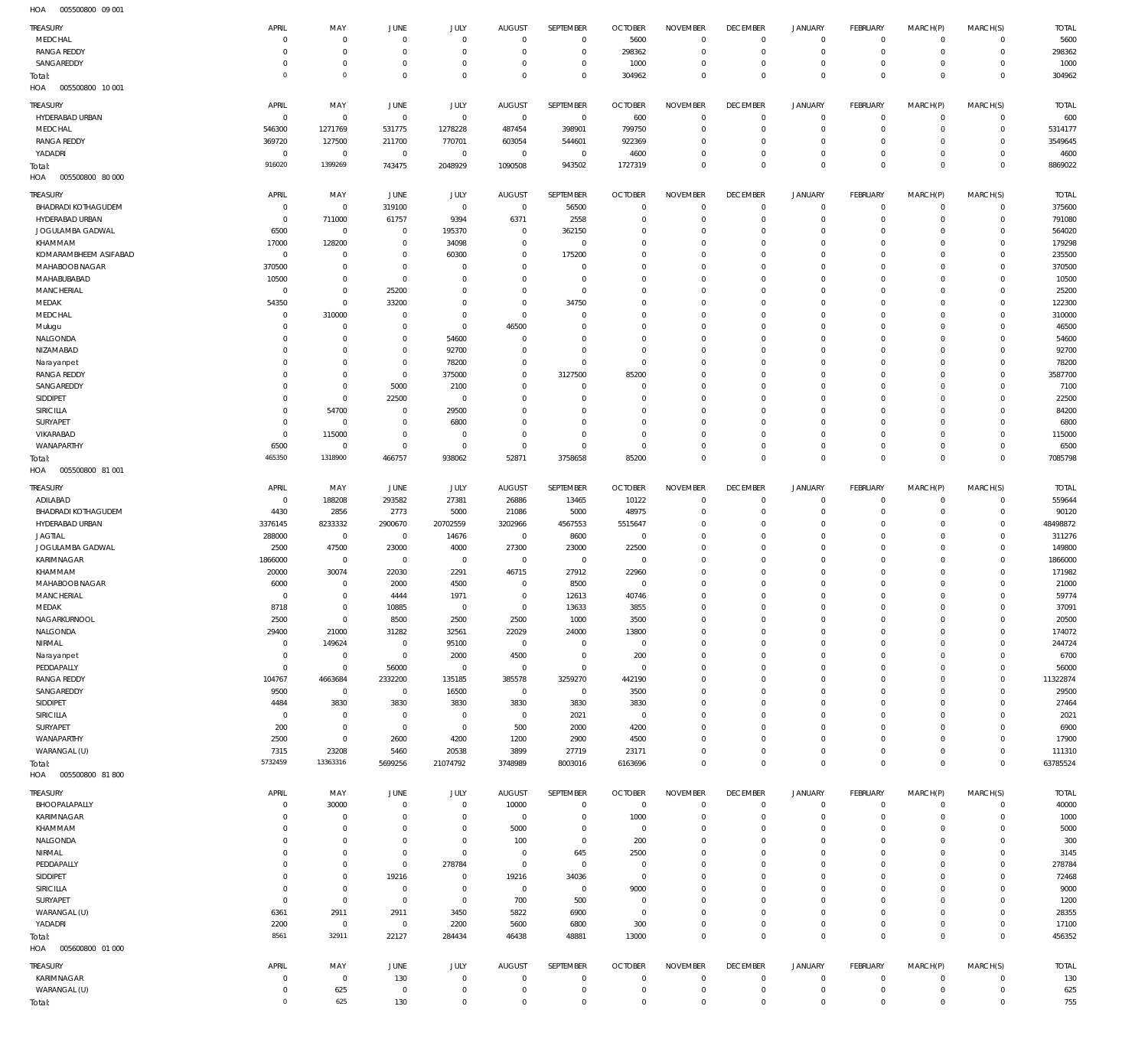005500800 09 001 HOA

| <b>TREASURY</b><br>MEDCHAL                    | APRIL<br>$^{\circ}$              | MAY<br>$\mathbf 0$         | JUNE<br>$\circ$            | <b>JULY</b><br>$\mathbf 0$ | <b>AUGUST</b><br>$\mathbf 0$ | SEPTEMBER<br>$\overline{0}$ | <b>OCTOBER</b><br>5600           | <b>NOVEMBER</b><br>$\mathbf 0$ | <b>DECEMBER</b><br>$\overline{0}$ | <b>JANUARY</b><br>0        | FEBRUARY<br>$\circ$                | MARCH(P)<br>$\Omega$   | MARCH(S)<br>$\mathbf 0$    | <b>TOTAL</b><br>5600  |
|-----------------------------------------------|----------------------------------|----------------------------|----------------------------|----------------------------|------------------------------|-----------------------------|----------------------------------|--------------------------------|-----------------------------------|----------------------------|------------------------------------|------------------------|----------------------------|-----------------------|
| <b>RANGA REDDY</b>                            | $\Omega$                         | $\mathbf 0$                | $^{\circ}$                 | $\mathbb O$                | $\mathbf 0$                  | $\bf 0$                     | 298362                           | $\mathbf 0$                    | $\overline{0}$                    | $\mathbf 0$                | $\mathbf 0$                        | $\Omega$               | $\mathbf 0$                | 298362                |
| SANGAREDDY                                    | 0<br>$^{\circ}$                  | $\mathbf 0$<br>$\circ$     | $^{\circ}$                 | $\mathbf 0$                | $\mathbf 0$                  | $\mathbf 0$                 | 1000                             | $\mathbf 0$                    | $\overline{0}$                    | $^{\circ}$                 | $\mathbf 0$                        | $\Omega$               | $\mathbf 0$                | 1000                  |
| Total:<br>HOA<br>005500800 10 001             |                                  |                            | $\mathbf 0$                | $\mathbf 0$                | $\mathbf 0$                  | $\mathbf 0$                 | 304962                           | $\mathbf 0$                    | $\overline{0}$                    | $\mathbf 0$                | $\mathbf 0$                        | $\Omega$               | $\mathbf 0$                | 304962                |
| <b>TREASURY</b>                               | APRIL                            | MAY                        | <b>JUNE</b>                | <b>JULY</b>                | <b>AUGUST</b>                | SEPTEMBER                   | <b>OCTOBER</b>                   | <b>NOVEMBER</b>                | <b>DECEMBER</b>                   | <b>JANUARY</b>             | FEBRUARY                           | MARCH(P)               | MARCH(S)                   | <b>TOTAL</b>          |
| HYDERABAD URBAN<br>MEDCHAL                    | $\mathbf 0$<br>546300            | $\mathbf 0$<br>1271769     | $\mathbf 0$<br>531775      | $\mathbf 0$<br>1278228     | $\mathbf 0$<br>487454        | $\,0\,$<br>398901           | 600<br>799750                    | $\Omega$<br>$\mathbf 0$        | $\mathbf{0}$<br>$\overline{0}$    | $^{\circ}$<br>$\mathbf 0$  | $\mathbf 0$<br>$\mathbf 0$         | $\Omega$<br>$\Omega$   | $\mathbf 0$<br>$\mathbf 0$ | 600<br>5314177        |
| <b>RANGA REDDY</b>                            | 369720                           | 127500                     | 211700                     | 770701                     | 603054                       | 544601                      | 922369                           | $\mathbf 0$                    | $\mathbf{0}$                      | $\circ$                    | $\mathbf 0$                        | $\Omega$               | $\mathbf 0$                | 3549645               |
| YADADRI                                       | $\overline{0}$                   | $\mathbf 0$                | $\mathbb O$                | $\mathbb O$                | $\mathbf 0$                  | $\overline{0}$              | 4600                             | $\mathbf 0$                    | $\overline{0}$                    | $\mathbf 0$                | $\mathbf 0$                        | $\Omega$               | $\mathbf 0$                | 4600                  |
| Total:                                        | 916020                           | 1399269                    | 743475                     | 2048929                    | 1090508                      | 943502                      | 1727319                          | $\Omega$                       | $\mathbf{0}$                      | $\mathbf 0$                | $\mathbf 0$                        | $\Omega$               | $\mathbf 0$                | 8869022               |
| HOA<br>005500800 80 000                       |                                  |                            |                            |                            |                              |                             |                                  |                                |                                   |                            |                                    |                        |                            |                       |
| <b>TREASURY</b>                               | APRIL                            | MAY                        | JUNE                       | <b>JULY</b>                | <b>AUGUST</b>                | SEPTEMBER                   | <b>OCTOBER</b>                   | <b>NOVEMBER</b>                | <b>DECEMBER</b>                   | JANUARY                    | FEBRUARY                           | MARCH(P)               | MARCH(S)                   | <b>TOTAL</b>          |
| <b>BHADRADI KOTHAGUDEM</b><br>HYDERABAD URBAN | $\overline{0}$<br>$\overline{0}$ | $\mathbf 0$<br>711000      | 319100<br>61757            | $\mathbb O$<br>9394        | $\mathbf 0$<br>6371          | 56500<br>2558               | $\overline{0}$<br>$\overline{0}$ | $\mathbf{0}$<br>$\mathbf 0$    | $\overline{0}$<br>$\overline{0}$  | 0<br>$^{\circ}$            | $\mathbf 0$<br>$\mathbf 0$         | $\Omega$<br>$\Omega$   | $\mathbf 0$<br>$\mathbf 0$ | 375600<br>791080      |
| JOGULAMBA GADWAL                              | 6500                             | $\mathbf 0$                | $\mathbf 0$                | 195370                     | $\bf 0$                      | 362150                      | $\overline{0}$                   | $\mathbf 0$                    | $\mathbf{0}$                      | $\circ$                    | $\mathbf 0$                        | $\Omega$               | $\mathbf 0$                | 564020                |
| KHAMMAM                                       | 17000                            | 128200                     | $\mathbf 0$                | 34098                      | $\mathbf 0$                  | $\overline{0}$              | $\overline{0}$                   | $\mathbf 0$                    | $\mathbf{0}$                      | $^{\circ}$                 | $\mathbf 0$                        | $\Omega$               | $\mathbf 0$                | 179298                |
| KOMARAMBHEEM ASIFABAD                         | $\overline{0}$                   | $\mathbf 0$                | $^{\circ}$                 | 60300                      | $\mathbf 0$                  | 175200                      | $\overline{0}$                   | $\mathbf 0$                    | $\mathbf{0}$                      | $\circ$                    | $\mathbf 0$                        | $\Omega$               | $\mathbf 0$                | 235500                |
| MAHABOOB NAGAR                                | 370500                           | $\mathbf 0$                | $^{\circ}$                 | $\mathbf 0$                | $\mathbf 0$                  | $\mathbf 0$                 | $\overline{0}$                   | $\mathbf 0$                    | $\mathbf{0}$                      | $^{\circ}$                 | $\mathbf 0$                        | $\Omega$               | $\mathbf 0$                | 370500                |
| MAHABUBABAD<br>MANCHERIAL                     | 10500<br>$\overline{0}$          | $\mathbf 0$<br>$\mathbf 0$ | $\mathbf 0$<br>25200       | $\mathbf 0$<br>$\mathbf 0$ | $\mathbf 0$<br>$\mathbf 0$   | $\mathbf 0$<br>$\mathbf 0$  | $\overline{0}$<br>$\overline{0}$ | $\Omega$<br>$\mathbf 0$        | $\mathbf{0}$<br>$\mathbf{0}$      | $^{\circ}$<br>$^{\circ}$   | $\mathbf 0$<br>$\mathbf 0$         | $\Omega$<br>$\Omega$   | $\mathbf 0$<br>$\mathbf 0$ | 10500<br>25200        |
| MEDAK                                         | 54350                            | $\mathbf 0$                | 33200                      | $\mathbf 0$                | $\mathbf 0$                  | 34750                       | $\overline{0}$                   | $\Omega$                       | $\mathbf{0}$                      | $^{\circ}$                 | $\mathbf 0$                        | $\Omega$               | $\mathbf 0$                | 122300                |
| MEDCHAL                                       | $\overline{0}$                   | 310000                     | $\mathbf 0$                | $\mathbb O$                | $\mathbf 0$                  | $\mathbf 0$                 | $\overline{0}$                   | $\mathbf 0$                    | $\mathbf{0}$                      | $^{\circ}$                 | $\mathbf 0$                        | $\Omega$               | $\mathbf 0$                | 310000                |
| Mulugu                                        | $\Omega$                         | $\mathbf 0$                | $^{\circ}$                 | $\mathbf 0$                | 46500                        | $\mathbf 0$                 | $\overline{0}$                   | $\Omega$                       | $\mathbf{0}$                      | $^{\circ}$                 | $\mathbf 0$                        |                        | $\Omega$                   | 46500                 |
| NALGONDA                                      | $\Omega$                         | $\mathbf 0$                | $\mathbf 0$                | 54600                      | $\mathbf 0$                  | $\mathbf 0$                 | $\overline{0}$                   | $\mathbf 0$                    | $\mathbf{0}$                      | $^{\circ}$                 | $\mathbf 0$                        | $\Omega$               | $\mathbf 0$                | 54600                 |
| NIZAMABAD<br>Narayanpet                       | $\Omega$<br>$\Omega$             | $\mathbf 0$<br>$\mathbf 0$ | $\mathbf 0$<br>$\mathbf 0$ | 92700<br>78200             | $\mathbf 0$<br>$\mathbf 0$   | $\mathbf 0$<br>$\bf 0$      | $\overline{0}$<br>$\overline{0}$ | $\Omega$<br>$\mathbf 0$        | $\mathbf{0}$<br>$\mathbf{0}$      | $^{\circ}$<br>$^{\circ}$   | $\mathbf 0$<br>$\Omega$            | $\Omega$               | $\mathbf 0$<br>$\mathbf 0$ | 92700<br>78200        |
| <b>RANGA REDDY</b>                            | $\Omega$                         | $\mathbf 0$                | $\mathbb O$                | 375000                     | $\bf 0$                      | 3127500                     | 85200                            | $\mathbf 0$                    | $\mathbf{0}$                      | $^{\circ}$                 | $\mathbf 0$                        |                        | $\mathbf 0$                | 3587700               |
| SANGAREDDY                                    | $\Omega$                         | $\mathbf 0$                | 5000                       | 2100                       | $\mathbf 0$                  | $\mathbf 0$                 | $\overline{0}$                   | $\mathbf 0$                    | $\mathbf{0}$                      | $^{\circ}$                 | $\mathbf 0$                        | $\Omega$               | $\Omega$                   | 7100                  |
| SIDDIPET                                      | 0                                | $\mathbf 0$                | 22500                      | $\mathbf 0$                | $\mathbf 0$                  | $\mathbf 0$                 | $\overline{0}$                   | $\mathbf 0$                    | $\mathbf{0}$                      | $^{\circ}$                 | $\mathbf 0$                        |                        | $\mathbf 0$                | 22500                 |
| SIRICILLA                                     | $\Omega$                         | 54700                      | $\mathbf 0$                | 29500                      | $\mathbf 0$                  | $\mathbf 0$                 | $\overline{0}$                   | $\mathbf 0$                    | $\mathbf{0}$                      | $\Omega$                   | $\Omega$                           | $\Omega$               | $\mathbf 0$                | 84200                 |
| SURYAPET<br>VIKARABAD                         | $\mathbf 0$<br>$\overline{0}$    | $\mathbf 0$<br>115000      | $\mathbf 0$<br>$\mathbf 0$ | 6800<br>$\mathbf 0$        | $\mathbf 0$<br>$\mathbf 0$   | $\mathbf 0$<br>$\mathbf 0$  | $\overline{0}$<br>$\overline{0}$ | $\mathbf 0$<br>$\mathbf 0$     | $\mathbf{0}$<br>$\mathbf{0}$      | $^{\circ}$<br>$\circ$      | $\mathbf 0$<br>$\mathbf 0$         | $\Omega$               | $\mathbf 0$<br>$\mathbf 0$ | 6800<br>115000        |
| WANAPARTHY                                    | 6500                             | $\mathbf 0$                | $\mathbf 0$                | $\mathbb O$                | $\mathbf 0$                  | $\mathbf 0$                 | $\overline{0}$                   | $\mathbf 0$                    | $\overline{0}$                    | 0                          | $\mathbf 0$                        | $\Omega$               | $\mathbf 0$                | 6500                  |
| Total:                                        | 465350                           | 1318900                    | 466757                     | 938062                     | 52871                        | 3758658                     | 85200                            | $\mathbf 0$                    | $\mathbb O$                       | $\mathbf 0$                | $\mathbb O$                        | $\Omega$               | $\mathbf 0$                | 7085798               |
| HOA<br>005500800 81 001                       |                                  |                            |                            |                            |                              |                             |                                  |                                |                                   |                            |                                    |                        |                            |                       |
| <b>TREASURY</b>                               | APRIL                            | MAY                        | <b>JUNE</b>                | JULY                       | <b>AUGUST</b>                | SEPTEMBER                   | <b>OCTOBER</b>                   | <b>NOVEMBER</b>                | <b>DECEMBER</b>                   | <b>JANUARY</b>             | FEBRUARY                           | MARCH(P)               | MARCH(S)                   | <b>TOTAL</b>          |
| ADILABAD                                      | $\overline{0}$                   | 188208                     | 293582                     | 27381                      | 26886                        | 13465                       | 10122                            | $\mathbf 0$                    | $\mathbf{0}$                      | $^{\circ}$                 | $\mathbf 0$                        | $\Omega$               | $\mathbf 0$                | 559644                |
| <b>BHADRADI KOTHAGUDEM</b>                    | 4430                             | 2856                       | 2773                       | 5000                       | 21086                        | 5000                        | 48975                            | $\mathbf 0$                    | $\overline{0}$                    | $\mathbf 0$                | $\mathbf 0$                        | $\Omega$               | $\mathbf 0$                | 90120                 |
| HYDERABAD URBAN<br><b>JAGTIAL</b>             | 3376145<br>288000                | 8233332<br>$\mathbf 0$     | 2900670<br>$\mathbf 0$     | 20702559<br>14676          | 3202966<br>$\,0\,$           | 4567553<br>8600             | 5515647<br>$\overline{0}$        | $\mathbf 0$<br>$\Omega$        | $\mathbf{0}$<br>$\mathbf{0}$      | $\circ$<br>$\circ$         | $\mathbf 0$<br>$\Omega$            | $\Omega$<br>$\Omega$   | $\mathbf 0$<br>$\Omega$    | 48498872<br>311276    |
| JOGULAMBA GADWAL                              | 2500                             | 47500                      | 23000                      | 4000                       | 27300                        | 23000                       | 22500                            | $\mathbf 0$                    | $\mathbf{0}$                      | $\circ$                    | $\mathbf 0$                        | $\Omega$               | $\mathbf 0$                | 149800                |
| KARIMNAGAR                                    | 1866000                          | $\mathbf 0$                | $\mathbf 0$                | $\mathbf 0$                | 0                            | $\overline{0}$              | $^{\circ}$                       | $\Omega$                       | $\mathbf{0}$                      | $\Omega$                   | $\Omega$                           | $\Omega$               | $\Omega$                   | 1866000               |
| KHAMMAM                                       | 20000                            | 30074                      | 22030                      | 2291                       | 46715                        | 27912                       | 22960                            | $\Omega$                       | $\mathbf{0}$                      | $\circ$                    | $\mathbf 0$                        | $\Omega$               | $\mathbf 0$                | 171982                |
| MAHABOOB NAGAR                                | 6000                             | $\mathbf 0$                | 2000                       | 4500                       | $\mathbf 0$                  | 8500                        | $^{\circ}$                       | $\Omega$                       | $\mathbf{0}$                      | $\Omega$                   | $\Omega$                           |                        |                            |                       |
|                                               |                                  |                            |                            |                            |                              |                             |                                  |                                | $\mathbf{0}$                      |                            |                                    | $\Omega$               | $\Omega$                   | 21000                 |
| MANCHERIAL                                    | $\Omega$                         | $\mathbf 0$                | 4444                       | 1971                       | $\mathbf 0$                  | 12613                       | 40746                            | $\Omega$                       |                                   | $\circ$                    | $\circ$                            | $\Omega$               | $\circ$                    | 59774                 |
| MEDAK<br>NAGARKURNOOL                         | 8718<br>2500                     | $\mathbf 0$<br>$\mathbf 0$ | 10885<br>8500              | $\Omega$<br>2500           | 0<br>2500                    | 13633<br>1000               | 3855<br>3500                     | $\Omega$<br>$\mathbf 0$        | $\mathbf 0$<br>$\mathbf{0}$       | $\mathbb O$<br>$\mathbf 0$ | $\mathsf{O}\xspace$<br>$\mathbf 0$ | $\Omega$<br>$\Omega$   | $\mathbb O$<br>$\Omega$    | 37091<br>20500        |
| NALGONDA                                      | 29400                            | 21000                      | 31282                      | 32561                      | 22029                        | 24000                       | 13800                            | $\mathbf 0$                    | $\overline{0}$                    | $\mathbf 0$                | $\mathbf 0$                        | $\Omega$               | $\Omega$                   | 174072                |
| NIRMAL                                        | $\overline{0}$                   | 149624                     | $\mathbf 0$                | 95100                      | $\overline{0}$               | $^{\circ}$                  | $\overline{0}$                   | $\mathbf 0$                    | $\mathbf{0}$                      | $\circ$                    | $\mathbf 0$                        | $\Omega$               | $\Omega$                   | 244724                |
| Narayanpet                                    | $\overline{0}$                   | $\mathbf 0$                | $\mathbf 0$                | 2000                       | 4500                         | $\mathbf 0$                 | 200                              | $\mathbf 0$                    | $\mathbf{0}$                      | $\circ$                    | $\mathbf 0$                        | $\Omega$               | $\Omega$                   | 6700                  |
| PEDDAPALLY                                    | $\mathbf 0$                      | $\mathbf 0$                | 56000                      | $\mathbb O$                | $\mathbf 0$                  | $\mathbf 0$                 | $\overline{0}$                   | $\Omega$<br>$\mathbf 0$        | $\mathbf{0}$<br>$\mathbf{0}$      | $\circ$                    | $\mathbf 0$<br>$\mathbf 0$         | $\Omega$<br>$\Omega$   | $\Omega$                   | 56000                 |
| <b>RANGA REDDY</b><br>SANGAREDDY              | 104767<br>9500                   | 4663684<br>$\mathbf 0$     | 2332200<br>$\mathbf 0$     | 135185<br>16500            | 385578<br>$\mathbf 0$        | 3259270<br>$\overline{0}$   | 442190<br>3500                   | $\Omega$                       | $\mathbf{0}$                      | $\circ$<br>$\circ$         | $\mathbf 0$                        | $\Omega$               | $\mathbf 0$<br>$\Omega$    | 11322874<br>29500     |
| SIDDIPET                                      | 4484                             | 3830                       | 3830                       | 3830                       | 3830                         | 3830                        | 3830                             | $\mathbf 0$                    | $\overline{0}$                    | $\circ$                    | $\mathbf 0$                        | $\Omega$               | $\circ$                    | 27464                 |
| SIRICILLA                                     | $\mathbf 0$                      | $\mathbf 0$                | $\mathbf 0$                | $\mathbf 0$                | $\mathbf 0$                  | 2021                        | $\overline{0}$                   | $\Omega$                       | $\mathbf 0$                       | $^{\circ}$                 | $\mathbf 0$                        |                        | $\Omega$                   | 2021                  |
| SURYAPET                                      | 200                              | $\mathbf 0$                | $\,0\,$                    | $\mathbb O$                | 500                          | 2000                        | 4200                             | $\mathbf 0$                    | $\overline{0}$                    | $\circ$                    | $\mathbf 0$                        | $\Omega$<br>$\Omega$   | $\Omega$                   | 6900                  |
| WANAPARTHY<br>WARANGAL (U)                    | 2500<br>7315                     | $\mathbf 0$<br>23208       | 2600<br>5460               | 4200<br>20538              | 1200<br>3899                 | 2900<br>27719               | 4500<br>23171                    | $\Omega$<br>$\mathbf 0$        | $\mathbf 0$<br>$\overline{0}$     | $\circ$<br>$\mathbf 0$     | $\mathbf 0$<br>$\mathbf 0$         | $\Omega$               | $\Omega$<br>$\mathbf 0$    | 17900<br>111310       |
| Total:<br>HOA   005500800   81 800            | 5732459                          | 13363316                   | 5699256                    | 21074792                   | 3748989                      | 8003016                     | 6163696                          | $\mathbf 0$                    | $\mathbb O$                       | $\mathbf 0$                | $\mathbf 0$                        | $\Omega$               | $\mathbf 0$                | 63785524              |
|                                               |                                  |                            |                            |                            |                              |                             |                                  |                                |                                   |                            |                                    |                        |                            |                       |
| <b>TREASURY</b><br>BHOOPALAPALLY              | APRIL<br>$\overline{0}$          | MAY<br>30000               | JUNE<br>$\mathbf 0$        | <b>JULY</b><br>$\mathbb O$ | <b>AUGUST</b><br>10000       | SEPTEMBER<br>$\overline{0}$ | <b>OCTOBER</b><br>$\overline{0}$ | <b>NOVEMBER</b><br>$\mathbf 0$ | <b>DECEMBER</b><br>$\overline{0}$ | <b>JANUARY</b><br>0        | FEBRUARY<br>$\mathsf{O}\xspace$    | MARCH(P)<br>$\Omega$   | MARCH(S)<br>$\mathbf 0$    | <b>TOTAL</b><br>40000 |
| KARIMNAGAR                                    | $\Omega$                         | $\mathbf 0$                | $\mathbf 0$                | $\mathbb O$                | $\mathbf 0$                  | $\bf 0$                     | 1000                             | $\mathbf 0$                    | $\overline{0}$                    | $\circ$                    | $\mathbf 0$                        | $\Omega$               | $\mathbf 0$                | 1000                  |
| KHAMMAM                                       | 0                                | $\mathbf 0$                | $\mathbf 0$                | $\mathbb O$                | 5000                         | $\bf 0$                     | $\overline{0}$                   | $\mathbf{0}$                   | $\overline{0}$                    | $\circ$                    | $\mathbf 0$                        | $\Omega$               | $\mathbf 0$                | 5000                  |
| NALGONDA                                      | $\Omega$                         | $\mathbf 0$                | $\mathbf 0$                | $\mathbb O$                | 100                          | $\bf 0$                     | 200                              | $\mathbf 0$                    | $\mathbf{0}$                      | $^{\circ}$                 | $\mathbf 0$                        | $\Omega$               | $\mathbf 0$                | 300                   |
| NIRMAL                                        | $\Omega$                         | $\mathbf 0$                | $\mathbf 0$                | $\mathbb O$                | $\overline{0}$               | 645                         | 2500                             | $\mathbf 0$                    | $\mathbf{0}$                      | $\circ$                    | $\mathbf 0$                        | $\Omega$<br>$\Omega$   | $\mathbf 0$                | 3145                  |
| PEDDAPALLY<br>SIDDIPET                        | $\Omega$<br>0                    | $\mathbf 0$<br>$\mathbf 0$ | $\mathbb O$<br>19216       | 278784<br>$\mathbb O$      | $\mathbf 0$<br>19216         | $\mathbf 0$<br>34036        | $\overline{0}$<br>$\overline{0}$ | $\mathbf 0$<br>$\mathbf 0$     | $\mathbf{0}$<br>$\mathbf{0}$      | $^{\circ}$<br>$\circ$      | $\mathbf 0$<br>$\mathbf 0$         | $\Omega$               | $\mathbf 0$<br>$\mathbf 0$ | 278784<br>72468       |
| SIRICILLA                                     | 0                                | $\mathbf 0$                | $\mathbb O$                | $\mathbb O$                | $\mathbf 0$                  | $\,0\,$                     | 9000                             | $\mathbf 0$                    | $\mathbf{0}$                      | $^{\circ}$                 | $\mathbf 0$                        | $\Omega$               | $\mathbf 0$                | 9000                  |
| SURYAPET                                      | $\overline{0}$                   | $\mathbf 0$                | $\mathbb O$                | $\mathbf 0$                | 700                          | 500                         | $\overline{0}$                   | $\mathbf 0$                    | $\mathbf{0}$                      | $\circ$                    | $\mathbf 0$                        | $\Omega$               | $\mathbf 0$                | 1200                  |
| WARANGAL (U)                                  | 6361                             | 2911                       | 2911                       | 3450                       | 5822                         | 6900                        | $\overline{0}$                   | $\mathbf 0$                    | $\overline{0}$                    | $\circ$                    | $\mathbf 0$                        | $\Omega$               | $\mathbf 0$                | 28355                 |
| YADADRI                                       | 2200<br>8561                     | $\mathbf 0$<br>32911       | $\mathbb O$                | 2200                       | 5600                         | 6800                        | 300                              | $\mathbf 0$<br>$\mathbf 0$     | $\overline{0}$                    | $\mathbf 0$                | $\mathbf 0$                        | $\Omega$<br>$^{\circ}$ | $\mathbf 0$                | 17100                 |
| Total:<br>HOA<br>005600800 01 000             |                                  |                            | 22127                      | 284434                     | 46438                        | 48881                       | 13000                            |                                | $\mathbb O$                       | $\mathbf 0$                | $\mathbb O$                        |                        | $\mathbf 0$                | 456352                |
|                                               |                                  |                            |                            |                            |                              |                             |                                  |                                |                                   |                            |                                    |                        |                            |                       |
| TREASURY<br>KARIMNAGAR                        | APRIL<br>$\overline{0}$          | MAY<br>$\mathbf 0$         | JUNE<br>130                | JULY<br>$\mathbf 0$        | <b>AUGUST</b><br>$\mathbf 0$ | SEPTEMBER<br>$\overline{0}$ | <b>OCTOBER</b><br>$\overline{0}$ | <b>NOVEMBER</b><br>$\mathbf 0$ | <b>DECEMBER</b><br>$\overline{0}$ | <b>JANUARY</b><br>$\circ$  | FEBRUARY<br>$\mathbf 0$            | MARCH(P)<br>$\Omega$   | MARCH(S)<br>$\circ$        | <b>TOTAL</b><br>130   |
| WARANGAL (U)                                  | $\overline{0}$<br>$\mathbf 0$    | 625<br>625                 | $\,0\,$<br>130             | $\mathbb O$                | 0                            | $\bf 0$<br>$\mathbf 0$      | $\overline{0}$                   | $\mathbf 0$                    | $\overline{0}$<br>$\mathbf 0$     | $\mathbb O$                | $\mathsf{O}\xspace$                | $\mathbf 0$            | $\mathbf 0$                | 625                   |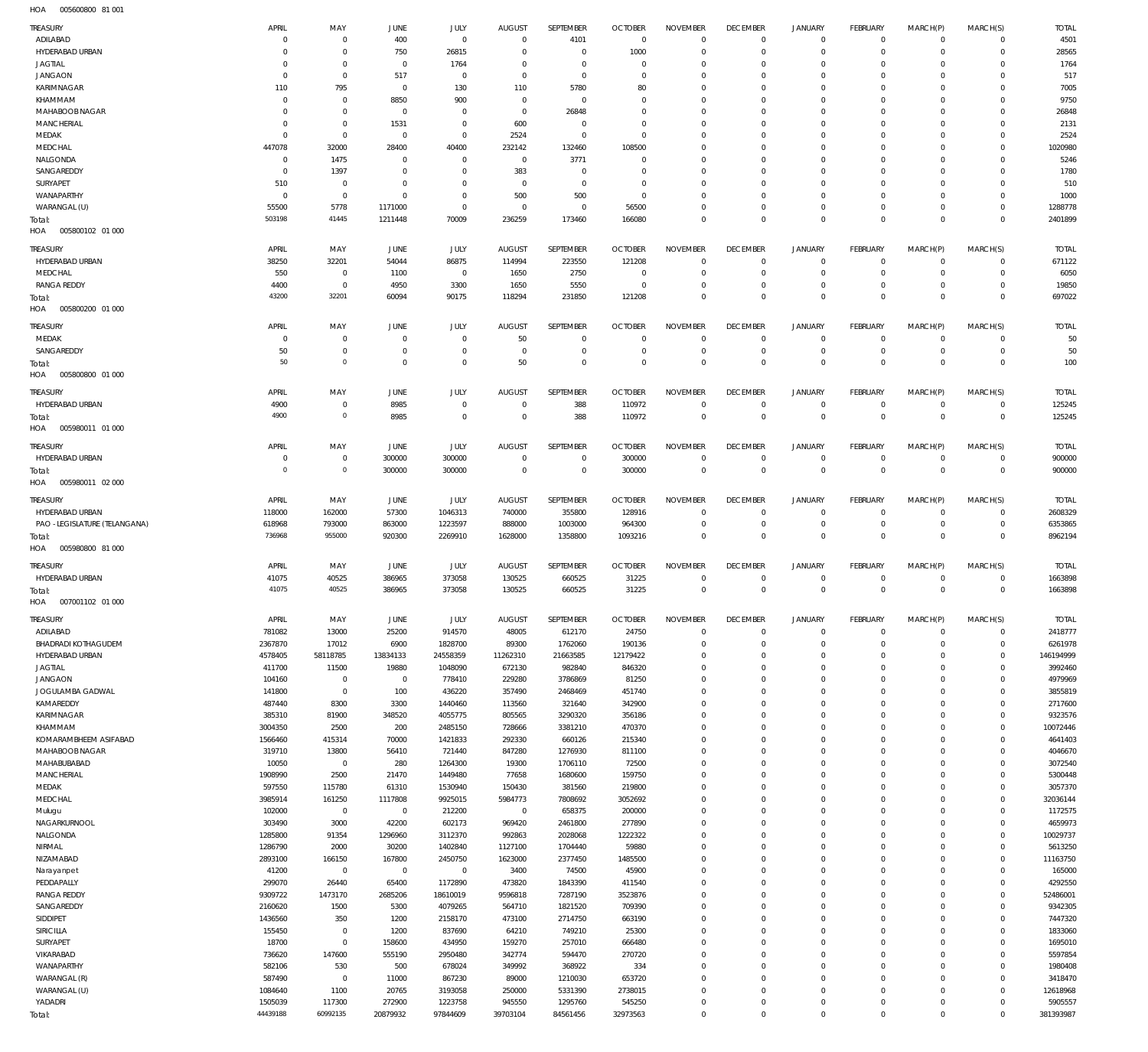005600800 81 001 HOA

| TREASURY                           | APRIL                  | MAY                           | JUNE                       | <b>JULY</b>                | <b>AUGUST</b>                | SEPTEMBER                  | <b>OCTOBER</b>            | <b>NOVEMBER</b>                | <b>DECEMBER</b>                | <b>JANUARY</b>                | FEBRUARY                       | MARCH(P)                   | MARCH(S)                   | <b>TOTAL</b>           |
|------------------------------------|------------------------|-------------------------------|----------------------------|----------------------------|------------------------------|----------------------------|---------------------------|--------------------------------|--------------------------------|-------------------------------|--------------------------------|----------------------------|----------------------------|------------------------|
| ADILABAD                           | 0                      | $\mathbf 0$                   | 400                        | $\mathbb O$                | $\mathbf 0$                  | 4101                       | $\overline{0}$            | $\mathbf 0$                    | $^{\circ}$                     | 0                             | $^{\circ}$                     | $^{\circ}$                 | $\mathbf 0$                | 4501                   |
| HYDERABAD URBAN                    | 0                      | $\mathbf 0$<br>$\mathbf 0$    | 750<br>$\mathbf 0$         | 26815                      | 0                            | $\mathbf 0$<br>$\mathbf 0$ | 1000                      | $^{\circ}$<br>$^{\circ}$       | $^{\circ}$                     | $^{\circ}$<br>$^{\circ}$      | $^{\circ}$                     | $^{\circ}$                 | $\mathbf 0$<br>$\mathbf 0$ | 28565                  |
| <b>JAGTIAL</b><br><b>JANGAON</b>   | 0<br>$\mathbf 0$       | $\mathbf 0$                   | 517                        | 1764<br>$\mathbf 0$        | 0<br>$\mathbf 0$             | $\mathbf 0$                | 0<br>$^{\circ}$           | $\mathbf 0$                    | 0<br>0                         | $\mathbf 0$                   | 0<br>$^{\circ}$                | 0<br>0                     | $\mathbf 0$                | 1764<br>517            |
| KARIMNAGAR                         | 110                    | 795                           | $\mathbf 0$                | 130                        | 110                          | 5780                       | 80                        | $\mathbf 0$                    | 0                              | $\mathbf 0$                   | 0                              | 0                          | $\mathbf 0$                | 7005                   |
| KHAMMAM                            | $\mathbf 0$            | $\mathbf 0$                   | 8850                       | 900                        | $\mathbf 0$                  | $\mathbf 0$                | $^{\circ}$                | $\mathbf 0$                    | 0                              | $\mathbf 0$                   | 0                              | 0                          | $\mathbf 0$                | 9750                   |
| MAHABOOB NAGAR                     | 0                      | $\mathbf 0$                   | $\mathbf 0$                | $\mathbf 0$                | $\mathbf 0$                  | 26848                      | $^{\circ}$                | $\mathbf 0$                    | 0                              | $\mathbf 0$                   | $^{\circ}$                     | $\Omega$                   | $\mathbf 0$                | 26848                  |
| MANCHERIAL                         | 0                      | $\mathbf 0$                   | 1531                       | $\mathbf 0$                | 600                          | $\mathbf 0$                | $^{\circ}$                | $\mathbf 0$                    | 0                              | $\mathbf 0$                   | $^{\circ}$                     | 0                          | $\mathbf 0$                | 2131                   |
| MEDAK<br>MEDCHAL                   | $\mathbf{0}$<br>447078 | $\mathbf 0$<br>32000          | $\mathbf 0$<br>28400       | $\mathbf 0$<br>40400       | 2524<br>232142               | $\mathbf 0$<br>132460      | $^{\circ}$<br>108500      | $\mathbf 0$<br>$\mathbf 0$     | 0<br>0                         | $\mathbf 0$<br>$\mathbf 0$    | $^{\circ}$<br>$^{\circ}$       | 0<br>0                     | $\mathbf 0$<br>$\mathbf 0$ | 2524<br>1020980        |
| NALGONDA                           | $\mathbf 0$            | 1475                          | $^{\circ}$                 | $\mathbf 0$                | $\mathbf 0$                  | 3771                       | $^{\circ}$                | $\mathbf 0$                    | 0                              | $\mathbf 0$                   | $^{\circ}$                     | 0                          | $\mathbf 0$                | 5246                   |
| SANGAREDDY                         | $\mathbf 0$            | 1397                          | $^{\circ}$                 | $\mathbf 0$                | 383                          | $\mathbf 0$                | $^{\circ}$                | $\mathbf 0$                    | 0                              | $\mathbf 0$                   | $^{\circ}$                     | 0                          | $\mathbf 0$                | 1780                   |
| SURYAPET                           | 510                    | $\mathbf 0$                   | $\mathbf 0$                | $\mathbf 0$                | 0                            | $\mathbf 0$                | $^{\circ}$                | $\mathbf 0$                    | 0                              | $\mathbf 0$                   | 0                              | 0                          | $\mathbf 0$                | 510                    |
| WANAPARTHY                         | $^{\circ}$             | $\mathbf 0$                   | $^{\circ}$                 | $\mathbf 0$                | 500                          | 500                        | 0                         | $\mathbf 0$                    | $\mathbf 0$                    | $\mathbf 0$                   | $^{\circ}$                     | 0                          | $\mathbf 0$                | 1000                   |
| WARANGAL (U)                       | 55500<br>503198        | 5778<br>41445                 | 1171000<br>1211448         | $\mathbf 0$<br>70009       | $\mathbf 0$<br>236259        | $\mathbf 0$<br>173460      | 56500<br>166080           | $\mathbf 0$<br>$\mathbf 0$     | $\mathbf 0$<br>$\mathbf 0$     | $\mathbf 0$<br>$\mathbf 0$    | $^{\circ}$<br>$\overline{0}$   | $\mathbf 0$<br>$\mathbf 0$ | $\mathbf 0$<br>$\mathbf 0$ | 1288778<br>2401899     |
| Total:<br>005800102 01 000<br>HOA  |                        |                               |                            |                            |                              |                            |                           |                                |                                |                               |                                |                            |                            |                        |
| TREASURY                           | APRIL                  | MAY                           | JUNE                       | JULY                       | <b>AUGUST</b>                | SEPTEMBER                  | <b>OCTOBER</b>            | <b>NOVEMBER</b>                | <b>DECEMBER</b>                | <b>JANUARY</b>                | <b>FEBRUARY</b>                | MARCH(P)                   | MARCH(S)                   | <b>TOTAL</b>           |
| HYDERABAD URBAN                    | 38250                  | 32201                         | 54044                      | 86875                      | 114994                       | 223550                     | 121208                    | $\mathbf 0$                    | $\mathbf 0$                    | $\mathbf 0$                   | $^{\circ}$                     | $^{\circ}$                 | $\mathbf 0$                | 671122                 |
| MEDCHAL                            | 550                    | $\mathbf 0$                   | 1100                       | $\mathbf{0}$               | 1650                         | 2750                       | - 0                       | $^{\circ}$                     | $^{\circ}$                     | $\mathbf 0$                   | $\mathbf 0$                    | $^{\circ}$                 | $\mathbf 0$                | 6050                   |
| <b>RANGA REDDY</b>                 | 4400                   | $\mathbf 0$                   | 4950                       | 3300                       | 1650                         | 5550                       | - 0                       | $\mathbf 0$                    | $\mathbf 0$                    | $\mathbf 0$                   | $^{\circ}$                     | $\mathbf 0$                | $\mathbf 0$                | 19850                  |
| Total:                             | 43200                  | 32201                         | 60094                      | 90175                      | 118294                       | 231850                     | 121208                    | $\mathbf 0$                    | $\mathbf 0$                    | $\mathbf 0$                   | $\mathbf 0$                    | $\mathbf 0$                | $\mathbf 0$                | 697022                 |
| HOA<br>005800200 01 000            |                        |                               |                            |                            |                              |                            |                           |                                |                                |                               |                                |                            |                            |                        |
| TREASURY                           | APRIL                  | MAY                           | JUNE                       | <b>JULY</b>                | <b>AUGUST</b>                | SEPTEMBER                  | <b>OCTOBER</b>            | <b>NOVEMBER</b>                | <b>DECEMBER</b>                | <b>JANUARY</b>                | <b>FEBRUARY</b>                | MARCH(P)                   | MARCH(S)                   | <b>TOTAL</b>           |
| MEDAK                              | 0                      | $\mathbb O$                   | $^{\circ}$                 | $\mathbf 0$                | 50                           | $\mathbf 0$                | $^{\circ}$                | $^{\circ}$                     | $\overline{0}$                 | $\mathbf 0$                   | $^{\circ}$                     | 0                          | $\mathbf 0$                | 50                     |
| SANGAREDDY                         | 50<br>50               | $\mathbf 0$<br>$\mathbf 0$    | $\mathbf 0$<br>$\mathbf 0$ | $\mathbf 0$<br>$\mathbf 0$ | $\mathbf 0$<br>50            | $\mathbf 0$<br>$\mathbf 0$ | $^{\circ}$<br>$\mathbf 0$ | $\mathbf 0$<br>$\mathbf 0$     | $\mathbf 0$<br>$\mathbf 0$     | $\mathbf 0$<br>$\mathbf 0$    | $\mathbf 0$<br>$\overline{0}$  | $\mathbf 0$<br>$\mathbf 0$ | $\mathbf 0$<br>$\mathbf 0$ | 50<br>100              |
| Total:<br>005800800 01 000<br>HOA  |                        |                               |                            |                            |                              |                            |                           |                                |                                |                               |                                |                            |                            |                        |
|                                    |                        |                               |                            |                            |                              |                            |                           |                                |                                |                               |                                |                            |                            |                        |
| TREASURY<br>HYDERABAD URBAN        | APRIL<br>4900          | MAY<br>$\mathbf 0$            | JUNE<br>8985               | JULY<br>$\mathbf 0$        | <b>AUGUST</b><br>$\mathbf 0$ | SEPTEMBER<br>388           | <b>OCTOBER</b><br>110972  | <b>NOVEMBER</b><br>$\mathbf 0$ | <b>DECEMBER</b><br>$\mathbf 0$ | <b>JANUARY</b><br>$\mathbf 0$ | <b>FEBRUARY</b><br>$\mathbf 0$ | MARCH(P)<br>$^{\circ}$     | MARCH(S)<br>$\mathbf 0$    | <b>TOTAL</b><br>125245 |
| Total:                             | 4900                   | $\mathbb O$                   | 8985                       | $\mathbf 0$                | $\mathbf 0$                  | 388                        | 110972                    | $\mathbf 0$                    | $\mathbf 0$                    | $\mathbf 0$                   | $\overline{0}$                 | $\mathbf 0$                | $\mathbf{0}$               | 125245                 |
| HOA<br>005980011 01 000            |                        |                               |                            |                            |                              |                            |                           |                                |                                |                               |                                |                            |                            |                        |
| TREASURY                           | APRIL                  | MAY                           | JUNE                       | <b>JULY</b>                | <b>AUGUST</b>                | SEPTEMBER                  | <b>OCTOBER</b>            | <b>NOVEMBER</b>                | <b>DECEMBER</b>                | <b>JANUARY</b>                | <b>FEBRUARY</b>                | MARCH(P)                   | MARCH(S)                   | <b>TOTAL</b>           |
| HYDERABAD URBAN                    | 0                      | $\mathbb O$                   | 300000                     | 300000                     | $^{\circ}$                   | $\mathbf 0$                | 300000                    | $^{\circ}$                     | $\mathbf 0$                    | 0                             | $^{\circ}$                     | $^{\circ}$                 | $\mathbf 0$                | 900000                 |
| Total:                             | $\circ$                | $\mathbf 0$                   | 300000                     | 300000                     | $\mathbf 0$                  | $\mathbf 0$                | 300000                    | $\mathbf 0$                    | $\mathbf 0$                    | $\mathbf 0$                   | $\overline{0}$                 | $\mathbf 0$                | $\mathbb O$                | 900000                 |
| HOA<br>005980011 02 000            |                        |                               |                            |                            |                              |                            |                           |                                |                                |                               |                                |                            |                            |                        |
| TREASURY                           | APRIL                  | MAY                           | JUNE                       | JULY                       | <b>AUGUST</b>                | SEPTEMBER                  | <b>OCTOBER</b>            | <b>NOVEMBER</b>                | <b>DECEMBER</b>                | <b>JANUARY</b>                | FEBRUARY                       | MARCH(P)                   | MARCH(S)                   | <b>TOTAL</b>           |
| HYDERABAD URBAN                    | 118000                 | 162000                        | 57300                      | 1046313                    | 740000                       | 355800                     | 128916                    | $^{\circ}$                     | 0                              | $^{\circ}$                    | $\mathbf 0$                    | $^{\circ}$                 | $\mathbf 0$                | 2608329                |
| PAO -LEGISLATURE (TELANGANA)       | 618968                 | 793000                        | 863000                     | 1223597                    | 888000                       | 1003000                    | 964300                    | $\mathbf 0$                    | $\mathbf 0$                    | $\mathbf 0$                   | $\mathbf 0$                    | $\mathbf 0$                | 0                          | 6353865                |
| Total:<br>005980800 81 000<br>HOA  | 736968                 | 955000                        | 920300                     | 2269910                    | 1628000                      | 1358800                    | 1093216                   | $\mathbf 0$                    | $\mathbf 0$                    | $\mathbf 0$                   | $\overline{0}$                 | $\mathbf 0$                | $\mathbf 0$                | 8962194                |
|                                    |                        |                               |                            |                            |                              |                            |                           |                                |                                |                               |                                |                            |                            |                        |
| TREASURY                           | APRIL                  | MAY                           | JUNE                       | JULY                       | <b>AUGUST</b>                | SEPTEMBER                  | <b>OCTOBER</b>            | <b>NOVEMBER</b>                | <b>DECEMBER</b>                | <b>JANUARY</b>                | FEBRUARY                       | MARCH(P)                   | MARCH(S)                   | <b>TOTAL</b>           |
| HYDERABAD URBAN<br>Total:          | 41075<br>41075         | 40525<br>40525                | 386965<br>386965           | 373058<br>373058           | 130525<br>130525             | 660525<br>660525           | 31225<br>31225            | 0<br>$\mathbf 0$               | $\overline{0}$<br>$\mathbf 0$  | $\mathbf 0$<br>$\mathbf 0$    | 0<br>$\overline{0}$            | 0<br>$\mathbf 0$           | $\mathbf 0$<br>$\mathbf 0$ | 1663898<br>1663898     |
| HOA<br>007001102 01 000            |                        |                               |                            |                            |                              |                            |                           |                                |                                |                               |                                |                            |                            |                        |
| TREASURY                           | APRIL                  | MAY                           | JUNE                       | JULY                       | <b>AUGUST</b>                | SEPTEMBER                  | <b>OCTOBER</b>            | <b>NOVEMBER</b>                | <b>DECEMBER</b>                | <b>JANUARY</b>                | FEBRUARY                       | MARCH(P)                   | MARCH(S)                   | <b>TOTAL</b>           |
| ADILABAD                           | 781082                 | 13000                         | 25200                      | 914570                     | 48005                        | 612170                     | 24750                     | $\mathbf 0$                    | $\mathbf 0$                    | 0                             | $\mathbf 0$                    | $\mathbf 0$                | $\mathbf 0$                | 2418777                |
| <b>BHADRADI KOTHAGUDEM</b>         | 2367870                | 17012                         | 6900                       | 1828700                    | 89300                        | 1762060                    | 190136                    | $\mathbf 0$                    | $\mathbf 0$                    | $\mathbf 0$                   | $\mathbf 0$                    | $\mathbf 0$                | $\mathbf 0$                | 6261978                |
| HYDERABAD URBAN                    | 4578405                | 58118785                      | 13834133                   | 24558359                   | 11262310                     | 21663585                   | 12179422                  | $\mathbf 0$                    | $\mathbf 0$                    | $\mathbf 0$                   | $\mathbf 0$                    | $\mathbf 0$                | $\mathbf 0$                | 146194999              |
| <b>JAGTIAL</b>                     | 411700                 | 11500                         | 19880                      | 1048090                    | 672130                       | 982840                     | 846320                    | $\mathbf 0$                    | $\mathbf 0$                    | $\mathbf 0$                   | $\mathbf 0$                    | $\mathbf 0$                | $\mathbf 0$                | 3992460                |
| <b>JANGAON</b><br>JOGULAMBA GADWAL | 104160<br>141800       | $\overline{0}$<br>$\mathsf 0$ | $\mathbf 0$<br>100         | 778410<br>436220           | 229280<br>357490             | 3786869<br>2468469         | 81250<br>451740           | $\mathbf 0$<br>$\mathbf 0$     | $\mathbf 0$<br>$\mathbf 0$     | $\mathbf 0$<br>$\mathbf 0$    | $\mathbf 0$<br>$\mathbf 0$     | $\Omega$<br>$\mathbf 0$    | $\mathbf 0$<br>$\mathbf 0$ | 4979969<br>3855819     |
| KAMAREDDY                          | 487440                 | 8300                          | 3300                       | 1440460                    | 113560                       | 321640                     | 342900                    | $\mathbf 0$                    | $\mathbf 0$                    | $\mathbf 0$                   | $\mathbf 0$                    | $\Omega$                   | $\mathbf 0$                | 2717600                |
| KARIMNAGAR                         | 385310                 | 81900                         | 348520                     | 4055775                    | 805565                       | 3290320                    | 356186                    | $\mathbf 0$                    | $\mathbf 0$                    | $\mathbf 0$                   | $\mathbf 0$                    | $\circ$                    | $\mathbf 0$                | 9323576                |
| KHAMMAM                            | 3004350                | 2500                          | 200                        | 2485150                    | 728666                       | 3381210                    | 470370                    | $\mathbf 0$                    | $\mathbf 0$                    | $\mathbf 0$                   | $\mathbf 0$                    | $\mathbf 0$                | $\mathbf 0$                | 10072446               |
| KOMARAMBHEEM ASIFABAD              | 1566460                | 415314                        | 70000                      | 1421833                    | 292330                       | 660126                     | 215340                    | $\mathbf 0$                    | $\mathbf 0$                    | $\mathbf 0$                   | $\mathbf 0$                    | $\mathbf 0$                | $\mathbf 0$                | 4641403                |
| MAHABOOB NAGAR                     | 319710                 | 13800                         | 56410                      | 721440                     | 847280                       | 1276930                    | 811100                    | $\mathbf 0$<br>$\mathbf 0$     | $\mathbf 0$<br>$\mathbf 0$     | $\mathbf 0$<br>$\mathbf 0$    | $\mathbf 0$<br>$\mathbf 0$     | $\mathbf 0$<br>$\mathbf 0$ | 0<br>$\mathbf 0$           | 4046670                |
| MAHABUBABAD<br>MANCHERIAL          | 10050<br>1908990       | $\mathbb O$<br>2500           | 280<br>21470               | 1264300<br>1449480         | 19300<br>77658               | 1706110<br>1680600         | 72500<br>159750           | $\mathbf 0$                    | $^{\circ}$                     | $\mathbf 0$                   | $\mathbf 0$                    | $\Omega$                   | 0                          | 3072540<br>5300448     |
| MEDAK                              | 597550                 | 115780                        | 61310                      | 1530940                    | 150430                       | 381560                     | 219800                    | $\mathbf 0$                    | $\mathbf 0$                    | $\mathbf 0$                   | $\mathbf 0$                    | $\mathbf 0$                | $\mathbf 0$                | 3057370                |
| MEDCHAL                            | 3985914                | 161250                        | 1117808                    | 9925015                    | 5984773                      | 7808692                    | 3052692                   | $\mathbf 0$                    | $\mathbf 0$                    | $\mathbf 0$                   | $\mathbf 0$                    | $\Omega$                   | $\mathbf 0$                | 32036144               |
| Mulugu                             | 102000                 | $\overline{0}$                | $\,0\,$                    | 212200                     | $\overline{0}$               | 658375                     | 200000                    | $\mathbf 0$                    | $\mathbf 0$                    | $\mathbf 0$                   | $\mathbf 0$                    | $\mathbf 0$                | $\mathbf 0$                | 1172575                |
| NAGARKURNOOL                       | 303490                 | 3000                          | 42200                      | 602173                     | 969420                       | 2461800                    | 277890                    | $\mathbf 0$                    | $\mathbf 0$                    | $\mathbf 0$                   | $\mathbf 0$                    | $\Omega$                   | $\mathbf 0$                | 4659973                |
| NALGONDA<br>NIRMAL                 | 1285800<br>1286790     | 91354<br>2000                 | 1296960<br>30200           | 3112370<br>1402840         | 992863                       | 2028068                    | 1222322<br>59880          | $\mathbf 0$<br>$\mathbf 0$     | $\mathbf 0$<br>$^{\circ}$      | $\mathbf 0$<br>$\mathbf 0$    | $\mathbf 0$<br>$\mathbf 0$     | $\mathbf 0$<br>$\mathbf 0$ | $\mathbf 0$<br>$\mathbf 0$ | 10029737<br>5613250    |
| NIZAMABAD                          | 2893100                | 166150                        | 167800                     | 2450750                    | 1127100<br>1623000           | 1704440<br>2377450         | 1485500                   | $\mathbf 0$                    | $\mathbf 0$                    | $\mathbf 0$                   | $\mathbf 0$                    | $\mathbf 0$                | $\mathbf 0$                | 11163750               |
| Narayanpet                         | 41200                  | $\overline{0}$                | $\mathbf 0$                | $\mathbf 0$                | 3400                         | 74500                      | 45900                     | $\mathbf 0$                    | $^{\circ}$                     | $\mathbf 0$                   | $\mathbf 0$                    | $\mathbf 0$                | $\mathbf 0$                | 165000                 |
| PEDDAPALLY                         | 299070                 | 26440                         | 65400                      | 1172890                    | 473820                       | 1843390                    | 411540                    | $\mathbf 0$                    | $\mathbf 0$                    | $\mathbf 0$                   | $\mathbf 0$                    | $\mathbf 0$                | $\mathbf 0$                | 4292550                |
| <b>RANGA REDDY</b>                 | 9309722                | 1473170                       | 2685206                    | 18610019                   | 9596818                      | 7287190                    | 3523876                   | $\mathbf 0$                    | $^{\circ}$                     | $\mathbf 0$                   | $\mathbf 0$                    | $\Omega$                   | $\mathbf 0$                | 52486001               |
| SANGAREDDY                         | 2160620                | 1500                          | 5300                       | 4079265                    | 564710                       | 1821520                    | 709390                    | $\mathbf 0$                    | $\mathbf 0$                    | $\mathbf 0$                   | $\mathbf 0$                    | $\mathbf 0$                | $\mathbf 0$                | 9342305                |
| SIDDIPET<br>SIRICILLA              | 1436560<br>155450      | 350<br>$\mathbf 0$            | 1200<br>1200               | 2158170<br>837690          | 473100<br>64210              | 2714750<br>749210          | 663190<br>25300           | $\mathbf 0$<br>$\mathbf 0$     | $\mathbf 0$<br>$\mathbf 0$     | $\mathbf 0$<br>$\mathbf 0$    | $\mathbf 0$<br>$\mathbf 0$     | $\Omega$<br>$\mathbf 0$    | $\mathbf 0$<br>$\mathbf 0$ | 7447320<br>1833060     |
| SURYAPET                           | 18700                  | $\mathsf 0$                   | 158600                     | 434950                     | 159270                       | 257010                     | 666480                    | $\mathbf 0$                    | $\mathbf 0$                    | $\mathbf 0$                   | $\mathbf 0$                    | $\Omega$                   | 0                          | 1695010                |
| VIKARABAD                          | 736620                 | 147600                        | 555190                     | 2950480                    | 342774                       | 594470                     | 270720                    | $\mathbf 0$                    | $\mathbf 0$                    | $\mathbf 0$                   | $\mathbf 0$                    | $\circ$                    | $\mathbf 0$                | 5597854                |
| WANAPARTHY                         | 582106                 | 530                           | 500                        | 678024                     | 349992                       | 368922                     | 334                       | $\mathbf 0$                    | $\mathbf 0$                    | $\mathbf 0$                   | $\mathbf 0$                    | $\mathbf 0$                | 0                          | 1980408                |
| WARANGAL (R)                       | 587490                 | $\mathbf 0$                   | 11000                      | 867230                     | 89000                        | 1210030                    | 653720                    | $\mathbf 0$                    | $\mathbf 0$                    | $\mathbf 0$                   | $\mathbf 0$                    | $\mathbf 0$                | $\mathbf 0$                | 3418470                |
| WARANGAL (U)<br>YADADRI            | 1084640<br>1505039     | 1100<br>117300                | 20765<br>272900            | 3193058<br>1223758         | 250000<br>945550             | 5331390<br>1295760         | 2738015<br>545250         | $\mathbf 0$<br>$\mathbf 0$     | $\mathbf 0$<br>$\mathbf 0$     | $\mathbf 0$<br>$\mathbf 0$    | $\mathbf 0$<br>$\mathbf 0$     | $\mathbf 0$<br>$\mathbf 0$ | $\mathbf 0$<br>$\mathbf 0$ | 12618968<br>5905557    |
|                                    |                        | 60992135                      | 20879932                   | 97844609                   | 39703104                     | 84561456                   | 32973563                  | $\mathbf 0$                    | $\mathbf 0$                    | $\mathbf 0$                   | $\mathbf 0$                    | $\mathbf 0$                | $\mathbf 0$                | 381393987              |
| Total:                             | 44439188               |                               |                            |                            |                              |                            |                           |                                |                                |                               |                                |                            |                            |                        |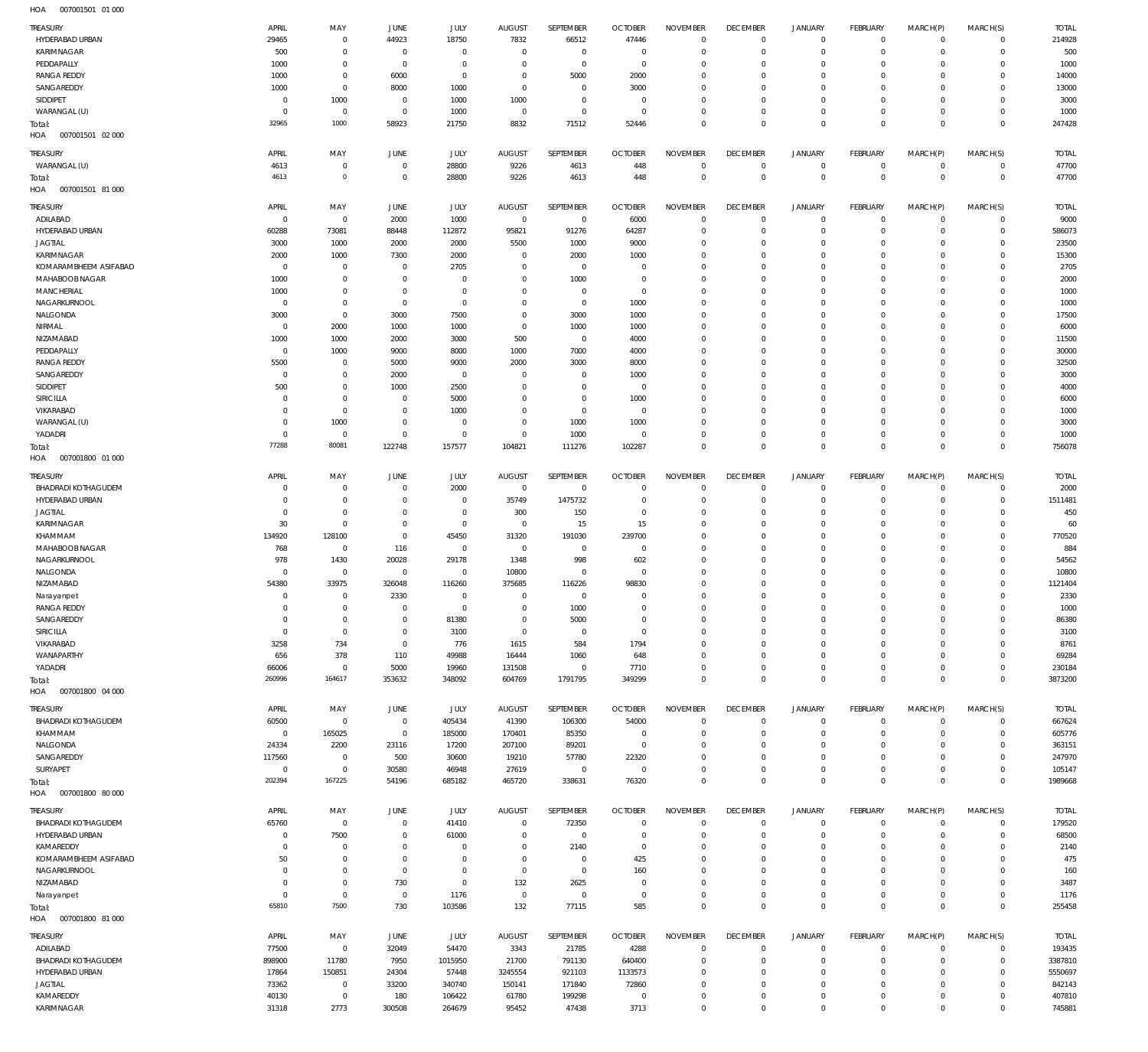| <b>TREASURY</b>            | APRIL          | MAY            | <b>JUNE</b>    | JULY           | <b>AUGUST</b>  | SEPTEMBER    | <b>OCTOBER</b> | <b>NOVEMBER</b> | <b>DECEMBER</b> | <b>JANUARY</b>      | FEBRUARY       | MARCH(P)     | MARCH(S)       | <b>TOTAL</b> |
|----------------------------|----------------|----------------|----------------|----------------|----------------|--------------|----------------|-----------------|-----------------|---------------------|----------------|--------------|----------------|--------------|
| HYDERABAD URBAN            | 29465          | $\overline{0}$ | 44923          | 18750          | 7832           | 66512        | 47446          | $\mathbf 0$     | $\mathbf 0$     | $\mathbf 0$         | $\mathbf{0}$   | $\mathbf{0}$ | $\mathbf 0$    | 214928       |
| KARIMNAGAR                 | 500            | $\overline{0}$ | $\overline{0}$ | $\overline{0}$ | $\Omega$       | $\mathbf 0$  | $\mathbf 0$    | $\mathbf 0$     | $\mathbf 0$     | $\mathbf 0$         | $\mathbf{0}$   | $\Omega$     | $\mathbf 0$    | 500          |
| PEDDAPALLY                 | 1000           | $\overline{0}$ | $\overline{0}$ | $\mathbf 0$    | $\Omega$       | $\mathbf 0$  | $\mathbf 0$    | $^{\circ}$      | $^{\circ}$      | $\mathbf 0$         | $\mathbf 0$    | $\Omega$     | $\mathbf 0$    | 1000         |
| <b>RANGA REDDY</b>         | 1000           | $\overline{0}$ | 6000           | $\mathbf 0$    | $\Omega$       | 5000         | 2000           | $\mathbf 0$     | $\mathbf{0}$    | $\mathbf 0$         | $\mathbf 0$    | $\Omega$     | $\mathbf 0$    | 14000        |
| SANGAREDDY                 | 1000           | $\overline{0}$ | 8000           | 1000           | $\mathbf 0$    | $\mathbf{0}$ | 3000           | $\mathbf 0$     | $\mathbf{0}$    | $\mathbf 0$         | $\mathbf 0$    | $\Omega$     | $\mathbf 0$    | 13000        |
| SIDDIPET                   | $^{\circ}$     | 1000           | $\overline{0}$ | 1000           | 1000           | $\mathbf 0$  | $\mathbf 0$    | $\mathbf 0$     | $\mathbf 0$     | $\mathbf 0$         | $\mathbf{0}$   | $\Omega$     | $\mathbf 0$    | 3000         |
| WARANGAL (U)               | $\Omega$       | $\overline{0}$ | $\overline{0}$ | 1000           | $\overline{0}$ | $\mathbf 0$  | $\mathbf 0$    | $\mathbf 0$     | $\mathbf 0$     | $\mathbf 0$         | $\mathbf 0$    | $\Omega$     | $\mathbf 0$    | 1000         |
|                            | 32965          | 1000           | 58923          | 21750          | 8832           | 71512        | 52446          | $\mathbf 0$     | $\mathbf 0$     | $\mathbf 0$         | $\Omega$       | $\Omega$     | $\Omega$       | 247428       |
| Total:                     |                |                |                |                |                |              |                |                 |                 |                     |                |              |                |              |
| HOA<br>007001501 02 000    |                |                |                |                |                |              |                |                 |                 |                     |                |              |                |              |
| TREASURY                   | APRIL          | MAY            | JUNE           | JULY           | <b>AUGUST</b>  | SEPTEMBER    | <b>OCTOBER</b> | <b>NOVEMBER</b> | <b>DECEMBER</b> | JANUARY             | FEBRUARY       | MARCH(P)     | MARCH(S)       | <b>TOTAL</b> |
| WARANGAL (U)               | 4613           | $\overline{0}$ | $^{\circ}$     | 28800          | 9226           | 4613         | 448            | $\mathbf 0$     | $\mathbf 0$     | $\mathbf 0$         | $\circ$        | $\circ$      | $\overline{0}$ | 47700        |
|                            | 4613           | $\circ$        | $\mathbf 0$    | 28800          | 9226           | 4613         | 448            | $\mathbf 0$     | $\overline{0}$  | $\bf 0$             | $\overline{0}$ | $\mathbf 0$  | $\overline{0}$ | 47700        |
| Total:                     |                |                |                |                |                |              |                |                 |                 |                     |                |              |                |              |
| HOA<br>007001501 81 000    |                |                |                |                |                |              |                |                 |                 |                     |                |              |                |              |
| TREASURY                   | APRIL          | MAY            | JUNE           | <b>JULY</b>    | <b>AUGUST</b>  | SEPTEMBER    | <b>OCTOBER</b> | <b>NOVEMBER</b> | <b>DECEMBER</b> | <b>JANUARY</b>      | FEBRUARY       | MARCH(P)     | MARCH(S)       | <b>TOTAL</b> |
| ADILABAD                   | $^{\circ}$     | $\Omega$       | 2000           | 1000           | $\mathbb O$    | $\mathbf 0$  | 6000           | $\mathbf 0$     | $\mathbf 0$     | $\mathbf 0$         | $\mathbf{0}$   | $\mathbf 0$  | $\mathbf 0$    | 9000         |
| HYDERABAD URBAN            | 60288          | 73081          | 88448          | 112872         | 95821          | 91276        | 64287          | $\mathbf 0$     | $^{\circ}$      | $\mathbf 0$         | $\mathbf{0}$   | $\Omega$     | $\mathbf 0$    | 586073       |
| <b>JAGTIAL</b>             | 3000           | 1000           | 2000           | 2000           | 5500           | 1000         | 9000           | $\mathbf 0$     | $\mathbf{0}$    | $\mathbf 0$         | $^{\circ}$     | $\Omega$     | $\mathbf 0$    | 23500        |
|                            |                |                |                |                |                |              |                |                 |                 |                     |                |              |                |              |
| KARIMNAGAR                 | 2000           | 1000           | 7300           | 2000           | $\Omega$       | 2000         | 1000           | $\mathbf 0$     | $\mathbf{0}$    | $\mathbf 0$         | $\mathbf 0$    | $\Omega$     | $\mathbf 0$    | 15300        |
| KOMARAMBHEEM ASIFABAD      | $^{\circ}$     | $\overline{0}$ | $\mathbf 0$    | 2705           | $\Omega$       | $\mathbf 0$  | $\mathbf 0$    | $\mathbf 0$     | $\mathbf{0}$    | $\mathbf 0$         | $\mathbf 0$    | $\Omega$     | $\mathbf 0$    | 2705         |
| MAHABOOB NAGAR             | 1000           | $\overline{0}$ | $\Omega$       | $\Omega$       | $\Omega$       | 1000         | $\mathbf 0$    | $\mathbf 0$     | $\mathbf{0}$    | $\mathbf 0$         | $\Omega$       | $\Omega$     | $\mathbf 0$    | 2000         |
| MANCHERIAL                 | 1000           | $\overline{0}$ | $\overline{0}$ | $\mathbf 0$    | $\Omega$       | $\mathbf 0$  | $\mathbf 0$    | $\mathbf 0$     | $\mathbf{0}$    | $\mathbf 0$         | $\mathbf 0$    | $\Omega$     | $\mathbf 0$    | 1000         |
| NAGARKURNOOL               | $^{\circ}$     | $\overline{0}$ | $\Omega$       | $\mathbf 0$    | $\Omega$       | $\mathbf 0$  | 1000           | $\mathbf 0$     | $^{\circ}$      | $\mathbf 0$         | $\mathbf 0$    | $\Omega$     | $\mathbf 0$    | 1000         |
| NALGONDA                   | 3000           | $\overline{0}$ | 3000           | 7500           | $\mathbf{0}$   | 3000         | 1000           | $\mathbf 0$     | $\mathbf{0}$    | $\mathbf 0$         | $\Omega$       | $\Omega$     | $\mathbf 0$    | 17500        |
| NIRMAL                     | $^{\circ}$     | 2000           | 1000           | 1000           | $\mathbf 0$    | 1000         | 1000           | $^{\circ}$      | $^{\circ}$      | $\mathbf 0$         | $\circ$        | $\Omega$     | $\mathbf 0$    | 6000         |
|                            |                | 1000           |                |                | 500            | $\mathbf 0$  |                | $^{\circ}$      | $\mathbf{0}$    | $\mathbf 0$         | $\Omega$       | $\Omega$     | $\mathbf 0$    | 11500        |
| NIZAMABAD                  | 1000           |                | 2000           | 3000           |                |              | 4000           |                 |                 |                     |                |              |                |              |
| PEDDAPALLY                 | $^{\circ}$     | 1000           | 9000           | 8000           | 1000           | 7000         | 4000           | $^{\circ}$      | $^{\circ}$      | $\mathbf 0$         | $\mathbf 0$    | $\Omega$     | $\mathbf 0$    | 30000        |
| <b>RANGA REDDY</b>         | 5500           | $\overline{0}$ | 5000           | 9000           | 2000           | 3000         | 8000           | $\mathbf 0$     | $\mathbf{0}$    | $\mathbf 0$         | $\Omega$       | $\Omega$     | $\mathbf 0$    | 32500        |
| SANGAREDDY                 | $^{\circ}$     | $\overline{0}$ | 2000           | $\overline{0}$ | $^{\circ}$     | $\mathbf 0$  | 1000           | $^{\circ}$      | $\mathbf{0}$    | $\mathbf 0$         | $\mathbf 0$    | $\Omega$     | $\mathbf 0$    | 3000         |
| SIDDIPET                   | 500            | $\mathbf{0}$   | 1000           | 2500           | $\Omega$       | $\mathbf 0$  | $^{\circ}$     | $^{\circ}$      | $\mathbf{0}$    | $\mathbf 0$         | $\Omega$       | $\Omega$     | $\mathbf 0$    | 4000         |
| SIRICILLA                  | $\circ$        | $\overline{0}$ | $\mathbf 0$    | 5000           | $\Omega$       | $\mathbf 0$  | 1000           | $^{\circ}$      | $^{\circ}$      | $\mathbf 0$         | $\mathbf 0$    | $\Omega$     | $\mathbf 0$    | 6000         |
| VIKARABAD                  | $^{\circ}$     | $\overline{0}$ | $\Omega$       | 1000           | $\Omega$       | $\mathbf 0$  | $^{\circ}$     | $^{\circ}$      | $\mathbf{0}$    | $\mathbf 0$         | $\Omega$       | $\Omega$     | $\mathbf 0$    | 1000         |
| WARANGAL (U)               | $^{\circ}$     | 1000           | $\Omega$       | $\overline{0}$ | $\mathbf{0}$   | 1000         | 1000           | $^{\circ}$      | $\mathbf{0}$    | $\mathbf 0$         | $\mathbf 0$    | $\Omega$     | $\mathbf 0$    | 3000         |
|                            |                |                |                |                |                |              |                |                 |                 |                     |                |              |                |              |
| YADADRI                    | $\Omega$       | $\overline{0}$ | $\Omega$       | $\mathbf 0$    | $\overline{0}$ | 1000         | $^{\circ}$     | $^{\circ}$      | $\mathbf{0}$    | $\mathbf 0$         | $\mathbf 0$    | $\mathbf 0$  | $\mathbf 0$    | 1000         |
| Total:                     | 77288          | 80081          | 122748         | 157577         | 104821         | 111276       | 102287         | $\mathbf 0$     | $\mathbf 0$     | $\mathbf 0$         | $\overline{0}$ | $\Omega$     | $\overline{0}$ | 756078       |
| HOA<br>007001800 01 000    |                |                |                |                |                |              |                |                 |                 |                     |                |              |                |              |
| <b>TREASURY</b>            | APRIL          | MAY            | <b>JUNE</b>    | JULY           | <b>AUGUST</b>  | SEPTEMBER    | <b>OCTOBER</b> | <b>NOVEMBER</b> | <b>DECEMBER</b> | <b>JANUARY</b>      | FEBRUARY       | MARCH(P)     | MARCH(S)       | <b>TOTAL</b> |
|                            |                |                |                |                |                |              |                |                 |                 |                     |                |              |                |              |
| <b>BHADRADI KOTHAGUDEM</b> | $\circ$        | $\overline{0}$ | $^{\circ}$     | 2000           | $\,0\,$        | $\mathbf 0$  | $^{\circ}$     | $^{\circ}$      | $\overline{0}$  | $\mathbf 0$         | $\circ$        | $\mathbf 0$  | $\mathbf 0$    | 2000         |
| HYDERABAD URBAN            | $\Omega$       | $\overline{0}$ | $\Omega$       | $\mathbf 0$    | 35749          | 1475732      | $^{\circ}$     | $\mathbf 0$     | $\overline{0}$  | $\mathbf 0$         | $\circ$        | $\mathbf 0$  | $\mathbf 0$    | 1511481      |
| <b>JAGTIAL</b>             | $^{\circ}$     | $\overline{0}$ | $\Omega$       | $\overline{0}$ | 300            | 150          | $^{\circ}$     | $\mathbf 0$     | $\overline{0}$  | $\mathbf 0$         | $\circ$        | 0            | $\mathbf 0$    | 450          |
| KARIMNAGAR                 | 30             | $\overline{0}$ | $\Omega$       | $\mathbf 0$    | $\mathbf 0$    | 15           | 15             | $\mathbf 0$     | $^{\circ}$      | $\mathbf 0$         | $\mathbf{0}$   | $\Omega$     | $\circ$        | 60           |
| KHAMMAM                    | 134920         | 128100         | $\Omega$       | 45450          | 31320          | 191030       | 239700         | $\mathbf 0$     | $^{\circ}$      | $\mathbf 0$         | $\mathbf{0}$   | $\Omega$     | $\mathbf 0$    | 770520       |
| MAHABOOB NAGAR             | 768            | $\overline{0}$ | 116            | $\overline{0}$ | $\mathbf 0$    | $\mathbf 0$  | $\circ$        | $\mathbf 0$     | $^{\circ}$      | $\mathbf 0$         | $\mathbf 0$    | $\Omega$     | $\mathbf 0$    | 884          |
| NAGARKURNOOL               | 978            | 1430           | 20028          | 29178          | 1348           | 998          | 602            | $\mathbf 0$     | $^{\circ}$      | $\mathbf 0$         | $\mathbf{0}$   | $\Omega$     | $\mathbf 0$    | 54562        |
|                            |                |                |                |                |                |              |                |                 |                 |                     |                |              |                |              |
| NALGONDA                   | $\circ$        | $\overline{0}$ | $^{\circ}$     | $\mathbf 0$    | 10800          | $\mathbf 0$  | $^{\circ}$     | $\mathbf 0$     | $^{\circ}$      | $\mathbf 0$         | $\mathbf 0$    | $\Omega$     | $\mathbf 0$    | 10800        |
| NIZAMABAD                  | 54380          | 33975          | 326048         | 116260         | 375685         | 116226       | 98830          | $\mathbf 0$     | $^{\circ}$      | $\mathbf 0$         | $\mathbf{0}$   | $\Omega$     | $\mathbf 0$    | 1121404      |
| Narayanpet                 | $^{\circ}$     | $\overline{0}$ | 2330           | $\mathbf 0$    | $^{\circ}$     | $\mathbf 0$  | $\mathbf 0$    | $\mathbf 0$     | $\mathbf 0$     | $\mathbf 0$         | $\mathbf 0$    | $\Omega$     | $\mathbf 0$    | 2330         |
| <b>RANGA REDDY</b>         | $\Omega$       | $\Omega$       | $\Omega$       | $\Omega$       | $\Omega$       | 1000         | $\Omega$       | $\Omega$        | $\Omega$        | $\Omega$            | $\Omega$       | $\Omega$     | $\Omega$       | 1000         |
| SANGAREDDY                 | $^{\circ}$     | $\overline{0}$ | $\mathbf 0$    | 81380          | $\mathbf 0$    | 5000         | $\mathbf 0$    | $\mathbf 0$     | $\mathbf 0$     | $\mathsf{O}\xspace$ | $\mathbf{0}$   | $\mathbf 0$  | $\mathbf 0$    | 86380        |
| SIRICILLA                  | $^{\circ}$     | $\overline{0}$ | $\overline{0}$ | 3100           | $\overline{0}$ | $\mathbf 0$  | $\mathbf 0$    | $\mathbf 0$     | $\overline{0}$  | $\mathbf 0$         | $\circ$        | $\mathbf 0$  | $\mathbf 0$    | 3100         |
| VIKARABAD                  | 3258           | 734            | $\mathbf 0$    | 776            | 1615           | 584          | 1794           | $\mathbf 0$     | $\mathbf{0}$    | $\mathbf 0$         | $\mathbf{0}$   | 0            | $\mathbf 0$    | 8761         |
| WANAPARTHY                 | 656            | 378            | 110            | 49988          | 16444          | 1060         | 648            | $\mathbf 0$     | $\mathbf 0$     | $\mathbf 0$         | $\mathbf{0}$   | 0            | $\mathbf 0$    | 69284        |
|                            |                |                |                |                |                |              |                |                 |                 |                     |                | $\mathbf 0$  |                |              |
| YADADRI                    | 66006          | $\overline{0}$ | 5000           | 19960          | 131508         | $\mathbf 0$  | 7710           | $\mathbb O$     | $\mathbf 0$     | $\mathsf{O}\xspace$ | $\circ$        |              | $\circ$        | 230184       |
| Total:                     | 260996         | 164617         | 353632         | 348092         | 604769         | 1791795      | 349299         | $\mathbf 0$     | $\mathbf 0$     | $\mathsf{O}\xspace$ | $\overline{0}$ | $\mathbf 0$  | $\overline{0}$ | 3873200      |
| HOA<br>007001800 04 000    |                |                |                |                |                |              |                |                 |                 |                     |                |              |                |              |
| TREASURY                   | APRIL          | MAY            | JUNE           | JULY           | <b>AUGUST</b>  | SEPTEMBER    | <b>OCTOBER</b> | <b>NOVEMBER</b> | <b>DECEMBER</b> | <b>JANUARY</b>      | FEBRUARY       | MARCH(P)     | MARCH(S)       | <b>TOTAL</b> |
| <b>BHADRADI KOTHAGUDEM</b> | 60500          | $\overline{0}$ | $\mathbf 0$    | 405434         | 41390          | 106300       | 54000          | $\mathbf 0$     | $\mathbf 0$     | $\mathbf 0$         | $\overline{0}$ | $\mathbf{0}$ | $\overline{0}$ | 667624       |
| KHAMMAM                    | $^{\circ}$     | 165025         | $\mathbf 0$    | 185000         | 170401         | 85350        | $^{\circ}$     | $^{\circ}$      | $^{\circ}$      | $\mathbf 0$         | $\circ$        | $\mathbf 0$  | $\circ$        | 605776       |
|                            |                |                |                |                |                |              |                |                 |                 |                     |                |              |                |              |
| NALGONDA                   | 24334          | 2200           | 23116          | 17200          | 207100         | 89201        | $^{\circ}$     | $\mathbf 0$     | $\mathbf{0}$    | $\mathbf 0$         | $\mathbf 0$    | $\Omega$     | $\mathbf 0$    | 363151       |
| SANGAREDDY                 | 117560         | $\overline{0}$ | 500            | 30600          | 19210          | 57780        | 22320          | $\mathbf 0$     | $\mathbf{0}$    | $\mathbf 0$         | $\mathbf 0$    | $\Omega$     | $\circ$        | 247970       |
| SURYAPET                   | $\mathbf 0$    | $\overline{0}$ | 30580          | 46948          | 27619          | $\mathbf 0$  | $\mathbf{0}$   | $\mathbf 0$     | $\mathbf 0$     | $\mathbf 0$         | $\mathbf 0$    | $\mathbf 0$  | $\mathbf 0$    | 105147       |
| Total:                     | 202394         | 167225         | 54196          | 685182         | 465720         | 338631       | 76320          | $\mathbf 0$     | $\mathbf 0$     | $\mathbf 0$         | $\overline{0}$ | $\mathbf 0$  | $\overline{0}$ | 1989668      |
| HOA<br>007001800 80 000    |                |                |                |                |                |              |                |                 |                 |                     |                |              |                |              |
|                            | APRIL          |                | JUNE           | JULY           | <b>AUGUST</b>  | SEPTEMBER    | <b>OCTOBER</b> | <b>NOVEMBER</b> | <b>DECEMBER</b> | JANUARY             | FEBRUARY       |              | MARCH(S)       |              |
| <b>TREASURY</b>            |                | MAY            |                |                |                |              |                |                 |                 |                     |                | MARCH(P)     |                | <b>TOTAL</b> |
| <b>BHADRADI KOTHAGUDEM</b> | 65760          | $\overline{0}$ | $\mathbf 0$    | 41410          | $\mathbb O$    | 72350        | 0              | $\circ$         | $\mathbf 0$     | $\mathbf 0$         | $\circ$        | $\mathbf 0$  | $\circ$        | 179520       |
| HYDERABAD URBAN            | $^{\circ}$     | 7500           | $\overline{0}$ | 61000          | $^{\circ}$     | $\mathbf 0$  | $\mathbf 0$    | $\mathbb O$     | $\mathbf 0$     | $\mathsf{O}\xspace$ | $\overline{0}$ | $\mathbf 0$  | $\overline{0}$ | 68500        |
| KAMAREDDY                  | $^{\circ}$     | $\overline{0}$ | $\Omega$       | $\overline{0}$ | $^{\circ}$     | 2140         | $\mathbf 0$    | $\mathbf 0$     | $\overline{0}$  | $\mathbf 0$         | $\mathbf{0}$   | 0            | $\mathbf 0$    | 2140         |
| KOMARAMBHEEM ASIFABAD      | 50             | $\overline{0}$ | $\Omega$       | $\mathbf 0$    | $\Omega$       | $\mathbf 0$  | 425            | $\mathbf 0$     | $\mathbf{0}$    | $\mathbf 0$         | $\mathbf{0}$   | 0            | $\mathbf 0$    | 475          |
| NAGARKURNOOL               | $^{\circ}$     | $\overline{0}$ | $\overline{0}$ | $\overline{0}$ | $\overline{0}$ | $\mathbf 0$  | 160            | $\mathbf 0$     | $\mathbf 0$     | $\mathbf 0$         | $\mathbf{0}$   | 0            | $\mathbf 0$    | 160          |
| NIZAMABAD                  | $^{\circ}$     | $\overline{0}$ | 730            | $\mathbf 0$    | 132            | 2625         | $\mathbf 0$    | $\mathbf 0$     | $\mathbf{0}$    | $\mathbf 0$         | $\mathbf{0}$   | $\mathbf 0$  | $\mathbf 0$    | 3487         |
| Narayanpet                 | $\overline{0}$ | $\overline{0}$ | $\,0\,$        | 1176           | $\,0\,$        | $\mathbf 0$  | $\mathbf 0$    | $\mathbb O$     | $\mathbf 0$     | $\mathsf{O}\xspace$ | $\circ$        | $\mathbf 0$  | $\circ$        | 1176         |
|                            | 65810          | 7500           | 730            | 103586         | 132            |              | 585            | $\mathbb O$     | $\mathbf 0$     | $\mathsf{O}\xspace$ | $\overline{0}$ | $\mathbf 0$  | $\overline{0}$ |              |
| Total:                     |                |                |                |                |                | 77115        |                |                 |                 |                     |                |              |                | 255458       |
| HOA<br>007001800 81 000    |                |                |                |                |                |              |                |                 |                 |                     |                |              |                |              |
| <b>TREASURY</b>            | APRIL          | MAY            | JUNE           | JULY           | <b>AUGUST</b>  | SEPTEMBER    | <b>OCTOBER</b> | <b>NOVEMBER</b> | <b>DECEMBER</b> | JANUARY             | FEBRUARY       | MARCH(P)     | MARCH(S)       | <b>TOTAL</b> |
| ADILABAD                   | 77500          | $\overline{0}$ | 32049          | 54470          | 3343           | 21785        | 4288           | $^{\circ}$      | $^{\circ}$      | $\mathbf 0$         | $\circ$        | $\mathbf 0$  | $\circ$        | 193435       |
| <b>BHADRADI KOTHAGUDEM</b> | 898900         | 11780          | 7950           |                | 21700          | 791130       | 640400         | $\mathbf 0$     | $\mathbf{0}$    | $\mathbf 0$         | $\mathbf{0}$   | $\mathbf 0$  | $\circ$        | 3387810      |
|                            |                |                |                | 1015950        |                |              |                |                 |                 |                     |                |              |                |              |
| HYDERABAD URBAN            | 17864          | 150851         | 24304          | 57448          | 3245554        | 921103       | 1133573        | $\mathbf 0$     | $\mathbf{0}$    | $\mathsf{O}\xspace$ | $\mathbf{0}$   | $\Omega$     | $\circ$        | 5550697      |
| <b>JAGTIAL</b>             | 73362          | $\overline{0}$ | 33200          | 340740         | 150141         | 171840       | 72860          | $\mathbf 0$     | $\mathbf{0}$    | $\mathbf 0$         | $^{\circ}$     | $\Omega$     | $\mathbf 0$    | 842143       |
| KAMAREDDY                  | 40130          | $\overline{0}$ | 180            | 106422         | 61780          | 199298       | $\mathbf 0$    | $\mathbf 0$     | $\mathbf 0$     | $\mathsf{O}\xspace$ | $\circ$        | $\mathbf 0$  | $\circ$        | 407810       |
| KARIMNAGAR                 | 31318          | 2773           | 300508         | 264679         | 95452          | 47438        | 3713           | $\mathbf 0$     | $\mathbf 0$     | $\mathbf 0$         | $\mathbf 0$    | $\mathbf 0$  | $\circ$        | 745881       |
|                            |                |                |                |                |                |              |                |                 |                 |                     |                |              |                |              |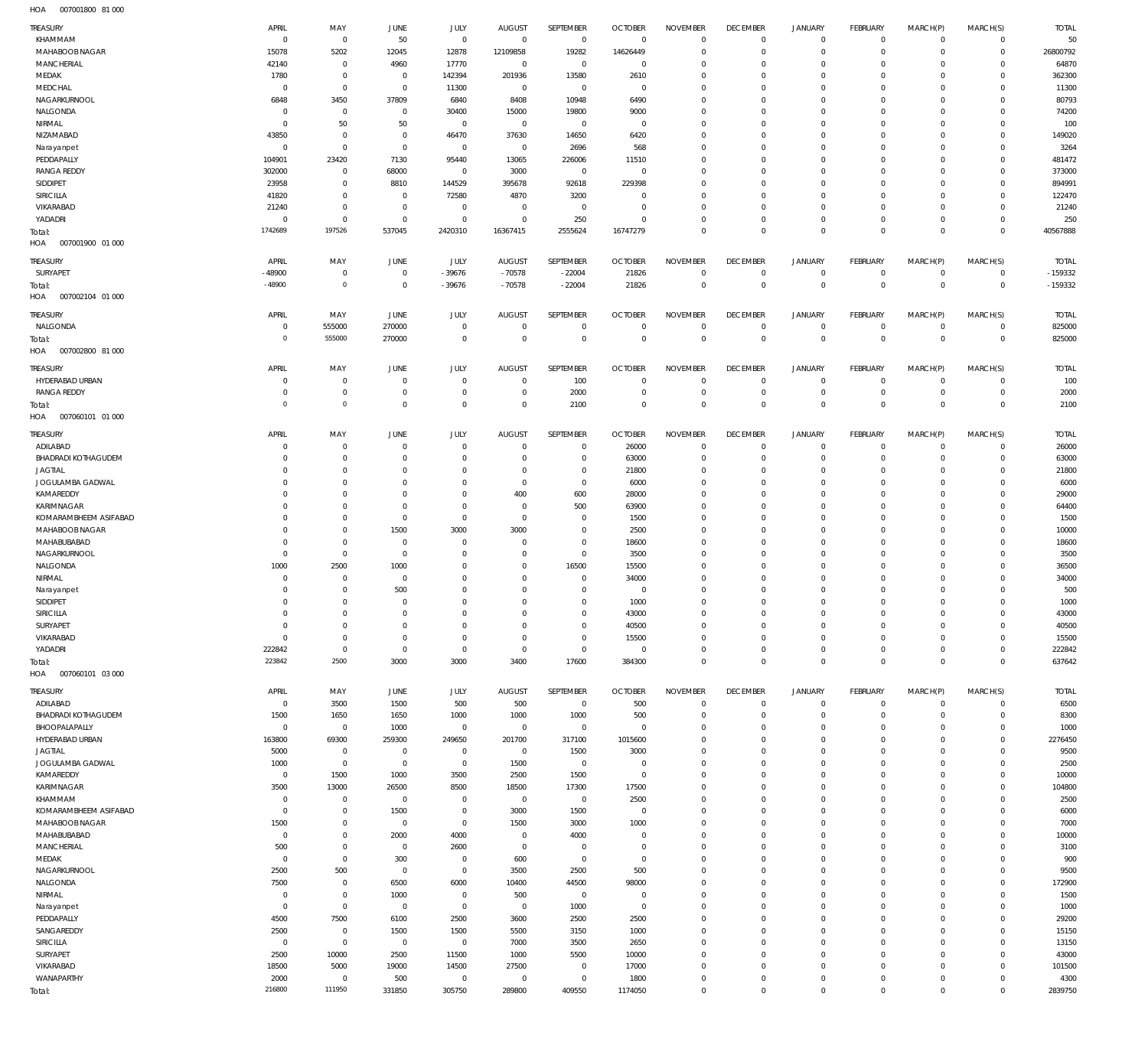007001800 81 000 HOA

| <b>TREASURY</b>                         | APRIL                   | MAY                        | JUNE                | JULY                  | <b>AUGUST</b>                | SEPTEMBER                  | <b>OCTOBER</b>               | <b>NOVEMBER</b>            | <b>DECEMBER</b>                 | <b>JANUARY</b>                | <b>FEBRUARY</b>               | MARCH(P)                | MARCH(S)                   | <b>TOTAL</b>      |
|-----------------------------------------|-------------------------|----------------------------|---------------------|-----------------------|------------------------------|----------------------------|------------------------------|----------------------------|---------------------------------|-------------------------------|-------------------------------|-------------------------|----------------------------|-------------------|
| KHAMMAM<br>MAHABOOB NAGAR               | $\overline{0}$<br>15078 | $\mathbf{0}$               | 50                  | $\mathbf 0$           | $\mathbf{0}$<br>12109858     | $\overline{0}$<br>19282    | $\overline{0}$               | $\mathbf 0$<br>$\mathbf 0$ | $\mathbf{0}$<br>$\mathbf{0}$    | $\overline{0}$<br>$\mathbf 0$ | $\circ$<br>$\mathbf 0$        | $^{\circ}$<br>$\Omega$  | $\mathbf 0$<br>$\mathbf 0$ | 50                |
| <b>MANCHERIAL</b>                       | 42140                   | 5202<br>$^{\circ}$         | 12045<br>4960       | 12878<br>17770        | $^{\circ}$                   | $\overline{0}$             | 14626449<br>$^{\circ}$       | $\mathbf 0$                | $\mathbf 0$                     | 0                             | $^{\circ}$                    | $\Omega$                | $\Omega$                   | 26800792<br>64870 |
| MEDAK                                   | 1780                    | $^{\circ}$                 | $^{\circ}$          | 142394                | 201936                       | 13580                      | 2610                         | $\Omega$                   | $\mathbf 0$                     | 0                             | $^{\circ}$                    |                         | $\Omega$                   | 362300            |
| MEDCHAL                                 | $\overline{0}$          | $\mathbf 0$                | $^{\circ}$          | 11300                 | $^{\circ}$                   | $\overline{0}$             | $\overline{0}$               | $\mathbf 0$                | $\mathbf 0$                     | 0                             | $^{\circ}$                    | $\Omega$                | $\Omega$                   | 11300             |
| NAGARKURNOOL                            | 6848                    | 3450                       | 37809               | 6840                  | 8408                         | 10948                      | 6490                         | $\Omega$                   | 0                               | 0                             | $^{\circ}$                    |                         | $\Omega$                   | 80793             |
| NALGONDA                                | 0                       | $^{\circ}$                 | $^{\circ}$          | 30400                 | 15000                        | 19800                      | 9000                         | $\mathbf 0$                | $\mathbf 0$                     | 0                             | $^{\circ}$                    | $\Omega$                | $\Omega$                   | 74200             |
| NIRMAL                                  | C                       | 50                         | 50                  | $^{\circ}$            | $^{\circ}$                   | $\mathbf 0$                | $\overline{0}$               | $\Omega$                   | 0                               | 0                             | $^{\circ}$                    |                         | $\Omega$                   | 100               |
| NIZAMABAD                               | 43850                   | $^{\circ}$                 | $^{\circ}$          | 46470                 | 37630                        | 14650                      | 6420                         | $\mathbf 0$                | $\mathbf 0$                     | 0                             | $^{\circ}$                    | $\Omega$                | $\Omega$                   | 149020            |
| Narayanpet                              | $\overline{0}$          | $\mathbf 0$                | $\mathbf 0$         | $\mathbf 0$           | $^{\circ}$                   | 2696                       | 568                          | $\Omega$                   | $\mathbf 0$                     | 0                             | $^{\circ}$                    |                         | $\Omega$                   | 3264              |
| PEDDAPALLY                              | 104901                  | 23420                      | 7130                | 95440                 | 13065                        | 226006                     | 11510                        | 0                          | $\mathbf 0$                     | 0                             | $^{\circ}$                    | $\Omega$                | $\Omega$                   | 481472            |
| <b>RANGA REDDY</b>                      | 302000                  | $\overline{0}$             | 68000               | $\mathbf 0$           | 3000                         | $\overline{0}$             | $\overline{0}$               | 0                          | $\mathbf 0$                     | 0                             | $^{\circ}$                    | $\Omega$                | $\Omega$                   | 373000            |
| SIDDIPET                                | 23958                   | $^{\circ}$                 | 8810                | 144529                | 395678                       | 92618                      | 229398                       | $\Omega$                   | $\mathbf 0$                     | 0                             | $^{\circ}$                    |                         | $\Omega$                   | 894991            |
| SIRICILLA                               | 41820                   | $^{\circ}$                 | $\mathbf 0$         | 72580                 | 4870                         | 3200                       | $^{\circ}$                   | $\mathbf 0$                | $\mathbf 0$                     | 0                             | $^{\circ}$                    | $\Omega$                | $\Omega$                   | 122470            |
| VIKARABAD                               | 21240                   | $\mathbf{0}$               | $^{\circ}$          | $^{\circ}$            | $\mathbf 0$                  | $\mathbf 0$                | $^{\circ}$                   | $\mathbf 0$                | $\mathbf 0$                     | 0                             | $^{\circ}$                    | $\Omega$                | $\Omega$                   | 21240             |
| YADADRI                                 | C                       | $\mathbf{0}$               | $\mathbf 0$         | $\mathbf 0$           | $\mathbf 0$                  | 250                        | $\overline{0}$               | $\mathbf 0$                | $\mathbf 0$                     | 0                             | $\mathbf{0}$                  | $\Omega$                | $\mathbf 0$                | 250               |
| Total:                                  | 1742689                 | 197526                     | 537045              | 2420310               | 16367415                     | 2555624                    | 16747279                     | $\mathbf 0$                | $\overline{0}$                  | $\mathbf 0$                   | $\mathbb O$                   | $\Omega$                | $\Omega$                   | 40567888          |
| 007001900 01 000<br>HOA                 |                         |                            |                     |                       |                              |                            |                              |                            |                                 |                               |                               |                         |                            |                   |
| TREASURY                                | APRIL                   | MAY                        | JUNE                | <b>JULY</b>           | <b>AUGUST</b>                | SEPTEMBER                  | <b>OCTOBER</b>               | <b>NOVEMBER</b>            | <b>DECEMBER</b>                 | <b>JANUARY</b>                | <b>FEBRUARY</b>               | MARCH(P)                | MARCH(S)                   | <b>TOTAL</b>      |
| <b>SURYAPET</b>                         | -48900                  | $\mathbf{0}$               | $\mathbf 0$         | $-39676$              | $-70578$                     | $-22004$                   | 21826                        | $\mathbf 0$                | $\overline{0}$                  | $\circ$                       | $^{\circ}$                    | $^{\circ}$              | $\mathbf 0$                | $-159332$         |
| Total:                                  | $-48900$                | $\mathsf{O}\xspace$        | $\mathbf 0$         | $-39676$              | $-70578$                     | $-22004$                   | 21826                        | $\mathbf 0$                | $\mathbb O$                     | $\overline{0}$                | $\overline{0}$                | $\overline{0}$          | $\mathbb O$                | $-159332$         |
| HOA<br>007002104 01 000                 |                         |                            |                     |                       |                              |                            |                              |                            |                                 |                               |                               |                         |                            |                   |
| TREASURY                                | APRIL                   | MAY                        | JUNE                | <b>JULY</b>           | <b>AUGUST</b>                | <b>SEPTEMBER</b>           | <b>OCTOBER</b>               | <b>NOVEMBER</b>            | <b>DECEMBER</b>                 | <b>JANUARY</b>                | <b>FEBRUARY</b>               | MARCH(P)                | MARCH(S)                   | <b>TOTAL</b>      |
| NALGONDA                                | $\overline{0}$          | 555000                     | 270000              | $\mathbf 0$           | $\mathbf 0$                  | $\mathbf 0$                | $\overline{0}$               | $\mathbf 0$                | $\mathbf{0}$                    | $\circ$                       | $\circ$                       | $^{\circ}$              | $\mathbf 0$                | 825000            |
| Total:                                  | $^{\circ}$              | 555000                     | 270000              | $\mathbf 0$           | $\mathbf 0$                  | $\mathbf 0$                | $\overline{0}$               | $\mathbf 0$                | $\overline{0}$                  | $\overline{0}$                | $\mathbb O$                   | $\overline{0}$          | $\mathbb O$                | 825000            |
| 007002800 81 000<br>HOA                 |                         |                            |                     |                       |                              |                            |                              |                            |                                 |                               |                               |                         |                            |                   |
|                                         |                         |                            |                     |                       |                              |                            |                              |                            |                                 |                               |                               |                         |                            |                   |
| TREASURY<br>HYDERABAD URBAN             | APRIL<br>$\overline{0}$ | MAY<br>$^{\circ}$          | JUNE<br>$^{\circ}$  | JULY<br>$\mathbf 0$   | <b>AUGUST</b><br>$\mathbf 0$ | <b>SEPTEMBER</b>           | <b>OCTOBER</b><br>$^{\circ}$ | <b>NOVEMBER</b><br>0       | <b>DECEMBER</b><br>$\mathbf{0}$ | <b>JANUARY</b>                | <b>FEBRUARY</b><br>$^{\circ}$ | MARCH(P)<br>$\Omega$    | MARCH(S)<br>$\mathbf 0$    | <b>TOTAL</b>      |
| <b>RANGA REDDY</b>                      | C                       | $\mathbf 0$                | $^{\circ}$          | $\mathbf 0$           | $\mathbf 0$                  | 100<br>2000                | $\overline{0}$               | $\mathbf 0$                | $\overline{0}$                  | $\circ$<br>$\mathbf 0$        | $\mathbf{0}$                  | $^{\circ}$              | $\mathbf 0$                | 100<br>2000       |
|                                         | $^{\circ}$              | $\mathsf{O}\xspace$        | $\mathbf 0$         | $\mathbf 0$           | $\mathbf 0$                  | 2100                       | $\overline{0}$               | $\mathbf 0$                | $\overline{0}$                  | $\overline{0}$                | $\mathbb O$                   | $\Omega$                | $\mathbb O$                | 2100              |
| Total:<br>007060101 01 000<br>HOA       |                         |                            |                     |                       |                              |                            |                              |                            |                                 |                               |                               |                         |                            |                   |
|                                         |                         |                            |                     |                       |                              |                            |                              |                            |                                 |                               |                               |                         |                            |                   |
| TREASURY                                | APRIL                   | MAY                        | <b>JUNE</b>         | <b>JULY</b>           | <b>AUGUST</b>                | SEPTEMBER                  | <b>OCTOBER</b>               | <b>NOVEMBER</b>            | <b>DECEMBER</b>                 | <b>JANUARY</b>                | <b>FEBRUARY</b>               | MARCH(P)                | MARCH(S)                   | <b>TOTAL</b>      |
| ADILABAD                                | C                       | $\overline{0}$             | $^{\circ}$          | $^{\circ}$            | $\mathbf 0$                  | $\mathbf 0$                | 26000                        | $\mathbf 0$                | $\mathbf 0$                     | $\mathbf 0$                   | $\circ$                       | $\circ$                 | $\circ$                    | 26000             |
| BHADRADI KOTHAGUDEM                     | C                       | $^{\circ}$                 | $^{\circ}$          | $\mathbf 0$           | $\mathbf 0$                  | $\mathbf 0$                | 63000                        | $\Omega$                   | $\mathbf 0$                     | $\mathbf 0$                   | $\mathbf{0}$                  | $\Omega$                | $\Omega$                   | 63000             |
| <b>JAGTIAL</b>                          | $\Omega$                | $^{\circ}$                 | $^{\circ}$          | $^{\circ}$            | $\mathbf 0$                  | $\mathbf 0$                | 21800                        | $\mathbf 0$                | $\mathbf 0$                     | 0                             | $^{\circ}$                    | $\Omega$                | $\mathbf 0$                | 21800             |
| JOGULAMBA GADWAL                        | C                       | $^{\circ}$                 | $^{\circ}$          | $^{\circ}$            | $\mathbf 0$                  | $\mathbf 0$                | 6000                         | $\Omega$                   | $\mathbf 0$                     | 0                             | $^{\circ}$                    |                         | $\Omega$                   | 6000              |
| KAMAREDDY                               | $\Omega$                | $^{\circ}$                 | $^{\circ}$          | $\mathbf 0$           | 400                          | 600                        | 28000                        | $\mathbf 0$                | $\mathbf 0$                     | 0                             | $^{\circ}$                    | $\Omega$                | $\Omega$                   | 29000             |
| KARIMNAGAR                              | C                       | $^{\circ}$                 | $^{\circ}$          | $\mathbf 0$           | $\mathbf 0$                  | 500                        | 63900                        | $\Omega$                   | 0                               | 0                             | $^{\circ}$                    |                         | $\Omega$<br>$\Omega$       | 64400             |
| KOMARAMBHEEM ASIFABAD<br>MAHABOOB NAGAR | $\Omega$<br>C           | $^{\circ}$<br>$\mathbf{0}$ | $\mathbf 0$<br>1500 | $\mathbf 0$<br>3000   | $\mathbf 0$<br>3000          | $\mathbf 0$<br>$\mathbf 0$ | 1500                         | $\mathbf 0$<br>$\Omega$    | $\mathbf 0$<br>$\mathbf 0$      | 0<br>0                        | $^{\circ}$<br>$^{\circ}$      | $\Omega$                | $\Omega$                   | 1500              |
| MAHABUBABAD                             | $\Omega$                | $^{\circ}$                 | $^{\circ}$          | $^{\circ}$            | $\mathbf 0$                  | $\mathbf 0$                | 2500<br>18600                | $\mathbf 0$                | $\mathbf 0$                     | 0                             | $^{\circ}$                    | $\Omega$                | $\Omega$                   | 10000<br>18600    |
| NAGARKURNOOL                            | C                       | $\mathbf{0}$               | $^{\circ}$          | $^{\circ}$            | $\mathbf 0$                  | $\mathbf 0$                | 3500                         | $\Omega$                   | $\mathbf 0$                     | 0                             | $^{\circ}$                    |                         | $\Omega$                   | 3500              |
| NALGONDA                                | 1000                    | 2500                       | 1000                | $^{\circ}$            | $\mathbf 0$                  | 16500                      | 15500                        | 0                          | $\mathbf 0$                     | 0                             | $^{\circ}$                    |                         | $\Omega$                   | 36500             |
| NIRMAL                                  | C                       | $\overline{0}$             | $^{\circ}$          | $^{\circ}$            | $\mathbf 0$                  | $\mathbf 0$                | 34000                        | 0                          | $\mathbf 0$                     | 0                             | $^{\circ}$                    | $\Omega$                | $\Omega$                   | 34000             |
| Narayanpet                              | C                       | $^{\circ}$                 | 500                 | $\mathbf{0}$          | $\mathbf 0$                  | $\mathbf 0$                | $^{\circ}$                   | $\mathbf 0$                | $\mathbf 0$                     | 0                             | $^{\circ}$                    |                         | $\Omega$                   | 500               |
| SIDDIPET                                | $\Omega$                | $\mathbf 0$                | $^{\circ}$          | $\mathbf 0$           | $\mathbf 0$                  | $\mathbf 0$                | 1000                         | $\Omega$                   | $\mathbf 0$                     | $\mathbf 0$                   | $\mathbf 0$                   | $\Omega$                | $\Omega$                   | 1000              |
| SIRICILLA                               | 0                       | $\circ$                    | 0                   | 0                     | 0                            | 0                          | 43000                        | $\mathbf 0$                | $\mathbf 0$                     | 0                             | $\circ$                       | 0                       | $\circ$                    | 43000             |
| <b>SURYAPET</b>                         | $\overline{0}$          | $\mathbf{0}$               | $\mathbf 0$         | $\mathbf 0$           | $\mathbf 0$                  | $\mathbf 0$                | 40500                        | $\mathbf 0$                | $^{\circ}$                      | $\mathbf 0$                   | $\mathbf 0$                   | $\Omega$                | $\Omega$                   | 40500             |
| VIKARABAD                               | $^{\circ}$              | $\mathbf 0$                | $\mathbf 0$         | $\mathbf 0$           | $\mathbf 0$                  | $\mathbf 0$                | 15500                        | $\mathbf 0$                | $\mathbf 0$                     | $\mathbf 0$                   | $\mathbf 0$                   | $\mathbf 0$             | $\mathbf 0$                | 15500             |
| YADADRI                                 | 222842                  | $\mathbf 0$                | $\mathbf 0$         | $\mathbf 0$           | $\mathbf 0$                  | $\mathbf 0$                | $\overline{0}$               | $\mathbf 0$                | $\mathbf 0$                     | $\mathbf 0$                   | $\mathbf 0$                   | $^{\circ}$              | $\mathbf 0$                | 222842            |
| Total:                                  | 223842                  | 2500                       | 3000                | 3000                  | 3400                         | 17600                      | 384300                       | $\mathbf 0$                | $\mathbb O$                     | $\overline{0}$                | $\,0\,$                       | $\mathbf 0$             | $\mathbf 0$                | 637642            |
| 007060101 03 000<br>HOA                 |                         |                            |                     |                       |                              |                            |                              |                            |                                 |                               |                               |                         |                            |                   |
| TREASURY                                | APRIL                   | MAY                        | <b>JUNE</b>         | JULY                  | <b>AUGUST</b>                | SEPTEMBER                  | <b>OCTOBER</b>               | <b>NOVEMBER</b>            | <b>DECEMBER</b>                 | JANUARY                       | FEBRUARY                      | MARCH(P)                | MARCH(S)                   | <b>TOTAL</b>      |
| ADILABAD                                | $^{\circ}$              | 3500                       | 1500                | 500                   | 500                          | $\overline{0}$             | 500                          | $\overline{0}$             | $\overline{0}$                  | $\overline{0}$                | $\mathbf 0$                   | $^{\circ}$              | $\mathbf 0$                | 6500              |
| <b>BHADRADI KOTHAGUDEM</b>              | 1500                    | 1650                       | 1650                | 1000                  | 1000                         | 1000                       | 500                          | $\mathbf 0$                | $\mathbf 0$                     | $\mathbf 0$                   | $\mathbf 0$                   | $^{\circ}$              | $\mathbf 0$                | 8300              |
| BHOOPALAPALLY                           | $^{\circ}$              | $\mathbf 0$                | 1000                | $\mathbf 0$           | $\mathbf{0}$                 | $\mathbf{0}$               | $\overline{0}$               | $\mathbf 0$                | $\mathbf{0}$                    | $\mathbf 0$                   | $\mathbf{0}$                  | $\Omega$                | $\mathbf 0$                | 1000              |
| HYDERABAD URBAN                         | 163800                  | 69300                      | 259300              | 249650                | 201700                       | 317100                     | 1015600                      | $\mathbf 0$                | $\mathbf{0}$                    | $\mathbf 0$                   | $\mathbf 0$                   | $\Omega$                | $\mathbf 0$                | 2276450           |
| <b>JAGTIAL</b>                          | 5000                    | $\mathbf 0$                | $\mathbf 0$         | $\mathbf 0$           | $\overline{0}$               | 1500                       | 3000                         | $\mathbf 0$                | $\mathbf{0}$                    | $\mathbf 0$                   | $\mathbf{0}$                  | $\Omega$                | $\Omega$                   | 9500              |
| JOGULAMBA GADWAL                        | 1000                    | $\mathbf 0$                | $^{\circ}$          | $\mathbf 0$           | 1500                         | $\overline{0}$             | $\overline{0}$               | $\mathbf 0$                | $\mathbf{0}$                    | $\mathbf 0$                   | $\mathbf 0$                   | $\Omega$                | $\mathbf 0$                | 2500              |
| KAMAREDDY                               | $\overline{0}$          | 1500                       | 1000                | 3500                  | 2500                         | 1500                       | $\overline{0}$               | $\mathbf 0$                | $\mathbf 0$                     | $\mathbf 0$                   | $\mathbf{0}$                  | $\Omega$                | $\mathbf 0$                | 10000             |
| KARIMNAGAR                              | 3500                    | 13000                      | 26500               | 8500                  | 18500                        | 17300                      | 17500                        | $\mathbf 0$                | $\mathbf{0}$                    | $\mathbf 0$                   | $\mathbf 0$                   | $\Omega$                | $\mathbf 0$                | 104800            |
| KHAMMAM                                 | $\overline{0}$          | $\mathbf 0$                | $^{\circ}$          | $\mathbf 0$           | $\overline{0}$               | $\mathbf 0$                | 2500                         | $\mathbf 0$                | $\mathbf 0$                     | $\mathbf 0$                   | $\mathbf{0}$                  | $\Omega$                | $\mathbf 0$                | 2500              |
| KOMARAMBHEEM ASIFABAD                   | $\overline{0}$          | $\mathbf 0$                | 1500                | $\mathbf 0$           | 3000                         | 1500                       | $\overline{0}$               | $\mathbf 0$                | $\mathbf{0}$                    | 0                             | $\mathbf{0}$                  | $\Omega$                | $\mathbf 0$                | 6000              |
| MAHABOOB NAGAR                          | 1500                    | $\mathbf 0$                | $^{\circ}$          | $\mathbf 0$           | 1500                         | 3000                       | 1000                         | $\mathbf 0$                | $\mathbf 0$                     | $\mathbf 0$                   | $\mathbf{0}$                  | $\Omega$                | $\mathbf 0$                | 7000              |
| MAHABUBABAD                             | $\mathbf 0$             | $\mathbf 0$                | 2000                | 4000                  | $\overline{0}$               | 4000                       | $\overline{0}$               | $\mathbf 0$                | $\mathbf 0$                     | 0                             | $\mathbf{0}$                  | $\Omega$                | $\mathbf 0$                | 10000             |
| <b>MANCHERIAL</b>                       | 500                     | $\mathbf 0$                | $\mathbf 0$         | 2600                  | $^{\circ}$                   | $\mathbf 0$                | $\overline{0}$               | $\mathbf 0$                | $\mathbf 0$                     | $\mathbf 0$                   | $\mathbf 0$                   | $\Omega$                | $\mathbf 0$                | 3100              |
| MEDAK                                   | $\overline{0}$          | $\mathbf 0$                | 300                 | $\mathbf 0$           | 600                          | $\mathbf 0$                | $\overline{0}$               | $\mathbf 0$                | $\mathbf 0$                     | 0                             | $\mathbf{0}$                  | $\Omega$                | $\mathbf 0$                | 900               |
| NAGARKURNOOL                            | 2500                    | 500                        | $^{\circ}$          | $\mathbf 0$           | 3500                         | 2500                       | 500                          | $\mathbf 0$                | $\mathbf 0$                     | $\mathbf 0$                   | $\mathbf{0}$                  | $\Omega$                | $\mathbf 0$                | 9500              |
| NALGONDA                                | 7500                    | $\mathbf 0$                | 6500                | 6000                  | 10400                        | 44500                      | 98000                        | $\mathbf 0$                | $\mathbf 0$                     | 0                             | $\mathbf{0}$                  | $\Omega$                | $\mathbf 0$                | 172900            |
| NIRMAL                                  | $^{\circ}$              | $\mathbf 0$                | 1000                | $\mathbf 0$           | 500                          | $\mathbf 0$                | $\overline{0}$               | $\mathbf 0$                | $\mathbf{0}$                    | $\mathbf 0$                   | $\mathbf 0$                   | $\Omega$                | $\Omega$                   | 1500              |
| Narayanpet                              | $\overline{0}$          | $\mathbf 0$                | $\overline{0}$      | $\mathbf 0$           | $\overline{0}$               | 1000                       | $\overline{0}$               | $\mathbf 0$                | $\mathbf 0$                     | $\mathbf 0$                   | $\mathbf{0}$                  | $\Omega$                | $\mathbf 0$                | 1000              |
| PEDDAPALLY                              | 4500                    | 7500                       | 6100                | 2500                  | 3600                         | 2500                       | 2500                         | $\mathbf 0$                | $\mathbf{0}$                    | $\mathbf 0$                   | $\mathbf{0}$                  | $\Omega$                | $\Omega$                   | 29200             |
| SANGAREDDY                              | 2500                    | $\mathbf{0}$               | 1500                | 1500                  | 5500                         | 3150                       | 1000                         | $\mathbf 0$                | $\mathbf 0$                     | $\mathbf 0$                   | $\mathbf 0$                   | $\Omega$                | $\mathbf 0$                | 15150             |
| SIRICILLA                               | $\overline{0}$          | $\mathbf 0$                | $^{\circ}$          | $\mathbf 0$           | 7000                         | 3500                       | 2650                         | $\mathbf 0$                | $\mathbf 0$                     | $\mathbf 0$                   | $\mathbf{0}$                  | $\Omega$                | $\Omega$                   | 13150             |
| SURYAPET                                | 2500                    | 10000                      | 2500                | 11500                 | 1000                         | 5500                       | 10000                        | $\mathbf 0$                | $\mathbf{0}$                    | $\mathbf 0$                   | $\mathbf 0$                   | $\Omega$                | $\mathbf 0$                | 43000             |
| VIKARABAD                               | 18500                   | 5000                       | 19000               | 14500                 | 27500                        | $^{\circ}$                 | 17000                        | $\mathbf 0$                | $\mathbf{0}$                    | $\mathbf 0$                   | $\mathbf{0}$                  | $\Omega$                | $\mathbf 0$                | 101500            |
| WANAPARTHY                              | 2000<br>216800          | $\mathbf{0}$<br>111950     | 500<br>331850       | $\mathbf 0$<br>305750 | $^{\circ}$<br>289800         | $\mathbf{0}$<br>409550     | 1800<br>1174050              | $\mathbf 0$<br>$\mathbf 0$ | $\mathbf{0}$<br>$\overline{0}$  | $\mathbf 0$<br>$\mathbf 0$    | $\mathbf 0$<br>$\mathbb O$    | $\Omega$<br>$\mathbf 0$ | $\mathbf 0$<br>$\mathbb O$ | 4300<br>2839750   |
| Total:                                  |                         |                            |                     |                       |                              |                            |                              |                            |                                 |                               |                               |                         |                            |                   |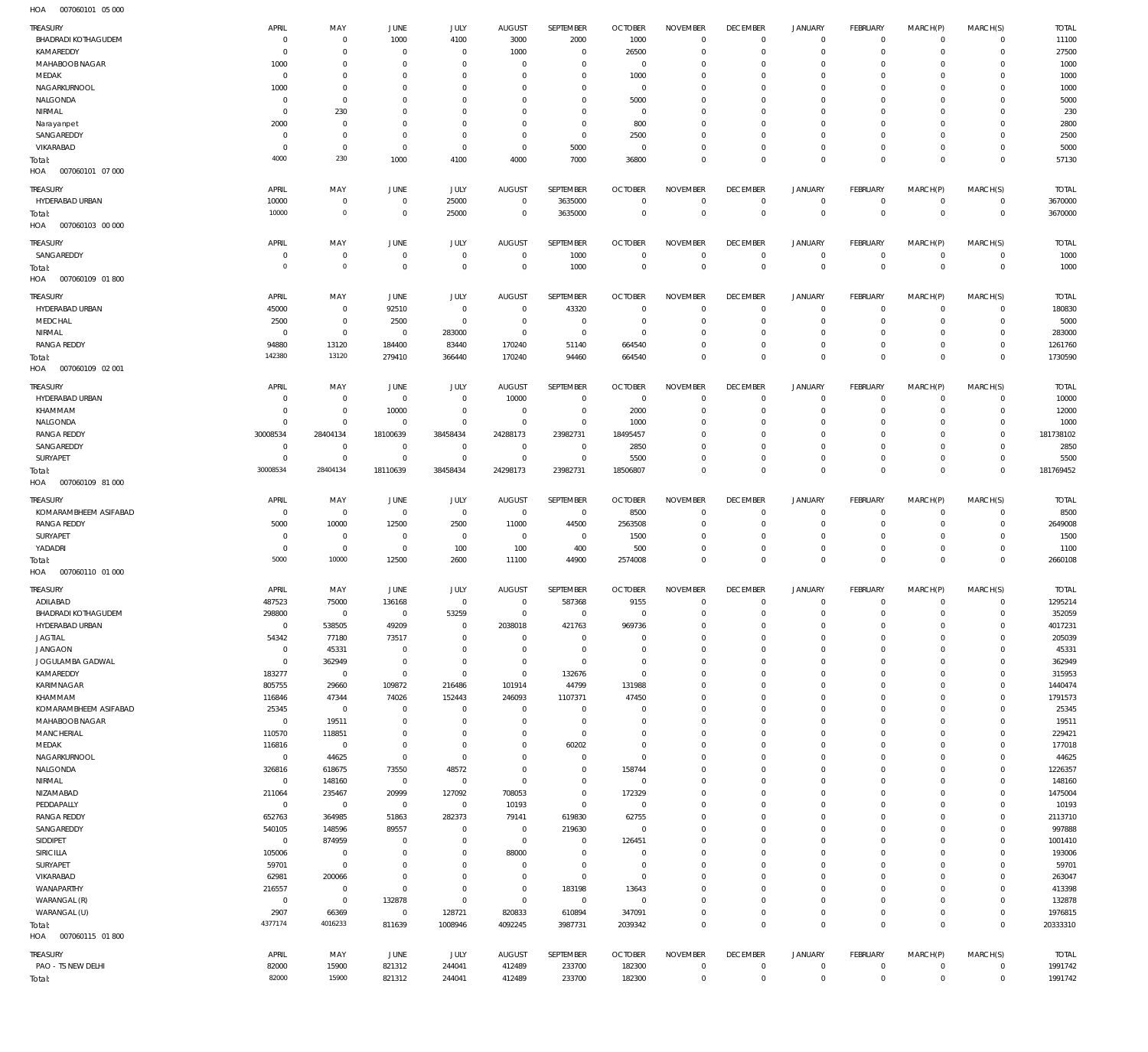007060101 05 000 HOA

| TREASURY                             | APRIL                      | MAY                        | JUNE                          | JULY                       | <b>AUGUST</b>                    | SEPTEMBER                  | <b>OCTOBER</b>                   | <b>NOVEMBER</b>                | <b>DECEMBER</b>                | <b>JANUARY</b>                             | <b>FEBRUARY</b>                   | MARCH(P)                   | MARCH(S)                   | <b>TOTAL</b>            |
|--------------------------------------|----------------------------|----------------------------|-------------------------------|----------------------------|----------------------------------|----------------------------|----------------------------------|--------------------------------|--------------------------------|--------------------------------------------|-----------------------------------|----------------------------|----------------------------|-------------------------|
| <b>BHADRADI KOTHAGUDEM</b>           | $\overline{0}$             | $\mathbf 0$                | 1000                          | 4100                       | 3000                             | 2000                       | 1000                             | $\Omega$                       | $\mathbf 0$                    | $\mathbf 0$                                | $\mathbf 0$                       | $\mathbf 0$                | $\mathbf 0$                | 11100                   |
| KAMAREDDY                            | $\overline{0}$             | $\mathbf 0$                | $\overline{0}$                | $\mathbf 0$                | 1000                             | $\mathbf 0$                | 26500                            | $\Omega$                       | $\mathbf 0$                    | $\mathbf 0$                                | $^{\circ}$                        | $\Omega$                   | $\mathbf 0$                | 27500                   |
| MAHABOOB NAGAR                       | 1000                       | $\mathbf 0$                | $\overline{0}$                | $\Omega$                   | $\mathbf 0$                      | $\mathbf 0$                | $\overline{0}$                   | $\Omega$                       | $\mathbf 0$                    | $\mathbf 0$                                | $\mathbf 0$                       | $\Omega$                   | $\mathbf 0$                | 1000                    |
| MEDAK<br>NAGARKURNOOL                | $\overline{0}$<br>1000     | $\mathbf 0$<br>$\mathbf 0$ | $\overline{0}$<br>$\mathbf 0$ | $\Omega$<br>$\Omega$       | $\Omega$<br>$\Omega$             | $\mathbf 0$<br>$\mathbf 0$ | 1000<br>$^{\circ}$               | $\Omega$<br>$\Omega$           | $\mathbf 0$<br>$\mathbf 0$     | $\mathbf 0$<br>$\mathbf 0$                 | $\mathbf 0$<br>0                  | $\Omega$<br>$\Omega$       | $\Omega$<br>$\mathbf 0$    | 1000<br>1000            |
| NALGONDA                             | $\overline{0}$             | $\mathbf 0$                | $\mathbf 0$                   | $\Omega$                   | $\Omega$                         | $\mathbf 0$                | 5000                             | $\Omega$                       | $\mathbf 0$                    | $\mathbf 0$                                | $\Omega$                          | $\Omega$                   | $\Omega$                   | 5000                    |
| NIRMAL                               | $\overline{0}$             | 230                        | $\mathbf 0$                   | $\Omega$                   | $\Omega$                         | $\mathbf 0$                | $\overline{0}$                   | $\Omega$                       | $\mathbf 0$                    | $\mathbf 0$                                | $\mathbf 0$                       | $\Omega$                   | $\mathbf 0$                | 230                     |
| Narayanpet                           | 2000                       | $\mathbf 0$                | $\mathbf 0$                   | $\Omega$                   | $\Omega$                         | $\mathbf 0$                | 800                              | $\Omega$                       | $\mathbf 0$                    | $\mathbf 0$                                | $\Omega$                          | $\Omega$                   | $\Omega$                   | 2800                    |
| SANGAREDDY                           | $\overline{0}$             | $\mathbf 0$                | $\overline{0}$                | $\Omega$                   | $\mathbf 0$                      | $\mathbf 0$                | 2500                             | $\Omega$                       | $\mathbf 0$                    | $\mathbf 0$                                | $\mathbf 0$                       | $\Omega$                   | $\mathbf 0$                | 2500                    |
| VIKARABAD                            | $\mathbf 0$<br>4000        | $\mathbf 0$<br>230         | $\overline{0}$<br>1000        | $\mathbf 0$<br>4100        | $\mathbf 0$<br>4000              | 5000<br>7000               | $\overline{0}$<br>36800          | $\Omega$<br>$\Omega$           | $\mathbf 0$<br>$\mathbf 0$     | $\mathbf 0$<br>$\mathbf 0$                 | $\mathbf 0$<br>$\mathbf 0$        | $\mathbf 0$<br>$\Omega$    | $\mathbf 0$<br>$\mathbf 0$ | 5000<br>57130           |
| Total:<br>HOA   007060101   07   000 |                            |                            |                               |                            |                                  |                            |                                  |                                |                                |                                            |                                   |                            |                            |                         |
| TREASURY                             | APRIL                      | MAY                        | JUNE                          | JULY                       | <b>AUGUST</b>                    | SEPTEMBER                  | <b>OCTOBER</b>                   | <b>NOVEMBER</b>                | <b>DECEMBER</b>                | <b>JANUARY</b>                             | <b>FEBRUARY</b>                   | MARCH(P)                   | MARCH(S)                   | <b>TOTAL</b>            |
| HYDERABAD URBAN                      | 10000                      | $\mathbf 0$                | $\overline{0}$                | 25000                      | $\overline{0}$                   | 3635000                    | $\overline{0}$                   | $\mathbf 0$                    | $\overline{0}$                 | $\overline{0}$                             | $\overline{0}$                    | $\mathbf 0$                | $\overline{0}$             | 3670000                 |
| Total:                               | 10000                      | $\mathbf 0$                | $\overline{0}$                | 25000                      | $\overline{0}$                   | 3635000                    | $\overline{0}$                   | $\mathbf 0$                    | $\mathbf 0$                    | $\bf 0$                                    | $\overline{0}$                    | $\mathbf 0$                | $\mathbf 0$                | 3670000                 |
| HOA<br>007060103 00 000              |                            |                            |                               |                            |                                  |                            |                                  |                                |                                |                                            |                                   |                            |                            |                         |
| TREASURY                             | APRIL                      | MAY                        | JUNE                          | JULY                       | <b>AUGUST</b>                    | SEPTEMBER                  | <b>OCTOBER</b>                   | <b>NOVEMBER</b>                | <b>DECEMBER</b>                | <b>JANUARY</b>                             | <b>FEBRUARY</b>                   | MARCH(P)                   | MARCH(S)                   | <b>TOTAL</b>            |
| SANGAREDDY                           | $\overline{0}$             | $\mathbf 0$                | $\overline{0}$                | $\mathbf 0$                | $\overline{0}$                   | 1000                       | $\overline{0}$                   | $\mathbf 0$                    | $\overline{0}$                 | $\mathbf 0$                                | $\overline{0}$                    | $\mathbf 0$                | $\mathbf 0$                | 1000                    |
| Total:                               | $\mathbf 0$                | $\mathbf 0$                | $\overline{0}$                | $\mathbf 0$                | $\overline{0}$                   | 1000                       | $\overline{0}$                   | $\mathbf 0$                    | $\mathbf 0$                    | $\mathbf 0$                                | $\mathbf 0$                       | $\mathbf 0$                | $\mathbf 0$                | 1000                    |
| 007060109 01 800<br>HOA              |                            |                            |                               |                            |                                  |                            |                                  |                                |                                |                                            |                                   |                            |                            |                         |
| TREASURY                             | APRIL                      | MAY                        | JUNE                          | JULY                       | <b>AUGUST</b>                    | SEPTEMBER                  | <b>OCTOBER</b>                   | <b>NOVEMBER</b>                | <b>DECEMBER</b>                | <b>JANUARY</b>                             | <b>FEBRUARY</b>                   | MARCH(P)                   | MARCH(S)                   | <b>TOTAL</b>            |
| HYDERABAD URBAN                      | 45000                      | $\mathbf 0$                | 92510                         | $\mathbf 0$                | $\overline{0}$                   | 43320                      | $\overline{0}$                   | $\mathbf 0$                    | 0                              | $\mathbf 0$                                | $\mathbf 0$                       | $\mathbf 0$                | $\overline{0}$             | 180830                  |
| MEDCHAL<br>NIRMAL                    | 2500<br>$\overline{0}$     | $\bf 0$<br>$\mathbf 0$     | 2500<br>$\overline{0}$        | $\bf 0$<br>283000          | $\overline{0}$<br>$\overline{0}$ | $\mathbf 0$<br>$\mathbf 0$ | $\overline{0}$<br>$\overline{0}$ | $\mathbf 0$<br>$\mathbf 0$     | $\mathbf 0$<br>$\mathbf 0$     | $\mathbf 0$<br>$\mathbf 0$                 | $\mathbf 0$<br>$\mathbf 0$        | $\mathbf 0$<br>$\mathbf 0$ | $\mathbf 0$<br>$\mathbf 0$ | 5000<br>283000          |
| <b>RANGA REDDY</b>                   | 94880                      | 13120                      | 184400                        | 83440                      | 170240                           | 51140                      | 664540                           | $\mathbf 0$                    | $\mathbf 0$                    | $\mathsf{O}\xspace$                        | $\mathbf 0$                       | $\mathbf 0$                | $\mathbf 0$                | 1261760                 |
| Total:                               | 142380                     | 13120                      | 279410                        | 366440                     | 170240                           | 94460                      | 664540                           | $\mathbf 0$                    | $\mathbf 0$                    | $\mathbf 0$                                | $\mathbf 0$                       | $\mathbf 0$                | $\mathbf 0$                | 1730590                 |
| HOA<br>007060109 02 001              |                            |                            |                               |                            |                                  |                            |                                  |                                |                                |                                            |                                   |                            |                            |                         |
| TREASURY                             | APRIL                      | MAY                        | JUNE                          | JULY                       | <b>AUGUST</b>                    | SEPTEMBER                  | <b>OCTOBER</b>                   | <b>NOVEMBER</b>                | <b>DECEMBER</b>                | <b>JANUARY</b>                             | <b>FEBRUARY</b>                   | MARCH(P)                   | MARCH(S)                   | <b>TOTAL</b>            |
| HYDERABAD URBAN                      | $\overline{0}$             | 0                          | $\overline{0}$                | $\mathbf 0$                | 10000                            | $\mathbf 0$                | $\overline{0}$                   | $\Omega$                       | $\mathbf 0$                    | $\mathbf 0$                                | $\mathbf 0$                       | $\Omega$                   | $\mathbf 0$                | 10000                   |
| KHAMMAM                              | $\overline{0}$             | $\mathbf 0$                | 10000                         | $\mathbf 0$                | $\overline{0}$                   | $\mathbf 0$                | 2000                             | $\mathbf 0$                    | $\mathbf 0$                    | $\mathbf 0$                                | $\mathbf 0$                       | $\Omega$                   | $\mathbf 0$                | 12000                   |
| NALGONDA                             | $\mathbf 0$                | $\mathbf 0$                | $\overline{0}$                | $\mathbf 0$                | $\mathbf 0$                      | $\mathbf 0$                | 1000                             | $\Omega$<br>$\Omega$           | $\mathbf 0$                    | $\mathbf 0$<br>$\mathbf 0$                 | $\mathbf 0$                       | $\Omega$<br>$\Omega$       | $\mathbf 0$<br>$\mathbf 0$ | 1000                    |
| <b>RANGA REDDY</b><br>SANGAREDDY     | 30008534<br>$\overline{0}$ | 28404134<br>$\overline{0}$ | 18100639<br>$\overline{0}$    | 38458434<br>$\mathbf 0$    | 24288173<br>$\overline{0}$       | 23982731<br>$\overline{0}$ | 18495457<br>2850                 | $\Omega$                       | $\mathbf 0$<br>$\mathbf 0$     | $\mathbf 0$                                | $\mathbf 0$<br>$\mathbf 0$        | $\Omega$                   | $\mathbf 0$                | 181738102<br>2850       |
| SURYAPET                             | $\mathbf 0$                | $\mathbf 0$                | $\overline{0}$                | $\mathbf 0$                | $\mathbf 0$                      | $\mathbf 0$                | 5500                             | $\Omega$                       | $\mathbf 0$                    | $\mathbf 0$                                | $\mathbf 0$                       | $\Omega$                   | $\mathbf 0$                | 5500                    |
| Total:                               | 30008534                   | 28404134                   | 18110639                      | 38458434                   | 24298173                         | 23982731                   | 18506807                         | $\Omega$                       | $\mathbf 0$                    | $\mathbf 0$                                | $\mathbf 0$                       | $\Omega$                   | $\mathbf 0$                | 181769452               |
| HOA<br>007060109 81 000              |                            |                            |                               |                            |                                  |                            |                                  |                                |                                |                                            |                                   |                            |                            |                         |
| TREASURY                             | APRIL                      | MAY                        | JUNE                          | JULY                       | <b>AUGUST</b>                    | SEPTEMBER                  | <b>OCTOBER</b>                   | <b>NOVEMBER</b>                | <b>DECEMBER</b>                | <b>JANUARY</b>                             | <b>FEBRUARY</b>                   | MARCH(P)                   | MARCH(S)                   | <b>TOTAL</b>            |
| KOMARAMBHEEM ASIFABAD                | $\overline{0}$             | $\overline{0}$             | $\overline{0}$                | $\bf 0$                    | $\overline{0}$                   | $\mathbf 0$                | 8500                             | $\mathbf 0$                    | 0                              | 0                                          | $\mathbf 0$                       | 0                          | $\mathbf 0$                | 8500                    |
| <b>RANGA REDDY</b>                   | 5000                       | 10000                      | 12500                         | 2500                       | 11000                            | 44500                      | 2563508                          | $\mathbf 0$                    | $\mathbf 0$                    | $\mathbf 0$                                | $\mathbf 0$                       | $\mathbf 0$                | $\mathbf 0$                | 2649008                 |
| SURYAPET                             | $\mathbf 0$                | $\overline{0}$             | $\overline{0}$                | 0                          | $\overline{0}$                   | $\mathbf 0$                | 1500                             | $\mathbf 0$                    | 0                              | $\mathbf 0$                                | $\overline{0}$                    | $\mathbf 0$                | $\mathbf 0$                | 1500                    |
| YADADRI<br>Total:                    | $\overline{0}$<br>5000     | $\mathbf 0$<br>10000       | $\overline{0}$<br>12500       | 100<br>2600                | 100<br>11100                     | 400<br>44900               | 500<br>2574008                   | $\mathbf 0$<br>$\mathbf 0$     | $\mathbf 0$<br>$\mathbf 0$     | $\mathsf{O}\xspace$<br>$\mathsf{O}\xspace$ | $\mathbf 0$<br>$\overline{0}$     | $\mathbf 0$<br>$\mathbf 0$ | $\mathbf 0$<br>$\mathbf 0$ | 1100<br>2660108         |
| HOA<br>007060110 01 000              |                            |                            |                               |                            |                                  |                            |                                  |                                |                                |                                            |                                   |                            |                            |                         |
|                                      |                            |                            |                               |                            |                                  |                            |                                  |                                |                                |                                            |                                   |                            |                            |                         |
|                                      |                            |                            |                               |                            |                                  |                            |                                  |                                |                                |                                            |                                   |                            |                            |                         |
| TREASURY<br>ADILABAD                 | <b>APRIL</b><br>487523     | MAY<br>75000               | JUNE<br>136168                | JULY<br>$\mathbf 0$        | <b>AUGUST</b><br>$\overline{0}$  | SEPTEMBER<br>587368        | <b>OCTOBER</b><br>9155           | <b>NOVEMBER</b><br>$\mathbf 0$ | <b>DECEMBER</b><br>$\mathbf 0$ | <b>JANUARY</b><br>$\mathbf 0$              | <b>FEBRUARY</b><br>$\mathbf 0$    | MARCH(P)<br>$\mathbf 0$    | MARCH(S)<br>$\Omega$       | <b>TOTAL</b><br>1295214 |
| <b>BHADRADI KOTHAGUDEM</b>           | 298800                     | O                          | 0                             | 53259                      | 0                                | 0                          | -C                               |                                |                                |                                            |                                   |                            |                            | 352059                  |
| HYDERABAD URBAN                      | $\mathbf 0$                | 538505                     | 49209                         | $\mathbf 0$                | 2038018                          | 421763                     | 969736                           | $\mathbf 0$                    | $\mathbf 0$                    | $\mathbf 0$                                | $\mathbf 0$                       | $\mathbf 0$                | $\mathbf 0$                | 4017231                 |
| JAGTIAL                              | 54342                      | 77180                      | 73517                         | $\mathbf 0$                | $\mathbf 0$                      | $\mathbf 0$                | $\mathbf 0$                      | $\mathbf 0$                    | $\mathbf 0$                    | $\mathbf 0$                                | $\mathbf 0$                       | $\Omega$                   | $\mathbf 0$                | 205039                  |
| <b>JANGAON</b>                       | $\overline{0}$             | 45331                      | $\overline{0}$                | $\mathbf 0$                | $\mathbf 0$                      | $\mathbf 0$                | $\overline{0}$                   | $\mathbf 0$                    | $\mathbf 0$                    | $\mathbf 0$                                | $\mathbf 0$                       | $\Omega$                   | 0                          | 45331                   |
| JOGULAMBA GADWAL                     | $\overline{0}$             | 362949                     | $\overline{0}$                | $\mathbf 0$                | 0                                | $\mathbf 0$                | $\mathbf 0$                      | $\Omega$                       | $\mathbf 0$                    | $\mathbf 0$                                | $\mathbf 0$                       | $\Omega$<br>$\Omega$       | $\mathbf 0$                | 362949                  |
| KAMAREDDY<br>KARIMNAGAR              | 183277<br>805755           | $\overline{0}$<br>29660    | $\overline{0}$<br>109872      | $\mathbf 0$<br>216486      | $\mathbf 0$<br>101914            | 132676<br>44799            | $\overline{0}$<br>131988         | $\mathbf 0$<br>$\Omega$        | $\mathbf 0$<br>$\mathbf 0$     | $\mathbf 0$<br>$\mathbf 0$                 | $\mathbf 0$<br>$\mathbf 0$        | $\Omega$                   | $\mathbf 0$<br>$\mathbf 0$ | 315953<br>1440474       |
| KHAMMAM                              | 116846                     | 47344                      | 74026                         | 152443                     | 246093                           | 1107371                    | 47450                            | $\mathbf 0$                    | $\mathbf 0$                    | $\mathbf 0$                                | $\mathbf 0$                       | $\Omega$                   | 0                          | 1791573                 |
| KOMARAMBHEEM ASIFABAD                | 25345                      | $\overline{0}$             | $\overline{0}$                | $\mathbf 0$                | $^{\circ}$                       | $\mathbf 0$                | $\overline{0}$                   | $\Omega$                       | $\mathbf 0$                    | $\mathbf 0$                                | $\mathbf 0$                       | $\Omega$                   | $\mathbf 0$                | 25345                   |
| MAHABOOB NAGAR                       | $\overline{0}$             | 19511                      | $\overline{0}$                | $\mathbf 0$                | $\mathbf 0$                      | $\mathbf 0$                | $\mathbf 0$                      | $\mathbf 0$                    | $\mathbf 0$                    | $\mathbf 0$                                | $\mathbf 0$                       | $\Omega$                   | $\mathbf 0$                | 19511                   |
| MANCHERIAL                           | 110570                     | 118851                     | $\overline{0}$                | $\mathbf 0$                | $\mathbf 0$                      | $\bf 0$                    | $\mathbf 0$                      | $\Omega$                       | $\mathbf 0$                    | $\mathbf 0$                                | $\mathbf 0$                       | $\Omega$                   | $\mathbf 0$                | 229421                  |
| MEDAK                                | 116816                     | $\overline{0}$             | $\overline{0}$                | $\mathbf 0$<br>$\mathbf 0$ | $\mathbf 0$<br>$\mathbf 0$       | 60202<br>$\mathbf 0$       | $\mathbf 0$<br>$\overline{0}$    | $\mathbf 0$<br>$\Omega$        | $\mathbf 0$<br>$\mathbf 0$     | $\mathbf 0$<br>$\mathbf 0$                 | $\mathbf 0$<br>$\mathbf 0$        | $\Omega$<br>$\Omega$       | $\mathbf 0$<br>$\mathbf 0$ | 177018                  |
| NAGARKURNOOL<br>NALGONDA             | $\mathbf 0$<br>326816      | 44625<br>618675            | $\overline{0}$<br>73550       | 48572                      | $\mathbf 0$                      | $\mathbf 0$                | 158744                           | $\mathbf 0$                    | $\mathbf 0$                    | $\mathbf 0$                                | $\mathbf 0$                       | $\Omega$                   | $\mathbf 0$                | 44625<br>1226357        |
| NIRMAL                               | $\mathbf 0$                | 148160                     | $\,0\,$                       | $\mathbf 0$                | $\mathbf 0$                      | $\mathbf 0$                | $\overline{0}$                   | $\Omega$                       | $\mathbf 0$                    | $\mathbf 0$                                | $\mathbf 0$                       | $\Omega$                   | $\mathbf 0$                | 148160                  |
| NIZAMABAD                            | 211064                     | 235467                     | 20999                         | 127092                     | 708053                           | $\mathbf 0$                | 172329                           | $\mathbf 0$                    | $\mathbf 0$                    | $\mathbf 0$                                | $\mathbf 0$                       | $\Omega$                   | 0                          | 1475004                 |
| PEDDAPALLY                           | $\,0\,$                    | $\overline{0}$             | $\overline{0}$                | $\bf 0$                    | 10193                            | $\mathbf 0$                | $^{\circ}$                       | $\Omega$                       | $\mathbf 0$                    | $\mathbf 0$                                | $\mathbf 0$                       | $\Omega$                   | $\mathbf 0$                | 10193                   |
| <b>RANGA REDDY</b>                   | 652763                     | 364985                     | 51863                         | 282373                     | 79141                            | 619830                     | 62755                            | $\Omega$                       | $\mathbf 0$                    | $\mathbf 0$                                | $\mathbf 0$                       | $\Omega$                   | $\mathbf 0$                | 2113710                 |
| SANGAREDDY                           | 540105<br>$\overline{0}$   | 148596<br>874959           | 89557<br>$\overline{0}$       | $\mathbf 0$<br>$\mathbf 0$ | $\overline{0}$<br>$\overline{0}$ | 219630<br>0                | $\overline{0}$<br>126451         | $\Omega$<br>$\mathbf 0$        | $\mathbf 0$<br>$\mathbf 0$     | $\mathbf 0$<br>$\mathbf 0$                 | $\mathbf 0$<br>$\Omega$           | $\Omega$<br>$\Omega$       | $\mathbf 0$<br>$\mathbf 0$ | 997888<br>1001410       |
| SIDDIPET<br>SIRICILLA                | 105006                     | $\overline{0}$             | $\overline{0}$                | $\mathbf 0$                | 88000                            | $\mathbf 0$                | $\overline{0}$                   | $\Omega$                       | $\mathbf 0$                    | $\mathbf 0$                                | $\mathbf 0$                       | $\Omega$                   | $\mathbf 0$                | 193006                  |
| SURYAPET                             | 59701                      | $\mathbf 0$                | $\mathbf 0$                   | $\mathbf 0$                | $\mathbf 0$                      | $\mathbf 0$                | $\overline{0}$                   | $\mathbf 0$                    | $\mathbf 0$                    | $\mathbf 0$                                | $\mathbf 0$                       | $\Omega$                   | $\mathbf 0$                | 59701                   |
| VIKARABAD                            | 62981                      | 200066                     | $\overline{0}$                | $\Omega$                   | $\mathbf 0$                      | $\mathbf 0$                | $\overline{0}$                   | $\Omega$                       | $\mathbf 0$                    | $\mathbf 0$                                | $\mathbf 0$                       | $\Omega$                   | $\mathbf 0$                | 263047                  |
| WANAPARTHY                           | 216557                     | $\mathbf 0$                | $\overline{0}$                | $\mathbf 0$                | $\mathbf{0}$                     | 183198                     | 13643                            | $\mathbf 0$                    | $\mathbf 0$                    | $\mathbf 0$                                | $\mathbf 0$                       | $\Omega$                   | 0                          | 413398                  |
| WARANGAL (R)                         | $\overline{0}$             | $\overline{0}$             | 132878                        | $\mathbf 0$                | $\bf 0$                          | $\mathbf 0$                | $\overline{0}$                   | $\Omega$                       | $\mathbf 0$                    | $\mathbf 0$                                | $\mathbf 0$                       | $\Omega$                   | $\mathbf 0$                | 132878                  |
| WARANGAL (U)                         | 2907<br>4377174            | 66369<br>4016233           | $\overline{0}$                | 128721                     | 820833                           | 610894                     | 347091                           | $\mathbf 0$<br>$\mathbf 0$     | $\mathbf 0$<br>$\mathbf 0$     | $\mathbf 0$<br>$\mathbf 0$                 | $\mathbf 0$<br>$\mathbf 0$        | $\mathbf 0$<br>$\mathbf 0$ | $\mathbf 0$<br>$\mathbf 0$ | 1976815                 |
| Total:<br>HOA   007060115   01   800 |                            |                            | 811639                        | 1008946                    | 4092245                          | 3987731                    | 2039342                          |                                |                                |                                            |                                   |                            |                            | 20333310                |
|                                      |                            |                            |                               |                            |                                  |                            |                                  |                                |                                |                                            |                                   |                            |                            |                         |
| TREASURY<br>PAO - TS NEW DELHI       | APRIL<br>82000             | MAY<br>15900               | JUNE<br>821312                | JULY<br>244041             | <b>AUGUST</b><br>412489          | SEPTEMBER<br>233700        | <b>OCTOBER</b><br>182300         | <b>NOVEMBER</b><br>0           | <b>DECEMBER</b><br>$\mathbf 0$ | <b>JANUARY</b><br>$\mathbf 0$              | <b>FEBRUARY</b><br>$\overline{0}$ | MARCH(P)<br>0              | MARCH(S)<br>$\mathbf 0$    | <b>TOTAL</b><br>1991742 |
| Total:                               | 82000                      | 15900                      | 821312                        | 244041                     | 412489                           | 233700                     | 182300                           | $\mathsf{O}\xspace$            | $\mathbf 0$                    | $\mathsf{O}\xspace$                        | $\mathbf 0$                       | $\mathsf{O}\xspace$        | $\mathbb O$                | 1991742                 |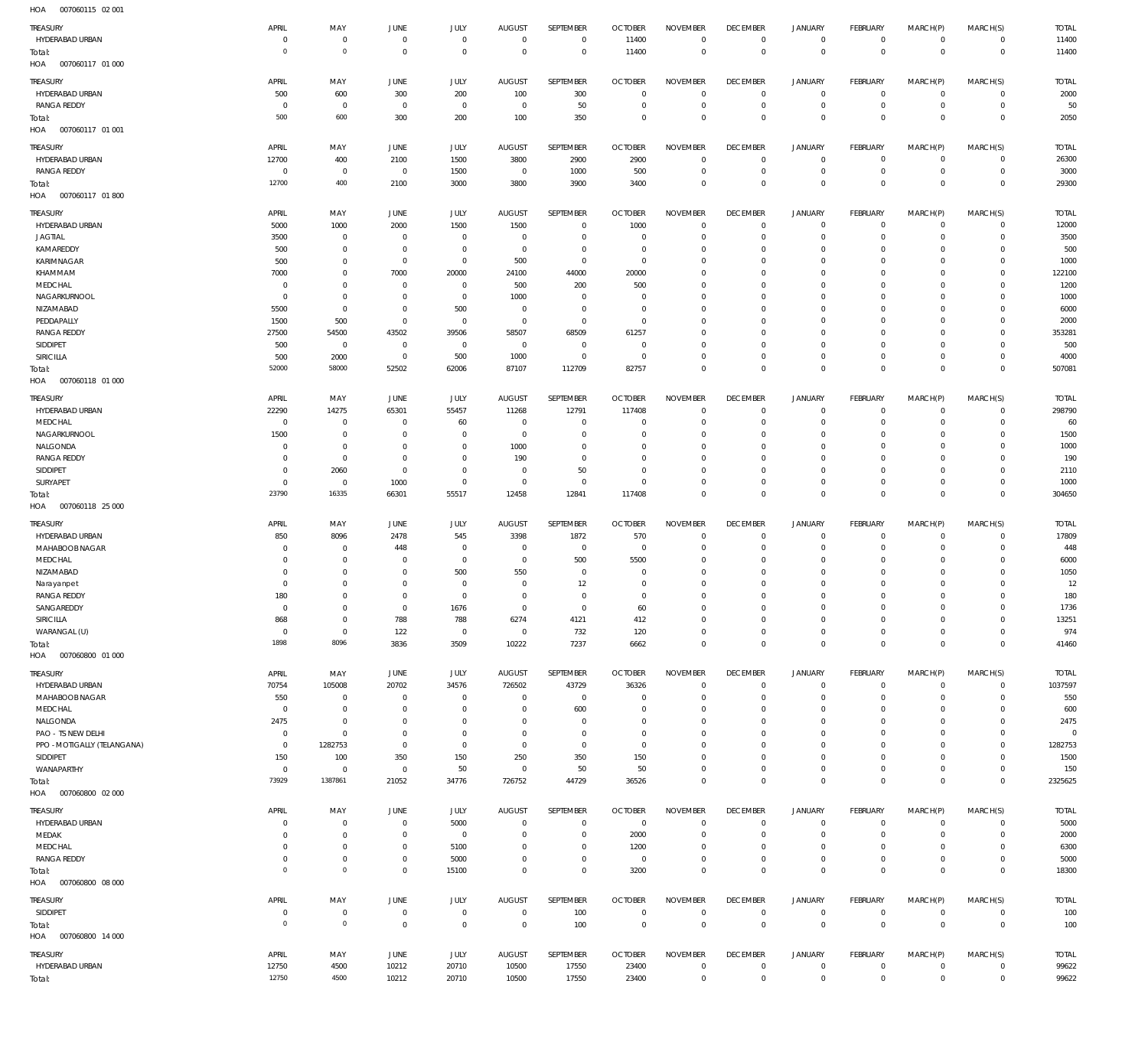| HOA<br>007060115 02 001     |                               |                        |                |                |                |                |                |                                    |                               |                                |                           |                            |                                  |                |
|-----------------------------|-------------------------------|------------------------|----------------|----------------|----------------|----------------|----------------|------------------------------------|-------------------------------|--------------------------------|---------------------------|----------------------------|----------------------------------|----------------|
| TREASURY                    | APRIL                         | MAY                    | <b>JUNE</b>    | <b>JULY</b>    | <b>AUGUST</b>  | SEPTEMBER      | <b>OCTOBER</b> | <b>NOVEMBER</b>                    | <b>DECEMBER</b>               | <b>JANUARY</b>                 | FEBRUARY                  | MARCH(P)                   | MARCH(S)                         | <b>TOTAL</b>   |
| HYDERABAD URBAN             | $^{\circ}$                    | $\mathbf 0$            | $\mathbf 0$    | $\mathbf 0$    | $\mathbf 0$    | $\mathbf 0$    | 11400          | $\mathbf 0$                        | $\mathbf 0$                   | $\overline{0}$                 | $\circ$                   | $\mathbf 0$                | $\circ$                          | 11400          |
| Total:                      | $\overline{0}$                | $\mathbf 0$            | $\mathbf 0$    | $\mathbf 0$    | $\mathbf 0$    | $\mathbf 0$    | 11400          | $\mathbf 0$                        | $\overline{0}$                | $\mathbf 0$                    | $\overline{0}$            | $\mathbf 0$                | $\overline{0}$                   | 11400          |
| HOA<br>007060117 01 000     |                               |                        |                |                |                |                |                |                                    |                               |                                |                           |                            |                                  |                |
|                             |                               |                        |                |                |                |                |                |                                    |                               |                                |                           |                            |                                  |                |
| TREASURY                    | APRIL                         | MAY                    | <b>JUNE</b>    | <b>JULY</b>    | <b>AUGUST</b>  | SEPTEMBER      | <b>OCTOBER</b> | <b>NOVEMBER</b>                    | <b>DECEMBER</b>               | <b>JANUARY</b>                 | FEBRUARY                  | MARCH(P)                   | MARCH(S)                         | <b>TOTAL</b>   |
| HYDERABAD URBAN             | 500                           | 600                    | 300            | 200            | 100            | 300            | $\overline{0}$ | 0                                  | 0                             | $\overline{0}$                 | $\circ$                   | 0                          | $\circ$                          | 2000           |
| RANGA REDDY                 | 0                             | $\overline{0}$         | $\overline{0}$ | $\mathbf 0$    | $\mathbf 0$    | 50             | $\mathbf 0$    | $\mathbf 0$                        | $\mathbf 0$                   | $\mathbf 0$                    | $\overline{0}$            | 0                          | $\overline{0}$                   | 50             |
| Total:                      | 500                           | 600                    | 300            | 200            | 100            | 350            | 0              | $\bf 0$                            | $\mathbf 0$                   | $\mathbf 0$                    | $\overline{0}$            | $\mathbf 0$                | $\overline{0}$                   | 2050           |
| HOA<br>007060117 01 001     |                               |                        |                |                |                |                |                |                                    |                               |                                |                           |                            |                                  |                |
| TREASURY                    | APRIL                         | MAY                    | <b>JUNE</b>    | <b>JULY</b>    | <b>AUGUST</b>  | SEPTEMBER      | <b>OCTOBER</b> | <b>NOVEMBER</b>                    | <b>DECEMBER</b>               | <b>JANUARY</b>                 | FEBRUARY                  | MARCH(P)                   | MARCH(S)                         | <b>TOTAL</b>   |
| HYDERABAD URBAN             | 12700                         | 400                    | 2100           | 1500           | 3800           | 2900           | 2900           | $\Omega$                           | $\overline{0}$                | $\mathbf 0$                    | $\circ$                   | $\mathbf 0$                | $\mathbf{0}$                     | 26300          |
| <b>RANGA REDDY</b>          |                               |                        |                |                |                |                |                | $\mathbf 0$                        | $\mathbf 0$                   | $\mathbf 0$                    | $\circ$                   | $\mathbf 0$                | $\circ$                          |                |
|                             | 0<br>12700                    | $\mathbf 0$<br>400     | 0              | 1500           | 0              | 1000           | 500            |                                    |                               |                                |                           |                            |                                  | 3000           |
| Total:                      |                               |                        | 2100           | 3000           | 3800           | 3900           | 3400           | $\mathbf 0$                        | $\mathbf 0$                   | $\mathbf 0$                    | $\overline{0}$            | $\mathbf 0$                | $\overline{0}$                   | 29300          |
| HOA<br>007060117 01 800     |                               |                        |                |                |                |                |                |                                    |                               |                                |                           |                            |                                  |                |
| TREASURY                    | APRIL                         | MAY                    | <b>JUNE</b>    | <b>JULY</b>    | <b>AUGUST</b>  | SEPTEMBER      | <b>OCTOBER</b> | <b>NOVEMBER</b>                    | <b>DECEMBER</b>               | <b>JANUARY</b>                 | FEBRUARY                  | MARCH(P)                   | MARCH(S)                         | <b>TOTAL</b>   |
| HYDERABAD URBAN             | 5000                          | 1000                   | 2000           | 1500           | 1500           | 0              | 1000           | $\mathbf 0$                        | 0                             | $\overline{0}$                 | $\overline{0}$            | $\circ$                    | $\circ$                          | 12000          |
| <b>JAGTIAL</b>              | 3500                          | $\mathbb O$            | 0              | $\mathbf 0$    | $\overline{0}$ | $\mathbb O$    | $\mathbf 0$    | $\mathbf 0$                        | $\mathbf 0$                   | $\mathbf 0$                    | $\circ$                   | $\circ$                    | $\mathbf{0}$                     | 3500           |
| KAMAREDDY                   | 500                           | $\mathbb O$            | $\circ$        | $\mathbf 0$    | $\mathbf 0$    | 0              | $\mathbf 0$    | $\mathbf 0$                        | $\mathbf 0$                   | 0                              | $\circ$                   | 0                          | $\circ$                          | 500            |
| KARIMNAGAR                  | 500                           | $\mathbb O$            | $\circ$        | $\mathbb O$    | 500            | $\mathbb O$    | $\overline{0}$ | $\mathbf 0$                        | $\mathbf 0$                   | $\mathbf 0$                    | $\mathbf 0$               | $\Omega$                   | $\mathbf{0}$                     | 1000           |
| KHAMMAM                     | 7000                          | $\mathbf 0$            | 7000           | 20000          | 24100          | 44000          | 20000          | 0                                  | $\mathbf 0$                   | $\mathbf 0$                    | $\mathbf{0}$              | 0                          | $\mathbf{0}$                     | 122100         |
| MEDCHAL                     | 0                             | $\mathbb O$            | 0              | $\mathbf 0$    | 500            | 200            | 500            | $\mathbf 0$                        | $\mathbf 0$                   | $\mathbf 0$                    | $\mathbf 0$               | $\circ$                    | $\mathbf 0$                      | 1200           |
| NAGARKURNOOL                | $^{\circ}$                    | $\mathbb O$            | 0              | $\mathbb O$    | 1000           | 0              | $\overline{0}$ | $\mathbf 0$                        | $\mathbf 0$                   | $\mathbf 0$                    | $\mathbf{0}$              | $\circ$                    | $\mathbf{0}$                     | 1000           |
| NIZAMABAD                   | 5500                          | $\mathbf 0$            | 0              | 500            | $\overline{0}$ | $\mathbb O$    | $\mathbf 0$    | $\mathbf 0$                        | $\mathbf 0$                   | $\mathbf 0$                    | $\mathbf 0$               | $\circ$                    | $\mathbf{0}$                     | 6000           |
| PEDDAPALLY                  | 1500                          | 500                    | 0              | $\mathbf 0$    | $\mathbf 0$    | $\mathbb O$    | $\overline{0}$ | $\mathbf 0$                        | $\mathbf 0$                   | $\mathbf 0$                    | $\mathbf 0$               | $\Omega$                   | $\mathbf 0$                      | 2000           |
| <b>RANGA REDDY</b>          | 27500                         | 54500                  | 43502          | 39506          | 58507          | 68509          | 61257          | $\mathbf 0$                        | $\mathbf 0$                   | $\mathbf 0$                    | $\mathbf{0}$              | $\circ$                    | $\mathbf{0}$                     | 353281         |
| SIDDIPET                    | 500                           | $\mathbf 0$            | 0              | $\mathbf 0$    | $\overline{0}$ | 0              | $\mathbf 0$    | $\mathbf 0$                        | 0                             | $\mathbf 0$                    | $\mathbf{0}$              | $\circ$                    | $\mathbf{0}$                     | 500            |
| SIRICILLA                   | 500                           | 2000                   | $\overline{0}$ | 500            | 1000           | $\mathbb O$    | $\overline{0}$ | $\mathbf 0$                        | $\mathbf 0$                   | $\mathbf 0$                    | $\circ$                   | $\circ$                    | $\mathbf{0}$                     | 4000           |
| Total:                      | 52000                         | 58000                  | 52502          | 62006          | 87107          | 112709         | 82757          | $\mathbf 0$                        | $\mathbf 0$                   | $\bf 0$                        | $\overline{0}$            | $\mathbf 0$                | $\overline{0}$                   | 507081         |
| HOA<br>007060118 01 000     |                               |                        |                |                |                |                |                |                                    |                               |                                |                           |                            |                                  |                |
|                             |                               |                        |                |                |                |                |                |                                    |                               |                                |                           |                            |                                  |                |
| TREASURY                    | APRIL                         | MAY                    | <b>JUNE</b>    | JULY           | <b>AUGUST</b>  | SEPTEMBER      | <b>OCTOBER</b> | <b>NOVEMBER</b>                    | <b>DECEMBER</b>               | <b>JANUARY</b>                 | <b>FEBRUARY</b>           | MARCH(P)                   | MARCH(S)                         | <b>TOTAL</b>   |
| HYDERABAD URBAN             | 22290                         | 14275                  | 65301          | 55457          | 11268          | 12791          | 117408         | $\mathbf 0$                        | $\mathbf 0$                   | 0                              | $^{\circ}$                | $\mathbf 0$                | $\mathbf{0}$                     | 298790         |
| MEDCHAL                     | $^{\circ}$                    | $\mathbf 0$            | 0              | 60             | $^{\circ}$     | $\mathbf 0$    | $\mathbf 0$    | $\Omega$                           | $\mathbf 0$                   | $\mathbf 0$                    | $^{\circ}$                | $\mathbf 0$                | $\circ$                          | 60             |
| NAGARKURNOOL                | 1500                          | $\mathbb O$            | $^{\circ}$     | $\mathbf 0$    | $\mathbf{0}$   | $\mathbf 0$    | $\mathbf 0$    | $\mathbf 0$                        | $\mathbf 0$                   | $\mathbf 0$                    | $\mathbf 0$               | $\Omega$                   | $\mathbf 0$                      | 1500           |
| NALGONDA                    | 0                             | $\mathbf 0$            | $\mathbf 0$    | $\mathbf 0$    | 1000           | $\mathbf 0$    | $\mathbf 0$    | $\mathbf 0$                        | $\mathbf 0$                   | 0                              | $\mathbf 0$               | $\Omega$                   | $\mathbf 0$                      | 1000           |
| <b>RANGA REDDY</b>          | 0                             | $\mathbb O$            | $^{\circ}$     | $\mathbf 0$    | 190            | $\mathbf 0$    | 0              | $\mathbf 0$                        | $\mathbf 0$                   | $\mathbf 0$                    | $\mathbf 0$               | $\Omega$                   | $\mathbf 0$                      | 190            |
| SIDDIPET                    | 0                             | 2060                   | $^{\circ}$     | $\mathbf 0$    | $\mathbf{0}$   | 50             | $\mathbf 0$    | $\Omega$                           | $\mathbf 0$                   | $\mathbf 0$                    | $\mathbf 0$               | $\Omega$                   | $\mathbf 0$                      | 2110           |
| SURYAPET                    | 0                             | $\mathbf 0$            | 1000           | $\mathbf 0$    | $\mathbf{0}$   | $\mathbf 0$    | $\mathbf 0$    | $\mathbf 0$                        | $\mathbf 0$                   | $\mathbf 0$                    | $\mathbf 0$               | $\mathbf 0$                | $\mathbf{0}$                     | 1000           |
| Total:                      | 23790                         | 16335                  | 66301          | 55517          | 12458          | 12841          | 117408         | $\mathbf 0$                        | $\mathbf 0$                   | $\mathbf 0$                    | $\overline{0}$            | $\mathbf 0$                | $\mathbf 0$                      | 304650         |
| HOA<br>007060118 25 000     |                               |                        |                |                |                |                |                |                                    |                               |                                |                           |                            |                                  |                |
|                             |                               |                        |                |                |                |                |                |                                    |                               |                                |                           |                            |                                  |                |
| TREASURY                    | APRIL                         | MAY                    | <b>JUNE</b>    | <b>JULY</b>    | <b>AUGUST</b>  | SEPTEMBER      | <b>OCTOBER</b> | <b>NOVEMBER</b>                    | <b>DECEMBER</b>               | <b>JANUARY</b>                 | FEBRUARY                  | MARCH(P)                   | MARCH(S)                         | <b>TOTAL</b>   |
| HYDERABAD URBAN             | 850                           | 8096                   | 2478           | 545            | 3398           | 1872           | 570            | 0                                  | 0                             | 0                              | $\mathbf 0$               | 0                          | $\circ$                          | 17809          |
| MAHABOOB NAGAR              | 0                             | $\mathbf 0$            | 448            | $\mathbf 0$    | $\overline{0}$ | $\mathbb O$    | $\overline{0}$ | $\mathbf 0$                        | $\mathbf 0$                   | $\mathbf 0$                    | $\circ$                   | $\mathbf 0$                | $\mathbf{0}$                     | 448            |
|                             |                               |                        |                |                |                |                |                | 0                                  | 0                             | 0                              | $\circ$                   | 0                          | $\circ$                          | 6000           |
| MEDCHAL                     | 0                             | $\mathbf 0$            | $\circ$        | $\mathbf 0$    | $\mathbf 0$    | 500            | 5500           |                                    |                               |                                |                           |                            |                                  |                |
| NIZAMABAD                   | 0                             | $\mathbb O$            | 0              | 500            | 550            | 0              | 0              | $\mathbf 0$                        | $\mathbf 0$                   | $\mathbf 0$                    | $\mathbf 0$               | 0                          | $\mathbf{0}$                     | 1050           |
| Narayanpet                  | $^{\circ}$                    | $\mathbb O$            | $^{\circ}$     | $\mathbf 0$    | $^{\circ}$     | 12             | $\mathbf 0$    | $\mathbf 0$                        | $\mathbf 0$                   | $\mathbf 0$                    | $\mathbf{0}$              | 0                          | $\mathbf{0}$                     | 12             |
| <b>RANGA REDDY</b>          | 180                           | $\mathbf 0$            | $\mathbf 0$    | $\mathbf 0$    | $\mathbf 0$    | $\mathbf 0$    | $\mathbf 0$    | $\mathbf 0$                        | $\mathbf 0$                   | $\mathbf 0$                    | $\mathbf{0}$              | $\mathbf 0$                | $\mathbf{0}$                     | 180            |
| SANGAREDDY                  | 0                             | $\mathbb O$            | $\overline{0}$ | 1676           | $\mathbf 0$    | $\mathbb O$    | 60             | 0                                  | 0                             | 0                              | $\mathbf 0$               | $\Omega$                   | $\mathbf 0$                      | 1736           |
| SIRICILLA                   | 868                           | $\mathbf 0$            | 788            | 788            | 6274           | 4121           | 412            | $\bf 0$                            | $\overline{0}$                | $\mathbf 0$                    | $\circ$                   | $\mathbf 0$                | $\circ$                          | 13251          |
| WARANGAL (U)                | $\overline{0}$                | $\mathbf 0$            | 122            | $\overline{0}$ | $\overline{0}$ | 732            | 120            | $\bf 0$                            | $\overline{0}$                | $\mathsf{O}\xspace$            | $\circ$                   | $\mathbf 0$                | $\overline{0}$                   | 974            |
| Total:                      | 1898                          | 8096                   | 3836           | 3509           | 10222          | 7237           | 6662           | $\mathsf{O}\xspace$                | $\mathbf 0$                   | $\mathsf{O}\xspace$            | $\overline{0}$            | $\mathbf 0$                | $\overline{0}$                   | 41460          |
| HOA<br>007060800 01 000     |                               |                        |                |                |                |                |                |                                    |                               |                                |                           |                            |                                  |                |
|                             |                               |                        |                |                |                |                |                |                                    |                               |                                |                           |                            |                                  |                |
| TREASURY                    | APRIL                         | MAY                    | JUNE           | JULY           | <b>AUGUST</b>  | SEPTEMBER      | <b>OCTOBER</b> | <b>NOVEMBER</b>                    | <b>DECEMBER</b>               | <b>JANUARY</b>                 | FEBRUARY                  | MARCH(P)                   | MARCH(S)                         | <b>TOTAL</b>   |
| HYDERABAD URBAN             | 70754                         | 105008                 | 20702          | 34576          | 726502         | 43729          | 36326          | $\mathbf 0$                        | $\bf 0$                       | $\overline{0}$                 | $\circ$                   | $\mathbf 0$                | $\circ$                          | 1037597        |
| MAHABOOB NAGAR              | 550                           | $\mathbf 0$            | $\overline{0}$ | $\mathbf 0$    | $\mathbf 0$    | $\mathbb O$    | $\overline{0}$ | $\mathbf 0$                        | $\mathbf 0$                   | $\mathbf 0$                    | $\circ$                   | $\mathbf 0$                | $\circ$                          | 550            |
| MEDCHAL                     | $\mathbf 0$                   | $\mathbb O$            | $\mathbf 0$    | $\mathbf 0$    | $\mathbf{0}$   | 600            | 0              | $\mathbf 0$                        | $\mathbf 0$                   | $\mathbf 0$                    | $\mathbf 0$               | $\mathbf 0$                | $\mathbf 0$                      | 600            |
| NALGONDA                    | 2475                          | $\mathbb O$            | $\mathbf 0$    | $\mathbf 0$    | $\mathbf{0}$   | $\mathbf 0$    | $\mathbf 0$    | $\mathbf 0$                        | $\mathbf 0$                   | $\mathbf 0$                    | $^{\circ}$                | $\Omega$                   | $\mathbf 0$                      | 2475           |
| PAO - TS NEW DELHI          | $\mathbf 0$                   | $\mathbf 0$            | $\mathbf 0$    | $\mathbf 0$    | $\mathbf{0}$   | $\mathbf 0$    | $\mathbf 0$    | $\mathbf 0$                        | $\mathbf 0$                   | $\mathbf 0$                    | $^{\circ}$                | $\Omega$                   | $\mathbf 0$                      | $\Omega$       |
| PPO - MOTIGALLY (TELANGANA) | $\mathbf 0$                   | 1282753                | $\overline{0}$ | $\mathbf 0$    | $\mathbf{0}$   | $\mathbf 0$    | $\mathbf 0$    | $\mathbf 0$                        | $\mathbf 0$                   | $\mathbf 0$                    | $^{\circ}$                | $\Omega$                   | $\mathbf 0$                      | 1282753        |
| SIDDIPET                    | 150                           | 100                    | 350            | 150            | 250            | 350            | 150            | $\Omega$                           | $\mathbf 0$                   | $\mathbf 0$                    | $^{\circ}$                | $\mathbf 0$                | $\mathbf 0$                      | 1500           |
| WANAPARTHY                  | $\mathbf 0$                   | $\mathbb O$            | $\overline{0}$ | 50             | $\mathbf 0$    | 50             | 50             | $\mathbf 0$                        | $\bf 0$                       | $\mathsf{O}\xspace$            | $\mathbf 0$               | $\mathbf 0$                | $\circ$                          | 150            |
| Total:                      | 73929                         | 1387861                | 21052          | 34776          | 726752         | 44729          | 36526          | $\mathbf 0$                        | $\mathbf 0$                   | $\mathbf 0$                    | $\overline{0}$            | $\mathbf 0$                | $\overline{0}$                   | 2325625        |
| HOA<br>007060800 02 000     |                               |                        |                |                |                |                |                |                                    |                               |                                |                           |                            |                                  |                |
| TREASURY                    | APRIL                         | MAY                    | JUNE           | JULY           | <b>AUGUST</b>  | SEPTEMBER      | <b>OCTOBER</b> | <b>NOVEMBER</b>                    | <b>DECEMBER</b>               | <b>JANUARY</b>                 | FEBRUARY                  | MARCH(P)                   | MARCH(S)                         | <b>TOTAL</b>   |
| HYDERABAD URBAN             | 0                             | $\mathbb O$            | $\overline{0}$ | 5000           | $\mathbf 0$    | $\mathbb O$    | $\overline{0}$ | $\mathbf 0$                        | $\mathbf 0$                   | $\overline{0}$                 | $\overline{0}$            | $\mathbf 0$                | $\circ$                          | 5000           |
|                             | 0                             |                        | $\overline{0}$ | $\mathbb O$    | $^{\circ}$     | $\mathbb O$    |                | 0                                  | $\mathbf 0$                   | $\mathbf 0$                    | $\circ$                   | $\mathbf 0$                | $\circ$                          |                |
| MEDAK                       | $\mathbf 0$                   | $\mathbf 0$            |                |                | $\mathbf{0}$   | 0              | 2000           | 0                                  | 0                             | $\mathbf 0$                    | $\circ$                   | $\mathbf 0$                | $\circ$                          | 2000           |
| MEDCHAL                     |                               | $\mathbf 0$            | $\overline{0}$ | 5100           | $\mathbf{0}$   |                | 1200           |                                    |                               |                                |                           | $\mathbf 0$                |                                  | 6300           |
| <b>RANGA REDDY</b>          | $\mathbf 0$<br>$\overline{0}$ | $\mathbf 0$<br>$\circ$ | $\mathbb O$    | 5000           |                | $\mathbb O$    | $\overline{0}$ | $\bf 0$                            | $\mathbf 0$                   | $\mathbf 0$                    | $\circ$                   |                            | $\circ$                          | 5000           |
| Total:                      |                               |                        | $\overline{0}$ | 15100          | $\mathbf 0$    | $\mathbf 0$    | 3200           | $\mathbf 0$                        | $\mathbf{0}$                  | $\mathsf{O}\xspace$            | $\overline{0}$            | $\mathbf 0$                | $\overline{0}$                   | 18300          |
| HOA<br>007060800 08 000     |                               |                        |                |                |                |                |                |                                    |                               |                                |                           |                            |                                  |                |
| TREASURY                    | APRIL                         | MAY                    | <b>JUNE</b>    | <b>JULY</b>    | <b>AUGUST</b>  | SEPTEMBER      | <b>OCTOBER</b> | <b>NOVEMBER</b>                    | <b>DECEMBER</b>               | <b>JANUARY</b>                 | FEBRUARY                  | MARCH(P)                   | MARCH(S)                         | <b>TOTAL</b>   |
| SIDDIPET                    | 0                             | $\mathbb O$            | $\overline{0}$ | $\mathbf 0$    | $\mathbf 0$    | 100            | $\mathbf 0$    | 0                                  | $\mathbf 0$                   | $\overline{0}$                 | $\circ$                   | 0                          | $\circ$                          | 100            |
| Total:                      | $\overline{0}$                | $\circ$                | $\overline{0}$ | $\mathbb O$    | $\mathbf 0$    | 100            | $\mathbf 0$    | $\mathbf 0$                        | $\mathbf 0$                   | $\mathbf 0$                    | $\overline{0}$            | $\overline{0}$             | $\overline{0}$                   | 100            |
| HOA<br>007060800 14 000     |                               |                        |                |                |                |                |                |                                    |                               |                                |                           |                            |                                  |                |
|                             |                               |                        |                |                |                |                |                |                                    |                               |                                |                           |                            |                                  |                |
| TREASURY                    | APRIL                         | MAY                    | JUNE           | JULY           | <b>AUGUST</b>  | SEPTEMBER      | <b>OCTOBER</b> | <b>NOVEMBER</b>                    | <b>DECEMBER</b>               | <b>JANUARY</b>                 | FEBRUARY                  | MARCH(P)                   | MARCH(S)                         | <b>TOTAL</b>   |
| HYDERABAD URBAN<br>Total:   | 12750<br>12750                | 4500<br>4500           | 10212<br>10212 | 20710<br>20710 | 10500<br>10500 | 17550<br>17550 | 23400<br>23400 | $\mathbf 0$<br>$\mathsf{O}\xspace$ | $\overline{0}$<br>$\mathbf 0$ | $\circ$<br>$\mathsf{O}\xspace$ | $\overline{0}$<br>$\,0\,$ | $\mathbf 0$<br>$\mathbf 0$ | $\overline{0}$<br>$\overline{0}$ | 99622<br>99622 |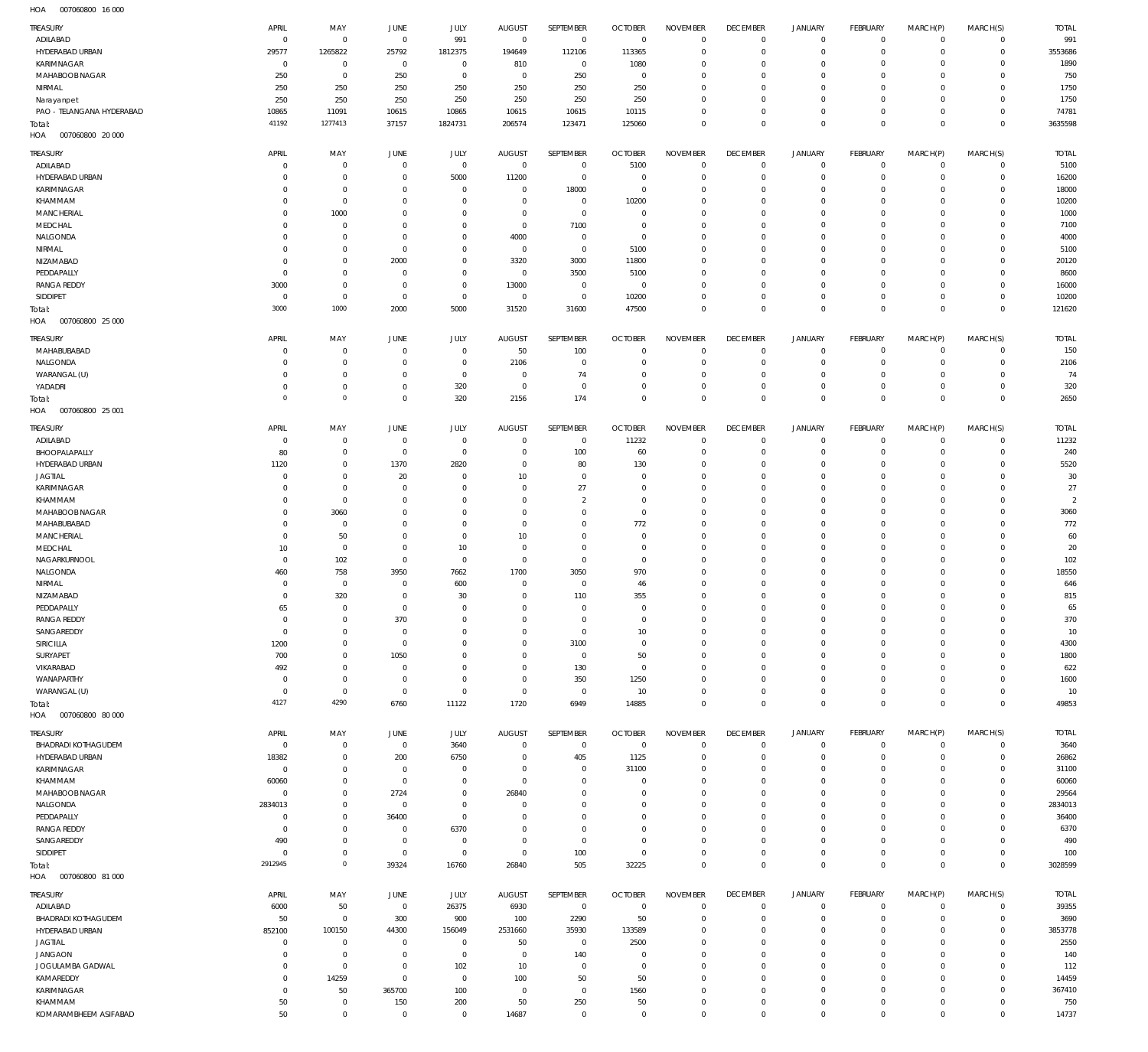007060800 16 000 HOA

| TREASURY                          | APRIL                      | MAY                              | <b>JUNE</b>                      | JULY                             | <b>AUGUST</b>        | SEPTEMBER                     | <b>OCTOBER</b>       | <b>NOVEMBER</b>            | <b>DECEMBER</b>            | <b>JANUARY</b>             | <b>FEBRUARY</b>            | MARCH(P)                | MARCH(S)                     | <b>TOTAL</b>         |
|-----------------------------------|----------------------------|----------------------------------|----------------------------------|----------------------------------|----------------------|-------------------------------|----------------------|----------------------------|----------------------------|----------------------------|----------------------------|-------------------------|------------------------------|----------------------|
| ADILABAD                          | $\overline{0}$             | $\overline{0}$                   | $\mathbf 0$                      | 991                              | $\overline{0}$       | $\mathbf 0$                   | $\mathbf{0}$         | $\mathbf 0$                | $\mathbf 0$                | $\mathbf 0$                | $\overline{0}$             | $\overline{0}$          | $\mathbf 0$                  | 991                  |
| HYDERABAD URBAN                   | 29577                      | 1265822                          | 25792                            | 1812375                          | 194649               | 112106                        | 113365               | $\circ$                    | $\mathbf 0$                | $\mathbf 0$                | $\mathbf 0$                | $\Omega$                | $\mathbf 0$                  | 3553686              |
| KARIMNAGAR                        | $\overline{0}$             | $\overline{0}$                   | $\overline{0}$                   | $\overline{0}$                   | 810                  | $\overline{0}$                | 1080                 | $^{\circ}$                 | $\mathbf 0$                | $\mathbf 0$                | $\mathbf 0$                | $\Omega$                | $\mathbf 0$                  | 1890                 |
| MAHABOOB NAGAR                    | 250                        | $\overline{0}$                   | 250                              | $\overline{0}$                   | $\overline{0}$       | 250                           | $\overline{0}$       | $\mathbf 0$                | $\mathbf 0$                | $\mathbf 0$                | $\mathbf 0$                | $\Omega$                | $\circ$                      | 750                  |
| NIRMAL<br>Narayanpet              | 250<br>250                 | 250<br>250                       | 250<br>250                       | 250<br>250                       | 250<br>250           | 250<br>250                    | 250<br>250           | $\mathbf 0$<br>$\mathbf 0$ | $\mathbf 0$<br>$\mathbf 0$ | $\mathbf 0$<br>$\mathbf 0$ | $^{\circ}$<br>$\mathbf 0$  | $\Omega$<br>$\Omega$    | $\circ$<br>$\Omega$          | 1750<br>1750         |
| PAO - TELANGANA HYDERABAD         | 10865                      | 11091                            | 10615                            | 10865                            | 10615                | 10615                         | 10115                | $\mathbf 0$                | $\mathbf 0$                | $\mathbf 0$                | $\mathbf 0$                | $\Omega$                | $\mathbf 0$                  | 74781                |
| Total:                            | 41192                      | 1277413                          | 37157                            | 1824731                          | 206574               | 123471                        | 125060               | $\mathbf 0$                | $\mathbf 0$                | $\mathbf 0$                | $\overline{0}$             | $\Omega$                | $\mathbf 0$                  | 3635598              |
| HOA<br>007060800 20 000           |                            |                                  |                                  |                                  |                      |                               |                      |                            |                            |                            |                            |                         |                              |                      |
| TREASURY                          | APRIL                      | MAY                              | JUNE                             | JULY                             | <b>AUGUST</b>        | SEPTEMBER                     | <b>OCTOBER</b>       | <b>NOVEMBER</b>            | <b>DECEMBER</b>            | <b>JANUARY</b>             | FEBRUARY                   | MARCH(P)                | MARCH(S)                     | <b>TOTAL</b>         |
| ADILABAD                          | $\mathbf 0$                | $\overline{0}$                   | $\Omega$                         | $\overline{0}$                   | $\overline{0}$       | $\overline{0}$                | 5100                 | $\Omega$                   | $\mathbf 0$                | $\mathbf 0$                | $\mathbf 0$                | $\Omega$                | $\mathbf 0$                  | 5100                 |
| HYDERABAD URBAN                   | $\Omega$                   | $\mathbf{0}$                     | $\Omega$                         | 5000                             | 11200                | $\mathbf 0$                   | $\mathsf{C}$         | $\Omega$                   | $\mathbf 0$                | $\mathbf 0$                | $\mathbf 0$                | $\Omega$                | $\circ$                      | 16200                |
| KARIMNAGAR                        | $\Omega$                   | $\overline{0}$                   | $\Omega$                         | $\Omega$                         | $\Omega$             | 18000                         | $\overline{0}$       | $\Omega$                   | $\Omega$                   | $\mathbf 0$                | $^{\circ}$                 | $\Omega$                | $\mathbf{0}$                 | 18000                |
| KHAMMAM                           | $\Omega$                   | $\overline{0}$                   | $\Omega$                         | $\Omega$                         | $\Omega$             | $\overline{0}$                | 10200                | $\Omega$                   | $\Omega$                   | $\Omega$                   | $\Omega$                   | $\Omega$                | $\circ$                      | 10200                |
| <b>MANCHERIAL</b><br>MEDCHAL      | $\Omega$<br>$\Omega$       | 1000<br>$^{\circ}$               | $\Omega$<br>$\Omega$             | $\Omega$<br>$\Omega$             | $\Omega$<br>$\Omega$ | $\mathbf 0$<br>7100           | $\Omega$<br>$\Omega$ | $\Omega$<br>$\Omega$       | $\Omega$<br>$\Omega$       | $\mathbf 0$<br>$\Omega$    | $^{\circ}$<br>$\Omega$     | $\Omega$<br>$\Omega$    | $\Omega$<br>$\Omega$         | 1000<br>7100         |
| NALGONDA                          | $\Omega$                   | $\overline{0}$                   | $\Omega$                         | $\Omega$                         | 4000                 | $\overline{0}$                | $\Omega$             | $\Omega$                   | $\Omega$                   | $\Omega$                   | $^{\circ}$                 | $\Omega$                | $\Omega$                     | 4000                 |
| NIRMAL                            | $\Omega$                   | $\mathbf{0}$                     | $\Omega$                         | $\Omega$                         | $\overline{0}$       | $\overline{0}$                | 5100                 | $\Omega$                   | $\Omega$                   | $\Omega$                   | $\Omega$                   | $\Omega$                | $\Omega$                     | 5100                 |
| NIZAMABAD                         | $\Omega$                   | $\mathbf{0}$                     | 2000                             | $\mathbf{0}$                     | 3320                 | 3000                          | 11800                | $\Omega$                   | $\Omega$                   | $\Omega$                   | $\mathbf 0$                | $\Omega$                | $\Omega$                     | 20120                |
| PEDDAPALLY                        | $\Omega$                   | $\mathbf{0}$                     | $\Omega$                         | $\mathbf{0}$                     | $\Omega$             | 3500                          | 5100                 | $\Omega$                   | $\mathbf 0$                | $\Omega$                   | $\Omega$                   | 0                       | $\Omega$                     | 8600                 |
| <b>RANGA REDDY</b>                | 3000                       | $\mathbf{0}$                     | $\Omega$                         | $\mathbf{0}$                     | 13000                | $\overline{0}$                | $\overline{0}$       | $\Omega$                   | $\Omega$                   | $\Omega$                   | $\mathbf 0$                | $\Omega$                | $\mathbf{0}$                 | 16000                |
| SIDDIPET                          | $\mathbf 0$                | $\overline{0}$<br>1000           | $\overline{0}$                   | $\overline{0}$                   | $\overline{0}$       | $\mathbf 0$                   | 10200                | $\Omega$                   | $\mathbf 0$                | $\mathbf 0$                | $\mathbf 0$                | $\Omega$                | $\circ$                      | 10200                |
| Total:<br>HOA<br>007060800 25 000 | 3000                       |                                  | 2000                             | 5000                             | 31520                | 31600                         | 47500                | $\Omega$                   | $\Omega$                   | $\mathbf 0$                | $\overline{0}$             | $\Omega$                | $\mathbf 0$                  | 121620               |
|                                   |                            |                                  |                                  |                                  |                      |                               |                      |                            |                            |                            |                            |                         |                              |                      |
| TREASURY                          | APRIL                      | MAY                              | JUNE                             | JULY                             | <b>AUGUST</b>        | SEPTEMBER                     | <b>OCTOBER</b>       | <b>NOVEMBER</b>            | <b>DECEMBER</b>            | <b>JANUARY</b>             | FEBRUARY                   | MARCH(P)                | MARCH(S)                     | <b>TOTAL</b>         |
| MAHABUBABAD<br>NALGONDA           | $\mathbf 0$<br>$\mathbf 0$ | $\overline{0}$<br>$\overline{0}$ | $\mathbf 0$<br>$\overline{0}$    | $\mathbb O$<br>$\overline{0}$    | 50<br>2106           | 100<br>$\mathbf 0$            | C<br>C               | $^{\circ}$<br>$\mathbf 0$  | 0<br>$\mathbf 0$           | 0<br>$\mathbf 0$           | $\circ$<br>$\mathbf 0$     | $\mathbf 0$<br>$\Omega$ | $\mathbf 0$<br>$\mathbf 0$   | 150<br>2106          |
| WARANGAL (U)                      | $\Omega$                   | $\overline{0}$                   | $\Omega$                         | $\mathbf 0$                      | $\Omega$             | 74                            | C                    | $\mathbf 0$                | $\mathbf 0$                | $\mathbf 0$                | $\mathbf 0$                | $\Omega$                | $\mathbf 0$                  | 74                   |
| YADADRI                           | $\mathbf 0$                | $\overline{0}$                   | $\overline{0}$                   | 320                              | $\Omega$             | $\mathbf 0$                   | $\overline{0}$       | $\mathbf 0$                | $\mathbf 0$                | 0                          | $\overline{0}$             | $\mathbf 0$             | $\mathbf 0$                  | 320                  |
| Total:                            | $\mathbf 0$                | $\mathbb O$                      | $\mathbf 0$                      | 320                              | 2156                 | 174                           | $\Omega$             | $\mathbf 0$                | $\mathbf 0$                | $\mathbf 0$                | $\overline{0}$             | $\Omega$                | $\mathbf 0$                  | 2650                 |
| 007060800 25 001<br>HOA           |                            |                                  |                                  |                                  |                      |                               |                      |                            |                            |                            |                            |                         |                              |                      |
| TREASURY                          | APRIL                      | MAY                              | JUNE                             | JULY                             | <b>AUGUST</b>        | SEPTEMBER                     | <b>OCTOBER</b>       | <b>NOVEMBER</b>            | <b>DECEMBER</b>            | <b>JANUARY</b>             | <b>FEBRUARY</b>            | MARCH(P)                | MARCH(S)                     | <b>TOTAL</b>         |
| ADILABAD                          | $\mathbf 0$                | $\overline{0}$                   | $\mathbf 0$                      | $\overline{0}$                   | $\Omega$             | $\overline{0}$                | 11232                | $^{\circ}$                 | $\mathbf 0$                | $\mathbf 0$                | $\circ$                    | $\Omega$                | $\mathbf 0$                  | 11232                |
| BHOOPALAPALLY                     | 80                         | $\mathbf{0}$                     | $\overline{0}$                   | $\overline{0}$                   | $\Omega$             | 100                           | 60                   | $\Omega$                   | $\mathbf 0$                | $\mathbf 0$                | $\mathbf 0$                | $\Omega$                | $\circ$                      | 240                  |
| HYDERABAD URBAN                   | 1120                       | $\overline{0}$                   | 1370                             | 2820                             | $\Omega$             | 80                            | 130                  | $^{\circ}$                 | $\mathbf 0$                | $\mathbf 0$                | $\mathbf 0$                | $\Omega$                | $\Omega$                     | 5520                 |
| <b>JAGTIAL</b>                    | $\mathbf 0$                | $\mathbf{0}$                     | 20                               | $\Omega$                         | 10                   | $^{\circ}$                    | $\mathsf{C}$         | $\Omega$                   | $\Omega$                   | $\Omega$                   | $\Omega$                   | $\Omega$                | $\Omega$                     | 30                   |
| KARIMNAGAR<br>KHAMMAM             | $\mathbf 0$<br>$\Omega$    | $\overline{0}$<br>$\overline{0}$ | $\Omega$<br>$\Omega$             | $\Omega$<br>$\Omega$             | $\Omega$<br>$\Omega$ | 27<br>$\overline{2}$          | $\Omega$<br>$\Omega$ | $\Omega$<br>$\Omega$       | $\mathbf 0$<br>$\Omega$    | $\Omega$<br>$\Omega$       | $\mathbf 0$<br>$\Omega$    | $\Omega$<br>O           | $\Omega$<br>$\Omega$         | 27<br>$\overline{2}$ |
| MAHABOOB NAGAR                    | $\Omega$                   | 3060                             | $\Omega$                         | $\mathbf{0}$                     | $\Omega$             | $\overline{0}$                | $\Omega$             | $\Omega$                   | $\mathbf 0$                | $\Omega$                   | $\mathbf 0$                | $\Omega$                | $\Omega$                     | 3060                 |
| MAHABUBABAD                       | $\Omega$                   | $\mathbf{0}$                     | $\Omega$                         | $\Omega$                         | $\Omega$             | $^{\circ}$                    | 772                  | $\Omega$                   | $\Omega$                   | $\Omega$                   | $\Omega$                   | O                       | $\Omega$                     | 772                  |
| <b>MANCHERIAL</b>                 | $\Omega$                   | 50                               | $\Omega$                         | $\mathbf{0}$                     | 10                   | $^{\circ}$                    | $\Omega$             | $\Omega$                   | $\mathbf 0$                | $\Omega$                   | $\mathbf 0$                | $\Omega$                | $\Omega$                     | 60                   |
| MEDCHAL                           | 10                         | $\overline{0}$                   | $\Omega$                         | 10 <sup>10</sup>                 | $\Omega$             | $\overline{0}$                | $\Omega$             | $\Omega$                   | $\Omega$                   | $\Omega$                   | $\Omega$                   | O                       | $\Omega$                     | $20\,$               |
| NAGARKURNOOL                      | $^{\circ}$                 | 102                              | $\Omega$                         | $\overline{0}$                   | $\Omega$             | $\overline{0}$                | $\Omega$             | $\Omega$                   | $\Omega$                   | $\Omega$                   | $\mathbf 0$                | $\Omega$                | $\Omega$                     | 102                  |
| NALGONDA                          | 460                        | 758                              | 3950                             | 7662                             | 1700                 | 3050                          | 970                  | $\Omega$                   | $\Omega$                   | $\Omega$                   | $\Omega$                   | O                       | $\Omega$                     | 18550                |
| NIRMAL<br>NIZAMABAD               | $\Omega$<br>$\Omega$       | $\overline{0}$                   | $\Omega$<br>$\Omega$             | 600<br>30                        | $\Omega$<br>$\Omega$ | $\overline{0}$<br>110         | 46<br>355            | $\Omega$<br>$\Omega$       | $\Omega$<br>$\Omega$       | $\Omega$<br>$\Omega$       | $\Omega$<br>$\Omega$       | $\Omega$<br>$\Omega$    | $\Omega$<br>$\circ$          | 646<br>815           |
| PEDDAPALLY                        | 65                         | 320<br>$\Omega$                  | $\Omega$                         | $\overline{0}$                   | $\Omega$             | $\overline{0}$                | $\Omega$             | $\Omega$                   | $\Omega$                   | $\Omega$                   | $\Omega$                   | $\Omega$                | $\circ$                      | 65                   |
| <b>RANGA REDDY</b>                | $\mathbf 0$                | $\mathbf 0$                      | 370                              | $^{\circ}$                       | $\Omega$             | $\overline{0}$                | $\overline{0}$       | $\Omega$                   | $\mathbf 0$                | $\circ$                    | $\mathbf 0$                | $\Omega$                | $^{\circ}$                   | 370                  |
| SANGAREDDY                        | $\mathbf 0$                | $\overline{0}$                   | $\overline{0}$                   | $\overline{0}$                   | $\Omega$             | $\mathbf 0$                   | 10                   | $\mathbf 0$                | $\mathbf 0$                | $\circ$                    | $\mathbf 0$                | $\Omega$                | $\mathbf{0}$                 | 10                   |
| SIRICILLA                         | 1200                       | $\mathbf 0$                      | $\mathbf 0$                      | $\Omega$                         | $\Omega$             | 3100                          | $\overline{0}$       | $\Omega$                   | $\mathbf 0$                | $\circ$                    | $\mathbf 0$                | $\Omega$                | $^{\circ}$                   | 4300                 |
| SURYAPET                          | 700                        | $\overline{0}$                   | 1050                             | $\mathbf{0}$                     | $\Omega$             | $\mathbf 0$                   | 50                   | $\Omega$                   | $\mathbf 0$                | $\circ$                    | $\mathbf 0$                | $\Omega$                | $\mathbf{0}$                 | 1800                 |
| VIKARABAD                         | 492                        | $\mathbf 0$                      | $\mathbf 0$                      | $^{\circ}$                       | $\Omega$             | 130                           | $\overline{0}$       | $\Omega$                   | $\mathbf 0$                | $\circ$                    | $\mathbf 0$                | $\Omega$                | $^{\circ}$                   | 622                  |
| WANAPARTHY<br>WARANGAL (U)        | $\mathbf 0$<br>$\mathbf 0$ | $\overline{0}$<br>$\overline{0}$ | $\overline{0}$<br>$\overline{0}$ | $\overline{0}$<br>$\mathbf 0$    | $\Omega$<br>$\Omega$ | 350<br>$\overline{0}$         | 1250<br>10           | $\Omega$<br>$\Omega$       | $\mathbf 0$<br>$\mathbf 0$ | $\circ$<br>$\mathbf 0$     | $\mathbf 0$<br>$\circ$     | $\Omega$<br>$\Omega$    | $\mathbf{0}$<br>$\mathbf 0$  | 1600<br>10           |
| Total:                            | 4127                       | 4290                             | 6760                             | 11122                            | 1720                 | 6949                          | 14885                | $\mathbf 0$                | $\mathbf 0$                | $\mathbf 0$                | $\overline{0}$             | $\Omega$                | $\mathbf 0$                  | 49853                |
| HOA<br>007060800 80 000           |                            |                                  |                                  |                                  |                      |                               |                      |                            |                            |                            |                            |                         |                              |                      |
| TREASURY                          | APRIL                      | MAY                              | JUNE                             | JULY                             | <b>AUGUST</b>        | SEPTEMBER                     | <b>OCTOBER</b>       | <b>NOVEMBER</b>            | <b>DECEMBER</b>            | <b>JANUARY</b>             | FEBRUARY                   | MARCH(P)                | MARCH(S)                     | <b>TOTAL</b>         |
| <b>BHADRADI KOTHAGUDEM</b>        | $\mathbf 0$                | $\overline{0}$                   | $\,0\,$                          | 3640                             | $\overline{0}$       | $\overline{0}$                | $\mathbf 0$          | $\mathbf 0$                | $\mathbf 0$                | $\mathbf 0$                | $\overline{0}$             | $\mathbf 0$             | $\mathbf 0$                  | 3640                 |
| HYDERABAD URBAN                   | 18382                      | $\overline{0}$                   | 200                              | 6750                             | $\Omega$             | 405                           | 1125                 | $^{\circ}$                 | $\mathbf 0$                | $\circ$                    | $\overline{0}$             | $\mathbf 0$             | $\mathbf 0$                  | 26862                |
| KARIMNAGAR                        | $\mathbf 0$                | $\overline{0}$                   | $\overline{0}$                   | $\mathbf 0$                      | $\Omega$             | $\mathbf 0$                   | 31100                | $\mathbf 0$                | $\mathbf 0$                | $\circ$                    | $\circ$                    | 0                       | $\mathbf 0$                  | 31100                |
| KHAMMAM                           | 60060                      | $\overline{0}$                   | $\overline{0}$                   | $\mathbf 0$                      | $\overline{0}$       | $\overline{0}$                | $\overline{0}$       | $\mathbf 0$                | $\mathbf 0$                | $\circ$                    | $\circ$                    | $\Omega$                | $\mathbf 0$                  | 60060                |
| MAHABOOB NAGAR                    | $\mathbf 0$                | $\mathbf 0$                      | 2724                             | $\mathbf 0$                      | 26840                | $\overline{0}$                | 0                    | $\mathbf 0$                | $\mathbf 0$                | $\circ$                    | $\mathbf 0$                | $\Omega$                | $\mathbf 0$                  | 29564                |
| NALGONDA<br>PEDDAPALLY            | 2834013<br>0               | $\overline{0}$<br>$\mathbf 0$    | $\overline{0}$<br>36400          | $\mathbf 0$<br>$\overline{0}$    | $\Omega$<br>$\Omega$ | $\overline{0}$<br>$\mathbf 0$ | $\Omega$<br>$\Omega$ | $\mathbf 0$<br>$\mathbf 0$ | $\mathbf 0$<br>$\mathbf 0$ | $\circ$<br>$\circ$         | $\mathbf 0$<br>$\mathbf 0$ | $\Omega$<br>$\Omega$    | $\mathbf 0$<br>$\mathbf 0$   | 2834013<br>36400     |
| <b>RANGA REDDY</b>                | $\mathbf 0$                | $\overline{0}$                   | $\overline{0}$                   | 6370                             | $\Omega$             | $\overline{0}$                | $\Omega$             | $\mathbf 0$                | $\mathbf 0$                | $\circ$                    | $\mathbf 0$                | $\Omega$                | $\mathbf 0$                  | 6370                 |
| SANGAREDDY                        | 490                        | $\overline{0}$                   | $\overline{0}$                   | $\overline{0}$                   | $\Omega$             | $\mathbf 0$                   | $\overline{0}$       | $\mathbf 0$                | $\mathbf 0$                | $\circ$                    | $\mathbf 0$                | $\circ$                 | $\mathbf 0$                  | 490                  |
| SIDDIPET                          | $\mathbf 0$                | $\overline{0}$                   | $\mathbf 0$                      | $\overline{0}$                   | $\overline{0}$       | 100                           | $^{\circ}$           | $\mathbf 0$                | $\mathbf 0$                | $\mathbf 0$                | $\overline{0}$             | $\mathbf 0$             | $\mathbf 0$                  | 100                  |
| Total:                            | 2912945                    | $\,0\,$                          | 39324                            | 16760                            | 26840                | 505                           | 32225                | $\mathbb O$                | $\mathbf 0$                | $\mathbf 0$                | $\overline{0}$             | $\mathbf{0}$            | $\mathbf 0$                  | 3028599              |
| HOA<br>007060800 81 000           |                            |                                  |                                  |                                  |                      |                               |                      |                            |                            |                            |                            |                         |                              |                      |
| TREASURY                          | APRIL                      | MAY                              | JUNE                             | JULY                             | <b>AUGUST</b>        | SEPTEMBER                     | <b>OCTOBER</b>       | <b>NOVEMBER</b>            | <b>DECEMBER</b>            | <b>JANUARY</b>             | FEBRUARY                   | MARCH(P)                | MARCH(S)                     | <b>TOTAL</b>         |
| ADILABAD                          | 6000                       | 50                               | $\,0\,$                          | 26375                            | 6930                 | $\mathbf 0$                   | $\overline{0}$       | $\Omega$                   | $\mathbf 0$                | $\mathbf 0$                | $\overline{0}$             | $\mathbf 0$             | $\mathbf 0$                  | 39355                |
| <b>BHADRADI KOTHAGUDEM</b>        | 50                         | $\overline{0}$                   | 300                              | 900                              | 100                  | 2290                          | 50                   | $\Omega$                   | $\mathbf 0$                | $\circ$                    | $\mathbf 0$                | $\Omega$                | $\mathbf 0$                  | 3690                 |
| HYDERABAD URBAN                   | 852100                     | 100150                           | 44300                            | 156049                           | 2531660              | 35930                         | 133589               | $\Omega$<br>$\Omega$       | $\mathbf 0$                | $\circ$                    | $\mathbf 0$                | $\Omega$                | $\mathbf 0$                  | 3853778              |
| JAGTIAL<br><b>JANGAON</b>         | $\mathbf 0$<br>$\mathbf 0$ | $\mathbf 0$<br>$\overline{0}$    | $\mathbf 0$<br>$\overline{0}$    | $\overline{0}$<br>$\overline{0}$ | 50<br>$\Omega$       | $\mathbf 0$<br>140            | 2500<br>$\Omega$     | $\Omega$                   | $\mathbf 0$<br>$\mathbf 0$ | $\circ$<br>$\circ$         | $\mathbf 0$<br>$\mathbf 0$ | $\Omega$<br>$\Omega$    | $\mathbf{0}$<br>$\mathbf{0}$ | 2550<br>140          |
| JOGULAMBA GADWAL                  | $\mathbf 0$                | $\overline{0}$                   | $\mathbf 0$                      | 102                              | 10                   | $\overline{0}$                | $^{\circ}$           | $\Omega$                   | $\mathbf 0$                | $\mathbf 0$                | $\mathbf 0$                | $\Omega$                | $\mathbf{0}$                 | 112                  |
| KAMAREDDY                         | $\Omega$                   | 14259                            | $\mathbf 0$                      | $\overline{0}$                   | 100                  | 50                            | 50                   | $\Omega$                   | $\Omega$                   | $\Omega$                   | $\mathbf 0$                | $\Omega$                | $\mathbf 0$                  | 14459                |
| KARIMNAGAR                        | $\mathbf 0$                | 50                               | 365700                           | 100                              | $\overline{0}$       | $\mathbf 0$                   | 1560                 | $^{\circ}$                 | $\mathbf 0$                | $\mathbf 0$                | $\mathbf 0$                | $\Omega$                | $\mathbf 0$                  | 367410               |
| KHAMMAM                           | 50                         | $\overline{0}$                   | 150                              | 200                              | 50                   | 250                           | 50                   | $^{\circ}$                 | $\mathbf 0$                | $\mathbf 0$                | $\mathbf 0$                | $\mathbf 0$             | $\mathbf 0$                  | 750                  |
| KOMARAMBHEEM ASIFABAD             | 50                         | $\mathbf 0$                      | $\,0\,$                          | $\mathbf 0$                      | 14687                | $\mathbf 0$                   | $\mathbf 0$          | $\mathbf 0$                | $\mathsf{O}\xspace$        | $\mathbf 0$                | $\mathbf 0$                | $\mathbf 0$             | $\mathbf 0$                  | 14737                |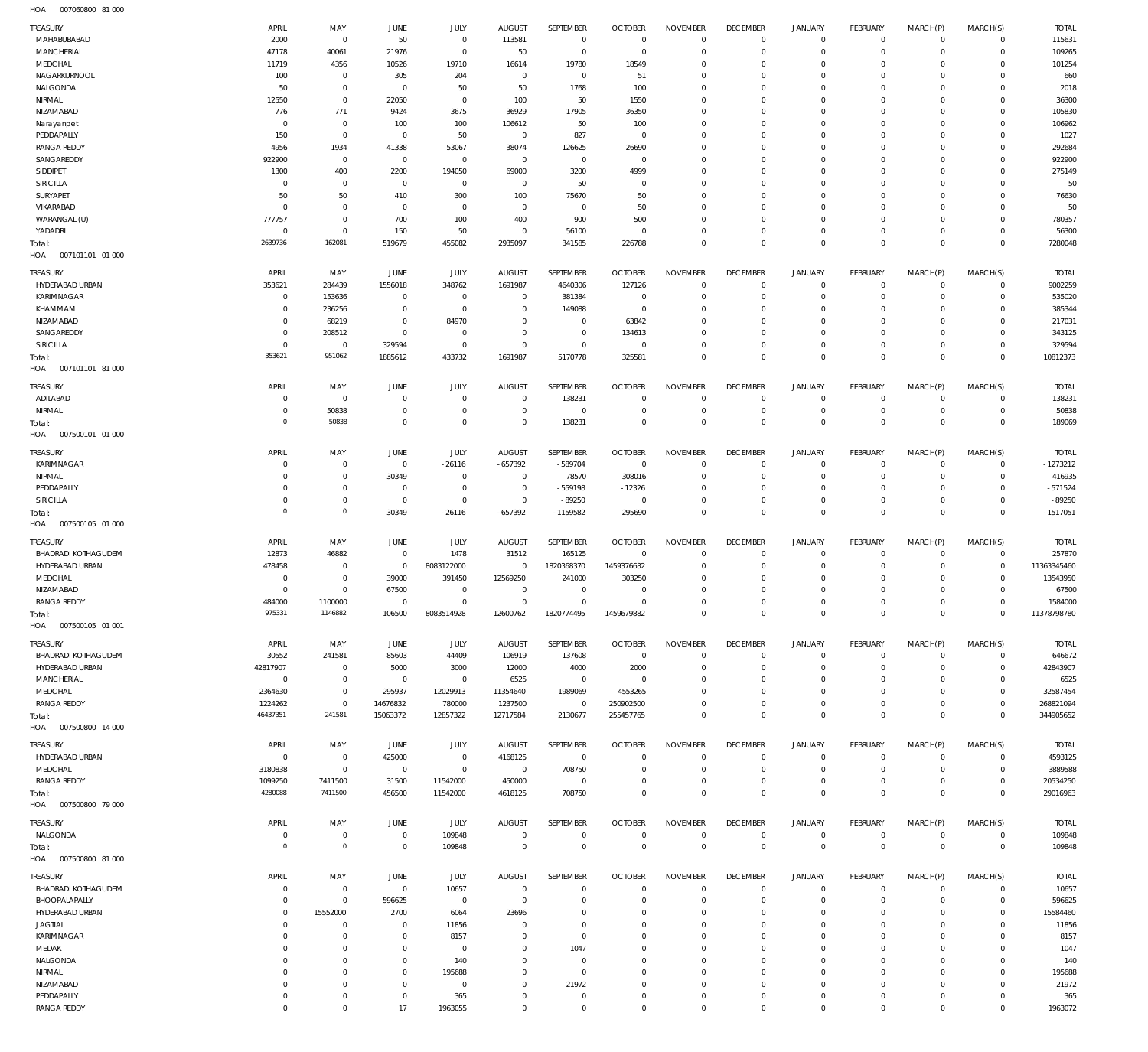007060800 81 000 HOA

| <b>TREASURY</b>                               | APRIL                  | MAY                              | JUNE                    | JULY                             | <b>AUGUST</b>                    | SEPTEMBER                     | <b>OCTOBER</b>                 | <b>NOVEMBER</b>             | <b>DECEMBER</b>                | <b>JANUARY</b>                | <b>FEBRUARY</b>               | MARCH(P)                   | MARCH(S)                       | <b>TOTAL</b>           |
|-----------------------------------------------|------------------------|----------------------------------|-------------------------|----------------------------------|----------------------------------|-------------------------------|--------------------------------|-----------------------------|--------------------------------|-------------------------------|-------------------------------|----------------------------|--------------------------------|------------------------|
| MAHABUBABAD                                   | 2000                   | $\overline{0}$                   | 50                      | $\mathbf 0$                      | 113581                           | $\,0\,$                       | $\overline{0}$                 | $\overline{0}$              | $^{\circ}$                     | $\mathbf 0$                   | $\mathbf 0$                   | $\mathbf 0$                | $\mathbf{0}$                   | 115631                 |
| MANCHERIAL                                    | 47178                  | 40061                            | 21976                   | $\overline{0}$                   | 50                               | $\mathbf 0$                   | $\overline{0}$                 | $\overline{0}$              | $\Omega$                       | $\mathbf 0$                   | $\mathbf 0$                   | $\Omega$                   | $\mathbf 0$                    | 109265                 |
| MEDCHAL                                       | 11719                  | 4356                             | 10526                   | 19710                            | 16614                            | 19780                         | 18549                          | $^{\circ}$                  | $\Omega$<br>$\Omega$           | $\mathbf 0$<br>$\mathbf 0$    | $^{\circ}$                    | $\Omega$<br>$\Omega$       | $\mathbf 0$<br>$\Omega$        | 101254                 |
| NAGARKURNOOL<br>NALGONDA                      | 100<br>50              | $\overline{0}$<br>$\overline{0}$ | 305<br>$\overline{0}$   | 204<br>50                        | $\overline{0}$<br>50             | $\mathbf 0$<br>1768           | 51<br>100                      | $^{\circ}$<br>$\Omega$      | $\Omega$                       | $\mathbf 0$                   | $^{\circ}$<br>$\Omega$        | $\Omega$                   | $\Omega$                       | 660<br>2018            |
| NIRMAL                                        | 12550                  | $\overline{0}$                   | 22050                   | $\mathbf 0$                      | 100                              | 50                            | 1550                           | $^{\circ}$                  | $\Omega$                       | $\mathbf 0$                   | $^{\circ}$                    | $\Omega$                   | $\mathbf 0$                    | 36300                  |
| NIZAMABAD                                     | 776                    | 771                              | 9424                    | 3675                             | 36929                            | 17905                         | 36350                          | $\Omega$                    | $\Omega$                       | $\mathbf 0$                   | $\Omega$                      | $\Omega$                   | $\Omega$                       | 105830                 |
| Narayanpet                                    | $^{\circ}$             | $\overline{0}$                   | 100                     | 100                              | 106612                           | 50                            | 100                            | $^{\circ}$                  | $\Omega$                       | $\mathbf 0$                   | $^{\circ}$                    | $\Omega$                   | $\mathbf 0$                    | 106962                 |
| PEDDAPALLY                                    | 150                    | $\overline{0}$                   | $\overline{0}$          | 50                               | $\mathbf 0$                      | 827                           | $\overline{0}$                 | $\Omega$                    | $\Omega$                       | $\mathbf 0$                   | $\Omega$                      | $\Omega$                   | $\Omega$                       | 1027                   |
| <b>RANGA REDDY</b>                            | 4956                   | 1934                             | 41338                   | 53067                            | 38074                            | 126625                        | 26690                          | $^{\circ}$                  | $\Omega$                       | $\mathbf 0$                   | $^{\circ}$                    | $\Omega$                   | $\mathbf 0$                    | 292684                 |
| SANGAREDDY<br>SIDDIPET                        | 922900<br>1300         | $\overline{0}$<br>400            | $\overline{0}$<br>2200  | $\overline{0}$<br>194050         | $\overline{0}$<br>69000          | $\,0\,$<br>3200               | $\overline{0}$<br>4999         | $^{\circ}$<br>$^{\circ}$    | $\Omega$<br>$\Omega$           | $\mathbf 0$<br>$\Omega$       | $^{\circ}$<br>$\Omega$        | $\Omega$<br>$\Omega$       | $\mathbf 0$<br>$\Omega$        | 922900<br>275149       |
| SIRICILLA                                     | $\circ$                | $\overline{0}$                   | $\overline{0}$          | $\overline{0}$                   | $\overline{0}$                   | 50                            | $\overline{0}$                 | $^{\circ}$                  | $\Omega$                       | $\mathbf 0$                   | $^{\circ}$                    | $\Omega$                   | $\mathbf 0$                    | 50                     |
| SURYAPET                                      | 50                     | 50                               | 410                     | 300                              | 100                              | 75670                         | 50                             | $^{\circ}$                  | $\Omega$                       | $\mathbf 0$                   | $\Omega$                      | $\Omega$                   | $\Omega$                       | 76630                  |
| VIKARABAD                                     | $^{\circ}$             | $\overline{0}$                   | $\overline{0}$          | $\overline{0}$                   | $\overline{0}$                   | $\,0\,$                       | 50                             | $^{\circ}$                  | $\Omega$                       | $\mathbf 0$                   | $^{\circ}$                    | $\Omega$                   | $\mathbf 0$                    | 50                     |
| WARANGAL (U)                                  | 777757                 | $\mathbf 0$                      | 700                     | 100                              | 400                              | 900                           | 500                            | $^{\circ}$                  | $\Omega$                       | $\mathbf 0$                   | $\Omega$                      | $\Omega$                   | $\Omega$                       | 780357                 |
| YADADRI                                       | $^{\circ}$<br>2639736  | $\overline{0}$<br>162081         | 150                     | 50                               | $\overline{0}$                   | 56100                         | $\overline{0}$                 | $^{\circ}$<br>$\mathbf{0}$  | $\mathbf 0$<br>$\mathbf 0$     | $\mathbf 0$<br>$\mathbf 0$    | $\mathbf 0$<br>$\overline{0}$ | $\Omega$<br>$\mathbf 0$    | $\mathbf{0}$<br>$\mathbf 0$    | 56300                  |
| Total:<br>HOA<br>007101101 01 000             |                        |                                  | 519679                  | 455082                           | 2935097                          | 341585                        | 226788                         |                             |                                |                               |                               |                            |                                | 7280048                |
| TREASURY                                      | APRIL                  | MAY                              | <b>JUNE</b>             | JULY                             | <b>AUGUST</b>                    | SEPTEMBER                     | <b>OCTOBER</b>                 | <b>NOVEMBER</b>             | <b>DECEMBER</b>                | <b>JANUARY</b>                | FEBRUARY                      | MARCH(P)                   | MARCH(S)                       | <b>TOTAL</b>           |
| HYDERABAD URBAN                               | 353621                 | 284439                           | 1556018                 | 348762                           | 1691987                          | 4640306                       | 127126                         | $\Omega$                    | $\mathbf 0$                    | $^{\circ}$                    | $^{\circ}$                    | $\Omega$                   | $\mathbf 0$                    | 9002259                |
| <b>KARIMNAGAR</b>                             | $\Omega$               | 153636                           | $\Omega$                | $\overline{0}$                   | $\overline{0}$                   | 381384                        | $^{\circ}$                     | $\Omega$                    | $\Omega$                       | $\mathbf 0$                   | $^{\circ}$                    | $\Omega$                   | $\mathbf 0$                    | 535020                 |
| KHAMMAM                                       | $\Omega$               | 236256                           | $\Omega$                | $\overline{0}$                   | $\Omega$                         | 149088                        | $^{\circ}$                     | $\Omega$                    | $\Omega$                       | $\Omega$                      | $^{\circ}$                    | $\Omega$                   | $\Omega$                       | 385344                 |
| NIZAMABAD                                     | $\Omega$               | 68219                            | $\Omega$                | 84970                            | $\Omega$                         | $\overline{0}$                | 63842                          | $\Omega$                    | $\Omega$                       | $^{\circ}$                    | $\Omega$                      | $\Omega$                   | $\Omega$                       | 217031                 |
| SANGAREDDY                                    | $\Omega$               | 208512                           | $\Omega$                | $\overline{0}$                   | $\Omega$                         | $\mathbf 0$                   | 134613                         | $\Omega$                    | $\Omega$                       | $\Omega$                      | $\Omega$                      | $\Omega$                   | $\Omega$                       | 343125                 |
| SIRICILLA                                     | $\Omega$<br>353621     | $^{\circ}$<br>951062             | 329594<br>1885612       | $\overline{0}$<br>433732         | $\Omega$<br>1691987              | $\mathbf 0$<br>5170778        | $\Omega$<br>325581             | $\Omega$<br>$\Omega$        | $\mathbf 0$<br>$\Omega$        | $\mathbf 0$<br>$\Omega$       | $^{\circ}$<br>$\Omega$        | $\Omega$<br>$\Omega$       | $\mathbf 0$<br>$\Omega$        | 329594<br>10812373     |
| Total:<br>007101101 81 000<br>HOA             |                        |                                  |                         |                                  |                                  |                               |                                |                             |                                |                               |                               |                            |                                |                        |
| TREASURY                                      | APRIL                  | MAY                              | JUNE                    | JULY                             | <b>AUGUST</b>                    | SEPTEMBER                     | <b>OCTOBER</b>                 | <b>NOVEMBER</b>             | <b>DECEMBER</b>                | <b>JANUARY</b>                | FEBRUARY                      | MARCH(P)                   | MARCH(S)                       | <b>TOTAL</b>           |
| ADILABAD                                      | $\circ$                | $\overline{0}$                   | $\Omega$                | $\overline{0}$                   | $^{\circ}$                       | 138231                        | C                              | 0                           | $^{\circ}$                     | 0                             | $\mathbf 0$                   | $\mathbf 0$                | $\circ$                        | 138231                 |
| NIRMAL                                        | $\Omega$               | 50838                            | $\Omega$                | $\overline{0}$                   | $\Omega$                         | $\,0\,$                       | $\overline{0}$                 | $\mathbf 0$                 | $\mathbf 0$                    | $\mathbf 0$                   | $\mathbf 0$                   | $\mathbf 0$                | $\mathbf{0}$                   | 50838                  |
| Total:                                        | $\circ$                | 50838                            | $\Omega$                | $\mathbf 0$                      | $\Omega$                         | 138231                        | $^{\circ}$                     | $\mathbf{0}$                | $\mathbf 0$                    | $\mathbf 0$                   | $\overline{0}$                | $\mathbf 0$                | $\overline{0}$                 | 189069                 |
| 007500101 01 000<br>HOA                       |                        |                                  |                         |                                  |                                  |                               |                                |                             |                                |                               |                               |                            |                                |                        |
| TREASURY                                      | <b>APRIL</b>           | MAY                              | JUNE                    | JULY                             | AUGUST                           | SEPTEMBER                     | <b>OCTOBER</b>                 | <b>NOVEMBER</b>             | <b>DECEMBER</b>                | <b>JANUARY</b>                | FEBRUARY                      | MARCH(P)                   | MARCH(S)                       | <b>TOTAL</b>           |
| KARIMNAGAR                                    | $\Omega$               | $^{\circ}$                       | $\Omega$                | $-26116$                         | $-657392$                        | $-589704$                     | $\Omega$                       | $\Omega$                    | $\mathbf 0$                    | $^{\circ}$                    | $^{\circ}$                    | $\Omega$                   | $\mathbf 0$                    | $-1273212$             |
| NIRMAL                                        | $\Omega$<br>$\Omega$   | $\overline{0}$<br>$\mathbf 0$    | 30349<br>$\Omega$       | $\overline{0}$<br>$\overline{0}$ | $^{\circ}$                       | 78570                         | 308016                         | $\Omega$<br>$\Omega$        | $\Omega$<br>$\Omega$           | $^{\circ}$<br>$\mathbf 0$     | $^{\circ}$<br>$^{\circ}$      | $\Omega$<br>$\Omega$       | $\mathbf 0$<br>$\Omega$        | 416935<br>$-571524$    |
| PEDDAPALLY<br>SIRICILLA                       | $\Omega$               | $\overline{0}$                   | $\overline{0}$          | $\mathbf 0$                      | $\overline{0}$<br>$\overline{0}$ | -559198<br>$-89250$           | $-12326$<br>$^{\circ}$         | $^{\circ}$                  | $\mathbf 0$                    | $\mathbf 0$                   | $^{\circ}$                    | $\Omega$                   | $\mathbf 0$                    | $-89250$               |
| Total:                                        | $\circ$                | $\circ$                          | 30349                   | $-26116$                         | $-657392$                        | $-1159582$                    | 295690                         | $\Omega$                    | $\mathbf 0$                    | $\mathbf 0$                   | $\Omega$                      | $\Omega$                   | $\mathbf 0$                    | $-1517051$             |
| 007500105 01 000<br>HOA                       |                        |                                  |                         |                                  |                                  |                               |                                |                             |                                |                               |                               |                            |                                |                        |
| TREASURY                                      | APRIL                  | MAY                              | JUNE                    | JULY                             | <b>AUGUST</b>                    | SEPTEMBER                     | <b>OCTOBER</b>                 | <b>NOVEMBER</b>             | <b>DECEMBER</b>                | <b>JANUARY</b>                | <b>FEBRUARY</b>               | MARCH(P)                   | MARCH(S)                       | <b>TOTAL</b>           |
| <b>BHADRADI KOTHAGUDEM</b>                    | 12873                  | 46882                            | $\overline{0}$          | 1478                             | 31512                            | 165125                        | $\overline{0}$                 | $\overline{0}$              | $^{\circ}$                     | $\mathbf 0$                   | $\mathbf 0$                   | $\Omega$                   | $\circ$                        | 257870                 |
| HYDERABAD URBAN                               | 478458                 | $\overline{0}$                   | $\Omega$                | 8083122000                       | $\overline{0}$                   | 1820368370                    | 1459376632                     | $\overline{0}$              | $^{\circ}$                     | $\mathbf 0$                   | $^{\circ}$                    | $\mathbf 0$                | $\circ$                        | 11363345460            |
| MEDCHAL                                       | $\Omega$               | $\overline{0}$                   | 39000                   | 391450                           | 12569250                         | 241000                        | 303250                         | $^{\circ}$                  | $\Omega$                       | $\mathbf 0$                   | $^{\circ}$                    | $\Omega$                   | $\Omega$                       | 13543950               |
| NIZAMABAD                                     | $\Omega$<br>484000     | $\mathbf 0$<br>1100000           | 67500<br>$\Omega$       | $\Omega$<br>$\overline{0}$       | $\Omega$<br>$\Omega$             | $\overline{0}$<br>$\mathbf 0$ | -C<br>$\Omega$                 | $^{\circ}$<br>$\mathbf 0$   | $\Omega$<br>$\Omega$           | $\mathbf 0$<br>$\Omega$       | $^{\circ}$<br>$\Omega$        | $\Omega$<br>$\Omega$       | $\mathbf 0$<br>$\Omega$        | 67500<br>1584000       |
| <b>RANGA REDDY</b><br>Total:                  | 975331                 | 1146882                          | 106500                  | 8083514928                       | 12600762                         | 1820774495                    | 1459679882                     | $\mathbf 0$                 | $\mathbf 0$                    | $\mathbf 0$                   | $\mathbf 0$                   | $\overline{0}$             | $\overline{0}$                 | 11378798780            |
| HOA<br>007500105 01 001                       |                        |                                  |                         |                                  |                                  |                               |                                |                             |                                |                               |                               |                            |                                |                        |
|                                               |                        |                                  |                         |                                  |                                  |                               |                                |                             |                                |                               |                               |                            |                                |                        |
| <b>TREASURY</b><br><b>BHADRADI KOTHAGUDEM</b> | APRIL<br>30552         | MAY<br>241581                    | JUNE<br>85603           | JULY<br>44409                    | <b>AUGUST</b><br>106919          | SEPTEMBER<br>137608           | <b>OCTOBER</b><br>$\mathbf{0}$ | <b>NOVEMBER</b><br>$\Omega$ | <b>DECEMBER</b><br>$\mathbf 0$ | <b>JANUARY</b><br>$\mathbf 0$ | FEBRUARY<br>$\mathbf 0$       | MARCH(P)<br>$\Omega$       | MARCH(S)<br>$\circ$            | <b>TOTAL</b><br>646672 |
| HYDERABAD URBAN                               | 42817907               | $\overline{0}$                   | 5000                    | 3000                             | 12000                            | 4000                          | 2000                           | $\Omega$                    | $\Omega$                       | $\mathbf 0$                   | $^{\circ}$                    | $\Omega$                   | $\mathbf 0$                    | 42843907               |
| MANCHERIAL                                    | $^{\circ}$             | $\overline{0}$                   | $\Omega$                | $\overline{0}$                   | 6525                             | $\mathbf 0$                   | $\Omega$                       | $\Omega$                    | $\Omega$                       | $\mathbf 0$                   | $\Omega$                      | $\Omega$                   | $\Omega$                       | 6525                   |
| MEDCHAL                                       | 2364630                | $\overline{0}$                   | 295937                  | 12029913                         | 11354640                         | 1989069                       | 4553265                        | $\Omega$                    | $\Omega$                       | $\Omega$                      | $^{\circ}$                    | $\Omega$                   | $\mathbf 0$                    | 32587454               |
| <b>RANGA REDDY</b>                            | 1224262                | $\mathbf{0}$                     | 14676832                | 780000                           | 1237500                          | $\overline{0}$                | 250902500                      | $\Omega$                    | $\mathbf 0$                    | $\mathbf 0$                   | $^{\circ}$                    | $\Omega$                   | $\mathbf 0$                    | 268821094              |
| Total:<br>HOA  007500800  14 000              | 46437351               | 241581                           | 15063372                | 12857322                         | 12717584                         | 2130677                       | 255457765                      | $\Omega$                    | $\Omega$                       | $\mathbf 0$                   | $\Omega$                      | $\Omega$                   | $\mathbf{0}$                   | 344905652              |
|                                               |                        |                                  |                         |                                  |                                  |                               |                                |                             |                                |                               |                               |                            |                                |                        |
| <b>TREASURY</b>                               | APRIL                  | MAY                              | JUNE                    | JULY                             | <b>AUGUST</b>                    | SEPTEMBER                     | <b>OCTOBER</b>                 | <b>NOVEMBER</b>             | <b>DECEMBER</b>                | <b>JANUARY</b>                | FEBRUARY                      | MARCH(P)                   | MARCH(S)                       | <b>TOTAL</b>           |
| HYDERABAD URBAN                               | $^{\circ}$             | $\overline{0}$                   | 425000                  | $\mathbf 0$                      | 4168125                          | $\,0\,$                       | C                              | $\overline{0}$              | $\mathbf 0$                    | 0<br>$\mathbf 0$              | $\mathbf 0$<br>$\mathbf 0$    | $\mathbf 0$                | $\mathbf 0$                    | 4593125                |
| MEDCHAL<br><b>RANGA REDDY</b>                 | 3180838<br>1099250     | $\overline{0}$<br>7411500        | $\overline{0}$<br>31500 | $\overline{0}$<br>11542000       | $\mathbf 0$<br>450000            | 708750<br>$\,0\,$             | $^{\circ}$<br>$\mathbf 0$      | $^{\circ}$<br>$\mathbf 0$   | $\mathbf 0$<br>$\mathbf 0$     | $\mathsf{O}$                  | $\overline{0}$                | $\mathbf 0$<br>$\mathbf 0$ | $\overline{0}$<br>$\mathbf{0}$ | 3889588<br>20534250    |
| Total:                                        | 4280088                | 7411500                          | 456500                  | 11542000                         | 4618125                          | 708750                        | $\Omega$                       | $\mathbf 0$                 | $\mathbf 0$                    | $\mathbf 0$                   | $\overline{0}$                | $\mathbf 0$                | $\overline{0}$                 | 29016963               |
| HOA  007500800  79 000                        |                        |                                  |                         |                                  |                                  |                               |                                |                             |                                |                               |                               |                            |                                |                        |
| TREASURY                                      | APRIL                  | MAY                              | JUNE                    | JULY                             | <b>AUGUST</b>                    | SEPTEMBER                     | <b>OCTOBER</b>                 | <b>NOVEMBER</b>             | <b>DECEMBER</b>                | <b>JANUARY</b>                | FEBRUARY                      | MARCH(P)                   | MARCH(S)                       | <b>TOTAL</b>           |
| NALGONDA                                      | $^{\circ}$             | $\overline{0}$                   | $\overline{0}$          | 109848                           | $\Omega$                         | $\overline{0}$                | $^{\circ}$                     | $\overline{0}$              | $\mathbf 0$                    | $\mathbf 0$                   | $\mathbf 0$                   | $\mathbf 0$                | $\mathbf 0$                    | 109848                 |
| Total:                                        | $\circ$                | $\circ$                          | $\mathbf{0}$            | 109848                           | $\overline{0}$                   | $\mathbb O$                   | $\mathbf 0$                    | $\mathbf 0$                 | $\mathbf 0$                    | $\mathbf 0$                   | $\mathbf 0$                   | $\mathbf 0$                | $\mathbf 0$                    | 109848                 |
| 007500800 81 000<br>HOA                       |                        |                                  |                         |                                  |                                  |                               |                                |                             |                                |                               |                               |                            |                                |                        |
| <b>TREASURY</b>                               | APRIL                  | MAY                              | JUNE                    | JULY                             | <b>AUGUST</b>                    | SEPTEMBER                     | <b>OCTOBER</b>                 | <b>NOVEMBER</b>             | <b>DECEMBER</b>                | <b>JANUARY</b>                | FEBRUARY                      | MARCH(P)                   | MARCH(S)                       | <b>TOTAL</b>           |
| <b>BHADRADI KOTHAGUDEM</b><br>BHOOPALAPALLY   | $^{\circ}$<br>$\Omega$ | $\overline{0}$<br>$\mathbf 0$    | $\overline{0}$          | 10657<br>$\mathbf 0$             | $^{\circ}$                       | $\mathbf 0$<br>$\mathbf 0$    | $\overline{0}$<br>$\mathsf{C}$ | $\mathbf 0$<br>$\Omega$     | $\mathbf 0$<br>$^{\circ}$      | 0<br>$\mathbf 0$              | $\overline{0}$<br>$\mathbf 0$ | $\mathbf 0$<br>$\Omega$    | $\circ$<br>$\mathbf{0}$        | 10657                  |
| HYDERABAD URBAN                               | $^{\circ}$             | 15552000                         | 596625<br>2700          | 6064                             | $\overline{0}$<br>23696          | $\mathbf 0$                   | $\Omega$                       | $^{\circ}$                  | $^{\circ}$                     | $\mathbf 0$                   | $^{\circ}$                    | $\Omega$                   | $\mathbf{0}$                   | 596625<br>15584460     |
| <b>JAGTIAL</b>                                | $^{\circ}$             | $^{\circ}$                       | $\Omega$                | 11856                            | $\Omega$                         | $\mathbf 0$                   | $\Omega$                       | $^{\circ}$                  | $^{\circ}$                     | $\mathbf 0$                   | $^{\circ}$                    | $\Omega$                   | $\mathbf 0$                    | 11856                  |
| KARIMNAGAR                                    | $\Omega$               | $\mathbf 0$                      | $\Omega$                | 8157                             | $\Omega$                         | $\mathbf 0$                   | $\Omega$                       | $^{\circ}$                  | $\Omega$                       | $\mathbf 0$                   | $^{\circ}$                    | $\Omega$                   | $\mathbf 0$                    | 8157                   |
| MEDAK                                         | $\Omega$               | $\mathbf 0$                      | $\Omega$                | $\overline{0}$                   | $\Omega$                         | 1047                          | $\Omega$                       | $^{\circ}$                  | $\Omega$                       | $\mathbf 0$                   | $^{\circ}$                    | $\Omega$                   | $\mathbf 0$                    | 1047                   |
| NALGONDA                                      | $\Omega$               | $\mathbf 0$                      | $\Omega$                | 140                              | $\Omega$                         | $\mathbf 0$                   | $\Omega$                       | $^{\circ}$                  | $\Omega$                       | $\Omega$                      | $\Omega$                      | $\Omega$                   | $\mathbf{0}$                   | 140                    |
| NIRMAL                                        | $\Omega$<br>$\Omega$   | $\mathbf 0$<br>$\mathbf 0$       | $\Omega$<br>$\Omega$    | 195688<br>$\overline{0}$         | $\Omega$<br>$\Omega$             | $\mathbf 0$<br>21972          | $\Omega$<br>$\Omega$           | $^{\circ}$                  | $^{\circ}$<br>$\Omega$         | $\mathbf 0$<br>$\mathbf 0$    | $^{\circ}$<br>$^{\circ}$      | $\Omega$<br>$\Omega$       | $\mathbf 0$<br>$\Omega$        | 195688                 |
| NIZAMABAD<br>PEDDAPALLY                       | $^{\circ}$             | $\overline{0}$                   | $\Omega$                | 365                              | $^{\circ}$                       | $\mathbf 0$                   | $\circ$                        | $\mathbf{0}$<br>$\mathbf 0$ | $\mathbf 0$                    | $\mathsf{O}$                  | $\mathbf 0$                   | $\mathbf 0$                | $\mathbf{0}$                   | 21972<br>365           |
| <b>RANGA REDDY</b>                            | $\mathbf 0$            | $\mathbf 0$                      | 17                      | 1963055                          | $\Omega$                         | $\mathbf 0$                   | $\overline{0}$                 | $\mathbf 0$                 | $\mathbf 0$                    | $\mathbf 0$                   | $\mathbf 0$                   | $\mathbf 0$                | $\circ$                        | 1963072                |
|                                               |                        |                                  |                         |                                  |                                  |                               |                                |                             |                                |                               |                               |                            |                                |                        |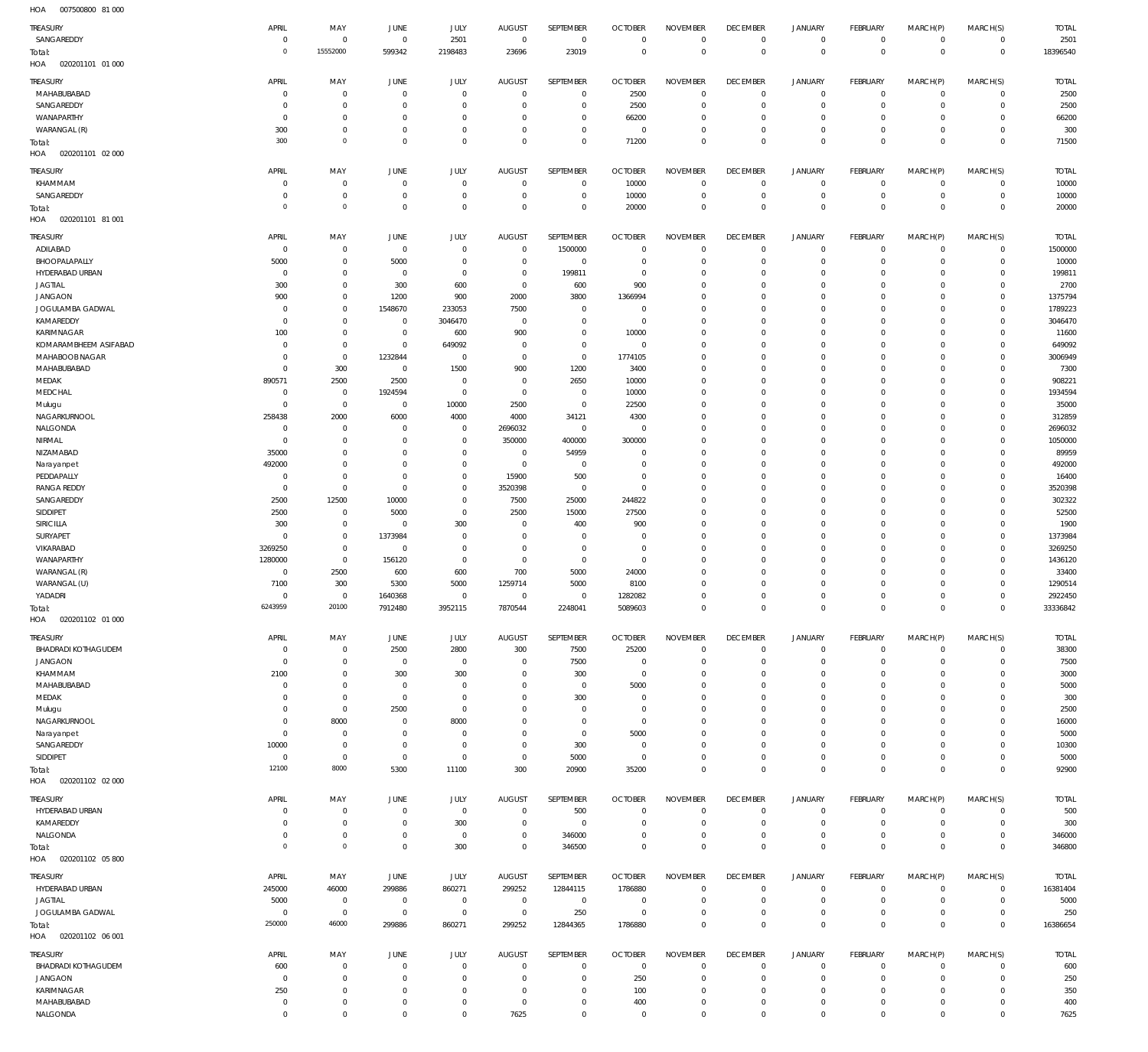| HOA<br>007500800 81 000           |                           |                            |                        |                       |                    |                            |                         |                            |                          |                            |                          |                          |                            |                    |
|-----------------------------------|---------------------------|----------------------------|------------------------|-----------------------|--------------------|----------------------------|-------------------------|----------------------------|--------------------------|----------------------------|--------------------------|--------------------------|----------------------------|--------------------|
| TREASURY                          | APRIL                     | MAY                        | JUNE                   | <b>JULY</b>           | <b>AUGUST</b>      | SEPTEMBER                  | <b>OCTOBER</b>          | <b>NOVEMBER</b>            | <b>DECEMBER</b>          | <b>JANUARY</b>             | FEBRUARY                 | MARCH(P)                 | MARCH(S)                   | <b>TOTAL</b>       |
| SANGAREDDY                        | $^{\circ}$                | $\mathbf 0$                | $\mathbf 0$            | 2501                  | $\mathbb O$        | $\mathbf 0$                | $^{\circ}$              | $\mathbf 0$                | $\mathbf 0$              | 0                          | $\mathbf 0$              | $\mathbf 0$              | $\mathbf 0$                | 2501               |
| Total:                            | $\circ$                   | 15552000                   | 599342                 | 2198483               | 23696              | 23019                      | $\mathbf 0$             | $\mathbf 0$                | $\mathbf 0$              | $\mathbf 0$                | $\overline{0}$           | $\mathbf 0$              | $\mathbf 0$                | 18396540           |
| HOA<br>020201101 01 000           |                           |                            |                        |                       |                    |                            |                         |                            |                          |                            |                          |                          |                            |                    |
|                                   |                           |                            |                        |                       |                    |                            |                         |                            |                          |                            |                          |                          |                            |                    |
| TREASURY                          | APRIL                     | MAY                        | JUNE                   | <b>JULY</b>           | <b>AUGUST</b>      | SEPTEMBER                  | <b>OCTOBER</b>          | <b>NOVEMBER</b>            | <b>DECEMBER</b>          | <b>JANUARY</b>             | FEBRUARY                 | MARCH(P)                 | MARCH(S)                   | <b>TOTAL</b>       |
| MAHABUBABAD                       | $^{\circ}$                | $\mathbb O$                | 0                      | $\mathbb O$           | $^{\circ}$         | $\mathbf 0$                | 2500                    | $\circ$                    | $\overline{0}$           | 0                          | $\mathbf 0$              | $\mathbf 0$              | $\mathbf 0$                | 2500               |
| SANGAREDDY                        | 0                         | $\mathbf 0$                | $^{\circ}$             | $^{\circ}$            | 0                  | $\mathbb O$                | 2500                    | $^{\circ}$                 | $^{\circ}$               | $\mathbf 0$                | $^{\circ}$               | $^{\circ}$               | $\mathbf 0$                | 2500               |
| WANAPARTHY                        | 0                         | $\mathbf 0$                | $^{\circ}$             | $\mathbf 0$           | 0                  | $\mathbf 0$                | 66200                   | $\mathbf 0$                | $\overline{0}$           | $\mathbf 0$                | $\mathbf 0$              | $^{\circ}$               | 0                          | 66200              |
| WARANGAL (R)                      | 300                       | $\mathbf 0$                | $^{\circ}$             | $\mathbf 0$           | $^{\circ}$         | $\mathbb O$                | $\overline{0}$          | $^{\circ}$                 | $\overline{0}$           | $\mathsf{O}$               | $\mathbf 0$              | $\mathbf 0$              | $\mathbf 0$                | 300                |
| Total:                            | 300                       | $\mathbf 0$                | $\mathbf 0$            | $\mathbb O$           | $^{\circ}$         | $\mathbb O$                | 71200                   | $\mathbf 0$                | $\mathbf 0$              | $\mathbf 0$                | $\overline{0}$           | $\mathbf 0$              | $\mathbf 0$                | 71500              |
| HOA<br>020201101 02 000           |                           |                            |                        |                       |                    |                            |                         |                            |                          |                            |                          |                          |                            |                    |
| TREASURY                          | APRIL                     | MAY                        | JUNE                   | JULY                  | <b>AUGUST</b>      | SEPTEMBER                  | <b>OCTOBER</b>          | <b>NOVEMBER</b>            | <b>DECEMBER</b>          | <b>JANUARY</b>             | FEBRUARY                 | MARCH(P)                 | MARCH(S)                   | <b>TOTAL</b>       |
| KHAMMAM                           | 0                         | $\mathbf 0$                | 0                      | $^{\circ}$            | $^{\circ}$         | $\mathbf 0$                | 10000                   | $^{\circ}$                 | $\mathbf 0$              | $\mathbf 0$                | $^{\circ}$               | $^{\circ}$               | 0                          | 10000              |
| SANGAREDDY                        | 0                         | $\mathbf 0$                | $\mathbf 0$            | $\mathbf 0$           | $^{\circ}$         | $\mathbb O$                | 10000                   | $\circ$                    | $\mathbf 0$              | $\mathbf 0$                | $\mathbf 0$              | $\mathbf 0$              | $\mathbf 0$                | 10000              |
| Total:                            | $\circ$                   | $\mathbf 0$                | $\mathbf 0$            | $\mathbf 0$           | $\mathbf 0$        | $\mathbb O$                | 20000                   | $\mathbf 0$                | $\mathbf 0$              | $\mathbf 0$                | $\overline{0}$           | $\mathbf 0$              | $\bf 0$                    | 20000              |
| HOA<br>020201101 81 001           |                           |                            |                        |                       |                    |                            |                         |                            |                          |                            |                          |                          |                            |                    |
|                                   |                           |                            |                        |                       |                    |                            |                         |                            |                          |                            |                          |                          |                            |                    |
| TREASURY                          | APRIL                     | MAY                        | JUNE                   | JULY                  | <b>AUGUST</b>      | SEPTEMBER                  | <b>OCTOBER</b>          | <b>NOVEMBER</b>            | <b>DECEMBER</b>          | <b>JANUARY</b>             | FEBRUARY                 | MARCH(P)                 | MARCH(S)                   | <b>TOTAL</b>       |
| ADILABAD                          | 0                         | $\mathbb O$                | $\mathbf 0$            | $\mathbf 0$           | $\mathbf 0$        | 1500000                    | 0                       | $^{\circ}$                 | $\overline{0}$           | $\mathbf 0$                | $\mathbf 0$              | $^{\circ}$               | 0                          | 1500000            |
| BHOOPALAPALLY                     | 5000                      | $\mathbf 0$                | 5000                   | $\mathbb O$           | $\mathbf 0$        | $\overline{0}$             | $\circ$                 | $\mathbf 0$                | $\mathbf 0$              | $\mathsf{O}$               | $\mathbf 0$              | $\mathbf 0$              | $\mathbf 0$                | 10000              |
| HYDERABAD URBAN                   | 0                         | $\mathbf 0$                | $\mathbf 0$            | $\mathbf 0$           | $\mathbf 0$        | 199811                     | 0                       | $^{\circ}$                 | $\overline{0}$           | 0                          | $^{\circ}$               | $^{\circ}$               | $\mathbf 0$                | 199811             |
| <b>JAGTIAL</b>                    | 300                       | $\mathbf 0$                | 300                    | 600                   | $\mathbf 0$        | 600                        | 900                     | $\mathbf 0$                | $\mathbf 0$              | $\mathbf 0$                | $^{\circ}$               | $\mathbf 0$              | $\mathbf 0$                | 2700               |
| <b>JANGAON</b>                    | 900                       | $\mathbf 0$                | 1200                   | 900                   | 2000               | 3800                       | 1366994                 | $\mathbf 0$                | $^{\circ}$               | $\mathbf 0$<br>$\mathbf 0$ | $^{\circ}$               | $^{\circ}$               | $\mathbf 0$                | 1375794            |
| JOGULAMBA GADWAL                  | $\mathbf 0$               | $\mathbf 0$                | 1548670                | 233053                | 7500               | $\mathbb O$                | $^{\circ}$              | $\mathbf 0$<br>$\mathbf 0$ | $^{\circ}$<br>$^{\circ}$ | $\mathbf 0$                | $^{\circ}$<br>$^{\circ}$ | $^{\circ}$<br>$^{\circ}$ | $\mathbf 0$<br>$\mathbf 0$ | 1789223<br>3046470 |
| KAMAREDDY<br>KARIMNAGAR           | $\mathbf 0$<br>100        | $\mathbf 0$<br>$\mathbf 0$ | 0<br>$\mathbf 0$       | 3046470<br>600        | $\mathbf 0$<br>900 | $\mathbf 0$<br>$\mathbb O$ | $\overline{0}$<br>10000 | $\mathbf 0$                | $^{\circ}$               | $\mathbf 0$                | $^{\circ}$               | $^{\circ}$               | $\mathbf 0$                | 11600              |
| KOMARAMBHEEM ASIFABAD             |                           |                            |                        |                       |                    |                            |                         |                            |                          | $\mathbf 0$                |                          |                          |                            |                    |
| MAHABOOB NAGAR                    | $\mathbf 0$<br>$^{\circ}$ | $\mathbf 0$<br>$\mathbf 0$ | $\mathbf 0$<br>1232844 | 649092<br>$\mathbb O$ | 0<br>$\mathbf 0$   | $\mathbb O$<br>$\mathbb O$ | 0<br>1774105            | $\mathbf 0$<br>$^{\circ}$  | $^{\circ}$<br>$^{\circ}$ | $\mathbf 0$                | $^{\circ}$<br>$^{\circ}$ | $^{\circ}$<br>$^{\circ}$ | $\mathbf 0$<br>$\mathbf 0$ | 649092<br>3006949  |
| MAHABUBABAD                       | $^{\circ}$                | 300                        | $\mathbf 0$            | 1500                  | 900                | 1200                       | 3400                    | $^{\circ}$                 | $^{\circ}$               | $\mathbf 0$                | $^{\circ}$               | $^{\circ}$               | $\mathbf 0$                | 7300               |
| MEDAK                             | 890571                    | 2500                       | 2500                   | $\mathbf 0$           | $\mathbf 0$        | 2650                       | 10000                   | $^{\circ}$                 | $^{\circ}$               | $\mathbf 0$                | $^{\circ}$               | $^{\circ}$               | $\mathbf 0$                | 908221             |
| MEDCHAL                           | 0                         | $\mathbb O$                | 1924594                | $\mathbb O$           | $\mathbf 0$        | $\mathbf 0$                | 10000                   | $^{\circ}$                 | $^{\circ}$               | $\mathbf 0$                | $^{\circ}$               | $^{\circ}$               | $\mathbf 0$                | 1934594            |
|                                   | $^{\circ}$                | $\mathbf 0$                | $\mathbf 0$            | 10000                 | 2500               | $\mathbf 0$                | 22500                   | $^{\circ}$                 | $^{\circ}$               | $\mathbf 0$                | $^{\circ}$               | $^{\circ}$               | $\mathbf 0$                | 35000              |
| Mulugu<br>NAGARKURNOOL            | 258438                    | 2000                       | 6000                   | 4000                  | 4000               | 34121                      | 4300                    | $^{\circ}$                 | $^{\circ}$               | $\mathbf 0$                | $^{\circ}$               | $^{\circ}$               | $\mathbf 0$                | 312859             |
| NALGONDA                          | $^{\circ}$                | $\mathbb O$                | 0                      | $\mathbf 0$           |                    | $\mathbb O$                | $\circ$                 | $^{\circ}$                 | $^{\circ}$               | $\mathbf 0$                | $^{\circ}$               | $^{\circ}$               | $\mathbf 0$                | 2696032            |
| NIRMAL                            | $^{\circ}$                | $\mathbf 0$                | $^{\circ}$             | $\mathbb O$           | 2696032<br>350000  | 400000                     | 300000                  | $^{\circ}$                 | $^{\circ}$               | $\mathbf 0$                | $^{\circ}$               | $^{\circ}$               | $\mathbf 0$                | 1050000            |
| NIZAMABAD                         | 35000                     | $\mathbf 0$                | $^{\circ}$             | $\mathbb O$           | $\mathbf 0$        | 54959                      | 0                       | $^{\circ}$                 | $^{\circ}$               | $\mathbf 0$                | $^{\circ}$               | $^{\circ}$               | $\mathbf 0$                | 89959              |
|                                   | 492000                    | $\mathbf 0$                | $^{\circ}$             | $\mathbb O$           | $\mathbf 0$        | $\mathbb O$                | $^{\circ}$              | $\mathbf 0$                | $^{\circ}$               | $\mathbf 0$                | $^{\circ}$               | $^{\circ}$               | $\mathbf 0$                | 492000             |
| Narayanpet<br>PEDDAPALLY          | 0                         | $\mathbf 0$                | 0                      | $\mathbf 0$           | 15900              | 500                        | 0                       | $\mathbf 0$                | $^{\circ}$               | $\mathbf 0$                | $^{\circ}$               | $^{\circ}$               | $\mathbf 0$                | 16400              |
| <b>RANGA REDDY</b>                | $^{\circ}$                | $\mathbf 0$                | $^{\circ}$             | $\mathbb O$           | 3520398            |                            | $\circ$                 | $\mathbf 0$                | $^{\circ}$               | $\mathbf 0$                | $^{\circ}$               | $^{\circ}$               | $\mathbf 0$                | 3520398            |
| SANGAREDDY                        | 2500                      | 12500                      | 10000                  | $\mathbb O$           | 7500               | $\mathbf 0$<br>25000       | 244822                  | $\mathbf 0$                | $^{\circ}$               | $\mathbf 0$                | $^{\circ}$               | $\mathbf 0$              | $\mathbf 0$                | 302322             |
|                                   | 2500                      | $\mathbb O$                |                        | $\mathbb O$           | 2500               | 15000                      | 27500                   | $\mathbf 0$                | $^{\circ}$               | $\mathbf 0$                | $^{\circ}$               | $^{\circ}$               | $\mathbf 0$                | 52500              |
| SIDDIPET<br>SIRICILLA             | 300                       | $\mathbf 0$                | 5000<br>0              | 300                   | $\mathbf 0$        | 400                        | 900                     | $\mathbf 0$                | $^{\circ}$               | $\mathbf 0$                | $^{\circ}$               | $^{\circ}$               | $\mathbf 0$                | 1900               |
| SURYAPET                          | $\mathbf 0$               | $\mathbf 0$                | 1373984                | $\mathbf 0$           | $\mathbf 0$        | $\mathbf 0$                | $\circ$                 | $\mathbf 0$                | $^{\circ}$               | $\mathbf 0$                | $^{\circ}$               | $^{\circ}$               | $\mathbf 0$                | 1373984            |
| VIKARABAD                         | 3269250                   | $\mathbf 0$                | $^{\circ}$             | $\mathbb O$           | $\mathbf 0$        | $\mathbf 0$                | $\circ$                 | $\mathbf 0$                | $^{\circ}$               | $\mathbf 0$                | $^{\circ}$               | $^{\circ}$               | $\mathbf 0$                | 3269250            |
| WANAPARTHY                        | 1280000                   | $\mathbf 0$                | 156120                 | 0                     | $\mathbf 0$        | $\mathbf 0$                | $\overline{0}$          | $\mathbf 0$                | $^{\circ}$               | $\mathbf 0$                | $^{\circ}$               | $\mathbf 0$              | $\mathbf 0$                | 1436120            |
| WARANGAL (R)                      | $\mathbf 0$               | 2500                       | 600                    | 600                   | 700                | 5000                       | 24000                   | $\mathbf 0$                | $^{\circ}$               | $\mathbf 0$                | $^{\circ}$               | $^{\circ}$               | $\mathbf 0$                | 33400              |
| WARANGAL (U)                      | 7100                      | 300                        | 5300                   | 5000                  | 1259714            | 5000                       | 8100                    | $\mathbf 0$                | $^{\circ}$               | $\mathbf 0$                | $^{\circ}$               | $\mathbf 0$              | $\mathbf 0$                | 1290514            |
| YADADRI                           | $\mathbf 0$               | $\mathbf 0$                | 1640368                | $\mathbb O$           | $\mathbf 0$        | $\mathbf 0$                | 1282082                 | $\mathbf 0$                | $\mathbf 0$              | $\mathbf 0$                | $\mathbf 0$              | $\mathbf 0$              | $\mathbf 0$                | 2922450            |
|                                   | 6243959                   | 20100                      | 7912480                | 3952115               | 7870544            | 2248041                    | 5089603                 | $\mathbb O$                | $\mathbb O$              | $\mathbf 0$                | $\mathbf 0$              | $\mathbf 0$              | $\,0\,$                    | 33336842           |
| Total:<br>HOA<br>020201102 01 000 |                           |                            |                        |                       |                    |                            |                         |                            |                          |                            |                          |                          |                            |                    |
|                                   |                           |                            |                        |                       |                    |                            |                         |                            |                          |                            |                          |                          |                            |                    |
| TREASURY                          | APRIL                     | MAY                        | <b>JUNE</b>            | JULY                  | AUGUST             | SEPTEMBER                  | <b>OCTOBER</b>          | <b>NOVEMBER</b>            | <b>DECEMBER</b>          | <b>JANUARY</b>             | FEBRUARY                 | MARCH(P)                 | MARCH(S)                   | <b>TOTAL</b>       |
| BHADRADI KOTHAGUDEM               | $\mathbf 0$               | $\mathbf 0$                | 2500                   | 2800                  | 300                | 7500                       | 25200                   | $\mathbf 0$                | $\mathbb O$              | $\mathsf{O}$               | $\mathbf 0$              | $\mathbf 0$              | $\mathbf 0$                | 38300              |
| <b>JANGAON</b>                    | $\mathbf 0$               | $\mathbb O$                | $\mathbf 0$            | $\mathbf 0$           | 0                  | 7500                       | 0                       | $^{\circ}$                 | $^{\circ}$               | $\mathbf 0$                | $\mathbf 0$              | $^{\circ}$               | 0                          | 7500               |
| KHAMMAM                           | 2100                      | $\mathbf 0$                | 300                    | 300                   | 0                  | 300                        | $\overline{0}$          | $\mathbf 0$                | $\mathbf 0$              | $\mathbf 0$                | $^{\circ}$               | $^{\circ}$               | 0                          | 3000               |
| MAHABUBABAD                       | 0                         | $\mathbf 0$                | $\mathbf 0$            | 0                     | 0                  | $\mathbf 0$                | 5000                    | $\mathbf 0$                | $\mathbf 0$              | $^{\circ}$                 | 0                        | $\Omega$                 | $\mathbf 0$                | 5000               |
| MEDAK                             | 0                         | $\mathbf 0$                | $\mathbf 0$            | $\mathbf 0$           | $\Omega$           | 300                        | $\mathbf 0$             | $\mathbf 0$                | $\mathbf 0$              | $\mathbf 0$                | $^{\circ}$               | $\Omega$                 | 0                          | 300                |
| Mulugu                            | 0                         | $\mathbf 0$                | 2500                   | $\mathbf 0$           | 0                  | $\mathbf 0$                | $^{\circ}$              | $\mathbf 0$                | $\mathbf 0$              | $\mathbf 0$                | $^{\circ}$               | $\Omega$                 | $\mathbf 0$                | 2500               |
| NAGARKURNOOL                      | 0                         | 8000                       | 0                      | 8000                  | $\Omega$           | $\mathbf 0$                | $^{\circ}$              | $\mathbf 0$                | $\mathbf 0$              | $\mathbf 0$                | 0                        | $\Omega$                 | $\mathbf 0$                | 16000              |
| Narayanpet                        | 0                         | $\mathbb O$                | $\mathbf 0$            | $\mathbf 0$           | 0                  | $\mathbf 0$                | 5000                    | $\Omega$                   | $\mathbf 0$              | $\mathbf 0$                | $^{\circ}$               | $\Omega$                 | $\mathbf 0$                | 5000               |
| SANGAREDDY                        | 10000                     | $\mathbf 0$                | $\mathbf 0$            | $\mathbf 0$           | $\mathbf 0$        | 300                        | $^{\circ}$              | $\mathbf 0$                | $\mathbf 0$              | $\mathbf 0$                | $^{\circ}$               | $\mathbf 0$              | 0                          | 10300              |
| SIDDIPET                          | $\mathbf 0$               | $\mathbf 0$                | $\mathbb O$            | $\mathbf 0$           | $\mathbf 0$        | 5000                       | $\overline{0}$          | $\mathbf 0$                | $\mathbf 0$              | $\mathbf 0$                | $^{\circ}$               | $\mathbf 0$              | 0                          | 5000               |
| Total:                            | 12100                     | 8000                       | 5300                   | 11100                 | 300                | 20900                      | 35200                   | $\mathbf 0$                | $\mathbf 0$              | $\mathbf 0$                | $\mathbf 0$              | $\mathbf 0$              | $\mathbf 0$                | 92900              |
| HOA<br>020201102 02 000           |                           |                            |                        |                       |                    |                            |                         |                            |                          |                            |                          |                          |                            |                    |
| TREASURY                          | APRIL                     | MAY                        | JUNE                   | <b>JULY</b>           | <b>AUGUST</b>      | SEPTEMBER                  | <b>OCTOBER</b>          | <b>NOVEMBER</b>            | <b>DECEMBER</b>          | <b>JANUARY</b>             | FEBRUARY                 | MARCH(P)                 | MARCH(S)                   | <b>TOTAL</b>       |
| HYDERABAD URBAN                   | $^{\circ}$                | $\mathbf 0$                | $\mathbf 0$            | $\mathbf 0$           | $\mathbf 0$        | 500                        | $\circ$                 | $\mathbf 0$                | $\overline{0}$           | 0                          | $\mathbf 0$              | $\mathbf 0$              | $\mathbf 0$                | 500                |
| KAMAREDDY                         | 0                         | $\mathbf 0$                | $\mathbf 0$            | 300                   | $\mathbf 0$        | $\overline{0}$             | $^{\circ}$              | $\mathbf 0$                | $\mathbf 0$              | $\mathsf{O}$               | $\mathbf 0$              | 0                        | $\mathbf 0$                | 300                |
| NALGONDA                          | 0                         | $\mathbf 0$                | $\mathbb O$            | $\mathbf 0$           | $\mathbf 0$        | 346000                     | 0                       | $\mathbf 0$                | $\mathbf 0$              | $\mathsf{O}$               | $\mathbf 0$              | 0                        | $\mathbf 0$                | 346000             |
| Total:                            | $\circ$                   | $\circ$                    | $\mathbf 0$            | 300                   | $\mathbf 0$        | 346500                     | $\mathbf 0$             | $\mathbb O$                | $\mathbf 0$              | $\mathbf 0$                | $\mathbf 0$              | $\mathbf 0$              | $\mathbf 0$                | 346800             |
| HOA<br>020201102 05 800           |                           |                            |                        |                       |                    |                            |                         |                            |                          |                            |                          |                          |                            |                    |
|                                   |                           |                            |                        |                       |                    |                            |                         |                            |                          |                            |                          |                          |                            |                    |
| TREASURY                          | APRIL                     | MAY                        | JUNE                   | <b>JULY</b>           | <b>AUGUST</b>      | SEPTEMBER                  | <b>OCTOBER</b>          | <b>NOVEMBER</b>            | <b>DECEMBER</b>          | <b>JANUARY</b>             | FEBRUARY                 | MARCH(P)                 | MARCH(S)                   | <b>TOTAL</b>       |
| HYDERABAD URBAN                   | 245000                    | 46000                      | 299886                 | 860271                | 299252             | 12844115                   | 1786880                 | $^{\circ}$                 | $\mathbf 0$              | 0                          | $\mathbf 0$              | $\mathbf 0$              | $\mathbf 0$                | 16381404           |
| <b>JAGTIAL</b>                    | 5000                      | $\mathbf 0$                | $\mathbf 0$            | $\mathbf 0$           | $\mathbf 0$        | $\mathbf 0$                | 0                       | $^{\circ}$                 | $\mathbf 0$              | $\mathbf 0$                | $\mathbf 0$              | $^{\circ}$               | 0                          | 5000               |
| JOGULAMBA GADWAL                  | 0                         | $\mathbf 0$                | $\mathbf 0$            | $\mathbb O$           | $\mathbf 0$        | 250                        | 0                       | $^{\circ}$                 | $\mathbf 0$              | $\mathsf{O}$               | $\mathbf 0$              | $\mathbf 0$              | $\mathbf 0$                | 250                |
| Total:                            | 250000                    | 46000                      | 299886                 | 860271                | 299252             | 12844365                   | 1786880                 | $\mathbf 0$                | $\mathbf 0$              | $\mathbf 0$                | $\mathbf 0$              | $\mathbf 0$              | $\mathbf 0$                | 16386654           |
| HOA<br>020201102 06 001           |                           |                            |                        |                       |                    |                            |                         |                            |                          |                            |                          |                          |                            |                    |
| TREASURY                          | APRIL                     | MAY                        | JUNE                   | <b>JULY</b>           | <b>AUGUST</b>      | SEPTEMBER                  | <b>OCTOBER</b>          | <b>NOVEMBER</b>            | <b>DECEMBER</b>          | <b>JANUARY</b>             | FEBRUARY                 | MARCH(P)                 | MARCH(S)                   | <b>TOTAL</b>       |
| BHADRADI KOTHAGUDEM               | 600                       | $\mathbf 0$                | $\mathbf 0$            | $\mathbb O$           | $\mathbf 0$        | $\mathbb O$                | $\overline{0}$          | $^{\circ}$                 | $\mathbf 0$              | 0                          | $\mathbf 0$              | $^{\circ}$               | $\mathbf 0$                | 600                |
| <b>JANGAON</b>                    |                           | $\mathbf 0$                | $\mathbf 0$            | $\mathbb O$           | $\mathbf 0$        | $\mathbf 0$                | 250                     | $\mathbf 0$                | $\mathbf 0$              | $\mathsf{O}$               | $\mathbf 0$              | 0                        | $\mathbf 0$                | 250                |
|                                   | $\mathbf 0$               |                            |                        |                       |                    |                            |                         |                            |                          |                            |                          |                          |                            |                    |
| KARIMNAGAR                        |                           | $\mathbf 0$                | $\mathbf 0$            | $\mathbf 0$           | $\mathbf 0$        | $\mathbb O$                | 100                     | $\mathbf 0$                | $\mathbf 0$              | 0                          | $\mathbf 0$              | $\mathbf 0$              | $\mathbf 0$                |                    |
| MAHABUBABAD                       | 250<br>$\mathbf 0$        | $\mathbf 0$                | $\mathbf 0$            | $\mathbb O$           | $\mathbf 0$        | $\mathbb O$                | 400                     | $\mathbf 0$                | $\mathbf 0$              | $\mathsf{O}$               | $\mathbf 0$              | $\mathbf 0$              | $\mathbf 0$                | 350                |
| NALGONDA                          | $\mathbf 0$               | $\mathsf 0$                | $\mathbf 0$            | $\mathbf 0$           | 7625               | $\mathbf 0$                | $\overline{0}$          | $\mathbf 0$                | $\mathbf 0$              | $\mathbf 0$                | $\mathbf 0$              | $\mathbf 0$              | $\mathbf 0$                | 400<br>7625        |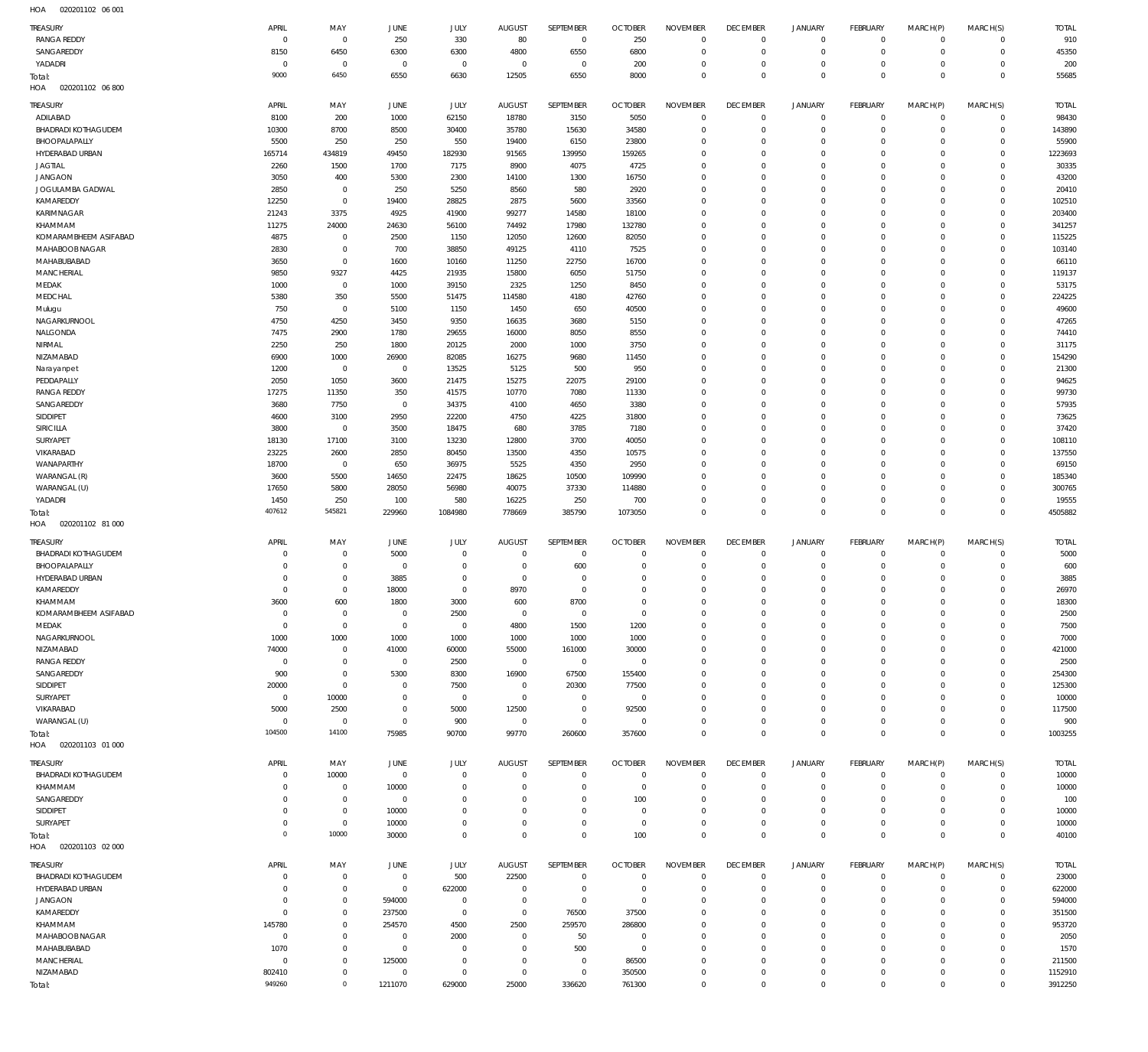020201102 06 001 HOA

| <b>TREASURY</b>                 | APRIL               | MAY                                |                           | JULY                  | <b>AUGUST</b>           | SEPTEMBER                  | <b>OCTOBER</b>                   | <b>NOVEMBER</b>            | <b>DECEMBER</b>              | <b>JANUARY</b>             | <b>FEBRUARY</b>             |                            | MARCH(S)                   | <b>TOTAL</b>       |
|---------------------------------|---------------------|------------------------------------|---------------------------|-----------------------|-------------------------|----------------------------|----------------------------------|----------------------------|------------------------------|----------------------------|-----------------------------|----------------------------|----------------------------|--------------------|
| <b>RANGA REDDY</b>              | $\overline{0}$      | $\mathbf{0}$                       | JUNE<br>250               | 330                   | 80                      | $\overline{0}$             | 250                              | $\mathbf{0}$               | $\mathbf 0$                  | $\mathbf 0$                | $\circ$                     | MARCH(P)<br>$^{\circ}$     | $\mathbf 0$                | 910                |
| SANGAREDDY                      | 8150                | 6450                               | 6300                      | 6300                  | 4800                    | 6550                       | 6800                             | $\mathbf 0$                | $\overline{0}$               | $\mathbf 0$                | $\mathbf 0$                 | $^{\circ}$                 | $\mathbf 0$                | 45350              |
| YADADRI                         | $\overline{0}$      | $^{\circ}$                         | $^{\circ}$                | $\mathbf 0$           | $\overline{0}$          | $^{\circ}$                 | 200                              | 0                          | $^{\circ}$                   | $\mathbf 0$                | $\mathbf 0$                 | $\Omega$                   | $\mathbf 0$                | 200                |
| Total:                          | 9000                | 6450                               | 6550                      | 6630                  | 12505                   | 6550                       | 8000                             | $\mathbf 0$                | $\overline{0}$               | $^{\circ}$                 | $\mathbf{0}$                | $\Omega$                   | $\mathbf 0$                | 55685              |
| HOA<br>020201102 06 800         |                     |                                    |                           |                       |                         |                            |                                  |                            |                              |                            |                             |                            |                            |                    |
| <b>TREASURY</b>                 | APRIL               | MAY                                | <b>JUNE</b>               | JULY                  | <b>AUGUST</b>           | <b>SEPTEMBER</b>           | <b>OCTOBER</b>                   | <b>NOVEMBER</b>            | <b>DECEMBER</b>              | <b>JANUARY</b>             | <b>FEBRUARY</b>             | MARCH(P)                   | MARCH(S)                   | <b>TOTAL</b>       |
| ADILABAD                        | 8100                | 200                                | 1000                      | 62150                 | 18780                   | 3150                       | 5050                             | $\mathbf 0$                | $\overline{0}$               | $\mathbf 0$                | $\circ$                     | $^{\circ}$                 | $\mathbf 0$                | 98430              |
| <b>BHADRADI KOTHAGUDEM</b>      | 10300               | 8700                               | 8500                      | 30400                 | 35780                   | 15630                      | 34580                            | $\overline{0}$             | $\overline{0}$               | $\mathbf 0$                | $\mathbf 0$                 | $\mathbf 0$                | $\mathbf 0$                | 143890             |
| BHOOPALAPALLY                   | 5500                | 250                                | 250                       | 550                   | 19400                   | 6150                       | 23800                            | 0                          | $\overline{0}$               | $\mathbf 0$                | $\mathbf 0$                 | $\Omega$                   | $\mathbf 0$                | 55900              |
| HYDERABAD URBAN                 | 165714              | 434819                             | 49450                     | 182930                | 91565                   | 139950                     | 159265                           | $\mathbf 0$                | $\overline{0}$               | $\Omega$                   | $\mathbf 0$                 | $\Omega$                   | $\mathbf 0$                | 1223693            |
| <b>JAGTIAL</b>                  | 2260                | 1500                               | 1700                      | 7175                  | 8900                    | 4075                       | 4725                             | 0                          | $\overline{0}$               | $\mathbf 0$                | $\mathbf 0$                 | $\Omega$                   | $\mathbf 0$                | 30335              |
| <b>JANGAON</b>                  | 3050                | 400                                | 5300                      | 2300                  | 14100                   | 1300                       | 16750                            | 0                          | $\overline{0}$               | $\Omega$                   | $\mathbf 0$                 | $\Omega$                   | $\mathbf 0$                | 43200              |
| JOGULAMBA GADWAL                | 2850                | $\mathbf{0}$                       | 250                       | 5250                  | 8560                    | 580                        | 2920                             | 0                          | $\overline{0}$               | $\mathbf 0$                | $\mathbf 0$                 | $\Omega$                   | $\mathbf 0$                | 20410              |
| KAMAREDDY                       | 12250               | $\mathbf 0$                        | 19400                     | 28825                 | 2875                    | 5600                       | 33560                            | 0                          | $\overline{0}$               | $\Omega$                   | $\mathbf 0$                 | $\Omega$                   | $\mathbf 0$                | 102510             |
| KARIMNAGAR                      | 21243               | 3375                               | 4925                      | 41900                 | 99277                   | 14580                      | 18100                            | 0                          | $^{\circ}$                   | $\mathbf 0$                | $\mathbf 0$                 | $\Omega$                   | $\mathbf 0$                | 203400             |
| KHAMMAM                         | 11275               | 24000                              | 24630                     | 56100                 | 74492                   | 17980                      | 132780                           | 0                          | $\overline{0}$               | $\Omega$                   | $\mathbf 0$                 | $\Omega$                   | $\mathbf 0$                | 341257             |
| KOMARAMBHEEM ASIFABAD           | 4875                | $\mathbf{0}$                       | 2500                      | 1150                  | 12050                   | 12600                      | 82050                            | 0                          | $\overline{0}$               | $\mathbf 0$                | $\mathbf 0$                 | $\Omega$                   | $\mathbf 0$                | 115225             |
| MAHABOOB NAGAR<br>MAHABUBABAD   | 2830<br>3650        | $\mathbf 0$<br>$\mathbf 0$         | 700                       | 38850                 | 49125<br>11250          | 4110<br>22750              | 7525<br>16700                    | 0<br>0                     | $\overline{0}$<br>$^{\circ}$ | $\Omega$<br>$\mathbf 0$    | $\mathbf 0$<br>$\mathbf 0$  | $\Omega$<br>$\Omega$       | $\mathbf 0$<br>$\mathbf 0$ | 103140<br>66110    |
| <b>MANCHERIAL</b>               | 9850                | 9327                               | 1600<br>4425              | 10160<br>21935        | 15800                   | 6050                       | 51750                            | 0                          | $\overline{0}$               | $\Omega$                   | $\mathbf 0$                 | $\Omega$                   | $\mathbf 0$                | 119137             |
| MEDAK                           | 1000                | $\mathbf{0}$                       | 1000                      | 39150                 | 2325                    | 1250                       | 8450                             | 0                          | $\overline{0}$               | $\Omega$                   | $\mathbf 0$                 | $\Omega$                   | $\mathbf 0$                | 53175              |
| MEDCHAL                         | 5380                | 350                                | 5500                      | 51475                 | 114580                  | 4180                       | 42760                            | 0                          | $\overline{0}$               | $\Omega$                   | $\mathbf 0$                 | $\Omega$                   | $\mathbf 0$                | 224225             |
| Mulugu                          | 750                 | $\mathbf{0}$                       | 5100                      | 1150                  | 1450                    | 650                        | 40500                            | 0                          | $\overline{0}$               | $\Omega$                   | $\mathbf 0$                 | $\Omega$                   | $\mathbf 0$                | 49600              |
| NAGARKURNOOL                    | 4750                | 4250                               | 3450                      | 9350                  | 16635                   | 3680                       | 5150                             | 0                          | $\overline{0}$               | $\Omega$                   | $\mathbf 0$                 | $\Omega$                   | $\mathbf 0$                | 47265              |
| NALGONDA                        | 7475                | 2900                               | 1780                      | 29655                 | 16000                   | 8050                       | 8550                             | 0                          | $\overline{0}$               | $\Omega$                   | $\mathbf 0$                 | $\Omega$                   | $\mathbf 0$                | 74410              |
| NIRMAL                          | 2250                | 250                                | 1800                      | 20125                 | 2000                    | 1000                       | 3750                             | $\mathbf 0$                | $^{\circ}$                   | $\Omega$                   | $\mathbf 0$                 | $\Omega$                   | $\mathbf 0$                | 31175              |
| NIZAMABAD                       | 6900                | 1000                               | 26900                     | 82085                 | 16275                   | 9680                       | 11450                            | 0                          | $\overline{0}$               | $\mathbf 0$                | $\mathbf 0$                 | $\Omega$                   | $\mathbf 0$                | 154290             |
| Narayanpet                      | 1200                | $\mathbf 0$                        | $\overline{0}$            | 13525                 | 5125                    | 500                        | 950                              | $\mathbf 0$                | $\overline{0}$               | $\Omega$                   | $\mathbf 0$                 | $\Omega$                   | $\mathbf 0$                | 21300              |
| PEDDAPALLY                      | 2050                | 1050                               | 3600                      | 21475                 | 15275                   | 22075                      | 29100                            | 0                          | $\overline{0}$               | $\Omega$                   | $\mathbf 0$                 | $\Omega$                   | $\mathbf 0$                | 94625              |
| <b>RANGA REDDY</b>              | 17275               | 11350                              | 350                       | 41575                 | 10770                   | 7080                       | 11330                            | $\mathbf 0$                | $^{\circ}$                   | $\Omega$                   | $\mathbf 0$                 | $\Omega$                   | $\mathbf 0$                | 99730              |
| SANGAREDDY                      | 3680                | 7750                               | $\overline{0}$            | 34375                 | 4100                    | 4650                       | 3380                             | 0                          | $\overline{0}$               | $\mathbf 0$                | $\mathbf 0$                 | $\Omega$                   | $\mathbf 0$                | 57935              |
| SIDDIPET                        | 4600                | 3100                               | 2950                      | 22200                 | 4750                    | 4225                       | 31800                            | $\mathbf 0$                | $\overline{0}$               | $\Omega$                   | $\mathbf 0$                 | $\Omega$                   | $\mathbf 0$                | 73625              |
| SIRICILLA                       | 3800                | $^{\circ}$                         | 3500                      | 18475                 | 680                     | 3785                       | 7180                             | 0                          | $\overline{0}$               | $\mathbf 0$                | $\mathbf 0$                 | $\Omega$                   | $\mathbf 0$                | 37420              |
| SURYAPET                        | 18130               | 17100                              | 3100                      | 13230                 | 12800                   | 3700                       | 40050                            | $\mathbf 0$                | $\overline{0}$               | $\Omega$                   | $\mathbf 0$                 | $\Omega$                   | $\mathbf 0$                | 108110             |
| VIKARABAD                       | 23225               | 2600                               | 2850                      | 80450                 | 13500                   | 4350                       | 10575                            | 0                          | $^{\circ}$                   | $\circ$                    | $\mathbf 0$                 | $\Omega$                   | $\mathbf 0$                | 137550             |
| WANAPARTHY                      | 18700               | $\mathbf{0}$                       | 650                       | 36975                 | 5525                    | 4350                       | 2950                             | 0                          | $\overline{0}$               | $\Omega$                   | $\mathbf 0$                 | $\Omega$                   | $\mathbf 0$                | 69150              |
| WARANGAL (R)                    | 3600                | 5500                               | 14650                     | 22475                 | 18625                   | 10500                      | 109990                           | 0                          | $\overline{0}$               | $\mathbf 0$                | $\mathbf 0$                 | $\Omega$                   | $\mathbf 0$                | 185340             |
| WARANGAL (U)                    | 17650               | 5800                               | 28050                     | 56980                 | 40075                   | 37330                      | 114880                           | 0                          | $\overline{0}$               | $\Omega$                   | $\mathbf 0$<br>$\mathbf 0$  | $\Omega$<br>$\mathbf 0$    | $\mathbf 0$<br>$\mathbf 0$ | 300765<br>19555    |
|                                 |                     |                                    |                           |                       |                         |                            |                                  |                            |                              |                            |                             |                            |                            |                    |
| YADADRI                         | 1450                | 250                                | 100                       | 580                   | 16225                   | 250                        | 700                              | $\mathbf 0$                | $\overline{0}$               | $\circ$                    |                             |                            |                            |                    |
| Total:                          | 407612              | 545821                             | 229960                    | 1084980               | 778669                  | 385790                     | 1073050                          | $\mathbf 0$                | $\mathbb O$                  | $\mathbf{0}$               | $\overline{0}$              | $\Omega$                   | $\mathbf 0$                | 4505882            |
| HOA<br>020201102 81 000         |                     |                                    |                           |                       |                         |                            |                                  |                            |                              |                            |                             |                            |                            |                    |
| TREASURY                        | APRIL               | MAY                                | JUNE                      | JULY                  | <b>AUGUST</b>           | SEPTEMBER                  | <b>OCTOBER</b>                   | <b>NOVEMBER</b>            | <b>DECEMBER</b>              | <b>JANUARY</b>             | <b>FEBRUARY</b>             | MARCH(P)                   | MARCH(S)                   | <b>TOTAL</b>       |
| <b>BHADRADI KOTHAGUDEM</b>      | C                   | $^{\circ}$                         | 5000                      | $\mathbf 0$           | $\mathbf 0$             | $^{\circ}$                 | $\mathbf{0}$                     | $\mathbf 0$                | $^{\circ}$                   | $\circ$                    | $\mathbf 0$                 | $\mathbf 0$                | $\circ$                    | 5000               |
| BHOOPALAPALLY                   | C                   | $^{\circ}$                         | 0                         | $\mathbf 0$           | $\mathbf 0$             | 600                        | $^{\circ}$                       | $\mathbf 0$                | $^{\circ}$                   | $\mathbf 0$                | $\mathbf 0$                 | $\Omega$                   | $\mathbf 0$                | 600                |
| HYDERABAD URBAN                 | C                   | $\mathbf{0}$                       | 3885                      | $\mathbf 0$           | $\mathbf 0$             | $^{\circ}$                 | $\mathbf 0$                      | $\mathbf 0$                | $^{\circ}$                   | $\circ$                    | $\mathbf 0$                 | $\Omega$                   | $\mathbf 0$                | 3885               |
| KAMAREDDY                       | C                   | $\mathbf 0$                        | 18000                     | $\mathbf 0$           | 8970                    | $\mathbf 0$                | $\mathbf 0$                      | 0                          | $^{\circ}$                   | $\Omega$                   | $\Omega$                    | -C                         | $\Omega$                   | 26970              |
| KHAMMAM                         | 3600                | 600                                | 1800                      | 3000                  | 600                     | 8700                       | $\mathbf{0}$                     | $\Omega$                   | $\mathbf 0$                  | $\Omega$                   | $\Omega$                    | $\Omega$                   | $\Omega$                   | 18300              |
| KOMARAMBHEEM ASIFABAD           | 0                   | $^{\circ}$                         | 0                         | 2500                  | $^{\circ}$              | $\overline{0}$             | $\overline{0}$                   | 0                          | $\mathbf{0}$                 | $\circ$                    | $\circ$                     | $\Omega$                   | 0                          | 2500               |
| MEDAK                           | $^{\circ}$          | $\mathbf 0$                        | $^{\circ}$                | $\mathbf 0$           | 4800                    | 1500                       | 1200                             | $\mathbf 0$                | $^{\circ}$                   | $\circ$                    | $\mathbf 0$                 | $\mathbf 0$                | $\mathbf 0$                | 7500               |
| NAGARKURNOOL                    | 1000                | 1000<br>$^{\circ}$                 | 1000                      | 1000                  | 1000                    | 1000                       | 1000                             | 0<br>0                     | $\overline{0}$<br>$^{\circ}$ | $\mathbf 0$<br>$\Omega$    | $\mathbf 0$<br>$\mathbf 0$  | $\Omega$<br>$\Omega$       | $\mathbf 0$<br>$\mathbf 0$ | 7000               |
| NIZAMABAD<br><b>RANGA REDDY</b> | 74000<br>$^{\circ}$ | $\mathbf 0$                        | 41000<br>$^{\circ}$       | 60000<br>2500         | 55000<br>$\mathbf 0$    | 161000<br>$\overline{0}$   | 30000<br>$\overline{0}$          | 0                          | $^{\circ}$                   | $\circ$                    | $\mathbf 0$                 | $\Omega$                   | $\mathbf 0$                | 421000<br>2500     |
| SANGAREDDY                      | 900                 | $\mathbf 0$                        | 5300                      | 8300                  | 16900                   | 67500                      | 155400                           | $\Omega$                   | $^{\circ}$                   | $\Omega$                   | $\Omega$                    | $\Omega$                   | $\mathbf 0$                | 254300             |
| SIDDIPET                        | 20000               | $\mathbf 0$                        | $\mathbf 0$               | 7500                  | $\overline{0}$          | 20300                      | 77500                            | 0                          | $^{\circ}$                   | $\circ$                    | $\mathbf 0$                 | $\Omega$                   | $\mathbf 0$                | 125300             |
| SURYAPET                        | $^{\circ}$          | 10000                              | $\mathbf 0$               | $\mathbf 0$           | $\overline{0}$          | $\mathbf 0$                | $\overline{0}$                   | $\Omega$                   | $^{\circ}$                   | $\Omega$                   | $\Omega$                    | $\Omega$                   | $\mathbf 0$                | 10000              |
| VIKARABAD                       | 5000                | 2500                               | $\mathbf 0$               | 5000                  | 12500                   | $\mathbf 0$                | 92500                            | 0                          | $\overline{0}$               | $\circ$                    | $\mathbf 0$                 | $\Omega$                   | $\mathbf 0$                | 117500             |
| WARANGAL (U)                    | $\overline{0}$      | $^{\circ}$                         | $\mathbf 0$               | 900                   | $\overline{0}$          | $\mathbf 0$                | $\overline{0}$                   | 0                          | $\overline{0}$               | $\mathbf 0$                | $\mathbf 0$                 | $^{\circ}$                 | $\mathbf 0$                | 900                |
| Total:                          | 104500              | 14100                              | 75985                     | 90700                 | 99770                   | 260600                     | 357600                           | $\mathbf 0$                | $\mathbb O$                  | $\mathbb O$                | $\overline{0}$              | $\Omega$                   | $\mathbb O$                | 1003255            |
| 020201103 01 000<br>HOA         |                     |                                    |                           |                       |                         |                            |                                  |                            |                              |                            |                             |                            |                            |                    |
| <b>TREASURY</b>                 | APRIL               | MAY                                |                           |                       | <b>AUGUST</b>           | <b>SEPTEMBER</b>           | <b>OCTOBER</b>                   | <b>NOVEMBER</b>            | <b>DECEMBER</b>              | <b>JANUARY</b>             | <b>FEBRUARY</b>             |                            |                            | <b>TOTAL</b>       |
| <b>BHADRADI KOTHAGUDEM</b>      | $\overline{0}$      |                                    | <b>JUNE</b><br>$^{\circ}$ | JULY<br>$\mathbf 0$   | $\overline{0}$          | $\mathbf 0$                | $\overline{0}$                   | $^{\circ}$                 | $\overline{0}$               | $\mathbf 0$                | $\mathbf 0$                 | MARCH(P)<br>$^{\circ}$     | MARCH(S)<br>$\circ$        |                    |
| KHAMMAM                         | 0                   | 10000<br>$\mathbf{0}$              | 10000                     | $\mathbf 0$           | $\mathbf 0$             | $\mathbf 0$                | $\overline{0}$                   | $\mathbf 0$                | $\overline{0}$               | $\mathbf 0$                | $\mathbf 0$                 | $^{\circ}$                 | $\mathbf 0$                | 10000<br>10000     |
| SANGAREDDY                      | $\mathbf 0$         | $\mathbf 0$                        | $^{\circ}$                | $\mathbf 0$           | $\mathbf 0$             | $\mathbf 0$                | 100                              | $\mathbf 0$                | $\overline{0}$               | $\Omega$                   | $\mathbf 0$                 | $\Omega$                   | $\mathbf 0$                | 100                |
| SIDDIPET                        | $\mathbf 0$         | $\mathbf 0$                        | 10000                     | $\mathbf 0$           | $\mathbf 0$             | $\mathbf 0$                | $\overline{0}$                   | $\mathbf 0$                | $\overline{0}$               | $\circ$                    | $\mathbf 0$                 | $\mathbf 0$                | $\mathbf 0$                | 10000              |
| SURYAPET                        | $\mathbf 0$         | $\mathbf 0$                        | 10000                     | $\mathbf 0$           | $\mathbf 0$             | $\mathbf 0$                | $\overline{0}$                   | $\mathbf 0$                | $\overline{0}$               | $\mathbf 0$                | $\mathbf 0$                 | $\mathbf 0$                | $\mathbf 0$                | 10000              |
| Total:                          | $\mathbf 0$         | 10000                              | 30000                     | $\mathbf 0$           | $\overline{0}$          | $\overline{0}$             | 100                              | $\mathbf{0}$               | $\mathbb O$                  | $\mathbb O$                | $\mathbb O$                 | $\overline{0}$             | $\mathbb O$                | 40100              |
| 020201103 02 000<br>HOA         |                     |                                    |                           |                       |                         |                            |                                  |                            |                              |                            |                             |                            |                            |                    |
|                                 |                     |                                    |                           |                       |                         |                            |                                  |                            |                              |                            |                             |                            |                            |                    |
| <b>TREASURY</b>                 | APRIL               | MAY                                | <b>JUNE</b>               | JULY                  | <b>AUGUST</b>           | SEPTEMBER                  | <b>OCTOBER</b>                   | <b>NOVEMBER</b>            | <b>DECEMBER</b>              | <b>JANUARY</b>             | <b>FEBRUARY</b>             | MARCH(P)                   | MARCH(S)                   | <b>TOTAL</b>       |
| <b>BHADRADI KOTHAGUDEM</b>      | $\mathbf 0$<br>0    | $\mathbf{0}$                       | $\overline{0}$            | 500                   | 22500<br>$\overline{0}$ | $\mathbf 0$<br>$\mathbf 0$ | $\overline{0}$                   | $\mathbf 0$<br>$\mathbf 0$ | $\mathbf 0$<br>$^{\circ}$    | $\mathbf 0$<br>$\mathbf 0$ | $\circ$<br>$\mathbf 0$      | $\mathbf 0$<br>$\mathbf 0$ | $\mathbf 0$                | 23000              |
| HYDERABAD URBAN                 | 0                   | $\mathbf{0}$<br>$\mathbf 0$        | $\overline{0}$            | 622000<br>$\mathbf 0$ | $\mathbf 0$             | $\mathbf 0$                | $\overline{0}$<br>$\overline{0}$ | 0                          | $\overline{0}$               | $\mathbf 0$                | $\mathbf 0$                 | -C                         | $\mathbf 0$<br>$\mathbf 0$ | 622000             |
| <b>JANGAON</b><br>KAMAREDDY     | $^{\circ}$          | $\mathbf 0$                        | 594000<br>237500          | $\mathbf 0$           | $\overline{0}$          | 76500                      | 37500                            | $\Omega$                   | $^{\circ}$                   | $\Omega$                   | $\mathbf 0$                 | $\Omega$                   | $\mathbf 0$                | 594000<br>351500   |
| KHAMMAM                         | 145780              | $\mathbf 0$                        | 254570                    | 4500                  | 2500                    | 259570                     | 286800                           | 0                          | $^{\circ}$                   | 0                          | $\mathbf 0$                 | $\Omega$                   | $\mathbf 0$                | 953720             |
| MAHABOOB NAGAR                  | $^{\circ}$          | $\mathbf 0$                        | $\mathbf 0$               | 2000                  | $\mathbf 0$             | 50                         | $\overline{0}$                   | 0                          | $^{\circ}$                   | $\Omega$                   | $\mathbf 0$                 | $\Omega$                   | $\mathbf 0$                | 2050               |
| MAHABUBABAD                     | 1070                | $\mathbf 0$                        | $^{\circ}$                | $\mathbf 0$           | $\mathbf 0$             | 500                        | $\overline{0}$                   | 0                          | $^{\circ}$                   | 0                          | $\mathbf 0$                 | $\Omega$                   | $\mathbf 0$                | 1570               |
| <b>MANCHERIAL</b>               | $\overline{0}$      | $\mathbf 0$                        | 125000                    | $\mathbf 0$           | $\mathbf 0$             | $\mathbf 0$                | 86500                            | 0                          | $^{\circ}$                   | $\Omega$                   | $\mathbf 0$                 | $\Omega$                   | $\mathbf 0$                | 211500             |
| NIZAMABAD                       | 802410<br>949260    | $\mathbf 0$<br>$\mathsf{O}\xspace$ | $^{\circ}$<br>1211070     | $\mathbf 0$<br>629000 | $\overline{0}$<br>25000 | $\mathbf 0$<br>336620      | 350500<br>761300                 | 0<br>$\mathbf 0$           | $\mathbf 0$<br>$\mathbb O$   | $\circ$<br>$\mathbf 0$     | $\mathbf 0$<br>$\mathbf{0}$ | $\Omega$                   | $\mathbf 0$<br>$\mathbf 0$ | 1152910<br>3912250 |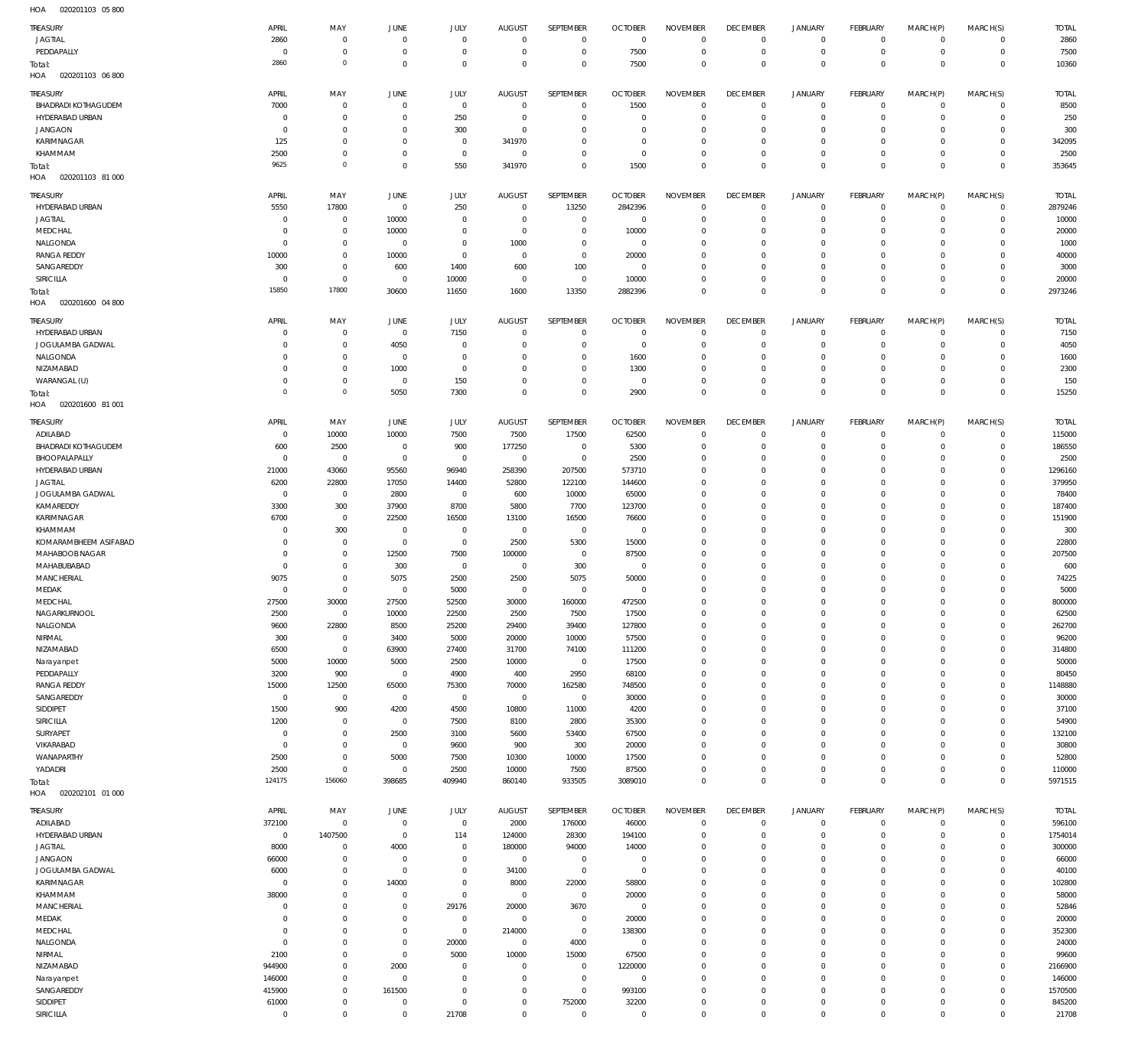020201103 05 800 HOA

| TREASURY                     | APRIL                | MAY                           | <b>JUNE</b>                   | JULY                    | <b>AUGUST</b>        | SEPTEMBER             | <b>OCTOBER</b>          | <b>NOVEMBER</b>    | <b>DECEMBER</b>            | <b>JANUARY</b>                     | FEBRUARY                   | MARCH(P)                   | MARCH(S)               | <b>TOTAL</b>    |
|------------------------------|----------------------|-------------------------------|-------------------------------|-------------------------|----------------------|-----------------------|-------------------------|--------------------|----------------------------|------------------------------------|----------------------------|----------------------------|------------------------|-----------------|
| <b>JAGTIAL</b>               | 2860                 | $\overline{0}$                | $\mathbf{0}$                  | $\mathbf{0}$            | $\overline{0}$       | $^{\circ}$            | $\Omega$                | $\Omega$           | $^{\circ}$                 | $\mathbf 0$                        | $^{\circ}$                 | $\Omega$                   | $\mathbf 0$            | 2860            |
| PEDDAPALLY                   | $\Omega$             | $\overline{0}$                | $^{\circ}$                    | $\Omega$                | $\Omega$             | $\overline{0}$        | 7500                    | $\overline{0}$     | $\overline{0}$             | $\mathbf 0$                        | $\mathbf 0$                | $\mathbf 0$                | $\overline{0}$         | 7500            |
| Total:                       | 2860                 | $\overline{0}$                | $\Omega$                      | $\Omega$                | $\Omega$             | $\overline{0}$        | 7500                    | $\Omega$           | $\Omega$                   | $\mathbf 0$                        | $\Omega$                   | $\Omega$                   | $\Omega$               | 10360           |
| 020201103 06 800<br>HOA      |                      |                               |                               |                         |                      |                       |                         |                    |                            |                                    |                            |                            |                        |                 |
|                              |                      |                               |                               |                         |                      |                       |                         |                    |                            |                                    |                            |                            |                        |                 |
| TREASURY                     | APRIL                | MAY                           | <b>JUNE</b>                   | JULY                    | <b>AUGUST</b>        | SEPTEMBER             | <b>OCTOBER</b>          | <b>NOVEMBER</b>    | <b>DECEMBER</b>            | <b>JANUARY</b>                     | <b>FEBRUARY</b>            | MARCH(P)                   | MARCH(S)               | <b>TOTAL</b>    |
| <b>BHADRADI KOTHAGUDEM</b>   | 7000                 | $\overline{0}$                | $\Omega$                      | $\overline{0}$          | $\overline{0}$       | $\mathbf 0$           | 1500                    | $^{\circ}$         | $\overline{0}$             | 0                                  | $\mathbf 0$                | $\mathbf 0$                | $\overline{0}$         | 8500            |
| HYDERABAD URBAN              | $^{\circ}$           | $\mathbf 0$                   | $\Omega$                      | 250                     | $\Omega$             | $^{\circ}$            | $\mathsf{C}$            | $^{\circ}$         | $\Omega$                   | $\mathbf 0$                        | $^{\circ}$                 | $\Omega$                   | $\overline{0}$         | 250             |
| <b>JANGAON</b>               | $^{\circ}$           | $\mathbf 0$                   | $\Omega$                      | 300                     | $\Omega$             | $^{\circ}$            | $\Omega$                | $\overline{0}$     | $\Omega$                   | $\mathbf 0$                        | $^{\circ}$                 | $\Omega$                   | $\overline{0}$         | 300             |
| KARIMNAGAR                   | 125                  | $\mathbf 0$                   | $\Omega$                      | $\Omega$                | 341970               | $\Omega$              | $\Omega$                | $\overline{0}$     | $\Omega$                   | $\mathbf 0$                        | $^{\circ}$                 | $\Omega$                   | $\mathbf 0$            | 342095          |
| KHAMMAM                      | 2500                 | $\mathbf 0$                   | $\Omega$                      | $\overline{0}$          | $\overline{0}$       | $\overline{0}$        | $\Omega$                | $\overline{0}$     | $\Omega$                   | $\mathbf 0$                        | $^{\circ}$                 | $\Omega$                   | $\overline{0}$         | 2500            |
| Total:                       | 9625                 | $\circ$                       | $\Omega$                      | 550                     | 341970               | $\mathbf 0$           | 1500                    | $\mathbf 0$        | $\mathbb O$                | $\mathbf 0$                        | $\Omega$                   | $\Omega$                   | $\mathbf 0$            | 353645          |
| 020201103 81 000<br>HOA      |                      |                               |                               |                         |                      |                       |                         |                    |                            |                                    |                            |                            |                        |                 |
| TREASURY                     | APRIL                | MAY                           | <b>JUNE</b>                   | JULY                    | <b>AUGUST</b>        | SEPTEMBER             | <b>OCTOBER</b>          | <b>NOVEMBER</b>    | <b>DECEMBER</b>            | <b>JANUARY</b>                     | FEBRUARY                   | MARCH(P)                   | MARCH(S)               | <b>TOTAL</b>    |
| HYDERABAD URBAN              | 5550                 | 17800                         | $\overline{0}$                | 250                     | $\overline{0}$       | 13250                 | 2842396                 | $\Omega$           | $^{\circ}$                 | $\mathbf 0$                        | $\overline{0}$             | $\Omega$                   | $\circ$                | 2879246         |
|                              | $\Omega$             |                               |                               | $\Omega$                | $\Omega$             | $^{\circ}$            | $\overline{0}$          | $\Omega$           | -0                         | $\mathbf 0$                        | $^{\circ}$                 | $\Omega$                   | $\mathbf 0$            |                 |
| <b>JAGTIAL</b>               | $\mathbf 0$          | $\overline{0}$<br>$\mathbf 0$ | 10000                         | $\Omega$                | $\Omega$             | $\mathbf 0$           |                         | $\Omega$           | $\Omega$                   | $\Omega$                           | $\Omega$                   | $\Omega$                   | $\Omega$               | 10000           |
| MEDCHAL                      | $^{\circ}$           | $\mathbf 0$                   | 10000                         | $\Omega$                | 1000                 | $\Omega$              | 10000<br>$\overline{0}$ | $\Omega$           | $\Omega$                   | $\mathbf 0$                        | $^{\circ}$                 | $\Omega$                   | $\Omega$               | 20000           |
| NALGONDA                     |                      |                               | $\overline{0}$                | $\Omega$                |                      | $\overline{0}$        |                         | $\Omega$           |                            | $\Omega$                           | $\Omega$                   | $\Omega$                   | $\Omega$               | 1000            |
| <b>RANGA REDDY</b>           | 10000                | $\mathbf 0$                   | 10000                         |                         | $\overline{0}$       |                       | 20000                   |                    | $\Omega$                   |                                    |                            |                            |                        | 40000           |
| SANGAREDDY                   | 300                  | $\mathbf 0$                   | 600                           | 1400                    | 600                  | 100                   | $\Omega$                | $\Omega$           | $\Omega$                   | $\Omega$                           | $\Omega$                   | $\Omega$                   | $\Omega$               | 3000            |
| SIRICILLA                    | $\Omega$             | $\mathbf 0$                   | $\Omega$                      | 10000                   | $\overline{0}$       | $\overline{0}$        | 10000                   | $\Omega$           | $\Omega$                   | $\mathbf 0$                        | $\Omega$                   | $\Omega$                   | $\Omega$               | 20000           |
| Total:                       | 15850                | 17800                         | 30600                         | 11650                   | 1600                 | 13350                 | 2882396                 | $\Omega$           | $\Omega$                   | $\mathbf 0$                        | $\Omega$                   | $\Omega$                   | $\Omega$               | 2973246         |
| HOA<br>020201600 04 800      |                      |                               |                               |                         |                      |                       |                         |                    |                            |                                    |                            |                            |                        |                 |
| TREASURY                     | APRIL                | MAY                           | JUNE                          | JULY                    | <b>AUGUST</b>        | SEPTEMBER             | <b>OCTOBER</b>          | <b>NOVEMBER</b>    | <b>DECEMBER</b>            | <b>JANUARY</b>                     | FEBRUARY                   | MARCH(P)                   | MARCH(S)               | <b>TOTAL</b>    |
| HYDERABAD URBAN              | $\mathbf 0$          | $\mathbf 0$                   | $\overline{0}$                | 7150                    | $\Omega$             | $\overline{0}$        | $\overline{0}$          | $\overline{0}$     | $\overline{0}$             | 0                                  | $^{\circ}$                 | $\mathbf 0$                | $\mathbf 0$            | 7150            |
| JOGULAMBA GADWAL             | $\mathbf 0$          | $\mathbf 0$                   | 4050                          | $\Omega$                | $\Omega$             | $\overline{0}$        | $\overline{0}$          | $\overline{0}$     | $\Omega$                   | $\mathbf 0$                        | $\overline{0}$             | $\mathbf 0$                | $\overline{0}$         | 4050            |
| NALGONDA                     | $\mathbf 0$          | $\mathbf 0$                   | $^{\circ}$                    | $\Omega$                | $\Omega$             | $\Omega$              | 1600                    | $^{\circ}$         | $\overline{0}$             | $\mathbf 0$                        | $^{\circ}$                 | $\Omega$                   | $\mathbf 0$            | 1600            |
| NIZAMABAD                    | $\mathbf 0$          | $\mathbf 0$                   | 1000                          | $\Omega$                | $\Omega$             | $^{\circ}$            | 1300                    | $\overline{0}$     | $\Omega$                   | $\mathbf 0$                        | $^{\circ}$                 | $\Omega$                   | $\Omega$               | 2300            |
| WARANGAL (U)                 | $\mathbf 0$          | $\overline{0}$                | $^{\circ}$                    | 150                     | $\Omega$             | $\mathbf 0$           | $\overline{0}$          | $\overline{0}$     | $\overline{0}$             | $\mathsf{O}$                       | $^{\circ}$                 | $\mathbf 0$                | $\mathbf 0$            | 150             |
| Total:                       | $\mathbf 0$          | $\circ$                       | 5050                          | 7300                    | $\Omega$             | $\mathbf 0$           | 2900                    | $\mathbf 0$        | $\Omega$                   | $\mathbf 0$                        | $\overline{0}$             | $\mathbf 0$                | $\overline{0}$         | 15250           |
| HOA<br>020201600 81 001      |                      |                               |                               |                         |                      |                       |                         |                    |                            |                                    |                            |                            |                        |                 |
|                              |                      |                               |                               |                         |                      |                       |                         |                    |                            |                                    |                            |                            |                        |                 |
| TREASURY                     | APRIL                | MAY                           | JUNE                          | JULY                    | <b>AUGUST</b>        | SEPTEMBER             | <b>OCTOBER</b>          | <b>NOVEMBER</b>    | <b>DECEMBER</b>            | <b>JANUARY</b>                     | FEBRUARY                   | MARCH(P)                   | MARCH(S)               | <b>TOTAL</b>    |
| ADILABAD                     | $^{\circ}$           | 10000                         | 10000                         | 7500                    | 7500                 | 17500                 | 62500                   | $\Omega$           | $\overline{0}$             | $^{\circ}$                         | $^{\circ}$                 | $\Omega$                   | $\mathbf 0$            | 115000          |
| <b>BHADRADI KOTHAGUDEM</b>   | 600                  | 2500                          | $\Omega$                      | 900                     | 177250               | $\overline{0}$        | 5300                    | $\Omega$           | $\Omega$                   | $\mathbf 0$                        | $\Omega$                   | $\Omega$                   | $\mathbf 0$            | 186550          |
| BHOOPALAPALLY                | $\Omega$             | $\overline{0}$                | $\overline{0}$                | $\overline{0}$          | $\overline{0}$       | $\overline{0}$        | 2500                    | $\Omega$           | $\Omega$                   | $\mathbf 0$                        | $^{\circ}$                 | $\Omega$                   | $\mathbf 0$            | 2500            |
| HYDERABAD URBAN              | 21000                | 43060                         | 95560                         | 96940                   | 258390               | 207500                | 573710                  | $\Omega$           | $\Omega$                   | $\Omega$                           | $\Omega$                   | $\Omega$                   | $\Omega$               | 1296160         |
| <b>JAGTIAL</b>               | 6200                 | 22800                         | 17050                         | 14400                   | 52800                | 122100                | 144600                  | $\Omega$           | $\Omega$                   | $\Omega$                           | $\Omega$                   | $\Omega$                   | $\Omega$               | 379950          |
| JOGULAMBA GADWAL             | $\Omega$             | $\overline{0}$                | 2800                          | $\overline{0}$          | 600                  | 10000                 | 65000                   | $\Omega$           | $\Omega$                   | $\Omega$                           | $\Omega$                   | $\Omega$                   | $\Omega$               | 78400           |
| KAMAREDDY                    | 3300                 | 300                           | 37900                         | 8700                    | 5800                 | 7700                  | 123700                  | $\Omega$           | $\Omega$                   | $\Omega$                           | $\Omega$                   | $\Omega$                   | $\Omega$               | 187400          |
| KARIMNAGAR                   | 6700                 | $\overline{0}$                | 22500                         | 16500                   | 13100                | 16500                 | 76600                   | $\Omega$           | $\Omega$                   | $\Omega$                           | $\Omega$                   | $\Omega$                   | $\Omega$               | 151900          |
| KHAMMAM                      | $\mathbf{0}$         | 300                           | $\Omega$                      | $\overline{0}$          | $\overline{0}$       | $\overline{0}$        | $\Omega$                | $\Omega$           | $\Omega$                   | $\Omega$                           | $\Omega$                   | $\Omega$                   | $\Omega$               | 300             |
| KOMARAMBHEEM ASIFABAD        | $\Omega$             | $\overline{0}$                | $^{\circ}$                    | $\overline{0}$          | 2500                 | 5300                  | 15000                   | $\Omega$           | $\Omega$                   | $\Omega$                           | $\Omega$                   | $\Omega$                   | $\mathbf 0$            | 22800           |
| MAHABOOB NAGAR               | $\Omega$             | $\mathbf 0$                   | 12500                         | 7500                    | 100000               | $\overline{0}$        | 87500                   | $\Omega$           | $\Omega$                   | $\Omega$                           | $\Omega$                   | $\Omega$                   | $\Omega$               | 207500          |
| MAHABUBABAD                  | $\overline{0}$       | $\overline{0}$                | 300                           | $\overline{0}$          | $\overline{0}$       | 300                   | $\overline{0}$          | $\mathbf{0}$       | $\Omega$                   | $\Omega$                           | $\Omega$                   | $\Omega$                   | $\Omega$               | 600             |
| <b>MANCHERIAL</b>            | 9075                 | $\mathbf 0$                   | 5075                          | 2500                    | 2500                 | 5075                  | 50000                   | $\Omega$           | $\Omega$                   | $\Omega$                           | $\Omega$                   | $\Omega$                   | $\Omega$               | 74225           |
| MEDAK                        | $\Omega$             | $\overline{0}$                | $\Omega$                      | 5000                    | $\Omega$             | $^{\circ}$            | $\Omega$                | $\Omega$           | $\Omega$                   | $\Omega$                           | $\Omega$                   | $\Omega$                   | $\Omega$               | 5000            |
| MEDCHAL                      | 27500                | 30000                         | 27500                         | 52500                   | 30000                | 160000                | 472500                  | $\Omega$           | $\Omega$                   | $\Omega$                           | $\Omega$                   | $\Omega$                   | $\Omega$               | 800000          |
| NAGARKURNOOL                 | 2500                 | $\overline{0}$                | 10000                         | 22500                   | 2500                 | 7500                  | 17500                   | $\overline{0}$     | $\circ$                    | $\mathbf 0$                        | $\mathbf 0$                | $\mathbf 0$                | $\mathbf 0$            | 62500           |
| NALGONDA                     | 9600                 | 22800                         | 8500                          | 25200                   | 29400                | 39400                 | 127800                  | $^{\circ}$         | $\Omega$                   | $\mathbf 0$                        | $\mathbf 0$                | $\Omega$                   | $\mathbf 0$            | 262700          |
| NIRMAL                       | 300                  | $\overline{0}$                | 3400                          | 5000                    | 20000                | 10000                 | 57500                   | $\mathbf 0$        | $\Omega$                   | $\mathbf 0$                        | $\Omega$                   | $\Omega$                   | $\Omega$               | 96200           |
| NIZAMABAD                    | 6500                 | $\overline{0}$                | 63900                         | 27400                   | 31700                | 74100                 | 111200                  | $^{\circ}$         | $\Omega$                   | $\mathbf 0$                        | $^{\circ}$                 | $\Omega$                   | $\mathbf 0$            | 314800          |
| Narayanpet                   | 5000                 | 10000                         | 5000                          | 2500                    | 10000                | $\mathbf 0$           | 17500                   | $\overline{0}$     | $\Omega$                   | $\mathbf 0$                        | $\Omega$                   | $\Omega$                   | $\Omega$               | 50000           |
| PEDDAPALLY                   | 3200                 | 900                           | $\mathbf 0$                   | 4900                    | 400                  | 2950                  | 68100                   | $\Omega$           | $\Omega$                   | $\mathbf 0$                        | $^{\circ}$                 | $\Omega$                   | $\mathbf 0$            | 80450           |
| <b>RANGA REDDY</b>           | 15000                | 12500                         | 65000                         | 75300                   | 70000                | 162580                | 748500                  | $\Omega$           | $\Omega$                   | $\mathbf 0$                        | $\Omega$                   | $\Omega$                   | $\Omega$               | 1148880         |
| SANGAREDDY                   | $\overline{0}$       | $\overline{0}$                | $\mathbf 0$                   | $\overline{0}$          | $\mathbf{0}$         | $\mathbf 0$           | 30000                   | $^{\circ}$         | $\Omega$                   | $\mathbf 0$                        | $^{\circ}$                 | $\Omega$                   | $\Omega$               | 30000           |
| SIDDIPET                     | 1500                 | 900                           | 4200                          | 4500                    | 10800                | 11000                 | 4200                    | $\mathbf 0$        | $\Omega$                   | $\mathbf 0$                        | $^{\circ}$                 | $\Omega$                   | $\Omega$               | 37100           |
| <b>SIRICILLA</b>             | 1200                 | $\overline{0}$                | $\mathbf 0$                   | 7500                    | 8100                 | 2800                  | 35300                   | $\Omega$           | $\Omega$                   | $\Omega$                           | $\Omega$                   | $\Omega$                   | $\Omega$               | 54900           |
| SURYAPET                     | $\mathbf 0$          | $\overline{0}$                | 2500                          | 3100                    | 5600                 | 53400                 | 67500                   | $\mathbf 0$        | $\Omega$                   | $\mathbf 0$                        | $^{\circ}$                 | $\Omega$                   | $\mathbf 0$            | 132100          |
| VIKARABAD                    | $\mathbf 0$          | $\mathbf 0$                   | $\mathbf 0$                   | 9600                    | 900                  | 300                   | 20000                   | $\Omega$           | $\Omega$                   | $\Omega$                           | $\Omega$                   | $\Omega$                   | $\Omega$               | 30800           |
| WANAPARTHY                   |                      |                               | 5000                          | 7500                    | 10300                | 10000                 | 17500                   | $\mathbf 0$        | $^{\circ}$                 | $\mathbf 0$                        | $^{\circ}$                 | $\Omega$                   | $\mathbf 0$            | 52800           |
| YADADRI                      | 2500                 | $\mathbf 0$                   |                               |                         |                      |                       |                         |                    | $\overline{0}$             |                                    | $\mathbf 0$                | $\Omega$                   | $\mathbf 0$            | 110000          |
|                              | 2500                 | $\,0\,$                       | $\overline{0}$                | 2500                    | 10000                | 7500                  | 87500                   | $\Omega$           |                            | $\mathbf 0$                        |                            |                            |                        |                 |
| Total:                       | 124175               | 156060                        | 398685                        | 409940                  | 860140               | 933505                | 3089010                 | $\mathbf 0$        | $\mathbf 0$                | $\mathsf 0$                        | $\Omega$                   | $\Omega$                   | $\mathbf 0$            | 5971515         |
| HOA<br>020202101 01 000      |                      |                               |                               |                         |                      |                       |                         |                    |                            |                                    |                            |                            |                        |                 |
|                              |                      |                               |                               |                         |                      |                       |                         |                    |                            |                                    |                            |                            |                        |                 |
| TREASURY                     | APRIL                | MAY                           | JUNE                          | JULY                    | <b>AUGUST</b>        | SEPTEMBER             | <b>OCTOBER</b>          | <b>NOVEMBER</b>    | <b>DECEMBER</b>            | <b>JANUARY</b>                     | FEBRUARY                   | MARCH(P)                   | MARCH(S)               | <b>TOTAL</b>    |
| ADILABAD                     | 372100               | $\overline{0}$                | $\,0\,$                       | $\overline{0}$          | 2000                 | 176000                | 46000                   | $\,0\,$            | $\mathbf 0$                | $\mathsf{O}$                       | $\mathbf 0$                | $\mathbf 0$                | $\circ$                | 596100          |
| HYDERABAD URBAN              | $\,0\,$              | 1407500                       | $\overline{0}$                | 114                     | 124000               | 28300                 | 194100                  | $\mathbf 0$        | 0                          | $\mathsf{O}$                       | $\mathbf 0$                | $\mathbf 0$                | $\overline{0}$         | 1754014         |
| <b>JAGTIAL</b>               | 8000                 | $\overline{0}$                | 4000                          | $\overline{0}$          | 180000               | 94000                 | 14000                   | $\mathbf 0$        | $\Omega$                   | $\mathbf 0$                        | $\mathbf 0$                | $\mathbf 0$                | $\mathbf 0$            | 300000          |
| <b>JANGAON</b>               | 66000                | $\overline{0}$                | $^{\circ}$                    | $\mathbf 0$             | $\mathbf 0$          | $\overline{0}$        | $\overline{0}$          | $\mathbf 0$        | $\overline{0}$             | $\mathbf 0$                        | $^{\circ}$                 | $\Omega$                   | $\overline{0}$         | 66000           |
| JOGULAMBA GADWAL             | 6000                 | $\,0\,$                       | $^{\circ}$                    | $\mathbf 0$             | 34100                | $\overline{0}$        | $\overline{0}$          | $\mathbf 0$        | $\Omega$                   | $\mathbf 0$                        | $\mathbf 0$                | $\mathbf 0$                | $\mathbf 0$            | 40100           |
| KARIMNAGAR                   | $\mathbf 0$          | $\mathbb O$                   | 14000                         | $\overline{0}$          | 8000                 | 22000                 | 58800                   | $\mathbf 0$        | $\Omega$                   | $\mathbf 0$                        | $\mathbf 0$                | $\Omega$                   | $\mathbf 0$            | 102800          |
| KHAMMAM                      | 38000                | $\mathbb O$                   | $\overline{0}$                | $\overline{0}$          | $\mathbf 0$          | $\mathbf 0$           | 20000                   | $\mathbf 0$        | $\Omega$                   | $\mathbf 0$                        | $\mathbf 0$                | $\mathbf 0$                | $\mathbf 0$            | 58000           |
| <b>MANCHERIAL</b>            | $\overline{0}$       | $\mathbb O$                   | $^{\circ}$                    | 29176                   | 20000                | 3670                  | $\overline{0}$          | $\mathbf 0$        | $\Omega$                   | $\mathbf 0$                        | $\mathbf 0$                | $\Omega$                   | $\mathbf 0$            | 52846           |
| MEDAK                        | $\mathbf 0$          | $\mathbb O$                   | $\overline{0}$                | $\overline{0}$          | $\mathbf 0$          | $\mathbf 0$           | 20000                   | $\mathbf 0$        | $\overline{0}$             | $\mathbf 0$                        | $\mathbf 0$                | $\mathbf 0$                | $\mathbf 0$            | 20000           |
| MEDCHAL                      | $\mathbf 0$          | $\,0\,$                       | $\Omega$                      | $\overline{0}$          | 214000               | $\mathbf 0$           | 138300                  | $\mathbf 0$        | $\overline{0}$             | $\mathbf 0$                        | $\mathbf 0$                | $\Omega$                   | $\mathbf 0$            | 352300          |
| NALGONDA                     | $\overline{0}$       | $\mathbf 0$                   | $\mathbf 0$                   | 20000                   | $\overline{0}$       | 4000                  | $\overline{0}$          | $\mathbf 0$        | $\Omega$                   | $\mathbf 0$                        | $\mathbf 0$                | $\Omega$                   | $\overline{0}$         | 24000           |
| NIRMAL                       | 2100                 | $\overline{0}$                | $\mathbb O$                   | 5000                    | 10000                | 15000                 | 67500                   | $\mathbb O$        | $\overline{0}$             | $\mathbf 0$                        | $\mathbf 0$                | $\Omega$                   | $\mathbf 0$            | 99600           |
| NIZAMABAD                    | 944900               | $\overline{0}$                | 2000                          | $\mathbf{0}$            | $\overline{0}$       | $\mathbf 0$           | 1220000                 | $\mathbb O$        | $\Omega$                   | $\mathbf 0$                        | $\mathbf 0$                | $\Omega$                   | $\overline{0}$         | 2166900         |
| Narayanpet                   | 146000               | $\overline{0}$                | $\overline{0}$                | $\mathbf{0}$            | $\Omega$             | $\mathbf 0$           | $\overline{0}$          | $\mathbb O$        | $\overline{0}$             | $\mathbf 0$                        | $\mathbf 0$                | $\Omega$                   | $\mathbf 0$            | 146000          |
| SANGAREDDY                   | 415900               | $\mathbb O$                   | 161500                        | $\mathbf{0}$            | $\Omega$             | $\mathbf 0$           | 993100                  | $\mathbb O$        | $\Omega$                   | $\mathbf 0$                        | $\mathbf 0$                | $\Omega$                   | $\overline{0}$         | 1570500         |
| SIDDIPET<br><b>SIRICILLA</b> | 61000<br>$\mathbb O$ | $\overline{0}$<br>$\,0\,$     | $\overline{0}$<br>$\mathbb O$ | $\overline{0}$<br>21708 | $\Omega$<br>$\Omega$ | 752000<br>$\mathbf 0$ | 32200<br>$\,0\,$        | $\,0\,$<br>$\,0\,$ | $\mathbf 0$<br>$\mathbf 0$ | $\mathbf 0$<br>$\mathsf{O}\xspace$ | $\mathbf 0$<br>$\mathbf 0$ | $\mathbf 0$<br>$\mathbf 0$ | $\circ$<br>$\mathbb O$ | 845200<br>21708 |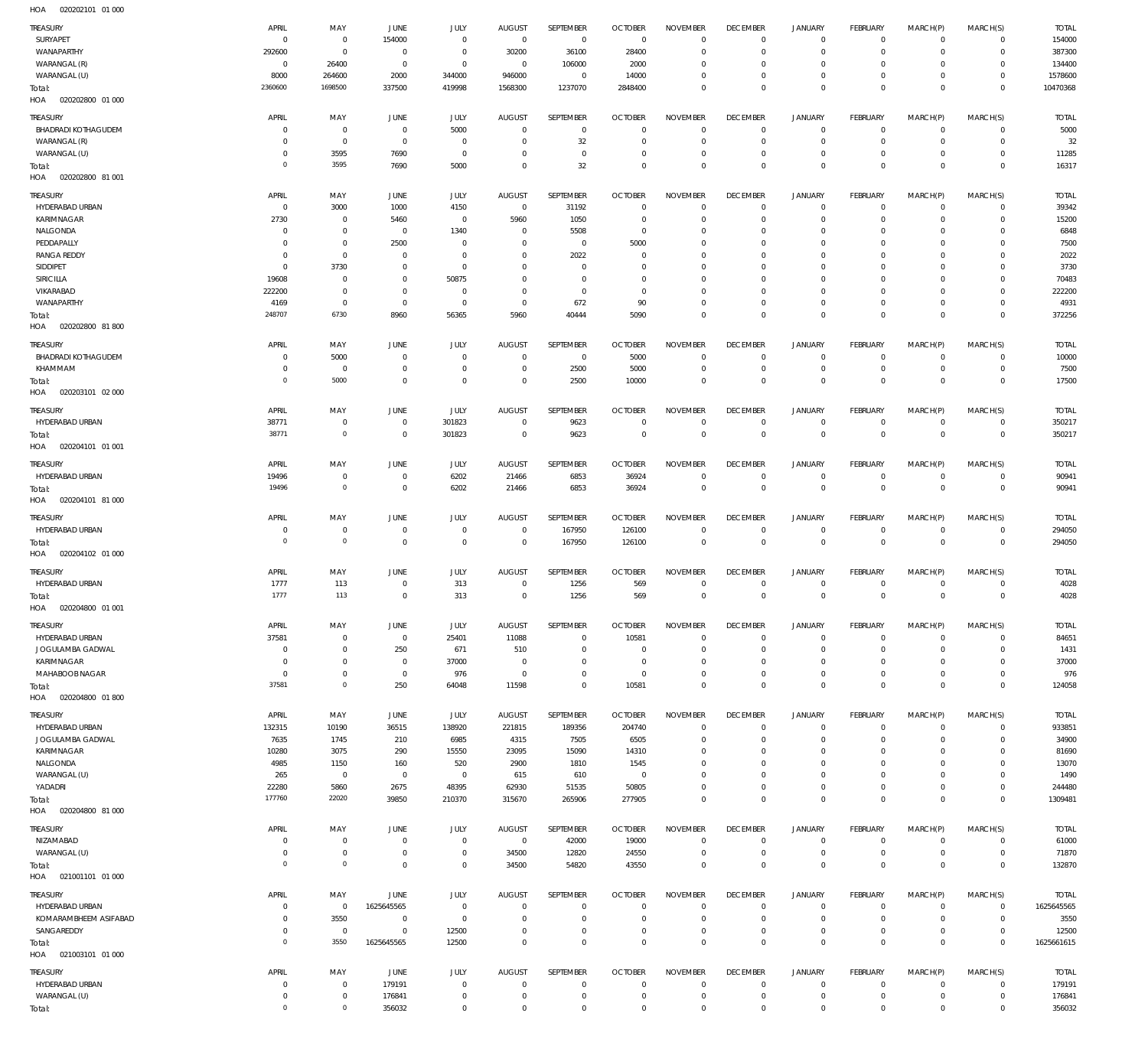| TREASURY                                          | APRIL                      | MAY                            | JUNE                             | <b>JULY</b>                | <b>AUGUST</b>            | SEPTEMBER                  | <b>OCTOBER</b>                  | <b>NOVEMBER</b>                     | <b>DECEMBER</b>                              | <b>JANUARY</b>                        | FEBRUARY                                        | MARCH(P)                           | MARCH(S)                                | <b>TOTAL</b>             |
|---------------------------------------------------|----------------------------|--------------------------------|----------------------------------|----------------------------|--------------------------|----------------------------|---------------------------------|-------------------------------------|----------------------------------------------|---------------------------------------|-------------------------------------------------|------------------------------------|-----------------------------------------|--------------------------|
| SURYAPET                                          | $^{\circ}$                 | $\overline{0}$                 | 154000                           | $\mathbf 0$                | $\mathbf 0$              | $\overline{0}$             | $\overline{0}$                  | $\mathbf 0$                         | $\overline{0}$                               | $\circ$                               | $\mathsf 0$                                     | $^{\circ}$                         | $\Omega$                                | 154000                   |
| WANAPARTHY                                        | 292600                     | $\overline{0}$                 | $\overline{0}$                   | $\,0\,$                    | 30200                    | 36100                      | 28400                           | $\mathbf 0$                         | $\overline{0}$                               | $\mathbf 0$                           | $\overline{0}$                                  | $^{\circ}$                         | $\mathbf{0}$                            | 387300                   |
| WARANGAL (R)                                      | $\circ$                    | 26400                          | $\overline{0}$                   | $\,0\,$                    | $\mathbf 0$              | 106000                     | 2000                            | $\mathbf 0$                         | $\mathbf 0$                                  | 0                                     | $\overline{0}$                                  | $\Omega$                           | $^{\circ}$                              | 134400                   |
| WARANGAL (U)<br>Total:<br>HOA<br>020202800 01 000 | 8000<br>2360600            | 264600<br>1698500              | 2000<br>337500                   | 344000<br>419998           | 946000<br>1568300        | $\,0\,$<br>1237070         | 14000<br>2848400                | $\mathbf 0$<br>$\mathbf 0$          | $\overline{0}$<br>$\overline{0}$             | $\mathbf 0$<br>$\mathbf 0$            | $\overline{0}$<br>$\mathbb O$                   | $^{\circ}$<br>$\Omega$             | $\mathbf 0$<br>$\mathbb O$              | 1578600<br>10470368      |
| TREASURY                                          | APRIL                      | MAY                            | JUNE                             | <b>JULY</b>                | <b>AUGUST</b>            | SEPTEMBER                  | <b>OCTOBER</b>                  | <b>NOVEMBER</b>                     | <b>DECEMBER</b>                              | <b>JANUARY</b>                        | FEBRUARY                                        | MARCH(P)                           | MARCH(S)                                | <b>TOTAL</b>             |
| <b>BHADRADI KOTHAGUDEM</b>                        | $\circ$                    | $\overline{0}$                 | $\overline{0}$                   | 5000                       | $^{\circ}$               | $\mathbf 0$                | $\overline{0}$                  | $\mathbf 0$                         | $\overline{0}$                               | $\circ$                               | $\overline{0}$                                  | $^{\circ}$                         | $^{\circ}$                              | 5000                     |
| WARANGAL (R)                                      | $\Omega$                   | $\overline{0}$                 | $\overline{0}$                   | $\overline{0}$             | 0                        | 32                         | $^{\circ}$                      | $\Omega$                            | $\mathbf 0$                                  | $\mathbf 0$                           | $\overline{0}$                                  | $\Omega$                           | $\mathbf{0}$                            | 32                       |
| WARANGAL (U)<br>Total:<br>HOA  020202800  81 001  | $\overline{0}$<br>$\Omega$ | 3595<br>3595                   | 7690<br>7690                     | $\mathbf 0$<br>5000        | $\Omega$<br>$\Omega$     | $\mathbf 0$<br>32          | $^{\circ}$<br>$\overline{0}$    | $\Omega$<br>$\Omega$                | $\mathbf 0$<br>$\mathbf 0$                   | $\mathbf 0$<br>$\mathbf 0$            | $\overline{0}$<br>$\overline{0}$                | $\Omega$<br>$\Omega$               | $\mathbf 0$<br>$\mathbf 0$              | 11285<br>16317           |
| TREASURY                                          | APRIL                      | MAY                            | <b>JUNE</b>                      | JULY                       | <b>AUGUST</b>            | SEPTEMBER                  | <b>OCTOBER</b>                  | <b>NOVEMBER</b>                     | <b>DECEMBER</b>                              | <b>JANUARY</b>                        | FEBRUARY                                        | MARCH(P)                           | MARCH(S)                                | <b>TOTAL</b>             |
| HYDERABAD URBAN                                   | $^{\circ}$                 | 3000                           | 1000                             | 4150                       | $\mathbf 0$              | 31192                      | $\overline{0}$                  | $\mathbf 0$                         | $\overline{0}$                               | $\circ$                               | $\mathsf 0$                                     | $^{\circ}$                         | $^{\circ}$                              | 39342                    |
| KARIMNAGAR                                        | 2730                       | $\overline{0}$                 | 5460                             | $\,0\,$                    | 5960                     | 1050                       | $\overline{0}$                  | $\mathbf 0$                         | $\overline{0}$                               | $\mathbf 0$                           | $\overline{0}$                                  | $^{\circ}$                         | $\mathbf{0}$                            | 15200                    |
| NALGONDA                                          | $^{\circ}$                 | $\overline{0}$                 | $\,0\,$                          | 1340                       | $\circ$                  | 5508                       | $\overline{0}$                  | $\mathbf 0$                         | $\mathbf 0$                                  | 0                                     | $\overline{0}$                                  | $\Omega$                           | $\Omega$                                | 6848                     |
| PEDDAPALLY                                        | $\Omega$                   | $\overline{0}$                 | 2500                             | $\overline{0}$             | $\Omega$                 | $\,0\,$                    | 5000                            | $\mathbf 0$                         | $\mathbf 0$                                  | $\mathbf 0$                           | $\overline{0}$                                  | $\Omega$                           | $\Omega$                                | 7500                     |
| <b>RANGA REDDY</b>                                | $\circ$                    | $\overline{0}$                 | $^{\circ}$                       | $\mathbf 0$                | $\Omega$                 | 2022                       | $^{\circ}$                      | $\mathbf 0$                         | $\mathbf 0$                                  | $\mathbf 0$                           | $\overline{0}$                                  | $\Omega$                           | $\Omega$                                | 2022                     |
| SIDDIPET                                          | $\circ$                    | 3730                           | $\overline{0}$                   | $\mathbf 0$                | $\Omega$                 | $\mathbb O$                | $^{\circ}$                      | $\mathbf 0$                         | $\mathbf 0$                                  | $\mathbf 0$                           | $\overline{0}$                                  | $\Omega$                           | $\Omega$                                | 3730                     |
| SIRICILLA                                         | 19608                      | $\overline{0}$                 | $\Omega$                         | 50875                      | $\Omega$                 | $\mathbf 0$                | $^{\circ}$                      | $\mathbf 0$                         | $\mathbf 0$                                  | $\mathbf 0$                           | $\overline{0}$                                  | $\Omega$                           | $\Omega$                                | 70483                    |
| VIKARABAD                                         | 222200                     | $\overline{0}$                 | $\overline{0}$                   | $\,0\,$                    | $\Omega$                 | $\mathbb O$                | $^{\circ}$                      | $\mathbf 0$                         | $\mathbf 0$                                  | $\mathbf 0$                           | $\overline{0}$                                  | $\circ$                            | $\Omega$                                | 222200                   |
| WANAPARTHY                                        | 4169                       | $\overline{0}$                 | $\overline{0}$                   | $\mathbf 0$                | $^{\circ}$               | 672                        | 90                              | $\mathbf 0$                         | $\overline{0}$                               | $\mathbf 0$                           | $\overline{0}$                                  | $\Omega$                           | $\mathbf{0}$                            | 4931                     |
| Total:<br>HOA<br>020202800 81 800                 | 248707                     | 6730                           | 8960                             | 56365                      | 5960                     | 40444                      | 5090                            | $\mathbf 0$                         | $\overline{0}$                               | $\mathbf 0$                           | $\mathbb O$                                     | $\mathbf 0$                        | $\mathbb O$                             | 372256                   |
| TREASURY                                          | APRIL                      | MAY                            | JUNE                             | JULY                       | <b>AUGUST</b>            | SEPTEMBER                  | <b>OCTOBER</b>                  | <b>NOVEMBER</b>                     | <b>DECEMBER</b>                              | <b>JANUARY</b>                        | <b>FEBRUARY</b>                                 | MARCH(P)                           | MARCH(S)                                | <b>TOTAL</b>             |
| <b>BHADRADI KOTHAGUDEM</b>                        | $\circ$                    | 5000                           | $\overline{0}$                   | $\overline{0}$             | $^{\circ}$               | $\mathbf 0$                | 5000                            | $\Omega$                            | $\mathbf 0$                                  | $\mathbf 0$                           | $\overline{0}$                                  | $\Omega$                           | $^{\circ}$                              | 10000                    |
| KHAMMAM<br>Total:<br>HOA<br>020203101 02 000      | $\circ$<br>$\circ$         | $\overline{0}$<br>5000         | $\overline{0}$<br>$\overline{0}$ | $\mathbf 0$<br>$\mathbf 0$ | $\circ$<br>$^{\circ}$    | 2500<br>2500               | 5000<br>10000                   | $\mathbf 0$<br>$\mathbf 0$          | $\mathbf 0$<br>$\mathbf 0$                   | $\mathbf 0$<br>$\mathbf 0$            | $\overline{0}$<br>$\overline{0}$                | $^{\circ}$<br>$\overline{0}$       | $\mathbf{0}$<br>$\mathbf 0$             | 7500<br>17500            |
| TREASURY                                          | APRIL                      | MAY                            | JUNE                             | JULY                       | <b>AUGUST</b>            | SEPTEMBER                  | <b>OCTOBER</b>                  | <b>NOVEMBER</b>                     | <b>DECEMBER</b>                              | <b>JANUARY</b>                        | FEBRUARY                                        | MARCH(P)                           | MARCH(S)                                | <b>TOTAL</b>             |
| HYDERABAD URBAN                                   | 38771                      | $\overline{0}$                 | $\mathbf 0$                      | 301823                     | $^{\circ}$               | 9623                       | $\overline{0}$                  | $\mathbf 0$                         | $\overline{0}$                               | $\circ$                               | $\mathsf 0$                                     | $^{\circ}$                         | $^{\circ}$                              | 350217                   |
| Total:<br>HOA<br>020204101 01 001                 | 38771                      | $\overline{0}$                 | $\mathbf 0$                      | 301823                     | $^{\circ}$               | 9623                       | $\overline{0}$                  | $\mathbf 0$                         | $\overline{0}$                               | $\overline{0}$                        | $\mathbb O$                                     | $\mathbf 0$                        | $\mathbf 0$                             | 350217                   |
| TREASURY                                          | APRIL                      | MAY                            | JUNE                             | <b>JULY</b>                | <b>AUGUST</b>            | SEPTEMBER                  | <b>OCTOBER</b>                  | <b>NOVEMBER</b>                     | <b>DECEMBER</b>                              | <b>JANUARY</b>                        | <b>FEBRUARY</b>                                 | MARCH(P)                           | MARCH(S)                                | <b>TOTAL</b>             |
| HYDERABAD URBAN                                   | 19496                      | $\overline{0}$                 | $\mathbf 0$                      | 6202                       | 21466                    | 6853                       | 36924                           | $\mathbf 0$                         | $\mathbf 0$                                  | $\circ$                               | $\overline{0}$                                  | $^{\circ}$                         | $^{\circ}$                              | 90941                    |
| Total:<br>HOA<br>020204101 81 000                 | 19496                      | $\circ$                        | $\mathbf 0$                      | 6202                       | 21466                    | 6853                       | 36924                           | $\mathbf 0$                         | $\overline{0}$                               | $\overline{0}$                        | $\mathbb O$                                     | $\mathbf 0$                        | $\mathbf 0$                             | 90941                    |
| TREASURY                                          | APRIL                      | MAY                            | JUNE                             | <b>JULY</b>                | <b>AUGUST</b>            | SEPTEMBER                  | <b>OCTOBER</b>                  | <b>NOVEMBER</b>                     | <b>DECEMBER</b>                              | <b>JANUARY</b>                        | <b>FEBRUARY</b>                                 | MARCH(P)                           | MARCH(S)                                | <b>TOTAL</b>             |
| HYDERABAD URBAN                                   | $\circ$                    | $\overline{0}$                 | $\overline{0}$                   | $\,0\,$                    | $^{\circ}$               | 167950                     | 126100                          | 0                                   | $\overline{0}$                               | $\circ$                               | $\mathsf 0$                                     | $^{\circ}$                         | $^{\circ}$                              | 294050                   |
| Total:                                            | $\Omega$                   | $\circ$                        | $\mathbf 0$                      | $\,0\,$                    | $^{\circ}$               | 167950                     | 126100                          | $\mathbf 0$                         | $\overline{0}$                               | $\overline{0}$                        | $\mathbb O$                                     | $\mathbf 0$                        | $\overline{0}$                          | 294050                   |
| HOA<br>020204102 01 000                           |                            |                                |                                  |                            |                          |                            |                                 |                                     |                                              |                                       |                                                 |                                    |                                         |                          |
| TREASURY                                          | APRIL                      | MAY                            | JUNE                             | <b>JULY</b>                | <b>AUGUST</b>            | SEPTEMBER                  | <b>OCTOBER</b>                  | <b>NOVEMBER</b>                     | <b>DECEMBER</b>                              | <b>JANUARY</b>                        | <b>FEBRUARY</b>                                 | MARCH(P)                           | MARCH(S)                                | <b>TOTAL</b>             |
| HYDERABAD URBAN                                   | 1777                       | 113                            | $\Omega$                         | 313                        | $\Omega$                 | 1256                       | 569                             | $\mathbf 0$                         | $\mathbf 0$                                  | $\mathbf 0$                           | $\circ$                                         | $\Omega$                           | $^{\circ}$                              | 4028                     |
| Total:                                            | 1777                       | 113                            | $\overline{0}$                   | 313                        | $\mathbf{0}$             | 1256                       | 569                             | $\mathbf 0$                         | $\overline{0}$                               | $\overline{0}$                        | $\overline{0}$                                  | $\mathbf 0$                        | $\mathbf 0$                             | 4028                     |
| HOA<br>020204800 01 001<br>TREASURY               | APRIL                      | MAY                            | <b>JUNE</b>                      | JULY                       | <b>AUGUST</b>            | SEPTEMBER                  | <b>OCTOBER</b>                  | <b>NOVEMBER</b>                     | <b>DECEMBER</b>                              | <b>JANUARY</b>                        | <b>FEBRUARY</b>                                 | MARCH(P)                           | MARCH(S)                                | <b>TOTAL</b>             |
| <b>HYDERABAD URBAN</b>                            | 37581                      | $\overline{0}$                 | $\mathbf 0$                      | 25401                      | 11088                    | $\mathbb O$                | 10581                           | $\mathbf 0$                         | $\mathbf 0$                                  | $\circ$                               | $\mathsf 0$                                     | $^{\circ}$                         | $\Omega$                                | 84651                    |
| JOGULAMBA GADWAL                                  | $^{\circ}$                 | $\overline{0}$                 | 250                              | 671                        | 510                      | $\mathbb O$                | $\overline{0}$                  | $\mathbf 0$                         | $\overline{0}$                               | $\mathbf 0$                           | $\mathsf 0$                                     | $^{\circ}$                         | $\mathbf{0}$                            | 1431                     |
| KARIMNAGAR                                        | $\Omega$                   | $\overline{0}$                 | $\mathbf 0$                      | 37000                      | $\circ$                  | $\mathbb O$                | $\mathbf 0$                     | $\mathbf 0$                         | $\mathbf 0$                                  | 0                                     | $\overline{0}$                                  | $\Omega$                           | $\mathbf{0}$                            | 37000                    |
| MAHABOOB NAGAR                                    | $\circ$                    | $\overline{0}$                 | $\mathbf 0$                      | 976                        | $^{\circ}$               | $\mathbf 0$                | $\overline{0}$                  | $\mathbf 0$                         | $\overline{0}$                               | $\mathbf 0$                           | $\mathsf 0$                                     | $^{\circ}$                         | $\mathbf{0}$                            | 976                      |
| Total:                                            | 37581                      | $\overline{0}$                 | 250                              | 64048                      | 11598                    | $\mathbf 0$                | 10581                           | $\mathbf 0$                         | $\overline{0}$                               | $\mathbf 0$                           | $\mathbb O$                                     | $\mathbf 0$                        | $\mathbf 0$                             | 124058                   |
| 020204800 01 800<br>HOA<br>TREASURY               | APRIL                      | MAY                            | JUNE                             | JULY                       | <b>AUGUST</b>            | SEPTEMBER                  | <b>OCTOBER</b>                  | <b>NOVEMBER</b>                     | <b>DECEMBER</b>                              | <b>JANUARY</b>                        | FEBRUARY                                        | MARCH(P)                           | MARCH(S)                                | <b>TOTAL</b>             |
| HYDERABAD URBAN<br>JOGULAMBA GADWAL<br>KARIMNAGAR | 132315<br>7635             | 10190<br>1745                  | 36515<br>210<br>290              | 138920<br>6985<br>15550    | 221815<br>4315           | 189356<br>7505             | 204740<br>6505                  | $\mathbf 0$<br>$\Omega$<br>$\Omega$ | $\overline{0}$<br>$\mathbf 0$<br>$\mathbf 0$ | $\circ$<br>$\mathbf 0$<br>$\mathbf 0$ | $\mathsf 0$<br>$\overline{0}$<br>$\overline{0}$ | $^{\circ}$<br>$\Omega$<br>$\Omega$ | $\mathbf 0$<br>$\mathbf{0}$<br>$\Omega$ | 933851<br>34900<br>81690 |
| NALGONDA<br>WARANGAL (U)                          | 10280<br>4985<br>265       | 3075<br>1150<br>$\overline{0}$ | 160<br>$\mathbf 0$               | 520<br>$\,0\,$             | 23095<br>2900<br>615     | 15090<br>1810<br>610       | 14310<br>1545<br>$\overline{0}$ | $\Omega$<br>$\Omega$                | $\mathbf 0$<br>$\mathbf 0$                   | 0<br>$\mathbf 0$                      | $\overline{0}$<br>$\overline{0}$                | $\Omega$<br>$\Omega$               | $^{\circ}$<br>$\Omega$                  | 13070<br>1490            |
| YADADRI<br>Total:<br>HOA<br>020204800 81 000      | 22280<br>177760            | 5860<br>22020                  | 2675<br>39850                    | 48395<br>210370            | 62930<br>315670          | 51535<br>265906            | 50805<br>277905                 | $\Omega$<br>$\Omega$                | $\mathbf 0$<br>$\mathbf 0$                   | $\mathbf 0$<br>$\overline{0}$         | $\mathsf 0$<br>$\mathbb O$                      | $\Omega$<br>$\overline{0}$         | $\mathbf 0$<br>$\mathbf 0$              | 244480<br>1309481        |
| TREASURY                                          | APRIL                      | MAY                            | JUNE                             | JULY                       | <b>AUGUST</b>            | SEPTEMBER                  | <b>OCTOBER</b>                  | <b>NOVEMBER</b>                     | <b>DECEMBER</b>                              | <b>JANUARY</b>                        | FEBRUARY                                        | MARCH(P)                           | MARCH(S)                                | <b>TOTAL</b>             |
| NIZAMABAD                                         | $\mathbf 0$                | $\overline{0}$                 | $\overline{0}$                   | $\,0\,$                    | $\mathbf 0$              | 42000                      | 19000                           | $\mathbf 0$                         | $\overline{0}$                               | $\circ$                               | $\mathsf 0$                                     | $^{\circ}$                         | $\mathbf{0}$                            | 61000                    |
| WARANGAL (U)                                      | $^{\circ}$                 | $\overline{0}$                 | $\overline{0}$                   | $\,0\,$                    | 34500                    | 12820                      | 24550                           | $\mathbf 0$                         | $\overline{0}$                               | $\mathbf 0$                           | $\mathsf 0$                                     | $^{\circ}$                         | $\mathbf 0$                             | 71870                    |
| Total:                                            | $\circ$                    | $\circ$                        | $\mathbf 0$                      | $\,0\,$                    | 34500                    | 54820                      | 43550                           | $\mathbf 0$                         | $\overline{0}$                               | $\mathbf 0$                           | $\mathbb O$                                     | $\mathbf 0$                        | $\mathbf 0$                             | 132870                   |
| HOA<br>021001101 01 000<br><b>TREASURY</b>        | APRIL                      | MAY                            | JUNE                             | <b>JULY</b>                | <b>AUGUST</b>            | SEPTEMBER                  | <b>OCTOBER</b>                  | <b>NOVEMBER</b>                     | <b>DECEMBER</b>                              | <b>JANUARY</b>                        | <b>FEBRUARY</b>                                 | MARCH(P)                           | MARCH(S)                                | <b>TOTAL</b>             |
| HYDERABAD URBAN                                   | $\overline{0}$             | $\overline{0}$                 | 1625645565                       | $\mathbf 0$                | $^{\circ}$               | $\mathbf 0$                | $\overline{0}$                  | $\Omega$                            | $\overline{0}$                               | $\circ$                               | $\overline{0}$                                  | $\Omega$                           | $\mathbf 0$                             | 1625645565               |
| KOMARAMBHEEM ASIFABAD                             | $^{\circ}$                 | 3550                           | $\Omega$                         | $\,0\,$                    | 0                        | $\mathbf 0$                | $^{\circ}$                      | $\mathbf 0$                         | $\mathbf 0$                                  | $\mathbf 0$                           | $\overline{0}$                                  | $\Omega$                           | $\mathbf 0$                             | 3550                     |
| SANGAREDDY<br>Total:<br>HOA<br>021003101 01 000   | $\overline{0}$<br>$\circ$  | $\overline{0}$<br>3550         | $\Omega$<br>1625645565           | 12500<br>12500             | $\Omega$<br>$\mathbf{0}$ | $\mathbb O$<br>$\mathsf 0$ | $^{\circ}$<br>$\mathbf 0$       | $\mathbf 0$<br>$\mathbf 0$          | $\mathbf 0$<br>$\overline{0}$                | $\mathbf 0$<br>$\mathbf 0$            | $\mathsf 0$<br>$\overline{0}$                   | $^{\circ}$<br>$\mathbf 0$          | $\mathbf 0$<br>$\mathbb O$              | 12500<br>1625661615      |
| <b>TREASURY</b>                                   | APRIL                      | MAY                            | JUNE                             | <b>JULY</b>                | <b>AUGUST</b>            | SEPTEMBER                  | <b>OCTOBER</b>                  | <b>NOVEMBER</b>                     | <b>DECEMBER</b>                              | <b>JANUARY</b>                        | <b>FEBRUARY</b>                                 | MARCH(P)                           | MARCH(S)                                | <b>TOTAL</b>             |
| HYDERABAD URBAN                                   | $\mathbf 0$                | $\overline{0}$                 | 179191                           | $\,0\,$                    | $^{\circ}$               | $\mathbb O$                | $\overline{0}$                  | $\mathbf 0$                         | $\overline{0}$                               | $\overline{0}$                        | $\mathsf 0$                                     | $^{\circ}$                         | $^{\circ}$                              | 179191                   |
| WARANGAL (U)                                      | $^{\circ}$                 | $\overline{0}$                 | 176841                           | $\,0\,$                    | 0                        | $\mathbb O$                | $\overline{0}$                  | 0                                   | $\overline{0}$                               | $\mathbf 0$                           | $\mathsf 0$                                     | $\mathbf 0$                        | $\mathbf 0$                             | 176841                   |
| Total:                                            | $\mathbf 0$                | $\circ$                        | 356032                           | $\mathbf 0$                | $\mathbf{0}$             | $\mathbf 0$                | $\mathbf 0$                     | $\mathsf{O}\xspace$                 | $\overline{0}$                               | $\mathbf 0$                           | $\mathbf 0$                                     | $\mathbf 0$                        | $\,0\,$                                 | 356032                   |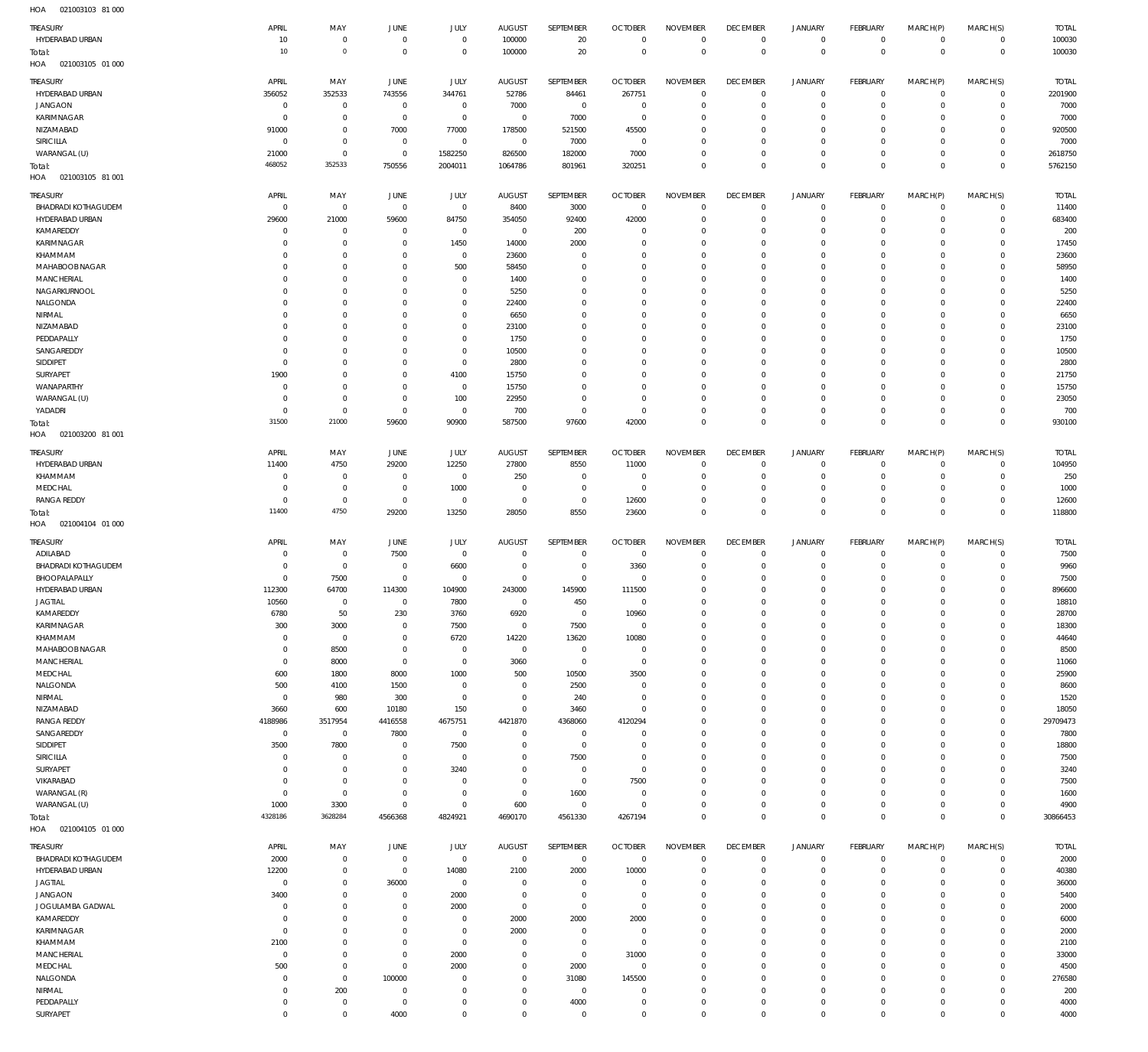021003103 81 000 HOA

| <b>TREASURY</b>                        | APRIL                         | MAY                           | JUNE                         | JULY                          | <b>AUGUST</b>                    | SEPTEMBER                        | <b>OCTOBER</b>               | <b>NOVEMBER</b>               | <b>DECEMBER</b>               | JANUARY                        | FEBRUARY                    | MARCH(P)                   | MARCH(S)                   | <b>TOTAL</b>       |
|----------------------------------------|-------------------------------|-------------------------------|------------------------------|-------------------------------|----------------------------------|----------------------------------|------------------------------|-------------------------------|-------------------------------|--------------------------------|-----------------------------|----------------------------|----------------------------|--------------------|
| HYDERABAD URBAN                        | 10<br>10                      | $^{\circ}$<br>$\circ$         | $^{\circ}$<br>$^{\circ}$     | $\mathbf{0}$<br>$^{\circ}$    | 100000                           | 20<br>20                         | $^{\circ}$<br>$^{\circ}$     | $\mathbf 0$<br>$\mathbb O$    | $^{\circ}$<br>$\mathbf{0}$    | $\circ$<br>$\mathbb O$         | $\mathbf 0$<br>$\mathbf{0}$ | $^{\circ}$<br>$\mathbf{0}$ | $\mathbf 0$<br>$^{\circ}$  | 100030<br>100030   |
| Total:<br>021003105 01 000<br>HOA      |                               |                               |                              |                               | 100000                           |                                  |                              |                               |                               |                                |                             |                            |                            |                    |
| <b>TREASURY</b>                        | APRIL                         | MAY                           | JUNE                         | <b>JULY</b>                   | <b>AUGUST</b>                    | <b>SEPTEMBER</b>                 | <b>OCTOBER</b>               | <b>NOVEMBER</b>               | <b>DECEMBER</b>               | <b>JANUARY</b>                 | FEBRUARY                    | MARCH(P)                   | MARCH(S)                   | <b>TOTAL</b>       |
| HYDERABAD URBAN                        | 356052                        | 352533                        | 743556                       | 344761                        | 52786                            | 84461                            | 267751                       | $^{\circ}$                    | $^{\circ}$                    | $\circ$                        | O                           | $^{\circ}$                 | $^{\circ}$                 | 2201900            |
| <b>JANGAON</b><br>KARIMNAGAR           | $\Omega$<br>$\Omega$          | $^{\circ}$<br>$^{\circ}$      | $^{\circ}$<br>$^{\circ}$     | $\overline{0}$<br>$\mathbf 0$ | 7000<br>$\overline{0}$           | $\mathbf 0$<br>7000              | $^{\circ}$<br>$^{\circ}$     | $^{\circ}$<br>$\mathbf 0$     | $\mathbf{0}$<br>$^{\circ}$    | $\mathbf 0$<br>$\circ$         | $^{\circ}$<br>O             | $^{\circ}$<br>$\mathbf 0$  | $^{\circ}$<br>$^{\circ}$   | 7000<br>7000       |
| NIZAMABAD                              | 91000                         | $^{\circ}$                    | 7000                         | 77000                         | 178500                           | 521500                           | 45500                        | $\mathbf 0$                   | $^{\circ}$                    | $\mathbf 0$                    | O                           | $\mathbf 0$                | $\circ$                    | 920500             |
| SIRICILLA                              | $\Omega$                      | $^{\circ}$                    | $^{\circ}$                   | $\overline{0}$                | $\overline{0}$                   | 7000                             | $^{\circ}$                   | $\mathbf 0$                   | $\mathbf{0}$                  | $\circ$                        | O                           | $\mathbf 0$                | $^{\circ}$                 | 7000               |
| WARANGAL (U)<br>Total:                 | 21000<br>468052               | $^{\circ}$<br>352533          | $^{\circ}$<br>750556         | 1582250<br>2004011            | 826500<br>1064786                | 182000<br>801961                 | 7000<br>320251               | $\mathbf 0$<br>$\mathbf 0$    | $\mathbf{0}$<br>$^{\circ}$    | $\circ$<br>$\mathbb O$         | C<br>$\Omega$               | $\mathbf 0$<br>$\mathbf 0$ | $^{\circ}$<br>$^{\circ}$   | 2618750<br>5762150 |
| 021003105 81 001<br>HOA                |                               |                               |                              |                               |                                  |                                  |                              |                               |                               |                                |                             |                            |                            |                    |
| <b>TREASURY</b>                        | APRIL                         | MAY                           | JUNE                         | JULY                          | <b>AUGUST</b>                    | SEPTEMBER                        | <b>OCTOBER</b>               | <b>NOVEMBER</b>               | <b>DECEMBER</b>               | JANUARY                        | FEBRUARY                    | MARCH(P)                   | MARCH(S)                   | <b>TOTAL</b>       |
| <b>BHADRADI KOTHAGUDEM</b>             | $\circ$                       | $\overline{0}$                | $^{\circ}$                   | $\overline{0}$                | 8400                             | 3000                             | 0                            | $^{\circ}$                    | $^{\circ}$                    | $\mathbf 0$                    | 0                           | -0                         | $\mathbf 0$                | 11400              |
| HYDERABAD URBAN<br>KAMAREDDY           | 29600<br>$\Omega$             | 21000<br>$\circ$              | 59600<br>$\Omega$            | 84750<br>$\overline{0}$       | 354050<br>$\overline{0}$         | 92400<br>200                     | 42000<br>0                   | $\Omega$<br>$^{\circ}$        | $\Omega$<br>0                 | $\mathbf 0$<br>$\mathbf 0$     | O<br>O                      | $\mathbf 0$<br>0           | $^{\circ}$<br>0            | 683400<br>200      |
| <b>KARIMNAGAR</b>                      |                               | $^{\circ}$                    | $\Omega$                     | 1450                          | 14000                            | 2000                             | -C                           | $\Omega$                      | $\Omega$                      | $\mathbf 0$                    | C.                          | $\Omega$                   | 0                          | 17450              |
| KHAMMAM                                | $\Omega$                      | $^{\circ}$                    | $\Omega$                     | $\overline{0}$                | 23600                            | $\overline{0}$                   | $\Omega$                     | $\mathbf 0$                   | $\Omega$                      | $\mathbf 0$                    | O                           | 0                          | 0                          | 23600              |
| MAHABOOB NAGAR<br>MANCHERIAL           | $\Omega$<br>$\Omega$          | $\circ$<br>$\Omega$           |                              | 500<br>$\Omega$               | 58450<br>1400                    | $\mathbf 0$<br>$\mathbf 0$       | -C<br>$\Omega$               | $\Omega$<br>$\Omega$          | $\Omega$<br>$\Omega$          | $\mathbf 0$<br>$\mathbf 0$     | C.<br>O                     | $\Omega$<br>$\Omega$       | 0<br>0                     | 58950<br>1400      |
| NAGARKURNOOL                           | $\Omega$                      | $\circ$                       |                              | $^{\circ}$                    | 5250                             | $\mathbf 0$                      | $\Omega$                     | $^{\circ}$                    | $\Omega$                      | 0                              | O                           | 0                          | 0                          | 5250               |
| NALGONDA                               |                               | $\Omega$                      |                              | $\Omega$                      | 22400                            | $\mathbf 0$                      | $\Omega$                     | $\Omega$                      | $\Omega$                      | $\mathbf 0$                    | C.                          | $\Omega$                   | 0                          | 22400              |
| NIRMAL<br>NIZAMABAD                    | $\Omega$<br>$\Omega$          | $\Omega$<br>$\circ$           |                              | $\Omega$<br>$\Omega$          | 6650<br>23100                    | $\mathbf 0$<br>$\mathbf 0$       | $\Omega$<br>-C               | $\Omega$<br>$\Omega$          | $\Omega$<br>$\Omega$          | 0<br>$\mathbf 0$               | O<br>C.                     | 0<br>$\Omega$              | 0<br>0                     | 6650<br>23100      |
| PEDDAPALLY                             | $\Omega$                      | $\Omega$                      |                              | $\Omega$                      | 1750                             | $\mathbf 0$                      | $\Omega$                     | $\Omega$                      | $\Omega$                      | $\mathbf 0$                    | O                           | $\Omega$                   | 0                          | 1750               |
| SANGAREDDY                             | $\Omega$                      | $\circ$                       |                              | $^{\circ}$                    | 10500                            | $\mathbf 0$                      | $\Omega$                     | $\mathbf 0$                   | $\Omega$                      | $\mathbf 0$                    | C.                          | 0                          | 0                          | 10500              |
| SIDDIPET<br>SURYAPET                   | $\Omega$<br>1900              | $\Omega$<br>$\circ$           | $\Omega$                     | $^{\circ}$<br>4100            | 2800<br>15750                    | $\Omega$<br>$\mathbf 0$          | -C<br>$\Omega$               | $\Omega$<br>$\mathbf 0$       | -C<br>$^{\circ}$              | $\mathbf 0$<br>$\mathbf 0$     | O<br>C.                     | $\Omega$<br>0              | 0<br>0                     | 2800<br>21750      |
| WANAPARTHY                             |                               | $\Omega$                      |                              | $^{\circ}$                    | 15750                            | $\Omega$                         | -C                           | $\Omega$                      | $\Omega$                      | $\mathbf 0$                    | C.                          | $\Omega$                   | 0                          | 15750              |
| WARANGAL (U)                           |                               | $^{\circ}$                    | $\Omega$                     | 100                           | 22950                            | $\overline{0}$                   | $\Omega$                     | $\mathbf 0$                   | $^{\circ}$                    | $\mathbf 0$                    | O                           | $^{\circ}$                 | 0                          | 23050              |
| YADADRI                                | 31500                         | $^{\circ}$<br>21000           | $\Omega$                     | $^{\circ}$                    | 700<br>587500                    | $\overline{0}$<br>97600          | $^{\circ}$<br>42000          | $\Omega$<br>$\mathbf 0$       | $^{\circ}$<br>$^{\circ}$      | $\mathbf 0$<br>$\mathbb O$     | O<br>$\Omega$               | $\mathbf 0$<br>$\mathbf 0$ | 0<br>$\mathbf 0$           | 700                |
| Total:<br>021003200 81 001<br>HOA      |                               |                               | 59600                        | 90900                         |                                  |                                  |                              |                               |                               |                                |                             |                            |                            | 930100             |
| <b>TREASURY</b>                        | APRIL                         | MAY                           | JUNE                         | <b>JULY</b>                   | <b>AUGUST</b>                    | SEPTEMBER                        | <b>OCTOBER</b>               | <b>NOVEMBER</b>               | <b>DECEMBER</b>               | <b>JANUARY</b>                 | FEBRUARY                    | MARCH(P)                   | MARCH(S)                   | <b>TOTAL</b>       |
| HYDERABAD URBAN                        | 11400                         | 4750                          | 29200                        | 12250                         | 27800                            | 8550                             | 11000                        | $^{\circ}$                    | $^{\circ}$                    | $\circ$                        | $^{\circ}$                  | $^{\circ}$                 | $^{\circ}$                 | 104950             |
| KHAMMAM                                | $\Omega$                      | $^{\circ}$                    | $\Omega$                     | $^{\circ}$                    | 250                              | $\overline{0}$                   | 0                            | $^{\circ}$                    | $^{\circ}$                    | $\mathbf 0$                    | O                           | $^{\circ}$                 | $\mathbf 0$                | 250                |
| MEDCHAL<br><b>RANGA REDDY</b>          | $\Omega$<br>$^{\circ}$        | $\overline{0}$<br>$\mathbf 0$ | $\overline{0}$<br>$^{\circ}$ | 1000<br>$\overline{0}$        | $\overline{0}$<br>$\overline{0}$ | $\overline{0}$<br>$\overline{0}$ | $^{\circ}$<br>12600          | $\overline{0}$<br>$\mathbf 0$ | $^{\circ}$<br>$^{\circ}$      | $\circ$<br>$\circ$             | 0<br>0                      | $\mathbf 0$<br>$\mathbf 0$ | $\mathbf 0$<br>$\mathbf 0$ | 1000<br>12600      |
| Total:                                 | 11400                         | 4750                          | 29200                        | 13250                         | 28050                            | 8550                             | 23600                        | $\mathbf 0$                   | $\mathbf 0$                   | $\mathbb O$                    | $^{\circ}$                  | $\mathbf 0$                | $^{\circ}$                 | 118800             |
| HOA<br>021004104 01 000                |                               |                               |                              |                               |                                  |                                  |                              |                               |                               |                                |                             |                            |                            |                    |
| <b>TREASURY</b>                        | APRIL                         | MAY                           | JUNE                         | JULY                          | <b>AUGUST</b>                    | SEPTEMBER                        | <b>OCTOBER</b>               | <b>NOVEMBER</b>               | <b>DECEMBER</b>               | <b>JANUARY</b>                 | FEBRUARY                    | MARCH(P)                   | MARCH(S)                   | <b>TOTAL</b>       |
| ADILABAD<br><b>BHADRADI KOTHAGUDEM</b> | $\Omega$<br>$\Omega$          | $^{\circ}$<br>$\overline{0}$  | 7500<br>$\Omega$             | $\overline{0}$<br>6600        | $\Omega$<br>$\mathbf{0}$         | $\mathbf 0$<br>$\overline{0}$    | $^{\circ}$<br>3360           | $\mathbf 0$<br>$\mathbf 0$    | 0<br>$\overline{0}$           | $\mathbf 0$<br>$\mathbf 0$     | C<br>O                      | $\circ$<br>$\mathbf 0$     | $\mathbf 0$<br>0           | 7500<br>9960       |
| BHOOPALAPALLY                          | $\Omega$                      | 7500                          | $^{\circ}$                   | $^{\circ}$                    | $\mathbf{0}$                     | $\overline{0}$                   | 0                            | $\Omega$                      | $^{\circ}$                    | $\mathbf 0$                    | C                           | 0                          | 0                          | 7500               |
| HYDERABAD URBAN                        | 112300                        | 64700                         | 114300                       | 104900                        | 243000                           | 145900                           | 111500                       | $\Omega$                      | $\Omega$                      | 0                              | C.                          | 0                          | 0                          | 896600             |
| <b>JAGTIAL</b><br>KAMAREDDY            | 10560                         | $^{\circ}$<br>50              | $\Omega$                     | 7800                          | $\Omega$                         | 450<br>$\overline{0}$            | $\Omega$                     | $^{\circ}$<br>$\mathbf 0$     | $\Omega$<br>$^{\circ}$        | $\mathbf 0$<br>$\circ$         | $\Omega$<br>0               | 0<br>0                     | $\mathbf 0$<br>$\circ$     | 18810<br>28700     |
| KARIMNAGAR                             | 6780<br>300                   | 3000                          | 230<br>$\Omega$              | 3760<br>7500                  | 6920<br>$\overline{0}$           | 7500                             | 10960<br>$^{\circ}$          | $\overline{0}$                | $\mathbf{0}$                  | $\circ$                        | $\mathbf 0$                 | $\mathbf 0$                | $\mathbf 0$                | 18300              |
| KHAMMAM                                | $\overline{0}$                | $\overline{0}$                | $\circ$                      | 6720                          | 14220                            | 13620                            | 10080                        | $\mathbf 0$                   | $^{\circ}$                    | $\mathbf 0$                    | 0                           | $\mathbf 0$                | $\mathbf 0$                | 44640              |
| MAHABOOB NAGAR<br><b>MANCHERIAL</b>    | $^{\circ}$<br>$\overline{0}$  | 8500<br>8000                  | $^{\circ}$<br>$^{\circ}$     | $^{\circ}$<br>$\overline{0}$  | $\overline{0}$<br>3060           | $\mathbf 0$<br>$\mathbf 0$       | $^{\circ}$<br>$^{\circ}$     | $\mathbf 0$<br>$\overline{0}$ | $\mathbf{0}$<br>$^{\circ}$    | $\mathbf 0$<br>$\circ$         | O<br>0                      | $\mathbf 0$<br>$\mathbf 0$ | $\mathbf 0$<br>$\mathbf 0$ | 8500<br>11060      |
| MEDCHAL                                | 600                           | 1800                          | 8000                         | 1000                          | 500                              | 10500                            | 3500                         | $\mathbf 0$                   | $\Omega$                      | 0                              | O                           | $\mathbf 0$                | $\mathbf 0$                | 25900              |
| NALGONDA                               | 500                           | 4100                          | 1500                         | $\overline{0}$                | $\overline{0}$                   | 2500                             | $^{\circ}$                   | $\overline{0}$                | $^{\circ}$                    | $\circ$                        | 0                           | $\mathbf 0$                | $\mathbf 0$                | 8600               |
| NIRMAL<br>NIZAMABAD                    | $^{\circ}$<br>3660            | 980<br>600                    | 300<br>10180                 | $^{\circ}$<br>150             | $\mathbf 0$<br>$\mathbf 0$       | 240<br>3460                      | $\mathbf 0$<br>$\Omega$      | $\mathbf 0$                   | $\mathbf{0}$<br>$\mathbf{0}$  | 0<br>$\mathbf 0$               | O                           | $\mathbf 0$<br>$\mathbf 0$ | $\mathbf 0$<br>$\mathbf 0$ | 1520               |
| <b>RANGA REDDY</b>                     | 4188986                       | 3517954                       | 4416558                      | 4675751                       | 4421870                          | 4368060                          | 4120294                      | $\overline{0}$<br>$^{\circ}$  | $\mathbf{0}$                  | $\mathbf 0$                    | O<br>O                      | $\mathbf 0$                | $\mathbf 0$                | 18050<br>29709473  |
| SANGAREDDY                             | $^{\circ}$                    | $\overline{0}$                | 7800                         | $\mathbf 0$                   | $\mathbf 0$                      | $\overline{0}$                   | $\Omega$                     | $\overline{0}$                | $\mathbf{0}$                  | $\mathbf 0$                    | O                           | 0                          | $\mathbf 0$                | 7800               |
| SIDDIPET                               | 3500                          | 7800                          | $\Omega$                     | 7500                          | $\mathbf{0}$                     | $\mathbf 0$                      | $^{\circ}$                   | $\overline{0}$                | $\mathbf{0}$                  | $\mathbf 0$                    | O                           | $\mathbf 0$                | $\mathbf 0$                | 18800              |
| SIRICILLA<br>SURYAPET                  | $\circ$<br>$^{\circ}$         | $^{\circ}$<br>$\mathbf 0$     | $\Omega$<br>$\Omega$         | $\overline{0}$<br>3240        | $\Omega$<br>$\Omega$             | 7500<br>$\overline{0}$           | $\Omega$<br>$^{\circ}$       | $\mathbf 0$<br>$\overline{0}$ | $\mathbf{0}$<br>$\mathbf{0}$  | $\mathbf 0$<br>$\mathbf 0$     | O<br>O                      | $\mathbf 0$<br>$\mathbf 0$ | $^{\circ}$<br>$^{\circ}$   | 7500<br>3240       |
| VIKARABAD                              | $^{\circ}$                    | $\overline{0}$                | $\Omega$                     | $^{\circ}$                    | $\mathbf 0$                      | $\mathbf 0$                      | 7500                         | $\overline{0}$                | $\mathbf{0}$                  | $\mathbf 0$                    | O                           | $\mathbf 0$                | $^{\circ}$                 | 7500               |
| WARANGAL (R)                           | $^{\circ}$                    | $\overline{0}$                | $\Omega$                     | $^{\circ}$                    | $\mathbf 0$                      | 1600                             | 0                            | $\overline{0}$                | $\mathbf{0}$                  | $\mathbf 0$                    | O                           | $\mathbf 0$                | $^{\circ}$                 | 1600               |
| WARANGAL (U)<br>Total:                 | 1000<br>4328186               | 3300<br>3628284               | $\Omega$<br>4566368          | $\mathbf 0$<br>4824921        | 600<br>4690170                   | $\overline{0}$<br>4561330        | $^{\circ}$<br>4267194        | $\overline{0}$<br>$\mathbf 0$ | $^{\circ}$<br>$\overline{0}$  | $\mathbf 0$<br>$\mathbb O$     | 0<br>$\mathbf 0$            | $\mathbf 0$<br>$\mathbf 0$ | $\mathbf 0$<br>$^{\circ}$  | 4900<br>30866453   |
| HOA  021004105  01  000                |                               |                               |                              |                               |                                  |                                  |                              |                               |                               |                                |                             |                            |                            |                    |
| <b>TREASURY</b>                        | APRIL                         | MAY                           | JUNE                         | <b>JULY</b>                   | <b>AUGUST</b>                    | SEPTEMBER                        | <b>OCTOBER</b>               | <b>NOVEMBER</b>               | <b>DECEMBER</b>               | <b>JANUARY</b>                 | FEBRUARY                    | MARCH(P)                   | MARCH(S)                   | <b>TOTAL</b>       |
| <b>BHADRADI KOTHAGUDEM</b>             | 2000                          | $\overline{0}$                | $^{\circ}$                   | $\overline{0}$                | $\mathbf 0$                      | $\mathbf 0$                      | $\mathbf 0$                  | $\overline{0}$                | $^{\circ}$                    | $\circ$                        | $^{\circ}$                  | $\mathbf 0$                | $\mathbf 0$                | 2000               |
| HYDERABAD URBAN<br><b>JAGTIAL</b>      | 12200<br>$^{\circ}$           | $\mathbf 0$<br>$\mathbf 0$    | $^{\circ}$<br>36000          | 14080<br>$\overline{0}$       | 2100<br>$\overline{0}$           | 2000<br>$\overline{0}$           | 10000<br>$^{\circ}$          | $\overline{0}$<br>$\mathbf 0$ | $\overline{0}$<br>$^{\circ}$  | $\mathbf 0$<br>$\mathbf 0$     | $^{\circ}$<br>O             | $\mathbf 0$<br>$\mathbf 0$ | $\mathbf 0$<br>$^{\circ}$  | 40380<br>36000     |
| <b>JANGAON</b>                         | 3400                          | $\mathbf 0$                   | $^{\circ}$                   | 2000                          | $\mathbf 0$                      | $\mathbf 0$                      | $^{\circ}$                   | $\mathbf 0$                   | $\mathbf{0}$                  | $\mathbf 0$                    | O                           | $\mathbf 0$                | $^{\circ}$                 | 5400               |
| JOGULAMBA GADWAL                       | $^{\circ}$                    | $\mathbf 0$                   | $\Omega$                     | 2000                          | $\overline{0}$                   | $\mathbf 0$                      | $\mathbf 0$                  | $\mathbf 0$                   | $\mathbf{0}$                  | $\circ$                        | O                           | $\mathbf 0$                | $^{\circ}$                 | 2000               |
| KAMAREDDY                              |                               |                               |                              | $\overline{0}$                | 2000                             | 2000                             | 2000                         | $\mathbf 0$                   | $\mathbf{0}$                  | $\circ$                        | O                           | $\mathbf 0$                | $^{\circ}$                 | 6000               |
|                                        | $\circ$                       | $\mathbf 0$                   | $^{\circ}$<br>$\Omega$       |                               |                                  |                                  |                              |                               |                               |                                |                             |                            |                            |                    |
| KARIMNAGAR<br>KHAMMAM                  | $^{\circ}$<br>2100            | $\mathbf 0$<br>$\mathbf 0$    | $\Omega$                     | $\mathbf 0$<br>$\mathbf 0$    | 2000<br>$\overline{0}$           | $\overline{0}$<br>$\mathbf 0$    | $^{\circ}$<br>$\overline{0}$ | $\mathbf 0$<br>$\mathbf 0$    | $\mathbf{0}$<br>$^{\circ}$    | $\mathbf 0$<br>$\mathbf 0$     | O<br>$^{\circ}$             | $\mathbf 0$<br>$\mathbf 0$ | $^{\circ}$<br>$\mathbf 0$  | 2000<br>2100       |
| <b>MANCHERIAL</b>                      | $\overline{0}$                | $\mathbb O$                   | $\Omega$                     | 2000                          | $\mathbf 0$                      | $\mathbf 0$                      | 31000                        | $\mathbf 0$                   | $\mathbf{0}$                  | $\circ$                        | O                           | $\mathbf 0$                | $^{\circ}$                 | 33000              |
| MEDCHAL                                | 500                           | $\mathbb O$                   | $\Omega$                     | 2000                          | $\mathbf 0$                      | 2000                             | $^{\circ}$                   | $\mathbf 0$                   | $^{\circ}$                    | $\circ$                        | $^{\circ}$                  | $\mathbf 0$                | $^{\circ}$                 | 4500               |
| NALGONDA<br>NIRMAL                     | $\circ$<br>$^{\circ}$         | $\overline{0}$<br>200         | 100000<br>$\Omega$           | $^{\circ}$<br>$^{\circ}$      | $\mathbf 0$<br>$\Omega$          | 31080<br>$\mathbf 0$             | 145500<br>$^{\circ}$         | $\mathbf 0$<br>$\mathbf 0$    | $\mathbf{0}$<br>$^{\circ}$    | $\circ$<br>$\circ$             | O<br>$\mathbf 0$            | $\mathbf 0$<br>$\mathbf 0$ | $^{\circ}$<br>$\mathbf 0$  | 276580<br>200      |
| PEDDAPALLY<br>SURYAPET                 | $\overline{0}$<br>$\mathbf 0$ | $\overline{0}$<br>$\mathbb O$ | $\overline{0}$<br>4000       | $^{\circ}$<br>$\mathbf{0}$    | $\overline{0}$<br>$\Omega$       | 4000<br>$\mathbf 0$              | $^{\circ}$<br>$\overline{0}$ | $\mathbf 0$<br>$\mathbf 0$    | $\overline{0}$<br>$\mathbf 0$ | $\circ$<br>$\mathsf{O}\xspace$ | $\mathbf 0$<br>0            | $\circ$<br>$\mathsf{O}$    | $\mathbf 0$<br>$\mathbf 0$ | 4000<br>4000       |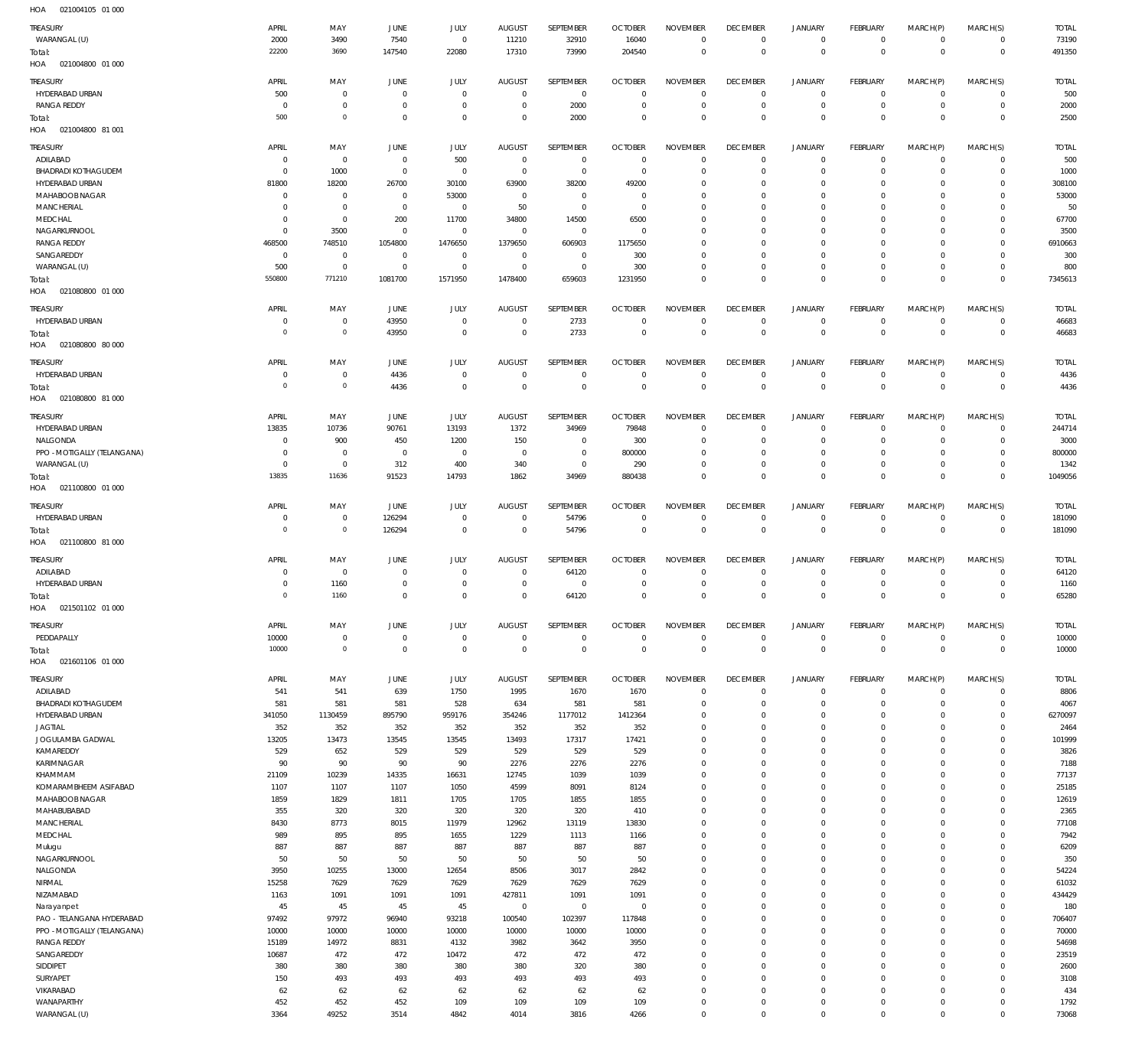| HOA | 021004105 01 000 |  |
|-----|------------------|--|

| <b>TREASURY</b>                                   | APRIL                  | MAY            | JUNE                  | JULY                    | <b>AUGUST</b>         | SEPTEMBER          | <b>OCTOBER</b>          | <b>NOVEMBER</b>             | <b>DECEMBER</b>                   | <b>JANUARY</b>               | FEBRUARY                     | MARCH(P)                   | MARCH(S)                      | <b>TOTAL</b>           |
|---------------------------------------------------|------------------------|----------------|-----------------------|-------------------------|-----------------------|--------------------|-------------------------|-----------------------------|-----------------------------------|------------------------------|------------------------------|----------------------------|-------------------------------|------------------------|
| WARANGAL (U)                                      | 2000                   | 3490           | 7540                  | $\,0\,$                 | 11210                 | 32910              | 16040                   | $\mathbf 0$                 | $\overline{0}$                    | $\circ$                      | $\overline{0}$               | $\mathbf 0$                | $\overline{0}$                | 73190                  |
| Total:                                            | 22200                  | 3690           | 147540                | 22080                   | 17310                 | 73990              | 204540                  | $\mathbf 0$                 | $\overline{0}$                    | $\mathbf 0$                  | $\overline{0}$               | $\mathbf 0$                | $\mathbf 0$                   | 491350                 |
| HOA<br>021004800 01 000                           |                        |                |                       |                         |                       |                    |                         |                             |                                   |                              |                              |                            |                               |                        |
| TREASURY                                          | APRIL                  | MAY            | JUNE                  | JULY                    | <b>AUGUST</b>         | <b>SEPTEMBER</b>   | <b>OCTOBER</b>          | <b>NOVEMBER</b>             | <b>DECEMBER</b>                   | <b>JANUARY</b>               | FEBRUARY                     | MARCH(P)                   | MARCH(S)                      | <b>TOTAL</b>           |
| HYDERABAD URBAN                                   | 500                    | $\overline{0}$ | $\overline{0}$        | $\overline{0}$          | $\mathbf 0$           | $\overline{0}$     | $\overline{0}$          | $\mathbf 0$                 | $\overline{0}$                    | $\mathbf 0$                  | $\overline{0}$               | $\mathbf 0$                | $\overline{0}$                | 500                    |
| <b>RANGA REDDY</b>                                | $\Omega$               | $\overline{0}$ | $\overline{0}$        | $\overline{0}$          | $\mathbf 0$           | 2000               | $\overline{0}$          | $\mathbf 0$                 | $\overline{0}$                    | $\mathbf 0$                  | $\mathbf{0}$                 | $\mathbf 0$                | $\overline{0}$                | 2000                   |
| Total:                                            | 500                    | $\circ$        | $\overline{0}$        | $\mathbf 0$             | $\mathbf 0$           | 2000               | $\overline{0}$          | $\Omega$                    | $\overline{0}$                    | $\mathbf 0$                  | $\overline{0}$               | $\mathbf 0$                | $\mathbf{0}$                  | 2500                   |
| HOA  021004800  81 001                            |                        |                |                       |                         |                       |                    |                         |                             |                                   |                              |                              |                            |                               |                        |
| <b>TREASURY</b>                                   | APRIL                  | MAY            | JUNE                  | JULY                    | <b>AUGUST</b>         | SEPTEMBER          | <b>OCTOBER</b>          | <b>NOVEMBER</b>             | <b>DECEMBER</b>                   | <b>JANUARY</b>               | FEBRUARY                     | MARCH(P)                   | MARCH(S)                      | <b>TOTAL</b>           |
| ADILABAD                                          | $\circ$                | $\mathbf 0$    | $\overline{0}$        | 500                     | $^{\circ}$            | $\overline{0}$     | $\overline{0}$          | $\mathbf 0$                 | $\overline{0}$                    | $\mathbf 0$                  | $\overline{0}$               | $\mathbf 0$                | $\overline{0}$                | 500                    |
| <b>BHADRADI KOTHAGUDEM</b>                        | $\Omega$               | 1000           | $\overline{0}$        | $\overline{0}$          | $\,0\,$               | $\,0\,$            | $\overline{0}$          | $\mathbf 0$                 | $\overline{0}$                    | $\mathbf 0$                  | $\overline{0}$               | $\circ$                    | $\overline{0}$                | 1000                   |
| HYDERABAD URBAN                                   | 81800                  | 18200          | 26700                 | 30100                   | 63900                 | 38200              | 49200                   | 0                           | $\overline{0}$                    | $\mathbf 0$                  | $\mathbf{0}$                 | 0                          | $\mathbf 0$                   | 308100                 |
| MAHABOOB NAGAR                                    | $\Omega$               | 0              | $\overline{0}$        | 53000                   | $\overline{0}$        | $\mathbf 0$        | $\overline{0}$          | $\mathbf 0$                 | $\overline{0}$                    | 0                            | $^{\circ}$                   | 0                          | $\mathbf 0$                   | 53000                  |
| <b>MANCHERIAL</b>                                 | $\Omega$               | $\overline{0}$ | $\overline{0}$        | $\overline{0}$          | 50                    | $\mathbf 0$        | $\overline{0}$          | $\Omega$                    | $\mathbf 0$                       | 0                            | $\mathbf{0}$                 | $\Omega$                   | $\mathbf 0$                   | 50                     |
| MEDCHAL<br>NAGARKURNOOL                           | $\Omega$<br>$^{\circ}$ | 0<br>3500      | 200<br>$\overline{0}$ | 11700<br>$\overline{0}$ | 34800<br>$\mathbf 0$  | 14500<br>$\,0\,$   | 6500<br>$\overline{0}$  | $\mathbf 0$<br>$\Omega$     | $^{\circ}$<br>$\mathbf 0$         | 0<br>0                       | $\mathbf{0}$<br>$\mathbf{0}$ | $\circ$<br>$\Omega$        | $\mathbf 0$<br>$\mathbf 0$    | 67700<br>3500          |
| <b>RANGA REDDY</b>                                | 468500                 | 748510         | 1054800               | 1476650                 | 1379650               | 606903             | 1175650                 | $\Omega$                    | $\mathbf 0$                       | 0                            | $\mathbf{0}$                 | 0                          | $^{\circ}$                    | 6910663                |
| SANGAREDDY                                        | $\circ$                | $\overline{0}$ | $\overline{0}$        | $^{\circ}$              | $\overline{0}$        | $\overline{0}$     | 300                     | 0                           | $\overline{0}$                    | 0                            | $\mathbf{0}$                 | 0                          | $^{\circ}$                    | 300                    |
| WARANGAL (U)                                      | 500                    | $\overline{0}$ | $\overline{0}$        | $\mathbf 0$             | $\mathbf 0$           | $\mathbf 0$        | 300                     | $\mathbf 0$                 | $\overline{0}$                    | $\mathbf 0$                  | $\mathbf{0}$                 | $\circ$                    | $\mathbf 0$                   | 800                    |
| Total:                                            | 550800                 | 771210         | 1081700               | 1571950                 | 1478400               | 659603             | 1231950                 | $\mathbf 0$                 | $\overline{0}$                    | $\mathbf 0$                  | $\overline{0}$               | $\mathbf 0$                | $\mathbf 0$                   | 7345613                |
| HOA<br>021080800 01 000                           |                        |                |                       |                         |                       |                    |                         |                             |                                   |                              |                              |                            |                               |                        |
| TREASURY                                          | APRIL                  | MAY            | JUNE                  | <b>JULY</b>             | <b>AUGUST</b>         | SEPTEMBER          | <b>OCTOBER</b>          | <b>NOVEMBER</b>             | <b>DECEMBER</b>                   | <b>JANUARY</b>               | FEBRUARY                     | MARCH(P)                   | MARCH(S)                      | <b>TOTAL</b>           |
| HYDERABAD URBAN                                   | $\circ$                | $\overline{0}$ | 43950                 | $\overline{0}$          | $\overline{0}$        | 2733               | $\mathbf 0$             | $\mathbf 0$                 | $\overline{0}$                    | $\circ$                      | $\circ$                      | $\circ$                    | $\overline{0}$                | 46683                  |
| Total:                                            | $\circ$                | $\circ$        | 43950                 | $\mathbf 0$             | $\mathbf 0$           | 2733               | $\overline{0}$          | $\mathbf 0$                 | $\overline{0}$                    | $\mathbf 0$                  | $\overline{0}$               | $\mathbf 0$                | $\mathbf 0$                   | 46683                  |
| HOA  021080800  80  000                           |                        |                |                       |                         |                       |                    |                         |                             |                                   |                              |                              |                            |                               |                        |
| <b>TREASURY</b>                                   | APRIL                  | MAY            | JUNE                  | JULY                    | <b>AUGUST</b>         | SEPTEMBER          | <b>OCTOBER</b>          | <b>NOVEMBER</b>             | <b>DECEMBER</b>                   | <b>JANUARY</b>               | FEBRUARY                     | MARCH(P)                   | MARCH(S)                      | <b>TOTAL</b>           |
| HYDERABAD URBAN                                   | $\circ$                | $\overline{0}$ | 4436                  | $\mathbf 0$             | $\overline{0}$        | $\,0\,$            | $\overline{0}$          | $\mathbf{0}$                | $\overline{0}$                    | $\circ$                      | $\overline{0}$               | $\mathbf 0$                | $\overline{0}$                | 4436                   |
| Total:                                            | $\circ$                | $\circ$        | 4436                  | $\mathbf 0$             | $\overline{0}$        | $\mathbf{0}$       | $\mathbb O$             | $\mathbf{0}$                | $\overline{0}$                    | $\mathbf 0$                  | $\overline{0}$               | $\mathbf 0$                | $\overline{0}$                | 4436                   |
| HOA<br>021080800 81 000                           |                        |                |                       |                         |                       |                    |                         |                             |                                   |                              |                              |                            |                               |                        |
|                                                   |                        |                |                       |                         |                       |                    |                         |                             |                                   |                              |                              |                            |                               |                        |
| TREASURY<br>HYDERABAD URBAN                       | APRIL<br>13835         | MAY<br>10736   | JUNE<br>90761         | JULY<br>13193           | <b>AUGUST</b><br>1372 | SEPTEMBER<br>34969 | <b>OCTOBER</b><br>79848 | <b>NOVEMBER</b><br>$\Omega$ | <b>DECEMBER</b><br>$\overline{0}$ | <b>JANUARY</b><br>$^{\circ}$ | FEBRUARY<br>$^{\circ}$       | MARCH(P)<br>$\circ$        | MARCH(S)<br>$\mathbf 0$       | <b>TOTAL</b><br>244714 |
| NALGONDA                                          | $\Omega$               | 900            | 450                   | 1200                    | 150                   | $\overline{0}$     | 300                     | $\mathbf 0$                 | $\overline{0}$                    | $\mathbf 0$                  | $^{\circ}$                   | $\circ$                    | $\mathbf 0$                   | 3000                   |
| PPO - MOTIGALLY (TELANGANA)                       | $\Omega$               | $\mathbf{0}$   | $\overline{0}$        | $^{\circ}$              | $\overline{0}$        | $\mathbf 0$        | 800000                  | $\Omega$                    | $\mathbf 0$                       | $\mathbf 0$                  | $^{\circ}$                   | $\mathbf 0$                | $\mathbf 0$                   | 800000                 |
| WARANGAL (U)                                      | $\Omega$               | $\overline{0}$ | 312                   | 400                     | 340                   | $^{\circ}$         | 290                     | $\mathbf 0$                 | $\overline{0}$                    | $\mathbf 0$                  | $\mathbf{0}$                 | $\mathbf 0$                | $\mathbf 0$                   | 1342                   |
| lotal:                                            | 13835                  | 11636          | 91523                 | 14793                   | 1862                  | 34969              | 880438                  | $\Omega$                    | $\overline{0}$                    | $\mathbf 0$                  | $\overline{0}$               | $\mathbf 0$                | $\mathbf{0}$                  | 1049056                |
| HOA   021100800   01 000                          |                        |                |                       |                         |                       |                    |                         |                             |                                   |                              |                              |                            |                               |                        |
| <b>TREASURY</b>                                   | APRIL                  | MAY            | JUNE                  | JULY                    | <b>AUGUST</b>         | SEPTEMBER          | <b>OCTOBER</b>          | <b>NOVEMBER</b>             | <b>DECEMBER</b>                   | <b>JANUARY</b>               | FEBRUARY                     | MARCH(P)                   | MARCH(S)                      | <b>TOTAL</b>           |
| HYDERABAD URBAN                                   | $\circ$                | $\overline{0}$ | 126294                | $\overline{0}$          | $\overline{0}$        | 54796              | $\overline{0}$          | $\mathbf 0$                 | $\overline{0}$                    | $\circ$                      | $\overline{0}$               | $\mathbf 0$                | $\overline{0}$                | 181090                 |
| Total:                                            | $\mathbf{0}$           | $\circ$        | 126294                | $\,0\,$                 | $\mathbf 0$           | 54796              | $\mathbf 0$             | $\mathbf{0}$                | $\mathbf 0$                       | $\overline{0}$               | $\overline{0}$               | $\overline{0}$             | $\overline{0}$                | 181090                 |
| HOA<br>021100800 81 000                           |                        |                |                       |                         |                       |                    |                         |                             |                                   |                              |                              |                            |                               |                        |
| TREASURY                                          | APRIL                  | MAY            | JUNE                  | JULY                    | <b>AUGUST</b>         | SEPTEMBER          | <b>OCTOBER</b>          | <b>NOVEMBER</b>             | <b>DECEMBER</b>                   | <b>JANUARY</b>               | FEBRUARY                     | MARCH(P)                   | MARCH(S)                      | <b>TOTAL</b>           |
| ADILABAD                                          | $\Omega$               | $\overline{0}$ | $^{\circ}$            | $^{\circ}$              | $\overline{0}$        | 64120              | $\overline{0}$          | $\mathbf 0$                 | $\overline{0}$                    | $\mathbf 0$                  | $^{\circ}$                   | $\mathbf 0$                | $\mathbf 0$                   | 64120                  |
| HYDERABAD URBAN                                   | $\Omega$               | 1160           | $\overline{0}$        | $^{\circ}$              | $\overline{0}$        | $^{\circ}$         | $\mathbf{0}$            | $\mathbf 0$                 | $\overline{0}$                    | $\mathbf 0$                  | $\mathbf{0}$                 | $\mathbf 0$                | $\mathbf 0$                   | 1160                   |
| Total:                                            | $\Omega$               | 1160           | $\mathbf 0$           | $\overline{0}$          | $\mathbf 0$           | 64120              | $\mathbf{0}$            | $\Omega$                    | $\overline{0}$                    | $\mathbf 0$                  | $\overline{0}$               | $\Omega$                   | $\mathbf{0}$                  | 65280                  |
| HOA  021501102  01  000                           |                        |                |                       |                         |                       |                    |                         |                             |                                   |                              |                              |                            |                               |                        |
| <b>TREASURY</b>                                   | APRIL                  | MAY            | JUNE                  | JULY                    | <b>AUGUST</b>         | SEPTEMBER          | <b>OCTOBER</b>          | <b>NOVEMBER</b>             | <b>DECEMBER</b>                   | <b>JANUARY</b>               | FEBRUARY                     | MARCH(P)                   | MARCH(S)                      | <b>TOTAL</b>           |
| PEDDAPALLY                                        | 10000                  | 0              | $\overline{0}$        | $\,0\,$                 | $\mathbf 0$           | $\mathbf 0$        | $\overline{0}$          | $\mathbf 0$                 | $\overline{0}$                    | $\circ$                      | $\overline{0}$               | $\circ$                    | $\overline{0}$                | 10000                  |
| Total:                                            | 10000                  | $\circ$        | $\,0\,$               | $\mathbf 0$             | $\mathbf 0$           | $\overline{0}$     | $\mathbb O$             | $\mathbf 0$                 | $\overline{0}$                    | $\mathbf 0$                  | $\overline{0}$               | $\mathbf 0$                | $\overline{0}$                | 10000                  |
| HOA<br>021601106 01 000                           |                        |                |                       |                         |                       |                    |                         |                             |                                   |                              |                              |                            |                               |                        |
| <b>TREASURY</b>                                   | APRIL                  | MAY            | JUNE                  | JULY                    | <b>AUGUST</b>         | SEPTEMBER          | <b>OCTOBER</b>          | <b>NOVEMBER</b>             | <b>DECEMBER</b>                   | <b>JANUARY</b>               | FEBRUARY                     | MARCH(P)                   | MARCH(S)                      | <b>TOTAL</b>           |
| ADILABAD                                          | 541                    | 541            | 639                   | 1750                    | 1995                  | 1670               | 1670                    | $\mathbf{0}$                | $\overline{0}$                    | $\circ$                      | $\overline{0}$               | $\mathbf 0$                | $\overline{0}$                | 8806                   |
| BHADRADI KOTHAGUDEM                               | 581                    | 581            | 581                   | 528                     | 634                   | 581                | 581                     | $\mathbf 0$                 | $\mathbf 0$                       | $\mathbf 0$                  | $\mathbf{0}$                 | $\mathbf 0$                | $\mathbf 0$                   | 4067                   |
| HYDERABAD URBAN                                   | 341050                 | 1130459        | 895790                | 959176                  | 354246                | 1177012            | 1412364                 | $\mathbf 0$                 | $\mathbf 0$                       | $\mathbf 0$                  | $\mathbf{0}$                 | $\Omega$                   | $\mathbf 0$                   | 6270097                |
| <b>JAGTIAL</b>                                    | 352                    | 352            | 352                   | 352                     | 352                   | 352                | 352                     | $\mathbf 0$                 | $\mathbf 0$                       | $\mathbf 0$                  | $\mathbf 0$                  | $\Omega$                   | $\mathbf 0$                   | 2464                   |
| JOGULAMBA GADWAL                                  | 13205                  | 13473          | 13545                 | 13545                   | 13493                 | 17317              | 17421                   | $\Omega$                    | $\mathbf 0$                       | $\mathbf 0$                  | $\mathbf 0$                  | $\Omega$                   | $\mathbf 0$                   | 101999                 |
| KAMAREDDY                                         | 529                    | 652            | 529                   | 529                     | 529                   | 529                | 529                     | $\mathbf 0$                 | $\overline{0}$                    | $\mathbf 0$                  | $\mathbf{0}$                 | $\Omega$                   | $\mathbf 0$                   | 3826                   |
| KARIMNAGAR                                        | 90                     | 90             | 90                    | 90                      | 2276                  | 2276               | 2276                    | $\Omega$                    | $\mathbf 0$                       | $\mathbf 0$                  | $\mathbf 0$                  | $\Omega$                   | $\mathbf 0$                   | 7188                   |
| KHAMMAM                                           | 21109                  | 10239          | 14335                 | 16631<br>1050           | 12745                 | 1039               | 1039                    | $\mathbf 0$<br>$\Omega$     | $\mathbf 0$<br>$\mathbf 0$        | $\mathbf 0$<br>$\mathbf 0$   | $\mathbf{0}$<br>$\mathbf{0}$ | $\Omega$<br>$\Omega$       | $\mathbf 0$<br>$\mathbf 0$    | 77137<br>25185         |
| KOMARAMBHEEM ASIFABAD<br>MAHABOOB NAGAR           | 1107<br>1859           | 1107<br>1829   | 1107<br>1811          | 1705                    | 4599<br>1705          | 8091<br>1855       | 8124<br>1855            | $\mathbf 0$                 | $\mathbf 0$                       | $\mathbf 0$                  | $\mathbf 0$                  | $\Omega$                   | $\mathbf 0$                   | 12619                  |
| MAHABUBABAD                                       | 355                    | 320            | 320                   | 320                     | 320                   | 320                | 410                     | $\Omega$                    | $\mathbf 0$                       | $\mathbf 0$                  | $\mathbf 0$                  | $\Omega$                   | $\mathbf 0$                   | 2365                   |
| <b>MANCHERIAL</b>                                 | 8430                   | 8773           | 8015                  | 11979                   | 12962                 | 13119              | 13830                   | $\mathbf 0$                 | $\mathbf 0$                       | $\mathbf 0$                  | $\mathbf 0$                  | $\Omega$                   | $\mathbf 0$                   | 77108                  |
| MEDCHAL                                           |                        |                |                       |                         | 1229                  | 1113               | 1166                    | $\Omega$                    | $\mathbf 0$                       | $\mathbf 0$                  | $\mathbf 0$                  | $\Omega$                   | $\mathbf 0$                   | 7942                   |
|                                                   | 989                    | 895            | 895                   | 1655                    |                       |                    |                         |                             |                                   |                              |                              |                            |                               | 6209                   |
| Mulugu                                            | 887                    | 887            | 887                   | 887                     | 887                   | 887                | 887                     | $\mathbf 0$                 | $\overline{0}$                    | $\mathbf 0$                  | $\mathbf{0}$                 | $\Omega$                   | $\mathbf 0$                   |                        |
| NAGARKURNOOL                                      | 50                     | 50             | 50                    | 50                      | 50                    | 50                 | 50                      | $\Omega$                    | $\mathbf 0$                       | $\mathbf 0$                  | $\mathbf 0$                  | $\Omega$                   | $\mathbf 0$                   | 350                    |
| NALGONDA                                          | 3950                   | 10255          | 13000                 | 12654                   | 8506                  | 3017               | 2842                    | $\mathbf 0$                 | $\mathbf 0$                       | $\mathbf 0$                  | $\mathbf{0}$                 | $\Omega$                   | $\mathbf 0$                   | 54224                  |
| NIRMAL                                            | 15258                  | 7629           | 7629                  | 7629                    | 7629                  | 7629               | 7629                    | $\Omega$                    | $\mathbf 0$                       | $\mathbf 0$                  | $\mathbf 0$                  | $\Omega$                   | $\mathbf 0$                   | 61032                  |
| NIZAMABAD                                         | 1163                   | 1091           | 1091                  | 1091                    | 427811                | 1091               | 1091                    | $\mathbf 0$                 | $\mathbf 0$                       | $\mathbf 0$                  | $\mathbf 0$                  | $\Omega$                   | $\mathbf 0$                   | 434429                 |
| Narayanpet                                        | 45                     | 45             | 45                    | 45                      | $\,0\,$               | $\,0\,$            | $\overline{0}$          | $\Omega$                    | $\mathbf 0$                       | $\mathbf 0$                  | $\mathbf{0}$                 | $\Omega$                   | $\mathbf 0$                   | 180                    |
| PAO - TELANGANA HYDERABAD                         | 97492                  | 97972          | 96940                 | 93218                   | 100540                | 102397             | 117848                  | $\mathbf 0$<br>$\Omega$     | $\mathbf 0$<br>$\mathbf 0$        | $\mathbf 0$<br>$\mathbf 0$   | $\mathbf 0$<br>$\mathbf 0$   | $\Omega$<br>$\Omega$       | $\mathbf 0$<br>$\mathbf 0$    | 706407                 |
| PPO - MOTIGALLY (TELANGANA)<br><b>RANGA REDDY</b> | 10000<br>15189         | 10000<br>14972 | 10000<br>8831         | 10000<br>4132           | 10000<br>3982         | 10000<br>3642      | 10000<br>3950           | $\mathbf 0$                 | $\overline{0}$                    | $\mathbf 0$                  | $\mathbf{0}$                 | $\Omega$                   | $\mathbf 0$                   | 70000<br>54698         |
| SANGAREDDY                                        | 10687                  | 472            | 472                   | 10472                   | 472                   | 472                | 472                     | $\mathbf 0$                 | $\mathbf 0$                       | $\mathbf 0$                  | $\mathbf 0$                  | $\Omega$                   | $\mathbf 0$                   | 23519                  |
| SIDDIPET                                          | 380                    | 380            | 380                   | 380                     | 380                   | 320                | 380                     | $\mathbf 0$                 | $\overline{0}$                    | $\mathbf 0$                  | $\mathbf{0}$                 | $\Omega$                   | $\mathbf 0$                   | 2600                   |
| SURYAPET                                          | 150                    | 493            | 493                   | 493                     | 493                   | 493                | 493                     | $\mathbf 0$                 | $\mathbf 0$                       | $\mathbf 0$                  | $\mathbf 0$                  | $\Omega$                   | $\mathbf 0$                   | 3108                   |
| VIKARABAD                                         | 62                     | 62             | 62                    | 62                      | 62                    | 62                 | 62                      | $\mathbf 0$                 | $\overline{0}$                    | $\mathbf 0$                  | $\mathbf 0$                  | $\Omega$                   | $\mathbf 0$                   | 434                    |
| WANAPARTHY<br>WARANGAL (U)                        | 452<br>3364            | 452<br>49252   | 452<br>3514           | 109<br>4842             | 109<br>4014           | 109<br>3816        | 109<br>4266             | $\mathbf 0$<br>$\mathbf 0$  | $\overline{0}$<br>$\overline{0}$  | $\mathbf 0$<br>$\mathbf 0$   | $\circ$<br>$\mathbf 0$       | $\mathbf 0$<br>$\mathbf 0$ | $\overline{0}$<br>$\mathbf 0$ | 1792<br>73068          |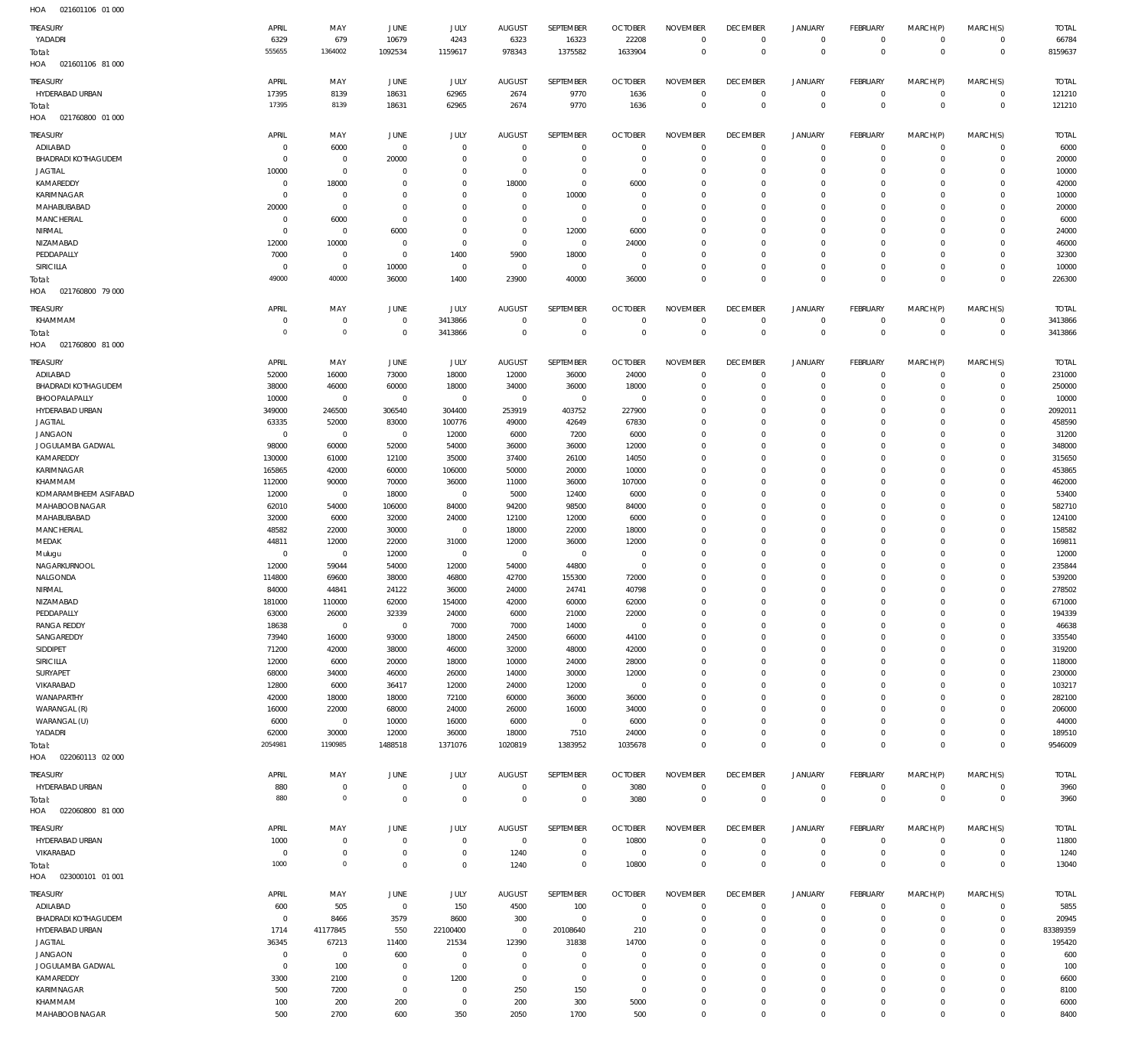| $H \cap \Delta$ | 021601106 01 000 |  |
|-----------------|------------------|--|

| HOA<br>021601106 01 000           |                |                |                |                     |                |                |                |                 |                 |                |                 |                |                     |              |
|-----------------------------------|----------------|----------------|----------------|---------------------|----------------|----------------|----------------|-----------------|-----------------|----------------|-----------------|----------------|---------------------|--------------|
| <b>TREASURY</b>                   | APRIL          | MAY            | JUNE           | JULY                | <b>AUGUST</b>  | SEPTEMBER      | <b>OCTOBER</b> | <b>NOVEMBER</b> | <b>DECEMBER</b> | <b>JANUARY</b> | <b>FEBRUARY</b> | MARCH(P)       | MARCH(S)            | <b>TOTAL</b> |
| YADADRI                           | 6329           | 679            | 10679          | 4243                | 6323           | 16323          | 22208          | $\mathbf{0}$    | $\overline{0}$  | 0              | $\mathbf 0$     | $^{\circ}$     | $\mathbf 0$         | 66784        |
| Total:                            | 555655         | 1364002        | 1092534        | 1159617             | 978343         | 1375582        | 1633904        | $\mathbf{0}$    | $\mathbb O$     | $\mathbb O$    | $\mathbb O$     | $\mathbf 0$    | $\mathbb O$         | 8159637      |
| HOA<br>021601106 81 000           |                |                |                |                     |                |                |                |                 |                 |                |                 |                |                     |              |
|                                   |                |                |                |                     |                |                |                |                 |                 |                |                 |                |                     |              |
| TREASURY                          | APRIL          | MAY            | JUNE           | JULY                | <b>AUGUST</b>  | SEPTEMBER      | <b>OCTOBER</b> | <b>NOVEMBER</b> | <b>DECEMBER</b> | <b>JANUARY</b> | <b>FEBRUARY</b> | MARCH(P)       | MARCH(S)            | <b>TOTAL</b> |
| HYDERABAD URBAN                   | 17395          | 8139           | 18631          | 62965               | 2674           | 9770           | 1636           | $\mathbf 0$     | $\overline{0}$  | $\mathbb O$    | $\mathbf 0$     | $^{\circ}$     | $\mathbf 0$         | 121210       |
| Total:                            | 17395          | 8139           | 18631          | 62965               | 2674           | 9770           | 1636           | $\mathbf 0$     | $\mathbb O$     | $\,0\,$        | $\mathbb O$     | $\overline{0}$ | $\mathbf{0}$        | 121210       |
| HOA<br>021760800 01 000           |                |                |                |                     |                |                |                |                 |                 |                |                 |                |                     |              |
| <b>TREASURY</b>                   | APRIL          | MAY            | <b>JUNE</b>    | JULY                | <b>AUGUST</b>  | SEPTEMBER      | <b>OCTOBER</b> | <b>NOVEMBER</b> | <b>DECEMBER</b> | <b>JANUARY</b> | <b>FEBRUARY</b> | MARCH(P)       | MARCH(S)            | <b>TOTAL</b> |
| ADILABAD                          | $\mathbf 0$    | 6000           | $\mathbf{0}$   | $\mathbf 0$         | $\overline{0}$ | $\mathbf 0$    | $\overline{0}$ | $\mathbf 0$     | $\overline{0}$  | $\mathbf 0$    | $\mathbf 0$     | $\Omega$       | $\Omega$            | 6000         |
| BHADRADI KOTHAGUDEM               | $\mathbf 0$    | $\mathbb O$    | 20000          | $\mathbf 0$         | $\overline{0}$ | $\mathbf 0$    | $\overline{0}$ | $\mathbf 0$     | $\overline{0}$  | $\mathbf 0$    | $\mathbf{0}$    | $\Omega$       | $\mathbf 0$         | 20000        |
| <b>JAGTIAL</b>                    | 10000          | $\mathbf 0$    | $\mathbf 0$    | $\Omega$            | $\overline{0}$ | $\mathbf 0$    | $\overline{0}$ | $\Omega$        | $\mathbf{0}$    | $\circ$        | $\mathbf{0}$    | $\Omega$       | $\Omega$            | 10000        |
| KAMAREDDY                         | $\mathbf 0$    | 18000          | $\mathbf 0$    | $\Omega$            | 18000          | $\mathbf 0$    | 6000           | $\Omega$        | $\mathbf{0}$    | $\circ$        | $\mathbf{0}$    | $\Omega$       | $\Omega$            | 42000        |
| KARIMNAGAR                        | 0              | $\mathbf 0$    | $\mathbf 0$    | $\Omega$            | $\overline{0}$ | 10000          | $\overline{0}$ | $\Omega$        | $\mathbf{0}$    | $\mathbf 0$    | $\Omega$        | $\Omega$       | $\Omega$            | 10000        |
| MAHABUBABAD                       | 20000          | $\mathbf 0$    | $\mathbf 0$    | $\Omega$            | $\overline{0}$ | $\overline{0}$ | $\overline{0}$ | $\Omega$        | $\mathbf{0}$    | $\mathbf 0$    | $\mathbf{0}$    | $\Omega$       | $\Omega$            | 20000        |
| MANCHERIAL                        | $^{\circ}$     | 6000           | $\overline{0}$ | $\Omega$            | $\mathbf 0$    | $\mathbf 0$    | $\overline{0}$ | $\mathbf 0$     | $\mathbf{0}$    | $\mathbf 0$    | $\mathbf{0}$    | $\Omega$       | $\Omega$            | 6000         |
| NIRMAL                            | $^{\circ}$     | $\mathbf 0$    | 6000           | $\Omega$            | $\overline{0}$ | 12000          | 6000           | $\Omega$        | $\mathbf{0}$    | $\mathbf 0$    | $\mathbf{0}$    | $\Omega$       | $\Omega$            | 24000        |
| NIZAMABAD                         | 12000          | 10000          | $\overline{0}$ | $\mathbf 0$         | $\overline{0}$ | $\overline{0}$ | 24000          | $\mathbf 0$     | $\mathbf{0}$    | $\mathbf 0$    | $\mathbf{0}$    | $\Omega$       | $\Omega$            | 46000        |
| PEDDAPALLY                        | 7000           | $\mathbb O$    | $\mathbf 0$    | 1400                | 5900           | 18000          | $\overline{0}$ | $\Omega$        | $\mathbf 0$     | $\mathbf 0$    | $\mathbf{0}$    | $\Omega$       | $\Omega$            | 32300        |
| SIRICILLA                         | $^{\circ}$     | $\mathbb O$    | 10000          | $\mathbf 0$         | $\overline{0}$ | $^{\circ}$     | $\overline{0}$ | $\mathbf 0$     | $\overline{0}$  | $\mathbf 0$    | $\mathbf 0$     | $\Omega$       | $\Omega$            | 10000        |
| Total:                            | 49000          | 40000          | 36000          | 1400                | 23900          | 40000          | 36000          | $\Omega$        | $\mathbf 0$     | $\mathbf 0$    | $\mathbf 0$     | $\Omega$       | $\mathbb O$         | 226300       |
| HOA<br>021760800 79 000           |                |                |                |                     |                |                |                |                 |                 |                |                 |                |                     |              |
|                                   |                |                |                |                     |                |                |                |                 |                 |                |                 |                |                     |              |
| <b>TREASURY</b>                   | APRIL          | MAY            | <b>JUNE</b>    | JULY                | <b>AUGUST</b>  | SEPTEMBER      | <b>OCTOBER</b> | <b>NOVEMBER</b> | <b>DECEMBER</b> | <b>JANUARY</b> | <b>FEBRUARY</b> | MARCH(P)       | MARCH(S)            | <b>TOTAL</b> |
| KHAMMAM                           | 0              | $\mathbb O$    | $\overline{0}$ | 3413866             | $\overline{0}$ | $\overline{0}$ | $\overline{0}$ | $\mathbf 0$     | $\overline{0}$  | $\mathbb O$    | $\circ$         | $^{\circ}$     | $\mathbf 0$         | 3413866      |
| Total:                            | $\circ$        | $\mathbf 0$    | $\overline{0}$ | 3413866             | $\overline{0}$ | $\mathbf 0$    | $\overline{0}$ | $\mathbf 0$     | $\mathbb O$     | $\mathbf 0$    | $\mathbb O$     | $^{\circ}$     | $\mathbb O$         | 3413866      |
| HOA<br>021760800 81 000           |                |                |                |                     |                |                |                |                 |                 |                |                 |                |                     |              |
| TREASURY                          | APRIL          | MAY            | <b>JUNE</b>    | JULY                | <b>AUGUST</b>  | SEPTEMBER      | <b>OCTOBER</b> | <b>NOVEMBER</b> | <b>DECEMBER</b> | <b>JANUARY</b> | <b>FEBRUARY</b> | MARCH(P)       | MARCH(S)            | <b>TOTAL</b> |
| ADILABAD                          | 52000          | 16000          | 73000          | 18000               | 12000          | 36000          | 24000          | $\mathbf 0$     | $\overline{0}$  | $\circ$        | $^{\circ}$      | $\Omega$       | $\mathbf 0$         | 231000       |
| <b>BHADRADI KOTHAGUDEM</b>        | 38000          | 46000          | 60000          | 18000               | 34000          | 36000          | 18000          | $\mathbf 0$     | $\overline{0}$  | $\mathbf 0$    | $\mathbf{0}$    | $\Omega$       | $\Omega$            | 250000       |
| BHOOPALAPALLY                     | 10000          | $\mathbf 0$    | $\mathbf 0$    | $\mathsf{O}\xspace$ | $\,0\,$        | $\overline{0}$ | $\overline{0}$ | $\mathbf 0$     | $\mathbf{0}$    | $\circ$        | $\mathbf{0}$    | $\Omega$       | $\Omega$            | 10000        |
| HYDERABAD URBAN                   | 349000         | 246500         | 306540         | 304400              | 253919         | 403752         | 227900         | $\mathbf 0$     | $\mathbf{0}$    | $\mathbf 0$    | $\mathbf{0}$    | $\Omega$       | $\Omega$            | 2092011      |
| <b>JAGTIAL</b>                    | 63335          | 52000          | 83000          | 100776              | 49000          | 42649          | 67830          | $\Omega$        | $\mathbf{0}$    | $\circ$        | $\mathbf{0}$    | $\Omega$       | $\Omega$            | 458590       |
| <b>JANGAON</b>                    | $\mathbf 0$    | $\mathbf 0$    | $\mathbf 0$    | 12000               | 6000           | 7200           | 6000           | $\mathbf 0$     | $\mathbf{0}$    | $\mathbf 0$    | $\mathbf{0}$    | $\Omega$       | $\Omega$            | 31200        |
| JOGULAMBA GADWAL                  | 98000          | 60000          | 52000          | 54000               | 36000          | 36000          | 12000          | $\Omega$        | $\mathbf 0$     | $\mathbf 0$    | $\mathbf{0}$    | $\Omega$       | $\Omega$            | 348000       |
| KAMAREDDY                         | 130000         | 61000          | 12100          | 35000               | 37400          | 26100          | 14050          | $\mathbf 0$     | $\mathbf 0$     | $\mathbf 0$    | $\mathbf{0}$    | $\Omega$       | $\Omega$            | 315650       |
| KARIMNAGAR                        | 165865         | 42000          | 60000          | 106000              | 50000          | 20000          | 10000          | $\Omega$        | $\mathbf 0$     | $\mathbf 0$    | $\mathbf{0}$    | $\Omega$       | $\Omega$            | 453865       |
| KHAMMAM                           | 112000         | 90000          | 70000          | 36000               | 11000          | 36000          | 107000         | $\mathbf 0$     | $\mathbf 0$     | $\mathbf 0$    | $\mathbf 0$     | $\Omega$       | $\Omega$            | 462000       |
| KOMARAMBHEEM ASIFABAD             | 12000          | $\mathbf 0$    | 18000          | 0                   | 5000           | 12400          | 6000           | $\Omega$        | $\mathbf 0$     | $\mathbf 0$    | $\mathbf{0}$    | $\Omega$       | $\Omega$            | 53400        |
| MAHABOOB NAGAR                    | 62010          | 54000          | 106000         | 84000               | 94200          | 98500          | 84000          | $\mathbf 0$     | $\mathbf 0$     | $\mathbf 0$    | $\mathbf 0$     | $\Omega$       | $\Omega$            | 582710       |
| MAHABUBABAD                       | 32000          | 6000           | 32000          | 24000               | 12100          | 12000          | 6000           | $\Omega$        | $\mathbf 0$     | $\mathbf 0$    | $\mathbf{0}$    | $\Omega$       | $\Omega$            | 124100       |
| MANCHERIAL                        | 48582          | 22000          | 30000          | $\mathbf 0$         | 18000          | 22000          | 18000          | $\Omega$        | $\mathbf 0$     | $\mathbf 0$    | $\mathbf 0$     | $\Omega$       | $\Omega$            | 158582       |
| MEDAK                             | 44811          | 12000          | 22000          | 31000               | 12000          | 36000          | 12000          | $\mathbf 0$     | $\mathbf 0$     | $\mathbf 0$    | $\mathbf{0}$    | $\Omega$       | $\Omega$            | 169811       |
| Mulugu                            | $^{\circ}$     | $\mathbf 0$    | 12000          | $\mathsf{O}\xspace$ | $\,0\,$        | $^{\circ}$     | $\overline{0}$ | $\Omega$        | $\mathbf 0$     | $\mathbf 0$    | $\mathbf{0}$    | $\Omega$       | $\Omega$            | 12000        |
| NAGARKURNOOL                      | 12000          | 59044          | 54000          | 12000               | 54000          | 44800          | $\overline{0}$ | $\mathbf 0$     | $\mathbf 0$     | $\mathbf 0$    | $\mathbf{0}$    | $\Omega$       | $\Omega$            | 235844       |
| NALGONDA                          | 114800         | 69600          | 38000          | 46800               | 42700          | 155300         | 72000          | $\mathbf 0$     | $\mathbf{0}$    | $\Omega$       | $\Omega$        | $\Omega$       | $\Omega$            | 539200       |
| NIRMAL                            | 84000          | 44841          | 24122          | 36000               | 24000          | 24741          | 40798          | $\Omega$        | $\mathbf{0}$    | $\circ$        | $\circ$         | $\mathbf{0}$   | $\circ$             | 278502       |
| NIZAMABAD                         | 181000         | 110000         | 62000          | 154000              | 42000          | 60000          | 62000          | $\Omega$        | $\mathbf 0$     | $\mathbb O$    | $\mathbf 0$     | 0              | $\mathsf{O}\xspace$ | 671000       |
| PEDDAPALLY                        | 63000          | 26000          | 32339          | 24000               | 6000           | 21000          | 22000          | $\mathbf 0$     | $\mathbf{0}$    | $\mathbf 0$    | $\mathbf 0$     | $\Omega$       | $\Omega$            | 194339       |
| <b>RANGA REDDY</b>                | 18638          | $\mathbb O$    | $\,0\,$        | 7000                | 7000           | 14000          | $\overline{0}$ | $\mathbf 0$     | $\mathbf{0}$    | $\mathbf 0$    | $\mathbf 0$     | $\Omega$       | $\Omega$            | 46638        |
| SANGAREDDY                        | 73940          | 16000          | 93000          | 18000               | 24500          | 66000          | 44100          | $\Omega$        | $\mathbf{0}$    | $\mathbf 0$    | $\mathbf{0}$    | $\Omega$       | $\Omega$            | 335540       |
| SIDDIPET                          | 71200          | 42000          | 38000          | 46000               | 32000          | 48000          | 42000          | $\mathbf 0$     | $\mathbf{0}$    | $\mathbf 0$    | $\mathbf{0}$    | $\Omega$       | $\Omega$            | 319200       |
| SIRICILLA                         | 12000          | 6000           | 20000          | 18000               | 10000          | 24000          | 28000          | $\Omega$        | $\mathbf{0}$    | $\mathbf 0$    | $\mathbf{0}$    | $\Omega$       | $\Omega$            | 118000       |
| SURYAPET                          | 68000          | 34000          | 46000          | 26000               | 14000          | 30000          | 12000          | $\mathbf 0$     | $\mathbf{0}$    | $\mathbf 0$    | $\mathbf{0}$    | $\Omega$       | $\Omega$            | 230000       |
| VIKARABAD                         | 12800          | 6000           | 36417          | 12000               | 24000          | 12000          | $\overline{0}$ | $\Omega$        | $\mathbf 0$     | $\mathbf 0$    | $\mathbf{0}$    | $\Omega$       | $\Omega$            | 103217       |
| WANAPARTHY                        | 42000          | 18000          | 18000          | 72100               | 60000          | 36000          | 36000          | $\mathbf 0$     | $\mathbf{0}$    | $\mathbf 0$    | $\mathbf{0}$    | $\Omega$       | $\Omega$            | 282100       |
| WARANGAL (R)                      | 16000          | 22000          | 68000          | 24000               | 26000          | 16000          | 34000          | $\Omega$        | $\mathbf{0}$    | $\mathbf 0$    | $^{\circ}$      | $\Omega$       | $\Omega$            | 206000       |
| WARANGAL (U)                      | 6000           | $\mathbf 0$    | 10000          | 16000               | 6000           | $\overline{0}$ | 6000           | $\mathbf 0$     | $\mathbf{0}$    | $\mathbf 0$    | $\mathbf{0}$    | $\Omega$       | $\Omega$            | 44000        |
| YADADRI                           | 62000          | 30000          | 12000          | 36000               | 18000          | 7510           | 24000          | $\mathbf 0$     | $\mathbf{0}$    | $\mathbf 0$    | $\mathbf{0}$    | $\Omega$       | $\mathbf 0$         | 189510       |
| Total:                            | 2054981        | 1190985        | 1488518        | 1371076             | 1020819        | 1383952        | 1035678        | $\Omega$        | $\overline{0}$  | $\mathbf 0$    | $\overline{0}$  | $\overline{0}$ | $\overline{0}$      | 9546009      |
| HOA<br>022060113 02 000           |                |                |                |                     |                |                |                |                 |                 |                |                 |                |                     |              |
|                                   |                |                |                |                     |                |                |                |                 |                 |                |                 |                |                     |              |
| <b>TREASURY</b>                   | APRIL          | MAY            | JUNE           | JULY                | AUGUST         | SEPTEMBER      | <b>OCTOBER</b> | <b>NOVEMBER</b> | <b>DECEMBER</b> | <b>JANUARY</b> | FEBRUARY        | MARCH(P)       | MARCH(S)            | <b>TOTAL</b> |
| HYDERABAD URBAN                   | 880            | $\mathbb O$    | $\mathbf 0$    | $\bf 0$             | $\overline{0}$ | $\overline{0}$ | 3080           | $\mathbf 0$     | $\overline{0}$  | $\mathbb O$    | $\mathbf 0$     | $\mathbf 0$    | $\mathbf 0$         | 3960         |
| Total:                            | 880            | $\mathbf 0$    | $\overline{0}$ | $\bf 0$             | $\overline{0}$ | $\mathbf 0$    | 3080           | $\bf 0$         | $\mathbb O$     | $\mathbb O$    | $\mathbb O$     | $\overline{0}$ | $\mathbb O$         | 3960         |
| HOA<br>022060800 81 000           |                |                |                |                     |                |                |                |                 |                 |                |                 |                |                     |              |
| TREASURY                          | APRIL          | MAY            | <b>JUNE</b>    | JULY                | <b>AUGUST</b>  | SEPTEMBER      | <b>OCTOBER</b> | <b>NOVEMBER</b> | <b>DECEMBER</b> | <b>JANUARY</b> | <b>FEBRUARY</b> | MARCH(P)       | MARCH(S)            | <b>TOTAL</b> |
| HYDERABAD URBAN                   | 1000           | $\mathbb O$    | $\,0\,$        | $\mathbf 0$         | $\overline{0}$ | $\overline{0}$ | 10800          | $\mathbf{0}$    | $\overline{0}$  | $\mathbb O$    | $\mathbf 0$     | $^{\circ}$     | $\mathbf 0$         | 11800        |
| VIKARABAD                         | $\mathbf 0$    | $\mathbb O$    | $\mathbf 0$    | $\mathbf 0$         | 1240           | $\mathbf 0$    | $\overline{0}$ | $\mathbf 0$     | $\overline{0}$  | $\mathbb O$    | $\mathbf 0$     | $^{\circ}$     | $\mathbf 0$         | 1240         |
|                                   | 1000           | $\mathbf 0$    | $\mathbf 0$    | $\mathbf 0$         | 1240           | $\mathbf 0$    | 10800          | $\mathbf 0$     | $\mathbb O$     | $\mathbb O$    | $\mathbb O$     | $\Omega$       | $\mathbf{0}$        |              |
| Total:<br>HOA<br>023000101 01 001 |                |                |                |                     |                |                |                |                 |                 |                |                 |                |                     | 13040        |
|                                   |                |                |                |                     |                |                |                |                 |                 |                |                 |                |                     |              |
| <b>TREASURY</b>                   | APRIL          | MAY            | JUNE           | JULY                | <b>AUGUST</b>  | SEPTEMBER      | <b>OCTOBER</b> | <b>NOVEMBER</b> | <b>DECEMBER</b> | <b>JANUARY</b> | <b>FEBRUARY</b> | MARCH(P)       | MARCH(S)            | <b>TOTAL</b> |
| ADILABAD                          | 600            | 505            | $\overline{0}$ | 150                 | 4500           | 100            | $\overline{0}$ | $\mathbf{0}$    | $\overline{0}$  | 0              | $\mathbf 0$     | $^{\circ}$     | $\mathbf 0$         | 5855         |
| <b>BHADRADI KOTHAGUDEM</b>        | $\overline{0}$ | 8466           | 3579           | 8600                | 300            | $\overline{0}$ | $\overline{0}$ | $\mathbf 0$     | $\overline{0}$  | 0              | $\circ$         | $\circ$        | $\mathbf 0$         | 20945        |
| HYDERABAD URBAN                   | 1714           | 41177845       | 550            | 22100400            | $\overline{0}$ | 20108640       | 210            | $\mathbf 0$     | $\mathbf{0}$    | $^{\circ}$     | $\mathbf{0}$    | $\Omega$       | $\mathbf 0$         | 83389359     |
| <b>JAGTIAL</b>                    | 36345          | 67213          | 11400          | 21534               | 12390          | 31838          | 14700          | $\mathbf 0$     | $\mathbf 0$     | $\circ$        | $\mathbf{0}$    | $\Omega$       | $\Omega$            | 195420       |
| <b>JANGAON</b>                    | $\mathbf 0$    | $\overline{0}$ | 600            | $\bf 0$             | $\overline{0}$ | $\mathbf 0$    | $\overline{0}$ | $\mathbf 0$     | $\mathbf 0$     | $\mathbf 0$    | $\mathbf{0}$    | $\Omega$       | $\Omega$            | 600          |
| JOGULAMBA GADWAL                  | $\mathbf 0$    | 100            | $\overline{0}$ | $\bf 0$             | $\overline{0}$ | $\mathbf 0$    | $\overline{0}$ | $\mathbf 0$     | $\mathbf 0$     | $\circ$        | $\mathbf{0}$    | $\Omega$       | $\Omega$            | 100          |
| KAMAREDDY                         | 3300           | 2100           | $\mathbf 0$    | 1200                | $\overline{0}$ | $\mathbf 0$    | $\overline{0}$ | $\mathbf 0$     | $\mathbf 0$     | $\mathbf 0$    | $\mathbf{0}$    | $\Omega$       | $\Omega$            | 6600         |
| KARIMNAGAR                        | 500            | 7200           | $\overline{0}$ | $\mathbf 0$         | 250            | 150            | $\overline{0}$ | $\mathbf 0$     | $\overline{0}$  | $\mathbf 0$    | $\mathbf 0$     | $\Omega$       | $\Omega$            | 8100         |
| KHAMMAM                           | 100            | 200            | 200            | $\mathsf{O}\xspace$ | 200            | 300            | 5000           | $\bf 0$         | $\mathbf 0$     | $\mathbb O$    | $\mathbf 0$     | $^{\circ}$     | $\mathbf 0$         | 6000         |
| MAHABOOB NAGAR                    | 500            | 2700           | 600            | 350                 | 2050           | 1700           | 500            | $\bf 0$         | $\mathbf 0$     | $\mathsf 0$    | $\mathbb O$     | $\mathbf 0$    | $\mathsf{O}\xspace$ | 8400         |
|                                   |                |                |                |                     |                |                |                |                 |                 |                |                 |                |                     |              |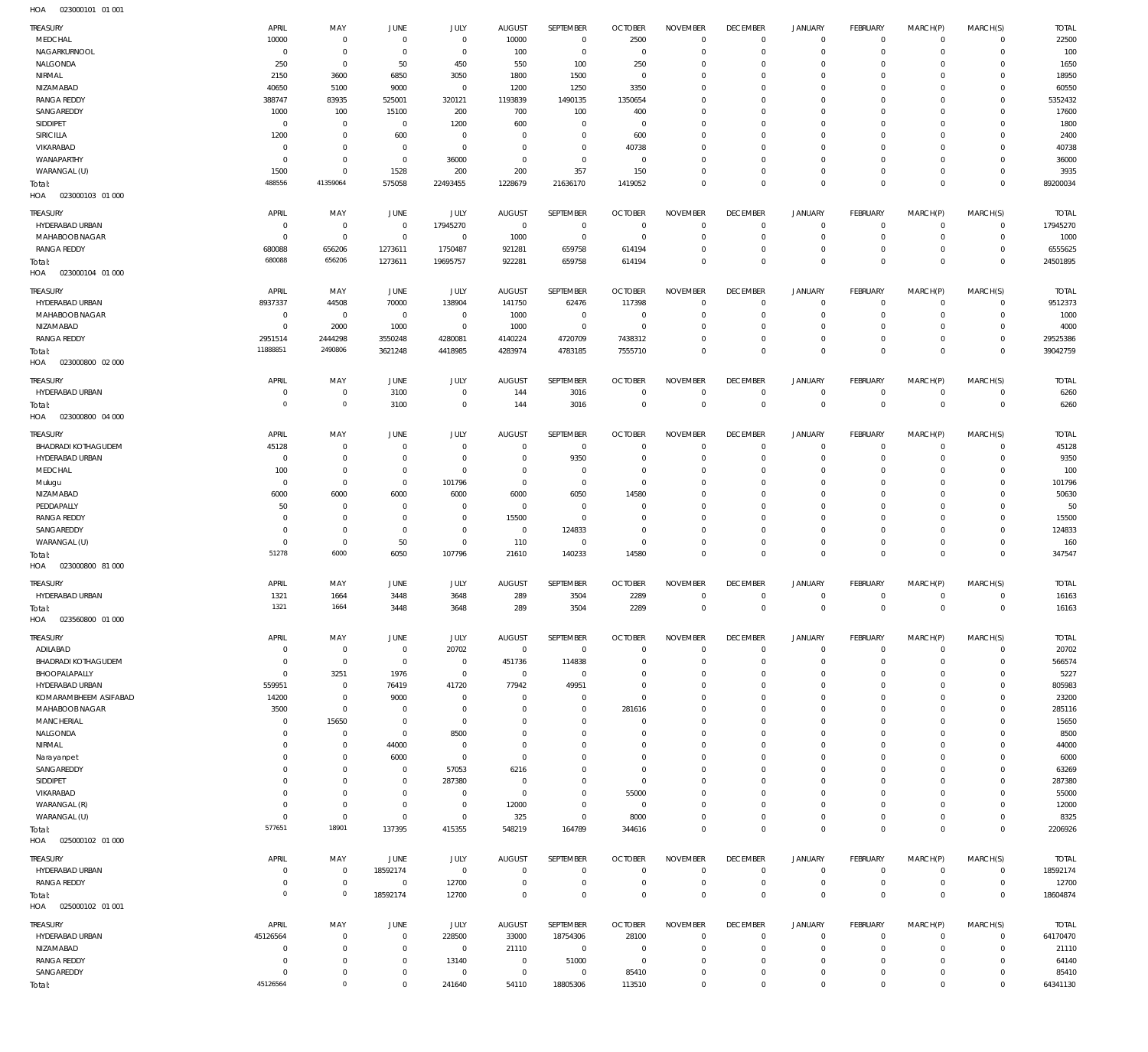023000101 01 001 HOA

| TREASURY                                    | APRIL                     | MAY                        | <b>JUNE</b>                      | JULY                       | <b>AUGUST</b>                   | SEPTEMBER                      | <b>OCTOBER</b>                   | <b>NOVEMBER</b>                   | <b>DECEMBER</b>                   | <b>JANUARY</b>                | <b>FEBRUARY</b>            | MARCH(P)               | MARCH(S)                   | <b>TOTAL</b>             |
|---------------------------------------------|---------------------------|----------------------------|----------------------------------|----------------------------|---------------------------------|--------------------------------|----------------------------------|-----------------------------------|-----------------------------------|-------------------------------|----------------------------|------------------------|----------------------------|--------------------------|
| MEDCHAL<br>NAGARKURNOOL                     | 10000<br>$^{\circ}$       | $\mathbf 0$<br>$\mathbf 0$ | $\overline{0}$<br>$\overline{0}$ | $\mathbf 0$<br>$\mathbf 0$ | 10000<br>100                    | $\overline{0}$<br>$\mathbf{0}$ | 2500<br>$\overline{0}$           | $^{\circ}$<br>$\mathbf 0$         | $\overline{0}$<br>$\overline{0}$  | $^{\circ}$<br>$\Omega$        | $\overline{0}$<br>$\Omega$ | $\Omega$<br>$\Omega$   | $\mathbf 0$<br>$\mathbf 0$ | 22500<br>100             |
| NALGONDA                                    | 250                       | $\mathbf 0$                | 50                               | 450                        | 550                             | 100                            | 250                              | $\Omega$                          | $^{\circ}$                        | $\Omega$                      | $\Omega$                   | $\Omega$               | $\Omega$                   | 1650                     |
| NIRMAL                                      | 2150                      | 3600                       | 6850                             | 3050                       | 1800                            | 1500                           | $\overline{0}$                   | $\Omega$                          | $\overline{0}$                    | $\Omega$                      | $\Omega$                   | $\Omega$               | $\Omega$                   | 18950                    |
| NIZAMABAD                                   | 40650                     | 5100                       | 9000                             | $\mathbf 0$                | 1200                            | 1250                           | 3350                             | $\Omega$                          | $\Omega$                          | $\Omega$                      | $\Omega$                   | $\Omega$               | $\Omega$                   | 60550                    |
| <b>RANGA REDDY</b>                          | 388747                    | 83935                      | 525001                           | 320121                     | 1193839                         | 1490135                        | 1350654                          | $\Omega$                          | $^{\circ}$                        | $\Omega$                      | $\Omega$                   | $\Omega$               | $\Omega$                   | 5352432                  |
| SANGAREDDY<br>SIDDIPET                      | 1000<br>$^{\circ}$        | 100<br>$\mathbf 0$         | 15100<br>$\overline{0}$          | 200<br>1200                | 700<br>600                      | 100<br>$^{\circ}$              | 400<br>$\overline{0}$            | $\Omega$<br>$\Omega$              | $\Omega$<br>$\Omega$              | $\Omega$<br>$\Omega$          | $\Omega$<br>$\Omega$       | $\Omega$<br>$\Omega$   | $\Omega$<br>$\Omega$       | 17600<br>1800            |
| SIRICILLA                                   | 1200                      | $\mathbb O$                | 600                              | $\mathbf 0$                | $\overline{0}$                  | $\mathbf{0}$                   | 600                              | $\Omega$                          | $\overline{0}$                    | $\Omega$                      | $\Omega$                   | $\Omega$               | $\Omega$                   | 2400                     |
| VIKARABAD                                   | $^{\circ}$                | $\mathbf 0$                | $\overline{0}$                   | $\mathbf 0$                | $\overline{0}$                  | $\mathbf{0}$                   | 40738                            | $\mathbf 0$                       | $^{\circ}$                        | $\Omega$                      | $\Omega$                   | $\Omega$               | $\Omega$                   | 40738                    |
| WANAPARTHY                                  | $^{\circ}$                | $\mathbf 0$                | $\overline{0}$                   | 36000                      | $\overline{0}$                  | $\mathbf{0}$                   | $\overline{0}$                   | $\Omega$                          | $\overline{0}$                    | $\Omega$                      | $\Omega$                   | $\Omega$               | $\Omega$                   | 36000                    |
| WARANGAL (U)                                | 1500                      | $\mathbf 0$                | 1528                             | 200                        | 200                             | 357                            | 150                              | $\mathbf 0$                       | $\overline{0}$                    | $\mathbf{0}$                  | $\Omega$                   | $\Omega$               | $\mathbf 0$                | 3935                     |
| Total:<br>HOA<br>023000103 01 000           | 488556                    | 41359064                   | 575058                           | 22493455                   | 1228679                         | 21636170                       | 1419052                          | $\mathbf 0$                       | $\mathbb O$                       | $\mathbf 0$                   | $\mathbf{0}$               | $\Omega$               | $\Omega$                   | 89200034                 |
|                                             |                           |                            |                                  |                            |                                 |                                |                                  |                                   |                                   |                               |                            |                        |                            |                          |
| TREASURY<br>HYDERABAD URBAN                 | APRIL<br>$^{\circ}$       | MAY<br>$\mathbf 0$         | <b>JUNE</b><br>$\overline{0}$    | JULY<br>17945270           | <b>AUGUST</b><br>$\overline{0}$ | SEPTEMBER<br>$\overline{0}$    | <b>OCTOBER</b><br>$\overline{0}$ | <b>NOVEMBER</b><br>$\overline{0}$ | <b>DECEMBER</b><br>$\overline{0}$ | <b>JANUARY</b><br>$\mathbf 0$ | FEBRUARY<br>$\overline{0}$ | MARCH(P)<br>$\Omega$   | MARCH(S)<br>$\circ$        | <b>TOTAL</b><br>17945270 |
| MAHABOOB NAGAR                              | $^{\circ}$                | $\mathbf 0$                | $\overline{0}$                   | $\mathbf 0$                | 1000                            | $\mathbf 0$                    | $\overline{0}$                   | $\Omega$                          | $\Omega$                          | $^{\circ}$                    | $\Omega$                   | $\Omega$               | $\mathbf 0$                | 1000                     |
| <b>RANGA REDDY</b>                          | 680088                    | 656206                     | 1273611                          | 1750487                    | 921281                          | 659758                         | 614194                           | $\Omega$                          | $\mathbf 0$                       | $\mathbf{0}$                  | $\Omega$                   | $\Omega$               | $\mathbf 0$                | 6555625                  |
| Total:                                      | 680088                    | 656206                     | 1273611                          | 19695757                   | 922281                          | 659758                         | 614194                           | $\Omega$                          | $\mathbf 0$                       | $\mathbf 0$                   | $\mathbf{0}$               | $\Omega$               | $\mathbf 0$                | 24501895                 |
| HOA<br>023000104 01 000                     |                           |                            |                                  |                            |                                 |                                |                                  |                                   |                                   |                               |                            |                        |                            |                          |
| TREASURY                                    | APRIL                     | MAY                        | JUNE                             | JULY                       | <b>AUGUST</b>                   | SEPTEMBER                      | <b>OCTOBER</b>                   | <b>NOVEMBER</b>                   | <b>DECEMBER</b>                   | JANUARY                       | FEBRUARY                   | MARCH(P)               | MARCH(S)                   | <b>TOTAL</b>             |
| HYDERABAD URBAN                             | 8937337                   | 44508                      | 70000                            | 138904                     | 141750                          | 62476                          | 117398                           | $\mathbf 0$                       | $^{\circ}$                        | $^{\circ}$                    | $\mathbf 0$                | $\Omega$               | $\mathbf 0$                | 9512373                  |
| MAHABOOB NAGAR                              | $\overline{0}$<br>$\circ$ | $\,0\,$                    | $\overline{0}$                   | $\mathbf 0$<br>$\mathbf 0$ | 1000                            | $\overline{0}$<br>$\mathbf{0}$ | $\overline{0}$<br>$\overline{0}$ | $\overline{0}$<br>$\Omega$        | $\overline{0}$<br>$\overline{0}$  | $\Omega$<br>$\Omega$          | $\Omega$<br>$\Omega$       | $\Omega$<br>$\Omega$   | $\mathbf 0$<br>$\mathbf 0$ | 1000<br>4000             |
| NIZAMABAD<br><b>RANGA REDDY</b>             | 2951514                   | 2000<br>2444298            | 1000<br>3550248                  | 4280081                    | 1000<br>4140224                 | 4720709                        | 7438312                          | $\mathbf 0$                       | $\overline{0}$                    | $^{\circ}$                    | $\mathbf 0$                | $\Omega$               | $\mathbf 0$                | 29525386                 |
| Total:                                      | 11888851                  | 2490806                    | 3621248                          | 4418985                    | 4283974                         | 4783185                        | 7555710                          | $\mathbf{0}$                      | $\mathbb O$                       | $\mathbf 0$                   | $\mathbb O$                | $\Omega$               | $\Omega$                   | 39042759                 |
| HOA<br>023000800 02 000                     |                           |                            |                                  |                            |                                 |                                |                                  |                                   |                                   |                               |                            |                        |                            |                          |
| TREASURY                                    | APRIL                     | MAY                        | <b>JUNE</b>                      | <b>JULY</b>                | <b>AUGUST</b>                   | SEPTEMBER                      | <b>OCTOBER</b>                   | <b>NOVEMBER</b>                   | <b>DECEMBER</b>                   | <b>JANUARY</b>                | FEBRUARY                   | MARCH(P)               | MARCH(S)                   | <b>TOTAL</b>             |
| HYDERABAD URBAN                             | $^{\circ}$                | $\mathbf 0$                | 3100                             | $\mathbf 0$                | 144                             | 3016                           | $\overline{0}$                   | $\overline{0}$                    | $\mathbf 0$                       | $\mathbf 0$                   | $\overline{0}$             | $\Omega$               | $\circ$                    | 6260                     |
| Total:<br>HOA  023000800  04  000           | $\circ$                   | $\mathbb O$                | 3100                             | $\mathbf 0$                | 144                             | 3016                           | $\mathbf 0$                      | $\mathbf 0$                       | $\mathbb O$                       | $\mathbf 0$                   | $\mathbf 0$                | $\Omega$               | $\mathbf 0$                | 6260                     |
| TREASURY                                    | APRIL                     | MAY                        | <b>JUNE</b>                      | <b>JULY</b>                | <b>AUGUST</b>                   | SEPTEMBER                      | <b>OCTOBER</b>                   | <b>NOVEMBER</b>                   | <b>DECEMBER</b>                   | <b>JANUARY</b>                | FEBRUARY                   | MARCH(P)               | MARCH(S)                   | <b>TOTAL</b>             |
| <b>BHADRADI KOTHAGUDEM</b>                  | 45128                     | $\mathbf 0$                | $\overline{0}$                   | $\mathbf 0$                | $^{\circ}$                      | $\overline{0}$                 | $\overline{0}$                   | $\mathbf 0$                       | $^{\circ}$                        | $\circ$                       | $\mathbf 0$                | $\Omega$               | $\mathbf 0$                | 45128                    |
| HYDERABAD URBAN                             | $^{\circ}$                | $\mathbf 0$                | $\overline{0}$                   | $\mathbf 0$                | $\overline{0}$                  | 9350                           | $\mathbf 0$                      | $\mathbf 0$                       | $\overline{0}$                    | $\Omega$                      | $\Omega$                   | $\Omega$               | $\mathbf 0$                | 9350                     |
| MEDCHAL                                     | 100                       | $\mathbf 0$                | $\overline{0}$                   | $\mathbf 0$                | $\overline{0}$                  | $^{\circ}$                     | $\mathbf{0}$                     | $\Omega$                          | $^{\circ}$                        | $\Omega$                      | $\Omega$                   | $\Omega$               | $\mathbf 0$                | 100                      |
| Mulugu<br>NIZAMABAD                         | $^{\circ}$<br>6000        | $\mathbf 0$<br>6000        | $\overline{0}$<br>6000           | 101796<br>6000             | $\overline{0}$<br>6000          | $\mathbf 0$<br>6050            | $\mathbf{0}$<br>14580            | $\Omega$<br>$\Omega$              | $\overline{0}$<br>$\overline{0}$  | $\Omega$<br>$\Omega$          | $\Omega$<br>$\Omega$       | $\Omega$<br>$\Omega$   | $\Omega$<br>$\Omega$       | 101796                   |
| PEDDAPALLY                                  | 50                        | $\mathbf{0}$               | $\overline{0}$                   | $\mathbf 0$                | $\overline{0}$                  | $\mathbf{0}$                   | $\mathbf{0}$                     | $\Omega$                          | $^{\circ}$                        | $\Omega$                      | $\Omega$                   | $\Omega$               | $\Omega$                   | 50630<br>50              |
| <b>RANGA REDDY</b>                          | $\Omega$                  | $\mathbf 0$                | $\overline{0}$                   | $\mathbf 0$                | 15500                           | $\mathbf{0}$                   | $\mathbf{0}$                     | $\Omega$                          | $\overline{0}$                    | $\Omega$                      | $\Omega$                   | $\Omega$               | $\Omega$                   | 15500                    |
| SANGAREDDY                                  | $^{\circ}$                | $\mathbf 0$                | $\overline{0}$                   | $\mathbf 0$                | $\overline{0}$                  | 124833                         | $\mathbf{0}$                     | $\mathbf 0$                       | $\overline{0}$                    | $\Omega$                      | $\Omega$                   | $\Omega$               | $\Omega$                   | 124833                   |
| WARANGAL (U)                                | $^{\circ}$                | $\mathbb O$                | 50                               | $\mathbf 0$                | 110                             | $\overline{0}$                 | $\overline{0}$                   | $\mathbf 0$                       | $\mathbf 0$                       | $\mathbf 0$                   | $\circ$                    | $\Omega$               | $\mathbf 0$                | 160                      |
| Total:                                      | 51278                     | 6000                       | 6050                             | 107796                     | 21610                           | 140233                         | 14580                            | $\mathbf{0}$                      | $\mathbb O$                       | $\mathbf 0$                   | $\mathbf 0$                | $\Omega$               | $\mathbf 0$                | 347547                   |
| HOA<br>023000800 81 000                     |                           |                            |                                  |                            |                                 |                                |                                  |                                   |                                   |                               |                            |                        |                            |                          |
| TREASURY<br>HYDERABAD URBAN                 | APRIL                     | MAY                        | JUNE<br>3448                     | JULY<br>3648               | <b>AUGUST</b><br>289            | SEPTEMBER<br>3504              | <b>OCTOBER</b><br>2289           | <b>NOVEMBER</b><br>$\mathbf{0}$   | <b>DECEMBER</b><br>$\mathbf 0$    | <b>JANUARY</b>                | FEBRUARY<br>$\Omega$       | MARCH(P)<br>$\Omega$   | MARCH(S)<br>$\Omega$       | <b>TOTAL</b><br>16163    |
| Total:                                      | 1321<br>1321              | 1664<br>1664               | 3448                             | 3648                       | 289                             | 3504                           | 2289                             | $\mathbf{0}$                      | $\mathbf 0$                       | $\mathbf 0$<br>$\overline{0}$ | $\mathbf 0$                | $\mathbf{0}$           | $\overline{0}$             | 16163                    |
| 023560800 01 000<br>HOA                     |                           |                            |                                  |                            |                                 |                                |                                  |                                   |                                   |                               |                            |                        |                            |                          |
| TREASURY                                    | APRIL                     | MAY                        | <b>JUNE</b>                      | JULY                       | <b>AUGUST</b>                   | <b>SEPTEMBER</b>               | <b>OCTOBER</b>                   | <b>NOVEMBER</b>                   | <b>DECEMBER</b>                   | <b>JANUARY</b>                | <b>FEBRUARY</b>            | MARCH(P)               | MARCH(S)                   | <b>TOTAL</b>             |
| ADILABAD                                    | 0                         | $\mathbf 0$                | $\overline{0}$                   | 20702                      | $\overline{0}$                  | $\overline{0}$                 | $\overline{0}$                   | $\mathbf 0$                       | $\overline{0}$                    | 0                             | $\circ$                    | $\circ$                | $\mathbf 0$                | 20702                    |
| <b>BHADRADI KOTHAGUDEM</b><br>BHOOPALAPALLY | $^{\circ}$<br>$^{\circ}$  | $\mathbb O$<br>3251        | $\overline{0}$<br>1976           | $\mathbf 0$<br>$\mathbf 0$ | 451736<br>$\overline{0}$        | 114838<br>$\mathbf 0$          | $\overline{0}$<br>$\mathbf{0}$   | $\Omega$<br>$\Omega$              | $\mathbf 0$<br>$\overline{0}$     | $\Omega$<br>$\Omega$          | $\circ$<br>$\Omega$        | $\Omega$<br>$\Omega$   | $\mathbf 0$<br>$\circ$     | 566574<br>5227           |
| HYDERABAD URBAN                             | 559951                    | $\mathbb O$                | 76419                            | 41720                      | 77942                           | 49951                          | $\overline{0}$                   | $\Omega$                          | $\mathbf 0$                       | $\mathbf{0}$                  | $\circ$                    | $\Omega$               | $\circ$                    | 805983                   |
| KOMARAMBHEEM ASIFABAD                       | 14200                     | $\mathbb O$                | 9000                             | $\mathbf 0$                | $\overline{0}$                  | $\mathbf{0}$                   | $\overline{0}$                   | $\mathbf 0$                       | $\overline{0}$                    | $\Omega$                      | $\Omega$                   | $\Omega$               | $\Omega$                   | 23200                    |
| MAHABOOB NAGAR                              | 3500                      | $\mathbb O$                | $\overline{0}$                   | $\mathbf 0$                | $\overline{0}$                  | $\mathbf{0}$                   | 281616                           | $\Omega$                          | $\overline{0}$                    | $\mathbf{0}$                  | $\Omega$                   | $\Omega$               | $\circ$                    | 285116                   |
| MANCHERIAL                                  | $^{\circ}$                | 15650                      | $\overline{0}$                   | $\mathbf 0$                | $\overline{0}$                  | $\mathbf 0$                    | $\mathbf{0}$                     | $\Omega$                          | $\mathbf 0$                       | $\Omega$                      | $\Omega$                   | $\Omega$               | $\circ$                    | 15650                    |
| NALGONDA                                    | $\Omega$                  | $\mathbf 0$<br>$\mathbf 0$ | $\overline{0}$                   | 8500                       | $\mathbf 0$<br>$\overline{0}$   | $\mathbf 0$                    | $\mathbf{0}$<br>$\mathbf{0}$     | $\Omega$<br>$\Omega$              | $\mathbf 0$                       | $\mathbf{0}$<br>$\Omega$      | $\Omega$<br>$\Omega$       | $\Omega$<br>$\Omega$   | $\circ$<br>$\Omega$        | 8500                     |
| NIRMAL<br>Narayanpet                        | $^{\circ}$<br>$^{\circ}$  | $\mathbf 0$                | 44000<br>6000                    | $\mathbf 0$<br>$\mathbf 0$ | $\overline{0}$                  | $\mathbf 0$<br>$\mathbf 0$     | $\mathbf{0}$                     | $\Omega$                          | $\mathbf 0$<br>$\mathbf 0$        | $\Omega$                      | $\Omega$                   | $\Omega$               | $\mathbf 0$                | 44000<br>6000            |
| SANGAREDDY                                  | $\Omega$                  | $\mathbf 0$                | $\overline{0}$                   | 57053                      | 6216                            | $\Omega$                       | $\mathbf{0}$                     | $\Omega$                          | $\overline{0}$                    | $\Omega$                      | $\Omega$                   | $\Omega$               | $\mathbf 0$                | 63269                    |
| SIDDIPET                                    | $^{\circ}$                | $\mathbb O$                | $\overline{0}$                   | 287380                     | $\overline{0}$                  | $\mathbf 0$                    | $\overline{0}$                   | $\Omega$                          | $\mathbf 0$                       | $\Omega$                      | $\Omega$                   | $\Omega$               | $\mathbf 0$                | 287380                   |
| VIKARABAD                                   | $\Omega$                  | $\mathbf 0$                | $\overline{0}$                   | $\mathbf 0$                | $\overline{0}$                  | $\mathbf 0$                    | 55000                            | $\Omega$                          | $\mathbf 0$                       | $\mathbf{0}$                  | $\Omega$                   | $\Omega$               | $\circ$                    | 55000                    |
| WARANGAL (R)                                | $^{\circ}$                | $\mathbb O$                | $\overline{0}$                   | $\mathbf 0$                | 12000                           | $\mathbf 0$                    | $\overline{0}$                   | $\mathbf 0$                       | $\mathbf 0$                       | $\mathbf 0$                   | $\Omega$                   | $\Omega$               | $\mathbf 0$                | 12000                    |
| WARANGAL (U)                                | $^{\circ}$<br>577651      | $\mathbb O$<br>18901       | $\overline{0}$                   | $\mathbf 0$                | 325                             | $\mathbf{0}$                   | 8000                             | $\mathbf 0$<br>$\mathbf{0}$       | $\mathbf 0$<br>$\mathbb O$        | $\mathbf{0}$<br>$\mathbf 0$   | $\circ$<br>$\mathbf 0$     | $\Omega$<br>$\Omega$   | $\mathbf 0$<br>$\mathbf 0$ | 8325                     |
| Total:<br>025000102 01 000<br>HOA           |                           |                            | 137395                           | 415355                     | 548219                          | 164789                         | 344616                           |                                   |                                   |                               |                            |                        |                            | 2206926                  |
| TREASURY                                    | APRIL                     | MAY                        | JUNE                             | JULY                       | <b>AUGUST</b>                   | SEPTEMBER                      | <b>OCTOBER</b>                   | <b>NOVEMBER</b>                   | <b>DECEMBER</b>                   | <b>JANUARY</b>                | FEBRUARY                   | MARCH(P)               | MARCH(S)                   | <b>TOTAL</b>             |
| HYDERABAD URBAN                             | $^{\circ}$                | $\mathbf 0$                | 18592174                         | $\mathbf 0$                | $\overline{0}$                  | $^{\circ}$                     | $\overline{0}$                   | $^{\circ}$                        | $\mathbf 0$                       | $\mathbf 0$                   | $\overline{0}$             | $\Omega$               | $\circ$                    | 18592174                 |
| <b>RANGA REDDY</b>                          | $^{\circ}$                | $\mathbf 0$                | $\overline{0}$                   | 12700                      | $\overline{0}$                  | $\mathbf 0$                    | $\overline{0}$                   | $\mathbf{0}$                      | $\mathbf 0$                       | $\mathbf 0$                   | $\circ$                    | $\mathbf 0$            | $\mathbf 0$                | 12700                    |
| Total:<br>025000102 01 001<br>HOA           | $\circ$                   | $\mathbf 0$                | 18592174                         | 12700                      | $\mathbf 0$                     | $\mathbf 0$                    | $\overline{0}$                   | $\mathbf{0}$                      | $\mathbf 0$                       | $\overline{0}$                | $\mathbb O$                | $\Omega$               | $\mathbf 0$                | 18604874                 |
| TREASURY                                    | APRIL                     | MAY                        | <b>JUNE</b>                      | JULY                       | <b>AUGUST</b>                   | SEPTEMBER                      | <b>OCTOBER</b>                   | <b>NOVEMBER</b>                   | <b>DECEMBER</b>                   | <b>JANUARY</b>                | FEBRUARY                   | MARCH(P)               | MARCH(S)                   | <b>TOTAL</b>             |
| HYDERABAD URBAN                             | 45126564                  | $\mathbb O$                | $\overline{0}$                   | 228500                     | 33000                           | 18754306                       | 28100                            | $^{\circ}$                        | $\mathbf 0$                       | $\mathbf 0$                   | $\overline{0}$             | $\circ$                | $\mathbf 0$                | 64170470                 |
| NIZAMABAD                                   | $^{\circ}$                | $\mathbf 0$                | $\overline{0}$                   | $\mathbf 0$                | 21110                           | $\overline{0}$                 | $\overline{0}$                   | $\mathbf 0$                       | $\overline{0}$                    | $^{\circ}$                    | $\Omega$                   | $\Omega$               | $\mathbf 0$                | 21110                    |
| <b>RANGA REDDY</b>                          | $^{\circ}$<br>$\Omega$    | $\mathbf 0$<br>$\mathbb O$ | $\mathbf{0}$<br>$\mathbf 0$      | 13140<br>$\mathbf 0$       | $\overline{0}$                  | 51000                          | $\overline{0}$                   | $^{\circ}$<br>$\mathbf 0$         | $\mathbf 0$<br>$\mathbf 0$        | $\mathbf{0}$                  | $\circ$<br>$\circ$         | $^{\circ}$<br>$\Omega$ | $\mathbf 0$<br>$\mathbf 0$ | 64140                    |
| SANGAREDDY<br>Total:                        | 45126564                  | $\mathbf 0$                | $\mathbf 0$                      | 241640                     | $\overline{0}$<br>54110         | $\mathbf 0$<br>18805306        | 85410<br>113510                  | $\mathbf 0$                       | $\mathbf 0$                       | $\mathbf 0$<br>$\mathbf 0$    | $\mathbb O$                | $\Omega$               | $\mathbf 0$                | 85410<br>64341130        |
|                                             |                           |                            |                                  |                            |                                 |                                |                                  |                                   |                                   |                               |                            |                        |                            |                          |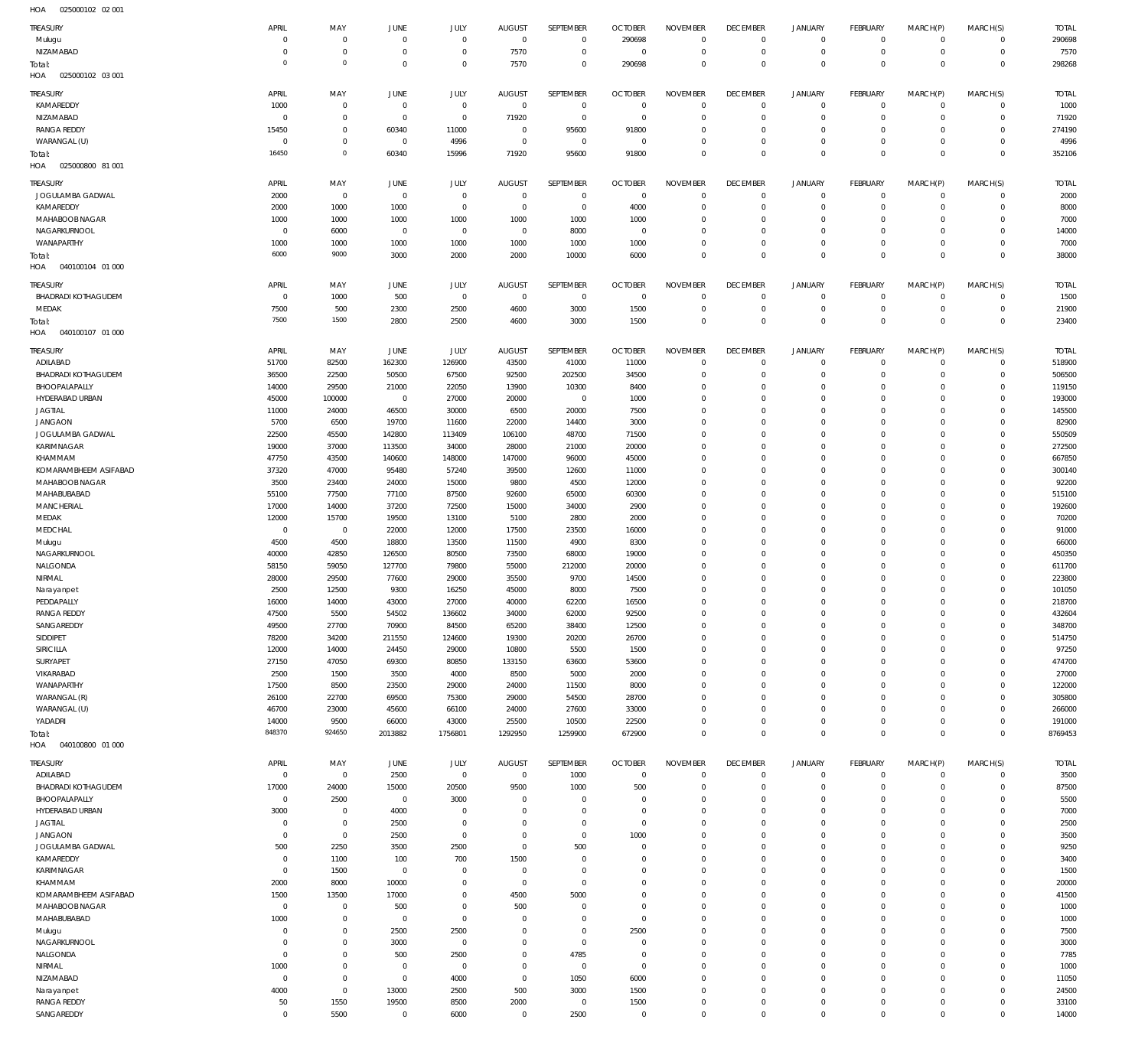025000102 02 001 HOA

| <b>TREASURY</b>            |                |             |                |              |                |                |                |                 |                 |                |                 |             |                |              |
|----------------------------|----------------|-------------|----------------|--------------|----------------|----------------|----------------|-----------------|-----------------|----------------|-----------------|-------------|----------------|--------------|
|                            | APRIL          | MAY         | JUNE           | JULY         | <b>AUGUST</b>  | SEPTEMBER      | <b>OCTOBER</b> | <b>NOVEMBER</b> | <b>DECEMBER</b> | <b>JANUARY</b> | <b>FEBRUARY</b> | MARCH(P)    | MARCH(S)       | <b>TOTAL</b> |
| Mulugu                     | $\mathbf 0$    | $\mathbf 0$ | $^{\circ}$     | $^{\circ}$   | $\mathbf 0$    | $\mathbf 0$    | 290698         | $^{\circ}$      | $\mathbf 0$     | $\mathbf 0$    | $\mathbf 0$     | $\circ$     | $\mathbf{0}$   | 290698       |
| NIZAMABAD                  | $\mathbf 0$    | $\mathbf 0$ | $^{\circ}$     | $^{\circ}$   | 7570           | $\overline{0}$ | $^{\circ}$     | $\mathbf{0}$    | $\mathbf 0$     | $\mathbf 0$    | $\mathbf 0$     | $\mathbf 0$ | $\mathbf{0}$   | 7570         |
|                            |                |             |                |              |                |                |                |                 |                 |                |                 |             |                |              |
| Total:                     | $\mathbf 0$    | $\,0\,$     | $\overline{0}$ | $\Omega$     | 7570           | $\mathbf 0$    | 290698         | $\mathbf{0}$    | $\mathbf 0$     | $\mathbf 0$    | $\overline{0}$  | $\Omega$    | $\overline{0}$ | 298268       |
| 025000102 03 001<br>HOA    |                |             |                |              |                |                |                |                 |                 |                |                 |             |                |              |
|                            |                |             |                |              |                |                |                |                 |                 |                |                 |             |                |              |
| TREASURY                   | APRIL          | MAY         | <b>JUNE</b>    | <b>JULY</b>  | <b>AUGUST</b>  | SEPTEMBER      | <b>OCTOBER</b> | <b>NOVEMBER</b> | <b>DECEMBER</b> | <b>JANUARY</b> | <b>FEBRUARY</b> | MARCH(P)    | MARCH(S)       | <b>TOTAL</b> |
| KAMAREDDY                  | 1000           | $\mathbf 0$ | $\overline{0}$ | $\mathbf 0$  | $\overline{0}$ | $\mathbf 0$    | $\mathbf{0}$   | $^{\circ}$      | $\mathbf 0$     | $^{\circ}$     | $\mathbf 0$     | $^{\circ}$  | $\mathbf 0$    | 1000         |
| NIZAMABAD                  | $\mathbf 0$    | $\mathbf 0$ | $\overline{0}$ | $\mathbf 0$  | 71920          | $\mathbf 0$    | $^{\circ}$     | $\mathbf 0$     | $^{\circ}$      | $\mathbf 0$    | $\mathbf 0$     | $\mathbf 0$ | $\mathbf{0}$   | 71920        |
|                            |                |             |                |              |                |                |                |                 |                 |                |                 |             |                |              |
| <b>RANGA REDDY</b>         | 15450          | $\mathbf 0$ | 60340          | 11000        | $\overline{0}$ | 95600          | 91800          | $^{\circ}$      | $\mathbf 0$     | $\mathbf 0$    | $\mathbf 0$     | $\circ$     | $\mathbf{0}$   | 274190       |
| WARANGAL (U)               | $^{\circ}$     | $\mathbf 0$ | $\overline{0}$ | 4996         | $\overline{0}$ | $\overline{0}$ | $^{\circ}$     | $\mathbf 0$     | $\mathbf 0$     | $\mathbf 0$    | $\mathbf 0$     | $\circ$     | $\mathbf{0}$   | 4996         |
| Total:                     | 16450          | $\,0\,$     | 60340          | 15996        | 71920          | 95600          | 91800          | $\mathbf 0$     | $\mathbf 0$     | $\mathbf 0$    | $\overline{0}$  | $\mathbf 0$ | $\overline{0}$ | 352106       |
| 025000800 81 001<br>HOA    |                |             |                |              |                |                |                |                 |                 |                |                 |             |                |              |
|                            |                |             |                |              |                |                |                |                 |                 |                |                 |             |                |              |
| <b>TREASURY</b>            | APRIL          | MAY         | JUNE           | JULY         | <b>AUGUST</b>  | SEPTEMBER      | <b>OCTOBER</b> | <b>NOVEMBER</b> | <b>DECEMBER</b> | <b>JANUARY</b> | FEBRUARY        | MARCH(P)    | MARCH(S)       | <b>TOTAL</b> |
|                            |                |             |                |              |                |                |                |                 |                 |                |                 |             |                |              |
| JOGULAMBA GADWAL           | 2000           | $\,0\,$     | $\overline{0}$ | $\mathbf{0}$ | $^{\circ}$     | $\mathbf 0$    | $\mathbf{0}$   | $\mathbf 0$     | $\mathbf 0$     | $^{\circ}$     | $\mathbf 0$     | $\mathbf 0$ | $\mathbf{0}$   | 2000         |
| KAMAREDDY                  | 2000           | 1000        | 1000           | $\mathbf 0$  | $^{\circ}$     | $\mathbf 0$    | 4000           | $\mathbf 0$     | $\mathbf 0$     | $\mathbf 0$    | $^{\circ}$      | $\mathbf 0$ | $\mathbf{0}$   | 8000         |
| MAHABOOB NAGAR             | 1000           | 1000        | 1000           | 1000         | 1000           | 1000           | 1000           | $\mathbf 0$     | $^{\circ}$      | $^{\circ}$     | $\mathbf 0$     | $\Omega$    | $\mathbf 0$    | 7000         |
| NAGARKURNOOL               | $^{\circ}$     | 6000        | $^{\circ}$     | $^{\circ}$   | $\overline{0}$ | 8000           | $^{\circ}$     | $\mathbf 0$     | $\mathbf 0$     | $\mathbf 0$    | $\mathbf 0$     | $\Omega$    | $\mathbf{0}$   | 14000        |
|                            |                |             |                |              |                |                |                |                 |                 |                |                 |             |                |              |
| WANAPARTHY                 | 1000           | 1000        | 1000           | 1000         | 1000           | 1000           | 1000           | $\mathbf 0$     | $^{\circ}$      | $\mathbf 0$    | $\mathbf 0$     | $\mathbf 0$ | $\mathbf{0}$   | 7000         |
| Total:                     | 6000           | 9000        | 3000           | 2000         | 2000           | 10000          | 6000           | $\mathbf 0$     | $\mathbf 0$     | $\mathbf 0$    | $\overline{0}$  | $\Omega$    | $\overline{0}$ | 38000        |
| 040100104 01 000<br>HOA    |                |             |                |              |                |                |                |                 |                 |                |                 |             |                |              |
|                            |                |             |                |              |                |                |                |                 |                 |                |                 |             |                |              |
| <b>TREASURY</b>            | APRIL          | MAY         | JUNE           | <b>JULY</b>  | <b>AUGUST</b>  | SEPTEMBER      | <b>OCTOBER</b> | <b>NOVEMBER</b> | <b>DECEMBER</b> | <b>JANUARY</b> | <b>FEBRUARY</b> | MARCH(P)    | MARCH(S)       | <b>TOTAL</b> |
| <b>BHADRADI KOTHAGUDEM</b> | $^{\circ}$     | 1000        | 500            | $\mathbb O$  | $\overline{0}$ | $\overline{0}$ | $\mathbf 0$    | $^{\circ}$      | $^{\circ}$      | $\mathbf 0$    | $\mathbf 0$     | $\mathbf 0$ | $\mathbf 0$    | 1500         |
|                            |                |             |                |              |                |                |                |                 |                 |                |                 |             |                |              |
| MEDAK                      | 7500           | 500         | 2300           | 2500         | 4600           | 3000           | 1500           | $\mathbf 0$     | $^{\circ}$      | $\mathbf 0$    | $\overline{0}$  | $\mathbf 0$ | $\mathbf 0$    | 21900        |
| Total:                     | 7500           | 1500        | 2800           | 2500         | 4600           | 3000           | 1500           | $\mathbf 0$     | $\mathbf 0$     | $\mathbf 0$    | $\overline{0}$  | $\mathbf 0$ | $\overline{0}$ | 23400        |
| 040100107 01 000<br>HOA    |                |             |                |              |                |                |                |                 |                 |                |                 |             |                |              |
|                            |                |             |                |              |                |                |                |                 |                 |                |                 |             |                |              |
| TREASURY                   | APRIL          | MAY         | JUNE           | <b>JULY</b>  | <b>AUGUST</b>  | SEPTEMBER      | <b>OCTOBER</b> | <b>NOVEMBER</b> | <b>DECEMBER</b> | <b>JANUARY</b> | FEBRUARY        | MARCH(P)    | MARCH(S)       | <b>TOTAL</b> |
| ADILABAD                   | 51700          | 82500       | 162300         | 126900       | 43500          | 41000          | 11000          | $^{\circ}$      | $^{\circ}$      | $^{\circ}$     | $^{\circ}$      | $\mathbf 0$ | $^{\circ}$     | 518900       |
|                            |                |             |                |              |                |                |                |                 |                 |                |                 |             |                |              |
| <b>BHADRADI KOTHAGUDEM</b> | 36500          | 22500       | 50500          | 67500        | 92500          | 202500         | 34500          | $\overline{0}$  | $^{\circ}$      | $\mathbf 0$    | $^{\circ}$      | $\mathbf 0$ | $\mathbf 0$    | 506500       |
| BHOOPALAPALLY              | 14000          | 29500       | 21000          | 22050        | 13900          | 10300          | 8400           | $\mathbf 0$     | $^{\circ}$      | $\mathbf 0$    | $\mathbf 0$     | $\Omega$    | $\mathbf 0$    | 119150       |
| HYDERABAD URBAN            | 45000          | 100000      | $\overline{0}$ | 27000        | 20000          | $\overline{0}$ | 1000           | $\mathbf 0$     | $^{\circ}$      | $\mathbf 0$    | $\mathbf 0$     | $\Omega$    | $\mathbf 0$    | 193000       |
| <b>JAGTIAL</b>             | 11000          |             | 46500          |              | 6500           | 20000          | 7500           | $\Omega$        | 0               | $\mathbf 0$    | $\Omega$        | $\Omega$    | $\mathbf 0$    | 145500       |
|                            |                | 24000       |                | 30000        |                |                |                |                 |                 |                |                 |             |                |              |
| <b>JANGAON</b>             | 5700           | 6500        | 19700          | 11600        | 22000          | 14400          | 3000           | $\mathbf 0$     | $^{\circ}$      | $\mathbf 0$    | $\mathbf 0$     | $\Omega$    | $\mathbf 0$    | 82900        |
| JOGULAMBA GADWAL           | 22500          | 45500       | 142800         | 113409       | 106100         | 48700          | 71500          | $\mathbf 0$     | 0               | $\mathbf 0$    | $\Omega$        | $\Omega$    | $\mathbf 0$    | 550509       |
| KARIMNAGAR                 | 19000          | 37000       | 113500         | 34000        | 28000          | 21000          | 20000          | $\mathbf 0$     | $^{\circ}$      | $\mathbf 0$    | $\mathbf 0$     | $\Omega$    | $\mathbf 0$    | 272500       |
|                            |                |             |                |              |                |                |                |                 |                 |                |                 |             |                |              |
| KHAMMAM                    | 47750          | 43500       | 140600         | 148000       | 147000         | 96000          | 45000          | $\mathbf 0$     | 0               | $^{\circ}$     | $\Omega$        | $\Omega$    | $\mathbf 0$    | 667850       |
| KOMARAMBHEEM ASIFABAD      | 37320          | 47000       | 95480          | 57240        | 39500          | 12600          | 11000          | $^{\circ}$      | $\mathbf 0$     | $^{\circ}$     | $\mathbf 0$     | $\Omega$    | $\mathbf 0$    | 300140       |
| MAHABOOB NAGAR             | 3500           | 23400       | 24000          | 15000        | 9800           | 4500           | 12000          | $\mathbf 0$     | 0               | $^{\circ}$     | O               | $\Omega$    | $\mathbf 0$    | 92200        |
| MAHABUBABAD                | 55100          | 77500       | 77100          | 87500        | 92600          | 65000          | 60300          | $\mathbf 0$     | $\mathbf 0$     | $^{\circ}$     | $\mathbf 0$     | $\Omega$    | $\mathbf 0$    | 515100       |
|                            |                |             |                |              |                |                |                |                 |                 |                |                 |             |                |              |
| MANCHERIAL                 | 17000          | 14000       | 37200          | 72500        | 15000          | 34000          | 2900           | $\mathbf 0$     | 0               | $^{\circ}$     | O               | $\Omega$    | $\mathbf 0$    | 192600       |
| MEDAK                      | 12000          | 15700       | 19500          | 13100        | 5100           | 2800           | 2000           | $\mathbf 0$     | $\mathbf 0$     | $^{\circ}$     | $\mathbf 0$     | $\Omega$    | $\mathbf 0$    | 70200        |
| MEDCHAL                    | $^{\circ}$     | $\,0\,$     | 22000          | 12000        | 17500          | 23500          | 16000          | $\mathbf 0$     | $^{\circ}$      | $^{\circ}$     | O               | $\Omega$    | $\mathbf 0$    | 91000        |
|                            |                |             |                |              |                |                |                |                 |                 |                |                 |             |                |              |
| Mulugu                     | 4500           | 4500        | 18800          | 13500        | 11500          | 4900           | 8300           | $\mathbf 0$     | $\mathbf 0$     | $^{\circ}$     | $\mathbf 0$     | $\Omega$    | $\mathbf 0$    | 66000        |
| NAGARKURNOOL               | 40000          | 42850       | 126500         | 80500        | 73500          | 68000          | 19000          | $\mathbf 0$     | $^{\circ}$      | $\mathbf 0$    | $\mathbf 0$     | $\Omega$    | $\mathbf 0$    | 450350       |
| NALGONDA                   | 58150          | 59050       | 127700         | 79800        | 55000          | 212000         | 20000          | $\mathbf 0$     | $^{\circ}$      | $\mathbf 0$    | $\Omega$        | $\Omega$    | $\mathbf 0$    | 611700       |
| NIRMAL                     | 28000          | 29500       | 77600          | 29000        | 35500          | 9700           | 14500          | $\mathbf 0$     | $^{\circ}$      | $\mathbf 0$    | $\mathbf 0$     | $\Omega$    | $\mathbf 0$    | 223800       |
|                            |                |             |                |              |                |                |                |                 |                 |                |                 |             |                |              |
| Narayanpet                 | 2500           | 12500       | 9300           | 16250        | 45000          | 8000           | 7500           | $\mathbf 0$     | $^{\circ}$      | $\mathbf 0$    | $\Omega$        | $\Omega$    | $\mathbf 0$    | 101050       |
| PEDDAPALLY                 |                | 14000       | 43000          | 27000        | 40000          | 62200          | 16500          | $\mathbf 0$     | $\mathbf 0$     | $\mathbf 0$    | $\Omega$        | $\Omega$    | $\circ$        | 218700       |
|                            | 16000          |             |                |              |                |                |                |                 | 0               | 0              | 0               | 0           |                |              |
|                            |                |             |                |              |                |                |                | 0               |                 |                |                 |             | $\mathbf 0$    |              |
| <b>RANGA REDDY</b>         | 47500          | 5500        | 54502          | 136602       | 34000          | 62000          | 92500          |                 |                 |                |                 |             |                | 432604       |
| SANGAREDDY                 | 49500          | 27700       | 70900          | 84500        | 65200          | 38400          | 12500          | $^{\circ}$      | $^{\circ}$      | $\mathbf 0$    | $\mathbf 0$     | $\mathbf 0$ | $\mathbf 0$    | 348700       |
| SIDDIPET                   | 78200          | 34200       | 211550         | 124600       | 19300          | 20200          | 26700          | $\mathbf 0$     | $^{\circ}$      | $\mathbf 0$    | $\mathbf 0$     | $\Omega$    | $\mathbf 0$    | 514750       |
| <b>SIRICILLA</b>           | 12000          | 14000       | 24450          | 29000        | 10800          | 5500           | 1500           | $^{\circ}$      | $^{\circ}$      | $\mathbf 0$    | $\mathbf 0$     | $\Omega$    | $\mathbf 0$    | 97250        |
|                            |                |             |                |              |                |                |                | $\mathbf 0$     | $^{\circ}$      | $\mathbf 0$    | O               | $\Omega$    | $\mathbf 0$    |              |
| SURYAPET                   | 27150          | 47050       | 69300          | 80850        | 133150         | 63600          | 53600          |                 |                 |                |                 |             |                | 474700       |
| VIKARABAD                  | 2500           | 1500        | 3500           | 4000         | 8500           | 5000           | 2000           | $\mathbf 0$     | $^{\circ}$      | $\mathbf 0$    | $\mathbf 0$     | $\Omega$    | $\mathbf 0$    | 27000        |
| WANAPARTHY                 | 17500          | 8500        | 23500          | 29000        | 24000          | 11500          | 8000           | $\mathbf 0$     | $\mathbf 0$     | $\mathbf 0$    | O               | $\Omega$    | $\mathbf 0$    | 122000       |
| WARANGAL (R)               | 26100          | 22700       | 69500          | 75300        | 29000          | 54500          | 28700          | $\mathbf 0$     | $\mathbf 0$     | $\mathbf 0$    | $\mathbf 0$     | $\Omega$    | $\mathbf 0$    | 305800       |
| WARANGAL (U)               | 46700          | 23000       | 45600          | 66100        | 24000          | 27600          | 33000          | $^{\circ}$      | $\mathbf 0$     | $\mathbf 0$    | $\mathbf 0$     | $\Omega$    | $\mathbf 0$    | 266000       |
|                            |                |             |                |              |                |                |                |                 |                 |                |                 |             |                |              |
| YADADRI                    | 14000          | 9500        | 66000          | 43000        | 25500          | 10500          | 22500          | $\mathbf 0$     | $\mathbf 0$     | $\mathbf 0$    | $\mathbf 0$     | $\mathbf 0$ | $\mathbf 0$    | 191000       |
| Total:                     | 848370         | 924650      | 2013882        | 1756801      | 1292950        | 1259900        | 672900         | $\mathbf 0$     | $\mathbf 0$     | $\mathbf 0$    | $\overline{0}$  | $\Omega$    | $\overline{0}$ | 8769453      |
| 040100800 01 000<br>HOA    |                |             |                |              |                |                |                |                 |                 |                |                 |             |                |              |
|                            |                |             |                |              |                |                |                |                 |                 |                |                 |             |                |              |
| <b>TREASURY</b>            | APRIL          | MAY         | JUNE           | <b>JULY</b>  | <b>AUGUST</b>  | SEPTEMBER      | <b>OCTOBER</b> | <b>NOVEMBER</b> | <b>DECEMBER</b> | <b>JANUARY</b> | <b>FEBRUARY</b> | MARCH(P)    | MARCH(S)       | <b>TOTAL</b> |
| ADILABAD                   | $^{\circ}$     | $\,0\,$     | 2500           | $\mathbb O$  | $\overline{0}$ | 1000           | $\mathbf{0}$   | $^{\circ}$      | $\mathbf 0$     | $\mathbf 0$    | $\mathbf 0$     | $\mathbf 0$ | $\mathbf 0$    | 3500         |
| <b>BHADRADI KOTHAGUDEM</b> | 17000          | 24000       | 15000          | 20500        | 9500           | 1000           | 500            | $\mathbf{0}$    | $\mathbf 0$     | $\mathbf 0$    | $\overline{0}$  | $\mathbf 0$ | $\mathbf{0}$   | 87500        |
|                            |                |             |                |              |                |                |                |                 |                 |                |                 |             |                |              |
| BHOOPALAPALLY              | $\mathbf{0}$   | 2500        | $\mathbf 0$    | 3000         | $\Omega$       | $\mathbf 0$    | $\overline{0}$ | $\mathbf{0}$    | $\mathbf 0$     | $\mathbf 0$    | $\mathbf 0$     | $\mathbf 0$ | $\mathbf{0}$   | 5500         |
| HYDERABAD URBAN            | 3000           | $\mathbf 0$ | 4000           | $^{\circ}$   | $^{\circ}$     | $\mathbf 0$    | $^{\circ}$     | $\mathbf 0$     | $\mathbf 0$     | $\mathbf 0$    | $\mathbf 0$     | $\Omega$    | $\mathbf{0}$   | 7000         |
| <b>JAGTIAL</b>             | $\bf 0$        | $\,0\,$     | 2500           | $\mathbf{0}$ | $\Omega$       | $\mathbf 0$    | $^{\circ}$     | $\mathbf{0}$    | $\mathbf 0$     | $\mathbf 0$    | $\mathbf 0$     | $\Omega$    | $\mathbf 0$    | 2500         |
| <b>JANGAON</b>             | $\mathbf{0}$   | $\mathbb O$ |                | $\mathbf{0}$ | $^{\circ}$     | $\mathbf 0$    | 1000           | $\mathbf 0$     | $^{\circ}$      | $\mathbf 0$    | $\mathbf 0$     | $\Omega$    | $\mathbf{0}$   |              |
|                            |                |             | 2500           |              |                |                |                |                 |                 |                |                 |             |                | 3500         |
| JOGULAMBA GADWAL           | 500            | 2250        | 3500           | 2500         | $^{\circ}$     | 500            | $^{\circ}$     | $\mathbf 0$     | $^{\circ}$      | $\mathbf 0$    | $\mathbf 0$     | $\Omega$    | $\circ$        | 9250         |
| KAMAREDDY                  | $\mathbf{0}$   | 1100        | 100            | 700          | 1500           | $\overline{0}$ | $\overline{0}$ | $\mathbf 0$     | $^{\circ}$      | $\mathbf 0$    | $\mathbf 0$     | $\Omega$    | $\mathbf{0}$   | 3400         |
| KARIMNAGAR                 | $\mathbf 0$    | 1500        | $^{\circ}$     | $^{\circ}$   | $^{\circ}$     | $\mathbf 0$    | $\mathbf{0}$   | $\mathbf{0}$    | $^{\circ}$      | $\mathbf 0$    | $\mathbf 0$     | $\Omega$    | $\mathbf 0$    | 1500         |
|                            |                |             |                |              |                |                |                |                 |                 |                |                 | $\Omega$    |                |              |
| KHAMMAM                    | 2000           | 8000        | 10000          | $\mathbf{0}$ | $^{\circ}$     | $\mathbf 0$    | $^{\circ}$     | $\mathbf 0$     | $^{\circ}$      | $\mathbf 0$    | $\mathbf 0$     |             | $\mathbf{0}$   | 20000        |
| KOMARAMBHEEM ASIFABAD      | 1500           | 13500       | 17000          | $\mathbf{0}$ | 4500           | 5000           | $\mathbf{0}$   | $\mathbf 0$     | $^{\circ}$      | $\mathbf 0$    | $\mathbf 0$     | $\Omega$    | $\circ$        | 41500        |
| MAHABOOB NAGAR             | $\overline{0}$ | $\mathbf 0$ | 500            | $\mathbf{0}$ | 500            | $\mathbf 0$    | $^{\circ}$     | $\mathbf 0$     | $^{\circ}$      | $\mathbf 0$    | $\mathbf 0$     | $\Omega$    | $\mathbf{0}$   | 1000         |
| MAHABUBABAD                | 1000           | $\mathbb O$ | $\overline{0}$ | $\mathbf{0}$ | $^{\circ}$     | $\overline{0}$ | $^{\circ}$     | $\mathbf{0}$    | $^{\circ}$      | $\mathbf 0$    | $\mathbf 0$     | $\circ$     | $\mathbf{0}$   | 1000         |
|                            |                |             |                |              |                |                |                |                 |                 |                |                 |             |                |              |
| Mulugu                     | $\mathbf 0$    | $\mathbb O$ | 2500           | 2500         | $\Omega$       | $\mathbf 0$    | 2500           | $\mathbf 0$     | $^{\circ}$      | $\mathbf 0$    | $\mathbf 0$     | $\Omega$    | $\mathbf{0}$   | 7500         |
| NAGARKURNOOL               | $\mathbf 0$    | $\mathbb O$ | 3000           | $\mathbf{0}$ | $\Omega$       | $\mathbf 0$    | $^{\circ}$     | $\mathbf{0}$    | $^{\circ}$      | $\mathbf 0$    | $\mathbf 0$     | $\circ$     | $\mathbf 0$    | 3000         |
| NALGONDA                   | $\mathbf{0}$   | $\mathbb O$ | 500            | 2500         | $^{\circ}$     | 4785           | $^{\circ}$     | $\mathbf 0$     | $^{\circ}$      | $\mathbf 0$    | $\mathbf 0$     | $\Omega$    | $\mathbf 0$    | 7785         |
| NIRMAL                     |                | $\mathbf 0$ | $\overline{0}$ | $^{\circ}$   | $^{\circ}$     | $\mathbf 0$    | $^{\circ}$     | $\mathbf{0}$    | $^{\circ}$      | $\mathbf 0$    | $\mathbf 0$     | $\circ$     | $\mathbf{0}$   |              |
|                            | 1000           |             |                |              |                |                |                |                 |                 |                |                 |             |                | 1000         |
| NIZAMABAD                  | $\mathbf{0}$   | $\mathbb O$ | $\mathbf 0$    | 4000         | $^{\circ}$     | 1050           | 6000           | $\mathbf 0$     | $^{\circ}$      | $\mathbf 0$    | $\mathbf 0$     | $\Omega$    | $\mathbf{0}$   | 11050        |
| Narayanpet                 | 4000           | $\mathbb O$ | 13000          | 2500         | 500            | 3000           | 1500           | $\mathbf{0}$    | $^{\circ}$      | $\mathbf 0$    | $^{\circ}$      | $\circ$     | $\mathbf{0}$   | 24500        |
| <b>RANGA REDDY</b>         | 50             | 1550        | 19500          | 8500         | 2000           | $\overline{0}$ | 1500           | $\mathbf 0$     | $^{\circ}$      | $\mathbf 0$    | $\mathbf 0$     | $\circ$     | $\circ$        | 33100        |
| SANGAREDDY                 | $\overline{0}$ | 5500        | $\mathbf 0$    | 6000         | $^{\circ}$     | 2500           | $^{\circ}$     | $\mathbf 0$     | $\mathbf 0$     | $\mathbf 0$    | $\mathbf 0$     | $\mathbf 0$ | $\circ$        | 14000        |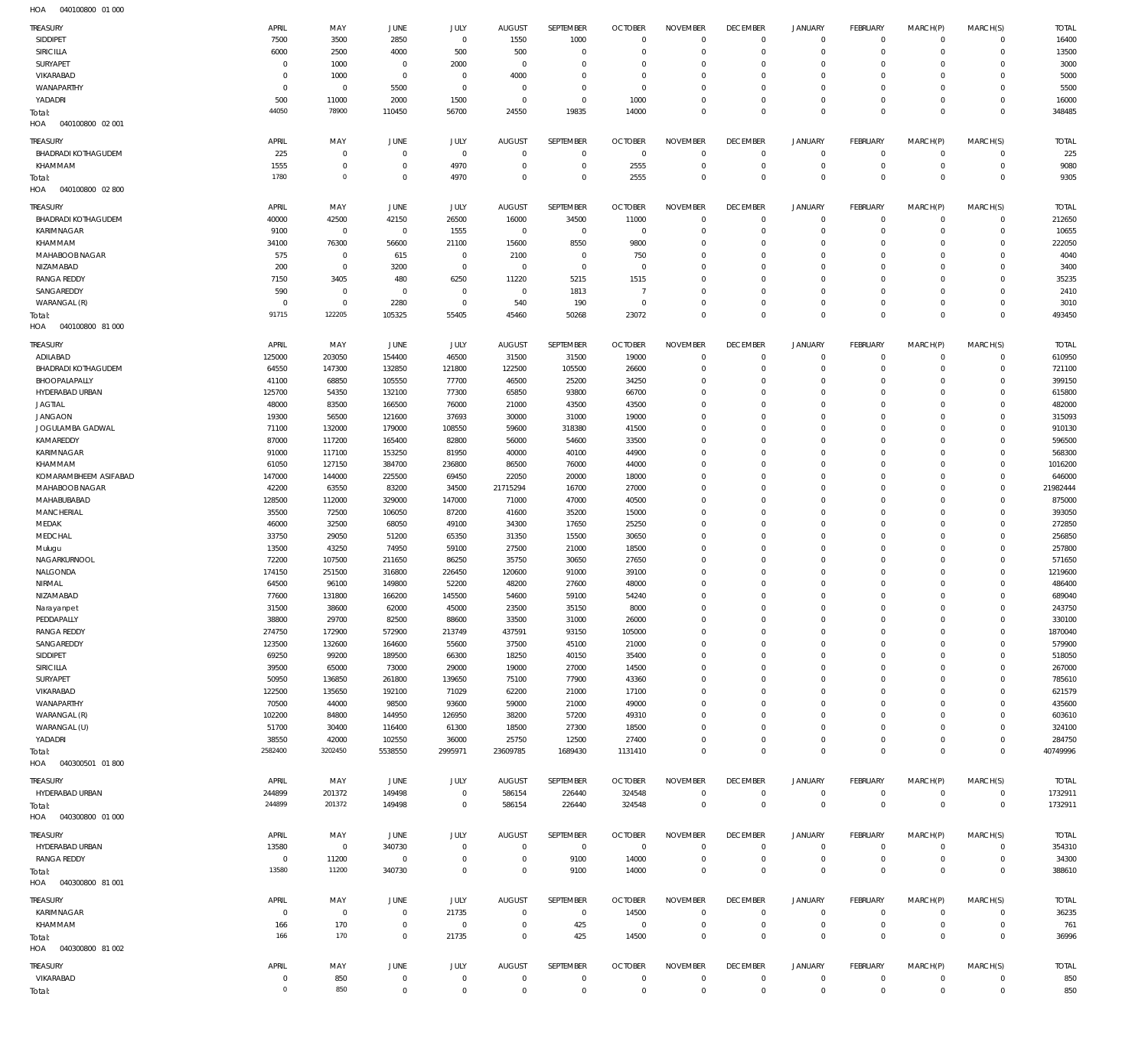| <b>TREASURY</b>            | APRIL        | MAY                 | JUNE           | JULY         | <b>AUGUST</b> | SEPTEMBER      | <b>OCTOBER</b> | <b>NOVEMBER</b> | <b>DECEMBER</b> | <b>JANUARY</b> | <b>FEBRUARY</b> | MARCH(P)    | MARCH(S)       | <b>TOTAL</b> |
|----------------------------|--------------|---------------------|----------------|--------------|---------------|----------------|----------------|-----------------|-----------------|----------------|-----------------|-------------|----------------|--------------|
| SIDDIPET                   | 7500         | 3500                | 2850           | $\mathbf 0$  | 1550          | 1000           | $\overline{0}$ | $\mathbf 0$     | $\mathbf 0$     | $\mathbf 0$    | $\mathbf 0$     | $\circ$     | $\mathbf{0}$   | 16400        |
| <b>SIRICILLA</b>           | 6000         | 2500                | 4000           | 500          | 500           | $\mathbf 0$    | $^{\circ}$     | $\mathbf 0$     | $\mathbf 0$     | $\mathbf 0$    | $\mathbf 0$     | $\circ$     | $\mathbf 0$    | 13500        |
| SURYAPET                   | $\mathbf 0$  | 1000                | $^{\circ}$     | 2000         | $\mathbf 0$   | $\mathbf 0$    | $^{\circ}$     | $\mathbf{0}$    | $\mathbf 0$     | $\mathbf 0$    | $\mathbf 0$     | $\Omega$    | $\mathbf 0$    | 3000         |
| VIKARABAD                  | C            | 1000                | $\overline{0}$ | $\mathbf 0$  | 4000          | $\mathbf 0$    | $^{\circ}$     | 0               | $\mathbf 0$     | $\mathbf 0$    | $\Omega$        | $\Omega$    | $\Omega$       | 5000         |
| WANAPARTHY                 | 0            | $\mathbf{0}$        | 5500           | $\mathbf 0$  | $\mathbf 0$   | $\mathbf 0$    | $^{\circ}$     | $\mathbf{0}$    | $\mathbf 0$     | $\mathbf 0$    | $\mathbf 0$     | $\Omega$    | $\mathbf 0$    | 5500         |
|                            |              |                     |                |              |               |                |                |                 |                 |                |                 |             |                |              |
| YADADRI                    | 500          | 11000               | 2000           | 1500         | $^{\circ}$    | $\mathbf 0$    | 1000           | $^{\circ}$      | $\mathbf 0$     | $\mathbf 0$    | $\mathbf 0$     | $\Omega$    | $\mathbf 0$    | 16000        |
| Total:                     | 44050        | 78900               | 110450         | 56700        | 24550         | 19835          | 14000          | $\mathbf 0$     | $\mathbf 0$     | $\mathbf 0$    | $\Omega$        | $\Omega$    | $\Omega$       | 348485       |
| 040100800 02 001<br>HOA    |              |                     |                |              |               |                |                |                 |                 |                |                 |             |                |              |
|                            |              |                     |                |              |               |                |                |                 |                 |                |                 |             |                |              |
| <b>TREASURY</b>            | APRIL        | MAY                 | <b>JUNE</b>    | <b>JULY</b>  | <b>AUGUST</b> | SEPTEMBER      | <b>OCTOBER</b> | <b>NOVEMBER</b> | <b>DECEMBER</b> | <b>JANUARY</b> | <b>FEBRUARY</b> | MARCH(P)    | MARCH(S)       | <b>TOTAL</b> |
| <b>BHADRADI KOTHAGUDEM</b> | 225          | $\mathbf{0}$        | $\overline{0}$ | $\mathbf 0$  | $^{\circ}$    | $\mathbf 0$    | $\overline{0}$ | $\mathbf{0}$    | $\mathbf 0$     | $\mathbf 0$    | $\overline{0}$  | $\mathbf 0$ | $\mathbf{0}$   | 225          |
| KHAMMAM                    | 1555         | $\mathbf 0$         | $\overline{0}$ | 4970         | $^{\circ}$    | $\mathbf 0$    | 2555           | $\overline{0}$  | $\mathbf 0$     | $\mathbf 0$    | $\overline{0}$  | $\mathbf 0$ | $\circ$        | 9080         |
| Total:                     | 1780         | $\mathsf{O}\xspace$ | $\overline{0}$ | 4970         | $^{\circ}$    | $\mathbf 0$    | 2555           | $\mathbf 0$     | $\mathbf 0$     | $\mathbf 0$    | $\overline{0}$  | $\mathbf 0$ | $\mathbf 0$    | 9305         |
| 040100800 02 800<br>HOA    |              |                     |                |              |               |                |                |                 |                 |                |                 |             |                |              |
|                            |              |                     |                |              |               |                |                |                 |                 |                |                 |             |                |              |
| <b>TREASURY</b>            | APRIL        | MAY                 | JUNE           | JULY         | <b>AUGUST</b> | SEPTEMBER      | <b>OCTOBER</b> | <b>NOVEMBER</b> | <b>DECEMBER</b> | <b>JANUARY</b> | FEBRUARY        | MARCH(P)    | MARCH(S)       | <b>TOTAL</b> |
| <b>BHADRADI KOTHAGUDEM</b> | 40000        | 42500               | 42150          | 26500        | 16000         | 34500          | 11000          | $\overline{0}$  | $\mathbf 0$     | $\mathbf 0$    | $\mathbf 0$     | $\mathbf 0$ | $\mathbf 0$    | 212650       |
| KARIMNAGAR                 | 9100         | $\mathbf 0$         | $^{\circ}$     | 1555         | $\mathbf 0$   | $\mathbf 0$    | $\overline{0}$ | $^{\circ}$      | $\mathbf 0$     | $\mathbf 0$    | $^{\circ}$      | $\mathbf 0$ | $\mathbf 0$    | 10655        |
| KHAMMAM                    | 34100        | 76300               | 56600          | 21100        | 15600         | 8550           | 9800           | $^{\circ}$      | $\mathbf 0$     | $\mathbf 0$    | $\mathbf 0$     | $\Omega$    | $\mathbf 0$    | 222050       |
| MAHABOOB NAGAR             | 575          | $\mathbf{0}$        | 615            | $\mathbf 0$  | 2100          | $\mathbf 0$    | 750            | $\mathbf{0}$    | $\mathbf 0$     | $\mathbf 0$    | $\mathbf 0$     | $\Omega$    | $^{\circ}$     | 4040         |
| NIZAMABAD                  | 200          | $\mathbf 0$         | 3200           | $\mathbf 0$  | $\mathbf 0$   | $\mathbf 0$    | $\overline{0}$ | 0               | $\mathbf 0$     | $\mathbf 0$    | $\mathbf 0$     | $\Omega$    | $\mathbf 0$    | 3400         |
|                            |              |                     |                |              |               |                |                |                 |                 |                |                 |             |                |              |
| <b>RANGA REDDY</b>         | 7150         | 3405                | 480            | 6250         | 11220         | 5215           | 1515           | $\mathbf 0$     | $\mathbf 0$     | $\mathbf 0$    | $\Omega$        | $\Omega$    | $\mathbf 0$    | 35235        |
| SANGAREDDY                 | 590          | $^{\circ}$          | $\overline{0}$ | $\mathbf 0$  | $\mathbf 0$   | 1813           | $\overline{7}$ | $\mathbf{0}$    | $\mathbf 0$     | $\mathbf 0$    | $\mathbf 0$     | $\Omega$    | $\mathbf 0$    | 2410         |
| WARANGAL (R)               | $\mathsf{C}$ | $\mathbf 0$         | 2280           | $\mathbf 0$  | 540           | 190            | $\overline{0}$ | $\mathbf{0}$    | $\mathbf 0$     | $\mathbf 0$    | $\mathbf 0$     | $\Omega$    | $\mathbf 0$    | 3010         |
| Total:                     | 91715        | 122205              | 105325         | 55405        | 45460         | 50268          | 23072          | $\mathbf 0$     | $\mathbf 0$     | $\mathbf 0$    | $\overline{0}$  | $\Omega$    | $\mathbf 0$    | 493450       |
| HOA  040100800  81 000     |              |                     |                |              |               |                |                |                 |                 |                |                 |             |                |              |
|                            |              |                     |                |              |               |                |                |                 |                 |                |                 |             |                |              |
| <b>TREASURY</b>            | APRIL        | MAY                 | JUNE           | JULY         | <b>AUGUST</b> | SEPTEMBER      | <b>OCTOBER</b> | <b>NOVEMBER</b> | <b>DECEMBER</b> | <b>JANUARY</b> | <b>FEBRUARY</b> | MARCH(P)    | MARCH(S)       | <b>TOTAL</b> |
| ADILABAD                   | 125000       | 203050              | 154400         | 46500        | 31500         | 31500          | 19000          | $^{\circ}$      | $\mathbf 0$     | $\mathbf 0$    | $\overline{0}$  | $\mathbf 0$ | $^{\circ}$     | 610950       |
| BHADRADI KOTHAGUDEM        | 64550        | 147300              | 132850         | 121800       | 122500        | 105500         | 26600          | $\mathbf{0}$    | $\mathbf 0$     | $\mathbf 0$    | $\overline{0}$  | $\circ$     | $\mathbf{0}$   | 721100       |
| BHOOPALAPALLY              | 41100        | 68850               | 105550         | 77700        | 46500         | 25200          | 34250          | $\mathbf{0}$    | $\mathbf 0$     | $\mathbf 0$    | $\mathbf 0$     | $\Omega$    | $\mathbf 0$    | 399150       |
|                            |              |                     |                |              |               |                |                |                 |                 |                |                 |             |                |              |
| HYDERABAD URBAN            | 125700       | 54350               | 132100         | 77300        | 65850         | 93800          | 66700          | $\mathbf{0}$    | $\mathbf 0$     | $\mathbf 0$    | $\mathbf 0$     | $\Omega$    | $\mathbf 0$    | 615800       |
| <b>JAGTIAL</b>             | 48000        | 83500               | 166500         | 76000        | 21000         | 43500          | 43500          | $\mathbf{0}$    | $\mathbf 0$     | $\mathbf 0$    | $\mathbf 0$     | $\Omega$    | $\mathbf 0$    | 482000       |
| <b>JANGAON</b>             | 19300        | 56500               | 121600         | 37693        | 30000         | 31000          | 19000          | $\mathbf{0}$    | $\mathbf 0$     | $\mathbf 0$    | $^{\circ}$      | $\Omega$    | $\mathbf 0$    | 315093       |
| JOGULAMBA GADWAL           | 71100        | 132000              | 179000         | 108550       | 59600         | 318380         | 41500          | $\mathbf{0}$    | $\mathbf 0$     | $\mathbf 0$    | $\mathbf 0$     | $\Omega$    | $\mathbf 0$    | 910130       |
| KAMAREDDY                  | 87000        | 117200              | 165400         | 82800        | 56000         | 54600          | 33500          | $\mathbf{0}$    | $\mathbf 0$     | $\mathbf 0$    | $\mathbf 0$     | $\Omega$    | $\mathbf 0$    | 596500       |
|                            |              |                     |                |              |               |                |                |                 |                 |                |                 |             |                |              |
| KARIMNAGAR                 | 91000        | 117100              | 153250         | 81950        | 40000         | 40100          | 44900          | $\mathbf{0}$    | $\mathbf 0$     | $\mathbf 0$    | $\mathbf 0$     | $\Omega$    | $\mathbf 0$    | 568300       |
| KHAMMAM                    | 61050        | 127150              | 384700         | 236800       | 86500         | 76000          | 44000          | $\mathbf{0}$    | $\mathbf 0$     | $\mathbf 0$    | $^{\circ}$      | $\Omega$    | $\mathbf 0$    | 1016200      |
| KOMARAMBHEEM ASIFABAD      | 147000       | 144000              | 225500         | 69450        | 22050         | 20000          | 18000          | $\mathbf{0}$    | $\mathbf 0$     | $\mathbf 0$    | $\mathbf 0$     | $\Omega$    | $\mathbf 0$    | 646000       |
| MAHABOOB NAGAR             | 42200        | 63550               | 83200          | 34500        | 21715294      | 16700          | 27000          | $\mathbf{0}$    | $\mathbf 0$     | $\mathbf 0$    | $\mathbf 0$     | $\Omega$    | $\mathbf{0}$   | 21982444     |
| MAHABUBABAD                | 128500       | 112000              | 329000         | 147000       | 71000         | 47000          | 40500          | $\mathbf{0}$    | $\mathbf 0$     | $\mathbf 0$    | $\circ$         | $\Omega$    | $\mathbf 0$    | 875000       |
| <b>MANCHERIAL</b>          | 35500        | 72500               | 106050         | 87200        | 41600         | 35200          | 15000          | $\mathbf{0}$    | $\mathbf 0$     | $\mathbf 0$    | $\mathbf 0$     | $\Omega$    | $\mathbf 0$    | 393050       |
|                            |              |                     |                |              |               |                |                |                 |                 |                |                 |             |                |              |
| MEDAK                      | 46000        | 32500               | 68050          | 49100        | 34300         | 17650          | 25250          | $\mathbf{0}$    | $\mathbf 0$     | $\mathbf 0$    | $\mathbf 0$     | $\Omega$    | $\mathbf 0$    | 272850       |
| MEDCHAL                    | 33750        | 29050               | 51200          | 65350        | 31350         | 15500          | 30650          | $\mathbf{0}$    | $\mathbf 0$     | $\mathbf 0$    | $\mathbf 0$     | $\Omega$    | $\mathbf 0$    | 256850       |
| Mulugu                     | 13500        | 43250               | 74950          | 59100        | 27500         | 21000          | 18500          | $\mathbf{0}$    | $\mathbf 0$     | $\mathbf 0$    | $\mathbf 0$     | $\Omega$    | $\mathbf 0$    | 257800       |
| NAGARKURNOOL               | 72200        | 107500              | 211650         | 86250        | 35750         | 30650          | 27650          | $\mathbf{0}$    | $\mathbf 0$     | $\mathbf 0$    | $^{\circ}$      | $\Omega$    | $\mathbf 0$    | 571650       |
| NALGONDA                   | 174150       | 251500              | 316800         | 226450       | 120600        | 91000          | 39100          | $\mathbf{0}$    | $\mathbf 0$     | $\mathbf 0$    | $^{\circ}$      | $\Omega$    | $\mathbf 0$    | 1219600      |
|                            |              |                     |                |              |               |                |                |                 |                 | $\mathbf 0$    | $\Omega$        | $\Omega$    | $\mathbf 0$    |              |
| NIRMAL                     | 64500        | 96100               | 149800         | 52200        | 48200         | 27600          | 48000          | $\mathbf{0}$    | $\mathbf 0$     |                |                 |             |                | 486400       |
| NIZAMABAD                  | 77600        | 131800              | 166200         | 145500       | 54600         | 59100          | 54240          | $\Omega$        | $\Omega$        | $\mathbf 0$    | $\Omega$        | $\Omega$    | $\mathbf{0}$   | 689040       |
| Narayanpet                 | 31500        | 38600               | 62000          | 45000        | 23500         | 35150          | 8000           | $\Omega$        | $\Omega$        | $\Omega$       | $\Omega$        | $\Omega$    | $\Omega$       | 243750       |
| PEDDAPALLY                 | 38800        | 29700               | 82500          | 88600        | 33500         | 31000          | 26000          | $\mathbf{0}$    | $\mathbf 0$     | $\mathbf 0$    | $\mathbf 0$     | $\Omega$    | $\mathbf 0$    | 330100       |
| <b>RANGA REDDY</b>         | 274750       | 172900              | 572900         | 213749       | 437591        | 93150          | 105000         | $\mathbf 0$     | $\mathbf 0$     | $\mathbf 0$    | $\overline{0}$  | $\circ$     | $\mathbf 0$    | 1870040      |
| SANGAREDDY                 | 123500       | 132600              | 164600         | 55600        | 37500         | 45100          | 21000          | $\mathbf{0}$    | $\mathbf 0$     | $\mathbf 0$    | $\mathbf 0$     | $\Omega$    | $\mathbf 0$    | 579900       |
| SIDDIPET                   | 69250        | 99200               | 189500         | 66300        | 18250         | 40150          | 35400          | $\mathbf 0$     | $\mathbf 0$     | $\mathbf 0$    | $\mathbf 0$     | $\Omega$    | $\mathbf 0$    | 518050       |
|                            |              |                     |                |              |               |                |                |                 |                 |                |                 |             |                |              |
| SIRICILLA                  | 39500        | 65000               | 73000          | 29000        | 19000         | 27000          | 14500          | $\mathbf{0}$    | $\mathbf 0$     | $\mathbf 0$    | $\mathbf 0$     | $\Omega$    | $\mathbf 0$    | 267000       |
| SURYAPET                   | 50950        | 136850              | 261800         | 139650       | 75100         | 77900          | 43360          | $\mathbf 0$     | $\mathbf 0$     | $\mathbf 0$    | $\mathbf 0$     | $\Omega$    | $\mathbf 0$    | 785610       |
| VIKARABAD                  | 122500       | 135650              | 192100         | 71029        | 62200         | 21000          | 17100          | $\mathbf{0}$    | $\mathbf 0$     | $\mathbf 0$    | $\mathbf 0$     | $\Omega$    | $\mathbf 0$    | 621579       |
| WANAPARTHY                 | 70500        | 44000               | 98500          | 93600        | 59000         | 21000          | 49000          | $\mathbf 0$     | $\mathbf 0$     | $\mathbf 0$    | $\mathbf 0$     | $\Omega$    | $\mathbf 0$    | 435600       |
| WARANGAL (R)               | 102200       | 84800               | 144950         | 126950       | 38200         | 57200          | 49310          | $\mathbf{0}$    | $\mathbf 0$     | $\mathbf 0$    | $\mathbf 0$     | $\Omega$    | $\mathbf 0$    | 603610       |
| WARANGAL (U)               | 51700        | 30400               | 116400         | 61300        | 18500         | 27300          | 18500          | $\mathbf{0}$    | $\mathbf 0$     | $\mathbf 0$    | $\mathbf 0$     | $\Omega$    | $\mathbf 0$    | 324100       |
|                            | 38550        | 42000               | 102550         | 36000        | 25750         | 12500          | 27400          | $\mathbf 0$     | $\mathbf 0$     | $\mathbf 0$    | $\overline{0}$  | $\mathbf 0$ | $\mathbf{0}$   | 284750       |
| YADADRI                    |              |                     |                |              |               |                |                |                 |                 |                |                 |             |                |              |
| Total:                     | 2582400      | 3202450             | 5538550        | 2995971      | 23609785      | 1689430        | 1131410        | $\mathbf 0$     | $\mathbf 0$     | $\mathbf 0$    | $\overline{0}$  | $\mathbf 0$ | $\overline{0}$ | 40749996     |
| HOA  040300501  01 800     |              |                     |                |              |               |                |                |                 |                 |                |                 |             |                |              |
|                            |              |                     |                |              |               |                |                |                 |                 |                |                 |             |                |              |
| TREASURY                   | APRIL        | MAY                 | JUNE           | JULY         | <b>AUGUST</b> | SEPTEMBER      | <b>OCTOBER</b> | <b>NOVEMBER</b> | <b>DECEMBER</b> | <b>JANUARY</b> | FEBRUARY        | MARCH(P)    | MARCH(S)       | <b>TOTAL</b> |
| HYDERABAD URBAN            | 244899       | 201372              | 149498         | $\mathbf 0$  | 586154        | 226440         | 324548         | $\mathbf 0$     | $\mathbf{0}$    | $\overline{0}$ | $\overline{0}$  | $\mathbf 0$ | $\mathbf{0}$   | 1732911      |
| Total:                     | 244899       | 201372              | 149498         | $\mathbf 0$  | 586154        | 226440         | 324548         | $\mathbf 0$     | $\mathbf 0$     | $\mathbf 0$    | $\overline{0}$  | $\mathbf 0$ | $\overline{0}$ | 1732911      |
| HOA  040300800  01  000    |              |                     |                |              |               |                |                |                 |                 |                |                 |             |                |              |
|                            |              |                     |                |              |               |                |                |                 |                 |                |                 |             |                |              |
| TREASURY                   | APRIL        | MAY                 | JUNE           | JULY         | <b>AUGUST</b> | SEPTEMBER      | <b>OCTOBER</b> | <b>NOVEMBER</b> | <b>DECEMBER</b> | <b>JANUARY</b> | <b>FEBRUARY</b> | MARCH(P)    | MARCH(S)       | <b>TOTAL</b> |
| HYDERABAD URBAN            | 13580        | $\mathbf 0$         | 340730         | $\mathbf{0}$ | $\mathbf 0$   | $\overline{0}$ | $\overline{0}$ | $\mathbf{0}$    | $\mathbf 0$     | $\mathbf 0$    | $\overline{0}$  | $\mathbf 0$ | $\overline{0}$ | 354310       |
| <b>RANGA REDDY</b>         | $\mathbf{0}$ | 11200               | $\overline{0}$ | $\mathbf 0$  | $\mathbf 0$   | 9100           | 14000          | $\mathbf 0$     | $\mathbf 0$     | $\mathbf 0$    | $\overline{0}$  | $\mathbf 0$ | $\circ$        | 34300        |
|                            | 13580        | 11200               | 340730         | $\mathbf 0$  | $\mathbf 0$   | 9100           | 14000          | $\mathbf 0$     | $\mathbf 0$     | $\mathbf 0$    | $\overline{0}$  | $\mathbf 0$ | $\mathbf 0$    | 388610       |
| Total:                     |              |                     |                |              |               |                |                |                 |                 |                |                 |             |                |              |
| HOA  040300800  81 001     |              |                     |                |              |               |                |                |                 |                 |                |                 |             |                |              |
| TREASURY                   | APRIL        | MAY                 | JUNE           | JULY         | AUGUST        | SEPTEMBER      | <b>OCTOBER</b> | <b>NOVEMBER</b> | <b>DECEMBER</b> | <b>JANUARY</b> | <b>FEBRUARY</b> | MARCH(P)    | MARCH(S)       | <b>TOTAL</b> |
|                            |              |                     |                |              |               |                |                |                 |                 |                |                 |             |                |              |
| KARIMNAGAR                 | $^{\circ}$   | $\mathbf{0}$        | $\mathbf 0$    | 21735        | $\mathbf 0$   | $\overline{0}$ | 14500          | $\mathbf 0$     | $\mathbf 0$     | $^{\circ}$     | $\overline{0}$  | $\mathbf 0$ | $\mathbf{0}$   | 36235        |
| KHAMMAM                    | 166          | 170                 | $^{\circ}$     | $\mathbf 0$  | $\mathbf 0$   | 425            | $\overline{0}$ | $\mathbf 0$     | $\mathbf 0$     | $\mathbf 0$    | $\overline{0}$  | $\mathbf 0$ | $\circ$        | 761          |
| Total:                     | 166          | 170                 | $\mathbf 0$    | 21735        | $\mathbf 0$   | 425            | 14500          | $\mathbf 0$     | $\mathbf 0$     | $\mathbf 0$    | $\overline{0}$  | $\mathbf 0$ | $\mathbf 0$    | 36996        |
| HOA  040300800  81 002     |              |                     |                |              |               |                |                |                 |                 |                |                 |             |                |              |
|                            |              |                     |                |              |               |                |                |                 |                 |                |                 |             |                |              |
| TREASURY                   | APRIL        | MAY                 | JUNE           | JULY         | <b>AUGUST</b> | SEPTEMBER      | <b>OCTOBER</b> | <b>NOVEMBER</b> | <b>DECEMBER</b> | <b>JANUARY</b> | <b>FEBRUARY</b> | MARCH(P)    | MARCH(S)       | <b>TOTAL</b> |
| VIKARABAD                  | $\mathbf 0$  | 850                 | $\mathbf 0$    | $\mathbf 0$  | $^{\circ}$    | $\mathbf 0$    | $\overline{0}$ | $\mathbf{0}$    | 0               | $\mathbf 0$    | $\overline{0}$  | $\mathbf 0$ | $\circ$        | 850          |
|                            |              |                     |                |              |               |                |                |                 |                 |                |                 |             |                |              |
| Total:                     | $\circ$      | 850                 | $\mathbf{0}$   | $\mathbf 0$  | $\mathbf 0$   | $\mathsf 0$    | $\overline{0}$ | $\mathbb O$     | $\mathbb O$     | $\mathbf 0$    | $\mathbb O$     | $\mathbf 0$ | $\,0\,$        | 850          |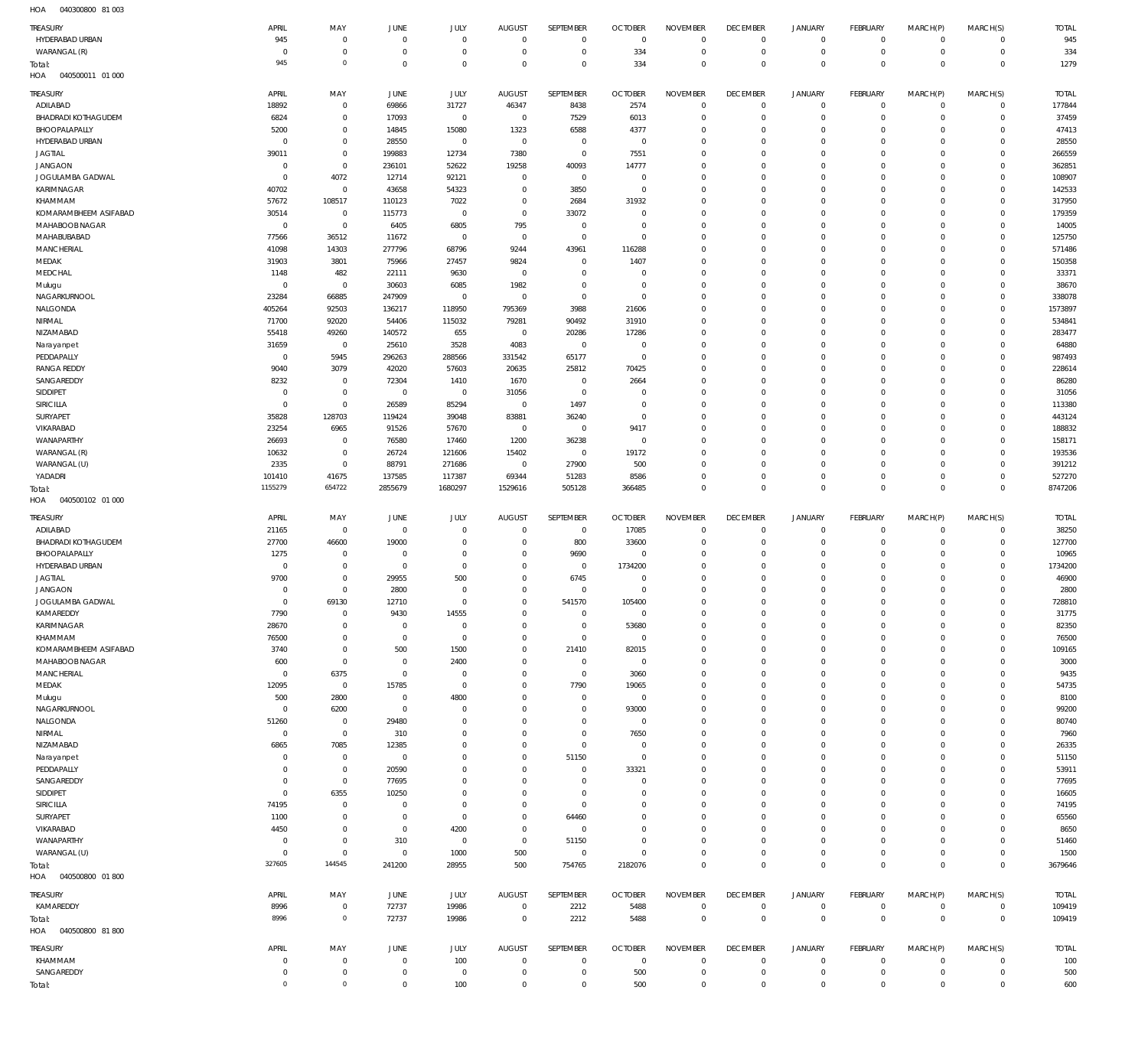040300800 81 003 HOA

| <b>TREASURY</b>                         | APRIL                       | MAY                              | <b>JUNE</b>                   | JULY                             | <b>AUGUST</b>                 | SEPTEMBER                  | <b>OCTOBER</b>         | <b>NOVEMBER</b>            | <b>DECEMBER</b>            | <b>JANUARY</b>                     | <b>FEBRUARY</b>                  | MARCH(P)                   | MARCH(S)                         | <b>TOTAL</b>     |
|-----------------------------------------|-----------------------------|----------------------------------|-------------------------------|----------------------------------|-------------------------------|----------------------------|------------------------|----------------------------|----------------------------|------------------------------------|----------------------------------|----------------------------|----------------------------------|------------------|
| HYDERABAD URBAN                         | 945                         | $\overline{0}$                   | $\Omega$<br>$\Omega$          | $\overline{0}$<br>$\overline{0}$ | $\Omega$<br>$\Omega$          | $\mathbf 0$                | $\overline{0}$         | $\mathbf 0$                | $\mathbf 0$<br>$\circ$     | $\mathbf 0$                        | $\overline{0}$<br>$\overline{0}$ | $\mathbf 0$<br>$\mathbf 0$ | $\overline{0}$                   | 945              |
| WARANGAL (R)<br>Total:                  | $^{\circ}$<br>945           | $\overline{0}$<br>$\circ$        | $\Omega$                      | $\overline{0}$                   | $\Omega$                      | $\mathbb O$<br>$\mathbb O$ | 334<br>334             | $\mathbf 0$<br>$\mathbf 0$ | $\mathbf 0$                | $\mathsf{O}\xspace$<br>$\mathbf 0$ | $\overline{0}$                   | $\mathbf 0$                | $\mathsf 0$<br>$\overline{0}$    | 334<br>1279      |
| HOA<br>040500011 01 000                 |                             |                                  |                               |                                  |                               |                            |                        |                            |                            |                                    |                                  |                            |                                  |                  |
| TREASURY                                | APRIL                       | MAY                              | JUNE                          | <b>JULY</b>                      | <b>AUGUST</b>                 | SEPTEMBER                  | <b>OCTOBER</b>         | <b>NOVEMBER</b>            | <b>DECEMBER</b>            | <b>JANUARY</b>                     | <b>FEBRUARY</b>                  | MARCH(P)                   | MARCH(S)                         | <b>TOTAL</b>     |
| ADILABAD                                | 18892                       | $\overline{0}$                   | 69866                         | 31727                            | 46347                         | 8438                       | 2574                   | $^{\circ}$                 | $\mathbf 0$                | $\mathbf 0$                        | $\overline{0}$                   | $\mathbf 0$                | $\mathbf{0}$                     | 177844           |
| <b>BHADRADI KOTHAGUDEM</b>              | 6824                        | $\mathbb O$                      | 17093                         | $\overline{0}$                   | $\overline{0}$                | 7529                       | 6013                   | $\mathbf 0$                | $^{\circ}$                 | $\mathbf 0$                        | $\overline{0}$                   | $\Omega$                   | $\mathbf{0}$                     | 37459            |
| BHOOPALAPALLY                           | 5200                        | $\mathbb O$                      | 14845                         | 15080                            | 1323                          | 6588                       | 4377                   | $^{\circ}$                 | $^{\circ}$                 | $\mathbf 0$                        | $\Omega$                         | $\Omega$                   | $\Omega$                         | 47413            |
| HYDERABAD URBAN                         | $^{\circ}$                  | $\mathbb O$                      | 28550                         | $\overline{0}$                   | $\overline{0}$                | $\overline{0}$             | $\overline{0}$         | $\Omega$                   | $\Omega$                   | $\Omega$                           | $^{\circ}$                       | $\Omega$                   | $\mathbf 0$                      | 28550            |
| <b>JAGTIAL</b>                          | 39011                       | $\mathbb O$                      | 199883                        | 12734                            | 7380                          | $\mathbb O$                | 7551                   | $\Omega$                   | $^{\circ}$                 | $\mathbf 0$                        | $\Omega$                         | $\Omega$                   | $\mathbf 0$                      | 266559           |
| <b>JANGAON</b>                          | $\overline{0}$              | $\mathbb O$                      | 236101                        | 52622                            | 19258                         | 40093                      | 14777                  | $\Omega$                   | $\Omega$                   | $\Omega$                           | $\Omega$                         | $\Omega$                   | $\mathbf 0$                      | 362851           |
| JOGULAMBA GADWAL                        | $\Omega$                    | 4072                             | 12714                         | 92121                            | $\Omega$                      | $\mathbb O$                | $\overline{0}$         | $\Omega$                   | $^{\circ}$                 | $\mathbf 0$                        | $\Omega$                         | $\Omega$                   | $\mathbf 0$                      | 108907           |
| KARIMNAGAR                              | 40702                       | $\overline{0}$                   | 43658                         | 54323                            | $\Omega$                      | 3850                       | $\overline{0}$         | $\Omega$                   | $\Omega$                   | $\Omega$                           | $\Omega$                         | $\Omega$                   | $\Omega$                         | 142533           |
| KHAMMAM                                 | 57672                       | 108517                           | 110123                        | 7022                             | $\Omega$<br>$\Omega$          | 2684                       | 31932<br>$\Omega$      | $\Omega$<br>$\Omega$       | $^{\circ}$<br>$\Omega$     | $\mathbf 0$<br>$\Omega$            | $\Omega$<br>$\Omega$             | $\Omega$<br>$\Omega$       | $\mathbf 0$<br>$\Omega$          | 317950           |
| KOMARAMBHEEM ASIFABAD<br>MAHABOOB NAGAR | 30514<br>$\Omega$           | $\overline{0}$<br>$\overline{0}$ | 115773<br>6405                | $\overline{0}$<br>6805           | 795                           | 33072<br>$\mathbb O$       | $\Omega$               | $\Omega$                   | $^{\circ}$                 | $\mathbf 0$                        | $\Omega$                         | $\Omega$                   | $\mathbf 0$                      | 179359<br>14005  |
| MAHABUBABAD                             | 77566                       | 36512                            | 11672                         | $\overline{0}$                   | $^{\circ}$                    | $\mathbb O$                | $\Omega$               | $\Omega$                   | $\Omega$                   | $\Omega$                           | $\Omega$                         | $\Omega$                   | $\Omega$                         | 125750           |
| <b>MANCHERIAL</b>                       | 41098                       | 14303                            | 277796                        | 68796                            | 9244                          | 43961                      | 116288                 | $\Omega$                   | $\mathbf 0$                | $\mathbf 0$                        | $\Omega$                         | $\Omega$                   | $\mathbf 0$                      | 571486           |
| MEDAK                                   | 31903                       | 3801                             | 75966                         | 27457                            | 9824                          | $\overline{0}$             | 1407                   | $\Omega$                   | $\Omega$                   | $\Omega$                           | $\Omega$                         | $\Omega$                   | $\Omega$                         | 150358           |
| MEDCHAL                                 | 1148                        | 482                              | 22111                         | 9630                             | $\overline{0}$                | $\mathbb O$                | $\Omega$               | $\Omega$                   | $\Omega$                   | $\Omega$                           | $\Omega$                         | $\Omega$                   | $\mathbf 0$                      | 33371            |
| Mulugu                                  | $\Omega$                    | $\overline{0}$                   | 30603                         | 6085                             | 1982                          | $\mathbb O$                | $\Omega$               | $\Omega$                   | $\Omega$                   | $\Omega$                           | $\Omega$                         | $\Omega$                   | $\Omega$                         | 38670            |
| NAGARKURNOOL                            | 23284                       | 66885                            | 247909                        | $\overline{0}$                   | $\overline{0}$                | $\mathbb O$                | $\Omega$               | $\Omega$                   | $\Omega$                   | $\Omega$                           | $\Omega$                         | $\Omega$                   | $\mathbf{0}$                     | 338078           |
| NALGONDA                                | 405264                      | 92503                            | 136217                        | 118950                           | 795369                        | 3988                       | 21606                  | $\Omega$                   | $\Omega$                   | $\Omega$                           | $\Omega$                         | $\Omega$                   | $\Omega$                         | 1573897          |
| NIRMAL                                  | 71700                       | 92020                            | 54406                         | 115032                           | 79281                         | 90492                      | 31910                  | $\Omega$                   | $\Omega$                   | $\Omega$                           | $\Omega$                         | $\Omega$                   | $\Omega$                         | 534841           |
| NIZAMABAD                               | 55418                       | 49260                            | 140572                        | 655                              | $\overline{0}$                | 20286                      | 17286                  | $\Omega$                   | $\Omega$                   | $\Omega$                           | $\Omega$                         | $\Omega$                   | $\mathbf 0$                      | 283477           |
| Narayanpet                              | 31659                       | $\overline{0}$                   | 25610                         | 3528                             | 4083                          | $\mathbb O$                | $\overline{0}$         | $\Omega$<br>$\Omega$       | $\Omega$                   | $\Omega$<br>$\Omega$               | $\Omega$<br>$\Omega$             | $\Omega$<br>$\Omega$       | $\Omega$<br>$\mathbf 0$          | 64880            |
| PEDDAPALLY<br><b>RANGA REDDY</b>        | $^{\circ}$<br>9040          | 5945<br>3079                     | 296263<br>42020               | 288566<br>57603                  | 331542<br>20635               | 65177<br>25812             | $^{\circ}$<br>70425    | $\Omega$                   | $^{\circ}$<br>$\Omega$     | $\Omega$                           | $\Omega$                         | $\Omega$                   | $\Omega$                         | 987493<br>228614 |
| SANGAREDDY                              | 8232                        | $\overline{0}$                   | 72304                         | 1410                             | 1670                          | $\mathbb O$                | 2664                   | $\Omega$                   | $\Omega$                   | $\Omega$                           | $\Omega$                         | $\Omega$                   | $\mathbf 0$                      | 86280            |
| SIDDIPET                                | $\overline{0}$              | $\overline{0}$                   | $^{\circ}$                    | $\mathbf 0$                      | 31056                         | $\mathbb O$                | $\Omega$               | $\Omega$                   | $\Omega$                   | $\Omega$                           | $\Omega$                         | $\Omega$                   | $\Omega$                         | 31056            |
| <b>SIRICILLA</b>                        | $\overline{0}$              | $\overline{0}$                   | 26589                         | 85294                            | $\overline{0}$                | 1497                       | $\overline{0}$         | $\Omega$                   | $\Omega$                   | $\Omega$                           | $\mathbf 0$                      | $\Omega$                   | $\mathbf 0$                      | 113380           |
| SURYAPET                                | 35828                       | 128703                           | 119424                        | 39048                            | 83881                         | 36240                      | $\Omega$               | $\Omega$                   | $\Omega$                   | $\Omega$                           | $\Omega$                         | $\Omega$                   | $\Omega$                         | 443124           |
| VIKARABAD                               | 23254                       | 6965                             | 91526                         | 57670                            | $\overline{0}$                | $\mathbb O$                | 9417                   | $\Omega$                   | $\Omega$                   | $\Omega$                           | $\Omega$                         | $\Omega$                   | $\mathbf 0$                      | 188832           |
| WANAPARTHY                              | 26693                       | $\overline{0}$                   | 76580                         | 17460                            | 1200                          | 36238                      | $\overline{0}$         | $\Omega$                   | $\Omega$                   | $\Omega$                           | $\Omega$                         | $\Omega$                   | $\Omega$                         | 158171           |
| WARANGAL (R)                            | 10632                       | $\overline{0}$                   | 26724                         | 121606                           | 15402                         | $\overline{0}$             | 19172                  | $\Omega$                   | $\Omega$                   | $\Omega$                           | $\Omega$                         | $\Omega$                   | $\mathbf 0$                      | 193536           |
| WARANGAL (U)                            | 2335                        | $\overline{0}$                   | 88791                         | 271686                           | $\overline{0}$                | 27900                      | 500                    | $\Omega$                   | $\mathbf 0$                | $\mathbf 0$                        | $\Omega$                         | $\Omega$                   | $\mathbf 0$                      | 391212           |
| YADADRI                                 | 101410                      | 41675                            | 137585                        | 117387                           | 69344                         | 51283                      | 8586                   | $\Omega$                   | $\mathbf 0$                | $\mathbf 0$                        | $\mathbf 0$                      | $\Omega$                   | $\mathbf{0}$                     | 527270           |
| Total:                                  | 1155279                     | 654722                           | 2855679                       | 1680297                          | 1529616                       | 505128                     | 366485                 | $\mathbf 0$                | $\mathbf 0$                | $\mathbf 0$                        | $\Omega$                         | $\Omega$                   | $\overline{0}$                   | 8747206          |
|                                         |                             |                                  |                               |                                  |                               |                            |                        |                            |                            |                                    |                                  |                            |                                  |                  |
| HOA<br>040500102 01 000                 |                             |                                  |                               |                                  |                               |                            |                        |                            |                            |                                    |                                  |                            |                                  |                  |
| <b>TREASURY</b>                         | APRIL                       | MAY                              | JUNE                          | JULY                             | <b>AUGUST</b>                 | SEPTEMBER                  | <b>OCTOBER</b>         | <b>NOVEMBER</b>            | <b>DECEMBER</b>            | <b>JANUARY</b>                     | <b>FEBRUARY</b>                  | MARCH(P)                   | MARCH(S)                         | <b>TOTAL</b>     |
| ADILABAD                                | 21165                       | $\overline{0}$                   | $\overline{0}$                | $\overline{0}$                   | $\Omega$                      | $\,0\,$                    | 17085                  | $\mathbf 0$                | $^{\circ}$                 | $\mathbf 0$                        | $\overline{0}$                   | $\mathbf 0$                | $\mathbf 0$                      | 38250            |
| <b>BHADRADI KOTHAGUDEM</b>              | 27700                       | 46600                            | 19000                         | $\Omega$                         | $\Omega$                      | 800                        | 33600                  | $^{\circ}$                 | $^{\circ}$                 | $\mathbf 0$                        | $\overline{0}$                   | $\mathbf 0$                | $\circ$                          | 127700           |
| BHOOPALAPALLY                           | 1275                        | $\overline{0}$                   | $\overline{0}$                | $\overline{0}$                   | $\Omega$                      | 9690                       | $\overline{0}$         | $\mathbf 0$                | $^{\circ}$                 | $\mathbf 0$                        | $\overline{0}$                   | $\Omega$                   | $\mathbf{0}$                     | 10965            |
| HYDERABAD URBAN                         | $\mathbf 0$                 | $\overline{0}$                   | $\overline{0}$                | $\overline{0}$                   | $\Omega$                      | $\,0\,$                    | 1734200                | $\mathbf 0$                | $^{\circ}$                 | $\mathbf 0$                        | $\mathbf 0$                      | $\Omega$                   | $\mathbf{0}$                     | 1734200          |
| <b>JAGTIAL</b>                          | 9700                        | $\overline{0}$                   | 29955                         | 500                              | $\Omega$                      | 6745                       | $\overline{0}$         | $\mathbf 0$                | $\Omega$                   | $\mathbf 0$                        | $\Omega$                         | $\Omega$                   | $\Omega$                         | 46900            |
| <b>JANGAON</b>                          | $\overline{0}$              | $\overline{0}$                   | 2800                          | $\Omega$                         | $\Omega$                      | $\,0\,$                    | $\overline{0}$         | $\mathbf 0$                | $^{\circ}$                 | $\mathbf 0$                        | $\mathbf 0$                      | $\Omega$                   | $\mathbf{0}$                     | 2800             |
| JOGULAMBA GADWAL                        | $\overline{0}$              | 69130                            | 12710                         | $\Omega$                         | $\Omega$<br>-0                | 541570<br>$\overline{0}$   | 105400<br>$\Omega$     | $\mathbf 0$<br>$\mathbf 0$ | $\Omega$<br>-0             | $\mathbf 0$<br>$\mathbf 0$         | $\Omega$<br>$\Omega$             | $\Omega$<br>$\Omega$       | $\Omega$<br>$^{\circ}$           | 728810           |
| KAMAREDDY<br>KARIMNAGAR                 | 7790<br>28670               | $\mathbf 0$<br>$\,0\,$           | 9430<br>$\overline{0}$        | 14555<br>$\overline{0}$          | $\Omega$                      | $\mathbb O$                | 53680                  | $\mathbf 0$                | $^{\circ}$                 | $\mathbf 0$                        | $\overline{0}$                   | $\mathbf 0$                | $\mathbf{0}$                     | 31775<br>82350   |
| KHAMMAM                                 | 76500                       | $\overline{0}$                   | $\overline{0}$                | $\overline{0}$                   | $^{\circ}$                    | $\mathbb O$                | $\mathbf{0}$           | $\mathbf 0$                | $^{\circ}$                 | $\mathbf 0$                        | $\overline{0}$                   | $\mathbf 0$                | $\mathbf{0}$                     | 76500            |
| KOMARAMBHEEM ASIFABAD                   | 3740                        | $\overline{0}$                   | 500                           | 1500                             | $\Omega$                      | 21410                      | 82015                  | $\mathbf 0$                | $\mathbf 0$                | $\mathbf 0$                        | $\mathbf 0$                      | $\Omega$                   | $\mathbf{0}$                     | 109165           |
| <b>MAHABOOB NAGAR</b>                   | 600                         | $\overline{0}$                   | $\overline{0}$                | 2400                             | $\Omega$                      | $\mathbb O$                | $^{\circ}$             | $\mathbf 0$                | $\mathbf 0$                | $\mathbf 0$                        | $\overline{0}$                   | $\Omega$                   | $\mathbf{0}$                     | 3000             |
| <b>MANCHERIAL</b>                       | $\overline{0}$              | 6375                             | $\Omega$                      | $\overline{0}$                   | $\Omega$                      | $\mathbb O$                | 3060                   | $\mathbf 0$                | $^{\circ}$                 | $\mathbf 0$                        | $\mathbf 0$                      | $\Omega$                   | $\mathbf{0}$                     | 9435             |
| MEDAK                                   | 12095                       | $\overline{0}$                   | 15785                         | $\overline{0}$                   | $\Omega$                      | 7790                       | 19065                  | $\mathbf 0$                | $\Omega$                   | $\mathbf 0$                        | $\overline{0}$                   | $\Omega$                   | $\mathbf{0}$                     | 54735            |
| Mulugu                                  | 500                         | 2800                             | $\overline{0}$                | 4800                             | $\Omega$                      | $\mathbf 0$                | $\overline{0}$         | $\mathbf 0$                | $^{\circ}$                 | $\mathbf 0$                        | $\mathbf 0$                      | $\Omega$                   | $\mathbf 0$                      | 8100             |
| NAGARKURNOOL                            | $\mathbf 0$                 | 6200                             | $\overline{0}$                | $\overline{0}$                   | $\Omega$                      | $\mathbf 0$                | 93000                  | $\mathbf 0$                | $\Omega$                   | $\mathbf 0$                        | $\overline{0}$                   | $\Omega$                   | $\mathbf{0}$                     | 99200            |
| NALGONDA                                | 51260                       | $\overline{0}$                   | 29480                         | $\Omega$                         | $\Omega$                      | $\mathbf 0$                | $\overline{0}$         | $\mathbf 0$                | $^{\circ}$                 | $\mathbf 0$                        | $\mathbf 0$                      | $\Omega$                   | $\mathbf{0}$                     | 80740            |
| NIRMAL                                  | $\mathbf 0$                 | $\overline{0}$                   | 310                           | $\Omega$<br>$\Omega$             | $\Omega$<br>$\Omega$          | $\mathbf 0$                | 7650<br>$\overline{0}$ | $\mathbf 0$<br>$\mathbf 0$ | $\Omega$<br>$^{\circ}$     | $\mathbf 0$<br>$\mathbf 0$         | $\Omega$<br>$\mathbf 0$          | $\Omega$<br>$\Omega$       | $\mathbf{0}$<br>$\mathbf{0}$     | 7960             |
| NIZAMABAD<br>Narayanpet                 | 6865<br>$\overline{0}$      | 7085<br>$\overline{0}$           | 12385<br>$\overline{0}$       | $\Omega$                         | $\Omega$                      | $\mathbf 0$<br>51150       | $\overline{0}$         | $\mathbf 0$                | $^{\circ}$                 | $\mathbf 0$                        | $\Omega$                         | $\Omega$                   | $\mathbf 0$                      | 26335<br>51150   |
| PEDDAPALLY                              | $\overline{0}$              | $\overline{0}$                   | 20590                         | $\Omega$                         | $\Omega$                      | $\mathbf 0$                | 33321                  | $\mathbf 0$                | $\mathbf 0$                | $\mathbf 0$                        | $\mathbf 0$                      | $\Omega$                   | $\mathbf{0}$                     | 53911            |
| SANGAREDDY                              | $\overline{0}$              | $\,0\,$                          | 77695                         | $\Omega$                         | $\Omega$                      | $\mathbf 0$                | $\Omega$               | $\mathbf 0$                | $^{\circ}$                 | $\mathbf 0$                        | $\mathbf 0$                      | $\Omega$                   | $\mathbf 0$                      | 77695            |
| SIDDIPET                                | $\overline{0}$              | 6355                             | 10250                         | $\Omega$                         | $\Omega$                      | $\mathbf 0$                | $\Omega$               | $\mathbf 0$                | $\mathbf 0$                | $\mathbf 0$                        | $\overline{0}$                   | $\Omega$                   | $\mathbf{0}$                     | 16605            |
| SIRICILLA                               | 74195                       | $\overline{0}$                   | $\Omega$                      | $\overline{0}$                   | $\Omega$                      | $\mathbf 0$                | $\Omega$               | $\mathbf 0$                | $^{\circ}$                 | $\mathbf 0$                        | $\mathbf 0$                      | $\Omega$                   | $\mathbf 0$                      | 74195            |
| SURYAPET                                | 1100                        | $\overline{0}$                   | $\overline{0}$                | $\overline{0}$                   | $\Omega$                      | 64460                      | $\Omega$               | $\mathbf 0$                | $\Omega$                   | $\mathbf 0$                        | $\mathbf 0$                      | $\Omega$                   | $\mathbf{0}$                     | 65560            |
| VIKARABAD                               | 4450                        | $\overline{0}$                   | $\mathbf{0}$                  | 4200                             | $\Omega$                      | $\,0\,$                    | $\Omega$               | $\mathbf 0$                | $^{\circ}$                 | $\mathbf 0$                        | $\mathbf 0$                      | $\Omega$                   | $\mathbf 0$                      | 8650             |
| WANAPARTHY                              | $\overline{0}$              | $\overline{0}$                   | 310                           | $\overline{0}$                   | $^{\circ}$                    | 51150                      | $\Omega$               | $\mathbf 0$                | $\mathbf 0$                | $\mathbf 0$                        | $\overline{0}$                   | $\Omega$                   | $\mathbf{0}$                     | 51460            |
| WARANGAL (U)                            | $\mathbf 0$                 | $\,0\,$                          | $^{\circ}$                    | 1000                             | 500                           | $\mathbb O$                | $\Omega$               | $\mathbf 0$                | $\circ$                    | $\mathbf 0$                        | $\mathbf 0$                      | $\mathbf 0$                | $\circ$                          | 1500             |
| Total:                                  | 327605                      | 144545                           | 241200                        | 28955                            | 500                           | 754765                     | 2182076                | $\mathbf 0$                | $\mathbf 0$                | $\mathbf 0$                        | $\overline{0}$                   | $\mathbf 0$                | $\overline{0}$                   | 3679646          |
| HOA  040500800  01 800                  |                             |                                  |                               |                                  |                               |                            |                        |                            |                            |                                    |                                  |                            |                                  |                  |
| <b>TREASURY</b>                         | APRIL                       | MAY                              | JUNE                          | <b>JULY</b>                      | <b>AUGUST</b>                 | SEPTEMBER                  | <b>OCTOBER</b>         | <b>NOVEMBER</b>            | <b>DECEMBER</b>            | <b>JANUARY</b>                     | <b>FEBRUARY</b>                  | MARCH(P)                   | MARCH(S)                         | <b>TOTAL</b>     |
| KAMAREDDY                               | 8996                        | $\overline{0}$                   | 72737                         | 19986                            | $\Omega$                      | 2212                       | 5488                   | $\mathbf 0$                | $\mathbf 0$                | $\mathbf 0$                        | $\overline{0}$                   | $\mathbf 0$                | $\circ$                          | 109419           |
| Total:                                  | 8996                        | $\circ$                          | 72737                         | 19986                            | $^{\circ}$                    | 2212                       | 5488                   | $\mathbf 0$                | $\mathbf 0$                | $\mathbf 0$                        | $\overline{0}$                   | $\mathbf 0$                | $\overline{0}$                   | 109419           |
| HOA<br>040500800 81 800                 |                             |                                  |                               |                                  |                               |                            |                        |                            |                            |                                    |                                  |                            |                                  |                  |
| TREASURY                                | APRIL                       | MAY                              | JUNE                          | <b>JULY</b>                      | <b>AUGUST</b>                 | SEPTEMBER                  | <b>OCTOBER</b>         | <b>NOVEMBER</b>            | <b>DECEMBER</b>            | <b>JANUARY</b>                     | <b>FEBRUARY</b>                  | MARCH(P)                   | MARCH(S)                         | <b>TOTAL</b>     |
| KHAMMAM                                 | $\overline{0}$              | $\overline{0}$                   | $\mathbf{0}$                  | 100                              | $\Omega$                      | $\mathbb O$                | $\mathbf 0$            | $\mathbf 0$                | $\circ$                    | $\mathsf{O}\xspace$                | $\overline{0}$                   | $^{\circ}$                 | $\mathbf 0$                      | 100              |
| SANGAREDDY<br>Total:                    | $\mathbf 0$<br>$\mathbf{0}$ | $\overline{0}$<br>$\mathbb O$    | $\overline{0}$<br>$\mathbb O$ | $\mathbf 0$<br>100               | $\overline{0}$<br>$\mathbf 0$ | $\mathbb O$<br>$\mathbb O$ | 500<br>500             | $\mathbb O$<br>$\mathbf 0$ | $\mathbf 0$<br>$\mathbf 0$ | $\mathsf{O}\xspace$<br>$\mathbf 0$ | $\overline{0}$<br>$\overline{0}$ | $^{\circ}$<br>$\mathbf 0$  | $\overline{0}$<br>$\overline{0}$ | 500<br>600       |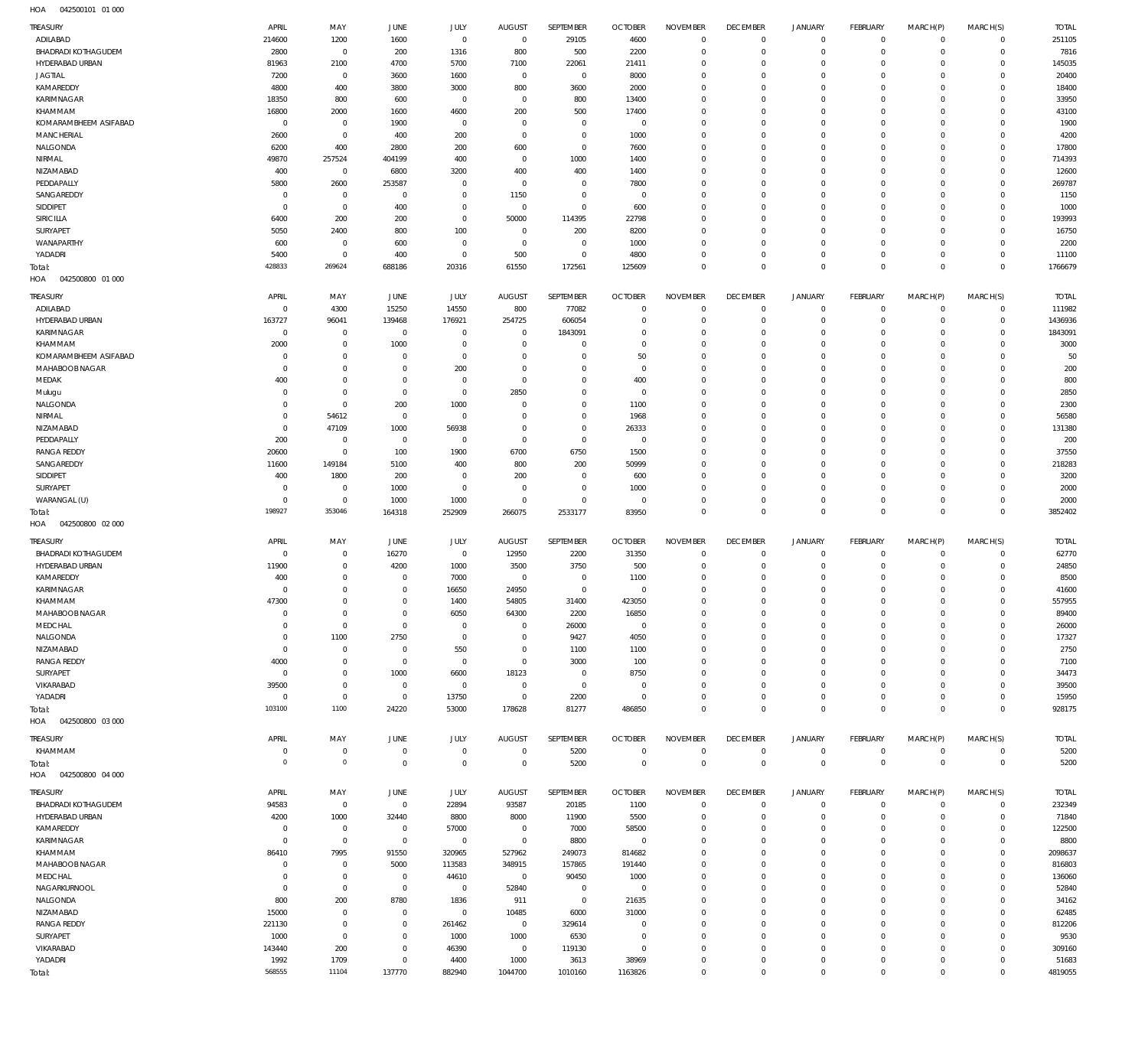| TREASURY                    | APRIL                | MAY                                        | JUNE                             | JULY                       | <b>AUGUST</b>                    | SEPTEMBER                        | <b>OCTOBER</b>                   | <b>NOVEMBER</b>         | <b>DECEMBER</b>                  | <b>JANUARY</b>             | FEBRUARY                     | MARCH(P)             | MARCH(S)             | <b>TOTAL</b>      |
|-----------------------------|----------------------|--------------------------------------------|----------------------------------|----------------------------|----------------------------------|----------------------------------|----------------------------------|-------------------------|----------------------------------|----------------------------|------------------------------|----------------------|----------------------|-------------------|
| ADILABAD                    | 214600               | 1200                                       | 1600                             | $\mathbf 0$                | $\overline{0}$                   | 29105                            | 4600                             | $\mathbf{0}$            | $\mathbf 0$                      | $\mathbf 0$                | $\mathbf 0$                  | $\Omega$             | $\mathbf 0$          | 251105            |
| <b>BHADRADI KOTHAGUDEM</b>  | 2800                 | $\mathbf 0$                                | 200                              | 1316                       | 800                              | 500                              | 2200                             | $\Omega$                | $\mathbf 0$                      | $\mathbf 0$                | $\mathbf 0$                  | $\Omega$             | $\Omega$             | 7816              |
| HYDERABAD URBAN             | 81963                | 2100                                       | 4700                             | 5700                       | 7100                             | 22061                            | 21411                            | $\Omega$                | $\mathbf 0$                      | $\circ$                    | $\mathbf{0}$                 | $\Omega$             | $\Omega$             | 145035            |
| <b>JAGTIAL</b><br>KAMAREDDY | 7200<br>4800         | $\bf 0$<br>400                             | 3600<br>3800                     | 1600<br>3000               | $\overline{0}$<br>800            | $\overline{0}$<br>3600           | 8000<br>2000                     | $\mathbf 0$<br>$\Omega$ | $\mathbf 0$<br>$\mathbf 0$       | $\mathbf 0$<br>$\circ$     | $\mathbf 0$<br>$\Omega$      | $\Omega$<br>$\Omega$ | $\Omega$<br>$\Omega$ | 20400<br>18400    |
| KARIMNAGAR                  | 18350                | 800                                        | 600                              | $\mathbf 0$                | $\overline{0}$                   | 800                              | 13400                            | $\Omega$                | $\mathbf 0$                      | $\mathbf 0$                | $\Omega$                     | $\Omega$             | $\Omega$             | 33950             |
| KHAMMAM                     | 16800                | 2000                                       | 1600                             | 4600                       | 200                              | 500                              | 17400                            | $\Omega$                | $\mathbf 0$                      | $^{\circ}$                 | $\Omega$                     | $\Omega$             | $\Omega$             | 43100             |
| KOMARAMBHEEM ASIFABAD       | $\mathbf 0$          | $\bf 0$                                    | 1900                             | $\mathbf 0$                | $\overline{0}$                   | $\overline{0}$                   | $\overline{0}$                   | $\mathbf 0$             | $\mathbf 0$                      | $\mathbf 0$                | $\circ$                      | $\Omega$             | $\Omega$             | 1900              |
| MANCHERIAL                  | 2600                 | $\bf 0$                                    | 400                              | 200                        | $\overline{0}$                   | $\mathbf 0$                      | 1000                             | 0                       | $\mathbf 0$                      | $\circ$                    | $\mathbf{0}$                 | $\Omega$             | $\Omega$             | 4200              |
| NALGONDA                    | 6200                 | 400                                        | 2800                             | 200<br>400                 | 600<br>$\overline{0}$            | $\mathbf 0$                      | 7600                             | 0<br>$\Omega$           | $\mathbf 0$<br>$\mathbf 0$       | $\circ$                    | $\Omega$<br>$\mathbf{0}$     | $\Omega$<br>$\Omega$ | $\Omega$<br>$\Omega$ | 17800<br>714393   |
| NIRMAL<br>NIZAMABAD         | 49870<br>400         | 257524<br>$\mathbf 0$                      | 404199<br>6800                   | 3200                       | 400                              | 1000<br>400                      | 1400<br>1400                     | $\Omega$                | $\overline{0}$                   | $\circ$<br>$\circ$         | $\Omega$                     | $\Omega$             | $\Omega$             | 12600             |
| PEDDAPALLY                  | 5800                 | 2600                                       | 253587                           | $\mathbf 0$                | $\overline{0}$                   | $\overline{0}$                   | 7800                             | $\Omega$                | $\mathbf 0$                      | $\circ$                    | $\mathbf{0}$                 | $\Omega$             | $\Omega$             | 269787            |
| SANGAREDDY                  | $\mathbf 0$          | $\mathbf 0$                                | $\overline{0}$                   | $\mathbf 0$                | 1150                             | $\mathbf 0$                      | $\overline{0}$                   | $\Omega$                | $\mathbf 0$                      | $\circ$                    | $\Omega$                     | $\Omega$             | $\Omega$             | 1150              |
| SIDDIPET                    | $\mathbf 0$          | $\mathbf 0$                                | 400                              | $\mathbf 0$                | $\overline{0}$                   | $\mathbf 0$                      | 600                              | $\Omega$                | $\overline{0}$                   | $^{\circ}$                 | $\Omega$                     | $\Omega$             | $\Omega$             | 1000              |
| SIRICILLA                   | 6400                 | 200                                        | 200                              | $\mathbf 0$                | 50000                            | 114395                           | 22798                            | $\Omega$                | $\mathbf 0$                      | $\circ$                    | $\Omega$                     | $\Omega$             | $\Omega$             | 193993            |
| SURYAPET                    | 5050                 | 2400                                       | 800                              | 100                        | $\overline{0}$                   | 200                              | 8200                             | $\Omega$<br>$\Omega$    | $\mathbf 0$                      | $\circ$                    | $\Omega$                     | $\Omega$             | $\Omega$<br>$\Omega$ | 16750             |
| WANAPARTHY<br>YADADRI       | 600<br>5400          | $\mathbf 0$<br>$\mathbf 0$                 | 600<br>400                       | $\mathbf 0$<br>$\mathbf 0$ | $\overline{0}$<br>500            | $\overline{0}$<br>$\overline{0}$ | 1000<br>4800                     | $\Omega$                | $\mathbf 0$<br>$\mathbf 0$       | $\mathbf 0$<br>$\mathbf 0$ | $\mathbf{0}$<br>$\mathbf 0$  | $\Omega$<br>$\Omega$ | $\Omega$             | 2200<br>11100     |
| Total:                      | 428833               | 269624                                     | 688186                           | 20316                      | 61550                            | 172561                           | 125609                           | $\mathbf 0$             | $\,0\,$                          | $\mathbf 0$                | $\overline{0}$               | $\overline{0}$       | $\overline{0}$       | 1766679           |
| HOA<br>042500800 01 000     |                      |                                            |                                  |                            |                                  |                                  |                                  |                         |                                  |                            |                              |                      |                      |                   |
| TREASURY                    | APRIL                | MAY                                        | JUNE                             | JULY                       | AUGUST                           | SEPTEMBER                        | <b>OCTOBER</b>                   | <b>NOVEMBER</b>         | <b>DECEMBER</b>                  | <b>JANUARY</b>             | FEBRUARY                     | MARCH(P)             | MARCH(S)             | <b>TOTAL</b>      |
| ADILABAD                    | $\mathbf 0$          | 4300                                       | 15250                            | 14550                      | 800                              | 77082                            | $\overline{0}$                   | $\mathbf{0}$            | $\mathbf 0$                      | 0                          | $\mathbf 0$                  | $\mathbf 0$          | $\Omega$             | 111982            |
| HYDERABAD URBAN             | 163727               | 96041                                      | 139468                           | 176921                     | 254725                           | 606054                           | $\overline{0}$                   | $\mathbf 0$             | $\mathbf 0$                      | $\circ$                    | $\mathbf{0}$                 | $\Omega$             | $\mathbf 0$          | 1436936           |
| KARIMNAGAR                  | $\mathbf 0$          | $\mathbf 0$                                | $\overline{0}$                   | $\mathbf 0$                | $\overline{0}$                   | 1843091                          | $\mathbf{0}$                     | 0                       | $\mathbf 0$                      | $^{\circ}$                 | $\mathbf{0}$                 | $\Omega$             | $\Omega$             | 1843091           |
| KHAMMAM                     | 2000                 | $\bf 0$                                    | 1000                             | $\mathbf 0$                | $\overline{0}$                   | $^{\circ}$                       | $\overline{0}$                   | $\mathbf 0$             | $\mathbf 0$                      | $\circ$                    | $\mathbf{0}$                 | $\Omega$             | $\Omega$             | 3000              |
| KOMARAMBHEEM ASIFABAD       | 0                    | $\bf 0$                                    | $\overline{0}$                   | $\mathbf 0$                | $\overline{0}$                   | $\mathbf 0$                      | 50                               | 0                       | $\mathbf 0$                      | $^{\circ}$                 | $\mathbf{0}$                 | $\Omega$             | $\Omega$             | 50                |
| MAHABOOB NAGAR              | $\mathbf 0$          | $\bf 0$                                    | $\overline{0}$                   | 200                        | $\overline{0}$                   | $\mathbf 0$                      | $\mathbb O$                      | $\Omega$                | $\mathbf 0$                      | $\circ$                    | $\mathbf 0$                  | $\Omega$             | $\Omega$<br>$\Omega$ | 200               |
| MEDAK<br>Mulugu             | 400<br>0             | $\mathbf 0$<br>$\bf 0$                     | $\overline{0}$<br>$\overline{0}$ | $\mathbf 0$<br>$\mathbf 0$ | $\overline{0}$<br>2850           | $\mathbf 0$<br>$\mathbf 0$       | 400<br>$\overline{0}$            | 0<br>$\Omega$           | $\mathbf 0$<br>$\mathbf 0$       | $^{\circ}$<br>$\circ$      | $\mathbf{0}$<br>$\mathbf 0$  | $\Omega$<br>$\Omega$ | $\Omega$             | 800<br>2850       |
| NALGONDA                    | $\mathbf 0$          | $\bf 0$                                    | 200                              | 1000                       | $\overline{0}$                   | $\mathbf 0$                      | 1100                             | 0                       | $\mathbf 0$                      | $^{\circ}$                 | $\mathbf{0}$                 | $\Omega$             | $\Omega$             | 2300              |
| NIRMAL                      | $\mathbf 0$          | 54612                                      | $\overline{0}$                   | $\mathbf 0$                | $\overline{0}$                   | $\mathbf 0$                      | 1968                             | $\Omega$                | $\mathbf 0$                      | $^{\circ}$                 | $\mathbf 0$                  | $\Omega$             | $\Omega$             | 56580             |
| NIZAMABAD                   | $\mathbf 0$          | 47109                                      | 1000                             | 56938                      | $\overline{0}$                   | $\mathbf 0$                      | 26333                            | 0                       | $\mathbf 0$                      | $^{\circ}$                 | $\mathbf{0}$                 | $\Omega$             | $\Omega$             | 131380            |
| PEDDAPALLY                  | 200                  | $\mathbf 0$                                | $\overline{0}$                   | $\mathbf 0$                | $\overline{0}$                   | $\mathbf 0$                      | $\overline{0}$                   | $\Omega$                | $\mathbf 0$                      | $^{\circ}$                 | $\mathbf{0}$                 | $\Omega$             | $\Omega$             | 200               |
| <b>RANGA REDDY</b>          | 20600                | $\bf 0$                                    | 100                              | 1900                       | 6700                             | 6750                             | 1500                             | $\mathbf 0$             | $\mathbf 0$                      | $^{\circ}$                 | $\mathbf{0}$                 | $\Omega$             | $\Omega$             | 37550             |
| SANGAREDDY<br>SIDDIPET      | 11600<br>400         | 149184<br>1800                             | 5100<br>200                      | 400<br>$\mathbf 0$         | 800<br>200                       | 200<br>$\overline{0}$            | 50999<br>600                     | $\Omega$<br>$\Omega$    | $\mathbf 0$<br>$\mathbf 0$       | $^{\circ}$<br>$\Omega$     | $\mathbf{0}$<br>$\mathbf{0}$ | $\Omega$<br>$\Omega$ | $\Omega$<br>$\Omega$ | 218283<br>3200    |
| SURYAPET                    | 0                    | $\mathbf 0$                                | 1000                             | $\mathbf 0$                | $\overline{0}$                   | $\mathbf 0$                      | 1000                             | 0                       | $\mathbf 0$                      | $\circ$                    | $\mathbf 0$                  | $\Omega$             | $\Omega$             | 2000              |
| WARANGAL (U)                | $\mathbf 0$          | $\bf 0$                                    | 1000                             | 1000                       | $\overline{0}$                   | $\overline{0}$                   | $\overline{0}$                   | 0                       | $\mathbf 0$                      | $\mathbf 0$                | $\mathbf 0$                  | $\Omega$             | $\Omega$             | 2000              |
| Total:                      | 198927               | 353046                                     | 164318                           | 252909                     | 266075                           | 2533177                          | 83950                            | $\mathbf 0$             | $\mathbb O$                      | $\mathbb O$                | $\mathbb O$                  | $\Omega$             | $\overline{0}$       | 3852402           |
| HOA<br>042500800 02 000     |                      |                                            |                                  |                            |                                  |                                  |                                  |                         |                                  |                            |                              |                      |                      |                   |
| <b>TREASURY</b>             | APRIL                | MAY                                        | JUNE                             | <b>JULY</b>                | <b>AUGUST</b>                    | SEPTEMBER                        | <b>OCTOBER</b>                   | <b>NOVEMBER</b>         | <b>DECEMBER</b>                  | <b>JANUARY</b>             | FEBRUARY                     | MARCH(P)             | MARCH(S)             | <b>TOTAL</b>      |
| <b>BHADRADI KOTHAGUDEM</b>  | $\mathbf 0$          | $\mathbf 0$                                | 16270                            | $\mathbf 0$                | 12950                            | 2200                             | 31350                            | $\mathbf 0$             | $\mathbf 0$                      | $\circ$                    | $^{\circ}$                   | $\Omega$             | $\Omega$             | 62770             |
| HYDERABAD URBAN             | 11900                | $\mathsf{O}\xspace$                        | 4200                             | 1000                       | 3500                             | 3750                             | 500                              | $\mathbf 0$             | $\mathbf 0$                      | $\mathbf 0$                | $\mathbf{0}$                 | $\Omega$             | $\mathbf 0$          | 24850             |
| KAMAREDDY                   | 400                  | $\mathbf 0$                                | $\overline{0}$                   | 7000                       | $\overline{0}$                   | $\overline{0}$                   | 1100                             | $\mathbf 0$             | $\mathbf 0$                      | $\circ$                    | $\Omega$                     | $\Omega$             | $\Omega$             | 8500              |
| KARIMNAGAR<br>KHAMMAM       | $\mathbf 0$<br>47300 | $\mathbf 0$<br>$\Omega$                    | $\overline{0}$<br>$\overline{0}$ | 16650<br>1400              | 24950<br>54805                   | $\overline{0}$<br>31400          | $\overline{0}$<br>423050         | $\Omega$<br>$\Omega$    | $\overline{0}$<br>$\overline{0}$ | $\circ$<br>$\circ$         | $\mathbf{0}$<br>$\circ$      | $\Omega$<br>$\circ$  | $\Omega$<br>$\circ$  | 41600<br>557955   |
| MAHABOOB NAGAR              |                      |                                            | U                                | 6050                       | 64300                            | 2200                             | 1685(                            |                         |                                  |                            |                              |                      |                      | 89400             |
| MEDCHAL                     | 0                    | $\bf 0$                                    | $\overline{0}$                   | $\mathbf 0$                | $^{\circ}$                       | 26000                            | $\overline{0}$                   | $\mathbf 0$             | $\overline{0}$                   | $\circ$                    | $\mathbf 0$                  | $\Omega$             | $\Omega$             | 26000             |
| NALGONDA                    | $\mathbf 0$          | 1100                                       | 2750                             | $\mathbf 0$                | $^{\circ}$                       | 9427                             | 4050                             | $\mathbf 0$             | $\mathbf 0$                      | $\circ$                    | $\mathbf 0$                  | $\Omega$             | $\Omega$             | 17327             |
| NIZAMABAD                   | $\mathbf 0$          | $\bf 0$                                    | $\overline{0}$                   | 550                        | $\overline{0}$                   | 1100                             | 1100                             | $\mathbf 0$             | $\mathbf 0$                      | $\circ$                    | $\mathbf{0}$                 | $\Omega$             | $\Omega$             | 2750              |
| <b>RANGA REDDY</b>          | 4000                 | $\bf 0$                                    | $\overline{0}$                   | $\mathbf 0$                | $\overline{0}$                   | 3000                             | 100                              | 0                       | $\mathbf 0$                      | $\circ$                    | $\mathbf{0}$                 | $\Omega$             | $\Omega$             | 7100              |
| SURYAPET                    | $\mathbf 0$          | $\mathsf{O}\xspace$                        | 1000                             | 6600                       | 18123                            | $\overline{0}$<br>$\overline{0}$ | 8750                             | $\mathbf 0$<br>$\Omega$ | $\mathbf 0$                      | $\circ$                    | $\mathbf 0$<br>$\mathbf{0}$  | $\Omega$<br>$\Omega$ | $\Omega$<br>$\Omega$ | 34473             |
| VIKARABAD<br>YADADRI        | 39500<br>$\mathbf 0$ | $\mathsf{O}\xspace$<br>$\mathsf{O}\xspace$ | $\overline{0}$<br>$\overline{0}$ | $\mathbf 0$<br>13750       | $\overline{0}$<br>$\overline{0}$ | 2200                             | $\overline{0}$<br>$\overline{0}$ | $\mathbf 0$             | $\mathbf 0$<br>$\mathbf 0$       | $\circ$<br>$\mathbf 0$     | $\mathbf 0$                  | $\Omega$             | $\Omega$             | 39500<br>15950    |
| Total:                      | 103100               | 1100                                       | 24220                            | 53000                      | 178628                           | 81277                            | 486850                           | $\mathbf 0$             | $\mathbb O$                      | $\mathbf 0$                | $\mathbf 0$                  | $\Omega$             | $\mathbb O$          | 928175            |
| HOA<br>042500800 03 000     |                      |                                            |                                  |                            |                                  |                                  |                                  |                         |                                  |                            |                              |                      |                      |                   |
| TREASURY                    | APRIL                | MAY                                        | JUNE                             | JULY                       | <b>AUGUST</b>                    | SEPTEMBER                        | <b>OCTOBER</b>                   | <b>NOVEMBER</b>         | <b>DECEMBER</b>                  | <b>JANUARY</b>             | FEBRUARY                     | MARCH(P)             | MARCH(S)             | <b>TOTAL</b>      |
| KHAMMAM                     | 0                    | $\bf 0$                                    | $\overline{0}$                   | $\mathbf 0$                | $\overline{0}$                   | 5200                             | $\mathbf 0$                      | $\mathbf{0}$            | $\,0\,$                          | $\overline{0}$             | $\circ$                      | $\mathbf 0$          | $\mathbf 0$          | 5200              |
| Total:                      | $\overline{0}$       | $\mathbf 0$                                | $\overline{0}$                   | $\mathbf 0$                | $\overline{0}$                   | 5200                             | $\mathbb O$                      | $\mathbf 0$             | $\mathbb O$                      | $\mathbf 0$                | $\mathbb O$                  | $\mathbf 0$          | $\mathbb O$          | 5200              |
| HOA<br>042500800 04 000     |                      |                                            |                                  |                            |                                  |                                  |                                  |                         |                                  |                            |                              |                      |                      |                   |
| TREASURY                    | APRIL                | MAY                                        | JUNE                             | JULY                       | <b>AUGUST</b>                    | SEPTEMBER                        | <b>OCTOBER</b>                   | <b>NOVEMBER</b>         | <b>DECEMBER</b>                  | <b>JANUARY</b>             | FEBRUARY                     | MARCH(P)             | MARCH(S)             | <b>TOTAL</b>      |
| BHADRADI KOTHAGUDEM         | 94583                | $\mathbf 0$                                | $\overline{0}$                   | 22894                      | 93587                            | 20185                            | 1100                             | $\mathbf 0$             | $\mathbf 0$                      | $\circ$                    | $\mathbf 0$                  | $\Omega$             | $\mathbf 0$          | 232349            |
| HYDERABAD URBAN             | 4200                 | 1000                                       | 32440                            | 8800                       | 8000                             | 11900                            | 5500                             | $\mathbf 0$             | $\mathbf 0$                      | $\mathbf 0$                | $\mathbf 0$                  | $\Omega$             | $\Omega$             | 71840             |
| KAMAREDDY                   | $\overline{0}$       | $\mathbf 0$                                | $\overline{0}$                   | 57000                      | $\overline{0}$                   | 7000                             | 58500                            | $\mathbf 0$             | $\mathbf 0$                      | $\circ$                    | $\mathbf{0}$                 | $\Omega$             | $\Omega$             | 122500            |
| KARIMNAGAR                  | $\mathbf 0$          | $\bf 0$                                    | $\overline{0}$                   | $\mathbf 0$                | $\overline{0}$                   | 8800                             | $\overline{0}$                   | $\mathbf 0$             | $\mathbf 0$                      | $\circ$                    | $^{\circ}$                   | $\Omega$             | $\Omega$             | 8800              |
| KHAMMAM<br>MAHABOOB NAGAR   | 86410<br>$\mathbf 0$ | 7995<br>$\bf 0$                            | 91550<br>5000                    | 320965<br>113583           | 527962<br>348915                 | 249073<br>157865                 | 814682<br>191440                 | $\Omega$<br>$\mathbf 0$ | $\mathbf 0$<br>$\mathbf 0$       | $\circ$<br>$\circ$         | $\mathbf{0}$<br>$\mathbf 0$  | $\Omega$<br>$\Omega$ | $\Omega$<br>$\Omega$ | 2098637<br>816803 |
| MEDCHAL                     | $\mathbf 0$          | $\bf 0$                                    | $\overline{0}$                   | 44610                      | $\overline{0}$                   | 90450                            | 1000                             | 0                       | $\mathbf 0$                      | $\circ$                    | $\mathbf{0}$                 | $\Omega$             | $\Omega$             | 136060            |
| NAGARKURNOOL                | $\mathbf 0$          | $\mathbf 0$                                | $\overline{0}$                   | $\mathbb O$                | 52840                            | $\overline{0}$                   | $\overline{0}$                   | $\mathbf 0$             | $\mathbf 0$                      | $\mathbf 0$                | $\mathbf 0$                  | $\Omega$             | $\Omega$             | 52840             |
| NALGONDA                    | 800                  | 200                                        | 8780                             | 1836                       | 911                              | $\overline{0}$                   | 21635                            | $\Omega$                | $\mathbf 0$                      | $\circ$                    | $\mathbf{0}$                 | $\Omega$             | $\Omega$             | 34162             |
| NIZAMABAD                   | 15000                | $\bf 0$                                    | $\overline{0}$                   | $\mathbf 0$                | 10485                            | 6000                             | 31000                            | $\mathbf 0$             | $\mathbf 0$                      | $\mathbf 0$                | $\mathbf 0$                  | $\Omega$             | $\Omega$             | 62485             |
| <b>RANGA REDDY</b>          | 221130               | $\mathsf{O}\xspace$                        | $\overline{0}$                   | 261462                     | $\overline{0}$                   | 329614                           | $\overline{0}$                   | 0                       | $\mathbf 0$                      | $\circ$                    | $\mathbf{0}$                 | $\Omega$             | $\Omega$             | 812206            |
| SURYAPET                    | 1000                 | $\mathbf 0$                                | $\overline{0}$                   | 1000                       | 1000                             | 6530                             | $\overline{0}$                   | $\mathbf 0$<br>0        | $\mathbf 0$                      | $\mathbf 0$                | $\mathbf{0}$                 | $\Omega$             | $\Omega$<br>$\Omega$ | 9530              |
| VIKARABAD<br>YADADRI        | 143440<br>1992       | 200<br>1709                                | $\overline{0}$<br>$\overline{0}$ | 46390<br>4400              | $\overline{0}$<br>1000           | 119130<br>3613                   | $\overline{0}$<br>38969          | 0                       | $\mathbf 0$<br>$\mathbf 0$       | $\circ$<br>$\mathbf 0$     | $\mathbf 0$<br>$\mathbf 0$   | $\Omega$<br>$\Omega$ | $\Omega$             | 309160<br>51683   |
| Total:                      | 568555               | 11104                                      | 137770                           | 882940                     | 1044700                          | 1010160                          | 1163826                          | 0                       | $\,0\,$                          | $\mathbf 0$                | $\mathbf 0$                  | $\mathbf 0$          | $\mathbf 0$          | 4819055           |
|                             |                      |                                            |                                  |                            |                                  |                                  |                                  |                         |                                  |                            |                              |                      |                      |                   |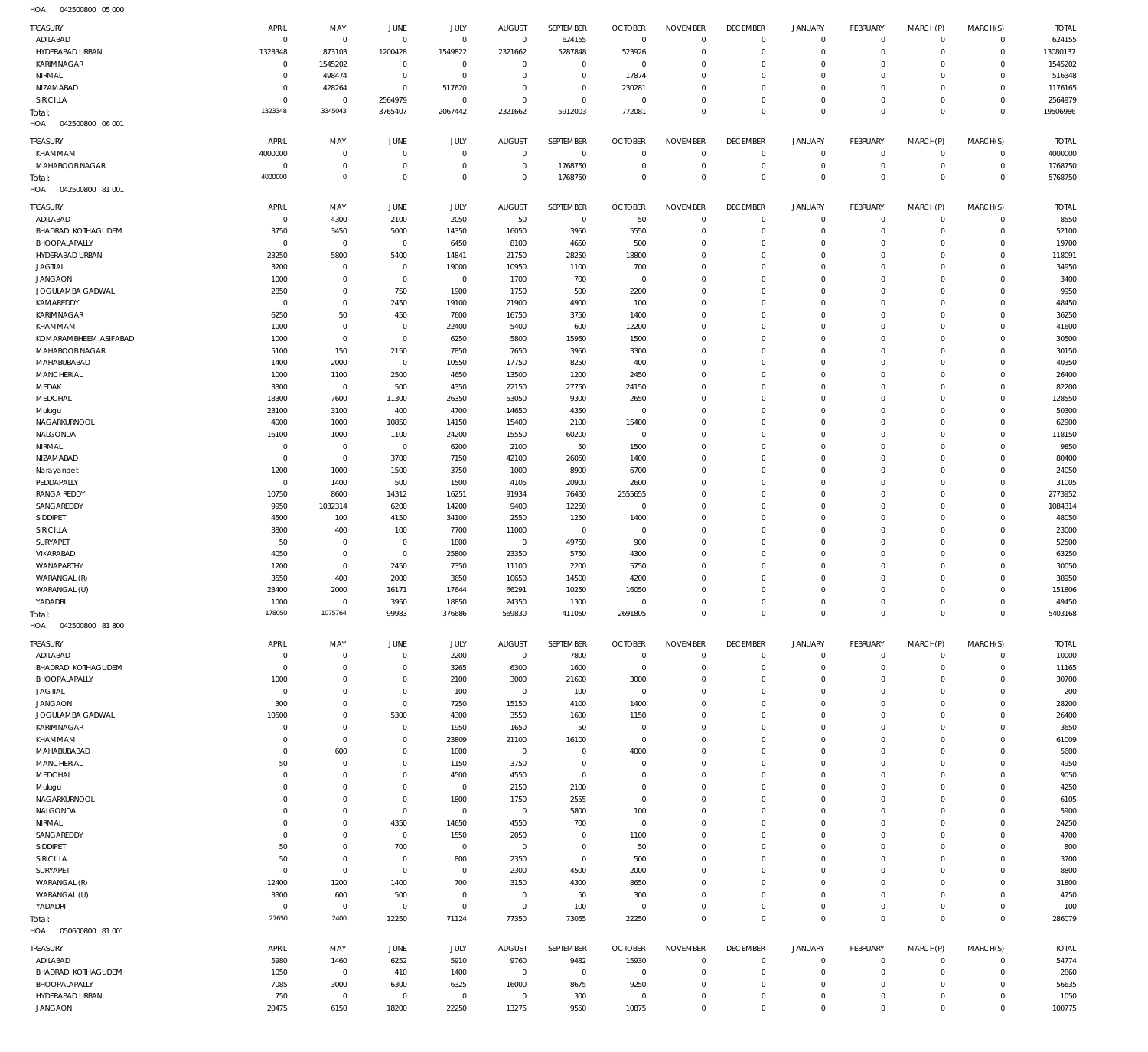042500800 05 000 HOA

| <b>TREASURY</b>                   | APRIL                     | MAY                           | JUNE                             | <b>JULY</b>               | <b>AUGUST</b>            | SEPTEMBER                   | <b>OCTOBER</b>                 | <b>NOVEMBER</b>                | <b>DECEMBER</b>                | <b>JANUARY</b>                      | <b>FEBRUARY</b>               | MARCH(P)                   | MARCH(S)                       | <b>TOTAL</b>          |
|-----------------------------------|---------------------------|-------------------------------|----------------------------------|---------------------------|--------------------------|-----------------------------|--------------------------------|--------------------------------|--------------------------------|-------------------------------------|-------------------------------|----------------------------|--------------------------------|-----------------------|
| ADILABAD<br>HYDERABAD URBAN       | $\overline{0}$<br>1323348 | $\,0\,$<br>873103             | $\overline{0}$<br>1200428        | $\overline{0}$<br>1549822 | $\mathbf 0$<br>2321662   | 624155<br>5287848           | $\overline{0}$<br>523926       | $\mathbf 0$<br>$\mathbb O$     | $\mathbf 0$<br>$\mathbf 0$     | $\mathbf 0$<br>$\mathsf{O}$         | $\overline{0}$<br>$\mathbf 0$ | $\mathbf 0$<br>$\mathbf 0$ | $\circ$<br>$\overline{0}$      | 624155<br>13080137    |
| KARIMNAGAR                        | $^{\circ}$                | 1545202                       | $^{\circ}$                       | $\overline{0}$            | $\overline{0}$           | $\mathbf 0$                 | $\overline{0}$                 | $\mathbb O$                    | $\mathbf 0$                    | $\mathbf 0$                         | $\mathbf 0$                   | $\mathbf 0$                | $\mathbf{0}$                   | 1545202               |
| NIRMAL                            | $\Omega$                  | 498474                        | $\mathbf 0$                      | $\,0\,$                   | $\mathbf{0}$             | $\mathbf 0$                 | 17874                          | $\mathbf 0$                    | $^{\circ}$                     | $\mathbf 0$                         | $\mathbf 0$                   | $\mathbf 0$                | $\mathbf{0}$                   | 516348                |
| NIZAMABAD                         | $\Omega$                  | 428264                        | $\mathbf 0$                      | 517620                    | $^{\circ}$               | $\mathbf 0$                 | 230281                         | $\mathbf 0$                    | $\mathbf 0$                    | $\mathsf{O}$                        | $\mathbf 0$                   | $\mathbf 0$                | $\circ$                        | 1176165               |
| SIRICILLA                         | $\Omega$<br>1323348       | $\mathbf 0$<br>3345043        | 2564979<br>3765407               | $\overline{0}$<br>2067442 | $^{\circ}$<br>2321662    | $\mathbf 0$<br>5912003      | $\overline{0}$<br>772081       | $\mathbb O$<br>$\mathbf 0$     | $\mathbf 0$<br>$\mathbf 0$     | $\mathsf{O}$<br>$\mathsf{O}\xspace$ | $\mathbf 0$<br>$\mathbf 0$    | $\mathbf 0$<br>$\mathbf 0$ | $\mathbf{0}$<br>$\overline{0}$ | 2564979<br>19506986   |
| Total:<br>HOA<br>042500800 06 001 |                           |                               |                                  |                           |                          |                             |                                |                                |                                |                                     |                               |                            |                                |                       |
| TREASURY                          | APRIL                     | MAY                           | JUNE                             | JULY                      | <b>AUGUST</b>            | SEPTEMBER                   | <b>OCTOBER</b>                 | <b>NOVEMBER</b>                | <b>DECEMBER</b>                | <b>JANUARY</b>                      | <b>FEBRUARY</b>               | MARCH(P)                   | MARCH(S)                       | <b>TOTAL</b>          |
| KHAMMAM                           | 4000000                   | $\mathbf 0$                   | $\Omega$                         | $\mathbf 0$               | $\mathbf 0$              | $\mathbf 0$                 | $\overline{0}$                 | $^{\circ}$                     | $\mathbb O$                    | $\mathbf 0$                         | $\mathbf 0$                   | $\mathbf 0$                | $\mathbf{0}$                   | 4000000               |
| MAHABOOB NAGAR                    | $\Omega$                  | $\,0\,$                       | $\overline{0}$                   | $\mathbf 0$               | $\overline{0}$           | 1768750                     | $\overline{0}$                 | $\mathbf 0$                    | $\mathbf 0$                    | $\mathbf 0$                         | $\overline{0}$                | $\mathbf 0$                | $\circ$                        | 1768750               |
| Total:                            | 4000000                   | $\circ$                       | $\overline{0}$                   | $\mathbf 0$               | $\Omega$                 | 1768750                     | $\mathbf 0$                    | $\mathbf 0$                    | $\mathbf 0$                    | $\overline{0}$                      | $\mathbf 0$                   | $\Omega$                   | $\overline{0}$                 | 5768750               |
| HOA<br>042500800 81 001           |                           |                               |                                  |                           |                          |                             |                                |                                |                                |                                     |                               |                            |                                |                       |
| TREASURY<br>ADILABAD              | APRIL<br>$\overline{0}$   | MAY<br>4300                   | JUNE<br>2100                     | JULY<br>2050              | <b>AUGUST</b><br>50      | SEPTEMBER<br>$\mathbf 0$    | <b>OCTOBER</b><br>50           | <b>NOVEMBER</b><br>$\mathbb O$ | <b>DECEMBER</b><br>$\mathbf 0$ | JANUARY<br>$\mathbf 0$              | FEBRUARY<br>$\overline{0}$    | MARCH(P)<br>$\mathbf 0$    | MARCH(S)<br>$\overline{0}$     | <b>TOTAL</b><br>8550  |
| <b>BHADRADI KOTHAGUDEM</b>        | 3750                      | 3450                          | 5000                             | 14350                     | 16050                    | 3950                        | 5550                           | $\mathbf 0$                    | $\circ$                        | $\mathbf 0$                         | $\overline{0}$                | $\mathbf 0$                | $\circ$                        | 52100                 |
| BHOOPALAPALLY                     | $\overline{0}$            | $\,0\,$                       | $\overline{0}$                   | 6450                      | 8100                     | 4650                        | 500                            | $\mathbb O$                    | $\mathbf 0$                    | $\mathsf{O}$                        | $\mathbf 0$                   | $\mathbf 0$                | $\mathbf{0}$                   | 19700                 |
| HYDERABAD URBAN                   | 23250                     | 5800                          | 5400                             | 14841                     | 21750                    | 28250                       | 18800                          | $\mathbf 0$                    | $\mathbf 0$                    | $\mathbf 0$                         | $\mathbf 0$                   | $\Omega$                   | $\mathbf{0}$                   | 118091                |
| <b>JAGTIAL</b><br><b>JANGAON</b>  | 3200<br>1000              | $\mathbf 0$<br>$\,0\,$        | $\mathbf 0$<br>$\mathbf 0$       | 19000<br>$\overline{0}$   | 10950<br>1700            | 1100<br>700                 | 700<br>$\overline{0}$          | $\mathbf 0$<br>$\mathbf 0$     | $\mathbf 0$<br>$\mathbf 0$     | $\mathbf 0$<br>$\mathbf 0$          | $\mathbf 0$<br>$\mathbf 0$    | $\mathbf 0$<br>$\Omega$    | $\mathbf{0}$<br>$\mathbf{0}$   | 34950<br>3400         |
| JOGULAMBA GADWAL                  | 2850                      | $\overline{0}$                | 750                              | 1900                      | 1750                     | 500                         | 2200                           | $\mathbf 0$                    | $\mathbf 0$                    | $\mathbf 0$                         | $\mathbf 0$                   | $\Omega$                   | $\mathbf{0}$                   | 9950                  |
| KAMAREDDY                         | $\overline{0}$            | $\overline{0}$                | 2450                             | 19100                     | 21900                    | 4900                        | 100                            | $\mathbf 0$                    | $\mathbf 0$                    | $\mathbf 0$                         | $\mathbf 0$                   | $\mathbf 0$                | $\mathbf{0}$                   | 48450                 |
| KARIMNAGAR                        | 6250                      | 50                            | 450                              | 7600                      | 16750                    | 3750                        | 1400                           | $\mathbf 0$                    | $\mathbf 0$                    | $\mathbf 0$                         | $\mathbf 0$                   | $\Omega$                   | $\mathbf 0$                    | 36250                 |
| KHAMMAM<br>KOMARAMBHEEM ASIFABAD  | 1000<br>1000              | $\overline{0}$<br>$\mathbf 0$ | $\overline{0}$<br>$\mathbf 0$    | 22400<br>6250             | 5400<br>5800             | 600<br>15950                | 12200<br>1500                  | $\mathbf 0$<br>$\mathbf 0$     | $\mathbf 0$<br>$\mathbf 0$     | $\mathbf 0$<br>$\mathbf 0$          | $\mathbf 0$<br>$\mathbf 0$    | $\mathbf 0$<br>$\Omega$    | $\mathbf{0}$<br>$\mathbf 0$    | 41600<br>30500        |
| MAHABOOB NAGAR                    | 5100                      | 150                           | 2150                             | 7850                      | 7650                     | 3950                        | 3300                           | $\mathbf 0$                    | $\mathbf 0$                    | $\mathbf 0$                         | $\mathbf 0$                   | $\mathbf 0$                | $\mathbf{0}$                   | 30150                 |
| MAHABUBABAD                       | 1400                      | 2000                          | $\overline{0}$                   | 10550                     | 17750                    | 8250                        | 400                            | $\mathbf 0$                    | $\mathbf 0$                    | $\mathbf 0$                         | $\mathbf 0$                   | $\Omega$                   | $\mathbf 0$                    | 40350                 |
| <b>MANCHERIAL</b>                 | 1000                      | 1100                          | 2500                             | 4650                      | 13500                    | 1200                        | 2450                           | $\mathbf 0$                    | $\mathbf 0$                    | $\mathbf 0$                         | $\mathbf 0$                   | $\Omega$                   | $\mathbf{0}$                   | 26400                 |
| MEDAK<br>MEDCHAL                  | 3300<br>18300             | $\,0\,$<br>7600               | 500<br>11300                     | 4350<br>26350             | 22150<br>53050           | 27750<br>9300               | 24150<br>2650                  | $\mathbb O$<br>$\mathbf 0$     | $\mathbf 0$<br>$\mathbf 0$     | $\mathbf 0$<br>$\mathbf 0$          | $\mathbf 0$<br>$\mathbf 0$    | $\mathbf 0$<br>$\Omega$    | $\mathbf 0$<br>$\mathbf{0}$    | 82200<br>128550       |
| Mulugu                            | 23100                     | 3100                          | 400                              | 4700                      | 14650                    | 4350                        | $\overline{0}$                 | $\mathbf 0$                    | $\mathbf 0$                    | $\mathbf 0$                         | $\mathbf 0$                   | $\mathbf 0$                | $\mathbf{0}$                   | 50300                 |
| NAGARKURNOOL                      | 4000                      | 1000                          | 10850                            | 14150                     | 15400                    | 2100                        | 15400                          | $\mathbf 0$                    | $\mathbf 0$                    | $\mathbf 0$                         | $\mathbf 0$                   | $\Omega$                   | $\mathbf 0$                    | 62900                 |
| NALGONDA<br>NIRMAL                | 16100<br>$\Omega$         | 1000<br>$\,0\,$               | 1100<br>$\overline{0}$           | 24200                     | 15550<br>2100            | 60200<br>50                 | $\mathbf 0$<br>1500            | $\mathbb O$<br>$\mathbf 0$     | $\mathbf 0$<br>$^{\circ}$      | $\mathbf 0$<br>$\mathbf 0$          | $\mathbf 0$<br>$\mathbf 0$    | $\mathbf 0$<br>$\Omega$    | $\mathbf{0}$<br>$\mathbf 0$    | 118150<br>9850        |
| NIZAMABAD                         | $\overline{0}$            | $\overline{0}$                | 3700                             | 6200<br>7150              | 42100                    | 26050                       | 1400                           | $\mathbf 0$                    | $\mathbf 0$                    | $\mathbf 0$                         | $\mathbf 0$                   | $\Omega$                   | $\mathbf{0}$                   | 80400                 |
| Narayanpet                        | 1200                      | 1000                          | 1500                             | 3750                      | 1000                     | 8900                        | 6700                           | $\mathbf 0$                    | $\mathbf 0$                    | $\mathbf 0$                         | $\mathbf 0$                   | $\Omega$                   | $\mathbf 0$                    | 24050                 |
| PEDDAPALLY                        | $\overline{0}$            | 1400                          | 500                              | 1500                      | 4105                     | 20900                       | 2600                           | $\mathbf 0$                    | $^{\circ}$                     | $\mathbf 0$                         | $\mathbf 0$                   | $\mathbf 0$                | $\mathbf{0}$                   | 31005                 |
| <b>RANGA REDDY</b><br>SANGAREDDY  | 10750<br>9950             | 8600<br>1032314               | 14312<br>6200                    | 16251<br>14200            | 91934<br>9400            | 76450<br>12250              | 2555655<br>$\overline{0}$      | $\mathbf 0$<br>$\mathbf 0$     | $^{\circ}$<br>$^{\circ}$       | $\mathbf 0$<br>$\mathbf 0$          | $\mathbf 0$<br>$\mathbf 0$    | $\mathbf 0$<br>$\Omega$    | $\mathbf{0}$<br>$\mathbf{0}$   | 2773952<br>1084314    |
| SIDDIPET                          | 4500                      | 100                           | 4150                             | 34100                     | 2550                     | 1250                        | 1400                           | $\mathbb O$                    | $^{\circ}$                     | $\mathbf 0$                         | $\mathbf 0$                   | $\mathbf 0$                | $\mathbf{0}$                   | 48050                 |
| SIRICILLA                         | 3800                      | 400                           | 100                              | 7700                      | 11000                    | $\mathbf 0$                 | $\overline{0}$                 | $\mathbf 0$                    | $^{\circ}$                     | $\mathbf 0$                         | $\mathbf 0$                   | $\Omega$                   | $\mathbf 0$                    | 23000                 |
| SURYAPET                          | 50                        | $\,0\,$                       | $\overline{0}$                   | 1800                      | $\,0\,$                  | 49750                       | 900                            | $\mathbf 0$                    | $^{\circ}$                     | $\mathbf 0$                         | $\mathbf 0$                   | $\mathbf 0$                | $\mathbf{0}$                   | 52500                 |
| VIKARABAD<br>WANAPARTHY           | 4050<br>1200              | $\,0\,$<br>$\overline{0}$     | $\overline{0}$<br>2450           | 25800<br>7350             | 23350<br>11100           | 5750<br>2200                | 4300<br>5750                   | $\mathbf 0$<br>$\mathbf 0$     | $^{\circ}$<br>$^{\circ}$       | $\mathbf 0$<br>$\mathbf 0$          | $\mathbf 0$<br>$\mathbf 0$    | $\Omega$<br>$\mathbf 0$    | $\mathbf 0$<br>$\mathbf{0}$    | 63250<br>30050        |
| WARANGAL (R)                      | 3550                      | 400                           | 2000                             | 3650                      | 10650                    | 14500                       | 4200                           | $\mathbf 0$                    | $^{\circ}$                     | $\mathbf 0$                         | $\mathbf 0$                   | $\mathbf 0$                | $\mathbf 0$                    | 38950                 |
| WARANGAL (U)                      | 23400                     | 2000                          | 16171                            | 17644                     | 66291                    | 10250                       | 16050                          | $\mathbf 0$                    | $\mathbf 0$                    | $\mathbf 0$                         | $\mathbf 0$                   | $\mathbf 0$                | $\mathbf{0}$                   | 151806                |
| YADADRI                           | 1000                      | $\mathbf 0$                   | 3950                             | 18850                     | 24350                    | 1300                        | $\mathbf{0}$                   | $\mathbf 0$                    | $\mathbf 0$                    | $\mathbf 0$                         | $\mathbf 0$                   | $\mathbf 0$                | $\circ$                        | 49450                 |
| Total:<br>HOA<br>042500800 81800  | 178050                    | 1075764                       | 99983                            | 376686                    | 569830                   | 411050                      | 2691805                        | $\mathbf 0$                    | $\mathbb O$                    | $\mathbf 0$                         | $\mathbf{0}$                  | $\mathsf{O}\xspace$        | $\overline{0}$                 | 5403168               |
|                                   |                           |                               |                                  |                           |                          |                             |                                |                                |                                |                                     |                               |                            |                                |                       |
| TREASURY<br>ADILABAD              | APRIL<br>$\circ$          | MAY<br>$\overline{0}$         | JUNE<br>$\overline{0}$           | JULY<br>2200              | <b>AUGUST</b><br>$\,0\,$ | SEPTEMBER<br>7800           | <b>OCTOBER</b><br>$\mathbf{0}$ | <b>NOVEMBER</b><br>$\mathbf 0$ | <b>DECEMBER</b><br>$\mathbb O$ | <b>JANUARY</b><br>0                 | FEBRUARY<br>$\mathbf 0$       | MARCH(P)<br>$\mathbf 0$    | MARCH(S)<br>$\mathbf{0}$       | <b>TOTAL</b><br>10000 |
| <b>BHADRADI KOTHAGUDEM</b>        | $\Omega$                  | $\mathbf 0$                   | $\mathbf 0$                      | 3265                      | 6300                     | 1600                        | $\overline{0}$                 | $^{\circ}$                     | 0                              | $\mathbf 0$                         | $\mathbf 0$                   | $\mathbf 0$                | $\mathbf 0$                    | 11165                 |
| BHOOPALAPALLY                     | 1000                      | $\mathbf 0$                   | $\overline{0}$                   | 2100                      | 3000                     | 21600                       | 3000                           | $\mathbf 0$                    | 0                              | $\mathbf 0$                         | 0                             | $\mathbf 0$                | $\mathbf 0$                    | 30700                 |
| <b>JAGTIAL</b><br><b>JANGAON</b>  | $\Omega$<br>300           | $\mathbf 0$<br>$\mathbf 0$    | $\mathbf 0$<br>$\mathbf 0$       | 100<br>7250               | $\mathbf 0$<br>15150     | 100<br>4100                 | 0<br>1400                      | $\mathbf 0$<br>$\mathbf 0$     | 0<br>$\mathbf 0$               | $^{\circ}$<br>$\mathbf 0$           | 0<br>$\mathbf 0$              | 0<br>$\Omega$              | $\circ$<br>$\mathbf 0$         | 200<br>28200          |
| JOGULAMBA GADWAL                  | 10500                     | $\overline{0}$                | 5300                             | 4300                      | 3550                     | 1600                        | 1150                           | $\mathbf 0$                    | 0                              | $^{\circ}$                          | 0                             | $\Omega$                   | $\circ$                        | 26400                 |
| KARIMNAGAR                        | $\Omega$                  | $\mathbf 0$                   | $\overline{0}$                   | 1950                      | 1650                     | 50                          | 0                              | $\mathbf 0$                    | $\mathbf 0$                    | $\mathbf 0$                         | $\mathbf 0$                   | $\Omega$                   | $\mathbf 0$                    | 3650                  |
| KHAMMAM                           | $\Omega$                  | $\mathbf 0$                   | $\mathbf 0$                      | 23809                     | 21100                    | 16100                       | $\overline{0}$                 | $\mathbf 0$                    | 0                              | $^{\circ}$                          | $\mathbf 0$                   | $\Omega$                   | $\circ$                        | 61009                 |
| MAHABUBABAD<br>MANCHERIAL         | $\Omega$<br>50            | 600<br>$\overline{0}$         | $\Omega$<br>0                    | 1000<br>1150              | $\overline{0}$<br>3750   | $\mathbf{0}$<br>$\mathbf 0$ | 4000<br>0                      | $\mathbf 0$<br>$\mathbf 0$     | $\mathbf 0$<br>0               | $\mathbf 0$<br>$^{\circ}$           | $\mathbf 0$<br>$\mathbf 0$    | $\Omega$<br>$\Omega$       | $\mathbf 0$<br>$\circ$         | 5600<br>4950          |
| MEDCHAL                           | $\Omega$                  | $\overline{0}$                | $\Omega$                         | 4500                      | 4550                     | $\mathbf{0}$                | 0                              | $\mathbf 0$                    | $\mathbf 0$                    | $\mathbf 0$                         | 0                             | $\Omega$                   | $\mathbf 0$                    | 9050                  |
| Mulugu                            | $\Omega$                  | $\overline{0}$                | 0                                | $\overline{0}$            | 2150                     | 2100                        | 0                              | $\mathbf 0$                    | 0                              | $\mathbf 0$                         | $\mathbf 0$                   | $\Omega$                   | $\mathbf 0$                    | 4250                  |
| NAGARKURNOOL<br>NALGONDA          | $\Omega$<br>$\Omega$      | $\mathbf 0$<br>$\overline{0}$ | $\mathbf 0$<br>$\overline{0}$    | 1800<br>$\overline{0}$    | 1750<br>$\overline{0}$   | 2555<br>5800                | $\overline{0}$<br>100          | $^{\circ}$<br>$\mathbf 0$      | $^{\circ}$<br>0                | $\mathbf 0$<br>$\mathbf 0$          | $\mathbf 0$<br>$\mathbf 0$    | $\Omega$<br>$\Omega$       | $\mathbf 0$<br>$\mathbf 0$     | 6105<br>5900          |
| NIRMAL                            | $\Omega$                  | $\overline{0}$                | 4350                             | 14650                     | 4550                     | 700                         | $\overline{0}$                 | $^{\circ}$                     | $^{\circ}$                     | $\mathbf 0$                         | 0                             | $\Omega$                   | $\mathbf 0$                    | 24250                 |
| SANGAREDDY                        | $\Omega$                  | $\overline{0}$                | $\overline{0}$                   | 1550                      | 2050                     | $\mathbf{0}$                | 1100                           | $^{\circ}$                     | 0                              | $\mathbf 0$                         | $\mathbf 0$                   | $\Omega$                   | $\mathbf 0$                    | 4700                  |
| SIDDIPET                          | 50                        | $\mathbf 0$                   | 700                              | $\mathbf 0$               | $\overline{0}$           | $\mathbf 0$                 | 50                             | $\mathbf 0$                    | $^{\circ}$                     | $\mathbf 0$                         | $\mathbf 0$                   | $\Omega$                   | $\mathbf 0$                    | 800                   |
| SIRICILLA<br>SURYAPET             | 50<br>$\Omega$            | $\mathbf 0$<br>$\mathbf 0$    | $\overline{0}$<br>$\overline{0}$ | 800<br>$\mathbf 0$        | 2350<br>2300             | $\mathbf{0}$<br>4500        | 500<br>2000                    | $^{\circ}$<br>$\mathbf 0$      | 0<br>$\mathbf 0$               | $\mathbf 0$<br>$\mathbf 0$          | 0<br>0                        | $\Omega$<br>$\Omega$       | $\mathbf 0$<br>$\mathbf 0$     | 3700<br>8800          |
| WARANGAL (R)                      | 12400                     | 1200                          | 1400                             | 700                       | 3150                     | 4300                        | 8650                           | $\Omega$                       | 0                              | $\mathbf 0$                         | 0                             | 0                          | $\mathbf 0$                    | 31800                 |
| WARANGAL (U)                      | 3300                      | 600                           | 500                              | $\overline{0}$            | $\overline{0}$           | 50                          | 300                            | $\mathbf 0$                    | $\mathbf 0$                    | $\mathbf 0$                         | $\mathbf 0$                   | $\mathbf 0$                | $\mathbf 0$                    | 4750                  |
| YADADRI                           | $\Omega$                  | $\mathbf 0$                   | $\mathbf 0$                      | $\mathbf 0$               | $\overline{0}$           | 100                         | $^{\circ}$                     | $\mathbf 0$                    | $\mathbf 0$                    | $\mathbf 0$                         | $\mathbf 0$                   | $\mathbf 0$                | $\circ$                        | 100                   |
| Total:<br>HOA<br>050600800 81 001 | 27650                     | 2400                          | 12250                            | 71124                     | 77350                    | 73055                       | 22250                          | $\mathbf 0$                    | $\mathbf 0$                    | $\mathbf 0$                         | $\mathbf 0$                   | $\mathbf 0$                | $\overline{0}$                 | 286079                |
|                                   |                           |                               |                                  |                           |                          |                             |                                |                                |                                |                                     |                               |                            |                                |                       |
| TREASURY<br>ADILABAD              | APRIL<br>5980             | MAY<br>1460                   | JUNE<br>6252                     | JULY<br>5910              | <b>AUGUST</b><br>9760    | SEPTEMBER<br>9482           | <b>OCTOBER</b><br>15930        | <b>NOVEMBER</b><br>$\mathbf 0$ | <b>DECEMBER</b><br>0           | <b>JANUARY</b><br>0                 | FEBRUARY<br>$\mathbf 0$       | MARCH(P)<br>$\mathbf 0$    | MARCH(S)<br>$\circ$            | <b>TOTAL</b><br>54774 |
| <b>BHADRADI KOTHAGUDEM</b>        | 1050                      | $\,0\,$                       | 410                              | 1400                      | $\mathbf 0$              | $\mathbf 0$                 | $\overline{0}$                 | $\mathbf 0$                    | $\mathbf 0$                    | 0                                   | $\mathbf 0$                   | $\mathbf 0$                | $\circ$                        | 2860                  |
| BHOOPALAPALLY                     | 7085                      | 3000                          | 6300                             | 6325                      | 16000                    | 8675                        | 9250                           | $\mathbf 0$                    | $\mathbf 0$                    | 0                                   | $\mathbf 0$                   | $\mathbf 0$                | $\circ$                        | 56635                 |
| HYDERABAD URBAN                   | 750                       | $\overline{0}$                | $\overline{0}$                   | $\overline{0}$            | $\mathbf 0$              | 300                         | $\overline{0}$                 | $\mathbf 0$                    | $\mathbf 0$                    | $\mathsf{O}$                        | 0                             | $\mathbf 0$                | $\circ$                        | 1050                  |
| <b>JANGAON</b>                    | 20475                     | 6150                          | 18200                            | 22250                     | 13275                    | 9550                        | 10875                          | $\mathbf 0$                    | $\mathbb O$                    | $\mathbf 0$                         | $\mathbf 0$                   | $\mathbf 0$                | $\mathbf{0}$                   | 100775                |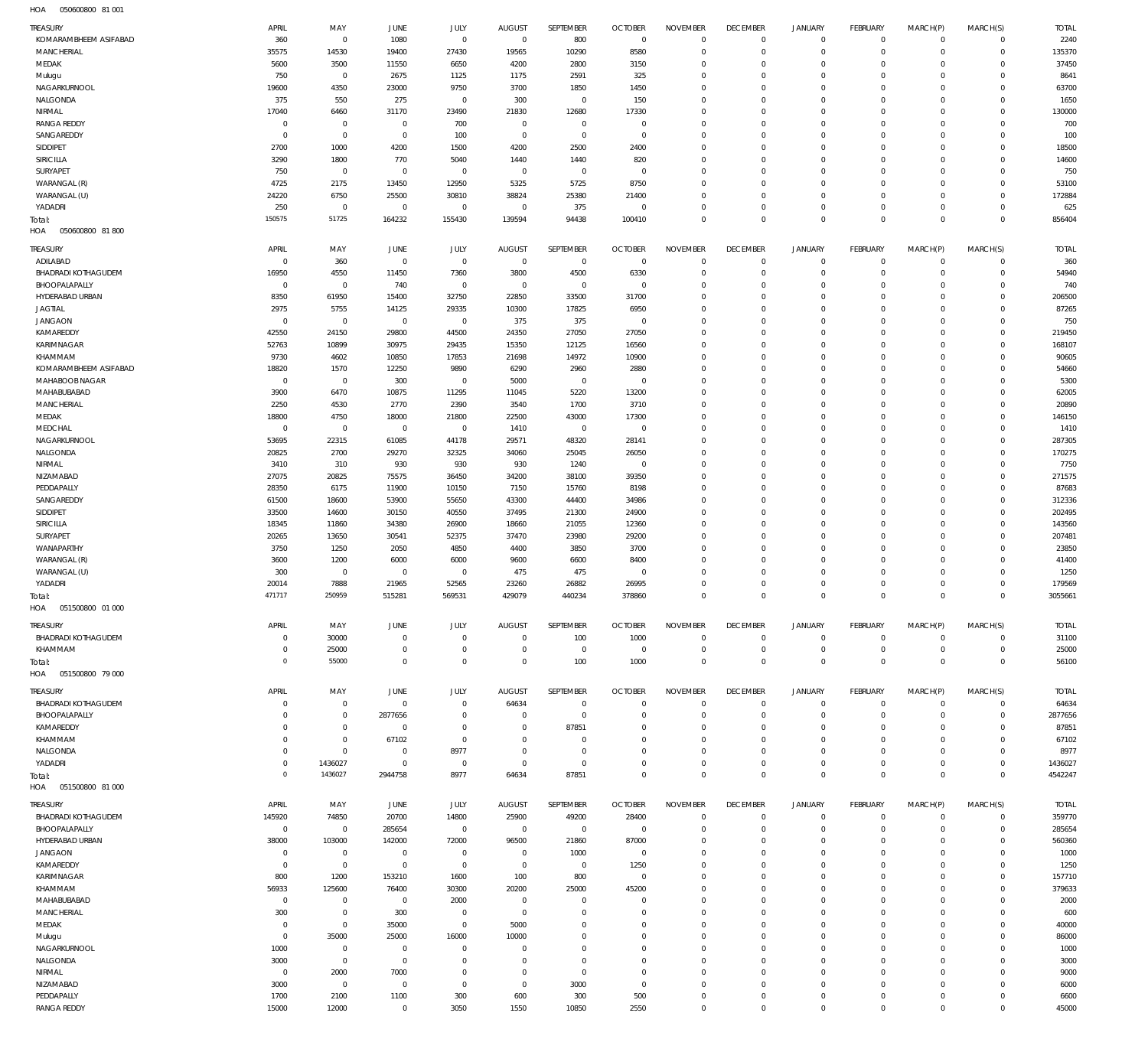050600800 81 001 HOA

| <b>TREASURY</b>                   | APRIL                | MAY                         | <b>JUNE</b>                   | JULY                | <b>AUGUST</b>                    | SEPTEMBER                     | <b>OCTOBER</b>                   | <b>NOVEMBER</b>         | <b>DECEMBER</b>                  | <b>JANUARY</b>             | <b>FEBRUARY</b>         | MARCH(P)                | MARCH(S)                   | <b>TOTAL</b>   |
|-----------------------------------|----------------------|-----------------------------|-------------------------------|---------------------|----------------------------------|-------------------------------|----------------------------------|-------------------------|----------------------------------|----------------------------|-------------------------|-------------------------|----------------------------|----------------|
| KOMARAMBHEEM ASIFABAD             | 360                  | $\mathbf 0$                 | 1080                          | $\mathbf 0$         | $\,0\,$                          | 800                           | $\overline{0}$                   | $\mathbf{0}$            | $\mathbf 0$                      | $\circ$                    | $\mathbf 0$             | $\mathbf{0}$            | $\mathbf 0$                | 2240           |
| <b>MANCHERIAL</b>                 | 35575                | 14530                       | 19400                         | 27430               | 19565                            | 10290                         | 8580                             | $\Omega$                | $\mathbf 0$                      | $\circ$                    | $\mathbf 0$             | $\Omega$                | $\mathbf 0$                | 135370         |
| MEDAK                             | 5600                 | 3500                        | 11550                         | 6650                | 4200                             | 2800                          | 3150                             | $\Omega$                | $\overline{0}$                   | $\Omega$                   | $\Omega$                | $\Omega$                | $\mathbf 0$                | 37450          |
| Mulugu                            | 750                  | $\mathbf 0$                 | 2675                          | 1125                | 1175                             | 2591                          | 325                              | $\Omega$                | $\overline{0}$                   | $\circ$                    | $\circ$                 | $\Omega$                | $\Omega$                   | 8641           |
| NAGARKURNOOL                      | 19600                | 4350                        | 23000                         | 9750                | 3700                             | 1850                          | 1450                             | $\Omega$                | $\overline{0}$                   | $\Omega$                   | $\Omega$                | $\Omega$                | $\Omega$                   | 63700          |
| NALGONDA                          | 375                  | 550                         | 275                           | $\mathbf 0$         | 300                              | $\overline{0}$                | 150                              | $\Omega$                | $\overline{0}$                   | $\Omega$                   | $\circ$                 | $\Omega$                | $\Omega$                   | 1650           |
| NIRMAL                            | 17040                | 6460                        | 31170                         | 23490               | 21830                            | 12680                         | 17330                            | $\Omega$                | $\Omega$                         | $\Omega$                   | $\Omega$                | $\Omega$                | $\Omega$                   | 130000         |
| <b>RANGA REDDY</b><br>SANGAREDDY  | $\Omega$<br>$\Omega$ | $\mathbf{0}$<br>$\mathbf 0$ | $\mathbf 0$<br>$\overline{0}$ | 700                 | $\overline{0}$<br>$\overline{0}$ | $\mathbf 0$<br>$\overline{0}$ | $\overline{0}$<br>$\overline{0}$ | $\Omega$<br>$\Omega$    | $\overline{0}$<br>$\overline{0}$ | $\Omega$<br>$\Omega$       | $\Omega$<br>$\Omega$    | $\Omega$<br>$\Omega$    | $\Omega$<br>$\Omega$       | 700<br>100     |
| SIDDIPET                          | 2700                 | 1000                        | 4200                          | 100<br>1500         | 4200                             | 2500                          | 2400                             | $\Omega$                | $\overline{0}$                   | $\Omega$                   | $\Omega$                | $\Omega$                | $\Omega$                   | 18500          |
| <b>SIRICILLA</b>                  | 3290                 | 1800                        | 770                           | 5040                | 1440                             | 1440                          | 820                              | $\Omega$                | $\Omega$                         | $\Omega$                   | $\Omega$                | $\Omega$                | $\Omega$                   | 14600          |
| SURYAPET                          | 750                  | $\mathbf{0}$                | $\circ$                       | $\mathbf 0$         | $\overline{0}$                   | $\overline{0}$                | $\overline{0}$                   | $\Omega$                | $\overline{0}$                   | $\Omega$                   | $\circ$                 | $\Omega$                | $\Omega$                   | 750            |
| WARANGAL (R)                      | 4725                 | 2175                        | 13450                         | 12950               | 5325                             | 5725                          | 8750                             | $\Omega$                | $\overline{0}$                   | $\Omega$                   | $\Omega$                | $\Omega$                | $\Omega$                   | 53100          |
| WARANGAL (U)                      | 24220                | 6750                        | 25500                         | 30810               | 38824                            | 25380                         | 21400                            | $\Omega$                | $\mathbf 0$                      | $\Omega$                   | $\circ$                 | $\Omega$                | $\Omega$                   | 172884         |
| YADADRI                           | 250                  | $\mathbf{0}$                | $^{\circ}$                    | $\mathbf 0$         | $\overline{0}$                   | 375                           | $\overline{0}$                   | $\Omega$                | $\mathbf 0$                      | $\Omega$                   | $\circ$                 | $\Omega$                | $\Omega$                   | 625            |
| Total:                            | 150575               | 51725                       | 164232                        | 155430              | 139594                           | 94438                         | 100410                           | $\Omega$                | $\mathbf{0}$                     | $\overline{0}$             | $\Omega$                | $\Omega$                | $\overline{0}$             | 856404         |
| HOA<br>050600800 81800            |                      |                             |                               |                     |                                  |                               |                                  |                         |                                  |                            |                         |                         |                            |                |
| TREASURY                          | APRIL                | MAY                         | JUNE                          | JULY                | <b>AUGUST</b>                    | SEPTEMBER                     | <b>OCTOBER</b>                   | <b>NOVEMBER</b>         | <b>DECEMBER</b>                  | <b>JANUARY</b>             | <b>FEBRUARY</b>         | MARCH(P)                | MARCH(S)                   | <b>TOTAL</b>   |
| ADILABAD                          | $\mathbf{0}$         | 360                         | $\overline{0}$                | $\mathbb O$         | $\overline{0}$                   | $\overline{0}$                | $\overline{0}$                   | $\mathbf{0}$            | $\mathbf 0$                      | $^{\circ}$                 | $\mathbf 0$             | $^{\circ}$              | $\mathbf 0$                | 360            |
| <b>BHADRADI KOTHAGUDEM</b>        | 16950                | 4550                        | 11450                         | 7360                | 3800                             | 4500                          | 6330                             | $\mathbf 0$             | $\mathbb O$                      | $\Omega$                   | $\mathbf 0$             | $^{\circ}$              | $\mathbf 0$                | 54940          |
| BHOOPALAPALLY                     | $\mathbf{0}$         | $\mathbf 0$                 | 740                           | $\bf 0$             | $\overline{0}$                   | $\overline{0}$                | $\overline{0}$                   | $\mathbf{0}$            | $\mathbf 0$                      | $\Omega$                   | $\circ$                 | $\Omega$                | $\mathbf 0$                | 740            |
| HYDERABAD URBAN                   | 8350                 | 61950                       | 15400                         | 32750               | 22850                            | 33500                         | 31700                            | $\mathbf 0$             | $\mathbf 0$                      | $\Omega$                   | $\circ$                 | $\Omega$                | $\mathbf 0$                | 206500         |
| <b>JAGTIAL</b>                    | 2975                 | 5755                        | 14125                         | 29335               | 10300                            | 17825                         | 6950                             | $\Omega$                | $\overline{0}$                   | $\Omega$                   | $\Omega$                | $\Omega$                | $\mathbf 0$                | 87265          |
| <b>JANGAON</b>                    | $\overline{0}$       | $\mathbf 0$                 | $\overline{0}$                | $\mathbb O$         | 375                              | 375                           | $\overline{0}$                   | $\Omega$                | $\mathbf 0$                      | $\Omega$                   | $\circ$                 | $\Omega$                | $\mathbf 0$                | 750            |
| KAMAREDDY                         | 42550                | 24150                       | 29800                         | 44500               | 24350                            | 27050                         | 27050                            | $\Omega$                | $\Omega$                         | $\Omega$                   | $\Omega$                | $\Omega$                | $\circ$                    | 219450         |
| KARIMNAGAR                        | 52763                | 10899                       | 30975                         | 29435               | 15350                            | 12125                         | 16560                            | $\Omega$                | $\mathbf 0$                      | $\Omega$                   | $\circ$                 | $\Omega$                | $\mathbf 0$                | 168107         |
| KHAMMAM                           | 9730                 | 4602                        | 10850                         | 17853               | 21698                            | 14972                         | 10900                            | $\Omega$                | $\overline{0}$                   | $\Omega$                   | $\Omega$                | $\Omega$                | $\mathbf 0$                | 90605          |
| KOMARAMBHEEM ASIFABAD             | 18820                | 1570                        | 12250                         | 9890                | 6290                             | 2960                          | 2880                             | $\Omega$                | $\mathbf 0$                      | $\Omega$                   | $\circ$                 | $\Omega$                | $\mathbf 0$                | 54660          |
| MAHABOOB NAGAR                    | $\mathbf{0}$         | $\mathbf 0$                 | 300                           | $\bf 0$             | 5000                             | $\overline{0}$                | $\overline{0}$                   | $\Omega$                | $\Omega$                         | $\Omega$                   | $\Omega$                | $\Omega$                | $\mathbf 0$                | 5300           |
| MAHABUBABAD<br>MANCHERIAL         | 3900                 | 6470                        | 10875                         | 11295               | 11045                            | 5220<br>1700                  | 13200                            | $\Omega$<br>$\mathbf 0$ | $\mathbf 0$<br>$\overline{0}$    | $\Omega$<br>$\Omega$       | $\circ$<br>$\Omega$     | $\Omega$<br>$\Omega$    | $\mathbf 0$<br>$\mathbf 0$ | 62005<br>20890 |
| MEDAK                             | 2250<br>18800        | 4530<br>4750                | 2770<br>18000                 | 2390<br>21800       | 3540<br>22500                    | 43000                         | 3710<br>17300                    | $\Omega$                | $\mathbf 0$                      | $\Omega$                   | $\circ$                 | $\Omega$                | $\mathbf 0$                | 146150         |
| MEDCHAL                           | $\mathbf{0}$         | $\mathbf 0$                 | $\overline{0}$                | $\mathbb O$         | 1410                             | $\overline{0}$                | $\overline{0}$                   | $\Omega$                | $\overline{0}$                   | $\Omega$                   | $\Omega$                | $\Omega$                | $\mathbf 0$                | 1410           |
| NAGARKURNOOL                      | 53695                | 22315                       | 61085                         | 44178               | 29571                            | 48320                         | 28141                            | $\Omega$                | $\mathbf 0$                      | $\Omega$                   | $\circ$                 | $\Omega$                | $\circ$                    | 287305         |
| NALGONDA                          | 20825                | 2700                        | 29270                         | 32325               | 34060                            | 25045                         | 26050                            | $\mathbf 0$             | $\overline{0}$                   | $\Omega$                   | $\circ$                 | $\Omega$                | $\mathbf 0$                | 170275         |
| NIRMAL                            | 3410                 | 310                         | 930                           | 930                 | 930                              | 1240                          | $\overline{0}$                   | $\Omega$                | $\mathbf 0$                      | $\Omega$                   | $\circ$                 | $\Omega$                | $\mathbf 0$                | 7750           |
| NIZAMABAD                         | 27075                | 20825                       | 75575                         | 36450               | 34200                            | 38100                         | 39350                            | $\mathbf 0$             | $\overline{0}$                   | $\Omega$                   | $\circ$                 | $\Omega$                | $\mathbf 0$                | 271575         |
| PEDDAPALLY                        | 28350                | 6175                        | 11900                         | 10150               | 7150                             | 15760                         | 8198                             | $\Omega$                | $\mathbf 0$                      | $\Omega$                   | $\circ$                 | $\Omega$                | $\mathbf 0$                | 87683          |
| SANGAREDDY                        | 61500                | 18600                       | 53900                         | 55650               | 43300                            | 44400                         | 34986                            | $\mathbf 0$             | $\mathbf 0$                      | $\Omega$                   | $\circ$                 | $\Omega$                | $\mathbf 0$                | 312336         |
| SIDDIPET                          | 33500                | 14600                       | 30150                         | 40550               | 37495                            | 21300                         | 24900                            | $\Omega$                | $\mathbf 0$                      | $\Omega$                   | $\circ$                 | $\Omega$                | $\mathbf 0$                | 202495         |
| <b>SIRICILLA</b>                  | 18345                | 11860                       | 34380                         | 26900               | 18660                            | 21055                         | 12360                            | $\Omega$                | $\mathbf 0$                      | $\Omega$                   | $\circ$                 | $\Omega$                | $\mathbf 0$                | 143560         |
| SURYAPET                          | 20265                | 13650                       | 30541                         | 52375               | 37470                            | 23980                         | 29200                            | $\Omega$                | $\mathbf 0$                      | $\Omega$                   | $\circ$                 | $\Omega$                | $\mathbf 0$                | 207481         |
| WANAPARTHY                        | 3750                 | 1250                        | 2050                          | 4850                | 4400                             | 3850                          | 3700                             | $\mathbf 0$             | $\mathbf 0$                      | $\Omega$                   | $\circ$                 | $\Omega$                | $\mathbf 0$                | 23850          |
| WARANGAL (R)                      | 3600                 | 1200                        | 6000                          | 6000                | 9600                             | 6600                          | 8400                             | 0                       | $\mathbf 0$                      | $\Omega$                   | $\circ$                 | $\Omega$                | $\mathbf 0$                | 41400          |
| WARANGAL (U)                      | 300                  | $\mathbf 0$                 | $^{\circ}$                    | $\mathbf 0$         | 475                              | 475                           | $\overline{0}$                   | $\Omega$                | $\mathbf 0$                      | $\Omega$                   | $\circ$                 | $\Omega$                | $\mathbf 0$                | 1250           |
| YADADRI                           | 20014<br>471717      | 7888<br>250959              | 21965                         | 52565               | 23260                            | 26882                         | 26995                            | 0                       | $\mathbf 0$                      | $\Omega$                   | $\mathbf 0$<br>$\Omega$ | $\Omega$<br>$\Omega$    | $\mathbf 0$                | 179569         |
| Total:<br>HOA<br>051500800 01 000 |                      |                             | 515281                        | 569531              | 429079                           | 440234                        | 378860                           | $\mathbf 0$             | $\mathbb O$                      | $\overline{0}$             |                         |                         | $\mathbb O$                | 3055661        |
|                                   |                      |                             |                               |                     |                                  |                               |                                  |                         |                                  |                            |                         |                         |                            |                |
| <b>TREASURY</b>                   | APRIL                | MAY                         | JUNE                          |                     |                                  |                               | <b>OCTOBER</b>                   | <b>NOVEMBER</b>         | <b>DECEMBER</b>                  | <b>JANUARY</b>             |                         |                         |                            |                |
| <b>BHADRADI KOTHAGUDEM</b>        |                      |                             |                               | JULY                | <b>AUGUST</b>                    | SEPTEMBER                     |                                  |                         |                                  |                            | <b>FEBRUARY</b>         | MARCH(P)                | MARCH(S)                   | <b>TOTAL</b>   |
| KHAMMAM                           | $\Omega$             | 30000                       | $\circ$                       | $\mathbf 0$         | $\mathbf 0$                      | 100                           | 1000                             | $\Omega$                | $^{\circ}$                       | $\Omega$                   | $^{\circ}$              | $\Omega$                | $\mathbf 0$                | 31100          |
|                                   | $\Omega$             | 25000                       | $^{\circ}$                    | $\Omega$            | $\mathbf 0$                      | $\overline{0}$                | $\overline{0}$                   | $\Omega$                | $\mathbf 0$                      | $\Omega$                   | $\circ$                 | $\Omega$                | $\mathbf 0$                | 25000          |
| Total:                            | 0                    | 55000                       | $\circ$                       | $\mathbf 0$         | $\mathbf 0$                      | 100                           | 1000                             | $\mathbf 0$             | $\mathbf 0$                      | $\overline{0}$             | $\Omega$                | $\Omega$                | $\mathbb O$                | 56100          |
| HOA  051500800  79 000            |                      |                             |                               |                     |                                  |                               |                                  |                         |                                  |                            |                         |                         |                            |                |
| TREASURY                          | APRIL                | MAY                         | JUNE                          | JULY                | <b>AUGUST</b>                    | SEPTEMBER                     | <b>OCTOBER</b>                   | <b>NOVEMBER</b>         | <b>DECEMBER</b>                  | <b>JANUARY</b>             | <b>FEBRUARY</b>         | MARCH(P)                | MARCH(S)                   | <b>TOTAL</b>   |
| <b>BHADRADI KOTHAGUDEM</b>        | $\Omega$             | $\mathbf 0$                 | $\circ$                       | $\mathbf 0$         | 64634                            | $\overline{0}$                | $\overline{0}$                   | $\Omega$                | $\overline{0}$                   | $\Omega$                   | $\mathbf 0$             | $\Omega$                | $\circ$                    | 64634          |
| BHOOPALAPALLY                     | $\Omega$             | $\mathbf 0$                 | 2877656                       | $\mathbf 0$         | $\overline{0}$                   | $\mathbf 0$                   | $\mathbf 0$                      | $\mathbf 0$             | $\overline{0}$                   | $\Omega$                   | $\circ$                 | $\Omega$                | $\mathbf 0$                | 2877656        |
| KAMAREDDY                         | $\Omega$             | $\mathbf 0$                 | $^{\circ}$                    | $\mathbf 0$         | $\overline{0}$                   | 87851                         | $\mathbf 0$                      | $\Omega$                | $\overline{0}$                   | $\Omega$                   | $\circ$                 | $\Omega$                | $\mathbf 0$                | 87851          |
| KHAMMAM                           | $\Omega$             | $\mathbf 0$                 | 67102                         | $\mathbf 0$         | $\overline{0}$                   | $^{\circ}$                    | $\mathbf 0$                      | $\Omega$                | $\overline{0}$                   | $\Omega$                   | $\circ$                 | $\Omega$                | $\mathbf 0$                | 67102          |
| NALGONDA                          | $\mathbf{0}$         | $\mathbf 0$                 | $\circ$                       | 8977                | $\overline{0}$                   | $^{\circ}$                    | $\mathbf 0$                      | $\Omega$                | $\mathbf 0$                      | $\Omega$                   | $\circ$                 | $\Omega$                | $\mathbf 0$                | 8977           |
| YADADRI                           | $\overline{0}$       | 1436027                     | $\circ$                       | 0                   | $\overline{0}$                   | $^{\circ}$                    | $\mathbf 0$                      | $\mathbf 0$             | $\mathbf 0$                      | $\Omega$                   | $\mathbf 0$             | $\mathbf 0$             | $\mathbf 0$                | 1436027        |
| Total:                            | $\circ$              | 1436027                     | 2944758                       | 8977                | 64634                            | 87851                         | $\overline{0}$                   | $\mathbf 0$             | $\mathbb O$                      | $\circ$                    | $\mathbf{0}$            | $\Omega$                | $\mathbb O$                | 4542247        |
| 051500800 81 000<br>HOA           |                      |                             |                               |                     |                                  |                               |                                  |                         |                                  |                            |                         |                         |                            |                |
| <b>TREASURY</b>                   | APRIL                | MAY                         | JUNE                          | JULY                | <b>AUGUST</b>                    | SEPTEMBER                     | <b>OCTOBER</b>                   | <b>NOVEMBER</b>         | <b>DECEMBER</b>                  | <b>JANUARY</b>             | <b>FEBRUARY</b>         | MARCH(P)                | MARCH(S)                   | <b>TOTAL</b>   |
| <b>BHADRADI KOTHAGUDEM</b>        | 145920               | 74850                       | 20700                         | 14800               | 25900                            | 49200                         | 28400                            | $\Omega$                | $\overline{0}$                   | $\circ$                    | $\circ$                 | $\Omega$                | $\mathbf 0$                | 359770         |
| BHOOPALAPALLY                     | $\mathbb O$          | $\mathbf 0$                 | 285654                        | $\mathbf 0$         | $\overline{0}$                   | $\overline{0}$                | $\overline{0}$                   | $\Omega$                | $\Omega$                         | $\Omega$                   | $\circ$                 | $\Omega$                | $\mathbf 0$                | 285654         |
| HYDERABAD URBAN                   | 38000                | 103000                      | 142000                        | 72000               | 96500                            | 21860                         | 87000                            | $\Omega$                | $\Omega$                         | $\Omega$                   | $\circ$                 | $\Omega$                | $\Omega$                   | 560360         |
| JANGAON                           | $\Omega$             | $^{\circ}$                  | $^{\circ}$                    | $\mathbf 0$         | $\overline{0}$                   | 1000                          | $\overline{0}$                   | $\Omega$                | $\Omega$                         | $\Omega$                   | $\Omega$                | $\Omega$                | $\Omega$                   | 1000           |
| KAMAREDDY                         | $\Omega$             | $\mathbf 0$                 | $^{\circ}$                    | $\mathbf 0$         | $\overline{0}$                   | $^{\circ}$                    | 1250                             | $\Omega$                | $^{\circ}$                       | $\Omega$                   | $\circ$                 | $\Omega$                | $\Omega$                   | 1250           |
| KARIMNAGAR                        | 800                  | 1200                        | 153210                        | 1600                | 100                              | 800                           | $\overline{0}$                   | $\Omega$                | $\Omega$                         | $\Omega$                   | $\Omega$                | $\Omega$                | $\Omega$                   | 157710         |
| KHAMMAM                           | 56933                | 125600                      | 76400                         | 30300               | 20200                            | 25000                         | 45200                            | $\Omega$<br>$\Omega$    | $^{\circ}$<br>$\Omega$           | $\Omega$<br>$\Omega$       | $\circ$<br>$\Omega$     | $\Omega$<br>$\Omega$    | $\Omega$<br>$\Omega$       | 379633         |
| MAHABUBABAD                       | $^{\circ}$           | $\overline{0}$              | $^{\circ}$                    | 2000<br>$\mathbf 0$ | $\overline{0}$<br>$\overline{0}$ | $\mathbf 0$<br>$\Omega$       | $\mathbf{0}$<br>$^{\circ}$       | $\Omega$                | $^{\circ}$                       | $\circ$                    | $\circ$                 | $\Omega$                | $\Omega$                   | 2000           |
| <b>MANCHERIAL</b><br>MEDAK        | 300<br>$\Omega$      | $\mathbf 0$<br>$\mathbf 0$  | 300<br>35000                  | $\mathbf 0$         | 5000                             | $\Omega$                      | $\mathbf 0$                      | $\Omega$                | $\Omega$                         | $\Omega$                   | $\Omega$                | $\Omega$                | $\Omega$                   | 600<br>40000   |
| Mulugu                            | $\Omega$             | 35000                       | 25000                         | 16000               | 10000                            | $\Omega$                      | $\mathbf 0$                      | $\Omega$                | $^{\circ}$                       | $\Omega$                   | $\circ$                 | $\Omega$                | $\Omega$                   | 86000          |
| NAGARKURNOOL                      | 1000                 | $\overline{0}$              | $^{\circ}$                    | $\mathbf 0$         | $\Omega$                         | $\Omega$                      | $\mathbf 0$                      | $\Omega$                | $\Omega$                         | $\Omega$                   | $\Omega$                | -C                      | $\Omega$                   | 1000           |
| NALGONDA                          | 3000                 | $\mathbf 0$                 | $^{\circ}$                    | $\Omega$            | $\Omega$                         | $\Omega$                      | $\mathbf 0$                      | $\Omega$                | $\overline{0}$                   | $\Omega$                   | $\circ$                 | $\Omega$                | $\Omega$                   | 3000           |
| NIRMAL                            | $^{\circ}$           | 2000                        | 7000                          | $\mathbf 0$         | $\Omega$                         | $\mathbf 0$                   | $\mathbf{0}$                     | $\Omega$                | $\Omega$                         | $\Omega$                   | $\Omega$                | $\Omega$                | $\Omega$                   | 9000           |
| NIZAMABAD                         | 3000                 | $\mathbf{0}$                | $^{\circ}$                    | $\Omega$            | $\Omega$                         | 3000                          | $\overline{0}$                   | $\Omega$                | $\overline{0}$                   | $\Omega$                   | $\circ$                 | $\Omega$                | $\Omega$                   | 6000           |
| PEDDAPALLY<br><b>RANGA REDDY</b>  | 1700<br>15000        | 2100<br>12000               | 1100<br>$\mathbf 0$           | 300<br>3050         | 600<br>1550                      | 300<br>10850                  | 500<br>2550                      | $\Omega$<br>$\mathbf 0$ | $\overline{0}$<br>$\mathbb O$    | $\mathbf 0$<br>$\mathbf 0$ | $\circ$<br>$\mathbf 0$  | $\Omega$<br>$\mathbf 0$ | $\mathbf 0$<br>$\mathbf 0$ | 6600<br>45000  |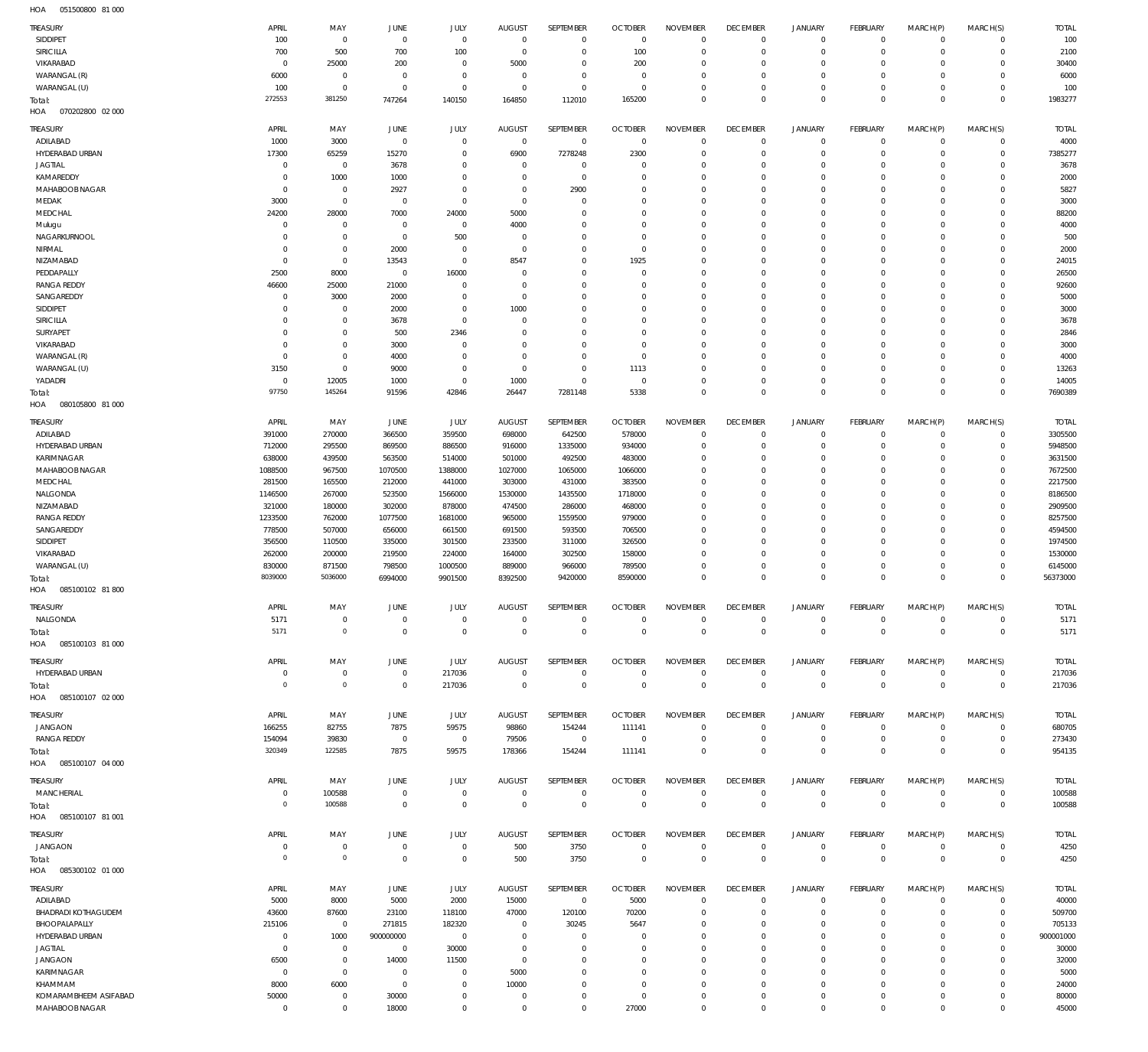051500800 81 000 HOA

| TREASURY                                | APRIL                      | MAY                              | <b>JUNE</b>                   | JULY                          | <b>AUGUST</b>                   | SEPTEMBER                     | <b>OCTOBER</b>                   | <b>NOVEMBER</b>                   | <b>DECEMBER</b>                | <b>JANUARY</b>                | <b>FEBRUARY</b>               | MARCH(P)                   | MARCH(S)                      | <b>TOTAL</b>            |
|-----------------------------------------|----------------------------|----------------------------------|-------------------------------|-------------------------------|---------------------------------|-------------------------------|----------------------------------|-----------------------------------|--------------------------------|-------------------------------|-------------------------------|----------------------------|-------------------------------|-------------------------|
| SIDDIPET                                | 100                        | $\overline{0}$                   | $\overline{0}$                | $\mathbf 0$                   | $\overline{0}$                  | $\mathbf 0$                   | $\overline{0}$                   | $\overline{0}$                    | $^{\circ}$                     | $\mathbf 0$                   | $\overline{0}$                | $\mathbf 0$                | $\overline{0}$                | 100                     |
| SIRICILLA                               | 700                        | 500                              | 700                           | 100                           | $^{\circ}$                      | $\mathbf 0$                   | 100                              | $\Omega$                          | $^{\circ}$                     | $\mathbf 0$                   | $\mathbf 0$                   | $\mathbf 0$                | $\mathbf 0$                   | 2100                    |
| VIKARABAD                               | $\overline{0}$             | 25000                            | 200<br>$\mathbf 0$            | $\overline{0}$<br>$\mathbf 0$ | 5000<br>$^{\circ}$              | $\overline{0}$<br>$\mathbf 0$ | 200<br>$\Omega$                  | $\Omega$<br>$\Omega$              | $\Omega$<br>$\Omega$           | $\circ$<br>$\mathbf 0$        | $^{\circ}$<br>$^{\circ}$      | $\Omega$<br>$\Omega$       | $\mathbf 0$<br>$\mathbf 0$    | 30400                   |
| WARANGAL (R)<br>WARANGAL (U)            | 6000<br>100                | $\overline{0}$<br>$\overline{0}$ | $\mathbf{0}$                  | $\mathbf 0$                   | $\overline{0}$                  | $\overline{0}$                | $\overline{0}$                   | $\overline{0}$                    | $^{\circ}$                     | $\mathsf{O}$                  | $^{\circ}$                    | $\Omega$                   | $\overline{0}$                | 6000<br>100             |
| Total:                                  | 272553                     | 381250                           | 747264                        | 140150                        | 164850                          | 112010                        | 165200                           | $\mathbf 0$                       | $\mathbf{0}$                   | $\mathbf 0$                   | $\circ$                       | $\mathbf 0$                | $\mathbf 0$                   | 1983277                 |
| HOA<br>070202800 02 000                 |                            |                                  |                               |                               |                                 |                               |                                  |                                   |                                |                               |                               |                            |                               |                         |
| TREASURY                                | APRIL                      | MAY                              | JUNE                          | JULY                          | <b>AUGUST</b>                   | SEPTEMBER                     | <b>OCTOBER</b>                   | <b>NOVEMBER</b>                   | <b>DECEMBER</b>                | <b>JANUARY</b>                | <b>FEBRUARY</b>               | MARCH(P)                   | MARCH(S)                      | <b>TOTAL</b>            |
| ADILABAD                                | 1000                       | 3000                             | $\mathbf{0}$                  | $\overline{0}$                | $\overline{0}$                  | $\overline{0}$                | $\overline{0}$                   | $\overline{0}$                    | $^{\circ}$                     | $\mathbf 0$                   | $\mathbf 0$                   | $^{\circ}$                 | $\mathbf 0$                   | 4000                    |
| HYDERABAD URBAN                         | 17300                      | 65259                            | 15270                         | $\overline{0}$                | 6900                            | 7278248                       | 2300                             | $\Omega$                          | $^{\circ}$                     | $\mathbf 0$                   | $^{\circ}$                    | $\mathbf 0$                | $\mathbf 0$                   | 7385277                 |
| <b>JAGTIAL</b>                          | $\mathbf 0$                | $\overline{0}$                   | 3678                          | $\Omega$                      | $\overline{0}$                  | $\Omega$                      | $\Omega$                         | $\Omega$                          | $\Omega$                       | $\Omega$                      | $^{\circ}$                    | $\Omega$                   | $\Omega$                      | 3678                    |
| KAMAREDDY<br>MAHABOOB NAGAR             | $\mathbf 0$<br>$\mathbf 0$ | 1000<br>$\overline{0}$           | 1000<br>2927                  | $\Omega$<br>$\Omega$          | $\Omega$<br>$\Omega$            | $\overline{0}$<br>2900        | $\Omega$<br>$\Omega$             | $\Omega$<br>$\Omega$              | $\Omega$<br>$\Omega$           | $\Omega$<br>$\Omega$          | $\Omega$<br>$\Omega$          | $\Omega$<br>$\Omega$       | $\Omega$<br>$\Omega$          | 2000<br>5827            |
| MEDAK                                   | 3000                       | $\overline{0}$                   | $^{\circ}$                    | $\mathbf 0$                   | $\Omega$                        | $^{\circ}$                    | $\Omega$                         | $\Omega$                          | $\Omega$                       | $\Omega$                      | $\Omega$                      | $\Omega$                   | $\Omega$                      | 3000                    |
| MEDCHAL                                 | 24200                      | 28000                            | 7000                          | 24000                         | 5000                            | $\Omega$                      | $\Omega$                         | $\Omega$                          | $\Omega$                       | $\Omega$                      | $\Omega$                      | $\Omega$                   | $\Omega$                      | 88200                   |
| Mulugu                                  | $\mathbf 0$                | $\mathbf 0$                      | $^{\circ}$                    | $\overline{0}$                | 4000                            | $\Omega$                      | $\Omega$                         | $\Omega$                          | $\Omega$                       | $\Omega$                      | $\Omega$                      | $\Omega$                   | $\Omega$                      | 4000                    |
| NAGARKURNOOL                            | $\Omega$                   | $\mathbf 0$                      | $\mathbf{0}$                  | 500                           | $\Omega$                        | $\Omega$                      | $\Omega$                         | $\Omega$                          | $\Omega$                       | $\Omega$                      | $\Omega$                      | $\Omega$                   | $\Omega$                      | 500                     |
| NIRMAL<br>NIZAMABAD                     | $\mathbf 0$<br>$\mathbf 0$ | $\overline{0}$<br>$\overline{0}$ | 2000<br>13543                 | $\overline{0}$<br>$\mathbf 0$ | $\Omega$<br>8547                | $\mathbf{0}$<br>$\Omega$      | $\Omega$<br>1925                 | $\Omega$<br>$\Omega$              | $\Omega$<br>$\Omega$           | $\Omega$<br>$\Omega$          | $\Omega$<br>$\Omega$          | $\Omega$<br>$\Omega$       | $\Omega$<br>$\Omega$          | 2000<br>24015           |
| PEDDAPALLY                              | 2500                       | 8000                             | $^{\circ}$                    | 16000                         | $\Omega$                        | $\mathbf{0}$                  | $\Omega$                         | $\Omega$                          | $\Omega$                       | $\Omega$                      | $\Omega$                      | $\Omega$                   | $\Omega$                      | 26500                   |
| <b>RANGA REDDY</b>                      | 46600                      | 25000                            | 21000                         | $\Omega$                      | $\Omega$                        | $\Omega$                      | $\Omega$                         | $\Omega$                          | $\Omega$                       | $\Omega$                      | $\Omega$                      | $\Omega$                   | $\Omega$                      | 92600                   |
| SANGAREDDY                              | $\mathbf 0$                | 3000                             | 2000                          | $\overline{0}$                | $\Omega$                        | $\Omega$                      | $\Omega$                         | $\Omega$                          | $\Omega$                       | $\Omega$                      | $\Omega$                      | $\Omega$                   | $\Omega$                      | 5000                    |
| SIDDIPET                                | $\Omega$                   | $\overline{0}$                   | 2000                          | $\Omega$                      | 1000                            | $\Omega$                      | $\Omega$                         | $\Omega$                          | $\Omega$                       | $\Omega$                      | $\Omega$                      | $\Omega$                   | $\Omega$                      | 3000                    |
| <b>SIRICILLA</b><br>SURYAPET            | $\Omega$<br>$\Omega$       | $\overline{0}$<br>$\mathbf 0$    | 3678<br>500                   | $\overline{0}$<br>2346        | $^{\circ}$<br>$\Omega$          | $\Omega$<br>$\Omega$          | $\Omega$<br>$\Omega$             | $\Omega$<br>$\Omega$              | $\Omega$<br>$\Omega$           | $\Omega$<br>$\Omega$          | $\Omega$<br>$\Omega$          | $\Omega$<br>$\Omega$       | $\Omega$<br>$\Omega$          | 3678<br>2846            |
| VIKARABAD                               | $\Omega$                   | $\overline{0}$                   | 3000                          | $\overline{0}$                | $\Omega$                        | $\Omega$                      | $\Omega$                         | $\Omega$                          | $\Omega$                       | $\Omega$                      | $\Omega$                      | $\Omega$                   | $\Omega$                      | 3000                    |
| WARANGAL (R)                            | $\mathbf 0$                | $\mathbf 0$                      | 4000                          | $\Omega$                      | $\Omega$                        | $\Omega$                      | $\Omega$                         | $\Omega$                          | $\Omega$                       | $\Omega$                      | $\Omega$                      | $\Omega$                   | $\Omega$                      | 4000                    |
| WARANGAL (U)                            | 3150                       | $\overline{0}$                   | 9000                          | $\Omega$                      | $^{\circ}$                      | $\Omega$                      | 1113                             | $\Omega$                          | $\Omega$                       | $\Omega$                      | $\Omega$                      | $\Omega$                   | $\Omega$                      | 13263                   |
| YADADRI                                 | $\mathbf 0$                | 12005                            | 1000                          | $\mathbf 0$                   | 1000                            | $\mathbf 0$                   | $\overline{0}$                   | $\Omega$                          | $^{\circ}$                     | $\mathbf 0$                   | $^{\circ}$                    | $^{\circ}$                 | $\mathbf 0$                   | 14005                   |
| Total:<br>HOA<br>080105800 81 000       | 97750                      | 145264                           | 91596                         | 42846                         | 26447                           | 7281148                       | 5338                             | $\Omega$                          | $\circ$                        | $\mathbf 0$                   | $\Omega$                      | $\Omega$                   | $\Omega$                      | 7690389                 |
|                                         |                            |                                  |                               |                               |                                 |                               |                                  |                                   |                                |                               |                               |                            |                               |                         |
| TREASURY<br>ADILABAD                    | APRIL<br>391000            | MAY<br>270000                    | JUNE<br>366500                | JULY<br>359500                | AUGUST<br>698000                | SEPTEMBER<br>642500           | <b>OCTOBER</b><br>578000         | <b>NOVEMBER</b><br>$\overline{0}$ | <b>DECEMBER</b><br>$^{\circ}$  | <b>JANUARY</b><br>$\mathbf 0$ | <b>FEBRUARY</b><br>$^{\circ}$ | MARCH(P)<br>$^{\circ}$     | MARCH(S)<br>$\overline{0}$    | <b>TOTAL</b><br>3305500 |
| HYDERABAD URBAN                         | 712000                     | 295500                           | 869500                        | 886500                        | 916000                          | 1335000                       | 934000                           | $\Omega$                          | $\Omega$                       | $\mathbf 0$                   | $^{\circ}$                    | $^{\circ}$                 | $\mathbf 0$                   | 5948500                 |
| KARIMNAGAR                              | 638000                     | 439500                           | 563500                        | 514000                        | 501000                          | 492500                        | 483000                           | $^{\circ}$                        | $\Omega$                       | $\mathbf 0$                   | $^{\circ}$                    | $\mathbf 0$                | $\mathbf 0$                   | 3631500                 |
| MAHABOOB NAGAR                          | 1088500                    | 967500                           | 1070500                       | 1388000                       | 1027000                         | 1065000                       | 1066000                          | $\Omega$                          | $\Omega$                       | $\mathbf 0$                   | $\Omega$                      | $\Omega$                   | $\mathbf 0$                   | 7672500                 |
| MEDCHAL                                 | 281500                     | 165500                           | 212000                        | 441000                        | 303000                          | 431000                        | 383500                           | $\Omega$                          | $\Omega$                       | $\mathbf 0$                   | $^{\circ}$                    | $\Omega$                   | $\mathbf 0$                   | 2217500                 |
| NALGONDA                                | 1146500                    | 267000                           | 523500                        | 1566000                       | 1530000                         | 1435500                       | 1718000                          | $\Omega$<br>$\Omega$              | $\Omega$                       | $\mathbf 0$<br>$\mathbf 0$    | $\Omega$<br>$\Omega$          | $\Omega$<br>$\Omega$       | $\mathbf 0$<br>$\mathbf 0$    | 8186500                 |
| NIZAMABAD<br><b>RANGA REDDY</b>         | 321000<br>1233500          | 180000<br>762000                 | 302000<br>1077500             | 878000<br>1681000             | 474500<br>965000                | 286000<br>1559500             | 468000<br>979000                 | $\Omega$                          | $\Omega$<br>$\Omega$           | $\mathbf 0$                   | $^{\circ}$                    | $\Omega$                   | $\mathbf 0$                   | 2909500<br>8257500      |
| SANGAREDDY                              | 778500                     | 507000                           | 656000                        | 661500                        | 691500                          | 593500                        | 706500                           | $^{\circ}$                        | $\Omega$                       | $\mathbf 0$                   | $\Omega$                      | $\Omega$                   | $\mathbf 0$                   | 4594500                 |
| SIDDIPET                                | 356500                     | 110500                           | 335000                        | 301500                        | 233500                          | 311000                        | 326500                           | $\Omega$                          | $\Omega$                       | $\mathbf 0$                   | $^{\circ}$                    | $\Omega$                   | $\mathbf 0$                   | 1974500                 |
| VIKARABAD                               | 262000                     | 200000                           | 219500                        | 224000                        | 164000                          | 302500                        | 158000                           | $\Omega$                          | $\Omega$                       | $\mathbf 0$                   | $\Omega$                      | $\Omega$                   | $\Omega$                      | 1530000                 |
| WARANGAL (U)                            | 830000                     | 871500                           | 798500                        | 1000500                       | 889000                          | 966000                        | 789500                           | $\mathbf 0$                       | $^{\circ}$                     | $\mathbf 0$                   | $^{\circ}$                    | $\mathbf 0$                | $\mathbf 0$                   | 6145000                 |
| Total:<br>HOA<br>085100102 81 800       | 8039000                    | 5036000                          | 6994000                       | 9901500                       | 8392500                         | 9420000                       | 8590000                          | $\mathbf 0$                       | $\Omega$                       | $\mathbf 0$                   | $\mathbf 0$                   | $\mathbf 0$                | $\mathbf{0}$                  | 56373000                |
| <b>TREASURY</b>                         | APRIL                      | MAY                              | <b>JUNE</b>                   | JULY                          | <b>AUGUST</b>                   | <b>SEPTEMBER</b>              | <b>OCTOBER</b>                   | <b>NOVEMBER</b>                   | <b>DECEMBER</b>                | <b>JANUARY</b>                | <b>FEBRUARY</b>               | MARCH(P)                   | MARCH(S)                      | <b>TOTAL</b>            |
| NALGONDA                                | 5171                       | $\mathbf 0$                      | $\mathbf 0$                   | $\mathbf 0$                   | $\mathbf 0$                     | $\mathbf 0$                   | $\Omega$                         | $\mathbf 0$                       | $^{\circ}$                     | $\mathbf 0$                   | $\mathbf 0$                   | $\mathbf 0$                | $\overline{0}$                | 5171                    |
| Total:                                  | 5171                       | $\mathbb O$                      | $\mathbf 0$                   | $\mathbf 0$                   | $\mathbf 0$                     | $\circ$                       | $\overline{0}$                   | $\overline{0}$                    | $\overline{0}$                 | $\mathbb O$                   | $\mathbf 0$                   | $\mathbf 0$                | $\mathbf 0$                   | 5171                    |
| HOA<br>085100103 81 000                 |                            |                                  |                               |                               |                                 |                               |                                  |                                   |                                |                               |                               |                            |                               |                         |
| TREASURY                                | APRIL                      | MAY                              | JUNE                          | JULY                          | <b>AUGUST</b>                   | SEPTEMBER                     | <b>OCTOBER</b>                   | <b>NOVEMBER</b>                   | <b>DECEMBER</b>                | <b>JANUARY</b>                | <b>FEBRUARY</b>               | MARCH(P)                   | MARCH(S)                      | <b>TOTAL</b>            |
| HYDERABAD URBAN                         | 0                          | $\overline{0}$                   | $\mathbf 0$                   | 217036                        | $\mathbf 0$                     | $\mathbf 0$                   | $\overline{0}$                   | $\mathbf 0$                       | $\mathbf 0$                    | $\mathbf 0$                   | $\mathbf{0}$                  | $\mathbf 0$                | $\overline{0}$                | 217036                  |
| Total:                                  | $\mathbf 0$                | $\mathbb O$                      | $\mathbf 0$                   | 217036                        | $\overline{0}$                  | $\overline{0}$                | $\overline{0}$                   | $\mathbf 0$                       | $\mathbf 0$                    | $\mathbf 0$                   | $\overline{0}$                | $\mathbf 0$                | $\overline{0}$                | 217036                  |
| 085100107 02 000<br>HOA                 |                            |                                  |                               |                               |                                 |                               |                                  |                                   |                                |                               |                               |                            |                               |                         |
| TREASURY                                | APRIL                      | MAY                              | <b>JUNE</b>                   | JULY                          | <b>AUGUST</b>                   | SEPTEMBER                     | <b>OCTOBER</b>                   | <b>NOVEMBER</b>                   | <b>DECEMBER</b>                | <b>JANUARY</b>                | <b>FEBRUARY</b>               | MARCH(P)                   | MARCH(S)                      | <b>TOTAL</b>            |
| <b>JANGAON</b>                          | 166255                     | 82755                            | 7875                          | 59575                         | 98860                           | 154244                        | 111141                           | $\Omega$                          | $^{\circ}$                     | $\mathbf 0$                   | $^{\circ}$                    | $\Omega$                   | $\mathbf 0$                   | 680705                  |
| <b>RANGA REDDY</b>                      | 154094<br>320349           | 39830<br>122585                  | $\overline{0}$                | $\,0\,$                       | 79506                           | $\overline{0}$                | $\overline{0}$                   | $\Omega$<br>$\Omega$              | $^{\circ}$                     | $\mathbf 0$                   | $^{\circ}$<br>$\Omega$        | $\mathbf 0$                | $^{\circ}$                    | 273430                  |
| Total:<br>085100107 04 000<br>HOA       |                            |                                  | 7875                          | 59575                         | 178366                          | 154244                        | 111141                           |                                   | $\Omega$                       | $\mathbf 0$                   |                               | $\mathbf 0$                | $\mathbf 0$                   | 954135                  |
|                                         |                            |                                  |                               |                               |                                 |                               |                                  |                                   |                                |                               |                               |                            |                               |                         |
| TREASURY<br><b>MANCHERIAL</b>           | APRIL<br>$\overline{0}$    | MAY<br>100588                    | <b>JUNE</b><br>$\overline{0}$ | JULY<br>$\mathbf 0$           | <b>AUGUST</b><br>$\overline{0}$ | SEPTEMBER<br>$\overline{0}$   | <b>OCTOBER</b><br>$\overline{0}$ | <b>NOVEMBER</b><br>$\mathbf 0$    | <b>DECEMBER</b><br>$\mathbf 0$ | <b>JANUARY</b><br>$\mathbf 0$ | FEBRUARY<br>$\mathbf{0}$      | MARCH(P)<br>0              | MARCH(S)<br>$\overline{0}$    | <b>TOTAL</b><br>100588  |
| Total:                                  | $\mathbf 0$                | 100588                           | $\mathbf 0$                   | $\mathbb O$                   | $\mathbf 0$                     | $\overline{0}$                | $\overline{0}$                   | $\mathbb O$                       | $\mathbf{0}$                   | $\mathbf 0$                   | $\overline{0}$                | $\mathbf 0$                | $\mathbf 0$                   | 100588                  |
| 085100107 81 001<br>HOA                 |                            |                                  |                               |                               |                                 |                               |                                  |                                   |                                |                               |                               |                            |                               |                         |
| TREASURY                                | APRIL                      | MAY                              | <b>JUNE</b>                   | JULY                          | <b>AUGUST</b>                   | SEPTEMBER                     | <b>OCTOBER</b>                   | <b>NOVEMBER</b>                   | <b>DECEMBER</b>                | <b>JANUARY</b>                | <b>FEBRUARY</b>               | MARCH(P)                   | MARCH(S)                      | <b>TOTAL</b>            |
| <b>JANGAON</b>                          | $\mathbf 0$                | $\overline{0}$                   | $\mathbf 0$                   | $\mathbf 0$                   | 500                             | 3750                          | $\Omega$                         | $^{\circ}$                        | $\mathbf 0$                    | $\mathbf 0$                   | $^{\circ}$                    | $^{\circ}$                 | $\overline{0}$                | 4250                    |
| Total:                                  | $\mathbf 0$                | $\mathbb O$                      | $\mathbf{0}$                  | $\mathbf 0$                   | 500                             | 3750                          | $\Omega$                         | $\mathbf 0$                       | $\mathbf{0}$                   | $\mathbf 0$                   | $\mathbf 0$                   | $\mathbf 0$                | $\mathbf 0$                   | 4250                    |
| 085300102 01 000<br>HOA                 |                            |                                  |                               |                               |                                 |                               |                                  |                                   |                                |                               |                               |                            |                               |                         |
| TREASURY                                | APRIL                      | MAY                              | JUNE                          | JULY                          | <b>AUGUST</b>                   | SEPTEMBER                     | <b>OCTOBER</b>                   | <b>NOVEMBER</b>                   | <b>DECEMBER</b>                | <b>JANUARY</b>                | <b>FEBRUARY</b>               | MARCH(P)                   | MARCH(S)                      | <b>TOTAL</b>            |
| ADILABAD                                | 5000                       | 8000                             | 5000                          | 2000                          | 15000                           | $\overline{0}$                | 5000                             | $\Omega$                          | $\overline{0}$                 | $\mathbf 0$                   | $^{\circ}$                    | $^{\circ}$                 | $\mathbf 0$                   | 40000                   |
| <b>BHADRADI KOTHAGUDEM</b>              | 43600                      | 87600                            | 23100                         | 118100                        | 47000                           | 120100                        | 70200                            | $\overline{0}$                    | $\Omega$                       | $\mathbf 0$                   | $^{\circ}$                    | $\mathbf 0$                | $\overline{0}$                | 509700                  |
| BHOOPALAPALLY<br>HYDERABAD URBAN        | 215106<br>$\mathbf 0$      | $\overline{0}$<br>1000           | 271815<br>900000000           | 182320<br>$\,0\,$             | $\overline{0}$<br>$^{\circ}$    | 30245<br>$^{\circ}$           | 5647<br>$\Omega$                 | $\Omega$<br>$\Omega$              | $\circ$<br>$\Omega$            | $\circ$<br>$\mathbf 0$        | $^{\circ}$<br>$^{\circ}$      | $^{\circ}$<br>$^{\circ}$   | $\mathbf 0$<br>$\overline{0}$ | 705133<br>900001000     |
| <b>JAGTIAL</b>                          | $\mathbf 0$                | $\overline{0}$                   | $\mathbf 0$                   | 30000                         | $\overline{0}$                  | $\overline{0}$                | $\Omega$                         | $^{\circ}$                        | $\Omega$                       | $\mathbf 0$                   | $^{\circ}$                    | $\Omega$                   | $\mathbf 0$                   | 30000                   |
| <b>JANGAON</b>                          | 6500                       | $\overline{0}$                   | 14000                         | 11500                         | $^{\circ}$                      | $\mathbf{0}$                  | $\Omega$                         | $\Omega$                          | $\Omega$                       | $\mathbf 0$                   | $\Omega$                      | $\mathbf 0$                | $\mathbf 0$                   | 32000                   |
| KARIMNAGAR                              | $\overline{0}$             | $\overline{0}$                   | $^{\circ}$                    | $\overline{0}$                | 5000                            | $\overline{0}$                | $\Omega$                         | $^{\circ}$                        | $\Omega$                       | $\mathbf 0$                   | $\Omega$                      | $\Omega$                   | $\mathbf 0$                   | 5000                    |
| KHAMMAM                                 | 8000                       | 6000                             | $\mathbf 0$                   | $\mathbf 0$                   | 10000                           | $^{\circ}$                    | $\Omega$                         | $\mathbf 0$                       | $\Omega$                       | $\mathbf 0$                   | $^{\circ}$                    | $\mathbf 0$                | $\mathbf 0$                   | 24000                   |
| KOMARAMBHEEM ASIFABAD<br>MAHABOOB NAGAR | 50000<br>$\overline{0}$    | $\overline{0}$<br>$\overline{0}$ | 30000<br>18000                | $\overline{0}$<br>$\,0\,$     | $\overline{0}$<br>$\mathbf 0$   | $\overline{0}$<br>$\mathbf 0$ | $\overline{0}$<br>27000          | $\mathbf 0$<br>$\mathbf 0$        | $\overline{0}$<br>$\mathbf 0$  | $\mathsf{O}$<br>$\mathsf{O}$  | $^{\circ}$<br>$\mathbf 0$     | $\mathbf 0$<br>$\mathbf 0$ | $\overline{0}$<br>$\mathbf 0$ | 80000<br>45000          |
|                                         |                            |                                  |                               |                               |                                 |                               |                                  |                                   |                                |                               |                               |                            |                               |                         |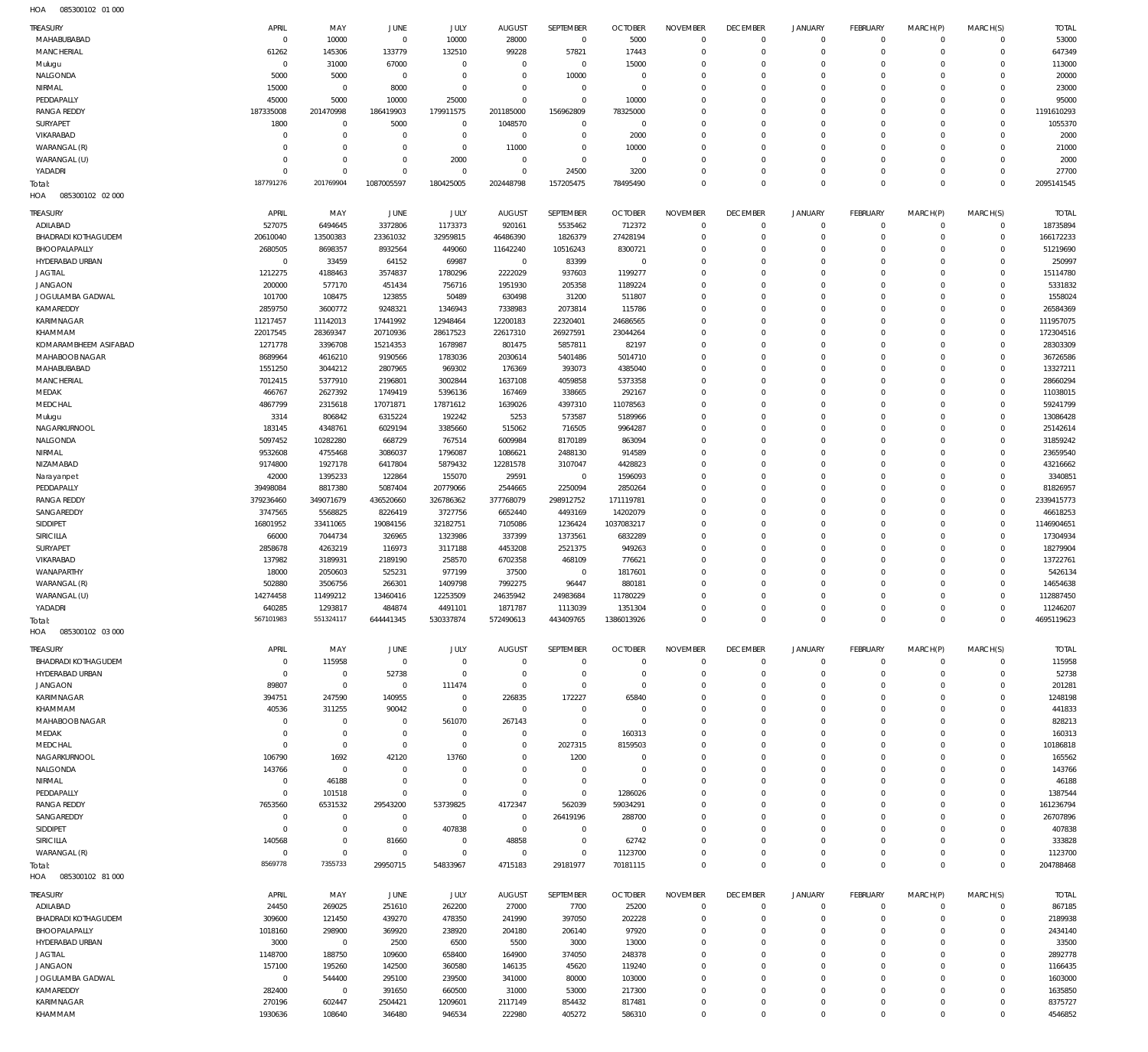| <b>TREASURY</b>                      | APRIL                 | MAY                      | <b>JUNE</b>                | JULY                 | <b>AUGUST</b>           | SEPTEMBER                  | <b>OCTOBER</b>         | <b>NOVEMBER</b>      | <b>DECEMBER</b>               | <b>JANUARY</b>         | <b>FEBRUARY</b>            | MARCH(P)             | MARCH(S)             | <b>TOTAL</b>           |
|--------------------------------------|-----------------------|--------------------------|----------------------------|----------------------|-------------------------|----------------------------|------------------------|----------------------|-------------------------------|------------------------|----------------------------|----------------------|----------------------|------------------------|
| MAHABUBABAD                          | $\mathbf 0$           | 10000                    | $\overline{0}$             | 10000                | 28000                   | $\overline{0}$             | 5000                   | $\mathbf 0$          | $\mathbf{0}$                  | $\circ$                | $\mathbf{0}$               | $\Omega$             | $\Omega$             | 53000                  |
| MANCHERIAL                           | 61262                 | 145306                   | 133779                     | 132510               | 99228                   | 57821                      | 17443                  | $\Omega$             | $\Omega$                      | $\circ$                | $\Omega$                   | $\Omega$             | $\Omega$             | 647349                 |
| Mulugu                               | $\Omega$              | 31000                    | 67000                      | $\mathbf 0$          | $\overline{0}$          | $^{\circ}$                 | 15000                  | $\Omega$             | $\Omega$                      | $\Omega$               | $\Omega$                   | $\Omega$             | $\Omega$             | 113000                 |
| NALGONDA                             | 5000                  | 5000                     | $\overline{0}$             | $\Omega$             | $\Omega$                | 10000                      | $\overline{0}$         | $\Omega$             | $\Omega$                      | $\Omega$               | $\Omega$                   | $\Omega$             | $\Omega$             | 20000                  |
| NIRMAL                               | 15000                 | $^{\circ}$               | 8000                       | $\Omega$             | $\Omega$                | $\mathbf 0$                | $\overline{0}$         | $\Omega$             | $\Omega$                      | $\Omega$               | $\Omega$                   | $\Omega$             | $\Omega$             | 23000                  |
| PEDDAPALLY                           | 45000                 | 5000                     | 10000                      | 25000                | $\Omega$                | $\Omega$                   | 10000                  | $\Omega$             | $\Omega$                      | $\Omega$               | $\Omega$                   | $\Omega$             | $\Omega$             | 95000                  |
| <b>RANGA REDDY</b>                   | 187335008             | 201470998                | 186419903                  | 179911575            | 201185000               | 156962809                  | 78325000               | $\Omega$             | $\Omega$                      | $\Omega$               | $\Omega$                   | $\Omega$             | $\Omega$             | 1191610293             |
| SURYAPET                             | 1800                  | $\mathbf 0$              | 5000                       | $\mathbf 0$          | 1048570                 | $\mathbf 0$                | $\overline{0}$         | $\Omega$             | $\Omega$                      | $\Omega$               | $\Omega$                   | $\Omega$             | $\Omega$             | 1055370                |
| VIKARABAD                            | $\Omega$              | $\mathbf 0$              | $\mathbf 0$                | $\mathbf 0$          | $\overline{0}$          | $\mathbf 0$                | 2000                   | $\Omega$             | $\Omega$                      | $\Omega$               | $\Omega$                   | $\Omega$             | $\Omega$             | 2000                   |
| WARANGAL (R)                         | $\Omega$              | $\mathbf 0$              | $\mathbf 0$                | $\mathbf 0$          | 11000                   | $\Omega$                   | 10000                  | $\Omega$             | $\mathbf 0$                   | $\Omega$               | $\Omega$                   | $\Omega$             | $\Omega$             | 21000                  |
| WARANGAL (U)                         | $\Omega$              | $\Omega$                 | $\Omega$                   | 2000                 | $\Omega$                | $\Omega$                   | $\overline{0}$         | $\Omega$             | $\Omega$                      | $\Omega$               | $\Omega$                   | $\Omega$             | $\Omega$             | 2000                   |
| YADADRI                              | $\Omega$<br>187791276 | $\Omega$<br>201769904    | $\Omega$<br>1087005597     | $\Omega$             | $\Omega$                | 24500                      | 3200                   | $\Omega$<br>$\Omega$ | $\mathbf 0$<br>$\Omega$       | $\Omega$<br>$\Omega$   | $\Omega$<br>$\Omega$       | $\Omega$             | $\Omega$<br>$\Omega$ | 27700                  |
| Total:<br>HOA<br>085300102 02 000    |                       |                          |                            | 180425005            | 202448798               | 157205475                  | 78495490               |                      |                               |                        |                            | $\Omega$             |                      | 2095141545             |
|                                      |                       |                          |                            |                      |                         |                            |                        |                      |                               |                        |                            |                      |                      |                        |
| <b>TREASURY</b>                      | APRIL                 | MAY                      | JUNE                       | JULY                 | <b>AUGUST</b>           | SEPTEMBER                  | <b>OCTOBER</b>         | <b>NOVEMBER</b>      | <b>DECEMBER</b>               | <b>JANUARY</b>         | <b>FEBRUARY</b>            | MARCH(P)             | MARCH(S)             | <b>TOTAL</b>           |
| ADILABAD                             | 527075                | 6494645                  | 3372806                    | 1173373              | 920161                  | 5535462                    | 712372                 | $\mathbf 0$          | $\overline{0}$                | $^{\circ}$             | $^{\circ}$                 | $\Omega$             | $\mathbf 0$          | 18735894               |
| BHADRADI KOTHAGUDEM                  | 20610040              | 13500383                 | 23361032                   | 32959815             | 46486390                | 1826379                    | 27428194               | $\mathbf 0$          | $\overline{0}$                | $\mathbf 0$            | $\mathbf{0}$               | $\Omega$             | $\circ$              | 166172233              |
| BHOOPALAPALLY                        | 2680505               | 8698357                  | 8932564                    | 449060               | 11642240                | 10516243                   | 8300721                | 0                    | $\overline{0}$                | $\circ$                | $\mathbf{0}$               | $\Omega$             | $\Omega$             | 51219690               |
| HYDERABAD URBAN                      | $\mathbb O$           | 33459                    | 64152                      | 69987                | $\overline{0}$          | 83399                      | $\overline{0}$         | $\mathbf 0$          | $\mathbf 0$                   | $\Omega$               | $\mathbf{0}$               | $\Omega$             | $\Omega$             | 250997                 |
| <b>JAGTIAL</b>                       | 1212275               | 4188463                  | 3574837                    | 1780296              | 2222029                 | 937603                     | 1199277                | $\Omega$             | $\Omega$                      | $\Omega$               | $\Omega$                   | $\Omega$             | $\Omega$             | 15114780               |
| <b>JANGAON</b>                       | 200000                | 577170                   | 451434                     | 756716               | 1951930                 | 205358                     | 1189224                | $\mathbf 0$          | $\Omega$                      | $\Omega$               | $\Omega$                   | $\Omega$             | $\Omega$             | 5331832                |
| <b>JOGULAMBA GADWAL</b><br>KAMAREDDY | 101700                | 108475                   | 123855                     | 50489                | 630498                  | 31200                      | 511807                 | $\Omega$             | $\Omega$<br>$\mathbf 0$       | $\Omega$<br>$\Omega$   | $\Omega$<br>$\mathbf{0}$   | $\Omega$<br>$\Omega$ | $\Omega$<br>$\Omega$ | 1558024                |
| KARIMNAGAR                           | 2859750               | 3600772                  | 9248321<br>17441992        | 1346943              | 7338983                 | 2073814                    | 115786                 | 0<br>$\Omega$        | $\Omega$                      | $\Omega$               | $\Omega$                   | $\Omega$             | $\mathbf 0$          | 26584369               |
| KHAMMAM                              | 11217457<br>22017545  | 11142013<br>28369347     | 20710936                   | 12948464<br>28617523 | 12200183<br>22617310    | 22320401<br>26927591       | 24686565<br>23044264   | $\Omega$             | $\Omega$                      | $\Omega$               | $\Omega$                   | $\Omega$             | $\mathbf 0$          | 111957075<br>172304516 |
| KOMARAMBHEEM ASIFABAD                | 1271778               | 3396708                  | 15214353                   | 1678987              | 801475                  | 5857811                    | 82197                  | $\Omega$             | $\mathbf 0$                   | $\Omega$               | $\Omega$                   | $\Omega$             | $\mathbf 0$          | 28303309               |
| MAHABOOB NAGAR                       | 8689964               | 4616210                  | 9190566                    | 1783036              | 2030614                 | 5401486                    | 5014710                | $\Omega$             | $\Omega$                      | $\Omega$               | $\Omega$                   | $\Omega$             | $\Omega$             | 36726586               |
| MAHABUBABAD                          | 1551250               | 3044212                  | 2807965                    | 969302               | 176369                  | 393073                     | 4385040                | $\Omega$             | $\mathbf 0$                   | $\Omega$               | $\Omega$                   | $\Omega$             | $\Omega$             | 13327211               |
| <b>MANCHERIAL</b>                    | 7012415               | 5377910                  | 2196801                    | 3002844              | 1637108                 | 4059858                    | 5373358                | $\Omega$             | $\Omega$                      | $\Omega$               | $\Omega$                   | $\Omega$             | $\Omega$             | 28660294               |
| MEDAK                                | 466767                | 2627392                  | 1749419                    | 5396136              | 167469                  | 338665                     | 292167                 | $\Omega$             | $\mathbf 0$                   | $\Omega$               | $\mathbf{0}$               | $\Omega$             | $\Omega$             | 11038015               |
| MEDCHAL                              | 4867799               | 2315618                  | 17071871                   | 17871612             | 1639026                 | 4397310                    | 11078563               | $\Omega$             | $\Omega$                      | $\Omega$               | $\Omega$                   | $\Omega$             | $\Omega$             | 59241799               |
| Mulugu                               | 3314                  | 806842                   | 6315224                    | 192242               | 5253                    | 573587                     | 5189966                | $\Omega$             | $\mathbf 0$                   | $\Omega$               | $\Omega$                   | $\Omega$             | $\Omega$             | 13086428               |
| NAGARKURNOOL                         | 183145                | 4348761                  | 6029194                    | 3385660              | 515062                  | 716505                     | 9964287                | $\Omega$             | $\Omega$                      | $\Omega$               | $\Omega$                   | $\Omega$             | $\Omega$             | 25142614               |
| NALGONDA                             | 5097452               | 10282280                 | 668729                     | 767514               | 6009984                 | 8170189                    | 863094                 | $\Omega$             | $\mathbf 0$                   | $\Omega$               | $\Omega$                   | $\Omega$             | $\Omega$             | 31859242               |
| NIRMAL                               | 9532608               | 4755468                  | 3086037                    | 1796087              | 1086621                 | 2488130                    | 914589                 | $\Omega$             | $\Omega$                      | $\Omega$               | $\Omega$                   | $\Omega$             | $\Omega$             | 23659540               |
| NIZAMABAD                            | 9174800               | 1927178                  | 6417804                    | 5879432              | 12281578                | 3107047                    | 4428823                | $\Omega$             | $\Omega$                      | $\Omega$               | $\Omega$                   | $\Omega$             | $\Omega$             | 43216662               |
| Narayanpet                           | 42000                 | 1395233                  | 122864                     | 155070               | 29591                   | $\overline{0}$             | 1596093                | $\Omega$             | $\Omega$                      | $\Omega$               | $\Omega$                   | $\Omega$             | $\Omega$             | 3340851                |
| PEDDAPALLY                           | 39498084              | 8817380                  | 5087404                    | 20779066             | 2544665                 | 2250094                    | 2850264                | $\Omega$             | $\Omega$                      | $\Omega$               | $\Omega$                   | $\Omega$             | $\Omega$             | 81826957               |
| <b>RANGA REDDY</b>                   | 379236460             | 349071679                | 436520660                  | 326786362            | 377768079               | 298912752                  | 171119781              | 0                    | $\mathbf 0$                   | $\Omega$               | $\mathbf{0}$               | $\Omega$             | $\Omega$             | 2339415773             |
| SANGAREDDY                           | 3747565               | 5568825                  | 8226419                    | 3727756              | 6652440                 | 4493169                    | 14202079               | $\Omega$             | $\Omega$                      | $\Omega$               | $\Omega$                   | $\Omega$             | $\mathbf 0$          | 46618253               |
| SIDDIPET                             | 16801952              | 33411065                 | 19084156                   | 32182751             | 7105086                 | 1236424                    | 1037083217             | 0                    | $\mathbf 0$                   | $\Omega$               | $\Omega$                   | $\Omega$             | $\circ$              | 1146904651             |
| SIRICILLA                            | 66000                 | 7044734                  | 326965                     | 1323986              | 337399                  | 1373561                    | 6832289                | $\Omega$             | $\mathbf 0$                   | $\Omega$               | $\Omega$                   | $\Omega$             | $\circ$              | 17304934               |
| SURYAPET                             | 2858678               | 4263219                  | 116973                     | 3117188              | 4453208                 | 2521375                    | 949263                 | $\mathbf 0$          | $\mathbf 0$                   | $\Omega$               | $\Omega$                   | $\Omega$             | $\Omega$             | 18279904               |
| VIKARABAD                            | 137982                | 3189931                  | 2189190                    | 258570               | 6702358                 | 468109                     | 776621                 | $\Omega$             | $\mathbf 0$                   | $\Omega$               | $\Omega$                   | $\Omega$             | $\Omega$             | 13722761               |
| WANAPARTHY                           | 18000                 | 2050603                  | 525231                     | 977199               | 37500                   | $\overline{0}$             | 1817601                | $\Omega$             | $\Omega$                      | $\Omega$               | $\Omega$                   | $\Omega$             | $\Omega$             | 5426134                |
| WARANGAL (R)                         | 502880                | 3506756                  | 266301                     | 1409798              | 7992275                 | 96447                      | 880181                 | $\Omega$             | $\mathbf 0$                   | $\Omega$               | $\mathbf{0}$               | $\Omega$             | $\Omega$             | 14654638               |
| WARANGAL (U)                         | 14274458              | 11499212                 | 13460416                   | 12253509             | 24635942                | 24983684                   | 11780229               | $\Omega$             | $\Omega$                      | $\Omega$               | $\Omega$                   | $\Omega$             | $\Omega$             | 112887450              |
| YADADRI                              | 640285                | 1293817                  | 484874                     | 4491101              | 1871787                 | 1113039                    | 1351304                | $\Omega$             | $\Omega$                      | $\Omega$               | $\Omega$                   | $\Omega$             | $\Omega$             | 11246207               |
| Total:                               | 567101983             | 551324117                | 644441345                  | 530337874            | 572490613               | 443409765                  | 1386013926             | $\mathbf 0$          | $\mathbf 0$                   | $\,0\,$                | $\mathbf 0$                | $^{\circ}$           | $^{\circ}$           | 4695119623             |
| 085300102 03 000<br>HOA              |                       |                          |                            |                      |                         |                            |                        |                      |                               |                        |                            |                      |                      |                        |
| <b>TREASURY</b>                      | APRIL                 | MAY                      | <b>JUNE</b>                | JULY                 | <b>AUGUST</b>           | SEPTEMBER                  | <b>OCTOBER</b>         | <b>NOVEMBER</b>      | <b>DECEMBER</b>               | <b>JANUARY</b>         | <b>FEBRUARY</b>            | MARCH(P)             | MARCH(S)             | <b>TOTAL</b>           |
| BHADRADI KOTHAGUDEM                  | $^{\circ}$            | 115958                   | $\mathbf 0$                | $\mathbf 0$          | $\overline{0}$          | $^{\circ}$                 | $\overline{0}$         | $\mathbf 0$          | $^{\circ}$                    | $\circ$                | $^{\circ}$                 | $\Omega$             | $\mathbf 0$          | 115958                 |
| HYDERABAD URBAN                      | $\Omega$              | $^{\circ}$               | 52738                      | $\Omega$             | $\overline{0}$          | $\mathbf 0$                | $^{\circ}$             | $\Omega$             | $\mathbf 0$                   | $\mathbf 0$            | $^{\circ}$                 | $\Omega$             | $\Omega$             | 52738                  |
| <b>JANGAON</b>                       | 89807                 | $\mathbf 0$              | $^{\circ}$                 | 111474               | $\overline{0}$          | $^{\circ}$                 | $\overline{0}$         | $\Omega$             | $\Omega$                      | $\mathbf 0$            | $^{\circ}$                 | $\Omega$             | $\Omega$             | 201281                 |
| KARIMNAGAR                           | 394751                | 247590                   | 140955                     | $\mathbf 0$          | 226835                  | 172227                     | 65840                  | $\Omega$             | $\Omega$                      | $\Omega$               | $\Omega$                   | $\Omega$             | $\Omega$             | 1248198                |
| KHAMMAM                              | 40536                 | 311255                   | 90042                      | $\mathbf 0$          | $\overline{0}$          | $^{\circ}$                 | $\overline{0}$         | $\Omega$             | $\Omega$                      | $\Omega$               | $\Omega$                   | $\Omega$             | $\Omega$             | 441833                 |
| MAHABOOB NAGAR                       | $\Omega$              | $^{\circ}$               | $\mathbf 0$                | 561070               | 267143                  | $\mathbf 0$                | $\Omega$               | $\Omega$             | $\Omega$                      | $\Omega$               | $\Omega$                   | $\Omega$             | $\Omega$             | 828213                 |
| MEDAK                                | $\Omega$              | $^{\circ}$               | $\mathbf 0$                | $\mathbf 0$          | $\Omega$                | $\Omega$                   | 160313                 | $\Omega$             | $\Omega$                      | $\Omega$               | $\Omega$                   | $\Omega$             | $\Omega$             | 160313                 |
| MEDCHAL                              | $\Omega$              | $\mathbf 0$              | $\mathbf 0$                | $\mathbf 0$          | $\mathbf 0$<br>$\Omega$ | 2027315                    | 8159503<br>$\Omega$    | $\Omega$<br>$\Omega$ | $\mathbf 0$<br>$\Omega$       | $\Omega$<br>$\Omega$   | $\Omega$<br>$\Omega$       | $\circ$<br>$\Omega$  | $\Omega$<br>$\Omega$ | 10186818               |
| NAGARKURNOOL                         | 106790                | 1692                     | 42120                      | 13760                |                         | 1200                       |                        |                      |                               |                        |                            |                      |                      | 165562                 |
| NALGONDA<br>NIRMAL                   | 143766<br>$\Omega$    | $\mathbf 0$<br>46188     | $\mathbf 0$<br>$\mathbf 0$ | $\Omega$<br>$\Omega$ | $\Omega$<br>$\Omega$    | $\mathbf 0$<br>$\mathbf 0$ | $^{\circ}$<br>$\Omega$ | $\Omega$<br>$\Omega$ | $\mathbf 0$<br>$\Omega$       | $\Omega$<br>$\Omega$   | $\Omega$<br>$\Omega$       | $\Omega$             | $\Omega$<br>$\Omega$ | 143766<br>46188        |
| PEDDAPALLY                           | $\Omega$              | 101518                   | $\Omega$                   | $\Omega$             | $\mathbf 0$             | $\mathbf 0$                | 1286026                | $\Omega$             | $\Omega$                      | $\Omega$               | $\Omega$                   | $\Omega$             | $\Omega$             | 1387544                |
| <b>RANGA REDDY</b>                   | 7653560               | 6531532                  | 29543200                   | 53739825             | 4172347                 | 562039                     | 59034291               | $\Omega$             | $\Omega$                      | $\Omega$               | $\Omega$                   |                      | $\Omega$             | 161236794              |
| SANGAREDDY                           | $\Omega$              | $\mathbf 0$              | $\overline{0}$             | $\Omega$             | $\overline{0}$          | 26419196                   | 288700                 | $\Omega$             | $\Omega$                      | $\Omega$               | $\Omega$                   | $\Omega$             | $\Omega$             | 26707896               |
| SIDDIPET                             | $\Omega$              | $\mathbf 0$              | $\overline{0}$             | 407838               | $\overline{0}$          | $\mathbf 0$                | $\overline{0}$         | $\Omega$             | $\Omega$                      | $\Omega$               | $^{\circ}$                 |                      | $\Omega$             | 407838                 |
| SIRICILLA                            | 140568                | $\mathbf 0$              | 81660                      | $\Omega$             | 48858                   | $\Omega$                   | 62742                  | $\Omega$             | $\Omega$                      | $\Omega$               | $\Omega$                   | $\Omega$             | $\Omega$             | 333828                 |
| WARANGAL (R)                         | $\mathbf 0$           | $\mathbf 0$              | $\mathbf 0$                | $\mathbf 0$          | $\overline{0}$          | $\mathbf 0$                | 1123700                | $\Omega$             | $\mathbf 0$                   | $\mathbf 0$            | $^{\circ}$                 | $\Omega$             | $\Omega$             | 1123700                |
| Total:                               | 8569778               | 7355733                  | 29950715                   | 54833967             | 4715183                 | 29181977                   | 70181115               | $\Omega$             | $\Omega$                      | $\Omega$               | $\Omega$                   | $\Omega$             | $\Omega$             | 204788468              |
| HOA<br>085300102 81 000              |                       |                          |                            |                      |                         |                            |                        |                      |                               |                        |                            |                      |                      |                        |
|                                      |                       |                          |                            |                      |                         |                            |                        |                      |                               |                        |                            |                      |                      |                        |
| <b>TREASURY</b>                      | APRIL                 | MAY                      | JUNE                       | <b>JULY</b>          | <b>AUGUST</b>           | SEPTEMBER                  | <b>OCTOBER</b>         | <b>NOVEMBER</b>      | <b>DECEMBER</b>               | <b>JANUARY</b>         | <b>FEBRUARY</b>            | MARCH(P)             | MARCH(S)             | <b>TOTAL</b>           |
| ADILABAD                             | 24450                 | 269025                   | 251610                     | 262200               | 27000                   | 7700                       | 25200                  | 0                    | $\overline{0}$                | $\mathbf 0$            | $\mathbf 0$                | $^{\circ}$           | $\mathbf 0$          | 867185                 |
| BHADRADI KOTHAGUDEM                  | 309600                | 121450                   | 439270                     | 478350               | 241990                  | 397050                     | 202228                 | $\Omega$             | $\mathbf 0$                   | $^{\circ}$<br>$\Omega$ | $\mathbf{0}$               | $\Omega$             | $\Omega$<br>$\Omega$ | 2189938                |
| BHOOPALAPALLY<br>HYDERABAD URBAN     | 1018160<br>3000       | 298900                   | 369920<br>2500             | 238920               | 204180<br>5500          | 206140                     | 97920<br>13000         | 0<br>0               | $\overline{0}$<br>$\mathbf 0$ | $\mathbf 0$            | $^{\circ}$<br>$\mathbf{0}$ | $\Omega$<br>$\Omega$ | $\Omega$             | 2434140<br>33500       |
| <b>JAGTIAL</b>                       | 1148700               | $\overline{0}$<br>188750 | 109600                     | 6500<br>658400       | 164900                  | 3000<br>374050             | 248378                 | 0                    | $\mathbf 0$                   | $\Omega$               | $^{\circ}$                 | $\Omega$             | $\Omega$             | 2892778                |
| <b>JANGAON</b>                       | 157100                | 195260                   | 142500                     | 360580               | 146135                  | 45620                      | 119240                 | 0                    | $\mathbf 0$                   | $\mathbf 0$            | $\mathbf{0}$               | $\Omega$             | $\Omega$             | 1166435                |
| JOGULAMBA GADWAL                     | $\mathbf 0$           | 544400                   | 295100                     | 239500               | 341000                  | 80000                      | 103000                 | $\Omega$             | $\Omega$                      | $\Omega$               | $\Omega$                   | $\Omega$             | $\Omega$             | 1603000                |
| KAMAREDDY                            | 282400                | $\overline{0}$           | 391650                     | 660500               | 31000                   | 53000                      | 217300                 | 0                    | $^{\circ}$                    | $\mathbf 0$            | $^{\circ}$                 | $\Omega$             | $\Omega$             | 1635850                |
| KARIMNAGAR                           | 270196                | 602447                   | 2504421                    | 1209601              | 2117149                 | 854432                     | 817481                 | $\mathbf 0$          | $\mathbf 0$                   | $\mathbf 0$            | $^{\circ}$                 | $\Omega$             | $\Omega$             | 8375727                |
|                                      |                       | 108640                   | 346480                     | 946534               | 222980                  | 405272                     | 586310                 | $\mathbf 0$          | $\mathbf 0$                   | $\mathbf 0$            | $\circ$                    | $\Omega$             | $\Omega$             | 4546852                |
| KHAMMAM                              | 1930636               |                          |                            |                      |                         |                            |                        |                      |                               |                        |                            |                      |                      |                        |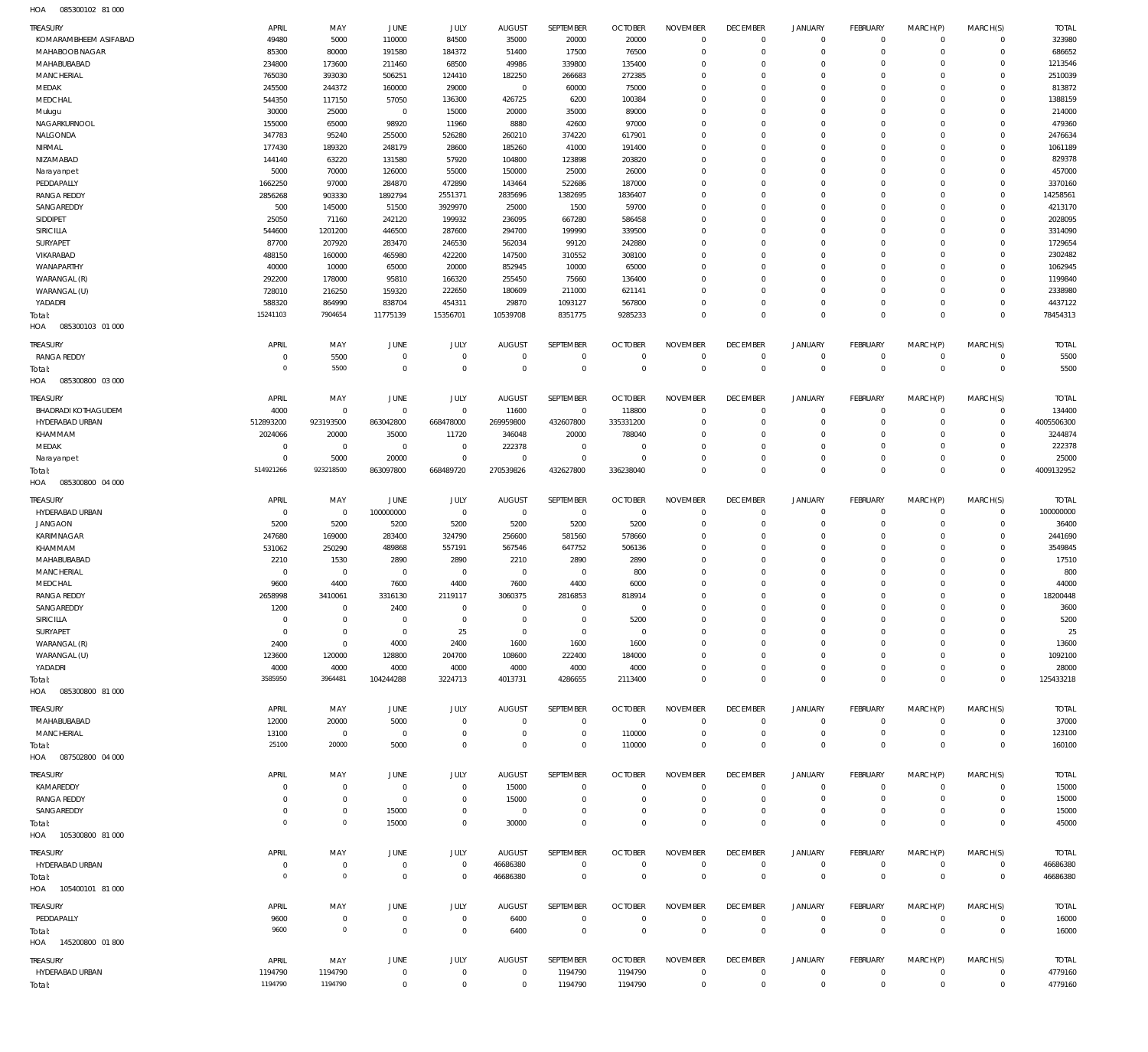085300102 81 000 HOA

| <b>TREASURY</b><br>KOMARAMBHEEM ASIFABAD | APRIL<br>49480             | MAY<br>5000                   | <b>JUNE</b><br>110000            | JULY<br>84500                    | <b>AUGUST</b><br>35000       | SEPTEMBER<br>20000           | <b>OCTOBER</b><br>20000       | <b>NOVEMBER</b><br>$\mathbf 0$ | <b>DECEMBER</b><br>$\overline{0}$ | JANUARY<br>$^{\circ}$      | <b>FEBRUARY</b><br>$\mathbf{0}$ | MARCH(P)<br>$\Omega$        | MARCH(S)<br>$\mathbf 0$    | <b>TOTAL</b><br>323980 |
|------------------------------------------|----------------------------|-------------------------------|----------------------------------|----------------------------------|------------------------------|------------------------------|-------------------------------|--------------------------------|-----------------------------------|----------------------------|---------------------------------|-----------------------------|----------------------------|------------------------|
| MAHABOOB NAGAR<br>MAHABUBABAD            | 85300<br>234800            | 80000<br>173600               | 191580<br>211460                 | 184372<br>68500                  | 51400<br>49986               | 17500<br>339800              | 76500<br>135400               | $\mathbf 0$<br>$\mathbf 0$     | $\overline{0}$<br>$\overline{0}$  | $\mathbf{0}$<br>$^{\circ}$ | $\mathbf{0}$<br>$\mathbf{0}$    | $\Omega$<br>$\Omega$        | $\mathbf 0$<br>$\Omega$    | 686652<br>1213546      |
| MANCHERIAL                               | 765030                     | 393030                        | 506251                           | 124410                           | 182250                       | 266683                       | 272385                        | $\mathbf 0$                    | $\overline{0}$                    | $\Omega$                   | $\Omega$                        | $\Omega$                    | $\Omega$                   | 2510039                |
| MEDAK                                    | 245500                     | 244372                        | 160000                           | 29000                            | $\mathbf 0$                  | 60000                        | 75000                         | $\Omega$                       | $\overline{0}$                    | $\mathbf 0$                | $\mathbf{0}$                    |                             | $\Omega$                   | 813872                 |
| MEDCHAL                                  | 544350                     | 117150                        | 57050                            | 136300                           | 426725                       | 6200                         | 100384                        | $\mathbf 0$                    | $\overline{0}$                    | $\Omega$                   | $\Omega$                        | $\Omega$                    | $\Omega$                   | 1388159                |
| Mulugu                                   | 30000                      | 25000                         | $\overline{0}$                   | 15000                            | 20000                        | 35000                        | 89000                         | $\Omega$                       | $\overline{0}$                    | $\mathbf 0$                | $\mathbf{0}$                    | $\Omega$                    | $\Omega$                   | 214000                 |
| NAGARKURNOOL<br>NALGONDA                 | 155000<br>347783           | 65000<br>95240                | 98920<br>255000                  | 11960<br>526280                  | 8880<br>260210               | 42600<br>374220              | 97000<br>617901               | $\Omega$<br>$\Omega$           | $\overline{0}$<br>$\overline{0}$  | $\Omega$<br>$\Omega$       | $\Omega$<br>$\mathbf{0}$        | $\Omega$<br>$\Omega$        | $\Omega$<br>$\Omega$       | 479360<br>2476634      |
| NIRMAL                                   | 177430                     | 189320                        | 248179                           | 28600                            | 185260                       | 41000                        | 191400                        | $\mathbf 0$                    | $\overline{0}$                    | $\Omega$                   | $\mathbf{0}$                    | $\Omega$                    | $\Omega$                   | 1061189                |
| NIZAMABAD                                | 144140                     | 63220                         | 131580                           | 57920                            | 104800                       | 123898                       | 203820                        | $\Omega$                       | $\overline{0}$                    | $\Omega$                   | $\Omega$                        | $\Omega$                    | $\Omega$                   | 829378                 |
| Narayanpet                               | 5000                       | 70000                         | 126000                           | 55000                            | 150000                       | 25000                        | 26000                         | $\mathbf 0$                    | $\overline{0}$                    | $\Omega$                   | $\mathbf{0}$                    | $\Omega$                    | $\Omega$                   | 457000                 |
| PEDDAPALLY                               | 1662250                    | 97000                         | 284870                           | 472890                           | 143464                       | 522686                       | 187000                        | $\Omega$                       | $\overline{0}$                    | $\Omega$                   | $\Omega$                        | $\Omega$                    | $\Omega$                   | 3370160                |
| <b>RANGA REDDY</b><br>SANGAREDDY         | 2856268<br>500             | 903330<br>145000              | 1892794<br>51500                 | 2551371<br>3929970               | 2835696<br>25000             | 1382695<br>1500              | 1836407<br>59700              | $\mathbf 0$<br>$\Omega$        | $\overline{0}$<br>$\overline{0}$  | $\Omega$<br>$\mathbf 0$    | $\mathbf{0}$<br>$\mathbf{0}$    | $\Omega$                    | $\Omega$<br>$\Omega$       | 14258561<br>4213170    |
| SIDDIPET                                 | 25050                      | 71160                         | 242120                           | 199932                           | 236095                       | 667280                       | 586458                        | $\mathbf 0$                    | $\Omega$                          | $\Omega$                   | $\Omega$                        | $\Omega$                    | $\Omega$                   | 2028095                |
| SIRICILLA                                | 544600                     | 1201200                       | 446500                           | 287600                           | 294700                       | 199990                       | 339500                        | $\Omega$                       | $\overline{0}$                    | $\mathbf 0$                | $\mathbf{0}$                    |                             | $\Omega$                   | 3314090                |
| SURYAPET                                 | 87700                      | 207920                        | 283470                           | 246530                           | 562034                       | 99120                        | 242880                        | $\Omega$                       | $\overline{0}$                    | $\Omega$                   | $\Omega$                        | $\Omega$                    | $\Omega$                   | 1729654                |
| VIKARABAD                                | 488150                     | 160000                        | 465980                           | 422200                           | 147500                       | 310552                       | 308100                        | $\Omega$                       | $\overline{0}$                    | $\mathbf 0$                | $\mathbf{0}$                    | $\Omega$                    | $\mathbf 0$                | 2302482                |
| WANAPARTHY<br>WARANGAL (R)               | 40000<br>292200            | 10000<br>178000               | 65000<br>95810                   | 20000<br>166320                  | 852945<br>255450             | 10000<br>75660               | 65000<br>136400               | $\Omega$<br>$\Omega$           | $\overline{0}$<br>$\overline{0}$  | $\Omega$<br>$\mathbf 0$    | $\Omega$<br>$\mathbf{0}$        | $\Omega$<br>$\Omega$        | $\Omega$<br>$\Omega$       | 1062945<br>1199840     |
| WARANGAL (U)                             | 728010                     | 216250                        | 159320                           | 222650                           | 180609                       | 211000                       | 621141                        | $\mathbf 0$                    | $\overline{0}$                    | $\mathbf 0$                | $\mathbf{0}$                    | $\Omega$                    | $\Omega$                   | 2338980                |
| YADADRI                                  | 588320                     | 864990                        | 838704                           | 454311                           | 29870                        | 1093127                      | 567800                        | $\Omega$                       | $\,0\,$                           | $\mathbf 0$                | $\circ$                         | $\Omega$                    | $\Omega$                   | 4437122                |
| Total:                                   | 15241103                   | 7904654                       | 11775139                         | 15356701                         | 10539708                     | 8351775                      | 9285233                       | $\mathbf 0$                    | $\,0\,$                           | $\mathbf 0$                | $\overline{0}$                  | $\Omega$                    | $\overline{0}$             | 78454313               |
| 085300103 01 000<br>HOA                  |                            |                               |                                  |                                  |                              |                              |                               |                                |                                   |                            |                                 |                             |                            |                        |
| TREASURY                                 | APRIL                      | MAY                           | JUNE                             | JULY                             | <b>AUGUST</b>                | SEPTEMBER                    | <b>OCTOBER</b>                | <b>NOVEMBER</b>                | <b>DECEMBER</b>                   | <b>JANUARY</b>             | FEBRUARY                        | MARCH(P)                    | MARCH(S)                   | <b>TOTAL</b>           |
| <b>RANGA REDDY</b>                       | $^{\circ}$                 | 5500                          | $\overline{0}$                   | $\mathbf 0$                      | $\mathbf{0}$                 | $\mathbf 0$                  | $\overline{0}$                | $\mathbf 0$                    | $\overline{0}$                    | $^{\circ}$                 | $\mathbf{0}$                    | $\mathbf 0$                 | $\mathbf 0$                | 5500                   |
| Total:                                   | $\mathbf 0$                | 5500                          | $\overline{0}$                   | $\overline{0}$                   | $\overline{0}$               | $\mathbf 0$                  | $\mathbb O$                   | $\mathbf 0$                    | $\overline{0}$                    | $\mathbb O$                | $\overline{0}$                  | $\Omega$                    | $\mathbf{0}$               | 5500                   |
| 085300800 03 000<br>HOA                  |                            |                               |                                  |                                  |                              |                              |                               |                                |                                   |                            |                                 |                             |                            |                        |
| <b>TREASURY</b>                          | APRIL                      | MAY                           | <b>JUNE</b>                      | JULY                             | <b>AUGUST</b>                | <b>SEPTEMBER</b>             | <b>OCTOBER</b>                | <b>NOVEMBER</b>                | <b>DECEMBER</b>                   | JANUARY                    | <b>FEBRUARY</b>                 | MARCH(P)                    | MARCH(S)                   | <b>TOTAL</b>           |
| BHADRADI KOTHAGUDEM                      | 4000                       | $\mathbf 0$                   | $\overline{0}$                   | $\overline{0}$                   | 11600                        | $\mathbf{0}$                 | 118800                        | $\mathbf 0$                    | $\overline{0}$                    | $^{\circ}$                 | $^{\circ}$                      | $\Omega$                    | $\mathbf 0$                | 134400                 |
| HYDERABAD URBAN<br>KHAMMAM               | 512893200<br>2024066       | 923193500<br>20000            | 863042800<br>35000               | 668478000<br>11720               | 269959800<br>346048          | 432607800<br>20000           | 335331200<br>788040           | $\mathbf 0$<br>$\mathbf 0$     | $\overline{0}$<br>$\overline{0}$  | $^{\circ}$<br>$\mathbf 0$  | $\mathbf{0}$<br>$\mathbf{0}$    | $\Omega$<br>$\Omega$        | $\mathbf 0$<br>$\Omega$    | 4005506300<br>3244874  |
| MEDAK                                    | $\overline{0}$             | $\overline{0}$                | $\overline{0}$                   | $\overline{0}$                   | 222378                       | $^{\circ}$                   | $\overline{0}$                | $\Omega$                       | $\overline{0}$                    | $\mathbf 0$                | $\mathbf{0}$                    | $\Omega$                    | $\Omega$                   | 222378                 |
| Narayanpet                               | $\mathbf 0$                | 5000                          | 20000                            | $\overline{0}$                   | $\mathbf{0}$                 | $\overline{0}$               | $\overline{0}$                | $\mathbf 0$                    | $\overline{0}$                    | $\mathbf{0}$               | $\mathbf{0}$                    | $\Omega$                    | $\mathbf 0$                | 25000                  |
| Total:                                   | 514921266                  | 923218500                     | 863097800                        | 668489720                        | 270539826                    | 432627800                    | 336238040                     | $\Omega$                       | $\mathbb O$                       | $\mathbb O$                | $\Omega$                        | $\Omega$                    | $\mathbf{0}$               | 4009132952             |
| 085300800 04 000<br>HOA                  |                            |                               |                                  |                                  |                              |                              |                               |                                |                                   |                            |                                 |                             |                            |                        |
| <b>TREASURY</b>                          | APRIL                      | MAY                           | <b>JUNE</b>                      | JULY                             | <b>AUGUST</b>                | SEPTEMBER                    | <b>OCTOBER</b>                | <b>NOVEMBER</b>                | <b>DECEMBER</b>                   | <b>JANUARY</b>             | <b>FEBRUARY</b>                 | MARCH(P)                    | MARCH(S)                   | <b>TOTAL</b>           |
| HYDERABAD URBAN                          | $\overline{0}$             | $^{\circ}$                    | 100000000                        | $\overline{0}$                   | $\overline{0}$               | $\overline{0}$               | $\overline{0}$                | $\mathbf 0$                    | $\overline{0}$                    | $^{\circ}$                 | $^{\circ}$                      | $\circ$                     | $\mathbf 0$                | 100000000              |
| <b>JANGAON</b>                           | 5200                       | 5200                          | 5200                             | 5200                             | 5200                         | 5200                         | 5200                          | $\mathbf 0$                    | $\overline{0}$                    | $^{\circ}$                 | $\mathbf{0}$                    | $\Omega$                    | $\Omega$                   | 36400                  |
| KARIMNAGAR<br>KHAMMAM                    | 247680<br>531062           | 169000<br>250290              | 283400<br>489868                 | 324790<br>557191                 | 256600<br>567546             | 581560<br>647752             | 578660<br>506136              | $\mathbf 0$<br>$\Omega$        | $\overline{0}$<br>$\overline{0}$  | $^{\circ}$<br>$\Omega$     | $^{\circ}$<br>$\Omega$          | $\Omega$                    | $\Omega$<br>$\Omega$       | 2441690<br>3549845     |
| MAHABUBABAD                              | 2210                       | 1530                          | 2890                             | 2890                             | 2210                         | 2890                         | 2890                          | $\Omega$                       | $\overline{0}$                    | $\Omega$                   | $\Omega$                        | $\Omega$                    | $\Omega$                   | 17510                  |
| MANCHERIAL                               | $\mathbf 0$                | $\mathbf 0$                   | $\overline{0}$                   | $\mathbf 0$                      | $\mathbf{0}$                 | $^{\circ}$                   | 800                           | $\Omega$                       | $\overline{0}$                    | $\Omega$                   | $\Omega$                        | $\Omega$                    | $\Omega$                   | 800                    |
| MEDCHAL                                  | 9600                       | 4400                          | 7600                             | 4400                             | 7600                         | 4400                         | 6000                          | $\Omega$                       | $\overline{0}$                    | $\Omega$                   | $\Omega$                        |                             | $\Omega$                   | 44000                  |
| <b>RANGA REDDY</b>                       | 2658998                    | 3410061                       | 3316130                          | 2119117                          | 3060375                      | 2816853                      | 818914                        | $\Omega$                       | $\overline{0}$                    | $\Omega$                   | $\Omega$                        | $\Omega$                    | $\Omega$                   | 18200448               |
| SANGAREDDY                               | 1200                       | $\Omega$                      | 2400                             | $\Omega$                         | $\mathbf{0}$                 | $\overline{0}$               | $\Omega$                      | $\Omega$                       | $\mathbf{0}$                      | $\Omega$                   | $\Omega$                        | $\Omega$                    | $\Omega$                   | 3600                   |
| SIRICILLA<br>SURYAPET                    | $\mathbf 0$<br>$\mathbf 0$ | $\mathbf 0$<br>$\mathbf 0$    | $\overline{0}$<br>$\overline{0}$ | $\mathbf 0$<br>25                | $\mathbf{0}$<br>$\mathbf{0}$ | $\mathbf{0}$<br>$\mathbf 0$  | 5200<br>$\overline{0}$        | $\mathbf 0$<br>$\mathbf 0$     | $\mathbf 0$<br>$^{\circ}$         | $^{\circ}$<br>$\mathbf 0$  | $^{\circ}$<br>$^{\circ}$        | $\Omega$<br>$\Omega$        | $\Omega$<br>$\Omega$       | 5200<br>25             |
| WARANGAL (R)                             | 2400                       | $\mathbf 0$                   | 4000                             | 2400                             | 1600                         | 1600                         | 1600                          | $\Omega$                       | $^{\circ}$                        | $\mathbf 0$                | $^{\circ}$                      |                             | $\Omega$                   | 13600                  |
| WARANGAL (U)                             | 123600                     | 120000                        | 128800                           | 204700                           | 108600                       | 222400                       | 184000                        | 0                              | $^{\circ}$                        | $\mathbf 0$                | $^{\circ}$                      | $\Omega$                    | $\Omega$                   | 1092100                |
| YADADRI                                  | 4000                       | 4000                          | 4000                             | 4000                             | 4000                         | 4000                         | 4000                          | $\Omega$                       | $^{\circ}$                        | $\mathbf 0$                | $^{\circ}$                      |                             | $\Omega$                   | 28000                  |
| Total:                                   | 3585950                    | 3964481                       | 104244288                        | 3224713                          | 4013731                      | 4286655                      | 2113400                       | $\mathbf 0$                    | $\mathbb O$                       | $\mathbf 0$                | $\overline{0}$                  | $\Omega$                    | $\Omega$                   | 125433218              |
| 085300800 81 000<br>HOA                  |                            |                               |                                  |                                  |                              |                              |                               |                                |                                   |                            |                                 |                             |                            |                        |
| <b>TREASURY</b>                          | APRIL                      | MAY                           | <b>JUNE</b>                      | JULY                             | <b>AUGUST</b>                | SEPTEMBER                    | <b>OCTOBER</b>                | <b>NOVEMBER</b>                | <b>DECEMBER</b>                   | JANUARY                    | <b>FEBRUARY</b>                 | MARCH(P)                    | MARCH(S)                   | <b>TOTAL</b>           |
| MAHABUBABAD<br>MANCHERIAL                | 12000                      | 20000<br>$\overline{0}$       | 5000<br>$\overline{0}$           | $\overline{0}$<br>$^{\circ}$     | $\mathbf{0}$<br>$\mathbf{0}$ | $\mathbf{0}$<br>$\mathbf 0$  | $\overline{0}$<br>110000      | $^{\circ}$<br>$\mathbf 0$      | $\overline{0}$<br>$\overline{0}$  | $^{\circ}$<br>$^{\circ}$   | $^{\circ}$<br>$\mathbf{0}$      | $\Omega$<br>$\mathbf 0$     | $\mathbf 0$<br>$\mathbf 0$ | 37000<br>123100        |
| Total:                                   | 13100<br>25100             | 20000                         | 5000                             | $\mathbf 0$                      | $\overline{0}$               | 0                            | 110000                        | $\mathbf 0$                    | $\overline{0}$                    | $\mathbf 0$                | $\overline{0}$                  | $^{\circ}$                  | $\mathbf{0}$               | 160100                 |
| HOA  087502800  04  000                  |                            |                               |                                  |                                  |                              |                              |                               |                                |                                   |                            |                                 |                             |                            |                        |
| <b>TREASURY</b>                          | APRIL                      | MAY                           | JUNE                             | JULY                             | <b>AUGUST</b>                | SEPTEMBER                    | <b>OCTOBER</b>                | <b>NOVEMBER</b>                | <b>DECEMBER</b>                   | <b>JANUARY</b>             | <b>FEBRUARY</b>                 | MARCH(P)                    | MARCH(S)                   | <b>TOTAL</b>           |
| KAMAREDDY                                | $\mathbf 0$                | $\mathbf 0$                   | $\overline{0}$                   | $\overline{0}$                   | 15000                        | $\mathbf 0$                  | $\overline{0}$                | $\mathbf 0$                    | $^{\circ}$                        | $^{\circ}$                 | $^{\circ}$                      | $\Omega$                    | $\Omega$                   | 15000                  |
| <b>RANGA REDDY</b>                       | $\mathbf 0$                | $\mathbf 0$                   | $\overline{0}$                   | $\mathbf 0$                      | 15000                        | $\mathbf 0$                  | $\overline{0}$                | $\mathbf 0$                    | $^{\circ}$                        | $\mathbf 0$                | $^{\circ}$                      | $\circ$                     | $\mathbf 0$                | 15000                  |
| SANGAREDDY                               | $\mathbf 0$                | $\mathbf 0$                   | 15000                            | $\mathbf 0$                      | $\mathbf 0$                  | 0                            | $\mathbf 0$                   | $\mathbf 0$                    | $\overline{0}$                    | $^{\circ}$                 | $^{\circ}$                      | $\Omega$                    | $\Omega$                   | 15000                  |
| Total:<br>HOA  105300800  81 000         | $\mathbf 0$                | $\mathsf{O}\xspace$           | 15000                            | $\mathbf 0$                      | 30000                        | 0                            | $\mathbb O$                   | $\mathbf 0$                    | $\mathbb O$                       | $\mathbf 0$                | $\overline{0}$                  | $\Omega$                    | $\mathbf{0}$               | 45000                  |
|                                          |                            |                               |                                  |                                  |                              |                              |                               |                                |                                   |                            |                                 |                             |                            |                        |
| <b>TREASURY</b>                          | APRIL                      | MAY                           | <b>JUNE</b>                      | JULY                             | <b>AUGUST</b>                | SEPTEMBER                    | <b>OCTOBER</b>                | <b>NOVEMBER</b>                | <b>DECEMBER</b>                   | <b>JANUARY</b>             | <b>FEBRUARY</b>                 | MARCH(P)                    | MARCH(S)                   | <b>TOTAL</b>           |
| HYDERABAD URBAN<br>Total:                | $\mathbf 0$<br>$\mathbf 0$ | $\mathbf 0$<br>$\overline{0}$ | $\overline{0}$<br>$\overline{0}$ | $\overline{0}$<br>$\overline{0}$ | 46686380<br>46686380         | $\mathbf{0}$<br>$\mathbf{0}$ | $\overline{0}$<br>$\mathbb O$ | $\mathbf 0$<br>$\mathbb O$     | $\overline{0}$<br>$\mathbb O$     | $^{\circ}$<br>$\mathbf 0$  | $\mathbf{0}$<br>$\overline{0}$  | $\mathbf 0$<br>$\mathbf{0}$ | $\mathbf 0$<br>$\mathbb O$ | 46686380<br>46686380   |
| HOA  105400101  81 000                   |                            |                               |                                  |                                  |                              |                              |                               |                                |                                   |                            |                                 |                             |                            |                        |
| <b>TREASURY</b>                          | APRIL                      | MAY                           | <b>JUNE</b>                      | JULY                             | <b>AUGUST</b>                | SEPTEMBER                    | <b>OCTOBER</b>                | <b>NOVEMBER</b>                | <b>DECEMBER</b>                   | <b>JANUARY</b>             | <b>FEBRUARY</b>                 | MARCH(P)                    | MARCH(S)                   | <b>TOTAL</b>           |
| PEDDAPALLY                               | 9600                       | 0                             | $\overline{0}$                   | $\mathbf 0$                      | 6400                         | $\bf 0$                      | $\overline{0}$                | $\mathbf 0$                    | $\overline{0}$                    | $\mathbf 0$                | $^{\circ}$                      | $\circ$                     | $\mathbf 0$                | 16000                  |
| Total:                                   | 9600                       | $\mathbb O$                   | $\overline{0}$                   | $\overline{0}$                   | 6400                         | $\overline{0}$               | $\mathbb O$                   | $\mathbb O$                    | $\mathbb O$                       | $\mathbb O$                | $\overline{0}$                  | $^{\circ}$                  | $\mathbf 0$                | 16000                  |
| HOA  145200800  01 800                   |                            |                               |                                  |                                  |                              |                              |                               |                                |                                   |                            |                                 |                             |                            |                        |
| <b>TREASURY</b>                          | APRIL                      | MAY                           | <b>JUNE</b>                      | JULY                             | <b>AUGUST</b>                | SEPTEMBER                    | <b>OCTOBER</b>                | <b>NOVEMBER</b>                | <b>DECEMBER</b>                   | <b>JANUARY</b>             | <b>FEBRUARY</b>                 | MARCH(P)                    | MARCH(S)                   | <b>TOTAL</b>           |
| HYDERABAD URBAN                          | 1194790                    | 1194790                       | $\overline{0}$                   | $\overline{0}$                   | $\overline{0}$               | 1194790                      | 1194790                       | $\mathbf 0$                    | $^{\circ}$                        | $^{\circ}$                 | $^{\circ}$                      | $\mathbf 0$                 | $\mathbf 0$                | 4779160                |
| Total:                                   | 1194790                    | 1194790                       | $\overline{0}$                   | $\mathbf 0$                      | $\mathbf 0$                  | 1194790                      | 1194790                       | $\mathbf 0$                    | $\mathbb O$                       | $\mathbf 0$                | $\overline{0}$                  | $\mathbf 0$                 | $\mathbf 0$                | 4779160                |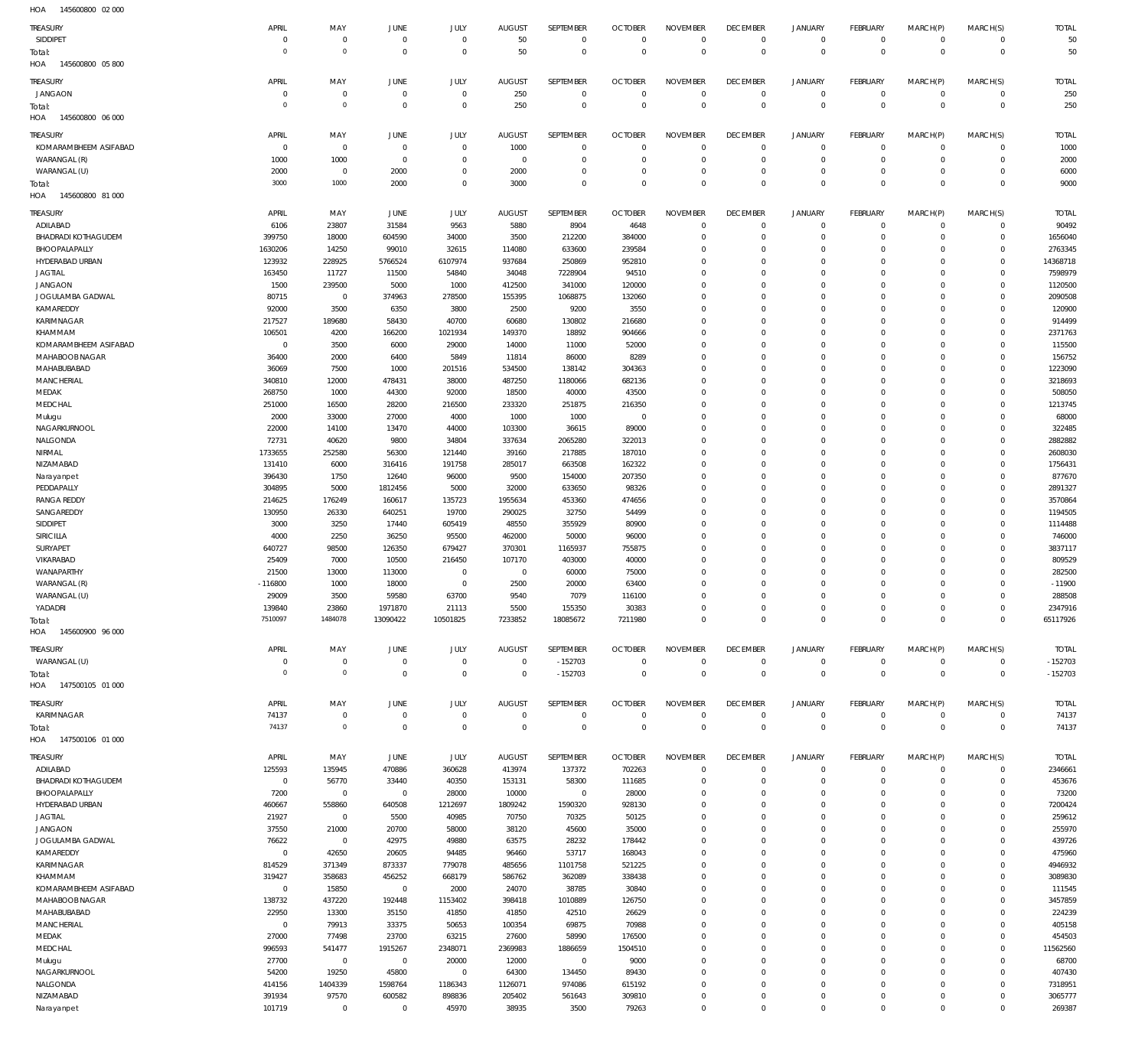145600800 05 800 145600800 06 000 145600800 81 000 145600900 96 000 147500105 01 000 HOA 147500106 01 000 HOA HOA HOA HOA HOA  $\Omega$   $\Omega$   $\boldsymbol{0}$  -152703  $\Omega$   $\Omega$   $\,$  0  $\,$   $\boldsymbol{0}$   $\boldsymbol{0}$   $\Omega$  -152703 SIDDIPET JANGAON KOMARAMBHEEM ASIFABAD WARANGAL (R) WARANGAL (U) ADILABAD BHADRADI KOTHAGUDEM BHOOPALAPALLY HYDERABAD URBAN JAGTIAL JANGAON JOGULAMBA GADWAL KAMAREDDY KARIMNAGAR KHAMMAM KOMARAMBHEEM ASIFABAD MAHABOOB NAGAR MAHABUBABAD **MANCHERIAL** MEDAK MEDCHAL Mulugu NAGARKURNOOL NALGONDA NIRMAL NIZAMABAD Narayanpet PEDDAPALLY RANGA REDDY SANGAREDDY SIDDIPET SIRICILLA SURYAPET VIKARABAD WANAPARTHY WARANGAL (R) WARANGAL (U) YADADRI WARANGAL (U) KARIMNAGAR ADILABAD BHADRADI KOTHAGUDEM BHOOPALAPALLY HYDERABAD URBAN JAGTIAL JANGAON JOGULAMBA GADWAL KAMAREDDY KARIMNAGAR KHAMMAM KOMARAMBHEEM ASIFABAD MAHABOOB NAGAR MAHABUBABAD **MANCHERIAL** MEDAK **MEDCHAL** Mulugu NAGARKURNOOL NALGONDA NIZAMABAD Narayanpet TREASURY TREASURY **TREASURY** TREASURY TREASURY **TREASURY** TREASURY  $\overline{0}$  -116800  $\Omega$   $\Omega$  APRIL APRIL APRIL APRIL APRIL APRIL APRIL  $\Omega$  MAY MAY MAY MAY MAY MAY MAY  $\overline{0}$   $\Omega$   $\sqrt{0}$  JUNE JUNE JUNE JUNE JUNE **JUNE** JUNE  $\Omega$   $\Omega$  JULY JULY JULY JULY JULY JULY JULY  $\Omega$  AUGUST AUGUST AUGUST AUGUST AUGUST **AUGUST** AUGUST  $\Omega$  -152703  $\,$  0  $\,$  SEPTEMBER SEPTEMBER **SEPTEMBER** SEPTEMBER SEPTEMBER **SEPTEMBER** SEPTEMBER  $\Omega$   $\Omega$  OCTOBER **OCTOBER OCTOBER** OCTOBER **OCTOBER OCTOBER** OCTOBER  $\Omega$   $\Omega$   $\Omega$   $\Omega$   $\Omega$   $\Omega$   $\Omega$   $\Omega$  $\Omega$  $\Omega$   $\Omega$   $\Omega$   $\Omega$   $\Omega$   $\Omega$   $\Omega$  $\Omega$   $\Omega$   $\Omega$   $\Omega$   $\Omega$ NOVEMBER NOVEMBER NOVEMBER NOVEMBER NOVEMBER NOVEMBER NOVEMBER  $\Omega$   $\Omega$   $\Omega$   $\Omega$   $\Omega$  $\overline{0}$   $\overline{0}$  $\Omega$  $\overline{0}$   $\Omega$  $\overline{0}$  $\Omega$   $\Omega$   $\Omega$   $\Omega$  $\overline{0}$   $\Omega$  $\overline{0}$  $\Omega$   $\overline{0}$  $\Omega$   $\overline{0}$  DECEMBER DECEMBER **DECEMBER** DECEMBER DECEMBER **DECEMBER** DECEMBER  $\Omega$   $\Omega$   $\Omega$   $\Omega$   $\Omega$   $\Omega$   $\Omega$   $\Omega$   $\Omega$   $\Omega$   $\Omega$   $\Omega$   $\Omega$   $\Omega$  JANUARY JANUARY JANUARY JANUARY JANUARY JANUARY JANUARY  $\Omega$   $\Omega$   $\Omega$   $\Omega$   $\Omega$   $\Omega$   $\Omega$   $\Omega$   $\Omega$  $\overline{0}$   $\Omega$   $\Omega$   $\Omega$  FEBRUARY FEBRUARY **FFRRUARY** FEBRUARY FEBRUARY **FFBRUARY** FEBRUARY  $\Omega$   $\Omega$   $\Omega$   $\Omega$   $\Omega$   $\Omega$   $\Omega$   $\Omega$   $\Omega$   $\Omega$   $\Omega$   $\Omega$   $\Omega$   $\Omega$  MARCH(P) MARCH(P) MARCH(P) MARCH(P) MARCH(P) MARCH(P) MARCH(P)  $\Omega$   $\Omega$   $\Omega$  $\Omega$   $\Omega$   $\Omega$   $\Omega$   $\Omega$  $\Omega$   $\Omega$  $\Omega$   $\Omega$   $\Omega$  $\Omega$   $\Omega$   $\Omega$   $\Omega$  $\Omega$   $\Omega$   $\Omega$   $\Omega$   $\Omega$ MARCH(S) MARCH(S) MARCH(S) MARCH(S) MARCH(S) MARCH(S) MARCH(S) -11900 -152703 TOTAL TOTAL TOTAL TOTAL TOTAL TOTAL TOTAL Total: Total: Total: Total: Total: Total:

145600800 02 000 HOA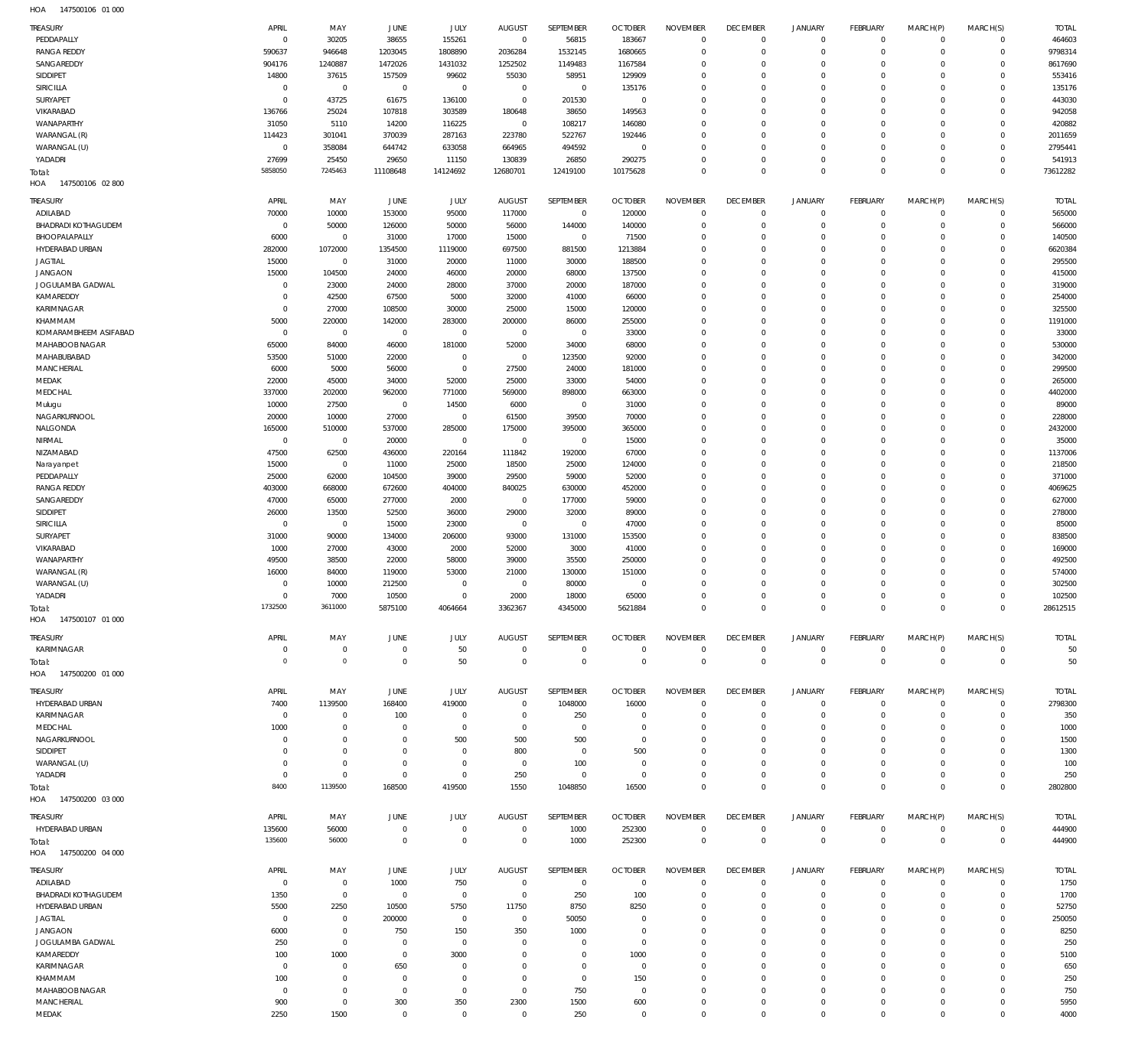| TREASURY                   | APRIL          | MAY            | JUNE           | JULY         | <b>AUGUST</b> | SEPTEMBER    | <b>OCTOBER</b> | <b>NOVEMBER</b> | <b>DECEMBER</b> | <b>JANUARY</b>      | FEBRUARY        | MARCH(P)       | MARCH(S)       | <b>TOTAL</b> |
|----------------------------|----------------|----------------|----------------|--------------|---------------|--------------|----------------|-----------------|-----------------|---------------------|-----------------|----------------|----------------|--------------|
| PEDDAPALLY                 | $\mathbf 0$    | 30205          | 38655          | 155261       | $\mathbf 0$   | 56815        | 183667         | $\mathbf 0$     | $\mathbb O$     | $\mathbf 0$         | $\overline{0}$  | $\mathbf 0$    | $\mathbf{0}$   | 464603       |
| <b>RANGA REDDY</b>         | 590637         | 946648         | 1203045        | 1808890      | 2036284       | 1532145      | 1680665        | $\mathbf 0$     | $\mathbf 0$     | $\mathsf{O}\xspace$ | $\mathbf 0$     | $\mathbf 0$    | $\mathbf{0}$   | 9798314      |
| SANGAREDDY                 | 904176         | 1240887        | 1472026        | 1431032      | 1252502       | 1149483      | 1167584        | $\mathbf 0$     | $\mathbf 0$     | $\mathbf 0$         | $\mathbf 0$     | $\Omega$       | $\mathbf 0$    | 8617690      |
| SIDDIPET                   | 14800          | 37615          | 157509         | 99602        | 55030         | 58951        | 129909         | $\mathbf 0$     | $\mathbf 0$     | $\mathbf 0$         | $\mathbf 0$     | $\Omega$       | $\mathbf 0$    | 553416       |
| SIRICILLA                  | $\mathbf 0$    | $\,0\,$        | $\mathbb O$    | $\mathbf 0$  | $\mathbf 0$   | $\mathbf 0$  | 135176         | $\mathbf 0$     | $\mathbf 0$     | $\mathbf 0$         | $\mathbf 0$     | $\Omega$       | $\mathbf 0$    | 135176       |
| SURYAPET                   | $\overline{0}$ | 43725          | 61675          | 136100       | $^{\circ}$    | 201530       | 0              | $\mathbf 0$     | $\mathbf 0$     | $\mathbf 0$         | $\mathbf 0$     | $\Omega$       | $\mathbf 0$    | 443030       |
| VIKARABAD                  | 136766         | 25024          | 107818         | 303589       | 180648        | 38650        | 149563         | $\mathbf 0$     | $\mathbf 0$     | $\mathbf 0$         | $\mathbf 0$     | $\Omega$       | $\mathbf 0$    | 942058       |
| WANAPARTHY                 | 31050          | 5110           | 14200          | 116225       | $\mathbf 0$   | 108217       | 146080         | $\mathbf 0$     | $\mathbf 0$     | $\mathbf 0$         | $\mathbf 0$     | $\Omega$       | $\mathbf 0$    | 420882       |
| WARANGAL (R)               | 114423         |                | 370039         | 287163       | 223780        |              |                | $\mathbf 0$     | $\mathbf 0$     | $\mathbf 0$         | $\mathbf 0$     | $\Omega$       | $\mathbf 0$    | 2011659      |
|                            |                | 301041         |                |              |               | 522767       | 192446         |                 |                 |                     |                 |                |                |              |
| WARANGAL (U)               | $\overline{0}$ | 358084         | 644742         | 633058       | 664965        | 494592       | $\circ$        | $\mathbf 0$     | $^{\circ}$      | $\mathbf 0$         | $\mathbf 0$     | $\Omega$       | $\mathbf 0$    | 2795441      |
| YADADRI                    | 27699          | 25450          | 29650          | 11150        | 130839        | 26850        | 290275         | $\mathbf 0$     | $^{\circ}$      | $\mathbf 0$         | $\mathbf 0$     | $\mathbf 0$    | $\mathbf{0}$   | 541913       |
| Total:                     | 5858050        | 7245463        | 11108648       | 14124692     | 12680701      | 12419100     | 10175628       | $\mathbf 0$     | $\mathbf 0$     | $\mathbf 0$         | $\overline{0}$  | $\mathbf 0$    | $\overline{0}$ | 73612282     |
| HOA<br>147500106 02 800    |                |                |                |              |               |              |                |                 |                 |                     |                 |                |                |              |
|                            |                |                |                |              |               |              |                |                 |                 |                     |                 |                |                |              |
| TREASURY                   | APRIL          | MAY            | JUNE           | JULY         | <b>AUGUST</b> | SEPTEMBER    | <b>OCTOBER</b> | <b>NOVEMBER</b> | <b>DECEMBER</b> | <b>JANUARY</b>      | FEBRUARY        | MARCH(P)       | MARCH(S)       | <b>TOTAL</b> |
| ADILABAD                   | 70000          | 10000          | 153000         | 95000        | 117000        | $\mathbf 0$  | 120000         | $\mathbf 0$     | $\mathbf 0$     | $\mathbf 0$         | $\overline{0}$  | $\mathbf 0$    | $\mathbf{0}$   | 565000       |
| <b>BHADRADI KOTHAGUDEM</b> | $^{\circ}$     | 50000          | 126000         | 50000        | 56000         | 144000       | 140000         | $\mathbf 0$     | $\mathbf 0$     | $\mathbf 0$         | $\mathbf 0$     | $\mathbf 0$    | $\mathbf{0}$   | 566000       |
| BHOOPALAPALLY              | 6000           | $\mathbb O$    | 31000          | 17000        | 15000         | $\mathbf{0}$ | 71500          | $\mathbf 0$     | $^{\circ}$      | $\mathbf 0$         | $\mathbf 0$     | $\Omega$       | $\mathbf 0$    | 140500       |
| HYDERABAD URBAN            | 282000         | 1072000        | 1354500        | 1119000      | 697500        | 881500       | 1213884        | $\mathbf 0$     | $^{\circ}$      | $\mathbf 0$         | $\mathbf 0$     | $\Omega$       | $\mathbf 0$    | 6620384      |
| <b>JAGTIAL</b>             | 15000          | $\mathbb O$    | 31000          | 20000        | 11000         | 30000        | 188500         | $\mathbf 0$     | $^{\circ}$      | $\mathbf 0$         | $\mathbf 0$     | $\Omega$       | $\mathbf 0$    | 295500       |
| <b>JANGAON</b>             | 15000          | 104500         | 24000          | 46000        | 20000         | 68000        | 137500         | $\mathbf 0$     | $\mathbf 0$     | $\mathbf 0$         | $\mathbf 0$     | $\Omega$       | $\mathbf 0$    | 415000       |
| JOGULAMBA GADWAL           | $\mathbf 0$    | 23000          | 24000          | 28000        | 37000         | 20000        | 187000         | $\mathbf 0$     | $\mathbf 0$     | $\mathbf 0$         | $\mathbf 0$     | $\Omega$       | $\mathbf 0$    | 319000       |
| KAMAREDDY                  | $^{\circ}$     | 42500          | 67500          | 5000         | 32000         | 41000        | 66000          | $\mathbf 0$     | $\mathbf 0$     | $\mathbf 0$         | $\mathbf 0$     | $\Omega$       | $\mathbf 0$    | 254000       |
|                            |                |                |                |              |               |              |                |                 |                 |                     |                 | $\Omega$       |                |              |
| KARIMNAGAR                 | $\overline{0}$ | 27000          | 108500         | 30000        | 25000         | 15000        | 120000         | $\mathbf 0$     | $\mathbf 0$     | $\mathbf 0$         | $\mathbf 0$     |                | $\mathbf 0$    | 325500       |
| KHAMMAM                    | 5000           | 220000         | 142000         | 283000       | 200000        | 86000        | 255000         | $\mathbf 0$     | $\mathbf 0$     | $\mathbf 0$         | $\Omega$        | $\Omega$       | $\mathbf 0$    | 1191000      |
| KOMARAMBHEEM ASIFABAD      | $\mathbf 0$    | $\mathbb O$    | $\mathbb O$    | $\mathbf 0$  | $\mathbf 0$   | 0            | 33000          | $\mathbf 0$     | $^{\circ}$      | $\mathbf 0$         | $\mathbf 0$     | $\Omega$       | $\mathbf 0$    | 33000        |
| MAHABOOB NAGAR             | 65000          | 84000          | 46000          | 181000       | 52000         | 34000        | 68000          | $\mathbf 0$     | $\mathbf 0$     | $\mathbf 0$         | $\Omega$        | $\Omega$       | $\mathbf 0$    | 530000       |
| MAHABUBABAD                | 53500          | 51000          | 22000          | $\mathbf 0$  | $\mathbf{0}$  | 123500       | 92000          | $\mathbf 0$     | $\mathbf 0$     | $\mathbf 0$         | $\mathbf 0$     | $\Omega$       | $\mathbf 0$    | 342000       |
| MANCHERIAL                 | 6000           | 5000           | 56000          | $\mathbf 0$  | 27500         | 24000        | 181000         | $\mathbf 0$     | $\mathbf 0$     | $\mathbf 0$         | $\mathbf 0$     | $\Omega$       | $\mathbf 0$    | 299500       |
| MEDAK                      | 22000          | 45000          | 34000          | 52000        | 25000         | 33000        | 54000          | $\mathbf 0$     | $\mathbf 0$     | $\mathbf 0$         | $\mathbf 0$     | $\Omega$       | $\mathbf 0$    | 265000       |
|                            |                |                |                |              |               |              |                |                 |                 |                     |                 |                |                |              |
| MEDCHAL                    | 337000         | 202000         | 962000         | 771000       | 569000        | 898000       | 663000         | $\mathbf 0$     | $\mathbf 0$     | $\mathbf 0$         | $\mathbf 0$     | $\Omega$       | $\mathbf 0$    | 4402000      |
| Mulugu                     | 10000          | 27500          | $\mathbb O$    | 14500        | 6000          | $\mathbf{0}$ | 31000          | $\mathbf 0$     | $\mathbf 0$     | $\mathbf 0$         | $\mathbf 0$     | $\Omega$       | $\mathbf 0$    | 89000        |
| NAGARKURNOOL               | 20000          | 10000          | 27000          | $\mathbf 0$  | 61500         | 39500        | 70000          | $\mathbf 0$     | $\mathbf 0$     | $\mathbf 0$         | $\mathbf 0$     | $\Omega$       | $\mathbf 0$    | 228000       |
| NALGONDA                   | 165000         | 510000         | 537000         | 285000       | 175000        | 395000       | 365000         | $\mathbf 0$     | $\mathbf 0$     | $\mathbf 0$         | $\mathbf 0$     | $\Omega$       | $\mathbf 0$    | 2432000      |
| NIRMAL                     | $\mathbf 0$    | $\mathbb O$    | 20000          | $\mathbf 0$  | $\mathbf 0$   | $\mathbf{0}$ | 15000          | $\mathbf 0$     | $\mathbf 0$     | $\mathbf 0$         | $\mathbf 0$     | $\Omega$       | $\mathbf 0$    | 35000        |
| NIZAMABAD                  | 47500          | 62500          | 436000         | 220164       | 111842        | 192000       | 67000          | $\mathbf 0$     | $\mathbf 0$     | $\mathbf 0$         | $\mathbf 0$     | $\Omega$       | $\mathbf 0$    | 1137006      |
|                            | 15000          |                |                |              |               |              |                | $\mathbf 0$     | $\mathbf 0$     | $\mathbf 0$         | $\mathbf 0$     | $\Omega$       | $\mathbf 0$    | 218500       |
| Narayanpet                 |                | $\mathbb O$    | 11000          | 25000        | 18500         | 25000        | 124000         |                 |                 |                     |                 |                |                |              |
| PEDDAPALLY                 | 25000          | 62000          | 104500         | 39000        | 29500         | 59000        | 52000          | $\mathbf 0$     | $^{\circ}$      | $\mathbf 0$         | $\mathbf 0$     | $\Omega$       | $\mathbf 0$    | 371000       |
| <b>RANGA REDDY</b>         | 403000         | 668000         | 672600         | 404000       | 840025        | 630000       | 452000         | $\mathbf 0$     | $\mathbf 0$     | $\mathbf 0$         | $\Omega$        | $\Omega$       | $\mathbf 0$    | 4069625      |
| SANGAREDDY                 | 47000          | 65000          | 277000         | 2000         | $\mathbf 0$   | 177000       | 59000          | $\mathbf 0$     | $\mathbf 0$     | $\mathbf 0$         | $\mathbf 0$     | $\Omega$       | $\mathbf 0$    | 627000       |
| SIDDIPET                   | 26000          | 13500          | 52500          | 36000        | 29000         | 32000        | 89000          | $\mathbf 0$     | $\mathbf 0$     | $\mathbf 0$         | $\mathbf 0$     | $\Omega$       | $\mathbf 0$    | 278000       |
| SIRICILLA                  | $\mathbf 0$    | $\mathbb O$    | 15000          | 23000        | $\mathbf{0}$  | $\mathbf{0}$ | 47000          | $\mathbf 0$     | $\mathbf 0$     | $\mathbf 0$         | $\mathbf 0$     | $\Omega$       | $\mathbf 0$    | 85000        |
| SURYAPET                   | 31000          | 90000          | 134000         | 206000       | 93000         | 131000       | 153500         | $\mathbf 0$     | $\mathbf 0$     | $\mathbf 0$         | $\mathbf 0$     | $\Omega$       | $\mathbf 0$    | 838500       |
| VIKARABAD                  | 1000           |                |                |              |               |              |                | $\mathbf 0$     |                 | $\mathbf 0$         | $\mathbf 0$     | $\Omega$       | $\mathbf 0$    |              |
|                            |                | 27000          | 43000          | 2000         | 52000         | 3000         | 41000          |                 | $\mathbf 0$     |                     |                 |                |                | 169000       |
| WANAPARTHY                 | 49500          | 38500          | 22000          | 58000        | 39000         | 35500        | 250000         | $\mathbf 0$     | $\mathbf 0$     | $\mathbf 0$         | $\mathbf 0$     | $\mathbf 0$    | $\mathbf 0$    | 492500       |
| WARANGAL (R)               | 16000          | 84000          | 119000         | 53000        | 21000         | 130000       | 151000         | $\mathbf 0$     | $\mathbf 0$     | $\mathbf 0$         | $\mathbf 0$     | $\Omega$       | $\mathbf 0$    | 574000       |
| WARANGAL (U)               | $\mathbf 0$    | 10000          | 212500         | $\mathbf{0}$ | $^{\circ}$    | 80000        | $^{\circ}$     | $\mathbf 0$     | $\mathbf 0$     | $\mathbf 0$         | $\Omega$        | $\Omega$       | $\mathbf 0$    | 302500       |
| YADADRI                    | $\mathbf 0$    | 7000           | 10500          | $\mathbf 0$  | 2000          | 18000        | 65000          | $\mathbf 0$     | $\mathbf 0$     | $\mathbf 0$         | $\Omega$        | $\Omega$       | $\mathbf 0$    | 102500       |
| Total:                     | 1732500        | 3611000        | 5875100        | 4064664      | 3362367       | 4345000      | 5621884        | $\mathbf 0$     | $\mathbf 0$     | $\mathbf 0$         | $\mathbf 0$     | $\mathbf 0$    | $\mathbf 0$    | 28612515     |
| HOA<br>147500107 01 000    |                |                |                |              |               |              |                |                 |                 |                     |                 |                |                |              |
|                            |                |                |                |              |               |              |                |                 |                 |                     |                 |                |                |              |
| TREASURY                   | APRIL          | MAY            | JUNE           | JULY         | <b>AUGUST</b> | SEPTEMBER    | <b>OCTOBER</b> | <b>NOVEMBER</b> | <b>DECEMBER</b> | <b>JANUARY</b>      | FEBRUARY        | MARCH(P)       | MARCH(S)       | <b>TOTAL</b> |
| KARIMNAGAR                 | 0              | $\mathbb O$    | $\mathbf 0$    | 50           | $^{\circ}$    | 0            | $\overline{0}$ | $\mathbb O$     | $\overline{0}$  | 0                   | $\overline{0}$  | $\overline{0}$ | $\overline{0}$ | 50           |
| Total:                     | $\Omega$       | $\mathbb O$    | $\overline{0}$ | 50           | $^{\circ}$    | $\mathbf 0$  | $\overline{0}$ | $\mathbf 0$     | $\mathbf 0$     | $\mathbf 0$         | $\overline{0}$  | $\mathbf 0$    | $\overline{0}$ | 50           |
| 147500200 01 000<br>HOA    |                |                |                |              |               |              |                |                 |                 |                     |                 |                |                |              |
|                            |                |                |                |              |               |              |                |                 |                 |                     |                 |                |                |              |
| TREASURY                   | APRIL          | MAY            | JUNE           | JULY         | <b>AUGUST</b> | SEPTEMBER    | <b>OCTOBER</b> | <b>NOVEMBER</b> | <b>DECEMBER</b> | <b>JANUARY</b>      | <b>FEBRUARY</b> | MARCH(P)       | MARCH(S)       | <b>TOTAL</b> |
| HYDERABAD URBAN            | 7400           | 1139500        | 168400         | 419000       | $^{\circ}$    | 1048000      | 16000          | $\mathbf 0$     | $\mathbf 0$     | 0                   | $\mathbf 0$     | $\mathbf 0$    | $\mathbf{0}$   | 2798300      |
| KARIMNAGAR                 | $^{\circ}$     | $\overline{0}$ | 100            | $^{\circ}$   | $\circ$       | 250          | $^{\circ}$     | $^{\circ}$      | 0               | $\mathbf 0$         | $\mathbf 0$     | $\mathbf 0$    | $\mathbf 0$    | 350          |
|                            |                |                |                |              |               |              |                |                 |                 |                     |                 |                |                |              |
| MEDCHAL                    | 1000           | $\mathbb O$    | $^{\circ}$     | $^{\circ}$   | $\circ$       | $\mathbf{0}$ | 0              | $\mathbf 0$     | 0               | 0                   | $\mathbf 0$     | 0              | $\mathbf 0$    | 1000         |
| NAGARKURNOOL               | 0              | $\overline{0}$ | $\circ$        | 500          | 500           | 500          | 0              | $\mathbf 0$     | 0               | 0                   | 0               | 0              | $\mathbf 0$    | 1500         |
| SIDDIPET                   | 0              | $\mathbb O$    | $^{\circ}$     | $\mathbf{0}$ | 800           | $\mathbf{0}$ | 500            | $\mathbf 0$     | $\mathbf 0$     | 0                   | $\mathbf 0$     | 0              | $\mathbf 0$    | 1300         |
| WARANGAL (U)               | 0              | $\mathbb O$    | $^{\circ}$     | $^{\circ}$   | $^{\circ}$    | 100          | 0              | $\mathbf 0$     | 0               | 0                   | 0               | 0              | $\mathbf 0$    | 100          |
| YADADRI                    | 0              | $\mathbb O$    | $\overline{0}$ | $\mathbf 0$  | 250           | $\mathbf{0}$ | - 0            | $\mathbf 0$     | $\mathbf 0$     | $\mathbf 0$         | $^{\circ}$      | $\mathbf 0$    | $\mathbf 0$    | 250          |
| Total:                     | 8400           | 1139500        | 168500         | 419500       | 1550          | 1048850      | 16500          | $\mathbf 0$     | $\mathbf 0$     | $\mathbf 0$         | $\overline{0}$  | $\mathbf 0$    | $\mathbf 0$    | 2802800      |
| 147500200 03 000<br>HOA    |                |                |                |              |               |              |                |                 |                 |                     |                 |                |                |              |
|                            |                |                |                |              |               |              |                |                 |                 |                     |                 |                |                |              |
| TREASURY                   | APRIL          | MAY            | JUNE           | JULY         | <b>AUGUST</b> | SEPTEMBER    | <b>OCTOBER</b> | <b>NOVEMBER</b> | <b>DECEMBER</b> | <b>JANUARY</b>      | FEBRUARY        | MARCH(P)       | MARCH(S)       | <b>TOTAL</b> |
| HYDERABAD URBAN            | 135600         | 56000          | $\mathbf{0}$   | $\mathbf 0$  | $^{\circ}$    | 1000         | 252300         | $\mathbf 0$     | $\mathbf 0$     | 0                   | $\overline{0}$  | $\mathbf 0$    | $\mathbf{0}$   | 444900       |
| Total:                     | 135600         | 56000          | $^{\circ}$     | $\mathbf 0$  | $\circ$       | 1000         | 252300         | $\mathbf 0$     | $\mathbf 0$     | $\mathbf 0$         | $\overline{0}$  | $\mathbf 0$    | $\overline{0}$ | 444900       |
| 147500200 04 000<br>HOA    |                |                |                |              |               |              |                |                 |                 |                     |                 |                |                |              |
|                            |                |                |                |              |               |              |                |                 |                 |                     |                 |                |                |              |
| TREASURY                   | APRIL          | MAY            | JUNE           | JULY         | <b>AUGUST</b> | SEPTEMBER    | <b>OCTOBER</b> | <b>NOVEMBER</b> | <b>DECEMBER</b> | <b>JANUARY</b>      | FEBRUARY        | MARCH(P)       | MARCH(S)       | <b>TOTAL</b> |
| ADILABAD                   | 0              | $\mathbb O$    | 1000           | 750          | $^{\circ}$    | $\mathbf{0}$ | 0              | $^{\circ}$      | $^{\circ}$      | $\mathbf 0$         | $\mathbf 0$     | $\mathbf 0$    | $^{\circ}$     | 1750         |
| <b>BHADRADI KOTHAGUDEM</b> | 1350           | $\mathbb O$    | $\overline{0}$ | $\mathbf{0}$ | $^{\circ}$    | 250          | 100            | $\mathbf 0$     | $^{\circ}$      | $\mathbf 0$         | $\overline{0}$  | $\mathbf 0$    | $\mathbf{0}$   | 1700         |
| HYDERABAD URBAN            | 5500           | 2250           | 10500          | 5750         | 11750         | 8750         | 8250           | $\mathbf 0$     | 0               | 0                   | $\mathbf 0$     | 0              | $^{\circ}$     | 52750        |
|                            |                |                |                |              |               |              |                |                 |                 |                     |                 |                |                |              |
| <b>JAGTIAL</b>             | - 0            | $\overline{0}$ | 200000         | $\mathbf{0}$ | $\circ$       | 50050        | 0              | $\mathbf 0$     | $\mathbf 0$     | 0                   | $\mathbf 0$     | $\mathbf 0$    | $^{\circ}$     | 250050       |
| <b>JANGAON</b>             | 6000           | $\mathbb O$    | 750            | 150          | 350           | 1000         | - 0            | $\mathbf 0$     | 0               | 0                   | $\mathbf 0$     | 0              | $^{\circ}$     | 8250         |
| JOGULAMBA GADWAL           | 250            | $\mathbb O$    | $^{\circ}$     | $\mathbf{0}$ | 0             | $\mathbf{0}$ | $^{\circ}$     | $\mathbf 0$     | $\mathbf 0$     | $\mathbf 0$         | $\mathbf 0$     | $\Omega$       | $\mathbf 0$    | 250          |
| KAMAREDDY                  | 100            | 1000           | $\overline{0}$ | 3000         | 0             | $\mathbf{0}$ | 1000           | $\mathbf 0$     | 0               | 0                   | $\mathbf 0$     | $\Omega$       | $\mathbf 0$    | 5100         |
| KARIMNAGAR                 | $^{\circ}$     | $\overline{0}$ | 650            | 0            | 0             | $\mathbf{0}$ | $^{\circ}$     | $\mathbf 0$     | $\mathbf 0$     | $\mathbf 0$         | $\mathbf 0$     | $\Omega$       | $\mathbf 0$    | 650          |
| KHAMMAM                    | 100            | $\overline{0}$ | $^{\circ}$     | $^{\circ}$   | $\circ$       | $\mathbf{0}$ | 150            | $\mathbf 0$     | $\mathbf 0$     | 0                   | $\mathbf 0$     | $\Omega$       | $\mathbf 0$    | 250          |
| MAHABOOB NAGAR             | $^{\circ}$     | $\mathbb O$    | $^{\circ}$     | $\mathbf{0}$ | $^{\circ}$    | 750          | $^{\circ}$     | $\mathbf 0$     | $\mathbf 0$     | $\mathbf 0$         | $\mathbf 0$     | $\mathbf 0$    | $\mathbf 0$    | 750          |
|                            |                |                |                |              |               |              |                |                 |                 |                     |                 |                |                |              |
| MANCHERIAL<br>MEDAK        | 900            | $\mathbb O$    | 300            | 350          | 2300          | 1500         | 600            | $\mathbf 0$     | $\mathbf 0$     | $\mathbf 0$         | $\mathbf 0$     | $\mathbf 0$    | $\mathbf 0$    | 5950         |
|                            | 2250           | 1500           | $\mathbb O$    | $\mathbf 0$  | $\mathbf{0}$  | 250          | $\mathbf 0$    | $\mathbf 0$     | $\mathbf 0$     | $\mathbf 0$         | $\mathbf 0$     | $\mathbf 0$    | $\mathbf 0$    | 4000         |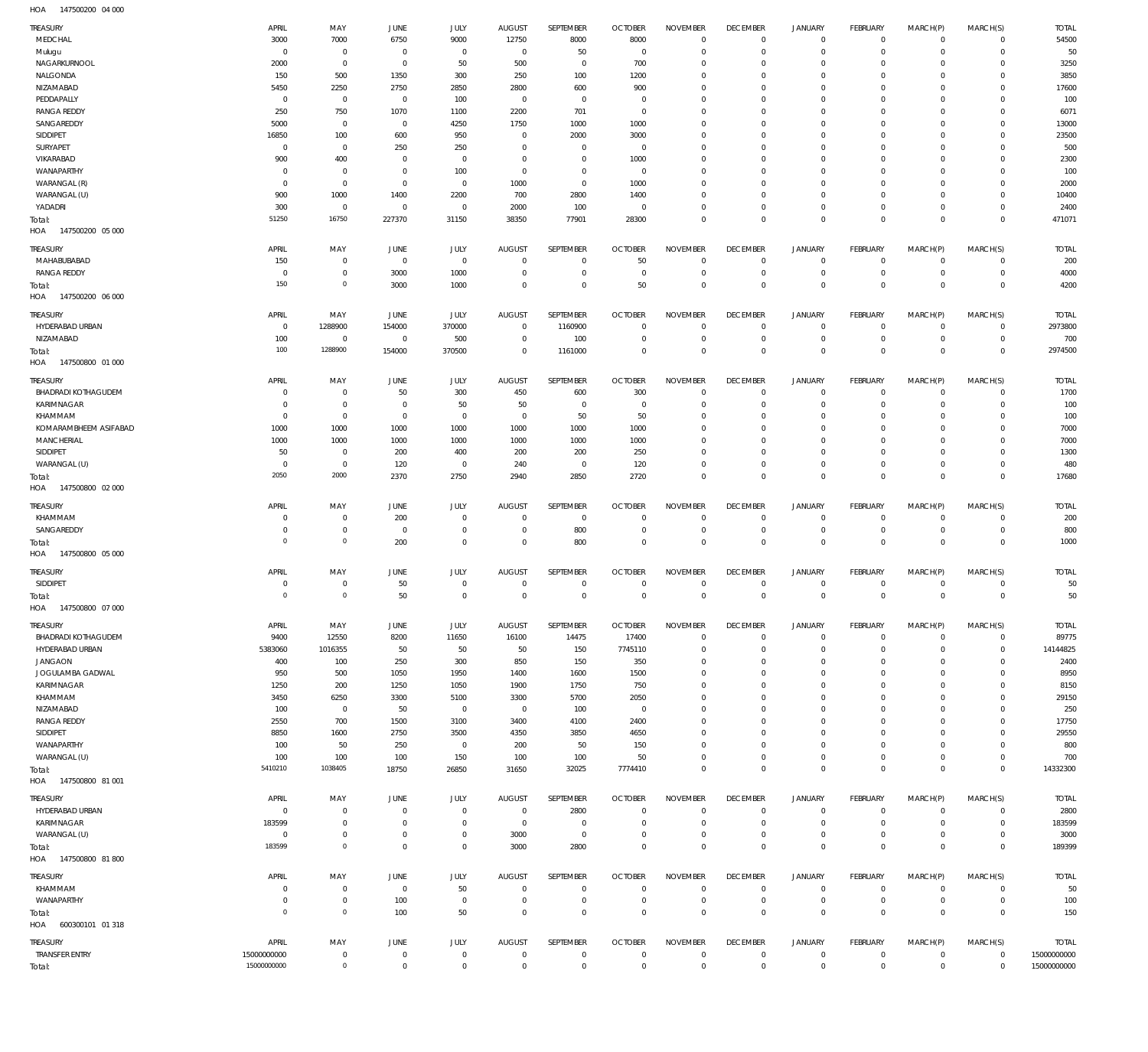147500200 04 000 HOA

| <b>TREASURY</b><br>MEDCHAL                       | APRIL<br>3000              | MAY<br>7000                      | JUNE<br>6750                     | JULY<br>9000               | <b>AUGUST</b><br>12750      | SEPTEMBER<br>8000           | <b>OCTOBER</b><br>8000           | <b>NOVEMBER</b><br>$\mathbf 0$ | <b>DECEMBER</b><br>$\mathbf 0$ | <b>JANUARY</b><br>$\mathbf 0$ | <b>FEBRUARY</b><br>$\mathbf 0$ | MARCH(P)<br>$\mathbf 0$    | MARCH(S)<br>$\mathbf{0}$       | <b>TOTAL</b><br>54500      |
|--------------------------------------------------|----------------------------|----------------------------------|----------------------------------|----------------------------|-----------------------------|-----------------------------|----------------------------------|--------------------------------|--------------------------------|-------------------------------|--------------------------------|----------------------------|--------------------------------|----------------------------|
| Mulugu                                           | $\Omega$                   | $\overline{0}$                   | $^{\circ}$                       | $\overline{0}$             | $^{\circ}$                  | 50                          | $\overline{0}$                   | $\mathbf 0$                    | $^{\circ}$                     | $\mathbf 0$                   | $\mathbf 0$                    | $\mathbf 0$                | $\mathbf{0}$                   | 50                         |
| NAGARKURNOOL<br>NALGONDA                         | 2000<br>150                | $\mathbf 0$<br>500               | $^{\circ}$<br>1350               | 50<br>300                  | 500<br>250                  | $\mathbf{0}$<br>100         | 700<br>1200                      | $\mathbf 0$<br>$\mathbf 0$     | $^{\circ}$<br>$\mathbf 0$      | $\mathbf 0$<br>$\mathbf 0$    | $\mathbf 0$<br>$\mathbf 0$     | $\Omega$<br>$\mathbf 0$    | $\mathbf 0$<br>$\mathbf 0$     | 3250<br>3850               |
| NIZAMABAD                                        | 5450                       | 2250                             | 2750                             | 2850                       | 2800                        | 600                         | 900                              | $\mathbf 0$                    | $^{\circ}$                     | $\mathbf 0$                   | $\mathbf 0$                    | $\Omega$                   | $\mathbf 0$                    | 17600                      |
| PEDDAPALLY                                       | $^{\circ}$                 | $\overline{0}$                   | $^{\circ}$                       | 100                        | $^{\circ}$                  | $\mathbf{0}$                | 0                                | $\mathbf 0$                    | $\mathbf 0$                    | $\mathbf 0$                   | $\mathbf 0$                    | $\Omega$                   | $\mathbf 0$                    | 100                        |
| <b>RANGA REDDY</b>                               | 250                        | 750                              | 1070                             | 1100                       | 2200                        | 701                         | $\overline{0}$                   | $\mathbf 0$                    | $^{\circ}$                     | $\mathbf 0$                   | $\mathbf 0$                    | $\Omega$                   | $\mathbf 0$                    | 6071                       |
| SANGAREDDY<br>SIDDIPET                           | 5000<br>16850              | $\overline{0}$<br>100            | $^{\circ}$<br>600                | 4250<br>950                | 1750<br>$^{\circ}$          | 1000<br>2000                | 1000<br>3000                     | $\mathbf 0$<br>$\mathbf 0$     | $\mathbf 0$<br>$^{\circ}$      | $\mathbf 0$<br>$\mathbf 0$    | $\mathbf 0$<br>$\mathbf 0$     | $\Omega$<br>$\Omega$       | $\mathbf 0$<br>$\mathbf 0$     | 13000<br>23500             |
| SURYAPET                                         | $^{\circ}$                 | $\overline{0}$                   | 250                              | 250                        | $\mathbf 0$                 | $\mathbf{0}$                | 0                                | $\mathbf 0$                    | $^{\circ}$                     | $\mathbf 0$                   | $\mathbf 0$                    | $\Omega$                   | $\mathbf 0$                    | 500                        |
| VIKARABAD                                        | 900                        | 400                              | 0                                | $\overline{0}$             | $^{\circ}$                  | $\mathbf{0}$                | 1000                             | $\mathbf 0$                    | $^{\circ}$                     | $\mathbf 0$                   | $\mathbf 0$                    | $\Omega$                   | $\mathbf 0$                    | 2300                       |
| WANAPARTHY                                       | $\Omega$                   | $\overline{0}$                   | $^{\circ}$                       | 100                        | $^{\circ}$                  | $\mathbf 0$                 | $\overline{0}$                   | $\mathbf 0$                    | $^{\circ}$                     | $\mathbf 0$                   | $\mathbf 0$                    | $\Omega$                   | $\mathbf 0$                    | 100                        |
| WARANGAL (R)<br>WARANGAL (U)                     | $\Omega$<br>900            | $\mathbf 0$<br>1000              | $^{\circ}$<br>1400               | $\overline{0}$<br>2200     | 1000<br>700                 | $\mathbf{0}$<br>2800        | 1000<br>1400                     | $\mathbf 0$<br>$\mathbf 0$     | $\mathbf 0$<br>$\mathbf 0$     | $\mathbf 0$<br>$\mathbf 0$    | $\mathbf 0$<br>$\mathbf 0$     | $\Omega$<br>$\mathbf 0$    | $\mathbf 0$<br>$\mathbf 0$     | 2000<br>10400              |
| YADADRI                                          | 300                        | $\mathbf 0$                      | $^{\circ}$                       | $\overline{0}$             | 2000                        | 100                         | $\overline{0}$                   | $\mathbf 0$                    | $^{\circ}$                     | $\mathbf 0$                   | $\mathbf 0$                    | $\mathbf 0$                | $\mathbf 0$                    | 2400                       |
| Total:<br>HOA<br>147500200 05 000                | 51250                      | 16750                            | 227370                           | 31150                      | 38350                       | 77901                       | 28300                            | $\mathbf 0$                    | $\mathbf 0$                    | $\mathbf 0$                   | $\mathbf 0$                    | $\mathbf 0$                | $\overline{0}$                 | 471071                     |
| TREASURY                                         | APRIL                      | MAY                              | JUNE                             | JULY                       | <b>AUGUST</b>               | SEPTEMBER                   | <b>OCTOBER</b>                   | <b>NOVEMBER</b>                | <b>DECEMBER</b>                | <b>JANUARY</b>                | FEBRUARY                       | MARCH(P)                   | MARCH(S)                       | <b>TOTAL</b>               |
| MAHABUBABAD                                      | 150                        | $\overline{0}$                   | $\overline{0}$                   | $\mathbf 0$                | $^{\circ}$                  | $^{\circ}$                  | 50                               | $^{\circ}$                     | $^{\circ}$                     | $^{\circ}$                    | $\mathbf 0$                    | $\mathbf 0$                | $\mathbf 0$                    | 200                        |
| <b>RANGA REDDY</b><br>Total:                     | $^{\circ}$<br>150          | $\mathbf 0$<br>$\,0\,$           | 3000<br>3000                     | 1000<br>1000               | $\mathbf 0$<br>$\mathbf 0$  | $\mathbf{0}$<br>$\mathbf 0$ | 0<br>50                          | $^{\circ}$<br>$\mathbf 0$      | $^{\circ}$<br>$^{\circ}$       | $\mathbf 0$<br>$\mathbf 0$    | $\mathbf 0$<br>$\mathbf 0$     | $\mathbf 0$<br>$\mathbf 0$ | $\mathbf 0$<br>$\overline{0}$  | 4000<br>4200               |
| HOA 147500200 06 000                             |                            |                                  |                                  |                            |                             |                             |                                  |                                |                                |                               |                                |                            |                                |                            |
| <b>TREASURY</b>                                  | APRIL                      | MAY                              | JUNE                             | <b>JULY</b>                | AUGUST                      | SEPTEMBER                   | <b>OCTOBER</b>                   | <b>NOVEMBER</b>                | <b>DECEMBER</b>                | <b>JANUARY</b>                | <b>FEBRUARY</b>                | MARCH(P)                   | MARCH(S)                       | <b>TOTAL</b>               |
| HYDERABAD URBAN<br>NIZAMABAD                     | $\overline{0}$<br>100      | 1288900<br>$\overline{0}$        | 154000<br>$^{\circ}$             | 370000<br>500              | $^{\circ}$<br>$^{\circ}$    | 1160900<br>100              | 0<br>0                           | $^{\circ}$<br>$^{\circ}$       | $^{\circ}$<br>$^{\circ}$       | $\mathbf 0$<br>$\mathbf 0$    | $^{\circ}$<br>$\mathbf 0$      | $\mathbf 0$<br>$\mathbf 0$ | $\mathbf{0}$<br>$\mathbf{0}$   | 2973800<br>700             |
| Total:                                           | 100                        | 1288900                          | 154000                           | 370500                     | $^{\circ}$                  | 1161000                     | $\overline{0}$                   | $\mathbf 0$                    | $\mathbf 0$                    | $\mathbf 0$                   | $\overline{0}$                 | $\mathbf 0$                | $\overline{0}$                 | 2974500                    |
| HOA<br>147500800 01 000                          |                            |                                  |                                  |                            |                             |                             |                                  |                                |                                |                               |                                |                            |                                |                            |
| <b>TREASURY</b>                                  | APRIL                      | MAY                              | JUNE                             | <b>JULY</b>                | <b>AUGUST</b>               | SEPTEMBER                   | <b>OCTOBER</b>                   | <b>NOVEMBER</b>                | <b>DECEMBER</b>                | <b>JANUARY</b>                | <b>FEBRUARY</b>                | MARCH(P)                   | MARCH(S)                       | <b>TOTAL</b>               |
| <b>BHADRADI KOTHAGUDEM</b><br>KARIMNAGAR         | $\Omega$<br>$\Omega$       | $\overline{0}$<br>$\overline{0}$ | 50<br>$\overline{0}$             | 300<br>50                  | 450<br>50                   | 600<br>$\mathbf{0}$         | 300<br>0                         | $^{\circ}$<br>$^{\circ}$       | $^{\circ}$<br>$^{\circ}$       | $^{\circ}$<br>$^{\circ}$      | $\mathbf 0$<br>$\mathbf 0$     | $\mathbf 0$<br>$\mathbf 0$ | $\mathbf 0$<br>$\mathbf 0$     | 1700<br>100                |
| KHAMMAM                                          | $\Omega$                   | $\mathbf 0$                      | $^{\circ}$                       | $^{\circ}$                 | $^{\circ}$                  | 50                          | 50                               | $\mathbf 0$                    | $^{\circ}$                     | $^{\circ}$                    | $\mathbf 0$                    | $\Omega$                   | $\mathbf 0$                    | 100                        |
| KOMARAMBHEEM ASIFABAD                            | 1000                       | 1000                             | 1000                             | 1000                       | 1000                        | 1000                        | 1000                             | $\mathbf 0$                    | $^{\circ}$                     | $^{\circ}$                    | $\mathbf 0$                    | $\Omega$                   | $\mathbf 0$                    | 7000                       |
| MANCHERIAL<br>SIDDIPET                           | 1000<br>50                 | 1000<br>$\overline{0}$           | 1000                             | 1000<br>400                | 1000<br>200                 | 1000<br>200                 | 1000<br>250                      | $\mathbf 0$<br>$\mathbf 0$     | $\mathbf 0$<br>$\mathbf 0$     | $^{\circ}$<br>$^{\circ}$      | $\mathbf 0$<br>$\mathbf 0$     | $\Omega$<br>$\Omega$       | $\mathbf 0$<br>$\mathbf 0$     | 7000<br>1300               |
| WARANGAL (U)                                     | $\Omega$                   | $\mathbf 0$                      | 200<br>120                       | $\overline{0}$             | 240                         | $\mathbf 0$                 | 120                              | $\mathbf 0$                    | $\mathbf 0$                    | $^{\circ}$                    | $\mathbf 0$                    | $\mathbf 0$                | $\mathbf 0$                    | 480                        |
| Total:                                           | 2050                       | 2000                             | 2370                             | 2750                       | 2940                        | 2850                        | 2720                             | $\mathbf 0$                    | $\mathbf 0$                    | $\mathbf 0$                   | $\mathbf 0$                    | $\mathbf 0$                | $\overline{0}$                 | 17680                      |
| HOA 147500800 02 000<br><b>TREASURY</b>          | APRIL                      | MAY                              | JUNE                             | <b>JULY</b>                | <b>AUGUST</b>               | SEPTEMBER                   | <b>OCTOBER</b>                   | <b>NOVEMBER</b>                | <b>DECEMBER</b>                | <b>JANUARY</b>                | <b>FEBRUARY</b>                | MARCH(P)                   | MARCH(S)                       | <b>TOTAL</b>               |
| KHAMMAM                                          | $\Omega$                   | $\overline{0}$                   | 200                              | $\overline{0}$             | $^{\circ}$                  | $\mathbf{0}$                | 0                                | $\mathbf 0$                    | $^{\circ}$                     | $^{\circ}$                    | $^{\circ}$                     | $\mathbf 0$                | $\mathbf{0}$                   | 200                        |
| SANGAREDDY                                       | $\Omega$                   | $\mathbf 0$                      | $^{\circ}$                       | $\mathbf 0$                | $^{\circ}$                  | 800                         | $\overline{0}$                   | $\mathbf 0$                    | $^{\circ}$                     | $\mathbf 0$                   | $\mathbf 0$                    | $\mathbf 0$                | $\mathbf{0}$                   | 800                        |
| Total:<br>147500800 05 000<br>HOA                | $\Omega$                   | $\,0\,$                          | 200                              | $\mathbf 0$                | $^{\circ}$                  | 800                         | $^{\circ}$                       | $\mathbf 0$                    | $\mathbf 0$                    | $\mathbf 0$                   | $\overline{0}$                 | $\mathbf 0$                | $\overline{0}$                 | 1000                       |
| TREASURY                                         | APRIL                      | MAY                              | <b>JUNE</b>                      | <b>JULY</b>                | <b>AUGUST</b>               | SEPTEMBER                   | <b>OCTOBER</b>                   | <b>NOVEMBER</b>                | <b>DECEMBER</b>                | <b>JANUARY</b>                | FEBRUARY                       | MARCH(P)                   | MARCH(S)                       | <b>TOTAL</b>               |
| SIDDIPET                                         |                            | $\mathbf 0$                      | 50                               | $\mathbf 0$                | $\mathbf 0$                 |                             |                                  | $^{\circ}$                     | $\mathbf 0$                    | $^{\circ}$                    | $\mathbf 0$                    | $\mathbf 0$                |                                | 50                         |
| Total:                                           |                            |                                  |                                  |                            |                             | $^{\circ}$                  | - 0                              |                                |                                |                               |                                |                            | $\mathbf 0$                    |                            |
| HOA<br>147500800 07 000                          | $\Omega$                   | $\,0\,$                          | 50                               | $\mathbf 0$                | $\mathbf 0$                 | $\mathbf 0$                 | $^{\circ}$                       | $\mathbf 0$                    | $\mathbf 0$                    | $\mathbf 0$                   | $\mathbf{0}$                   | $\mathbf 0$                | $\mathbf{0}$                   | 50                         |
| <b>TREASURY</b>                                  | APRIL                      | MAY                              | JUNE                             | JULY                       | <b>AUGUST</b>               | SEPTEMBER                   | <b>OCTOBER</b>                   | <b>NOVEMBER</b>                | <b>DECEMBER</b>                | <b>JANUARY</b>                | <b>FEBRUARY</b>                | MARCH(P)                   | MARCH(S)                       | <b>TOTAL</b>               |
| <b>BHADRADI KOTHAGUDEM</b>                       | 9400                       | 12550                            | 8200                             | 11650                      | 16100                       | 14475                       | 17400                            | $\mathbf 0$                    | $\mathbf 0$                    | $\mathbf 0$                   | $\mathbf 0$                    | $\mathbf 0$                | $\mathbf{0}$                   | 89775                      |
| HYDERABAD URBAN                                  | 5383060                    | 1016355                          | 50                               | 50                         | 50                          | 150                         | 7745110                          | $\mathbf 0$                    | $^{\circ}$                     | $\mathbf 0$                   | $\mathbf 0$                    | $\mathbf 0$<br>$\Omega$    | $\mathbf{0}$                   | 14144825                   |
| <b>JANGAON</b><br>JOGULAMBA GADWAL               | 400<br>950                 | 100<br>500                       | 250<br>1050                      | 300<br>1950                | 850<br>1400                 | 150<br>1600                 | 350<br>1500                      | $\mathbf 0$<br>$\mathbf 0$     | $^{\circ}$<br>$\mathbf 0$      | $\mathbf 0$<br>$\mathbf 0$    | $\mathbf 0$<br>$\mathbf 0$     | $\mathbf 0$                | $\mathbf 0$<br>$\mathbf 0$     | 2400<br>8950               |
| KARIMNAGAR                                       | 1250                       | 200                              | 1250                             | 1050                       | 1900                        | 1750                        | 750                              | $\mathbf 0$                    | $^{\circ}$                     | $\mathbf 0$                   | $\mathbf 0$                    | $\Omega$                   | $\mathbf 0$                    | 8150                       |
| KHAMMAM                                          | 3450                       | 6250                             | 3300                             | 5100                       | 3300                        | 5700                        | 2050                             | $\mathbf 0$                    | $\mathbf 0$                    | $\mathbf 0$                   | $\mathbf 0$                    | $\Omega$                   | $\mathbf 0$                    | 29150                      |
| NIZAMABAD                                        | 100                        | $\overline{0}$                   | 50                               | $\mathbf 0$                | $\overline{0}$              | 100                         | $\overline{0}$                   | $\mathbf 0$<br>$\mathbf 0$     | $^{\circ}$<br>$^{\circ}$       | $\mathbf 0$<br>$\mathbf 0$    | $\mathbf 0$<br>$\mathbf 0$     | $\Omega$<br>$\Omega$       | $\mathbf 0$<br>$\mathbf 0$     | 250                        |
| <b>RANGA REDDY</b><br>SIDDIPET                   | 2550<br>8850               | 700<br>1600                      | 1500<br>2750                     | 3100<br>3500               | 3400<br>4350                | 4100<br>3850                | 2400<br>4650                     | $\mathbf 0$                    | $^{\circ}$                     | $\mathbf 0$                   | $\mathbf 0$                    | $\Omega$                   | $\mathbf 0$                    | 17750<br>29550             |
| WANAPARTHY                                       | 100                        | 50                               | 250                              | $\overline{0}$             | 200                         | 50                          | 150                              | $\mathbf 0$                    | $^{\circ}$                     | $\mathbf 0$                   | $\mathbf 0$                    | $\Omega$                   | $\mathbf 0$                    | 800                        |
| WARANGAL (U)                                     | 100                        | 100                              | 100                              | 150                        | 100                         | 100                         | 50                               | $\mathbf 0$                    | $^{\circ}$                     | $\mathbf 0$                   | $\mathbf 0$                    | $\mathbf 0$                | $\mathbf{0}$                   | 700                        |
| Total:<br>HOA  147500800  81 001                 | 5410210                    | 1038405                          | 18750                            | 26850                      | 31650                       | 32025                       | 7774410                          | $\mathbf 0$                    | $\mathbf 0$                    | $\mathbf 0$                   | $\mathbf 0$                    | $\mathbf 0$                | $\,0\,$                        | 14332300                   |
| <b>TREASURY</b>                                  | APRIL                      | MAY                              | JUNE                             | JULY                       | <b>AUGUST</b>               | SEPTEMBER                   | <b>OCTOBER</b>                   | <b>NOVEMBER</b>                | <b>DECEMBER</b>                | <b>JANUARY</b>                | FEBRUARY                       | MARCH(P)                   | MARCH(S)                       | <b>TOTAL</b>               |
| HYDERABAD URBAN                                  | $^{\circ}$                 | $\overline{0}$                   | $^{\circ}$                       | $\overline{0}$             | $\overline{0}$              | 2800                        | $\overline{0}$                   | $^{\circ}$                     | $^{\circ}$                     | $\mathbf 0$                   | $\mathbf 0$                    | $\mathbf 0$                | $\mathbf 0$                    | 2800                       |
| KARIMNAGAR                                       | 183599                     | $\mathbf 0$                      | $^{\circ}$                       | $\overline{0}$             | $^{\circ}$                  | $^{\circ}$                  | 0                                | $^{\circ}$                     | $^{\circ}$                     | $\mathbf 0$                   | $\mathbf 0$                    | $\mathbf 0$                | $\mathbf 0$                    | 183599                     |
| WARANGAL (U)<br>Total:<br>147500800 81800<br>HOA | $\Omega$<br>183599         | $\mathbf 0$<br>$\circ$           | $\overline{0}$<br>$\overline{0}$ | $\mathbf 0$<br>$\mathbf 0$ | 3000<br>3000                | $\mathbf 0$<br>2800         | $\overline{0}$<br>$\overline{0}$ | $^{\circ}$<br>$\mathbf 0$      | $^{\circ}$<br>$\mathbf 0$      | $\mathbf 0$<br>$\mathbf 0$    | $\mathbf 0$<br>$\mathbf 0$     | $\mathbf 0$<br>$\mathbf 0$ | $\mathbf 0$<br>$\overline{0}$  | 3000<br>189399             |
|                                                  |                            |                                  |                                  |                            |                             |                             |                                  |                                |                                |                               |                                |                            |                                |                            |
| TREASURY<br>KHAMMAM                              | APRIL<br>$\Omega$          | MAY<br>$\overline{0}$            | JUNE<br>$\overline{0}$           | JULY<br>50                 | <b>AUGUST</b><br>$^{\circ}$ | SEPTEMBER<br>$\mathbf{0}$   | <b>OCTOBER</b><br>$\overline{0}$ | <b>NOVEMBER</b><br>$\mathbf 0$ | <b>DECEMBER</b><br>$\mathbf 0$ | <b>JANUARY</b><br>$^{\circ}$  | <b>FEBRUARY</b><br>$^{\circ}$  | MARCH(P)<br>$\mathbf 0$    | MARCH(S)<br>$\mathbf{0}$       | <b>TOTAL</b><br>50         |
| WANAPARTHY                                       | $\Omega$                   | $\mathbf 0$                      | 100                              | $\overline{0}$             | $\overline{0}$              | $\mathbf 0$                 | 0                                | $\mathbf 0$                    | $^{\circ}$                     | $\mathbf 0$                   | $\mathbf 0$                    | $\mathbf 0$                | $\mathbf{0}$                   | 100                        |
| Total:<br>600300101 01 318<br>HOA                | $\Omega$                   | $\,0\,$                          | 100                              | 50                         | $\Omega$                    | $\mathbb O$                 | $^{\circ}$                       | $\mathbf 0$                    | $\mathbf 0$                    | $\mathbf 0$                   | $\mathbf{0}$                   | $\mathbf 0$                | $\mathbb O$                    | 150                        |
| TREASURY                                         | APRIL                      | MAY                              | JUNE                             | <b>JULY</b>                | <b>AUGUST</b>               | SEPTEMBER                   | <b>OCTOBER</b>                   | <b>NOVEMBER</b>                | <b>DECEMBER</b>                | <b>JANUARY</b>                | FEBRUARY                       | MARCH(P)                   | MARCH(S)                       | <b>TOTAL</b>               |
| <b>TRANSFER ENTRY</b><br>Total:                  | 15000000000<br>15000000000 | $\mathbf 0$<br>$\,0\,$           | $^{\circ}$<br>$\overline{0}$     | $\mathbf 0$<br>$\mathbf 0$ | $^{\circ}$<br>$^{\circ}$    | $\mathbf 0$<br>$\mathbb O$  | $\overline{0}$<br>$^{\circ}$     | $\mathbf 0$<br>$\mathbf 0$     | $\mathbf 0$<br>$\mathbf 0$     | $^{\circ}$<br>$\mathbf 0$     | $\mathbf 0$<br>$\overline{0}$  | $\mathbf 0$<br>$\mathbf 0$ | $\mathbf{0}$<br>$\overline{0}$ | 15000000000<br>15000000000 |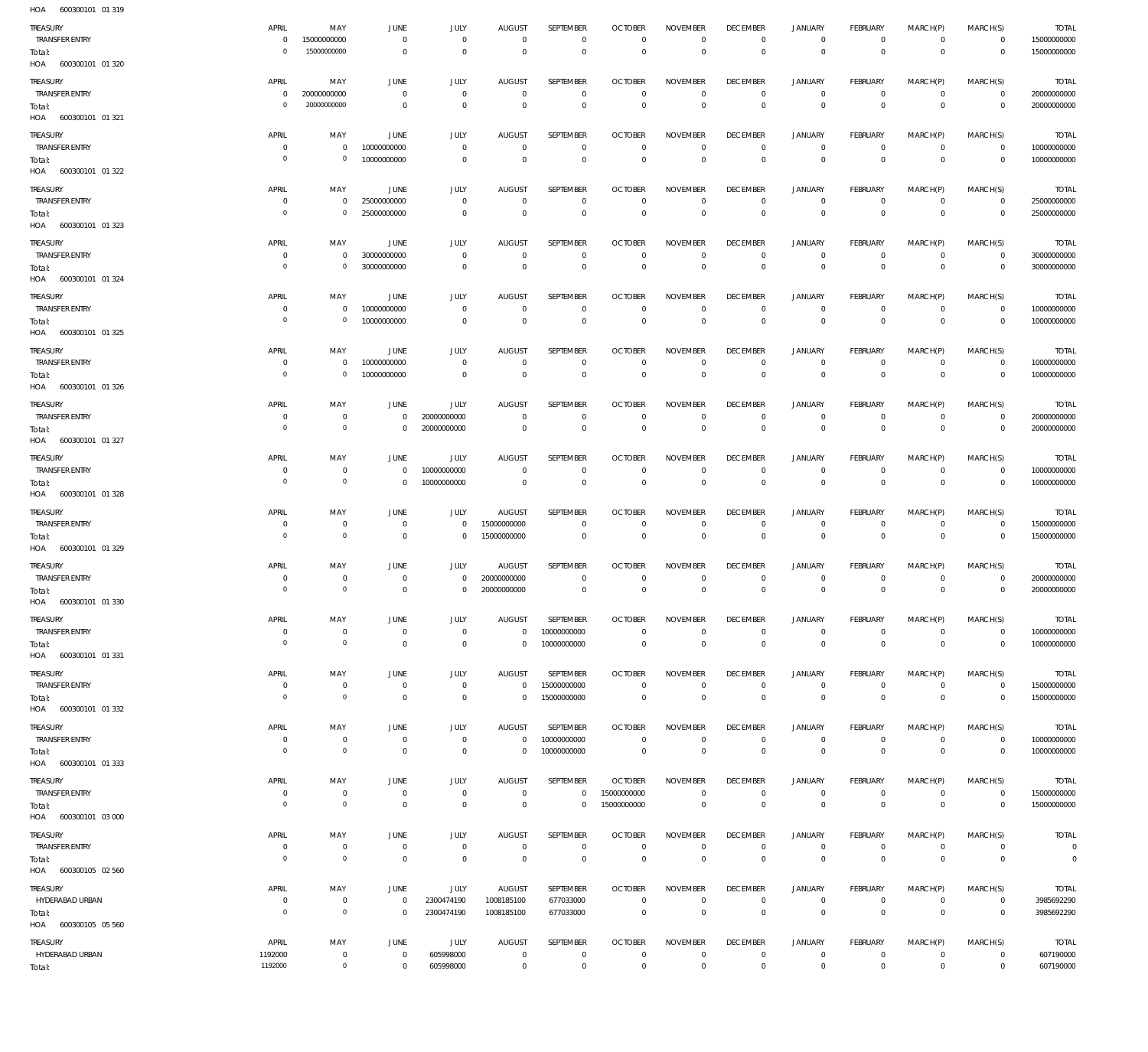| HOA<br>600300101 01 319        |                               |                                       |                        |                            |                              |                            |                                  |                            |                                   |                           |                                  |                             |                            |                             |
|--------------------------------|-------------------------------|---------------------------------------|------------------------|----------------------------|------------------------------|----------------------------|----------------------------------|----------------------------|-----------------------------------|---------------------------|----------------------------------|-----------------------------|----------------------------|-----------------------------|
| TREASURY                       | APRIL                         | MAY                                   | JUNE                   | <b>JULY</b>                | <b>AUGUST</b>                | SEPTEMBER                  | <b>OCTOBER</b>                   | <b>NOVEMBER</b>            | <b>DECEMBER</b>                   | <b>JANUARY</b>            | FEBRUARY                         | MARCH(P)                    | MARCH(S)                   | <b>TOTAL</b>                |
| <b>TRANSFER ENTRY</b>          | $\mathbf{0}$                  | 15000000000                           | $\overline{0}$         | $\mathbf 0$                | $\mathbb O$                  | $\mathbf 0$                | $\mathbf 0$                      | $\mathbf 0$                | $\overline{0}$                    | $\mathbb O$               | $\overline{0}$                   | $\mathbf{0}$                | $\overline{0}$             | 15000000000                 |
| Total:                         | $\mathbf 0$                   | 15000000000                           | $\overline{0}$         | $\mathbf 0$                | $\mathbf 0$                  | $\mathbf 0$                | $\overline{0}$                   | $\mathbb O$                | $\mathbb O$                       | $\mathbf 0$               | $\overline{0}$                   | $\mathbb O$                 | $\overline{0}$             | 15000000000                 |
| HOA 600300101 01 320           |                               |                                       |                        |                            |                              |                            |                                  |                            |                                   |                           |                                  |                             |                            |                             |
| TREASURY                       | APRIL                         | MAY                                   | <b>JUNE</b>            | <b>JULY</b>                | <b>AUGUST</b>                | SEPTEMBER                  | <b>OCTOBER</b>                   | <b>NOVEMBER</b>            | <b>DECEMBER</b>                   | <b>JANUARY</b>            | FEBRUARY                         | MARCH(P)                    | MARCH(S)                   | <b>TOTAL</b>                |
| <b>TRANSFER ENTRY</b>          | $\mathbf 0$                   | 20000000000                           | $\overline{0}$         | $\mathbb O$                | $\mathbf 0$                  | $\mathbb O$                | $\overline{0}$                   | $\bf 0$                    | $\overline{0}$                    | $\circ$                   | $\overline{0}$                   | $\circ$                     | $\overline{0}$             | 20000000000                 |
| Total:                         | $\overline{0}$                | 20000000000                           | $\overline{0}$         | $\mathbf 0$                | $\mathbf 0$                  | $\mathbf 0$                | $\overline{0}$                   | $\mathbb O$                | $\overline{0}$                    | $\overline{0}$            | $\overline{0}$                   | $\mathbf 0$                 | $\overline{0}$             | 20000000000                 |
| HOA 600300101 01 321           |                               |                                       |                        |                            |                              |                            |                                  |                            |                                   |                           |                                  |                             |                            |                             |
| TREASURY                       | APRIL                         | MAY                                   | <b>JUNE</b>            | <b>JULY</b>                | <b>AUGUST</b>                | SEPTEMBER                  | <b>OCTOBER</b>                   | <b>NOVEMBER</b>            | <b>DECEMBER</b>                   | <b>JANUARY</b>            | FEBRUARY                         | MARCH(P)                    | MARCH(S)                   | <b>TOTAL</b>                |
| <b>TRANSFER ENTRY</b>          | $\mathbf 0$                   | $\mathbf 0$                           | 10000000000            | $\mathbf 0$                | $\mathbb O$                  | $\mathbf 0$                | $\mathbf{0}$                     | $\mathbf 0$                | $\mathbf{0}$                      | $\mathbf 0$               | $\mathbf{0}$                     | $\mathbf 0$                 | $\overline{0}$             | 10000000000                 |
| Total:                         | $\mathbf 0$                   | $\mathbf 0$                           | 10000000000            | $\mathbf 0$                | $\mathbb O$                  | $\mathbf 0$                | $\overline{0}$                   | $\mathbb O$                | $\overline{0}$                    | $\mathbb O$               | $\overline{0}$                   | $\mathbf 0$                 | $\overline{0}$             | 10000000000                 |
| HOA 600300101 01 322           |                               |                                       |                        |                            |                              |                            |                                  |                            |                                   |                           |                                  |                             |                            |                             |
| TREASURY                       | APRIL                         | MAY                                   | JUNE                   | <b>JULY</b>                | <b>AUGUST</b>                | SEPTEMBER                  | <b>OCTOBER</b>                   | <b>NOVEMBER</b>            | <b>DECEMBER</b>                   | <b>JANUARY</b>            | FEBRUARY                         | MARCH(P)                    | MARCH(S)                   | <b>TOTAL</b>                |
| <b>TRANSFER ENTRY</b>          | $\mathbf 0$                   | $\mathbf 0$                           | 25000000000            | $\mathbb O$                | $\mathbf 0$                  | 0                          | $\overline{0}$                   | $\mathbf 0$                | $\overline{0}$                    | $\circ$                   | $\overline{0}$                   | $\mathbf 0$                 | $\overline{0}$             | 25000000000                 |
| Total:                         | $\mathbf 0$                   | $\mathbf 0$                           | 25000000000            | $\mathbf 0$                | $\mathbf{0}$                 | $\mathbf 0$                | $\mathbb O$                      | $\mathbb O$                | $\mathbb O$                       | $\mathbb O$               | $\overline{0}$                   | $\mathbf 0$                 | $\overline{0}$             | 25000000000                 |
| HOA 600300101 01 323           |                               |                                       |                        |                            |                              |                            |                                  |                            |                                   |                           |                                  |                             |                            |                             |
| TREASURY                       | APRIL                         | MAY                                   | <b>JUNE</b>            | <b>JULY</b>                | <b>AUGUST</b>                | SEPTEMBER                  | <b>OCTOBER</b>                   | <b>NOVEMBER</b>            | <b>DECEMBER</b>                   | <b>JANUARY</b>            | FEBRUARY                         | MARCH(P)                    | MARCH(S)                   | <b>TOTAL</b>                |
| <b>TRANSFER ENTRY</b>          | $\mathbf 0$                   | $\mathbf{0}$                          | 30000000000            | $\mathbf 0$                | $\mathbb O$                  | $\mathbf 0$                | $\mathbf{0}$                     | $\mathbf 0$                | $\mathbf{0}$                      | $\circ$                   | $\overline{0}$                   | $\mathbf{0}$                | $\overline{0}$             | 30000000000                 |
| Total:                         | $\mathbf 0$                   | $\circ$                               | 30000000000            | $\mathbf 0$                | $\Omega$                     | $\mathbf 0$                | $\mathbf{0}$                     | $\mathbf 0$                | $\overline{0}$                    | $\overline{0}$            | $\overline{0}$                   | $\mathbf 0$                 | $\overline{0}$             | 30000000000                 |
| HOA 600300101 01 324           |                               |                                       |                        |                            |                              |                            |                                  |                            |                                   |                           |                                  |                             |                            |                             |
| TREASURY                       | APRIL                         | MAY                                   | JUNE                   | <b>JULY</b>                | <b>AUGUST</b>                | SEPTEMBER                  | <b>OCTOBER</b>                   | <b>NOVEMBER</b>            | <b>DECEMBER</b>                   | <b>JANUARY</b>            | FEBRUARY                         | MARCH(P)                    | MARCH(S)                   | <b>TOTAL</b>                |
| <b>TRANSFER ENTRY</b>          | $\overline{0}$                | 0                                     | 10000000000            | $\mathbb O$                | $\mathbf{0}$                 | $\mathbb O$                | $\mathbf{0}$                     | $\bf 0$                    | $\overline{0}$                    | $\circ$                   | $\overline{0}$                   | $\circ$                     | $\overline{0}$             | 10000000000                 |
| Total:                         | $\overline{0}$                | $\mathbf 0$                           | 10000000000            | $\mathbf 0$                | $\mathbf{0}$                 | $\mathbf 0$                | $\mathbb O$                      | $\mathbb O$                | $\mathbb O$                       | $\mathbf 0$               | $\overline{0}$                   | $\mathbf 0$                 | $\overline{0}$             | 10000000000                 |
| HOA 600300101 01 325           |                               |                                       |                        |                            |                              |                            |                                  |                            |                                   |                           |                                  |                             |                            |                             |
| TREASURY                       | APRIL                         | MAY                                   | <b>JUNE</b>            | <b>JULY</b>                | <b>AUGUST</b>                | SEPTEMBER                  | <b>OCTOBER</b>                   | <b>NOVEMBER</b>            | <b>DECEMBER</b>                   | <b>JANUARY</b>            | FEBRUARY                         | MARCH(P)                    | MARCH(S)                   | <b>TOTAL</b>                |
| TRANSFER ENTRY                 | $\overline{0}$                | $\mathbf 0$                           | 10000000000            | $\mathbf 0$                | $\mathbf{0}$                 | $\mathbf 0$                | $\mathbf{0}$                     | $\mathbf 0$                | $\overline{0}$                    | $\overline{0}$            | $\overline{0}$                   | $\mathbf{0}$                | $\overline{0}$             | 10000000000                 |
| Total:                         | $\mathbf 0$                   | $\mathbb O$                           | 10000000000            | $\mathbf 0$                | $\mathbf 0$                  | $\mathbf 0$                | $\mathbf{0}$                     | $\mathbf 0$                | $\mathbf{0}$                      | $\overline{0}$            | $\overline{0}$                   | $\overline{0}$              | $\overline{0}$             | 10000000000                 |
| HOA 600300101 01 326           |                               |                                       |                        |                            |                              |                            |                                  |                            |                                   |                           |                                  |                             |                            |                             |
| TREASURY                       | APRIL                         | MAY                                   | JUNE                   | JULY                       | <b>AUGUST</b>                | SEPTEMBER                  | <b>OCTOBER</b>                   | <b>NOVEMBER</b>            | <b>DECEMBER</b>                   | <b>JANUARY</b>            | FEBRUARY                         | MARCH(P)                    | MARCH(S)                   | <b>TOTAL</b>                |
| <b>TRANSFER ENTRY</b>          | $\overline{0}$                | $\overline{0}$                        | $\overline{0}$         | 20000000000                | $\mathbf{0}$                 | $\mathbf 0$                | $\overline{0}$                   | $\mathbf 0$                | $\overline{0}$                    | $\circ$                   | $\overline{0}$                   | $\mathbf 0$                 | $\overline{0}$             | 20000000000                 |
| Total:                         | $\overline{0}$                | $\circ$                               | $\overline{0}$         | 20000000000                | $\mathbf{0}$                 | $\mathbf 0$                | $\overline{0}$                   | $\mathbf 0$                | $\overline{0}$                    | $\overline{0}$            | $\overline{0}$                   | $\mathbf 0$                 | $\overline{0}$             | 20000000000                 |
| HOA 600300101 01 327           |                               |                                       |                        |                            |                              |                            |                                  |                            |                                   |                           |                                  |                             |                            |                             |
| TREASURY                       | APRIL                         | MAY                                   | JUNE                   | JULY                       | <b>AUGUST</b>                | SEPTEMBER                  | <b>OCTOBER</b>                   | <b>NOVEMBER</b>            | <b>DECEMBER</b>                   | <b>JANUARY</b>            | FEBRUARY                         | MARCH(P)                    | MARCH(S)                   | <b>TOTAL</b>                |
| TRANSFER ENTRY                 | $^{\circ}$                    | $\overline{0}$                        | $\overline{0}$         | 10000000000                | $\mathbf{0}$                 | $\mathbf 0$                | $\mathbf{0}$                     | $\mathbf 0$                | $\overline{0}$                    | $\circ$                   | $\overline{0}$                   | $\mathbf{0}$                | $\overline{0}$             | 10000000000                 |
|                                | $\mathbf 0$                   | $\circ$                               | $\overline{0}$         | 10000000000                | $\mathbf 0$                  | $\mathbb O$                | $\overline{0}$                   | $\mathbb O$                | $\overline{0}$                    | $\mathbf 0$               | $\overline{0}$                   | $\mathbf 0$                 | $\overline{0}$             | 10000000000                 |
| Total:                         |                               |                                       |                        |                            |                              |                            |                                  |                            |                                   |                           |                                  |                             |                            |                             |
| HOA 600300101 01 328           |                               |                                       |                        |                            |                              |                            |                                  |                            |                                   |                           |                                  |                             |                            |                             |
| TREASURY                       | APRIL                         | MAY                                   | <b>JUNE</b>            | JULY                       | <b>AUGUST</b>                | SEPTEMBER                  | <b>OCTOBER</b>                   | <b>NOVEMBER</b>            | <b>DECEMBER</b>                   | <b>JANUARY</b>            | FEBRUARY                         | MARCH(P)                    | MARCH(S)                   | <b>TOTAL</b>                |
| <b>TRANSFER ENTRY</b>          | $\overline{0}$                | $\overline{0}$                        | $\overline{0}$         | $\mathbf 0$                | 15000000000                  | $\mathbb O$                | $\overline{0}$                   | $\bf 0$                    | $\overline{0}$                    | $\circ$                   | $\overline{0}$                   | $\circ$                     | $\overline{0}$             | 15000000000                 |
| Total:                         | $\overline{0}$                | $\circ$                               | $\overline{0}$         | $\mathbf 0$                | 15000000000                  | $\mathbb O$                | $\overline{0}$                   | $\mathbb O$                | $\overline{0}$                    | $\mathbb O$               | $\overline{0}$                   | $\mathbf 0$                 | $\overline{0}$             | 15000000000                 |
| HOA 600300101 01 329           |                               |                                       |                        |                            |                              |                            |                                  |                            |                                   |                           |                                  |                             |                            |                             |
| TREASURY                       | APRIL                         | MAY                                   | <b>JUNE</b>            | <b>JULY</b>                | <b>AUGUST</b>                | SEPTEMBER                  | <b>OCTOBER</b>                   | <b>NOVEMBER</b>            | <b>DECEMBER</b>                   | <b>JANUARY</b>            | FEBRUARY                         | MARCH(P)                    | MARCH(S)                   | <b>TOTAL</b>                |
| <b>TRANSFER ENTRY</b>          | $^{\circ}$                    | $\mathbf 0$                           | $\overline{0}$         | $\mathbf 0$                | 20000000000                  | $\mathbf 0$                | $^{\circ}$                       | $\mathbf 0$                | $^{\circ}$                        | $^{\circ}$                | $\mathbf{0}$                     | $\mathbf 0$                 | $\overline{0}$             | 20000000000                 |
| Total:                         | $\mathbf 0$                   | $\circ$                               | $\overline{0}$         | $\mathbf{0}$               | 20000000000                  | $\mathbf 0$                | $\overline{0}$                   | $\Omega$                   | $\mathbf 0$                       | $\mathbf 0$               | $\overline{0}$                   | $\mathbf 0$                 | $\overline{0}$             | 20000000000                 |
| HOA 600300101 01 330           |                               |                                       |                        |                            |                              |                            |                                  |                            |                                   |                           |                                  |                             |                            |                             |
| TREASURY                       | APRIL                         | MAY                                   | JUNE                   | <b>JULY</b>                | <b>AUGUST</b>                | SEPTEMBER                  | <b>OCTOBER</b>                   | <b>NOVEMBER</b>            | <b>DECEMBER</b>                   | <b>JANUARY</b>            | FEBRUARY                         | MARCH(P)                    | MARCH(S)                   | <b>TOTAL</b>                |
| <b>TRANSFER ENTRY</b>          | $\mathbf 0$                   | $\overline{0}$                        | $\overline{0}$         | $\mathbb O$                | $\mathbb O$                  | 10000000000                | $\overline{0}$                   | $\mathbf 0$                | $\overline{0}$                    | $\circ$                   | $\overline{0}$                   | $\mathbf 0$                 | $\overline{0}$             | 10000000000                 |
| Total:                         | $\overline{0}$                | $\mathsf{O}\xspace$                   | $\overline{0}$         | $\mathbf 0$                | $\mathbb O$                  | 10000000000                | $\mathbb O$                      | $\mathbb O$                | $\mathbb O$                       | $\mathbb O$               | $\overline{0}$                   | $\overline{0}$              | $\overline{0}$             | 10000000000                 |
| HOA 600300101 01 331           |                               |                                       |                        |                            |                              |                            |                                  |                            |                                   |                           |                                  |                             |                            |                             |
| TREASURY                       | APRIL                         | MAY                                   | JUNE                   | JULY                       | AUGUST                       | SEPTEMBER                  | <b>OCTOBER</b>                   | <b>NOVEMBER</b>            | <b>DECEMBER</b>                   | <b>JANUARY</b>            | FEBRUARY                         | MARCH(P)                    | MARCH(S)                   | <b>TOTAL</b>                |
| <b>TRANSFER ENTRY</b>          | $\mathbf 0$                   | $\overline{0}$                        | $\overline{0}$         | $\mathbb O$                | $\mathbf{0}$                 | 15000000000                | $\mathbf{0}$                     | $\mathbf 0$                | $\overline{0}$                    | $\mathbb O$               | $\overline{0}$                   | $\mathbf{0}$                | $\overline{0}$             | 15000000000                 |
| Total:<br>HOA 600300101 01 332 | $\overline{0}$                | $\circ$                               | $\overline{0}$         | $\overline{0}$             | $\mathbf 0$                  | 15000000000                | $\overline{0}$                   | $\mathbb O$                | $\mathbb O$                       | $\mathbf 0$               | $\overline{0}$                   | $\mathbb O$                 | $\overline{0}$             | 15000000000                 |
|                                |                               |                                       |                        |                            |                              |                            |                                  |                            |                                   |                           |                                  |                             |                            |                             |
| TREASURY                       | APRIL                         | MAY                                   | JUNE                   | JULY                       | <b>AUGUST</b>                | SEPTEMBER                  | <b>OCTOBER</b>                   | <b>NOVEMBER</b>            | <b>DECEMBER</b>                   | <b>JANUARY</b>            | FEBRUARY                         | MARCH(P)                    | MARCH(S)                   | <b>TOTAL</b>                |
| <b>TRANSFER ENTRY</b>          | $\mathbf 0$<br>$\overline{0}$ | $\overline{0}$<br>$\mathsf{O}\xspace$ | $\overline{0}$         | $\overline{0}$             | $\mathbb O$                  | 10000000000                | $\mathbf 0$                      | $\bf 0$                    | $\overline{0}$                    | $\mathbb O$               | $\overline{0}$                   | $\circ$<br>$\overline{0}$   | $\overline{0}$             | 10000000000                 |
| Total:<br>HOA 600300101 01 333 |                               |                                       | $\overline{0}$         | $\overline{0}$             | $\mathbb O$                  | 10000000000                | $\mathbf 0$                      | $\mathbb O$                | $\mathbb O$                       | $\,0\,$                   | $\overline{0}$                   |                             | $\overline{0}$             | 10000000000                 |
|                                |                               |                                       |                        |                            |                              |                            |                                  |                            |                                   |                           |                                  |                             |                            |                             |
| TREASURY                       | APRIL                         | MAY                                   | JUNE                   | <b>JULY</b>                | <b>AUGUST</b>                | SEPTEMBER                  | <b>OCTOBER</b>                   | <b>NOVEMBER</b>            | <b>DECEMBER</b>                   | <b>JANUARY</b>            | FEBRUARY                         | MARCH(P)                    | MARCH(S)                   | <b>TOTAL</b>                |
| <b>TRANSFER ENTRY</b>          | $\mathbb O$<br>$\overline{0}$ | $\mathbf 0$<br>$\circ$                | $\overline{0}$         | $\mathbb O$<br>$\mathbb O$ | $\mathbf 0$                  | $\mathbf 0$<br>$\mathbb O$ | 15000000000                      | $\mathbf 0$<br>$\mathbf 0$ | $\overline{0}$                    | $\mathbf 0$               | $\overline{0}$<br>$\overline{0}$ | $\mathbf{0}$<br>$\mathbf 0$ | $\overline{0}$             | 15000000000                 |
| Total:<br>HOA 600300101 03 000 |                               |                                       | $\overline{0}$         |                            | $\,0\,$                      |                            | 15000000000                      |                            | $\mathbf 0$                       | $\mathbf 0$               |                                  |                             | $\overline{0}$             | 15000000000                 |
|                                |                               |                                       |                        |                            |                              |                            |                                  |                            |                                   |                           |                                  |                             |                            |                             |
| TREASURY<br>TRANSFER ENTRY     | APRIL<br>$\mathbf 0$          | MAY<br>$\overline{0}$                 | JUNE<br>$\overline{0}$ | JULY<br>$\overline{0}$     | <b>AUGUST</b><br>$\mathbf 0$ | SEPTEMBER<br>$\mathbb O$   | <b>OCTOBER</b><br>$\overline{0}$ | <b>NOVEMBER</b><br>$\bf 0$ | <b>DECEMBER</b><br>$\overline{0}$ | <b>JANUARY</b><br>$\circ$ | FEBRUARY<br>$\overline{0}$       | MARCH(P)<br>$\circ$         | MARCH(S)<br>$\overline{0}$ | <b>TOTAL</b><br>$\mathbf 0$ |
| Total:                         | $\overline{0}$                | $\mathsf{O}\xspace$                   | $\overline{0}$         | $\mathbf 0$                | $\,0\,$                      | $\mathsf 0$                | $\,0\,$                          | $\,0\,$                    | $\overline{0}$                    | $\mathbf 0$               | $\overline{0}$                   | $\mathbf 0$                 | $\overline{0}$             | $\mathbb O$                 |
| HOA 600300105 02 560           |                               |                                       |                        |                            |                              |                            |                                  |                            |                                   |                           |                                  |                             |                            |                             |
| TREASURY                       | APRIL                         | MAY                                   | JUNE                   | JULY                       | <b>AUGUST</b>                | SEPTEMBER                  | <b>OCTOBER</b>                   | <b>NOVEMBER</b>            | <b>DECEMBER</b>                   | <b>JANUARY</b>            | FEBRUARY                         | MARCH(P)                    | MARCH(S)                   | <b>TOTAL</b>                |
| HYDERABAD URBAN                | $\mathbf 0$                   | $\overline{0}$                        | $\overline{0}$         | 2300474190                 | 1008185100                   | 677033000                  | $\mathbb O$                      | $\mathbf 0$                | $\overline{0}$                    | $\mathbb O$               | $\overline{0}$                   | $\mathbf{0}$                | $\overline{0}$             | 3985692290                  |
| Total:                         | $\mathbf 0$                   | $\mathbf 0$                           | $\mathbf 0$            | 2300474190                 | 1008185100                   | 677033000                  | $\overline{0}$                   | $\mathbf 0$                | $\mathbf{0}$                      | $\overline{0}$            | $\overline{0}$                   | $\overline{0}$              | $\overline{0}$             | 3985692290                  |
| HOA 600300105 05 560           |                               |                                       |                        |                            |                              |                            |                                  |                            |                                   |                           |                                  |                             |                            |                             |
| TREASURY                       | APRIL                         | MAY                                   | JUNE                   | JULY                       | AUGUST                       | SEPTEMBER                  | <b>OCTOBER</b>                   | <b>NOVEMBER</b>            | <b>DECEMBER</b>                   | <b>JANUARY</b>            | FEBRUARY                         | MARCH(P)                    | MARCH(S)                   | <b>TOTAL</b>                |
| HYDERABAD URBAN                | 1192000                       | $\overline{0}$                        | $\overline{0}$         | 605998000                  | $\mathbf 0$                  | $\,0\,$                    | $\mathbf 0$                      | $\,0\,$                    | $\overline{0}$                    | $\mathbb O$               | $\overline{0}$                   | $\circ$                     | $\overline{0}$             | 607190000                   |
| Total:                         | 1192000                       | $\circ$                               | $\overline{0}$         | 605998000                  | $\,0\,$                      | $\mathsf 0$                | $\mathbb O$                      | $\,0\,$                    | $\overline{0}$                    | $\,0\,$                   | $\overline{0}$                   | $\mathbf 0$                 | $\overline{0}$             | 607190000                   |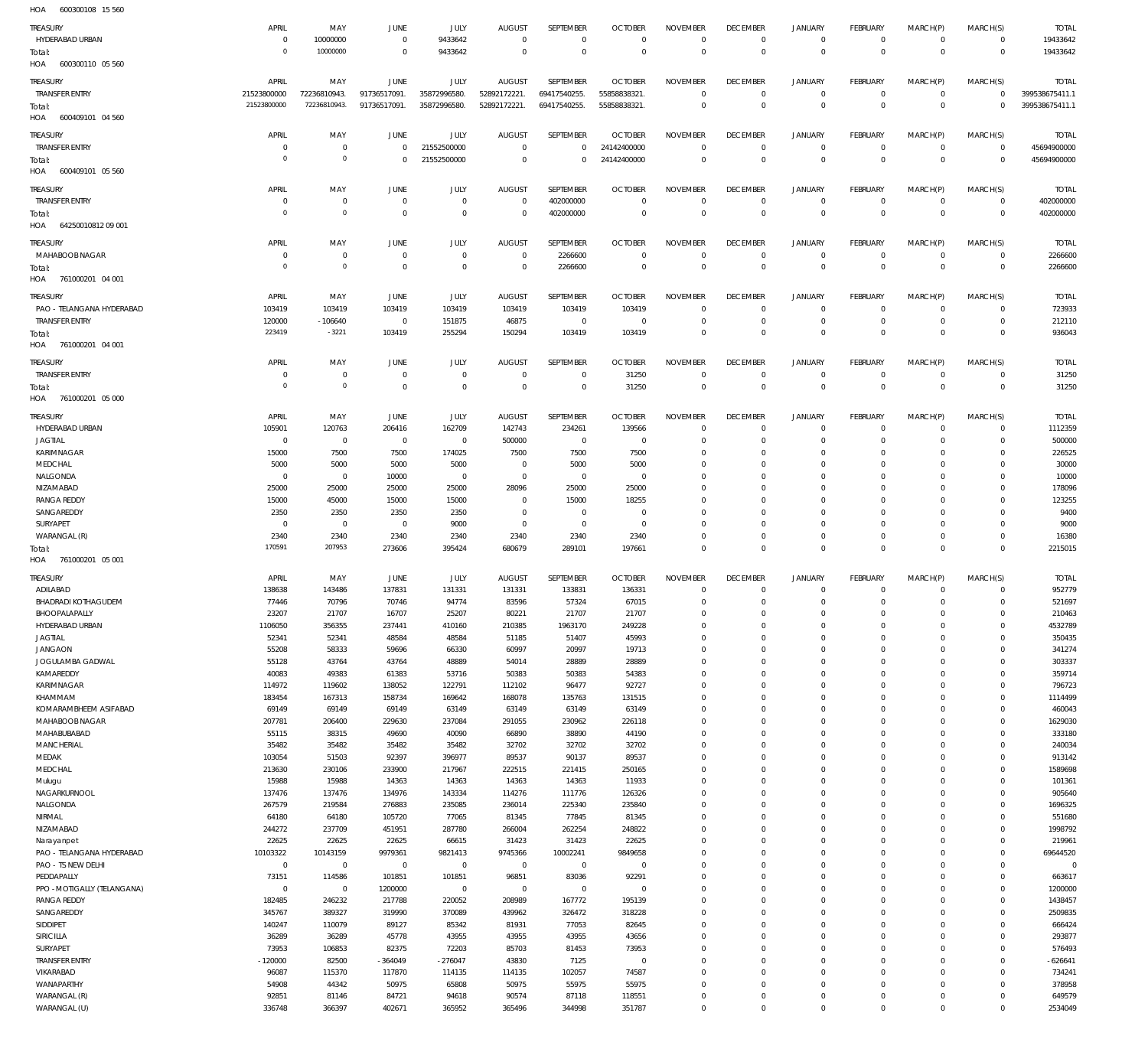600300108 15 560 HOA

| TUA<br><b>OOD SOUT ON TO SOL</b> |                 |                |                 |              |                |                |                |                 |                         |                |                 |             |                         |                   |
|----------------------------------|-----------------|----------------|-----------------|--------------|----------------|----------------|----------------|-----------------|-------------------------|----------------|-----------------|-------------|-------------------------|-------------------|
| <b>TREASURY</b>                  | APRIL           | MAY            | JUNE            | JULY         | <b>AUGUST</b>  | SEPTEMBER      | <b>OCTOBER</b> | <b>NOVEMBER</b> | <b>DECEMBER</b>         | <b>JANUARY</b> | <b>FEBRUARY</b> | MARCH(P)    | MARCH(S)                | <b>TOTAL</b>      |
| HYDERABAD URBAN                  | $^{\circ}$      | 10000000       | $^{\circ}$      | 9433642      | $^{\circ}$     | $^{\circ}$     | $\Omega$       | $\mathbf{0}$    | $\overline{0}$          | $\circ$        | $\mathbf 0$     | $\mathbf 0$ | $\mathbf 0$             | 19433642          |
| Total:                           | $\circ$         | 10000000       | $\mathbf{0}$    | 9433642      | $\Omega$       | $\mathbf{0}$   | $\overline{0}$ | $\mathbf 0$     | $\mathbf 0$             | $\,0\,$        | $\Omega$        | $\mathbf 0$ | $\mathbf 0$             | 19433642          |
| HOA<br>600300110 05 560          |                 |                |                 |              |                |                |                |                 |                         |                |                 |             |                         |                   |
|                                  |                 |                |                 |              |                |                |                |                 |                         |                |                 |             |                         |                   |
| <b>TREASURY</b>                  | APRIL           | MAY            | <b>JUNE</b>     | <b>JULY</b>  | <b>AUGUST</b>  | SEPTEMBER      | <b>OCTOBER</b> | <b>NOVEMBER</b> | <b>DECEMBER</b>         | <b>JANUARY</b> | <b>FEBRUARY</b> | MARCH(P)    | MARCH(S)                | <b>TOTAL</b>      |
| <b>TRANSFER ENTRY</b>            | 21523800000     | 72236810943.   | 91736517091.    | 35872996580. | 52892172221.   | 69417540255.   | 55858838321.   | $\Omega$        | $\mathbf 0$             | $\circ$        | $^{\circ}$      | $\mathbf 0$ | $\mathbf 0$             | 399538675411.1    |
| Total:                           | 21523800000     | 72236810943.   | 91736517091.    | 35872996580. | 52892172221.   | 69417540255.   | 55858838321.   | $\mathbf 0$     | $\mathbf 0$             | $\,0\,$        | $\mathbf 0$     | $\mathbf 0$ | $^{\circ}$              | 399538675411.1    |
| HOA<br>600409101 04 560          |                 |                |                 |              |                |                |                |                 |                         |                |                 |             |                         |                   |
| TREASURY                         | APRIL           | MAY            | <b>JUNE</b>     | JULY         | <b>AUGUST</b>  | SEPTEMBER      | <b>OCTOBER</b> | <b>NOVEMBER</b> | <b>DECEMBER</b>         | <b>JANUARY</b> | <b>FEBRUARY</b> | MARCH(P)    | MARCH(S)                | <b>TOTAL</b>      |
| <b>TRANSFER ENTRY</b>            | $\circ$         | $^{\circ}$     | $\mathbf{0}$    | 21552500000  | $\Omega$       | $\Omega$       | 24142400000    | $\Omega$        | $\mathbf 0$             | $\circ$        | $^{\circ}$      | $\mathbf 0$ | $^{\circ}$              | 45694900000       |
| Total:                           | $\mathbf 0$     | $\overline{0}$ | $\overline{0}$  | 21552500000  | $\Omega$       | $\Omega$       | 24142400000    | $\mathbf 0$     | $\Omega$                | $\mathbf 0$    | $\Omega$        | $\mathbf 0$ | $\overline{0}$          | 45694900000       |
| 600409101 05 560<br>HOA          |                 |                |                 |              |                |                |                |                 |                         |                |                 |             |                         |                   |
|                                  |                 |                |                 |              |                |                |                |                 |                         |                |                 |             |                         |                   |
| TREASURY                         | APRIL           | MAY            | JUNE            | <b>JULY</b>  | <b>AUGUST</b>  | SEPTEMBER      | <b>OCTOBER</b> | <b>NOVEMBER</b> | <b>DECEMBER</b>         | <b>JANUARY</b> | <b>FEBRUARY</b> | MARCH(P)    | MARCH(S)                | <b>TOTAL</b>      |
| <b>TRANSFER ENTRY</b>            | $^{\circ}$      | $^{\circ}$     | $^{\circ}$      | $^{\circ}$   | $^{\circ}$     | 402000000      | $\Omega$       | $\Omega$        | $\mathbf 0$             | $\mathbf 0$    | $^{\circ}$      | $\mathbf 0$ | $^{\circ}$              | 402000000         |
| Total:                           | $\circ$         | $\mathbb O$    | $^{\circ}$      | $\mathbf{0}$ | $\Omega$       | 402000000      | $^{\circ}$     | $\mathbf 0$     | $\mathbf 0$             | $\mathbb O$    | $\mathbf 0$     | $\mathbf 0$ | $\mathbf 0$             | 402000000         |
| 64250010812 09 001<br>HOA        |                 |                |                 |              |                |                |                |                 |                         |                |                 |             |                         |                   |
| <b>TREASURY</b>                  | APRIL           | MAY            | JUNE            | <b>JULY</b>  | <b>AUGUST</b>  | SEPTEMBER      | <b>OCTOBER</b> | <b>NOVEMBER</b> | <b>DECEMBER</b>         | <b>JANUARY</b> | <b>FEBRUARY</b> | MARCH(P)    | MARCH(S)                | <b>TOTAL</b>      |
| MAHABOOB NAGAR                   | $\circ$         | $^{\circ}$     | $^{\circ}$      | $^{\circ}$   | $\Omega$       | 2266600        | $\Omega$       | $\mathbf{0}$    | $\mathbf 0$             | $\circ$        | $^{\circ}$      | $\mathbf 0$ | $\mathbf 0$             | 2266600           |
|                                  | $\mathbf 0$     | $\mathbb O$    | $^{\circ}$      | $\mathbf{0}$ | $^{\circ}$     | 2266600        | $\Omega$       | $\Omega$        | $\mathbf 0$             | $\mathbb O$    | $\Omega$        | $\mathbf 0$ | $\overline{0}$          | 2266600           |
| Total:                           |                 |                |                 |              |                |                |                |                 |                         |                |                 |             |                         |                   |
| 761000201 04 001<br>HOA          |                 |                |                 |              |                |                |                |                 |                         |                |                 |             |                         |                   |
| <b>TREASURY</b>                  | APRIL           | MAY            | JUNE            | JULY         | <b>AUGUST</b>  | SEPTEMBER      | <b>OCTOBER</b> | <b>NOVEMBER</b> | <b>DECEMBER</b>         | JANUARY        | <b>FEBRUARY</b> | MARCH(P)    | MARCH(S)                | <b>TOTAL</b>      |
| PAO - TELANGANA HYDERABAD        | 103419          | 103419         | 103419          | 103419       | 103419         | 103419         | 103419         | $\Omega$        | $\mathbf 0$             | $\circ$        | $\mathbf 0$     | $\mathbf 0$ | $\mathbf 0$             | 723933            |
| <b>TRANSFER ENTRY</b>            | 120000          | -106640        | $\overline{0}$  | 151875       | 46875          | $\overline{0}$ | $\overline{0}$ | $\Omega$        | $\mathbf 0$             | $\mathbf 0$    | $^{\circ}$      | $\mathbf 0$ | $^{\circ}$              | 212110            |
| Total:                           | 223419          | $-3221$        | 103419          | 255294       | 150294         | 103419         | 103419         | $\Omega$        | $\Omega$                | $\mathbf 0$    | $\Omega$        | $\Omega$    | $\Omega$                | 936043            |
| 761000201 04 001<br>HOA          |                 |                |                 |              |                |                |                |                 |                         |                |                 |             |                         |                   |
|                                  |                 |                |                 |              |                |                |                |                 |                         |                |                 |             |                         |                   |
| TREASURY                         | APRIL           | MAY            | JUNE            | JULY         | <b>AUGUST</b>  | SEPTEMBER      | <b>OCTOBER</b> | <b>NOVEMBER</b> | <b>DECEMBER</b>         | <b>JANUARY</b> | <b>FEBRUARY</b> | MARCH(P)    | MARCH(S)                | <b>TOTAL</b>      |
| <b>TRANSFER ENTRY</b>            | $^{\circ}$      | $^{\circ}$     | $^{\circ}$      | $^{\circ}$   | $\Omega$       | $^{\circ}$     | 31250          | $\Omega$        | $\mathbf 0$             | $\circ$        | $^{\circ}$      | $\mathbf 0$ | $^{\circ}$              | 31250             |
| Total:                           | $\circ$         | $\mathbb O$    | $^{\circ}$      | $\mathbf{0}$ | $^{\circ}$     | $\mathbf{0}$   | 31250          | $\mathbf 0$     | $\overline{0}$          | $\mathbb O$    | $^{\circ}$      | $\mathbb O$ | $\mathbf 0$             | 31250             |
| HOA 761000201 05 000             |                 |                |                 |              |                |                |                |                 |                         |                |                 |             |                         |                   |
| <b>TREASURY</b>                  | APRIL           | MAY            | JUNE            | <b>JULY</b>  | <b>AUGUST</b>  | SEPTEMBER      | <b>OCTOBER</b> | <b>NOVEMBER</b> | <b>DECEMBER</b>         | <b>JANUARY</b> | <b>FEBRUARY</b> | MARCH(P)    | MARCH(S)                | <b>TOTAL</b>      |
| HYDERABAD URBAN                  | 105901          | 120763         | 206416          | 162709       | 142743         | 234261         | 139566         | $\Omega$        | $\mathbf 0$             | $\circ$        | $^{\circ}$      | $\mathbf 0$ | $\mathbf 0$             | 1112359           |
| <b>JAGTIAL</b>                   | $^{\circ}$      |                | $^{\circ}$      | $^{\circ}$   |                |                |                | $\Omega$        | $\Omega$                | $\mathbf 0$    | $\Omega$        | $\Omega$    | $\mathbf 0$             | 500000            |
|                                  |                 | $\overline{0}$ |                 |              | 500000         | $\overline{0}$ | $\overline{0}$ | $\Omega$        |                         |                |                 | $\Omega$    |                         |                   |
| KARIMNAGAR                       | 15000           | 7500           | 7500            | 174025       | 7500           | 7500           | 7500           |                 | $\Omega$                | $\mathbf 0$    | $\Omega$        |             | $\Omega$                | 226525            |
| MEDCHAL                          | 5000            | 5000           | 5000            | 5000         | $\circ$        | 5000           | 5000           | $\Omega$        | $\Omega$                | $\Omega$       | $\Omega$        | $\Omega$    | $\Omega$                | 30000             |
| NALGONDA                         | $\circ$         | $\overline{0}$ | 10000           | $^{\circ}$   | $\circ$        | $\overline{0}$ | $\Omega$       | $\Omega$        | $\Omega$                | $\Omega$       | $\Omega$        | $\Omega$    | $\Omega$                | 10000             |
| NIZAMABAD                        | 25000           | 25000          | 25000           | 25000        | 28096          | 25000          | 25000          | $\Omega$        |                         | $\Omega$       | $\Omega$        | $\Omega$    | $\Omega$                | 178096            |
| <b>RANGA REDDY</b>               | 15000           | 45000          | 15000           | 15000        | $\circ$        | 15000          | 18255          | $\Omega$        | $\Omega$                | $\mathbf 0$    | $\Omega$        | $\Omega$    | $\Omega$                | 123255            |
| SANGAREDDY                       | 2350            | 2350           | 2350            | 2350         | $\Omega$       | $^{\circ}$     | $\Omega$       | $\Omega$        | $\Omega$                | $\Omega$       | $\Omega$        | $\Omega$    | $\Omega$                | 9400              |
| SURYAPET                         | $\circ$         | $\overline{0}$ | $^{\circ}$      | 9000         | $\circ$        | $\overline{0}$ | $\Omega$       | $\Omega$        | $\Omega$                | $\mathbf 0$    | $\Omega$        | $\Omega$    | $\Omega$                | 9000              |
| WARANGAL (R)                     | 2340            | 2340           | 2340            | 2340         | 2340           | 2340           | 2340           | $\Omega$        | $\Omega$                | $\mathbf 0$    | $\Omega$        | $\Omega$    | $\Omega$                | 16380             |
| Total:                           | 170591          | 207953         | 273606          | 395424       | 680679         | 289101         | 197661         | $\Omega$        | $\Omega$                | $\mathbf 0$    | $\Omega$        | $\Omega$    | $\Omega$                | 2215015           |
| HOA 761000201 05 001             |                 |                |                 |              |                |                |                |                 |                         |                |                 |             |                         |                   |
| <b>TREASURY</b>                  | APRIL           | MAY            | JUNE            | <b>JULY</b>  | <b>AUGUST</b>  | SEPTEMBER      | <b>OCTOBER</b> | <b>NOVEMBER</b> | <b>DECEMBER</b>         | <b>JANUARY</b> | <b>FEBRUARY</b> | MARCH(P)    | MARCH(S)                | TOTAL             |
| ADILABAD                         | 138638          | 143486         | 137831          | 131331       | 131331         | 133831         | 136331         | $\Omega$        | $\Omega$                | $\mathbf 0$    | $\Omega$        | $\mathbf 0$ | $^{\circ}$              | 952779            |
| <b>BHADRADI KOTHAGUDEM</b>       | 77446           | 70796          | 70746           | 94774        | 83596          | 57324          | 67015          | $\Omega$        | $\Omega$                | $\circ$        | $\Omega$        | $\Omega$    | $\mathbf{0}$            | 521697            |
| BHOOPALAPALLY                    | 23207           | 21707          | 16707           | 25207        | 80221          | 21707          | 21707          | $\mathbf{0}$    | $\mathbf 0$             | $\mathbf 0$    | $\mathbf 0$     | $\mathbf 0$ | $\mathbf 0$             | 210463            |
| HYDERABAD URBAN                  | 1106050         | 356355         | 237441          | 410160       | 210385         | 1963170        | 249228         | $\mathbf 0$     | $\mathbf 0$             | $\mathbf 0$    | $\Omega$        | $\mathbf 0$ | $\mathbf 0$             | 4532789           |
| <b>JAGTIAL</b>                   | 52341           | 52341          | 48584           | 48584        | 51185          | 51407          | 45993          | $\mathbf 0$     | $\mathbf 0$             | $\mathbf 0$    | $\Omega$        | $\mathbf 0$ | $\mathbf 0$             | 350435            |
| <b>JANGAON</b>                   | 55208           | 58333          | 59696           | 66330        | 60997          | 20997          | 19713          | $\mathbf 0$     | $\Omega$                | $\mathbf 0$    | $\Omega$        | $\mathbf 0$ | $\mathbf 0$             | 341274            |
| JOGULAMBA GADWAL                 | 55128           | 43764          | 43764           | 48889        | 54014          | 28889          | 28889          | $\mathbf 0$     | $\Omega$                | $\mathbf 0$    | $\Omega$        | $\mathbf 0$ | $\mathbf 0$             | 303337            |
| KAMAREDDY                        | 40083           | 49383          | 61383           | 53716        | 50383          | 50383          | 54383          | $\mathbf 0$     | $\Omega$                | $\mathbf 0$    | $\Omega$        | $\mathbf 0$ | $\mathbf 0$             | 359714            |
| KARIMNAGAR                       | 114972          | 119602         | 138052          | 122791       | 112102         | 96477          | 92727          | $\mathbf 0$     | $\Omega$                | $\mathbf 0$    | $\Omega$        | $\mathbf 0$ | $\mathbf 0$             | 796723            |
|                                  |                 |                |                 |              |                |                |                | $\mathbf 0$     |                         | $\mathbf 0$    | $\Omega$        | $\mathbf 0$ |                         |                   |
| KHAMMAM<br>KOMARAMBHEEM ASIFABAD | 183454<br>69149 | 167313         | 158734<br>69149 | 169642       | 168078         | 135763         | 131515         | $\mathbf 0$     | $\mathbf 0$<br>$\Omega$ | $\mathbf 0$    | $\Omega$        | $\mathbf 0$ | $\mathbf 0$<br>$\Omega$ | 1114499           |
| MAHABOOB NAGAR                   | 207781          | 69149          |                 | 63149        | 63149          | 63149          | 63149          | $\mathbf 0$     | $\Omega$                | $\mathbf 0$    | $\Omega$        | $\mathbf 0$ | $\mathbf 0$             | 460043<br>1629030 |
|                                  |                 | 206400         | 229630          | 237084       | 291055         | 230962         | 226118         | $\mathbf 0$     | $\Omega$                | $\mathbf 0$    | $\Omega$        | $\mathbf 0$ | $\Omega$                |                   |
| MAHABUBABAD                      | 55115           | 38315          | 49690           | 40090        | 66890          | 38890          | 44190          | $\mathbf 0$     | $\Omega$                | $\mathbf 0$    | $\Omega$        | $\mathbf 0$ |                         | 333180            |
| <b>MANCHERIAL</b>                | 35482           | 35482          | 35482           | 35482        | 32702          | 32702          | 32702          |                 |                         |                |                 |             | $\mathbf 0$             | 240034            |
| MEDAK                            | 103054          | 51503          | 92397           | 396977       | 89537          | 90137          | 89537          | $\mathbf 0$     | $\Omega$                | $\mathbf 0$    | $\Omega$        | $\mathbf 0$ | $\mathbf 0$             | 913142            |
| MEDCHAL                          | 213630          | 230106         | 233900          | 217967       | 222515         | 221415         | 250165         | $\mathbf 0$     | $\Omega$                | $\mathbf 0$    | $\Omega$        | $\mathbf 0$ | $\Omega$                | 1589698           |
| Mulugu                           | 15988           | 15988          | 14363           | 14363        | 14363          | 14363          | 11933          | $\mathbf 0$     | $\Omega$                | $\mathbf 0$    | $\Omega$        | $\mathbf 0$ | $\mathbf 0$             | 101361            |
| NAGARKURNOOL                     | 137476          | 137476         | 134976          | 143334       | 114276         | 111776         | 126326         | $\mathbf 0$     | $\Omega$                | $\mathbf 0$    | $\Omega$        | $\mathbf 0$ | $\mathbf 0$             | 905640            |
| NALGONDA                         | 267579          | 219584         | 276883          | 235085       | 236014         | 225340         | 235840         | $\mathbf 0$     | $\Omega$                | $\mathbf 0$    | $\Omega$        | $\mathbf 0$ | $\mathbf 0$             | 1696325           |
| NIRMAL                           | 64180           | 64180          | 105720          | 77065        | 81345          | 77845          | 81345          | $\mathbf 0$     | $\Omega$                | $\mathbf 0$    | $\Omega$        | $\mathbf 0$ | $\mathbf 0$             | 551680            |
| NIZAMABAD                        | 244272          | 237709         | 451951          | 287780       | 266004         | 262254         | 248822         | $\mathbf 0$     | $\Omega$                | $\mathbf 0$    | $\Omega$        | $\mathbf 0$ | $\Omega$                | 1998792           |
| Narayanpet                       | 22625           | 22625          | 22625           | 66615        | 31423          | 31423          | 22625          | $\mathbf 0$     | $\mathbf 0$             | $\mathbf 0$    | $\Omega$        | $\mathbf 0$ | $\mathbf 0$             | 219961            |
| PAO - TELANGANA HYDERABAD        | 10103322        | 10143159       | 9979361         | 9821413      | 9745366        | 10002241       | 9849658        | $\mathbf 0$     | $\Omega$                | $\mathbf 0$    | $\Omega$        | $\mathbf 0$ | $\Omega$                | 69644520          |
| PAO - TS NEW DELHI               | $\mathbf 0$     | $\mathbf 0$    | $\mathbf 0$     | $\mathbf 0$  | $\overline{0}$ | $\mathbf 0$    | $^{\circ}$     | $\mathbf 0$     | $\Omega$                | $\mathbf 0$    | $\Omega$        | $\mathbf 0$ | $^{\circ}$              | $\Omega$          |
| PEDDAPALLY                       | 73151           | 114586         | 101851          | 101851       | 96851          | 83036          | 92291          | $\mathbf 0$     | $\Omega$                | $\mathbf 0$    | $\Omega$        | $\mathbf 0$ | $^{\circ}$              | 663617            |
| PPO - MOTIGALLY (TELANGANA)      | $\mathbf 0$     | $\mathbf 0$    | 1200000         | $\mathbf 0$  | $^{\circ}$     | $\mathbf 0$    | $\overline{0}$ | $\mathbf 0$     | $\Omega$                | $\mathbf 0$    | $\Omega$        | $\mathbf 0$ | $\Omega$                | 1200000           |
| <b>RANGA REDDY</b>               | 182485          | 246232         | 217788          | 220052       | 208989         | 167772         | 195139         | $\mathbf 0$     | $\Omega$                | $\mathbf 0$    | $\Omega$        | $\mathbf 0$ | $^{\circ}$              | 1438457           |
| SANGAREDDY                       | 345767          | 389327         | 319990          | 370089       | 439962         | 326472         | 318228         | $\mathbf 0$     | $\Omega$                | $\mathbf 0$    | $\Omega$        | $\mathbf 0$ | $^{\circ}$              | 2509835           |
| SIDDIPET                         | 140247          | 110079         | 89127           | 85342        | 81931          | 77053          | 82645          | $\mathbf 0$     | $\Omega$                | $\mathbf 0$    | $\Omega$        | $\mathbf 0$ | $^{\circ}$              | 666424            |
| <b>SIRICILLA</b>                 | 36289           | 36289          | 45778           | 43955        | 43955          | 43955          | 43656          | $\mathbf 0$     | $\Omega$                | $\mathbf 0$    | $\Omega$        | $\mathbf 0$ | $^{\circ}$              | 293877            |
| SURYAPET                         | 73953           | 106853         | 82375           | 72203        | 85703          | 81453          | 73953          | $\mathbf 0$     | $\Omega$                | $\mathbf 0$    | $\Omega$        | $\mathbf 0$ | $^{\circ}$              | 576493            |
| <b>TRANSFER ENTRY</b>            | $-120000$       | 82500          | $-364049$       | $-276047$    | 43830          | 7125           | $\overline{0}$ | $\mathbf 0$     | $\Omega$                | $\mathbf 0$    | $\Omega$        | $\mathbf 0$ | $^{\circ}$              | $-626641$         |
| VIKARABAD                        | 96087           | 115370         | 117870          | 114135       | 114135         | 102057         | 74587          | $\mathbf 0$     | $\Omega$                | $\mathbf 0$    | $\Omega$        | $\mathbf 0$ | $\Omega$                | 734241            |
| WANAPARTHY                       | 54908           | 44342          | 50975           | 65808        | 50975          | 55975          | 55975          | $\mathbf 0$     | $\mathbf 0$             | $\mathbf 0$    | $\Omega$        | $\mathbf 0$ | $^{\circ}$              | 378958            |
| WARANGAL (R)                     | 92851           | 81146          | 84721           | 94618        | 90574          | 87118          | 118551         | $\mathbf 0$     | $\mathbf 0$             | $\mathbf 0$    | $^{\circ}$      | $\mathbf 0$ | $^{\circ}$              | 649579            |
| WARANGAL (U)                     | 336748          | 366397         | 402671          | 365952       | 365496         | 344998         | 351787         | $\mathbf 0$     | $\mathbf 0$             | $\mathbf 0$    | $\Omega$        | $\mathbf 0$ | $\Omega$                | 2534049           |
|                                  |                 |                |                 |              |                |                |                |                 |                         |                |                 |             |                         |                   |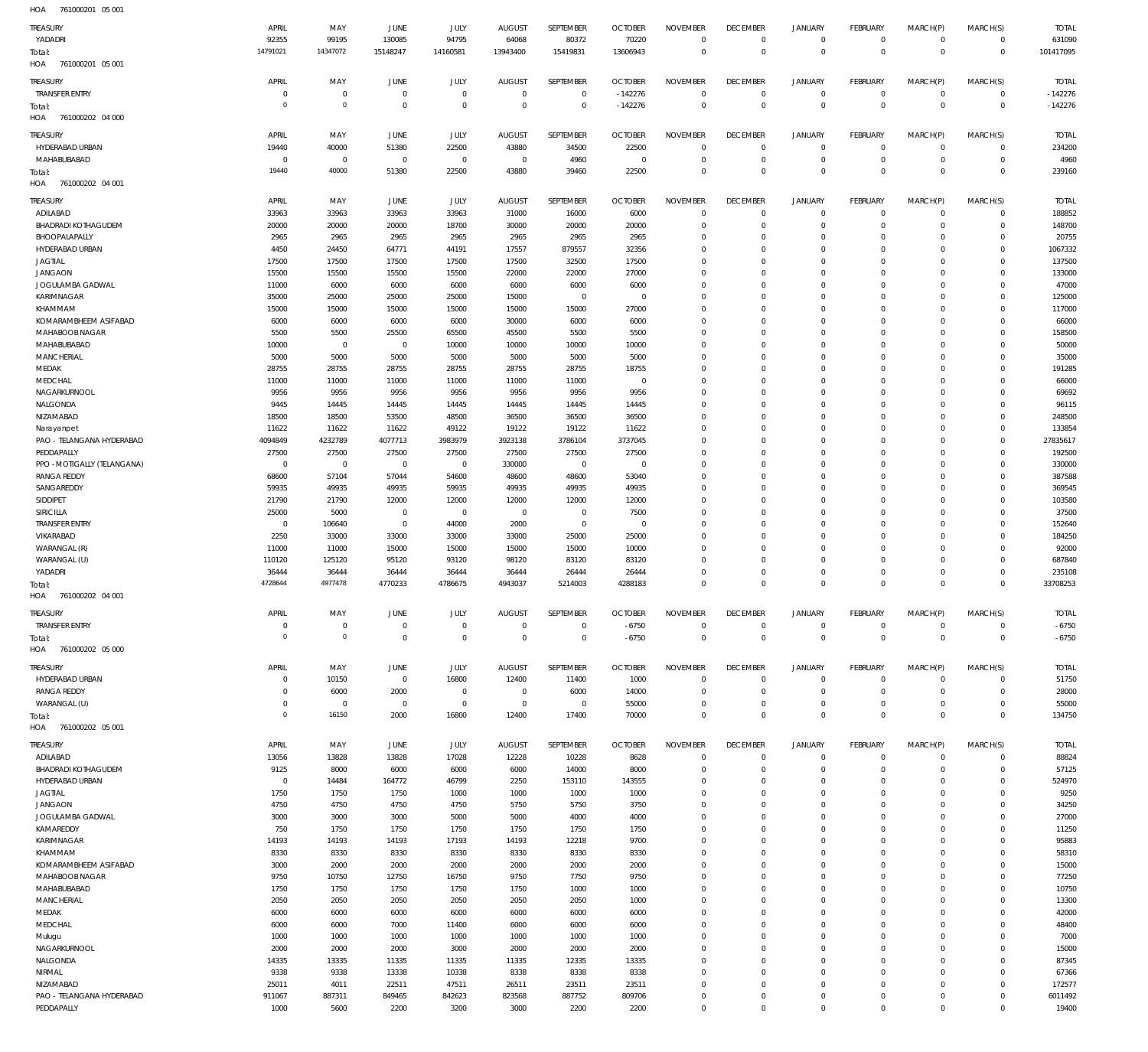761000201 05 001 HOA 761000201 05 001 HOA 761000202 04 000 761000202 04 001 761000202 04 001 761000202 05 000 HOA 761000202 05 001 HOA HOA HOA HOA -142276 -6750  $\Omega$   $\Omega$   $\Omega$   $\boldsymbol{0}$   $\Omega$   $\boldsymbol{0}$   $\Omega$   $\Omega$  -142276 -6750 YADADRI TRANSFER ENTRY HYDERABAD URBAN MAHABUBABAD ADILABAD BHADRADI KOTHAGUDEM BHOOPALAPALLY HYDERABAD URBAN JAGTIAL JANGAON JOGULAMBA GADWAL KARIMNAGAR KHAMMAM KOMARAMBHEEM ASIFABAD MAHABOOB NAGAR MAHABUBABAD **MANCHERIAL** MEDAK **MEDCHAL** NAGARKURNOOL NALGONDA NIZAMABAD **Naravanpet** PAO - TELANGANA HYDERABAD PEDDAPALLY PPO -MOTIGALLY (TELANGANA) RANGA REDDY SANGAREDDY SIDDIPET SIRICILLA TRANSFER ENTRY VIKARABAD WARANGAL (R) WARANGAL (U) YADADRI TRANSFER ENTRY HYDERABAD URBAN RANGA REDDY WARANGAL (U) ADILABAD BHADRADI KOTHAGUDEM HYDERABAD URBAN JAGTIAL JANGAON JOGULAMBA GADWAL KAMAREDDY KARIMNAGAR KHAMMAM KOMARAMBHEEM ASIFABAD MAHABOOB NAGAR MAHABUBABAD MANCHERIAL MEDAK MEDCHAL Mulugu **NAGARKURNOOL** NALGONDA NIRMAL NIZAMABAD PAO - TELANGANA HYDERABAD TREASURY TREASURY TREASURY TREASURY TREASURY TREASURY **TREASURY**   $\overline{0}$   $\overline{0}$   $\overline{0}$   $\Omega$   $\Omega$   $\Omega$  APRIL APRIL APRIL APRIL APRIL APRIL APRIL  $\sqrt{0}$   $\Omega$   $\Omega$  MAY MAY MAY MAY MAY MAY MAY  $\overline{0}$   $\sqrt{0}$   $\,$  0  $\,$  $\Omega$   $\Omega$   $\Omega$  JUNE JUNE **JUNE** JUNE JUNE JUNE **JUNE**   $\Omega$   $\Omega$   $\Omega$  JULY JULY JULY JULY JULY JULY JULY  $\Omega$   $\Omega$   $\Omega$  AUGUST AUGUST AUGUST AUGUST AUGUST AUGUST **AUGUST**   $\Omega$   $\,$  0  $\,$  $\Omega$   $\Omega$   $\Omega$  SEPTEMBER SEPTEMBER **SEPTEMBER** SEPTEMBER SEPTEMBER SEPTEMBER **SEPTEMBER**  -142276  $\Omega$   $\Omega$   $\Omega$   $\Omega$  -6750 OCTOBER **OCTOBER OCTOBER OCTOBER** OCTOBER **OCTOBER OCTOBER**   $\Omega$   $\Omega$   $\Omega$   $\Omega$   $\Omega$   $\Omega$   $\Omega$  $\Omega$   $\Omega$   $\Omega$   $\Omega$   $\Omega$   $\Omega$   $\Omega$   $\Omega$   $\Omega$   $\Omega$  NOVEMBER NOVEMBER NOVEMBER NOVEMBER NOVEMBER NOVEMBER NOVEMBER  $\Omega$   $\overline{0}$  $\Omega$   $\Omega$   $\Omega$   $\Omega$  $\overline{0}$   $\Omega$  $\overline{0}$   $\Omega$  $\overline{0}$  $\Omega$   $\overline{0}$   $\Omega$   $\overline{0}$   $\Omega$  $\overline{0}$   $\Omega$  $\overline{0}$  $\Omega$   $\Omega$   $\overline{0}$  DECEMBER DECEMBER **DECEMBER** DECEMBER DECEMBER DECEMBER **DECEMBER**   $\Omega$   $\Omega$   $\Omega$   $\Omega$   $\Omega$   $\Omega$   $\Omega$   $\Omega$   $\Omega$   $\Omega$   $\Omega$   $\Omega$  JANUARY JANUARY JANUARY JANUARY JANUARY JANUARY JANUARY  $\Omega$   $\Omega$   $\Omega$   $\Omega$   $\Omega$   $\Omega$   $\Omega$   $\Omega$   $\Omega$   $\Omega$   $\Omega$   $\Omega$  FEBRUARY FEBRUARY **FFBRUARY** FEBRUARY FEBRUARY FEBRUARY **FFBRUARY**   $\Omega$   $\Omega$   $\Omega$   $\Omega$   $\Omega$   $\Omega$   $\Omega$   $\Omega$   $\Omega$   $\Omega$   $\Omega$  MARCH(P) MARCH(P) MARCH(P) MARCH(P) MARCH(P) MARCH(P) MARCH(P)  $\Omega$   $\Omega$   $\Omega$   $\Omega$   $\Omega$   $\Omega$  $\Omega$   $\Omega$   $\Omega$   $\Omega$   $\Omega$   $\Omega$   $\Omega$   $\Omega$   $\Omega$   $\Omega$   $\Omega$  MARCH(S) MARCH(S) MARCH(S) MARCH(S) MARCH(S) MARCH(S) MARCH(S) -142276 -6750 TOTAL TOTAL TOTAL TOTAL TOTAL TOTAL TOTAL Total: Total: Total: Total: Total: Total:

PEDDAPALLY

 $\Omega$ 

 $\Omega$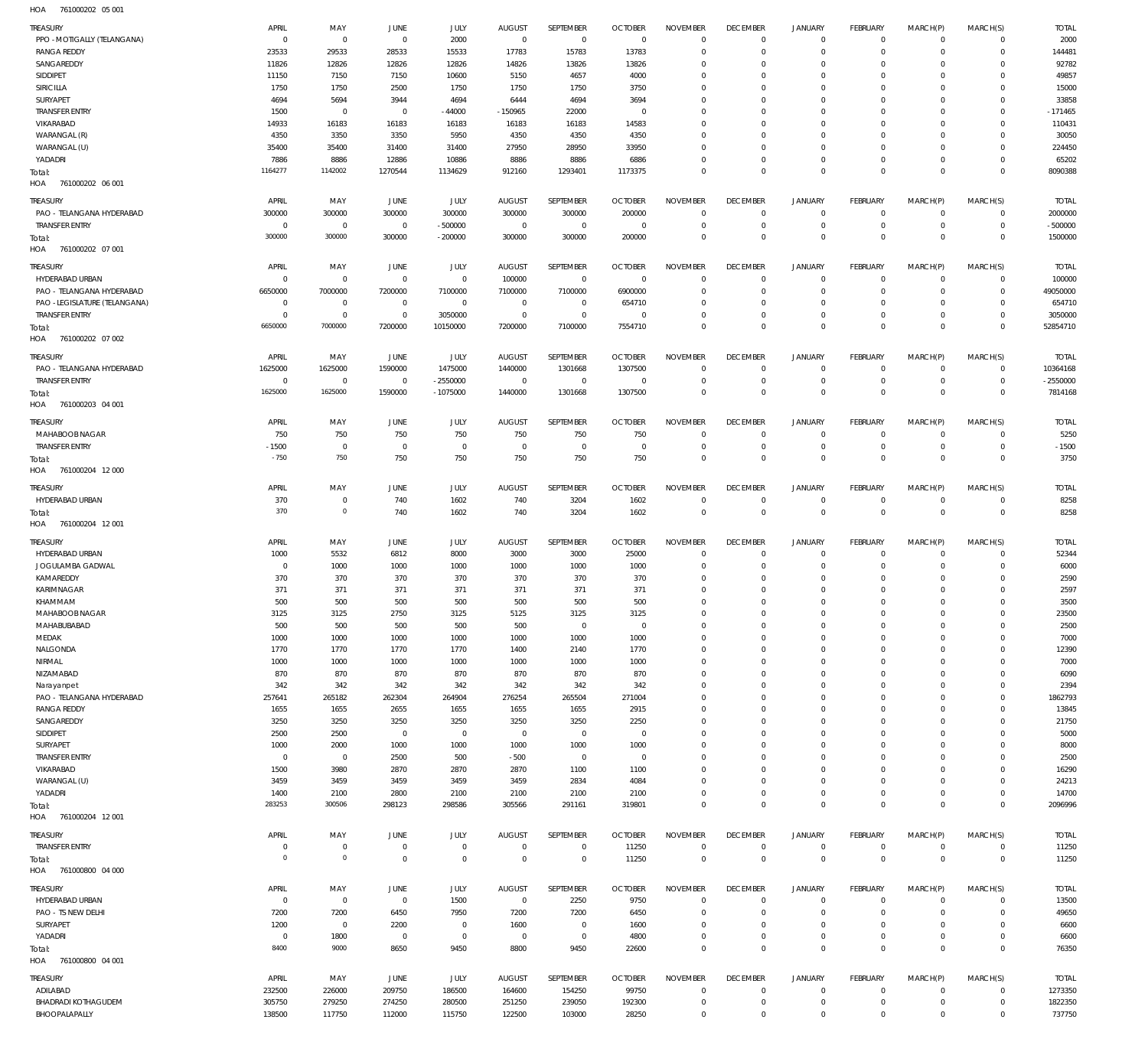761000202 05 001 HOA

| TREASURY                          | APRIL          | MAY                 | <b>JUNE</b>            | JULY                | <b>AUGUST</b>       | SEPTEMBER            | <b>OCTOBER</b>         | <b>NOVEMBER</b>  | <b>DECEMBER</b>            | <b>JANUARY</b>             | FEBRUARY                | MARCH(P)      | MARCH(S)                   | <b>TOTAL</b>  |
|-----------------------------------|----------------|---------------------|------------------------|---------------------|---------------------|----------------------|------------------------|------------------|----------------------------|----------------------------|-------------------------|---------------|----------------------------|---------------|
| PPO - MOTIGALLY (TELANGANA)       | $\mathbf 0$    | $\mathbf 0$         | $\overline{0}$         | 2000                | $\overline{0}$      | $\overline{0}$       | $\overline{0}$         | $\mathbf 0$      | $\overline{0}$             | $\mathbf{0}$               | $\overline{0}$          | $\mathbf{0}$  | $\overline{0}$             | 2000          |
| <b>RANGA REDDY</b>                | 23533          | 29533               | 28533                  | 15533               | 17783               | 15783                | 13783                  | $\Omega$         | $\overline{0}$             | $\mathbf 0$                | $\mathbf{0}$            | $\mathbf 0$   | $\circ$                    | 144481        |
| SANGAREDDY                        | 11826          | 12826               | 12826                  | 12826               | 14826               | 13826                | 13826                  | $\mathbf 0$      | $\mathbf 0$                | $\mathbf 0$                | $\mathbf{0}$            | $\Omega$      | $\mathbf{0}$               | 92782         |
| SIDDIPET                          | 11150          | 7150                | 7150                   | 10600               | 5150                | 4657                 | 4000                   | $\mathbf 0$      | $\mathbf 0$                | $\mathbf 0$                | $^{\circ}$              | $\Omega$      | $\mathbf 0$                | 49857         |
| SIRICILLA                         | 1750           | 1750                | 2500                   | 1750                | 1750                | 1750                 | 3750                   | $\Omega$         | $\mathbf 0$                | $\mathbf 0$                | $\mathbf 0$             | $\Omega$      | $\mathbf 0$                | 15000         |
| SURYAPET                          | 4694           | 5694                | 3944                   | 4694                | 6444                | 4694                 | 3694                   | $\mathbf 0$      | $\mathbf 0$                | $\mathbf 0$                | $^{\circ}$              | $\Omega$      | $\mathbf 0$                | 33858         |
| <b>TRANSFER ENTRY</b>             | 1500           | $\mathbf 0$         | $\overline{0}$         | $-44000$            | $-150965$           | 22000                | $\overline{0}$         | $\Omega$         | $\mathbf 0$                | $\mathbf 0$                | $\mathbf 0$             | $\Omega$      | $\mathbf 0$                | $-171465$     |
| VIKARABAD                         | 14933          | 16183               | 16183                  | 16183               | 16183               | 16183                | 14583                  | $\mathbf 0$      | $\mathbf 0$                | $\mathbf 0$                | $\mathbf{0}$            | $\Omega$      | $\mathbf{0}$               | 110431        |
| WARANGAL (R)                      | 4350           | 3350                | 3350                   | 5950                | 4350                | 4350                 | 4350                   | $\mathbf 0$      | $\mathbf 0$                | $\mathbf 0$                | $^{\circ}$              | $\Omega$      | $\mathbf 0$                | 30050         |
| WARANGAL (U)                      | 35400          | 35400               | 31400                  | 31400               | 27950               | 28950                | 33950                  | $\mathbf 0$      | $\overline{0}$             | $\mathbf 0$                | $\mathbf{0}$            | $\Omega$      | $\mathbf{0}$               | 224450        |
| YADADRI                           | 7886           | 8886                | 12886                  | 10886               | 8886                | 8886                 | 6886                   | $\mathbf 0$      | $\overline{0}$             | $\mathbf 0$                | $\mathbf{0}$            | $\mathbf 0$   | $\mathbf{0}$               | 65202         |
| Total:                            | 1164277        | 1142002             | 1270544                | 1134629             | 912160              | 1293401              | 1173375                | $\mathbf 0$      | $\overline{0}$             | $\mathbf 0$                | $\overline{0}$          | $\mathbf 0$   | $\overline{0}$             | 8090388       |
| HOA<br>761000202 06 001           |                |                     |                        |                     |                     |                      |                        |                  |                            |                            |                         |               |                            |               |
| TREASURY                          | APRIL          | MAY                 | JUNE                   | JULY                | AUGUST              | SEPTEMBER            | <b>OCTOBER</b>         | <b>NOVEMBER</b>  | <b>DECEMBER</b>            | <b>JANUARY</b>             | FEBRUARY                | MARCH(P)      | MARCH(S)                   | <b>TOTAL</b>  |
| PAO - TELANGANA HYDERABAD         | 300000         | 300000              | 300000                 | 300000              | 300000              | 300000               | 200000                 | $\mathbf 0$      | $\overline{0}$             | $\circ$                    | $\overline{0}$          | $\mathbf 0$   | $\overline{0}$             | 2000000       |
| <b>TRANSFER ENTRY</b>             | $^{\circ}$     | $\mathbf 0$         | $\mathbf 0$            | $-500000$           | $\overline{0}$      | $\mathbf 0$          | $\overline{0}$         | $\mathbf 0$      | $\overline{0}$             | $\mathbf 0$                | $\overline{0}$          | $\circ$       | $\mathbf{0}$               | $-500000$     |
| Total:                            | 300000         | 300000              | 300000                 | $-200000$           | 300000              | 300000               | 200000                 | $\mathbf 0$      | $\overline{0}$             | $\mathbf 0$                | $\overline{0}$          | $\mathbf 0$   | $\overline{0}$             | 1500000       |
| HOA<br>761000202 07 001           |                |                     |                        |                     |                     |                      |                        |                  |                            |                            |                         |               |                            |               |
|                                   |                |                     |                        |                     |                     |                      |                        |                  |                            |                            |                         |               |                            |               |
| TREASURY                          | APRIL          | MAY                 | JUNE                   | JULY                | AUGUST              | SEPTEMBER            | <b>OCTOBER</b>         | <b>NOVEMBER</b>  | <b>DECEMBER</b>            | JANUARY                    | FEBRUARY                | MARCH(P)      | MARCH(S)                   | <b>TOTAL</b>  |
| HYDERABAD URBAN                   | $^{\circ}$     | $\mathbf 0$         | $\overline{0}$         | $\mathbf 0$         | 100000              | $\overline{0}$       | $\overline{0}$         | $\mathbf 0$      | $\overline{0}$             | $\mathbf 0$                | $\overline{0}$          | $\mathbf 0$   | $\mathbf{0}$               | 100000        |
| PAO - TELANGANA HYDERABAD         | 6650000        | 7000000             | 7200000                | 7100000             | 7100000             | 7100000              | 6900000                | $\mathbf 0$      | $\mathbf 0$                | $\mathbf 0$                | $\mathbf{0}$            | $\circ$       | $\mathbf{0}$               | 49050000      |
| PAO -LEGISLATURE (TELANGANA)      | $\overline{0}$ | $^{\circ}$          | $\overline{0}$         | $\mathbf 0$         | $\overline{0}$      | $\overline{0}$       | 654710                 | $\mathbf 0$      | $\overline{0}$             | $\mathbf 0$                | $\mathbf{0}$            | $\circ$       | $\mathbf{0}$               | 654710        |
| <b>TRANSFER ENTRY</b>             | $\mathbf 0$    | $\mathbf 0$         | $\overline{0}$         | 3050000             | $\overline{0}$      | $\mathbf 0$          | $\overline{0}$         | $\mathbf 0$      | $\overline{0}$             | $\mathbf 0$                | $\mathbf{0}$            | $\circ$       | $\circ$                    | 3050000       |
| Total:                            | 6650000        | 7000000             | 7200000                | 10150000            | 7200000             | 7100000              | 7554710                | $\Omega$         | $\overline{0}$             | $\mathbf 0$                | $\overline{0}$          | $\Omega$      | $\overline{0}$             | 52854710      |
| HOA<br>761000202 07 002           |                |                     |                        |                     |                     |                      |                        |                  |                            |                            |                         |               |                            |               |
| TREASURY                          | APRIL          | MAY                 | JUNE                   | JULY                | <b>AUGUST</b>       | SEPTEMBER            | <b>OCTOBER</b>         | <b>NOVEMBER</b>  | <b>DECEMBER</b>            | <b>JANUARY</b>             | <b>FEBRUARY</b>         | MARCH(P)      | MARCH(S)                   | <b>TOTAL</b>  |
| PAO - TELANGANA HYDERABAD         | 1625000        | 1625000             | 1590000                | 1475000             | 1440000             | 1301668              | 1307500                | $\mathbf 0$      | $\overline{0}$             | $\mathbf 0$                | $\overline{0}$          | $^{\circ}$    | $\overline{0}$             | 10364168      |
| <b>TRANSFER ENTRY</b>             | $\mathbf 0$    | $\mathbf 0$         | $\overline{0}$         | $-2550000$          | $\overline{0}$      | $\overline{0}$       | $\overline{0}$         | $\mathbf 0$      | $\overline{0}$             | $\mathbf 0$                | $\overline{0}$          | $\mathbf 0$   | $\overline{0}$             | $-2550000$    |
| Total:                            | 1625000        | 1625000             | 1590000                | $-1075000$          | 1440000             | 1301668              | 1307500                | $\mathbf 0$      | $\overline{0}$             | $\mathbf 0$                | $\overline{0}$          | $\mathbf 0$   | $\overline{0}$             | 7814168       |
| HOA<br>761000203 04 001           |                |                     |                        |                     |                     |                      |                        |                  |                            |                            |                         |               |                            |               |
| <b>TREASURY</b>                   | APRIL          | MAY                 | JUNE                   | JULY                | <b>AUGUST</b>       | SEPTEMBER            | <b>OCTOBER</b>         | <b>NOVEMBER</b>  | <b>DECEMBER</b>            | <b>JANUARY</b>             | <b>FEBRUARY</b>         | MARCH(P)      | MARCH(S)                   | <b>TOTAL</b>  |
| MAHABOOB NAGAR                    | 750            | 750                 | 750                    | 750                 | 750                 | 750                  | 750                    | $\mathbf 0$      | $\overline{0}$             | $\mathbf 0$                | $\mathbf{0}$            | $\mathbf 0$   | $\overline{0}$             | 5250          |
| <b>TRANSFER ENTRY</b>             | $-1500$        | $\mathbf{0}$        | $\overline{0}$         | $\mathbf 0$         | $^{\circ}$          | $^{\circ}$           | $\overline{0}$         | $\mathbf 0$      | $\overline{0}$             | $\mathbf 0$                | $\overline{0}$          | $\mathbf 0$   | $\mathbf{0}$               | $-1500$       |
|                                   | $-750$         | 750                 | 750                    | 750                 | 750                 | 750                  | 750                    | $\mathbf 0$      | $\overline{0}$             | $\mathbf 0$                | $\overline{0}$          | $\mathbf 0$   | $\overline{0}$             | 3750          |
| Total:<br>HOA<br>761000204 12 000 |                |                     |                        |                     |                     |                      |                        |                  |                            |                            |                         |               |                            |               |
|                                   |                |                     |                        |                     |                     |                      |                        |                  |                            |                            |                         |               |                            |               |
| TREASURY                          | APRIL          | MAY                 | <b>JUNE</b>            | JULY                | <b>AUGUST</b>       | SEPTEMBER            | <b>OCTOBER</b>         | <b>NOVEMBER</b>  | <b>DECEMBER</b>            | <b>JANUARY</b>             | FEBRUARY                | MARCH(P)      | MARCH(S)                   | <b>TOTAL</b>  |
| HYDERABAD URBAN                   | 370            | $\bf 0$             | 740                    | 1602                | 740                 | 3204                 | 1602                   | $\mathbf 0$      | $\overline{0}$             | $\circ$                    | $\overline{0}$          | $\mathbf 0$   | $\overline{0}$             | 8258          |
| Total:                            | 370            | $\mathbf 0$         | 740                    | 1602                | 740                 | 3204                 | 1602                   | $\mathbf 0$      | $\overline{0}$             | $\mathbb O$                | $\overline{0}$          | $\mathbf 0$   | $\overline{0}$             | 8258          |
| HOA<br>761000204 12 001           |                |                     |                        |                     |                     |                      |                        |                  |                            |                            |                         |               |                            |               |
| <b>TREASURY</b>                   | APRIL          | MAY                 | <b>JUNE</b>            | JULY                | <b>AUGUST</b>       | SEPTEMBER            | <b>OCTOBER</b>         | <b>NOVEMBER</b>  | <b>DECEMBER</b>            | <b>JANUARY</b>             | <b>FEBRUARY</b>         | MARCH(P)      | MARCH(S)                   | <b>TOTAL</b>  |
| HYDERABAD URBAN                   | 1000           | 5532                | 6812                   | 8000                | 3000                | 3000                 | 25000                  | $\mathbf 0$      | $\overline{0}$             | $\mathbf 0$                | $^{\circ}$              | $\mathbf 0$   | $\mathbf{0}$               | 52344         |
| JOGULAMBA GADWAL                  | $\overline{0}$ | 1000                | 1000                   | 1000                | 1000                | 1000                 | 1000                   | $\mathbf 0$      | $\overline{0}$             | $\mathbf 0$                | $\mathbf{0}$            | $\circ$       | $\mathbf{0}$               | 6000          |
| KAMAREDDY                         | 370            | 370                 | 370                    | 370                 | 370                 | 370                  | 370                    | $\mathbf 0$      | $\overline{0}$             | $\mathbf 0$                | $^{\circ}$              | $\circ$       | $\mathbf{0}$               | 2590          |
| KARIMNAGAR                        | 371            | 371                 | 371                    | 371                 | 371                 | 371                  | 371                    | $\mathbf 0$      | $\mathbf 0$                | $\mathbf 0$                | $\mathbf 0$             | $\Omega$      | $\mathbf 0$                | 2597          |
| KHAMMAM                           | 500            | 500                 | 500                    | 500                 | 500                 | 500                  | 500                    | $\mathbf 0$      | $\Omega$                   | $\mathbf 0$                | $\Omega$                | $\Omega$      | $\Omega$                   | 3500          |
| MAHABOOB NAGAR                    |                |                     |                        |                     |                     |                      |                        |                  |                            |                            |                         |               |                            |               |
| MAHABUBABAD                       | 3125<br>500    | 3125<br>500         | 2750<br>500            | 3125<br>500         | 5125<br>500         | 3125<br>$\mathbf{0}$ | 3125<br>$\overline{0}$ | $\mathbf 0$      | $\overline{0}$             | $\mathbf 0$                | $\mathbf 0$             | $\mathbf 0$   | $\mathbf 0$                | 2350C<br>2500 |
| MEDAK                             | 1000           | 1000                | 1000                   | 1000                | 1000                | 1000                 | 1000                   | $\mathbf 0$      | $\mathbf 0$                | $\mathbf 0$                | $\mathbf 0$             | $\mathbf 0$   | $\mathbf 0$                | 7000          |
| NALGONDA                          | 1770           | 1770                | 1770                   | 1770                |                     | 2140                 | 1770                   | $\mathbf 0$      | $\mathbf 0$                | $\mathbf 0$                | $\Omega$                | $\Omega$      | $\mathbf 0$                | 12390         |
|                                   |                |                     |                        |                     | 1400                |                      |                        |                  | $\mathbf 0$                |                            |                         | $\Omega$      |                            |               |
| NIRMAL                            | 1000           | 1000                | 1000                   | 1000                | 1000                | 1000                 | 1000                   | $\mathbf 0$      | $\mathbf 0$                | $\mathbf 0$<br>$\mathbf 0$ | $\mathbf 0$             |               | $\mathbf 0$                | 7000          |
| NIZAMABAD                         | 870            | 870                 | 870                    | 870                 | 870                 | 870                  | 870                    | $\mathbf 0$      |                            |                            | $^{\circ}$              | $\Omega$      | $\mathbf 0$                | 6090          |
| Narayanpet                        | 342            | 342                 | 342                    | 342                 | 342                 | 342                  | 342                    | $\mathbf 0$      | $\mathbf 0$                | $\mathbf 0$                | $^{\circ}$              | $\Omega$      | $\mathbf 0$                | 2394          |
| PAO - TELANGANA HYDERABAD         | 257641         | 265182              | 262304                 | 264904              | 276254              | 265504               | 271004                 | $\mathbf 0$      | $\mathbf 0$<br>$\mathbf 0$ | $\mathbf 0$                | $^{\circ}$              | $\Omega$      | $\mathbf 0$                | 1862793       |
| <b>RANGA REDDY</b>                | 1655           | 1655                | 2655                   | 1655                | 1655                | 1655                 | 2915                   | $\mathbf 0$      | $\mathbf 0$                | $\mathbf 0$<br>$\mathbf 0$ | $^{\circ}$              | 0<br>$\Omega$ | $\mathbf 0$<br>$\mathbf 0$ | 13845         |
| SANGAREDDY                        | 3250           | 3250                | 3250                   | 3250                | 3250                | 3250                 | 2250                   | $\mathbf 0$      |                            |                            | $\mathbf 0$             |               |                            | 21750         |
| SIDDIPET<br>SURYAPET              | 2500<br>1000   | 2500<br>2000        | $\overline{0}$<br>1000 | $\mathbf 0$<br>1000 | $\mathbf 0$<br>1000 | $\mathbf 0$<br>1000  | $\overline{0}$<br>1000 | 0<br>$\mathbf 0$ | $\mathbf 0$<br>$\mathbf 0$ | $\mathbf 0$<br>$\mathbf 0$ | $\mathbf 0$<br>$\Omega$ | 0<br>$\Omega$ | $\mathbf 0$<br>$\mathbf 0$ | 5000<br>8000  |
|                                   |                |                     |                        |                     |                     |                      |                        |                  |                            |                            |                         |               |                            |               |
| <b>TRANSFER ENTRY</b>             | $\overline{0}$ | $\mathbf 0$         | 2500                   | 500                 | $-500$              | $^{\circ}$           | $\overline{0}$         | $\mathbf 0$      | $\mathbf 0$                | $\mathbf 0$                | $^{\circ}$              | 0             | $\mathbf 0$                | 2500          |
| VIKARABAD                         | 1500           | 3980                | 2870                   | 2870                | 2870                | 1100                 | 1100                   | $\mathbf 0$      | $\mathbf 0$                | $\mathbf 0$                | $\Omega$                | $\Omega$      | $\mathbf 0$                | 16290         |
| WARANGAL (U)                      | 3459           | 3459                | 3459                   | 3459                | 3459                | 2834                 | 4084                   | $\mathbf 0$      | $\mathbf 0$                | $\mathbf 0$                | $\mathbf 0$             | $\Omega$      | $\mathbf 0$                | 24213         |
| YADADRI                           | 1400           | 2100                | 2800                   | 2100                | 2100                | 2100                 | 2100                   | $\mathbf 0$      | $\overline{0}$             | $\mathbf 0$                | $\mathbf 0$             | $\mathbf 0$   | $\mathbf{0}$               | 14700         |
| Total:                            | 283253         | 300506              | 298123                 | 298586              | 305566              | 291161               | 319801                 | $\mathbf 0$      | $\overline{0}$             | $\mathbf 0$                | $\overline{0}$          | $\mathbf 0$   | $\mathbf 0$                | 2096996       |
| HOA<br>761000204 12 001           |                |                     |                        |                     |                     |                      |                        |                  |                            |                            |                         |               |                            |               |
| <b>TREASURY</b>                   | APRIL          | MAY                 | <b>JUNE</b>            | JULY                | AUGUST              | SEPTEMBER            | <b>OCTOBER</b>         | <b>NOVEMBER</b>  | <b>DECEMBER</b>            | <b>JANUARY</b>             | FEBRUARY                | MARCH(P)      | MARCH(S)                   | <b>TOTAL</b>  |
| <b>TRANSFER ENTRY</b>             | 0              | 0                   | $\overline{0}$         | $\bf 0$             | $\overline{0}$      | $\mathbf 0$          | 11250                  | $\mathbf 0$      | $\overline{0}$             | $\circ$                    | $\circ$                 | $\mathbf 0$   | $\mathbf{0}$               | 11250         |
| Total:                            | $\overline{0}$ | $\mathsf{O}\xspace$ | $\overline{0}$         | $\mathbf 0$         | $\overline{0}$      | $\mathbf 0$          | 11250                  | $\mathbf 0$      | $\overline{0}$             | $\bf 0$                    | $\overline{0}$          | $\mathbf 0$   | $\overline{0}$             | 11250         |
| 761000800 04 000<br>HOA           |                |                     |                        |                     |                     |                      |                        |                  |                            |                            |                         |               |                            |               |
| TREASURY                          | APRIL          | MAY                 | JUNE                   | JULY                | AUGUST              | SEPTEMBER            | <b>OCTOBER</b>         | <b>NOVEMBER</b>  | <b>DECEMBER</b>            | <b>JANUARY</b>             | FEBRUARY                | MARCH(P)      | MARCH(S)                   | <b>TOTAL</b>  |
|                                   | $\overline{0}$ | $\bf 0$             | $\overline{0}$         |                     | $\overline{0}$      |                      | 9750                   | $\mathbf 0$      | $\overline{0}$             | $\mathbf 0$                | $\mathbf{0}$            | $\mathbf 0$   | $^{\circ}$                 | 13500         |
| HYDERABAD URBAN                   |                |                     |                        | 1500                |                     | 2250                 |                        | $\mathbf 0$      | $\overline{0}$             | $\mathbf 0$                |                         |               | $\mathbf{0}$               |               |
| PAO - TS NEW DELHI                | 7200           | 7200                | 6450                   | 7950                | 7200                | 7200                 | 6450                   |                  |                            |                            | $^{\circ}$              | $\mathbf 0$   |                            | 49650         |
| SURYAPET                          | 1200           | $\mathbf 0$         | 2200                   | $\mathbf 0$         | 1600                | $\mathbf 0$          | 1600                   | $\mathbf 0$      | $\overline{0}$             | $\mathbf 0$                | $\mathbf 0$             | $\mathbf 0$   | $\mathbf 0$                | 6600          |
| YADADRI                           | $\mathbf 0$    | 1800                | $\overline{0}$         | 0                   | $\overline{0}$      | $\mathbf 0$          | 4800                   | $\mathbf 0$      | $\overline{0}$             | $\mathbf 0$                | $^{\circ}$              | $\mathbf 0$   | $\mathbf{0}$               | 6600          |
| Total:                            | 8400           | 9000                | 8650                   | 9450                | 8800                | 9450                 | 22600                  | $\mathbf 0$      | $\overline{0}$             | $\mathbf 0$                | $\overline{0}$          | $\mathbf 0$   | $\mathbf 0$                | 76350         |
| HOA<br>761000800 04 001           |                |                     |                        |                     |                     |                      |                        |                  |                            |                            |                         |               |                            |               |
| <b>TREASURY</b>                   | APRIL          | MAY                 | JUNE                   | JULY                | AUGUST              | SEPTEMBER            | <b>OCTOBER</b>         | <b>NOVEMBER</b>  | <b>DECEMBER</b>            | <b>JANUARY</b>             | FEBRUARY                | MARCH(P)      | MARCH(S)                   | <b>TOTAL</b>  |
| ADILABAD                          | 232500         | 226000              | 209750                 | 186500              | 164600              | 154250               | 99750                  | $\mathbf 0$      | $\overline{0}$             | 0                          | $\mathbf{0}$            | $\mathbf 0$   | $\mathbf{0}$               | 1273350       |
| <b>BHADRADI KOTHAGUDEM</b>        | 305750         | 279250              | 274250                 | 280500              | 251250              | 239050               | 192300                 | $\mathbf 0$      | $\overline{0}$             | $\mathbf 0$                | $\circ$                 | $\mathbf 0$   | $\circ$                    | 1822350       |
|                                   |                |                     |                        |                     |                     |                      |                        |                  |                            |                            |                         |               |                            |               |
| BHOOPALAPALLY                     | 138500         | 117750              | 112000                 | 115750              | 122500              | 103000               | 28250                  | $\mathbf 0$      | $\overline{0}$             | $\mathbf 0$                | $\mathbf 0$             | $\mathbf 0$   | $\mathbf 0$                | 737750        |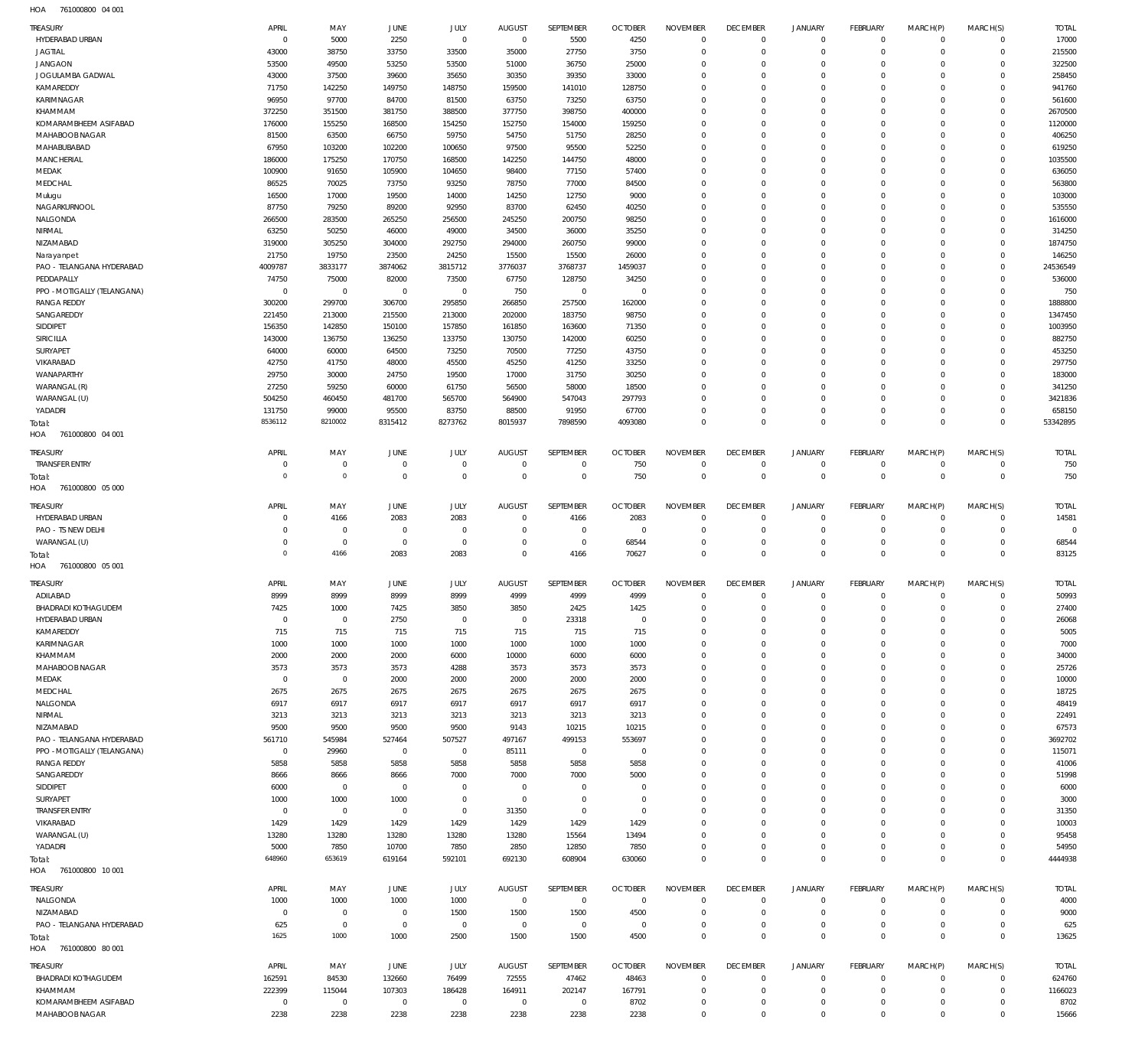761000800 04 001 HOA

| <b>TREASURY</b>                   | APRIL                      | MAY                    | <b>JUNE</b>                   | JULY                       | <b>AUGUST</b>                 | SEPTEMBER                   | <b>OCTOBER</b>         | <b>NOVEMBER</b>  | <b>DECEMBER</b>               | <b>JANUARY</b>             | <b>FEBRUARY</b>                  | MARCH(P)                   | MARCH(S)                      | <b>TOTAL</b>         |
|-----------------------------------|----------------------------|------------------------|-------------------------------|----------------------------|-------------------------------|-----------------------------|------------------------|------------------|-------------------------------|----------------------------|----------------------------------|----------------------------|-------------------------------|----------------------|
| HYDERABAD URBAN                   | $\overline{0}$             | 5000                   | 2250                          | $\overline{0}$             | $\overline{0}$                | 5500                        | 4250                   | $\mathbf 0$      | $\overline{0}$                | $\mathsf 0$                | $\mathsf 0$                      | $\overline{0}$             | $\overline{0}$                | 17000                |
| <b>JAGTIAL</b>                    | 43000                      | 38750                  | 33750                         | 33500                      | 35000                         | 27750                       | 3750                   | $\mathbf 0$      | $\mathbf 0$                   | $\mathbf 0$                | $\overline{0}$                   | $\mathbf 0$                | $\overline{0}$                | 215500               |
| <b>JANGAON</b>                    | 53500                      | 49500                  | 53250                         | 53500                      | 51000                         | 36750                       | 25000                  | $\mathbf 0$      | $\mathbf 0$                   | $\mathbf 0$                | $\overline{0}$                   | $\Omega$                   | $\overline{0}$                | 322500               |
| JOGULAMBA GADWAL                  | 43000                      | 37500                  | 39600                         | 35650                      | 30350                         | 39350                       | 33000                  | 0                | $\mathbf 0$                   | $\mathbf 0$                | $\overline{0}$                   | $\Omega$                   | $\overline{0}$<br>$\Omega$    | 258450               |
| KAMAREDDY<br>KARIMNAGAR           | 71750<br>96950             | 142250<br>97700        | 149750<br>84700               | 148750<br>81500            | 159500<br>63750               | 141010<br>73250             | 128750<br>63750        | $\mathbf 0$<br>0 | $\mathbf 0$<br>$\mathbf 0$    | 0<br>$\mathbf 0$           | $\mathbf 0$<br>$\overline{0}$    | $\Omega$<br>$\Omega$       | $\mathbf 0$                   | 941760<br>561600     |
| KHAMMAM                           | 372250                     | 351500                 | 381750                        | 388500                     | 377750                        | 398750                      | 400000                 | $\mathbf 0$      | $\mathbf 0$                   | 0                          | $\mathbf 0$                      | $\Omega$                   | $\Omega$                      | 2670500              |
| KOMARAMBHEEM ASIFABAD             | 176000                     | 155250                 | 168500                        | 154250                     | 152750                        | 154000                      | 159250                 | $\Omega$         | $\mathbf 0$                   | $\mathbf 0$                | $\overline{0}$                   | $\Omega$                   | $\mathbf 0$                   | 1120000              |
| MAHABOOB NAGAR                    | 81500                      | 63500                  | 66750                         | 59750                      | 54750                         | 51750                       | 28250                  | $\mathbf 0$      | $\mathbf 0$                   | $\mathbf 0$                | $\mathbf 0$                      | $\Omega$                   | $\Omega$                      | 406250               |
| MAHABUBABAD                       | 67950                      | 103200                 | 102200                        | 100650                     | 97500                         | 95500                       | 52250                  | $\Omega$         | $\mathbf 0$                   | $\mathbf 0$                | $\overline{0}$                   | $\Omega$                   | $\mathbf 0$                   | 619250               |
| MANCHERIAL                        | 186000                     | 175250                 | 170750                        | 168500                     | 142250                        | 144750                      | 48000                  | $\mathbf 0$      | $\mathbf 0$                   | $\mathbf 0$                | $\overline{0}$                   | $\Omega$                   | $\overline{0}$                | 1035500              |
| MEDAK                             | 100900                     | 91650                  | 105900                        | 104650                     | 98400                         | 77150                       | 57400                  | 0                | $\mathbf 0$                   | $\mathbf 0$                | $\overline{0}$                   | $\Omega$                   | $\mathbf 0$                   | 636050               |
| MEDCHAL                           | 86525                      | 70025                  | 73750                         | 93250                      | 78750                         | 77000                       | 84500                  | $\mathbf 0$      | $\mathbf 0$                   | $\mathbf 0$                | $\mathbf 0$                      | $\Omega$                   | $\Omega$                      | 563800               |
| Mulugu                            | 16500                      | 17000                  | 19500                         | 14000                      | 14250                         | 12750                       | 9000                   | 0                | $\mathbf 0$                   | $\mathbf 0$                | $\overline{0}$                   | $\Omega$                   | $\mathbf 0$                   | 103000               |
| NAGARKURNOOL                      | 87750                      | 79250                  | 89200                         | 92950                      | 83700                         | 62450                       | 40250                  | $\Omega$         | $\mathbf 0$                   | 0                          | $\mathbf 0$                      | $\Omega$                   | $\Omega$                      | 535550               |
| NALGONDA                          | 266500                     | 283500                 | 265250                        | 256500                     | 245250                        | 200750                      | 98250                  | 0                | $\mathbf 0$                   | $\mathbf 0$                | $\overline{0}$                   | $\Omega$                   | $\overline{0}$                | 1616000              |
| NIRMAL                            | 63250                      | 50250                  | 46000                         | 49000                      | 34500                         | 36000                       | 35250                  | $\mathbf 0$      | $\mathbf 0$                   | 0                          | $\mathbf 0$                      | $\Omega$                   | $\Omega$                      | 314250               |
| NIZAMABAD                         | 319000                     | 305250                 | 304000                        | 292750                     | 294000                        | 260750                      | 99000                  | $\Omega$         | $\mathbf 0$                   | $\mathbf 0$                | $\overline{0}$                   | $\Omega$                   | $\overline{0}$                | 1874750              |
| Narayanpet                        | 21750                      | 19750                  | 23500                         | 24250                      | 15500                         | 15500                       | 26000                  | $\mathbf 0$      | $\mathbf 0$                   | $\mathbf 0$                | $\mathbf 0$                      | $\Omega$                   | $\overline{0}$                | 146250               |
| PAO - TELANGANA HYDERABAD         | 4009787                    | 3833177                | 3874062                       | 3815712                    | 3776037                       | 3768737                     | 1459037                | $\Omega$         | $\mathbf 0$                   | $\mathbf 0$                | $\overline{0}$                   | $\Omega$                   | $\overline{0}$                | 24536549             |
| PEDDAPALLY                        | 74750                      | 75000                  | 82000                         | 73500                      | 67750                         | 128750                      | 34250                  | $\mathbf 0$      | $\mathbf 0$                   | $\mathbf 0$                | $\overline{0}$                   | $\Omega$                   | $\circ$                       | 536000               |
| PPO - MOTIGALLY (TELANGANA)       | $\overline{0}$             | $\overline{0}$         | $\overline{0}$                | $\mathbf 0$                | 750                           | $\overline{0}$              | $\overline{0}$         | 0                | $\mathbf 0$                   | 0                          | $\overline{0}$                   | $\Omega$                   | $\overline{0}$                | 750                  |
| <b>RANGA REDDY</b>                | 300200                     | 299700                 | 306700                        | 295850                     | 266850                        | 257500                      | 162000                 | $\mathbf 0$      | $\mathbf 0$                   | $\mathbf 0$                | $\mathbf 0$                      | $\Omega$                   | $\circ$                       | 1888800              |
| SANGAREDDY                        | 221450                     | 213000                 | 215500                        | 213000                     | 202000                        | 183750                      | 98750                  | 0                | $\mathbf 0$                   | $\mathbf 0$                | $\overline{0}$                   | $\Omega$                   | $\mathbf 0$                   | 1347450              |
| SIDDIPET                          | 156350                     | 142850                 | 150100                        | 157850                     | 161850                        | 163600                      | 71350                  | $\mathbf 0$      | $\mathbf 0$                   | 0                          | $\mathbf 0$                      | $\Omega$                   | $\Omega$                      | 1003950              |
| SIRICILLA                         | 143000                     | 136750                 | 136250                        | 133750                     | 130750                        | 142000                      | 60250                  | 0                | $\mathbf 0$                   | $\mathbf 0$                | $\overline{0}$                   | $\Omega$                   | $\mathbf 0$                   | 882750               |
| SURYAPET                          | 64000                      | 60000                  | 64500                         | 73250                      | 70500                         | 77250                       | 43750                  | $\mathbf 0$      | $\mathbf 0$                   | 0                          | $\mathbf 0$                      | $\Omega$                   | $\Omega$                      | 453250               |
| VIKARABAD                         | 42750                      | 41750                  | 48000                         | 45500                      | 45250                         | 41250                       | 33250                  | 0                | $\mathbf 0$                   | $\mathbf 0$                | $\overline{0}$                   | $\Omega$                   | $\mathbf 0$                   | 297750               |
| WANAPARTHY                        | 29750                      | 30000                  | 24750                         | 19500                      | 17000                         | 31750                       | 30250                  | $\mathbf 0$      | $\mathbf 0$                   | $\mathbf 0$                | $\mathbf 0$                      | $\mathbf 0$                | $\mathbf 0$                   | 183000               |
| WARANGAL (R)                      | 27250                      | 59250                  | 60000                         | 61750                      | 56500                         | 58000                       | 18500                  | $\Omega$         | $\mathbf 0$                   | $\mathbf 0$                | $\overline{0}$                   | $\Omega$                   | $\overline{0}$                | 341250               |
| WARANGAL (U)                      | 504250                     | 460450                 | 481700                        | 565700                     | 564900                        | 547043                      | 297793                 | $\mathbf 0$      | $\mathbf 0$                   | $\mathbf 0$                | $\overline{0}$                   | $\Omega$                   | $\overline{0}$                | 3421836              |
| YADADRI                           | 131750                     | 99000                  | 95500                         | 83750                      | 88500                         | 91950                       | 67700                  | $\mathbf 0$      | $\mathbf 0$                   | $\mathsf{O}\xspace$        | $\overline{0}$                   | 0                          | $\overline{0}$                | 658150               |
| Total:                            | 8536112                    | 8210002                | 8315412                       | 8273762                    | 8015937                       | 7898590                     | 4093080                | $\mathbf 0$      | $\overline{0}$                | $\mathbf 0$                | $\overline{0}$                   | $\mathbf 0$                | $\overline{0}$                | 53342895             |
| HOA<br>761000800 04 001           |                            |                        |                               |                            |                               |                             |                        |                  |                               |                            |                                  |                            |                               |                      |
| <b>TREASURY</b>                   | APRIL                      | MAY                    | JUNE                          | JULY                       | <b>AUGUST</b>                 | SEPTEMBER                   | <b>OCTOBER</b>         | <b>NOVEMBER</b>  | <b>DECEMBER</b>               | <b>JANUARY</b>             | <b>FEBRUARY</b>                  | MARCH(P)                   | MARCH(S)                      | <b>TOTAL</b>         |
| <b>TRANSFER ENTRY</b>             | $\overline{0}$             | $\mathbf 0$            | $\overline{0}$                | $\mathbf 0$                | $\mathbf 0$                   | $\mathbf 0$                 | 750                    | $\mathbf 0$      | $\mathbf 0$                   | $\mathbf 0$                | $\overline{0}$                   | $\mathbf 0$                | $\overline{0}$                | 750                  |
| Total:                            | $\overline{0}$             | $\mathbf 0$            | $\mathbb O$                   | $\mathbf 0$                | $\overline{0}$                | $\overline{0}$              | 750                    | $\overline{0}$   | $\mathbb O$                   | $\overline{0}$             | $\mathbb O$                      | $\overline{0}$             | $\mathbb O$                   | 750                  |
| 761000800 05 000<br>HOA           |                            |                        |                               |                            |                               |                             |                        |                  |                               |                            |                                  |                            |                               |                      |
|                                   |                            |                        |                               |                            |                               |                             |                        |                  |                               |                            |                                  |                            |                               |                      |
| TREASURY                          | APRIL                      | MAY                    | JUNE                          | JULY                       | <b>AUGUST</b>                 | SEPTEMBER                   | <b>OCTOBER</b>         | <b>NOVEMBER</b>  | <b>DECEMBER</b>               | <b>JANUARY</b>             | <b>FEBRUARY</b>                  | MARCH(P)                   | MARCH(S)                      | <b>TOTAL</b>         |
| HYDERABAD URBAN                   | $\mathbf 0$<br>$\mathbf 0$ | 4166<br>$\bf 0$        | 2083                          | 2083                       | $\overline{0}$<br>$\mathbf 0$ | 4166                        | 2083                   | $\mathbf 0$<br>0 | $\overline{0}$<br>$\mathbf 0$ | $\mathsf 0$<br>$\mathbf 0$ | $\overline{0}$<br>$\overline{0}$ | $\mathbf 0$<br>$\mathbf 0$ | $\mathsf 0$<br>$\overline{0}$ | 14581<br>$\mathbf 0$ |
| PAO - TS NEW DELHI                | $\overline{0}$             | $\mathbf 0$            | $\overline{0}$<br>$\mathbf 0$ | $\mathbf 0$<br>$\mathbf 0$ | $\mathbf{0}$                  | $\mathbf 0$<br>$\mathbf{0}$ | $\overline{0}$         | $\mathbf 0$      | $\mathbf{0}$                  | $\mathbf 0$                | $\overline{0}$                   | $\mathbf 0$                | $\overline{0}$                |                      |
| WARANGAL (U)                      | $\overline{0}$             | 4166                   | 2083                          | 2083                       | $\Omega$                      | 4166                        | 68544<br>70627         | $\mathbf 0$      | $\overline{0}$                | $\mathbf 0$                | $\mathbb O$                      | $\Omega$                   | $\overline{0}$                | 68544<br>83125       |
| Total:<br>HOA<br>761000800 05 001 |                            |                        |                               |                            |                               |                             |                        |                  |                               |                            |                                  |                            |                               |                      |
|                                   |                            |                        |                               |                            |                               |                             |                        |                  |                               |                            |                                  |                            |                               |                      |
| TREASURY                          | APRIL                      | MAY                    | <b>JUNE</b>                   | JULY                       | <b>AUGUST</b>                 | SEPTEMBER                   | <b>OCTOBER</b>         | <b>NOVEMBER</b>  | <b>DECEMBER</b>               | <b>JANUARY</b>             | <b>FEBRUARY</b>                  | MARCH(P)                   | MARCH(S)                      | <b>TOTAL</b>         |
| ADILABAD                          | 8999                       | 8999                   | 8999                          | 8999                       | 4999                          | 4999                        | 4999                   | $\mathbf 0$      | $\mathbf 0$                   | $\mathbf 0$                | $\overline{0}$                   | $\mathbf 0$                | $\overline{0}$                | 50993                |
| <b>BHADRADI KOTHAGUDEM</b>        | 7425                       | 1000                   | 7425                          | 3850                       | 3850                          | 2425                        | 1425                   | $\Omega$         | $\mathbb O$                   | $\Omega$                   | $\overline{0}$                   | $\Omega$                   | $\overline{0}$                | 27400                |
| HYDERABAD URBAN                   | $\mathbf 0$                | $\mathbf 0$            | 2750                          | $\mathbf 0$                | $\mathbf 0$                   | 23318                       | $\overline{0}$         | $\mathbf 0$      | $\mathbf 0$                   | 0                          | $\overline{0}$                   | 0                          | $\mathbf 0$                   | 26068                |
| KAMAREDDY                         | 715                        | 715                    | 715                           | 715                        | 715                           | 715                         | 715                    | 0                | $\mathbf 0$                   | 0                          | $\overline{0}$                   | $\Omega$                   | $^{\circ}$                    | 5005                 |
| KARIMNAGAR                        | 1000                       | 1000                   | 1000                          | 1000                       | 1000                          | 1000                        | 1000                   | $\mathbf 0$      | $\mathbf 0$                   | 0                          | $\overline{0}$                   | $\Omega$                   | $\Omega$                      | 7000                 |
| KHAMMAM                           | 2000                       | 2000                   | 2000                          | 6000                       | 10000                         | 6000                        | 6000                   | $\Omega$         | $\mathbf 0$                   | 0                          | $\mathbf 0$                      | $\Omega$                   | $\Omega$                      | 34000                |
| MAHABOOB NAGAR                    | 3573                       | 3573                   | 3573                          | 4288                       | 3573                          | 3573                        | 3573                   | $\mathbf 0$      | $\mathbf 0$                   | 0                          | $\overline{0}$                   | $\Omega$                   | $\Omega$                      | 25726                |
| MEDAK                             | $\mathbf 0$                | $\mathbf 0$            | 2000                          | 2000                       | 2000                          | 2000                        | 2000                   | $\Omega$         | $\mathbf 0$                   | 0                          | $\mathbf 0$                      | 0                          | $\mathbf 0$                   | 10000                |
| MEDCHAL                           | 2675                       | 2675                   | 2675                          | 2675                       | 2675                          | 2675                        | 2675                   | $\mathbf 0$      | $\mathbf 0$                   | $\mathbf 0$                | $\overline{0}$                   | $\Omega$                   | $\Omega$                      | 18725                |
| NALGONDA                          | 6917                       | 6917                   | 6917                          | 6917                       | 6917                          | 6917                        | 6917                   | 0                | $\mathbf 0$                   | 0                          | $\mathbf 0$                      | $\Omega$                   | $\mathbf 0$                   | 48419                |
| NIRMAL                            | 3213                       | 3213                   | 3213                          | 3213                       | 3213                          | 3213                        | 3213                   | $\mathbf 0$      | $\mathbf 0$                   | 0                          | $\mathbf 0$                      | $\Omega$                   | $\Omega$                      | 22491                |
| NIZAMABAD                         | 9500                       | 9500                   | 9500                          | 9500                       | 9143                          | 10215                       | 10215                  | $\Omega$         | $\mathbf 0$                   | 0                          | $\overline{0}$                   | $\Omega$                   | $\mathbf 0$                   | 67573                |
| PAO - TELANGANA HYDERABAD         | 561710<br>$\mathbf 0$      | 545984                 | 527464                        | 507527<br>$\mathbf 0$      | 497167                        | 499153                      | 553697                 | 0<br>$\Omega$    | $\mathbf 0$<br>$\mathbf 0$    | 0                          | $\mathbf 0$                      | $\Omega$<br>$\Omega$       | $\mathbf 0$<br>$\mathbf 0$    | 3692702              |
| PPO - MOTIGALLY (TELANGANA)       |                            | 29960                  | $\overline{0}$<br>5858        | 5858                       | 85111                         | $\overline{0}$              | $\overline{0}$         | $\mathbf 0$      | $\mathbf 0$                   | 0<br>0                     | $^{\circ}$<br>$\overline{0}$     | $\Omega$                   | $\Omega$                      | 115071               |
| <b>RANGA REDDY</b>                | 5858                       | 5858                   |                               |                            | 5858                          | 5858                        | 5858                   | $\Omega$         | $\mathbf 0$                   | 0                          | $^{\circ}$                       | 0                          | $^{\circ}$                    | 41006<br>51998       |
| SANGAREDDY<br>SIDDIPET            | 8666<br>6000               | 8666<br>$\overline{0}$ | 8666<br>$\overline{0}$        | 7000<br>$\mathbf 0$        | 7000<br>$\overline{0}$        | 7000<br>$\mathbf 0$         | 5000<br>$\overline{0}$ | $\mathbf 0$      | $\mathbf 0$                   | $\mathbf 0$                | $\overline{0}$                   | $\Omega$                   | $\Omega$                      | 6000                 |
| SURYAPET                          | 1000                       | 1000                   | 1000                          | $\bf 0$                    | $\overline{0}$                | $\mathbf 0$                 | $\overline{0}$         | 0                | $\mathbf 0$                   | 0                          | $^{\circ}$                       | 0                          | $\Omega$                      | 3000                 |
| <b>TRANSFER ENTRY</b>             | $\mathbf 0$                | $\mathbf 0$            | $\overline{0}$                | $\mathbf 0$                | 31350                         | $\mathbf 0$                 | $\overline{0}$         | $\mathbf 0$      | $\mathbf 0$                   | 0                          | $^{\circ}$                       | $\Omega$                   | $\Omega$                      | 31350                |
| VIKARABAD                         | 1429                       | 1429                   | 1429                          | 1429                       | 1429                          | 1429                        | 1429                   | $\Omega$         | $\mathbf 0$                   | 0                          | $^{\circ}$                       | 0                          | $^{\circ}$                    | 10003                |
| WARANGAL (U)                      | 13280                      | 13280                  | 13280                         | 13280                      | 13280                         | 15564                       | 13494                  | $\Omega$         | $\mathbf 0$                   | $\mathbf 0$                | $\overline{0}$                   | $\Omega$                   | $\Omega$                      | 95458                |
| YADADRI                           | 5000                       | 7850                   | 10700                         | 7850                       | 2850                          | 12850                       | 7850                   | $\mathbf 0$      | $\mathbf 0$                   | $\mathbf 0$                | $\mathsf 0$                      | 0                          | $\overline{0}$                | 54950                |
| Total:                            | 648960                     | 653619                 | 619164                        | 592101                     | 692130                        | 608904                      | 630060                 | $\mathbf 0$      | $\mathbf 0$                   | $\mathbf 0$                | $\overline{0}$                   | $\mathbf 0$                | $\mathbf 0$                   | 4444938              |
| 761000800 10 001<br>HOA           |                            |                        |                               |                            |                               |                             |                        |                  |                               |                            |                                  |                            |                               |                      |
|                                   |                            |                        |                               |                            |                               |                             |                        |                  |                               |                            |                                  |                            |                               |                      |
| <b>TREASURY</b>                   | APRIL                      | MAY                    | <b>JUNE</b>                   | JULY                       | <b>AUGUST</b>                 | SEPTEMBER                   | <b>OCTOBER</b>         | <b>NOVEMBER</b>  | <b>DECEMBER</b>               | <b>JANUARY</b>             | <b>FEBRUARY</b>                  | MARCH(P)                   | MARCH(S)                      | <b>TOTAL</b>         |
| NALGONDA                          | 1000                       | 1000                   | 1000                          | 1000                       | $\overline{0}$                | $\overline{0}$              | $\overline{0}$         | $\mathbf 0$      | $\mathbf 0$                   | $\mathbf 0$                | $\overline{0}$                   | $\mathbf 0$                | $\overline{0}$                | 4000                 |
| NIZAMABAD                         | $\overline{0}$             | $\overline{0}$         | $\overline{0}$                | 1500                       | 1500                          | 1500                        | 4500                   | $\mathbf 0$      | $\mathbf 0$                   | $\mathbf 0$                | $\mathsf 0$                      | $^{\circ}$                 | $\overline{0}$                | 9000                 |
| PAO - TELANGANA HYDERABAD         | 625                        | $\mathbf 0$            | $\mathbf 0$                   | $\mathbf 0$                | $\overline{0}$                | $\mathbf 0$                 | $\overline{0}$         | $\mathbf 0$      | $\mathbf 0$                   | $\mathbf 0$                | $\mathsf 0$                      | $\mathbf 0$                | $\overline{0}$                | 625                  |
| Total:                            | 1625                       | 1000                   | 1000                          | 2500                       | 1500                          | 1500                        | 4500                   | $\mathbf 0$      | $\mathbb O$                   | $\mathbf 0$                | $\mathbb O$                      | $\mathbf 0$                | $\mathbf 0$                   | 13625                |
| 761000800 80 001<br>HOA           |                            |                        |                               |                            |                               |                             |                        |                  |                               |                            |                                  |                            |                               |                      |
| <b>TREASURY</b>                   | APRIL                      | MAY                    | <b>JUNE</b>                   | JULY                       | <b>AUGUST</b>                 | SEPTEMBER                   | <b>OCTOBER</b>         | <b>NOVEMBER</b>  | <b>DECEMBER</b>               | <b>JANUARY</b>             | <b>FEBRUARY</b>                  | MARCH(P)                   | MARCH(S)                      | <b>TOTAL</b>         |
| <b>BHADRADI KOTHAGUDEM</b>        | 162591                     | 84530                  | 132660                        | 76499                      | 72555                         | 47462                       | 48463                  | $\mathbf 0$      | $\mathbf 0$                   | $\mathbf 0$                | $\overline{0}$                   | $\mathbf 0$                | $\overline{0}$                | 624760               |
| KHAMMAM                           | 222399                     | 115044                 | 107303                        | 186428                     | 164911                        | 202147                      | 167791                 | $\mathbf 0$      | $\mathbf 0$                   | $\mathbf 0$                | $\overline{0}$                   | $^{\circ}$                 | $\overline{0}$                | 1166023              |
| KOMARAMBHEEM ASIFABAD             | $\overline{0}$             | $\mathbf 0$            | $\overline{0}$                | $\mathbf 0$                | $\overline{0}$                | $\overline{0}$              | 8702                   | $\mathbf 0$      | $\mathbf 0$                   | $\mathbf 0$                | $\overline{0}$                   | 0                          | $\overline{0}$                | 8702                 |
|                                   |                            | 2238                   | 2238                          | 2238                       | 2238                          | 2238                        | 2238                   | $\mathbf 0$      | $\mathbf 0$                   | $\mathbf 0$                | $\overline{0}$                   | $\mathbf 0$                | $\mathbf 0$                   | 15666                |